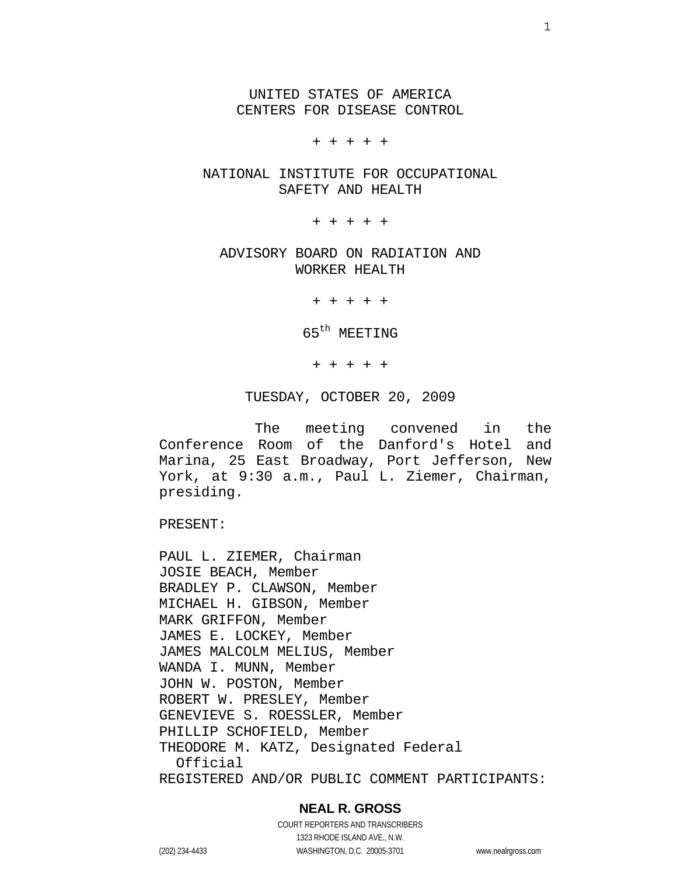UNITED STATES OF AMERICA CENTERS FOR DISEASE CONTROL

+ + + + +

#### NATIONAL INSTITUTE FOR OCCUPATIONAL SAFETY AND HEALTH

+ + + + +

#### ADVISORY BOARD ON RADIATION AND WORKER HEALTH

+ + + + +

65th MEETING

+ + + + +

TUESDAY, OCTOBER 20, 2009

 The meeting convened in the Conference Room of the Danford's Hotel and Marina, 25 East Broadway, Port Jefferson, New York, at 9:30 a.m., Paul L. Ziemer, Chairman, presiding.

PRESENT:

PAUL L. ZIEMER, Chairman JOSIE BEACH, Member BRADLEY P. CLAWSON, Member MICHAEL H. GIBSON, Member MARK GRIFFON, Member JAMES E. LOCKEY, Member JAMES MALCOLM MELIUS, Member WANDA I. MUNN, Member JOHN W. POSTON, Member ROBERT W. PRESLEY, Member GENEVIEVE S. ROESSLER, Member PHILLIP SCHOFIELD, Member THEODORE M. KATZ, Designated Federal Official REGISTERED AND/OR PUBLIC COMMENT PARTICIPANTS: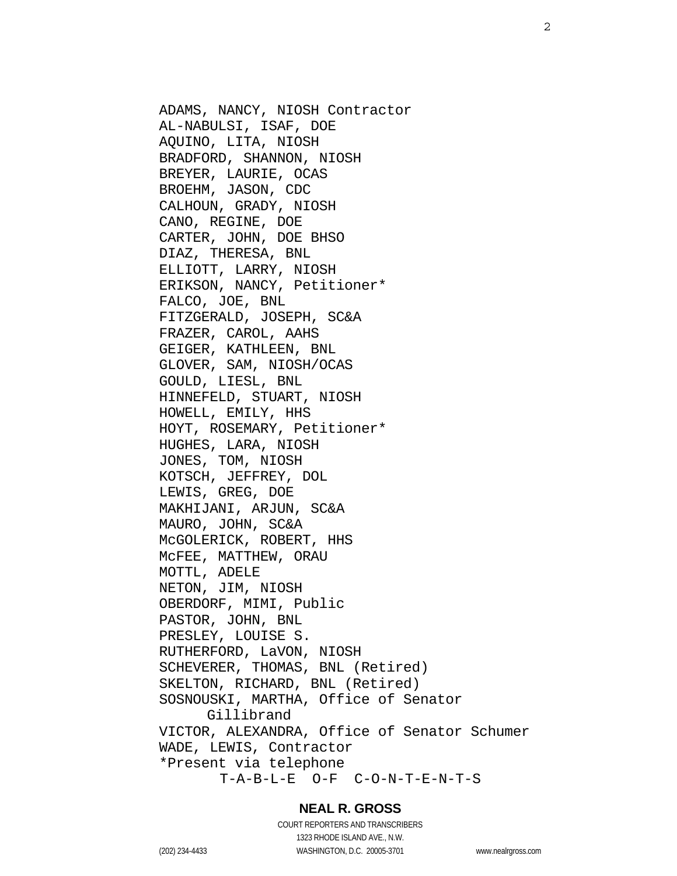ADAMS, NANCY, NIOSH Contractor AL-NABULSI, ISAF, DOE AQUINO, LITA, NIOSH BRADFORD, SHANNON, NIOSH BREYER, LAURIE, OCAS BROEHM, JASON, CDC CALHOUN, GRADY, NIOSH CANO, REGINE, DOE CARTER, JOHN, DOE BHSO DIAZ, THERESA, BNL ELLIOTT, LARRY, NIOSH ERIKSON, NANCY, Petitioner\* FALCO, JOE, BNL FITZGERALD, JOSEPH, SC&A FRAZER, CAROL, AAHS GEIGER, KATHLEEN, BNL GLOVER, SAM, NIOSH/OCAS GOULD, LIESL, BNL HINNEFELD, STUART, NIOSH HOWELL, EMILY, HHS HOYT, ROSEMARY, Petitioner\* HUGHES, LARA, NIOSH JONES, TOM, NIOSH KOTSCH, JEFFREY, DOL LEWIS, GREG, DOE MAKHIJANI, ARJUN, SC&A MAURO, JOHN, SC&A McGOLERICK, ROBERT, HHS McFEE, MATTHEW, ORAU MOTTL, ADELE NETON, JIM, NIOSH OBERDORF, MIMI, Public PASTOR, JOHN, BNL PRESLEY, LOUISE S. RUTHERFORD, LaVON, NIOSH SCHEVERER, THOMAS, BNL (Retired) SKELTON, RICHARD, BNL (Retired) SOSNOUSKI, MARTHA, Office of Senator Gillibrand VICTOR, ALEXANDRA, Office of Senator Schumer WADE, LEWIS, Contractor \*Present via telephone T-A-B-L-E O-F C-O-N-T-E-N-T-S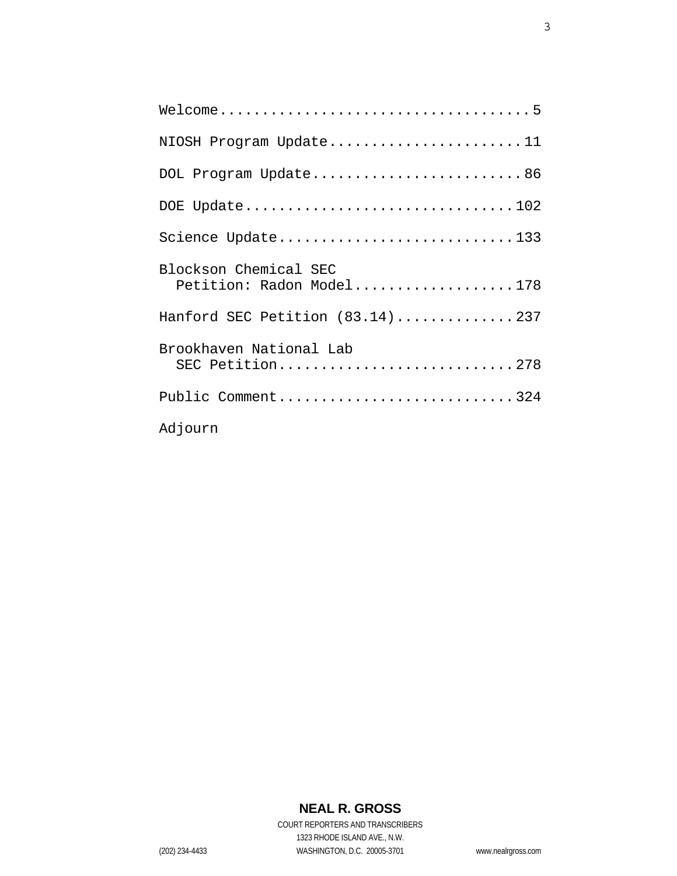| NIOSH Program Update11                            |  |  |
|---------------------------------------------------|--|--|
| DOL Program Update86                              |  |  |
| DOE Update102                                     |  |  |
| Science Update133                                 |  |  |
| Blockson Chemical SEC<br>Petition: Radon Model178 |  |  |
| Hanford SEC Petition (83.14)237                   |  |  |
| Brookhaven National Lab<br>SEC Petition278        |  |  |
| Public Comment324                                 |  |  |
| Adjourn                                           |  |  |

### **NEAL R. GROSS**

COURT REPORTERS AND TRANSCRIBERS 1323 RHODE ISLAND AVE., N.W. (202) 234-4433 WASHINGTON, D.C. 20005-3701 www.nealrgross.com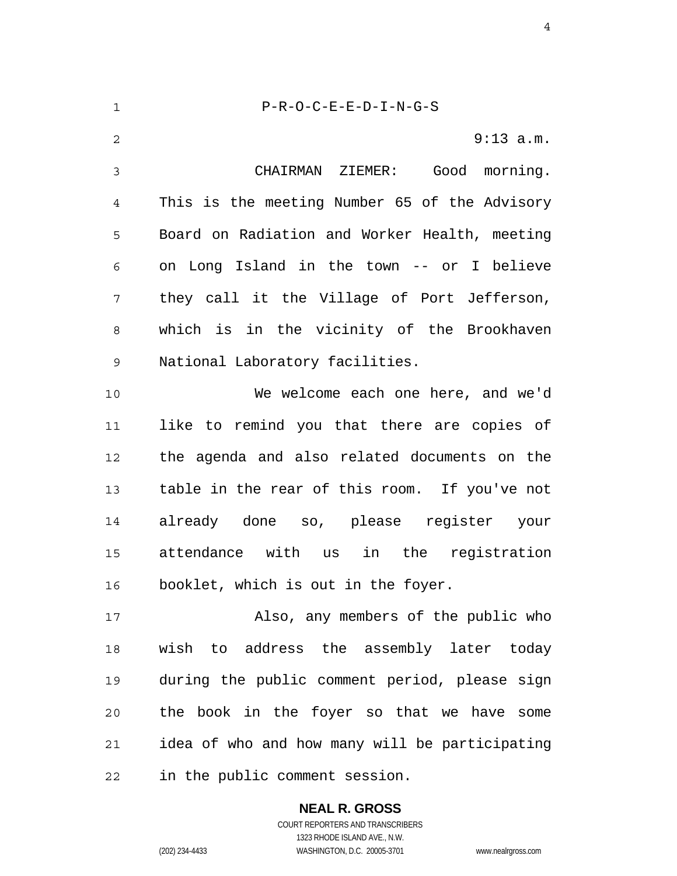1 2 3 4 5 6 7 8 9 10 11 12 13 14 15 16 17 18 19 20 21 22 P-R-O-C-E-E-D-I-N-G-S 9:13 a.m. CHAIRMAN ZIEMER: Good morning. This is the meeting Number 65 of the Advisory Board on Radiation and Worker Health, meeting on Long Island in the town -- or I believe they call it the Village of Port Jefferson, which is in the vicinity of the Brookhaven National Laboratory facilities. We welcome each one here, and we'd like to remind you that there are copies of the agenda and also related documents on the table in the rear of this room. If you've not already done so, please register your attendance with us in the registration booklet, which is out in the foyer. Also, any members of the public who wish to address the assembly later today during the public comment period, please sign the book in the foyer so that we have some idea of who and how many will be participating in the public comment session.

> **NEAL R. GROSS** COURT REPORTERS AND TRANSCRIBERS

> > 1323 RHODE ISLAND AVE., N.W.

(202) 234-4433 WASHINGTON, D.C. 20005-3701 www.nealrgross.com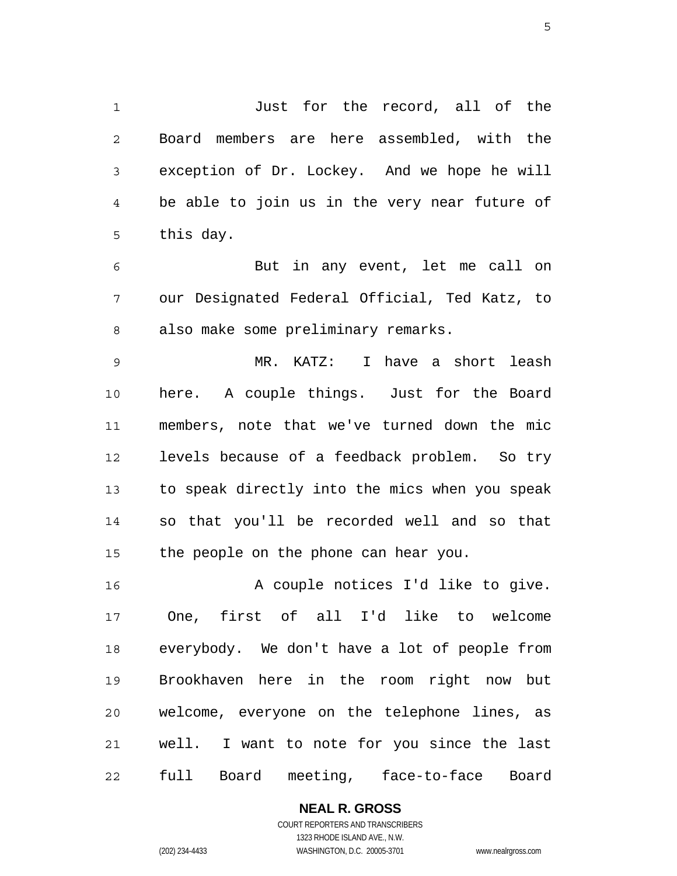1 2 3 4 5 Just for the record, all of the Board members are here assembled, with the exception of Dr. Lockey. And we hope he will be able to join us in the very near future of this day.

6 7 8 But in any event, let me call on our Designated Federal Official, Ted Katz, to also make some preliminary remarks.

9 10 11 12 13 14 15 MR. KATZ: I have a short leash here. A couple things. Just for the Board members, note that we've turned down the mic levels because of a feedback problem. So try to speak directly into the mics when you speak so that you'll be recorded well and so that the people on the phone can hear you.

16 17 18 19 20 21 22 A couple notices I'd like to give. One, first of all I'd like to welcome everybody. We don't have a lot of people from Brookhaven here in the room right now but welcome, everyone on the telephone lines, as well. I want to note for you since the last full Board meeting, face-to-face Board

> **NEAL R. GROSS** COURT REPORTERS AND TRANSCRIBERS 1323 RHODE ISLAND AVE., N.W. (202) 234-4433 WASHINGTON, D.C. 20005-3701 www.nealrgross.com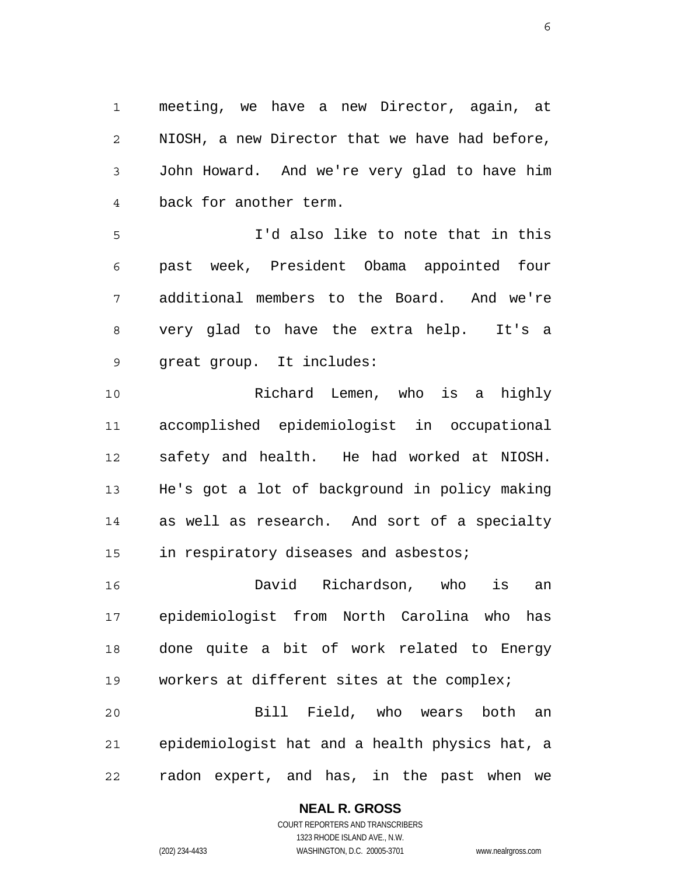1 2 3 4 meeting, we have a new Director, again, at NIOSH, a new Director that we have had before, John Howard. And we're very glad to have him back for another term.

5 6 7 8 9 I'd also like to note that in this past week, President Obama appointed four additional members to the Board. And we're very glad to have the extra help. It's a great group. It includes:

10 11 12 13 14 15 Richard Lemen, who is a highly accomplished epidemiologist in occupational safety and health. He had worked at NIOSH. He's got a lot of background in policy making as well as research. And sort of a specialty in respiratory diseases and asbestos;

16 17 18 19 20 21 22 David Richardson, who is an epidemiologist from North Carolina who has done quite a bit of work related to Energy workers at different sites at the complex; Bill Field, who wears both an epidemiologist hat and a health physics hat, a radon expert, and has, in the past when we

> **NEAL R. GROSS** COURT REPORTERS AND TRANSCRIBERS 1323 RHODE ISLAND AVE., N.W. (202) 234-4433 WASHINGTON, D.C. 20005-3701 www.nealrgross.com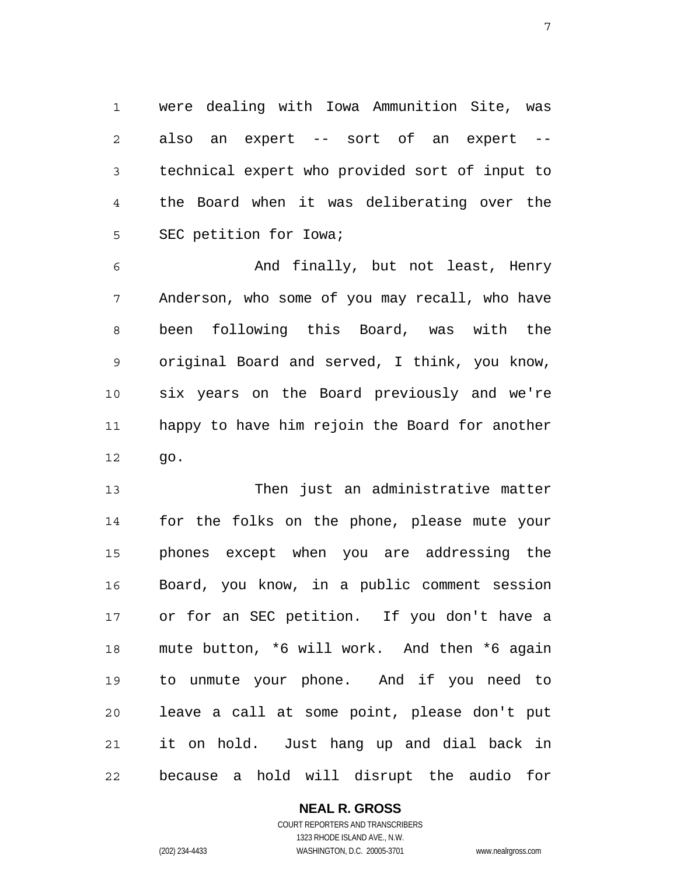1 2 3 4 5 were dealing with Iowa Ammunition Site, was also an expert -- sort of an expert - technical expert who provided sort of input to the Board when it was deliberating over the SEC petition for Iowa;

6 7 8 9 10 11 12 And finally, but not least, Henry Anderson, who some of you may recall, who have been following this Board, was with the original Board and served, I think, you know, six years on the Board previously and we're happy to have him rejoin the Board for another go.

13 14 15 16 17 18 19 20 21 22 Then just an administrative matter for the folks on the phone, please mute your phones except when you are addressing the Board, you know, in a public comment session or for an SEC petition. If you don't have a mute button, \*6 will work. And then \*6 again to unmute your phone. And if you need to leave a call at some point, please don't put it on hold. Just hang up and dial back in because a hold will disrupt the audio for

> **NEAL R. GROSS** COURT REPORTERS AND TRANSCRIBERS

> > 1323 RHODE ISLAND AVE., N.W.

(202) 234-4433 WASHINGTON, D.C. 20005-3701 www.nealrgross.com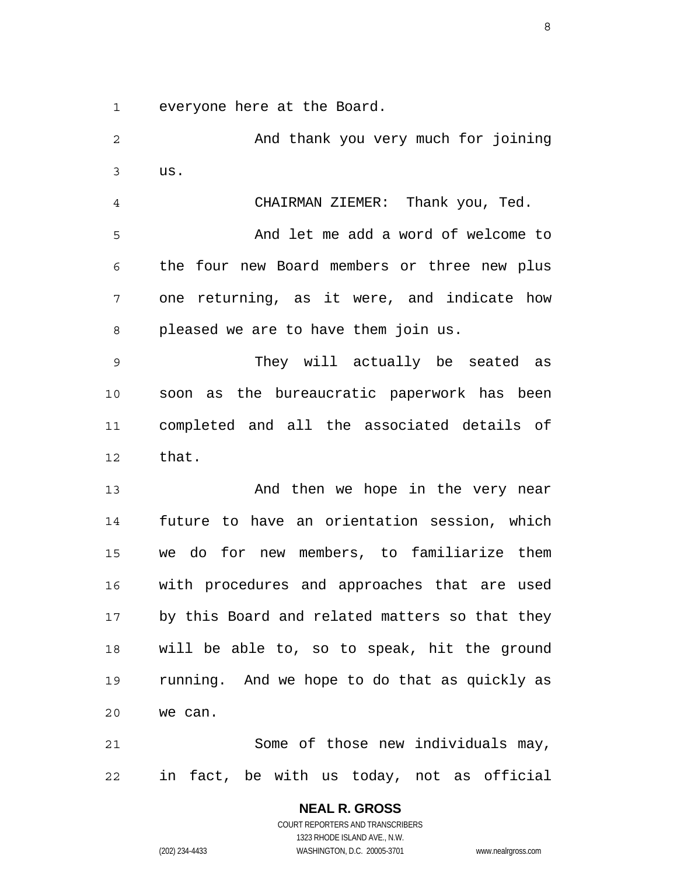1 everyone here at the Board.

2 3 4 5 6 7 8 9 10 11 12 13 14 15 16 17 18 19 20 21 22 And thank you very much for joining us. CHAIRMAN ZIEMER: Thank you, Ted. And let me add a word of welcome to the four new Board members or three new plus one returning, as it were, and indicate how pleased we are to have them join us. They will actually be seated as soon as the bureaucratic paperwork has been completed and all the associated details of that. And then we hope in the very near future to have an orientation session, which we do for new members, to familiarize them with procedures and approaches that are used by this Board and related matters so that they will be able to, so to speak, hit the ground running. And we hope to do that as quickly as we can. Some of those new individuals may, in fact, be with us today, not as official

> **NEAL R. GROSS** COURT REPORTERS AND TRANSCRIBERS 1323 RHODE ISLAND AVE., N.W. (202) 234-4433 WASHINGTON, D.C. 20005-3701 www.nealrgross.com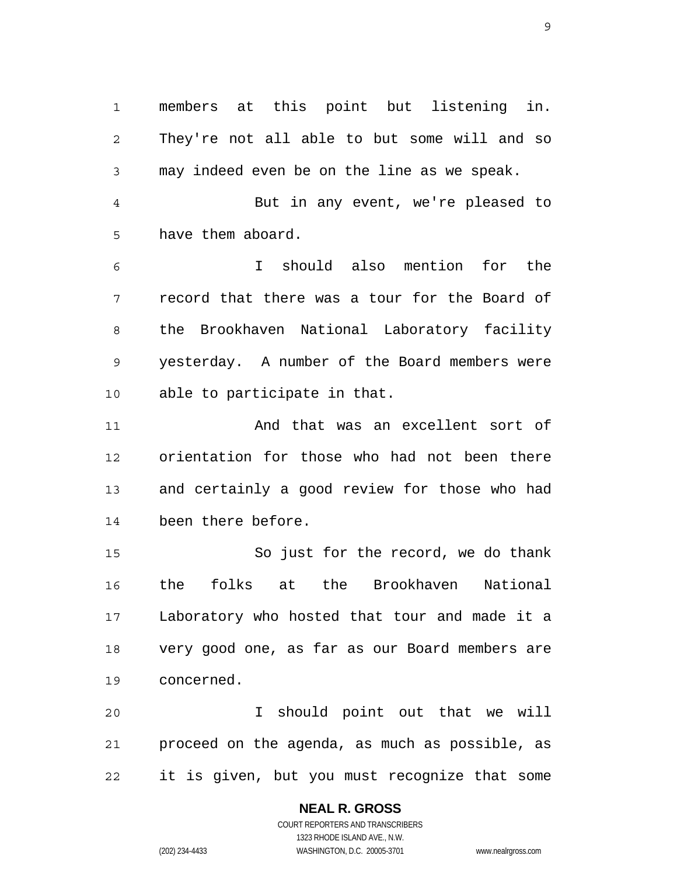1 2 3 members at this point but listening in. They're not all able to but some will and so may indeed even be on the line as we speak.

4 5 But in any event, we're pleased to have them aboard.

6 7 8 9 10 I should also mention for the record that there was a tour for the Board of the Brookhaven National Laboratory facility yesterday. A number of the Board members were able to participate in that.

11 12 13 14 And that was an excellent sort of orientation for those who had not been there and certainly a good review for those who had been there before.

15 16 17 18 19 So just for the record, we do thank the folks at the Brookhaven National Laboratory who hosted that tour and made it a very good one, as far as our Board members are concerned.

20 21 22 I should point out that we will proceed on the agenda, as much as possible, as it is given, but you must recognize that some

#### **NEAL R. GROSS** COURT REPORTERS AND TRANSCRIBERS 1323 RHODE ISLAND AVE., N.W. (202) 234-4433 WASHINGTON, D.C. 20005-3701 www.nealrgross.com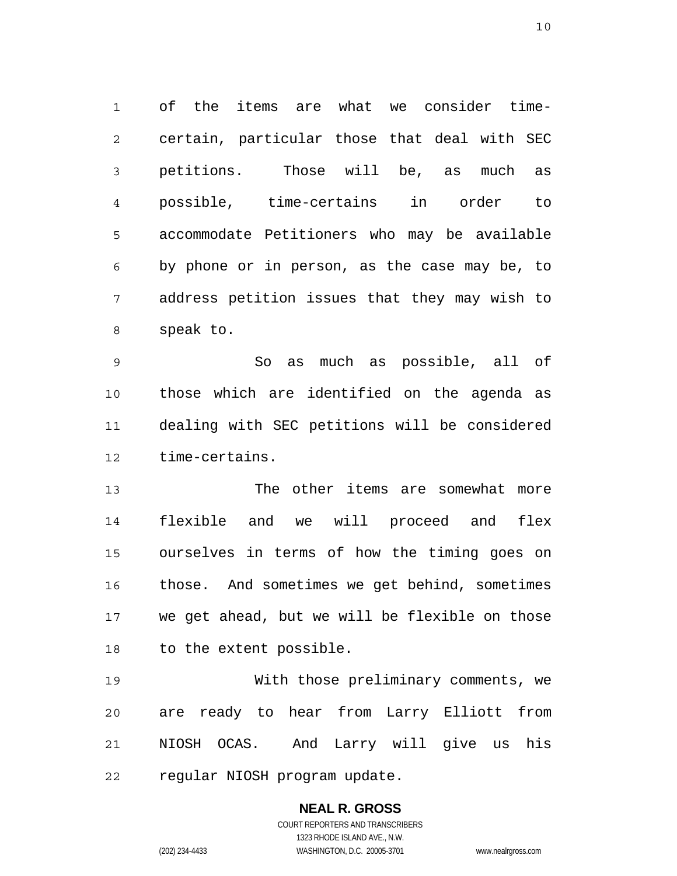1 2 3 4 5 6 7 8 of the items are what we consider timecertain, particular those that deal with SEC petitions. Those will be, as much as possible, time-certains in order to accommodate Petitioners who may be available by phone or in person, as the case may be, to address petition issues that they may wish to speak to.

9 10 11 12 So as much as possible, all of those which are identified on the agenda as dealing with SEC petitions will be considered time-certains.

13 14 15 16 17 18 The other items are somewhat more flexible and we will proceed and flex ourselves in terms of how the timing goes on those. And sometimes we get behind, sometimes we get ahead, but we will be flexible on those to the extent possible.

19 20 21 22 With those preliminary comments, we are ready to hear from Larry Elliott from NIOSH OCAS. And Larry will give us his regular NIOSH program update.

#### **NEAL R. GROSS** COURT REPORTERS AND TRANSCRIBERS 1323 RHODE ISLAND AVE., N.W. (202) 234-4433 WASHINGTON, D.C. 20005-3701 www.nealrgross.com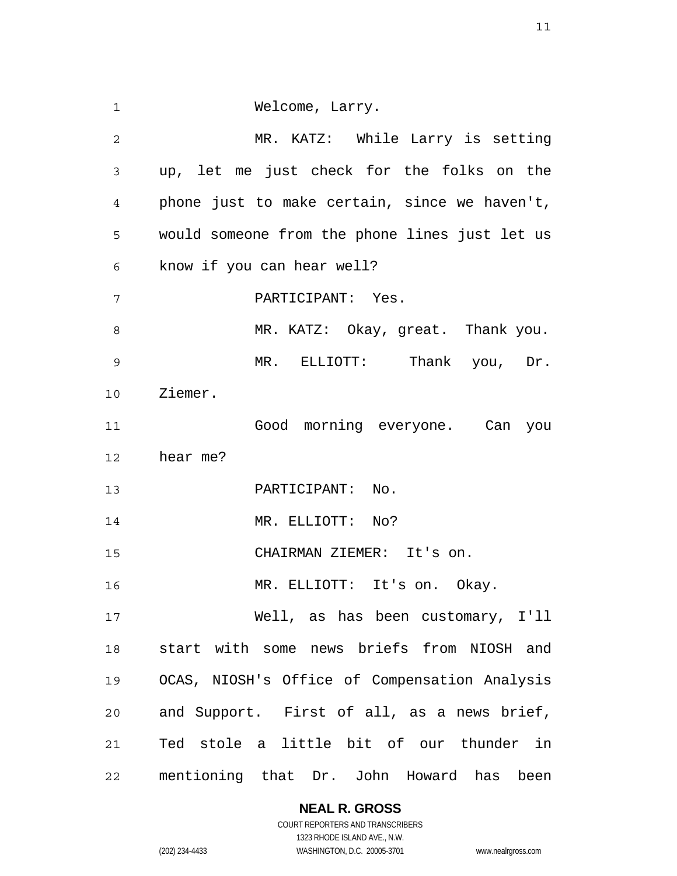| $\mathbf{1}$   | Welcome, Larry.                                |
|----------------|------------------------------------------------|
| $\overline{c}$ | MR. KATZ: While Larry is setting               |
| 3              | up, let me just check for the folks on the     |
| 4              | phone just to make certain, since we haven't,  |
| 5              | would someone from the phone lines just let us |
| 6              | know if you can hear well?                     |
| 7              | PARTICIPANT: Yes.                              |
| 8              | MR. KATZ: Okay, great. Thank you.              |
| 9              | MR. ELLIOTT: Thank you, Dr.                    |
| 10             | Ziemer.                                        |
| 11             | Good morning everyone. Can you                 |
| 12             | hear me?                                       |
| 13             | PARTICIPANT: No.                               |
| 14             | MR. ELLIOTT: No?                               |
| 15             | CHAIRMAN ZIEMER: It's on.                      |
| 16             | MR. ELLIOTT:<br>It's on. Okay.                 |
| 17             | Well, as has been customary, I'll              |
| 18             | start with some news briefs from NIOSH and     |
| 19             | OCAS, NIOSH's Office of Compensation Analysis  |
| 20             | and Support. First of all, as a news brief,    |
| 21             | Ted stole a little bit of our thunder in       |
| 22             | mentioning that Dr. John Howard has been       |

### **NEAL R. GROSS**

COURT REPORTERS AND TRANSCRIBERS 1323 RHODE ISLAND AVE., N.W. (202) 234-4433 WASHINGTON, D.C. 20005-3701 www.nealrgross.com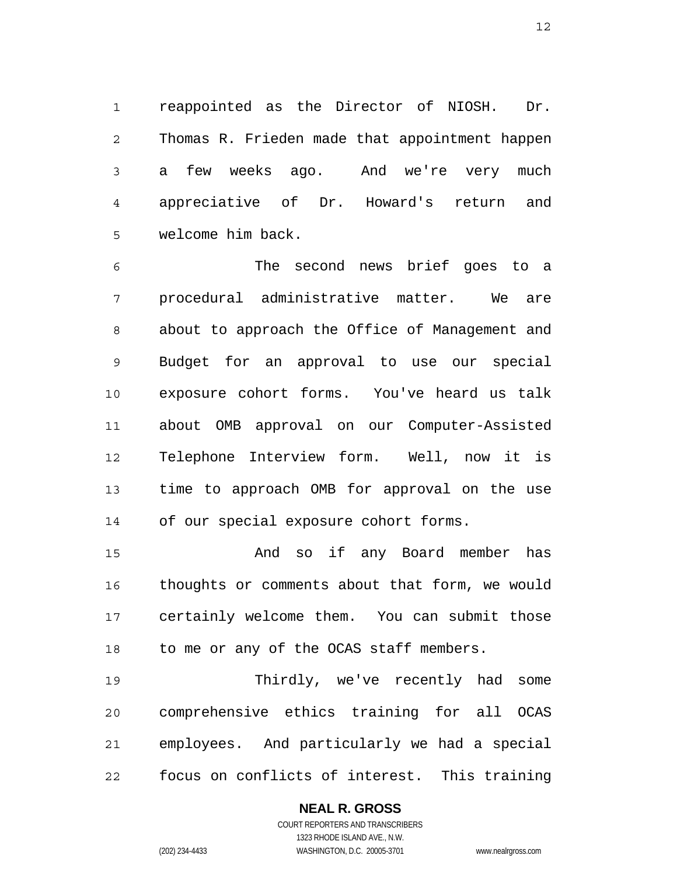1 2 3 4 5 reappointed as the Director of NIOSH. Dr. Thomas R. Frieden made that appointment happen a few weeks ago. And we're very much appreciative of Dr. Howard's return and welcome him back.

6 7 8 9 10 11 12 13 14 The second news brief goes to a procedural administrative matter. We are about to approach the Office of Management and Budget for an approval to use our special exposure cohort forms. You've heard us talk about OMB approval on our Computer-Assisted Telephone Interview form. Well, now it is time to approach OMB for approval on the use of our special exposure cohort forms.

15 16 17 18 And so if any Board member has thoughts or comments about that form, we would certainly welcome them. You can submit those to me or any of the OCAS staff members.

19 20 21 22 Thirdly, we've recently had some comprehensive ethics training for all OCAS employees. And particularly we had a special focus on conflicts of interest. This training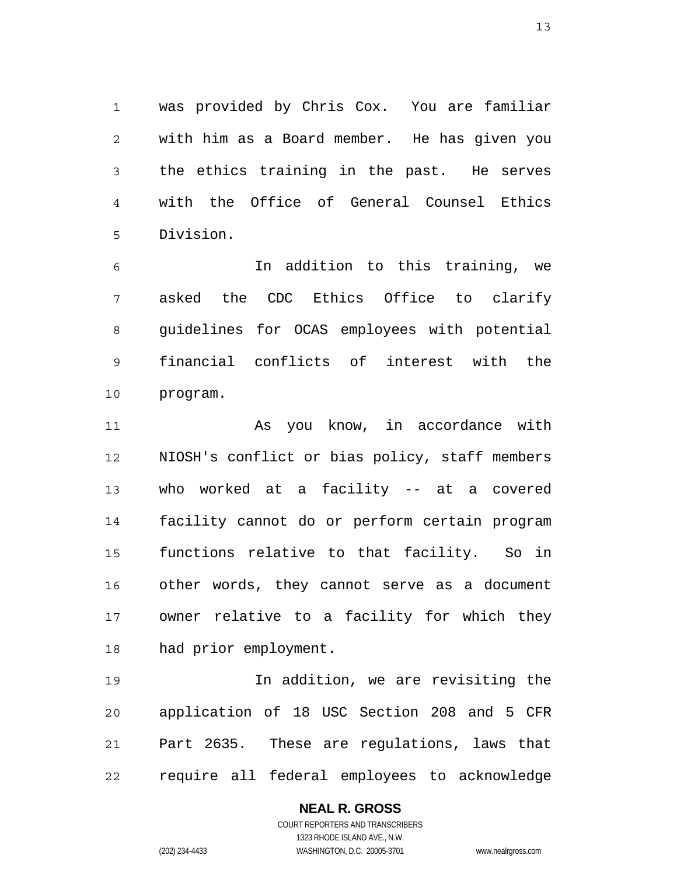1 2 3 4 5 was provided by Chris Cox. You are familiar with him as a Board member. He has given you the ethics training in the past. He serves with the Office of General Counsel Ethics Division.

6 7 8 9 10 In addition to this training, we asked the CDC Ethics Office to clarify guidelines for OCAS employees with potential financial conflicts of interest with the program.

11 12 13 14 15 16 17 18 As you know, in accordance with NIOSH's conflict or bias policy, staff members who worked at a facility -- at a covered facility cannot do or perform certain program functions relative to that facility. So in other words, they cannot serve as a document owner relative to a facility for which they had prior employment.

19 20 21 22 In addition, we are revisiting the application of 18 USC Section 208 and 5 CFR Part 2635. These are regulations, laws that require all federal employees to acknowledge

> **NEAL R. GROSS** COURT REPORTERS AND TRANSCRIBERS 1323 RHODE ISLAND AVE., N.W. (202) 234-4433 WASHINGTON, D.C. 20005-3701 www.nealrgross.com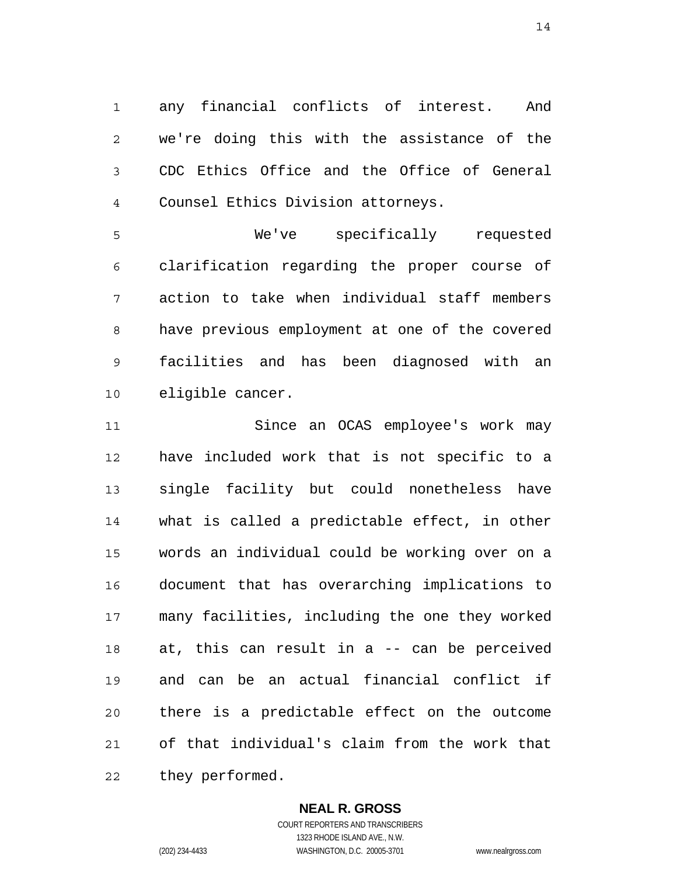1 2 3 4 any financial conflicts of interest. And we're doing this with the assistance of the CDC Ethics Office and the Office of General Counsel Ethics Division attorneys.

5 6 7 8 9 10 We've specifically requested clarification regarding the proper course of action to take when individual staff members have previous employment at one of the covered facilities and has been diagnosed with an eligible cancer.

11 12 13 14 15 16 17 18 19 20 21 22 Since an OCAS employee's work may have included work that is not specific to a single facility but could nonetheless have what is called a predictable effect, in other words an individual could be working over on a document that has overarching implications to many facilities, including the one they worked at, this can result in a -- can be perceived and can be an actual financial conflict if there is a predictable effect on the outcome of that individual's claim from the work that they performed.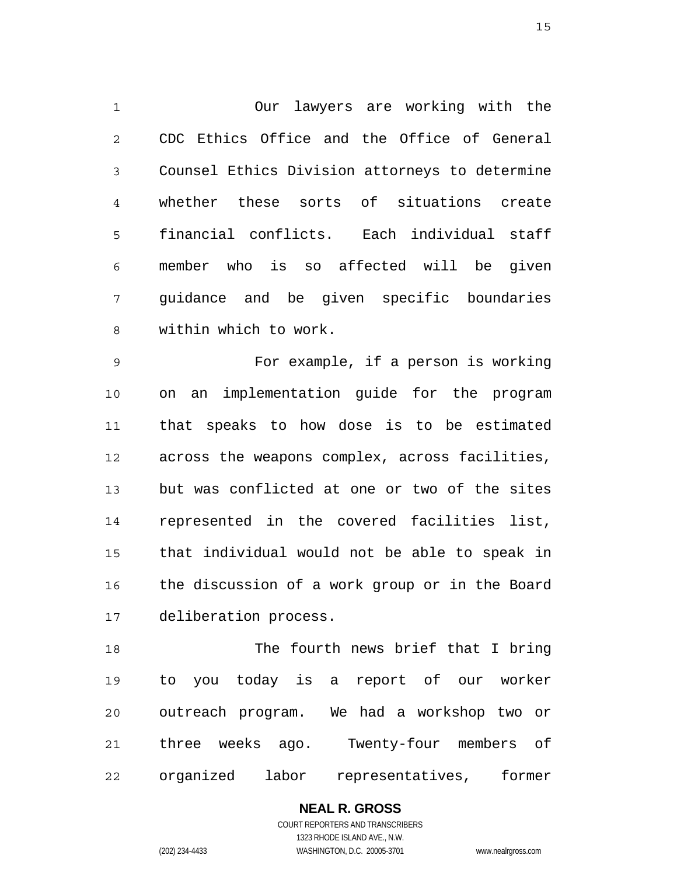1 2 3 4 5 6 7 8 Our lawyers are working with the CDC Ethics Office and the Office of General Counsel Ethics Division attorneys to determine whether these sorts of situations create financial conflicts. Each individual staff member who is so affected will be given guidance and be given specific boundaries within which to work.

9 10 11 12 13 14 15 16 17 For example, if a person is working on an implementation guide for the program that speaks to how dose is to be estimated across the weapons complex, across facilities, but was conflicted at one or two of the sites represented in the covered facilities list, that individual would not be able to speak in the discussion of a work group or in the Board deliberation process.

18 19 20 21 22 The fourth news brief that I bring to you today is a report of our worker outreach program. We had a workshop two or three weeks ago. Twenty-four members of organized labor representatives, former

> **NEAL R. GROSS** COURT REPORTERS AND TRANSCRIBERS

> > 1323 RHODE ISLAND AVE., N.W.

(202) 234-4433 WASHINGTON, D.C. 20005-3701 www.nealrgross.com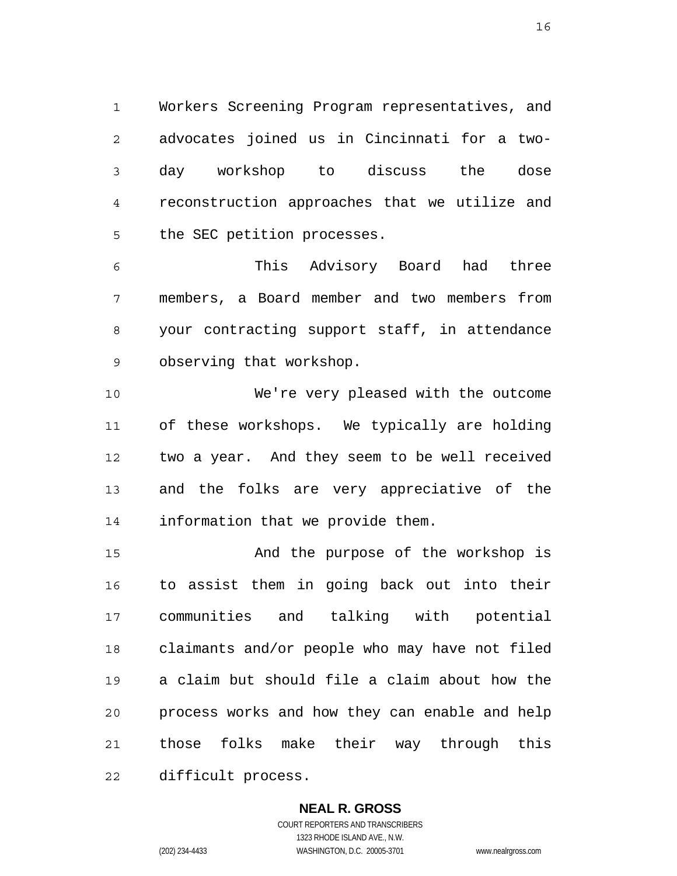1 2 3 4 5 Workers Screening Program representatives, and advocates joined us in Cincinnati for a twoday workshop to discuss the dose reconstruction approaches that we utilize and the SEC petition processes.

6 7 8 9 This Advisory Board had three members, a Board member and two members from your contracting support staff, in attendance observing that workshop.

10 11 12 13 14 We're very pleased with the outcome of these workshops. We typically are holding two a year. And they seem to be well received and the folks are very appreciative of the information that we provide them.

15 16 17 18 19 20 21 22 And the purpose of the workshop is to assist them in going back out into their communities and talking with potential claimants and/or people who may have not filed a claim but should file a claim about how the process works and how they can enable and help those folks make their way through this difficult process.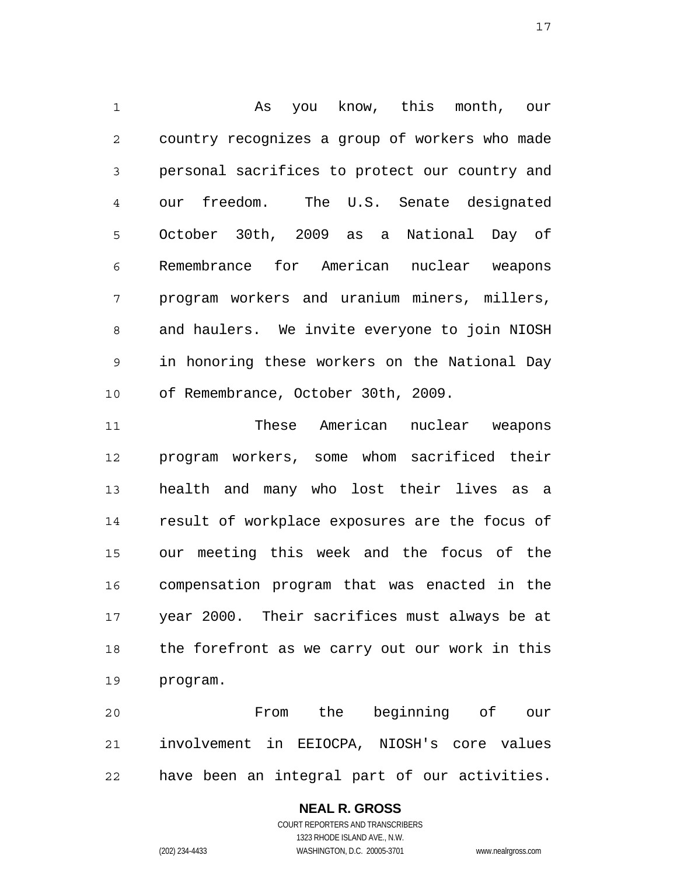1 2 3 4 5 6 7 8 9 10 As you know, this month, our country recognizes a group of workers who made personal sacrifices to protect our country and our freedom. The U.S. Senate designated October 30th, 2009 as a National Day of Remembrance for American nuclear weapons program workers and uranium miners, millers, and haulers. We invite everyone to join NIOSH in honoring these workers on the National Day of Remembrance, October 30th, 2009.

11 12 13 14 15 16 17 18 19 These American nuclear weapons program workers, some whom sacrificed their health and many who lost their lives as a result of workplace exposures are the focus of our meeting this week and the focus of the compensation program that was enacted in the year 2000. Their sacrifices must always be at the forefront as we carry out our work in this program.

20 21 22 From the beginning of our involvement in EEIOCPA, NIOSH's core values have been an integral part of our activities.

> **NEAL R. GROSS** COURT REPORTERS AND TRANSCRIBERS

> > 1323 RHODE ISLAND AVE., N.W.

(202) 234-4433 WASHINGTON, D.C. 20005-3701 www.nealrgross.com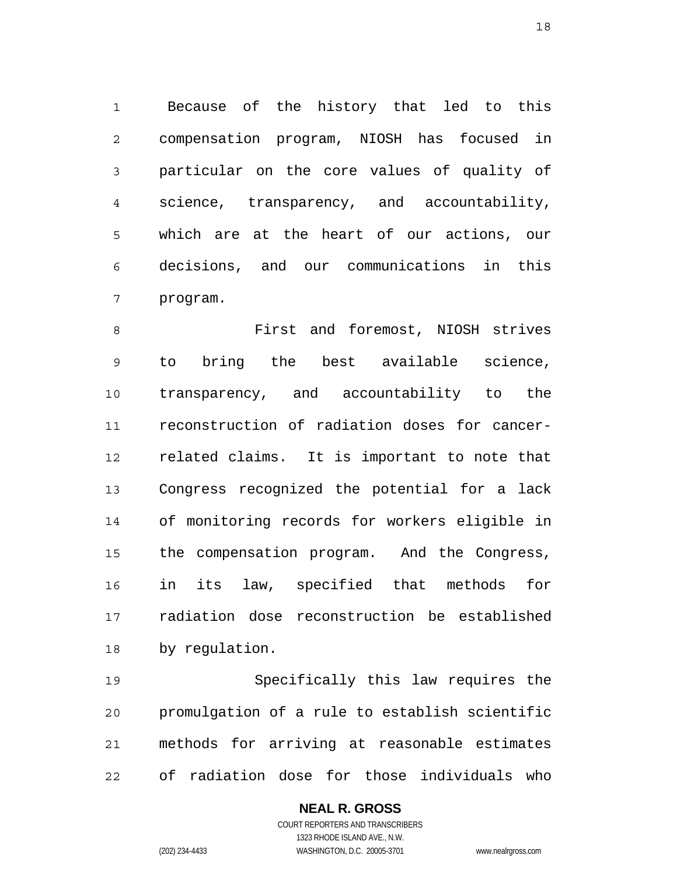1 2 3 4 5 6 7 Because of the history that led to this compensation program, NIOSH has focused in particular on the core values of quality of science, transparency, and accountability, which are at the heart of our actions, our decisions, and our communications in this program.

8 9 10 11 12 13 14 15 16 17 18 First and foremost, NIOSH strives to bring the best available science, transparency, and accountability to the reconstruction of radiation doses for cancerrelated claims. It is important to note that Congress recognized the potential for a lack of monitoring records for workers eligible in the compensation program. And the Congress, in its law, specified that methods for radiation dose reconstruction be established by regulation.

19 20 21 22 Specifically this law requires the promulgation of a rule to establish scientific methods for arriving at reasonable estimates of radiation dose for those individuals who

> COURT REPORTERS AND TRANSCRIBERS 1323 RHODE ISLAND AVE., N.W. (202) 234-4433 WASHINGTON, D.C. 20005-3701 www.nealrgross.com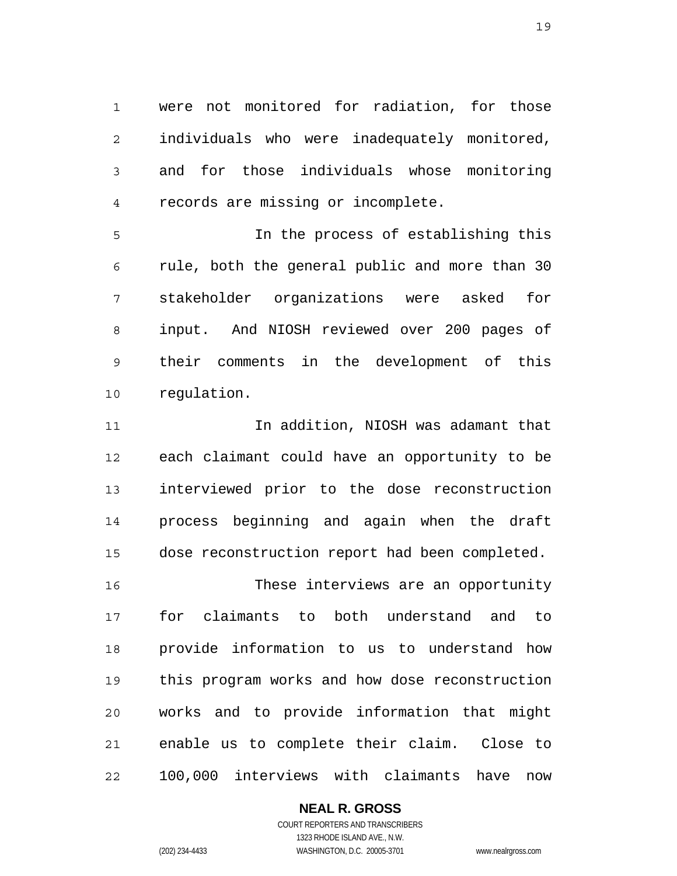1 2 3 4 were not monitored for radiation, for those individuals who were inadequately monitored, and for those individuals whose monitoring records are missing or incomplete.

5 6 7 8 9 10 In the process of establishing this rule, both the general public and more than 30 stakeholder organizations were asked for input. And NIOSH reviewed over 200 pages of their comments in the development of this regulation.

11 12 13 14 15 In addition, NIOSH was adamant that each claimant could have an opportunity to be interviewed prior to the dose reconstruction process beginning and again when the draft dose reconstruction report had been completed.

16 17 18 19 20 21 22 These interviews are an opportunity for claimants to both understand and to provide information to us to understand how this program works and how dose reconstruction works and to provide information that might enable us to complete their claim. Close to 100,000 interviews with claimants have now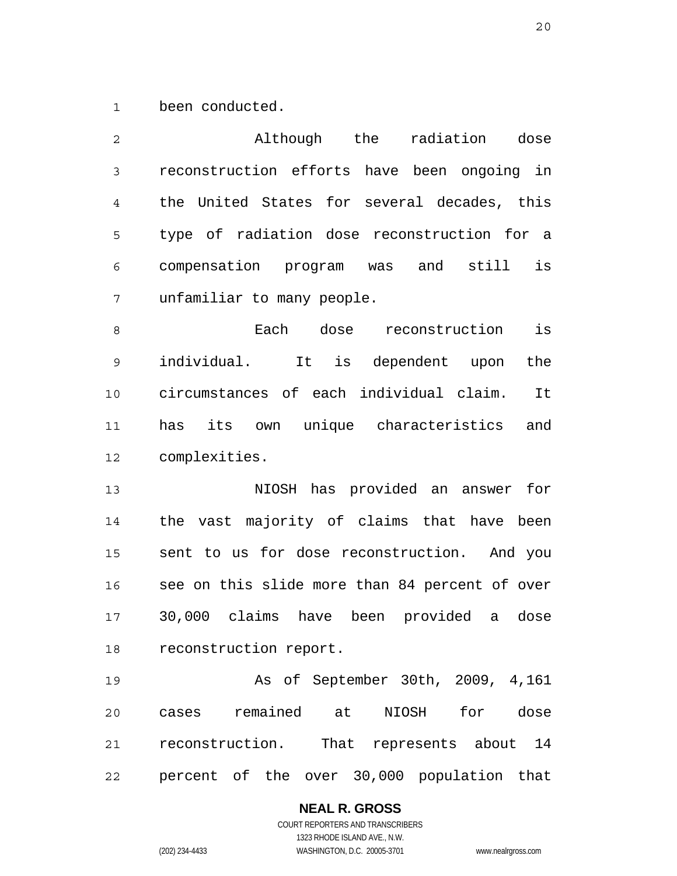1 been conducted.

| $\overline{2}$ | Although the<br>radiation<br>dose                  |
|----------------|----------------------------------------------------|
| $\mathfrak{Z}$ | reconstruction efforts have been ongoing in        |
| $\overline{4}$ | the United States for several decades, this        |
| 5              | type of radiation dose reconstruction for a        |
| 6              | compensation program was and still<br>is           |
| 7              | unfamiliar to many people.                         |
| 8              | dose reconstruction<br>is<br>Each                  |
| 9              | individual.<br>It is dependent upon the            |
| 10             | circumstances of each individual claim.<br>It      |
| 11             | its own unique characteristics and<br>has          |
| 12             | complexities.                                      |
| 13             | NIOSH has provided an answer for                   |
| 14             | the vast majority of claims that have been         |
| 15             | sent to us for dose reconstruction. And you        |
| 16             | see on this slide more than 84 percent of over     |
| 17             | $30,000$ claims<br>have been provided<br>dose<br>a |
| 18             | reconstruction report.                             |
| 19             | As of September 30th, 2009, 4,161                  |
| 20             | remained at<br>NIOSH for dose<br>cases             |
| 21             | reconstruction. That represents about 14           |
| 22             | percent of the over 30,000 population that         |

**NEAL R. GROSS** COURT REPORTERS AND TRANSCRIBERS

1323 RHODE ISLAND AVE., N.W. (202) 234-4433 WASHINGTON, D.C. 20005-3701 www.nealrgross.com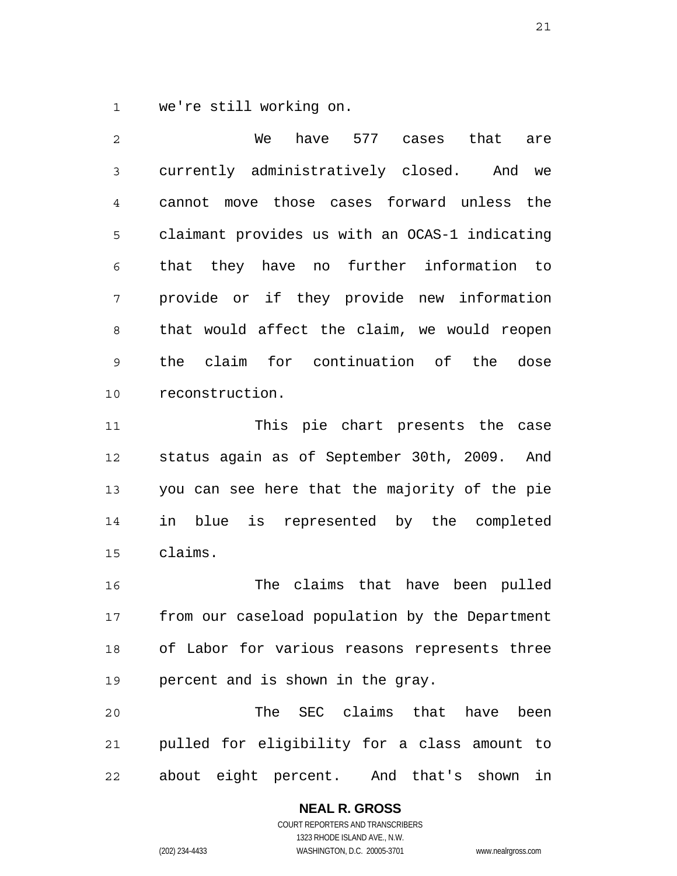1 we're still working on.

2 3 4 5 6 7 8 9 10 11 12 13 14 15 16 17 18 19 20 We have 577 cases that are currently administratively closed. And we cannot move those cases forward unless the claimant provides us with an OCAS-1 indicating that they have no further information to provide or if they provide new information that would affect the claim, we would reopen the claim for continuation of the dose reconstruction. This pie chart presents the case status again as of September 30th, 2009. And you can see here that the majority of the pie in blue is represented by the completed claims. The claims that have been pulled from our caseload population by the Department of Labor for various reasons represents three percent and is shown in the gray. The SEC claims that have been

22 about eight percent. And that's shown in

> **NEAL R. GROSS** COURT REPORTERS AND TRANSCRIBERS

pulled for eligibility for a class amount to

1323 RHODE ISLAND AVE., N.W.

21

(202) 234-4433 WASHINGTON, D.C. 20005-3701 www.nealrgross.com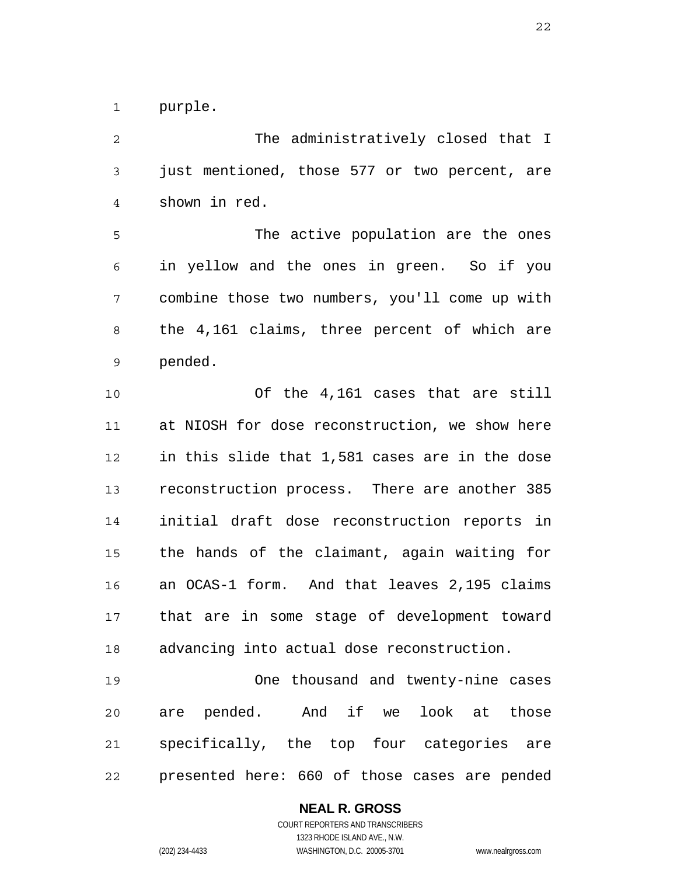1 purple.

| $\overline{2}$ | The administratively closed that I             |
|----------------|------------------------------------------------|
| $\mathfrak{Z}$ | just mentioned, those 577 or two percent, are  |
| 4              | shown in red.                                  |
| 5              | The active population are the ones             |
| 6              | in yellow and the ones in green. So if you     |
| 7              | combine those two numbers, you'll come up with |
| 8              | the 4,161 claims, three percent of which are   |
| 9              | pended.                                        |
| 10             | Of the 4,161 cases that are still              |
| 11             | at NIOSH for dose reconstruction, we show here |
| 12             | in this slide that 1,581 cases are in the dose |
| 13             | reconstruction process. There are another 385  |
| 14             | initial draft dose reconstruction reports in   |
| 15             | the hands of the claimant, again waiting for   |
| 16             | an OCAS-1 form. And that leaves 2,195 claims   |
| 17             | that are in some stage of development toward   |
| 18             | advancing into actual dose reconstruction.     |
| 19             | One thousand and twenty-nine cases             |
| 20             | are pended. And if we look at those            |
| 21             | specifically, the top four categories are      |
| 22             | presented here: 660 of those cases are pended  |

**NEAL R. GROSS**

COURT REPORTERS AND TRANSCRIBERS 1323 RHODE ISLAND AVE., N.W. (202) 234-4433 WASHINGTON, D.C. 20005-3701 www.nealrgross.com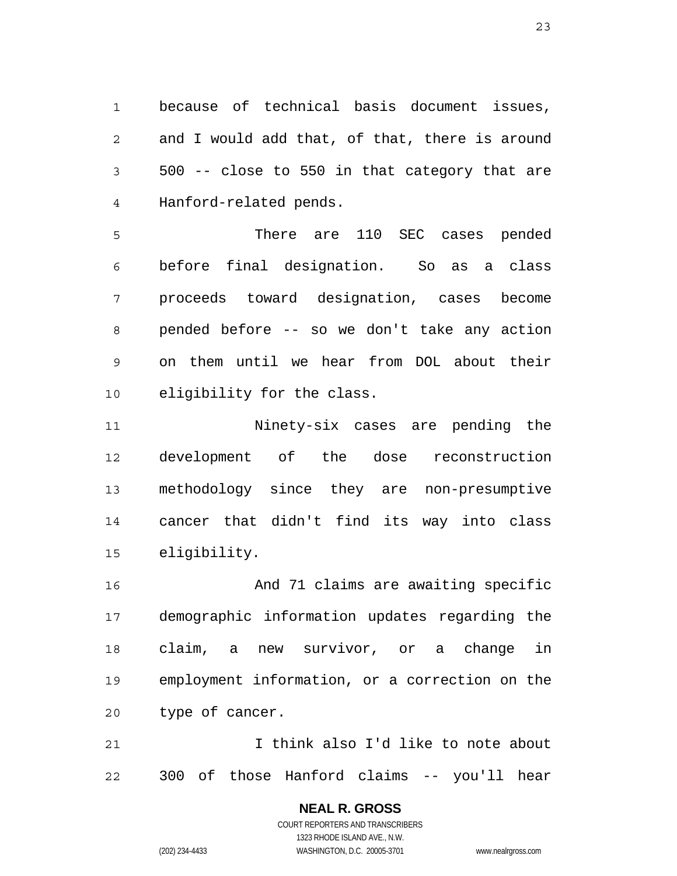1 2 3 4 because of technical basis document issues, and I would add that, of that, there is around 500 -- close to 550 in that category that are Hanford-related pends.

5 6 7 8 9 10 There are 110 SEC cases pended before final designation. So as a class proceeds toward designation, cases become pended before -- so we don't take any action on them until we hear from DOL about their eligibility for the class.

11 12 13 14 15 Ninety-six cases are pending the development of the dose reconstruction methodology since they are non-presumptive cancer that didn't find its way into class eligibility.

16 17 18 19 20 And 71 claims are awaiting specific demographic information updates regarding the claim, a new survivor, or a change in employment information, or a correction on the type of cancer.

21 22 I think also I'd like to note about 300 of those Hanford claims -- you'll hear

> **NEAL R. GROSS** COURT REPORTERS AND TRANSCRIBERS 1323 RHODE ISLAND AVE., N.W. (202) 234-4433 WASHINGTON, D.C. 20005-3701 www.nealrgross.com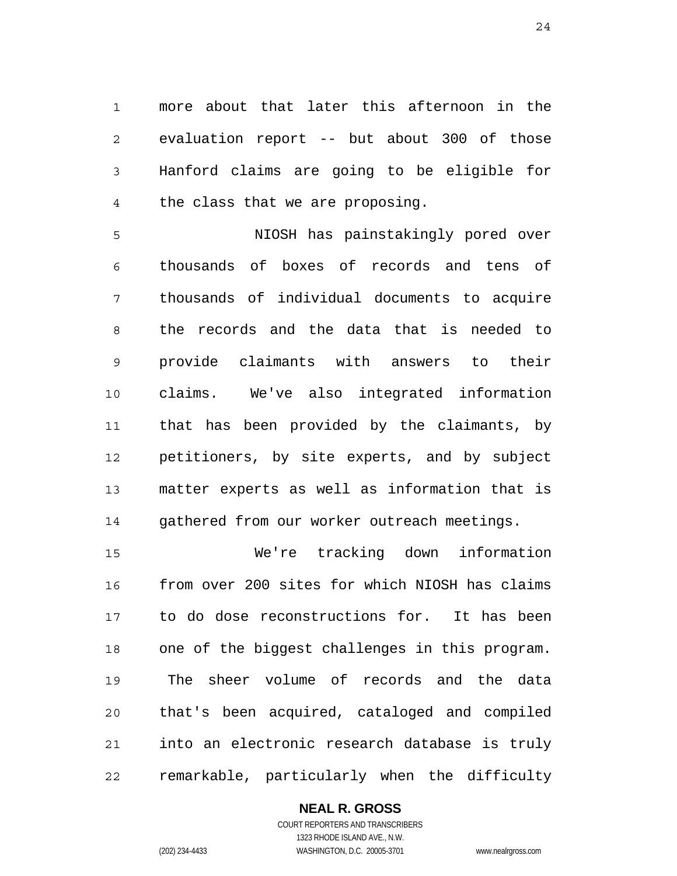1 2 3 4 more about that later this afternoon in the evaluation report -- but about 300 of those Hanford claims are going to be eligible for the class that we are proposing.

5 6 7 8 9 10 11 12 13 14 NIOSH has painstakingly pored over thousands of boxes of records and tens of thousands of individual documents to acquire the records and the data that is needed to provide claimants with answers to their claims. We've also integrated information that has been provided by the claimants, by petitioners, by site experts, and by subject matter experts as well as information that is gathered from our worker outreach meetings.

15 16 17 18 19 20 21 22 We're tracking down information from over 200 sites for which NIOSH has claims to do dose reconstructions for. It has been one of the biggest challenges in this program. The sheer volume of records and the data that's been acquired, cataloged and compiled into an electronic research database is truly remarkable, particularly when the difficulty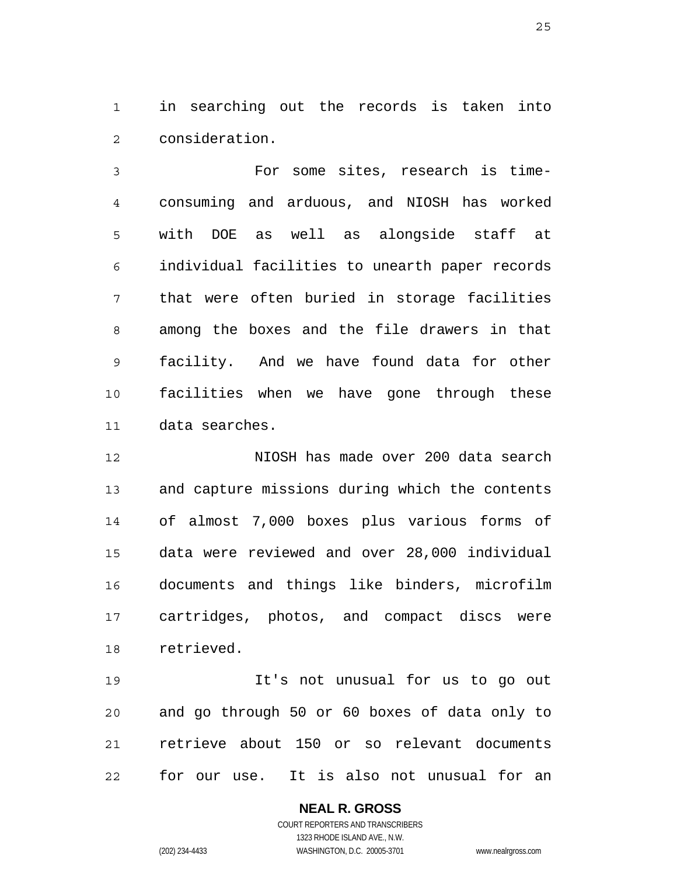1 2 in searching out the records is taken into consideration.

3 4 5 6 7 8 9 10 11 For some sites, research is timeconsuming and arduous, and NIOSH has worked with DOE as well as alongside staff at individual facilities to unearth paper records that were often buried in storage facilities among the boxes and the file drawers in that facility. And we have found data for other facilities when we have gone through these data searches.

12 13 14 15 16 17 18 NIOSH has made over 200 data search and capture missions during which the contents of almost 7,000 boxes plus various forms of data were reviewed and over 28,000 individual documents and things like binders, microfilm cartridges, photos, and compact discs were retrieved.

19 20 21 22 It's not unusual for us to go out and go through 50 or 60 boxes of data only to retrieve about 150 or so relevant documents for our use. It is also not unusual for an

# **NEAL R. GROSS**

COURT REPORTERS AND TRANSCRIBERS 1323 RHODE ISLAND AVE., N.W. (202) 234-4433 WASHINGTON, D.C. 20005-3701 www.nealrgross.com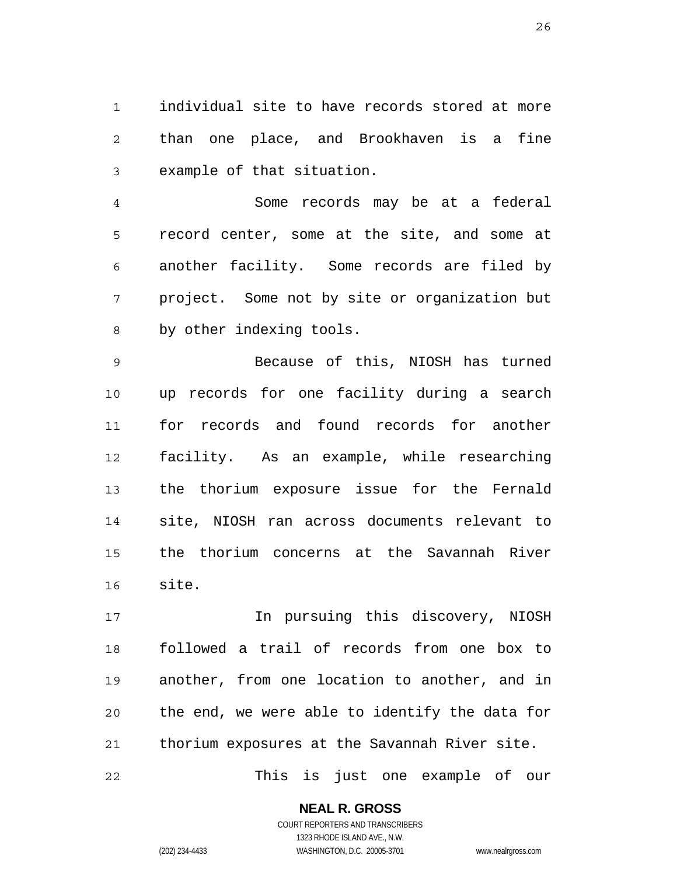1 2 3 individual site to have records stored at more than one place, and Brookhaven is a fine example of that situation.

4 5 6 7 8 Some records may be at a federal record center, some at the site, and some at another facility. Some records are filed by project. Some not by site or organization but by other indexing tools.

9 10 11 12 13 14 15 16 Because of this, NIOSH has turned up records for one facility during a search for records and found records for another facility. As an example, while researching the thorium exposure issue for the Fernald site, NIOSH ran across documents relevant to the thorium concerns at the Savannah River site.

17 18 19 20 21 In pursuing this discovery, NIOSH followed a trail of records from one box to another, from one location to another, and in the end, we were able to identify the data for thorium exposures at the Savannah River site.

This is just one example of our

## **NEAL R. GROSS**

22

COURT REPORTERS AND TRANSCRIBERS 1323 RHODE ISLAND AVE., N.W. (202) 234-4433 WASHINGTON, D.C. 20005-3701 www.nealrgross.com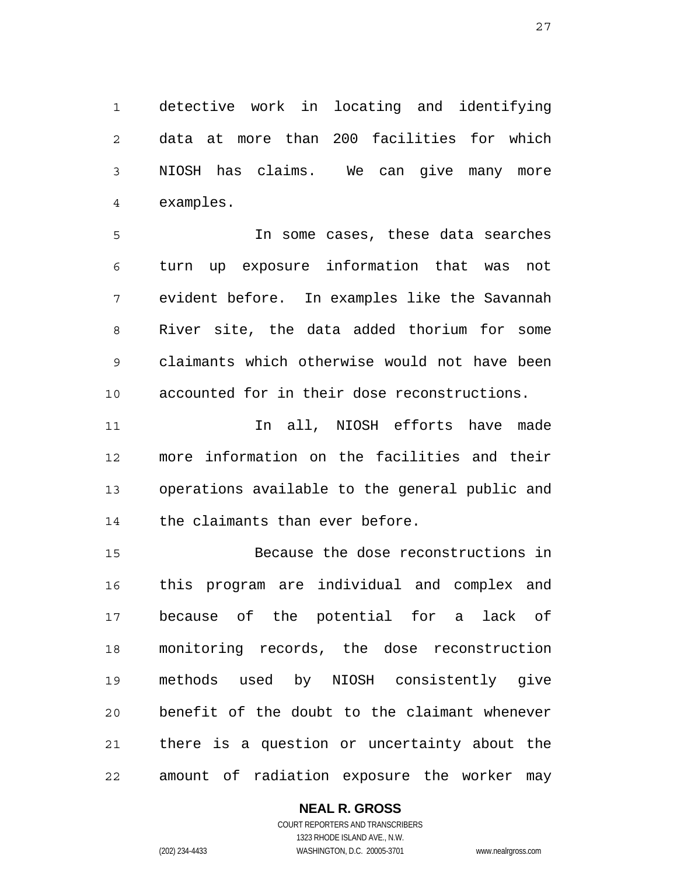1 2 3 4 detective work in locating and identifying data at more than 200 facilities for which NIOSH has claims. We can give many more examples.

5 6 7 8 9 10 In some cases, these data searches turn up exposure information that was not evident before. In examples like the Savannah River site, the data added thorium for some claimants which otherwise would not have been accounted for in their dose reconstructions.

11 12 13 14 In all, NIOSH efforts have made more information on the facilities and their operations available to the general public and the claimants than ever before.

15 16 17 18 19 20 21 22 Because the dose reconstructions in this program are individual and complex and because of the potential for a lack of monitoring records, the dose reconstruction methods used by NIOSH consistently give benefit of the doubt to the claimant whenever there is a question or uncertainty about the amount of radiation exposure the worker may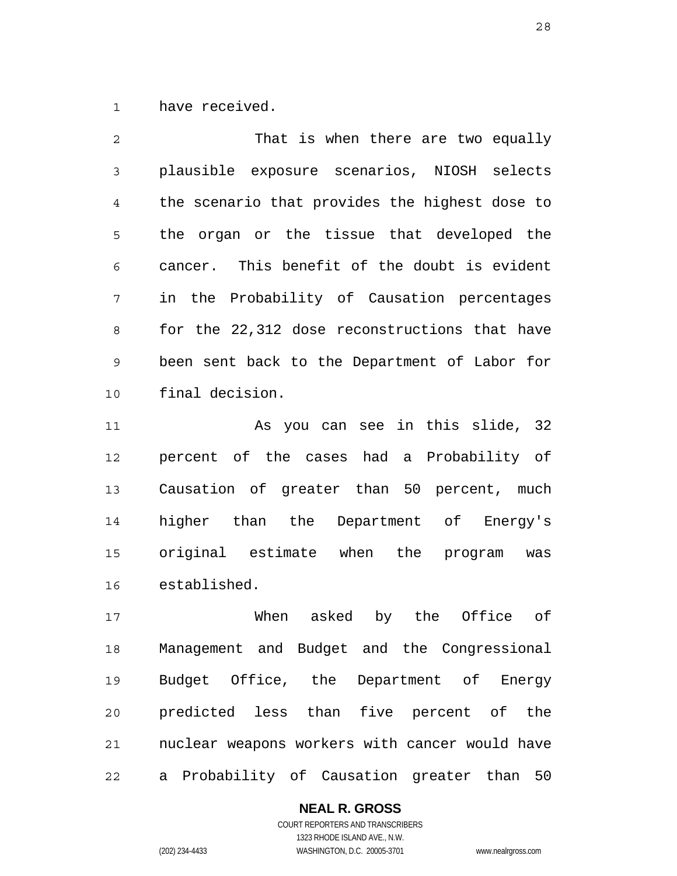1 have received.

2 3 4 5 6 7 8 9 10 That is when there are two equally plausible exposure scenarios, NIOSH selects the scenario that provides the highest dose to the organ or the tissue that developed the cancer. This benefit of the doubt is evident in the Probability of Causation percentages for the 22,312 dose reconstructions that have been sent back to the Department of Labor for final decision.

11 12 13 14 15 16 As you can see in this slide, 32 percent of the cases had a Probability of Causation of greater than 50 percent, much higher than the Department of Energy's original estimate when the program was established.

17 18 19 20 21 22 When asked by the Office of Management and Budget and the Congressional Budget Office, the Department of Energy predicted less than five percent of the nuclear weapons workers with cancer would have a Probability of Causation greater than 50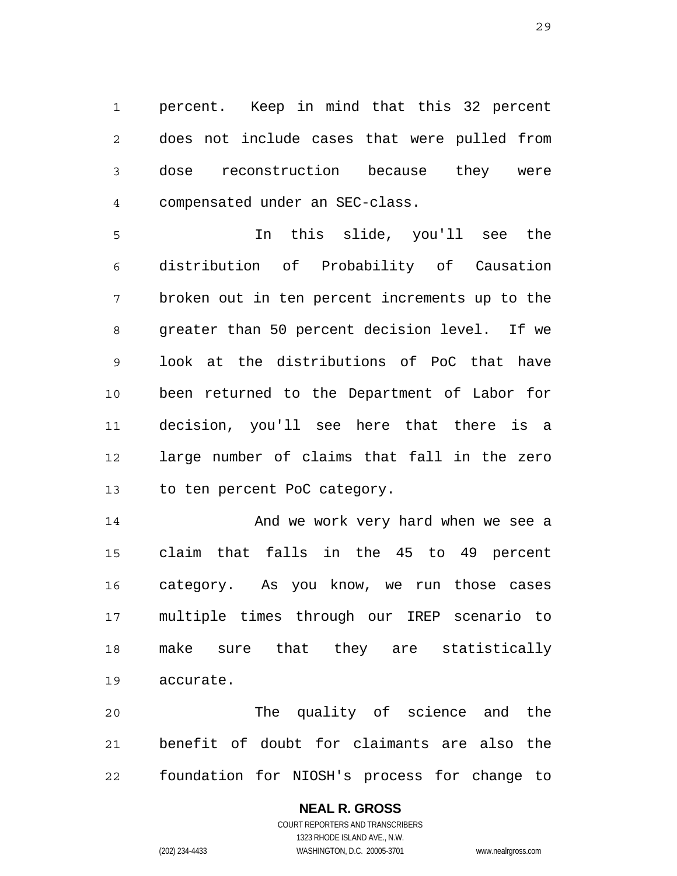1 2 3 4 percent. Keep in mind that this 32 percent does not include cases that were pulled from dose reconstruction because they were compensated under an SEC-class.

5 6 7 8 9 10 11 12 13 In this slide, you'll see the distribution of Probability of Causation broken out in ten percent increments up to the greater than 50 percent decision level. If we look at the distributions of PoC that have been returned to the Department of Labor for decision, you'll see here that there is a large number of claims that fall in the zero to ten percent PoC category.

14 15 16 17 18 19 And we work very hard when we see a claim that falls in the 45 to 49 percent category. As you know, we run those cases multiple times through our IREP scenario to make sure that they are statistically accurate.

20 21 22 The quality of science and the benefit of doubt for claimants are also the foundation for NIOSH's process for change to

> **NEAL R. GROSS** COURT REPORTERS AND TRANSCRIBERS 1323 RHODE ISLAND AVE., N.W. (202) 234-4433 WASHINGTON, D.C. 20005-3701 www.nealrgross.com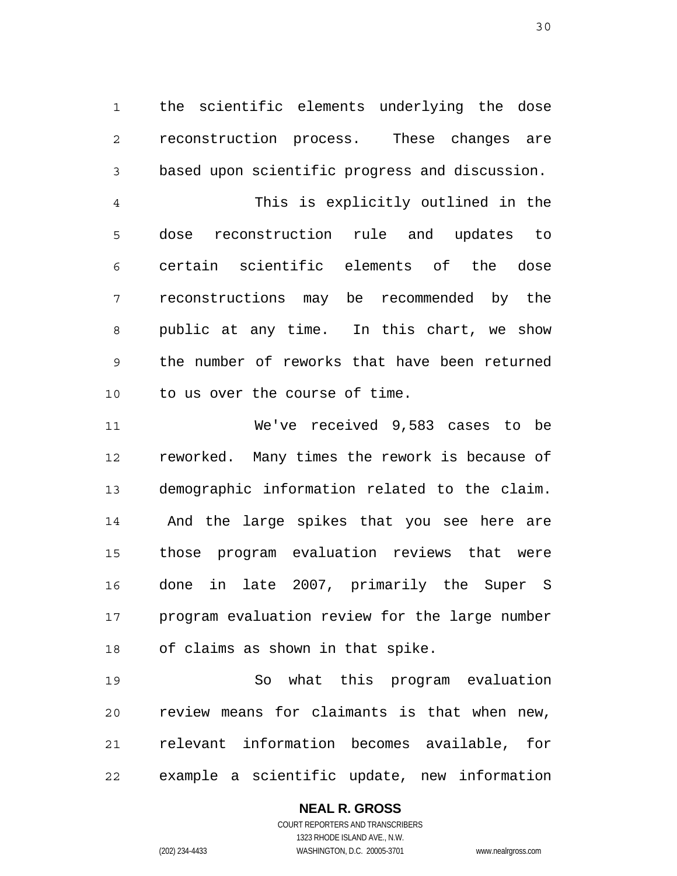1 2 3 the scientific elements underlying the dose reconstruction process. These changes are based upon scientific progress and discussion.

4 5 6 7 8 9 10 This is explicitly outlined in the dose reconstruction rule and updates to certain scientific elements of the dose reconstructions may be recommended by the public at any time. In this chart, we show the number of reworks that have been returned to us over the course of time.

11 12 13 14 15 16 17 18 We've received 9,583 cases to be reworked. Many times the rework is because of demographic information related to the claim. And the large spikes that you see here are those program evaluation reviews that were done in late 2007, primarily the Super S program evaluation review for the large number of claims as shown in that spike.

19 20 21 22 So what this program evaluation review means for claimants is that when new, relevant information becomes available, for example a scientific update, new information

**NEAL R. GROSS**

COURT REPORTERS AND TRANSCRIBERS 1323 RHODE ISLAND AVE., N.W. (202) 234-4433 WASHINGTON, D.C. 20005-3701 www.nealrgross.com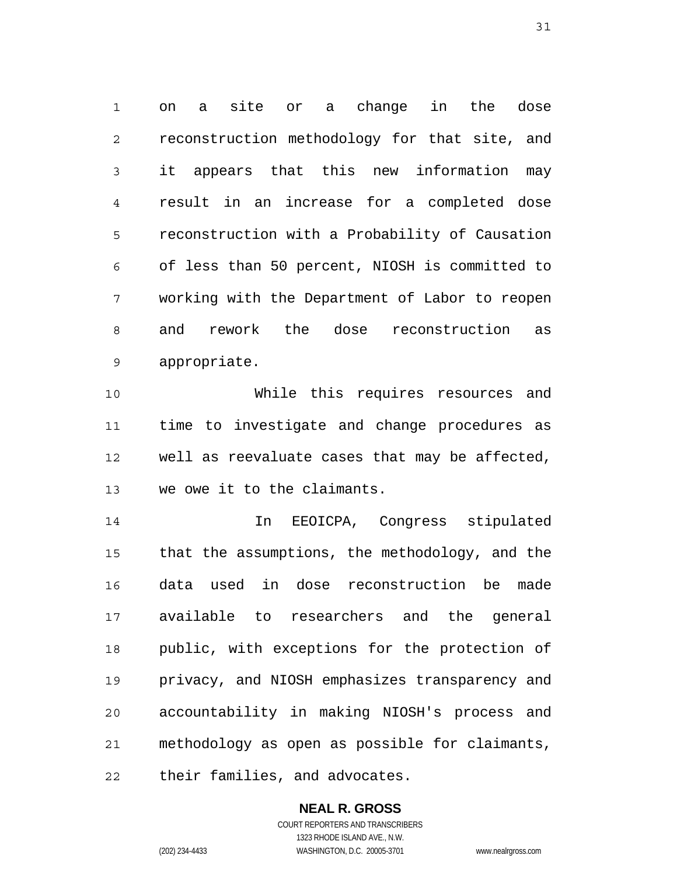1 2 3 4 5 6 7 8 9 on a site or a change in the dose reconstruction methodology for that site, and it appears that this new information may result in an increase for a completed dose reconstruction with a Probability of Causation of less than 50 percent, NIOSH is committed to working with the Department of Labor to reopen and rework the dose reconstruction as appropriate.

10 11 12 13 While this requires resources and time to investigate and change procedures as well as reevaluate cases that may be affected, we owe it to the claimants.

14 15 16 17 18 19 20 21 22 In EEOICPA, Congress stipulated that the assumptions, the methodology, and the data used in dose reconstruction be made available to researchers and the general public, with exceptions for the protection of privacy, and NIOSH emphasizes transparency and accountability in making NIOSH's process and methodology as open as possible for claimants, their families, and advocates.

> **NEAL R. GROSS** COURT REPORTERS AND TRANSCRIBERS

> > 1323 RHODE ISLAND AVE., N.W.

(202) 234-4433 WASHINGTON, D.C. 20005-3701 www.nealrgross.com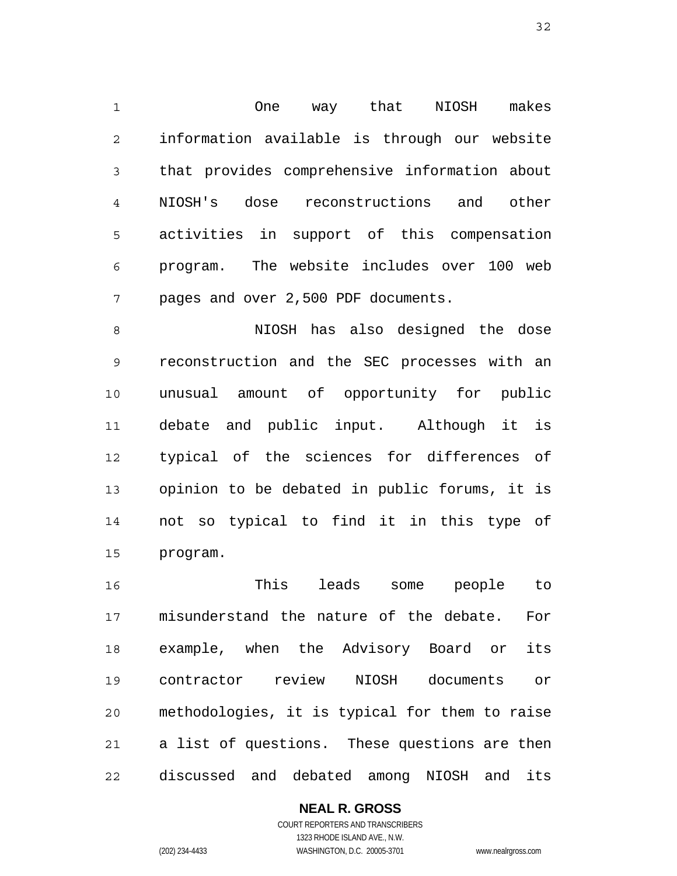1 2 3 4 5 6 7 One way that NIOSH makes information available is through our website that provides comprehensive information about NIOSH's dose reconstructions and other activities in support of this compensation program. The website includes over 100 web pages and over 2,500 PDF documents.

8 9 10 11 12 13 14 15 NIOSH has also designed the dose reconstruction and the SEC processes with an unusual amount of opportunity for public debate and public input. Although it is typical of the sciences for differences of opinion to be debated in public forums, it is not so typical to find it in this type of program.

16 17 18 19 20 21 22 This leads some people to misunderstand the nature of the debate. For example, when the Advisory Board or its contractor review NIOSH documents or methodologies, it is typical for them to raise a list of questions. These questions are then discussed and debated among NIOSH and its

**NEAL R. GROSS**

COURT REPORTERS AND TRANSCRIBERS 1323 RHODE ISLAND AVE., N.W. (202) 234-4433 WASHINGTON, D.C. 20005-3701 www.nealrgross.com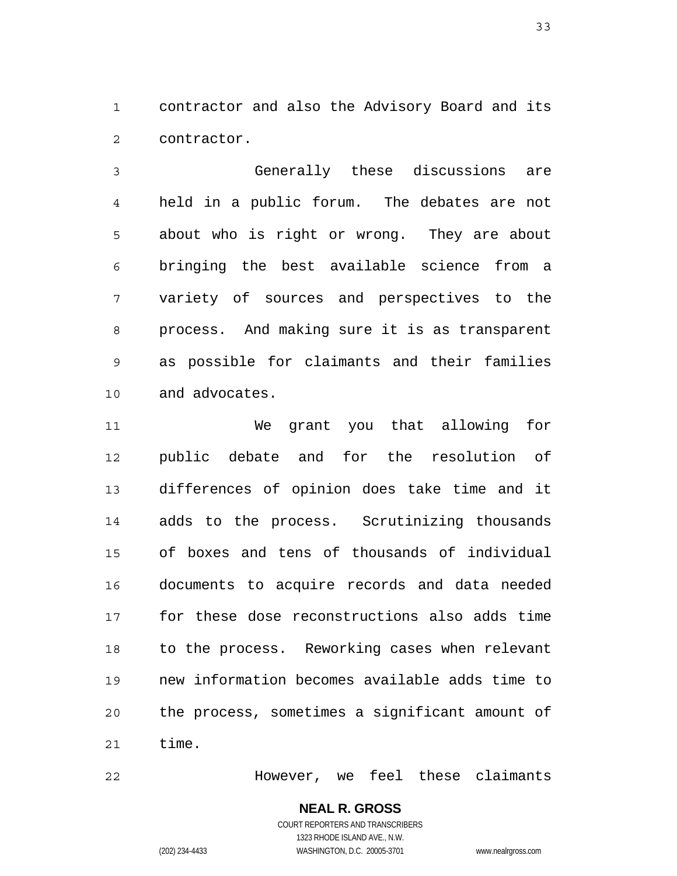1 2 contractor and also the Advisory Board and its contractor.

3 4 5 6 7 8 9 10 Generally these discussions are held in a public forum. The debates are not about who is right or wrong. They are about bringing the best available science from a variety of sources and perspectives to the process. And making sure it is as transparent as possible for claimants and their families and advocates.

11 12 13 14 15 16 17 18 19 20 21 We grant you that allowing for public debate and for the resolution of differences of opinion does take time and it adds to the process. Scrutinizing thousands of boxes and tens of thousands of individual documents to acquire records and data needed for these dose reconstructions also adds time to the process. Reworking cases when relevant new information becomes available adds time to the process, sometimes a significant amount of time.

However, we feel these claimants

**NEAL R. GROSS** COURT REPORTERS AND TRANSCRIBERS 1323 RHODE ISLAND AVE., N.W. (202) 234-4433 WASHINGTON, D.C. 20005-3701 www.nealrgross.com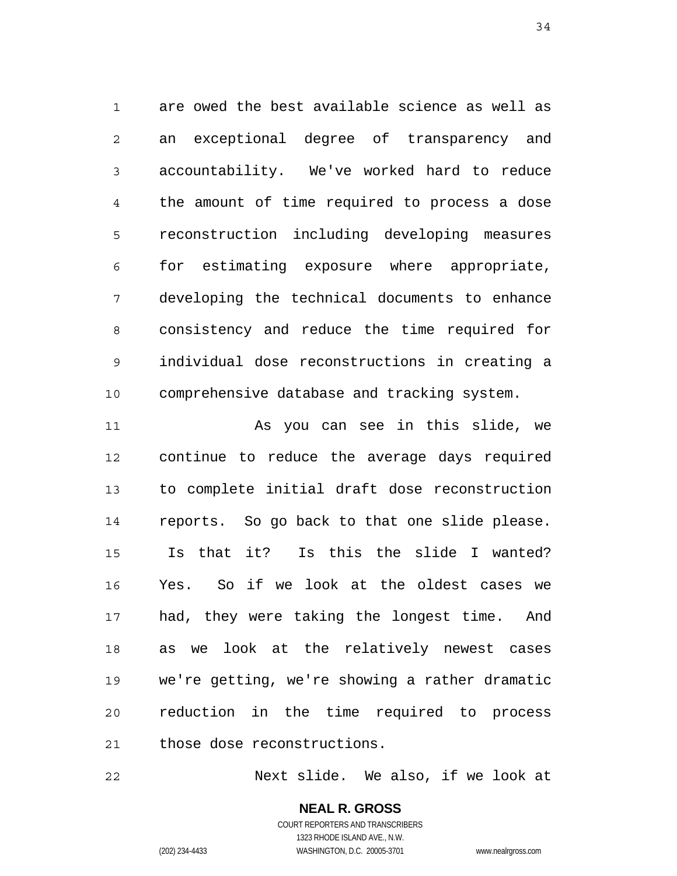1 2 3 4 5 6 7 8 9 10 are owed the best available science as well as an exceptional degree of transparency and accountability. We've worked hard to reduce the amount of time required to process a dose reconstruction including developing measures for estimating exposure where appropriate, developing the technical documents to enhance consistency and reduce the time required for individual dose reconstructions in creating a comprehensive database and tracking system.

11 12 13 14 15 16 17 18 19 20 21 As you can see in this slide, we continue to reduce the average days required to complete initial draft dose reconstruction reports. So go back to that one slide please. Is that it? Is this the slide I wanted? Yes. So if we look at the oldest cases we had, they were taking the longest time. And as we look at the relatively newest cases we're getting, we're showing a rather dramatic reduction in the time required to process those dose reconstructions.

22 Next slide. We also, if we look at

> **NEAL R. GROSS** COURT REPORTERS AND TRANSCRIBERS 1323 RHODE ISLAND AVE., N.W. (202) 234-4433 WASHINGTON, D.C. 20005-3701 www.nealrgross.com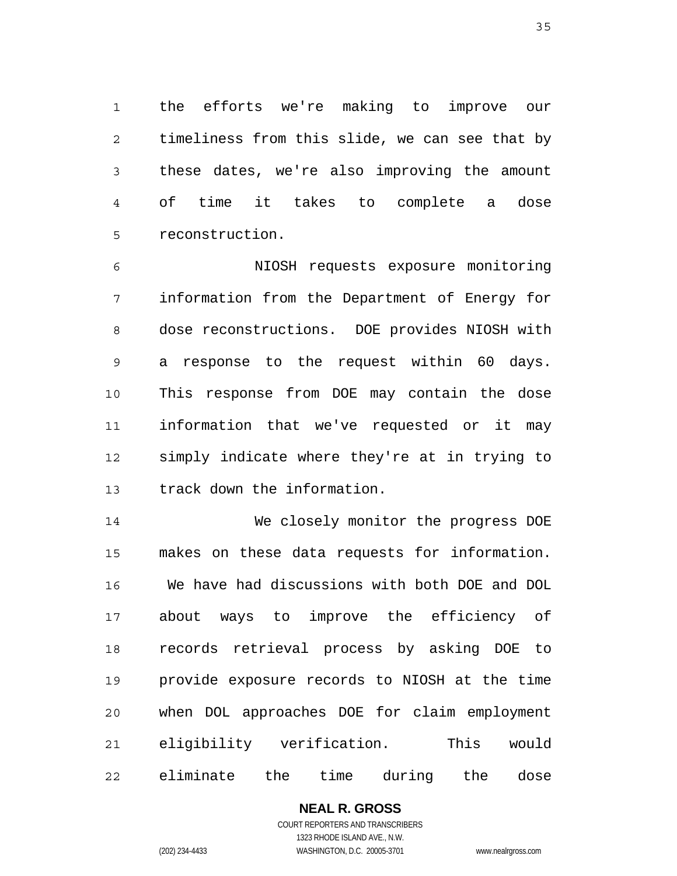1 2 3 4 5 the efforts we're making to improve our timeliness from this slide, we can see that by these dates, we're also improving the amount of time it takes to complete a dose reconstruction.

6 7 8 9 10 11 12 13 NIOSH requests exposure monitoring information from the Department of Energy for dose reconstructions. DOE provides NIOSH with a response to the request within 60 days. This response from DOE may contain the dose information that we've requested or it may simply indicate where they're at in trying to track down the information.

14 15 16 17 18 19 20 21 22 We closely monitor the progress DOE makes on these data requests for information. We have had discussions with both DOE and DOL about ways to improve the efficiency of records retrieval process by asking DOE to provide exposure records to NIOSH at the time when DOL approaches DOE for claim employment eligibility verification. This would eliminate the time during the dose

> **NEAL R. GROSS** COURT REPORTERS AND TRANSCRIBERS 1323 RHODE ISLAND AVE., N.W. (202) 234-4433 WASHINGTON, D.C. 20005-3701 www.nealrgross.com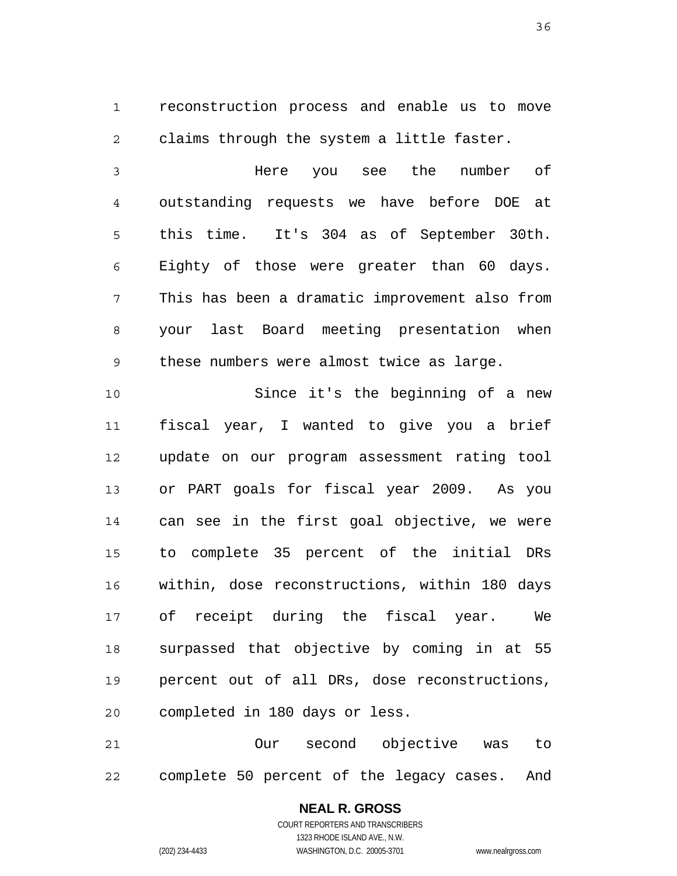1 2 reconstruction process and enable us to move claims through the system a little faster.

3 4 5 6 7 8 9 Here you see the number of outstanding requests we have before DOE at this time. It's 304 as of September 30th. Eighty of those were greater than 60 days. This has been a dramatic improvement also from your last Board meeting presentation when these numbers were almost twice as large.

10 11 12 13 14 15 16 17 18 19 20 Since it's the beginning of a new fiscal year, I wanted to give you a brief update on our program assessment rating tool or PART goals for fiscal year 2009. As you can see in the first goal objective, we were to complete 35 percent of the initial DRs within, dose reconstructions, within 180 days of receipt during the fiscal year. We surpassed that objective by coming in at 55 percent out of all DRs, dose reconstructions, completed in 180 days or less.

21 22 Our second objective was to complete 50 percent of the legacy cases. And

#### **NEAL R. GROSS** COURT REPORTERS AND TRANSCRIBERS 1323 RHODE ISLAND AVE., N.W. (202) 234-4433 WASHINGTON, D.C. 20005-3701 www.nealrgross.com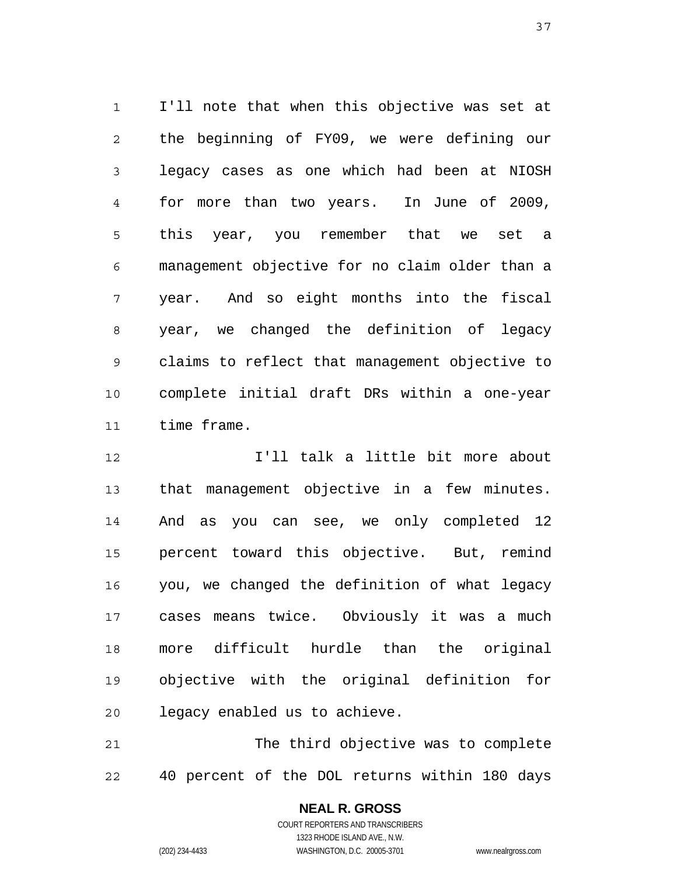1 2 3 4 5 6 7 8 9 10 11 I'll note that when this objective was set at the beginning of FY09, we were defining our legacy cases as one which had been at NIOSH for more than two years. In June of 2009, this year, you remember that we set a management objective for no claim older than a year. And so eight months into the fiscal year, we changed the definition of legacy claims to reflect that management objective to complete initial draft DRs within a one-year time frame.

12 13 14 15 16 17 18 19 20 I'll talk a little bit more about that management objective in a few minutes. And as you can see, we only completed 12 percent toward this objective. But, remind you, we changed the definition of what legacy cases means twice. Obviously it was a much more difficult hurdle than the original objective with the original definition for legacy enabled us to achieve.

21 22 The third objective was to complete 40 percent of the DOL returns within 180 days

> **NEAL R. GROSS** COURT REPORTERS AND TRANSCRIBERS

1323 RHODE ISLAND AVE., N.W. (202) 234-4433 WASHINGTON, D.C. 20005-3701 www.nealrgross.com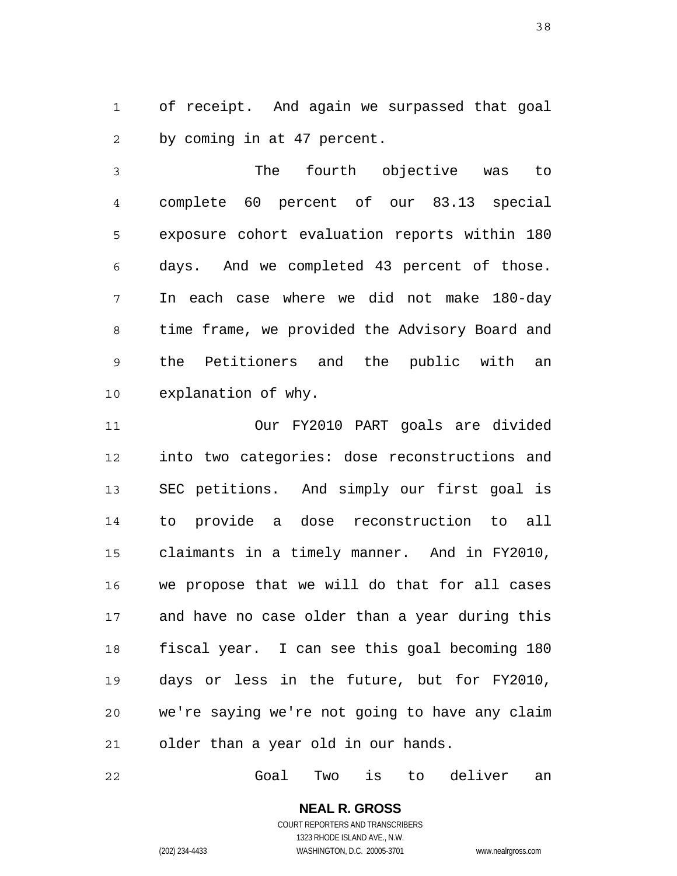1 2 of receipt. And again we surpassed that goal by coming in at 47 percent.

3 4 5 6 7 8 9 10 The fourth objective was to complete 60 percent of our 83.13 special exposure cohort evaluation reports within 180 days. And we completed 43 percent of those. In each case where we did not make 180-day time frame, we provided the Advisory Board and the Petitioners and the public with an explanation of why.

11 12 13 14 15 16 17 18 19 20 21 Our FY2010 PART goals are divided into two categories: dose reconstructions and SEC petitions. And simply our first goal is to provide a dose reconstruction to all claimants in a timely manner. And in FY2010, we propose that we will do that for all cases and have no case older than a year during this fiscal year. I can see this goal becoming 180 days or less in the future, but for FY2010, we're saying we're not going to have any claim older than a year old in our hands.

22 Goal Two is to deliver an

# **NEAL R. GROSS** COURT REPORTERS AND TRANSCRIBERS

1323 RHODE ISLAND AVE., N.W. (202) 234-4433 WASHINGTON, D.C. 20005-3701 www.nealrgross.com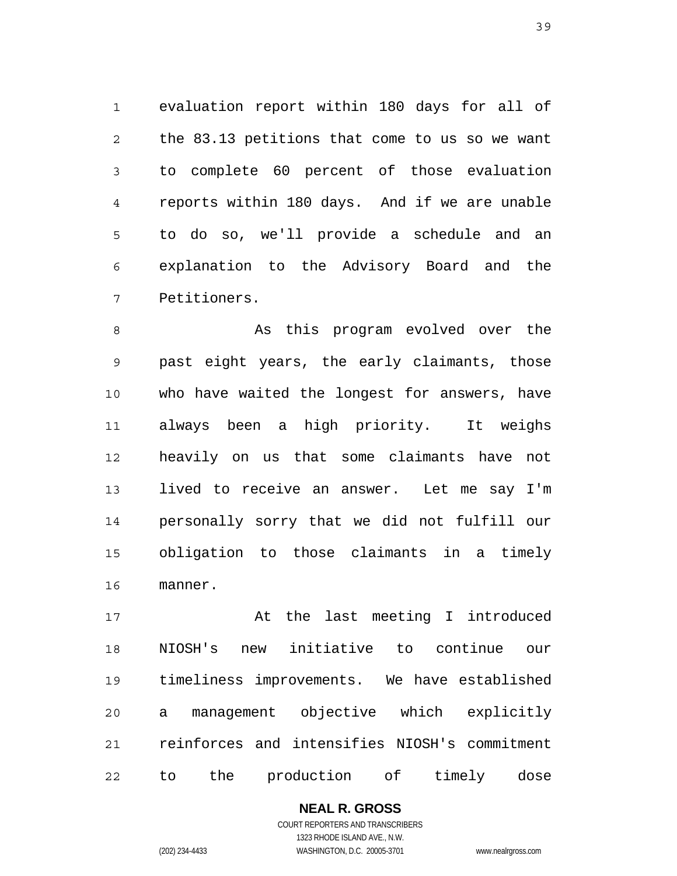1 2 3 4 5 6 7 evaluation report within 180 days for all of the 83.13 petitions that come to us so we want to complete 60 percent of those evaluation reports within 180 days. And if we are unable to do so, we'll provide a schedule and an explanation to the Advisory Board and the Petitioners.

8 9 10 11 12 13 14 15 16 As this program evolved over the past eight years, the early claimants, those who have waited the longest for answers, have always been a high priority. It weighs heavily on us that some claimants have not lived to receive an answer. Let me say I'm personally sorry that we did not fulfill our obligation to those claimants in a timely manner.

17 18 19 20 21 22 At the last meeting I introduced NIOSH's new initiative to continue our timeliness improvements. We have established a management objective which explicitly reinforces and intensifies NIOSH's commitment to the production of timely dose

> **NEAL R. GROSS** COURT REPORTERS AND TRANSCRIBERS 1323 RHODE ISLAND AVE., N.W.

(202) 234-4433 WASHINGTON, D.C. 20005-3701 www.nealrgross.com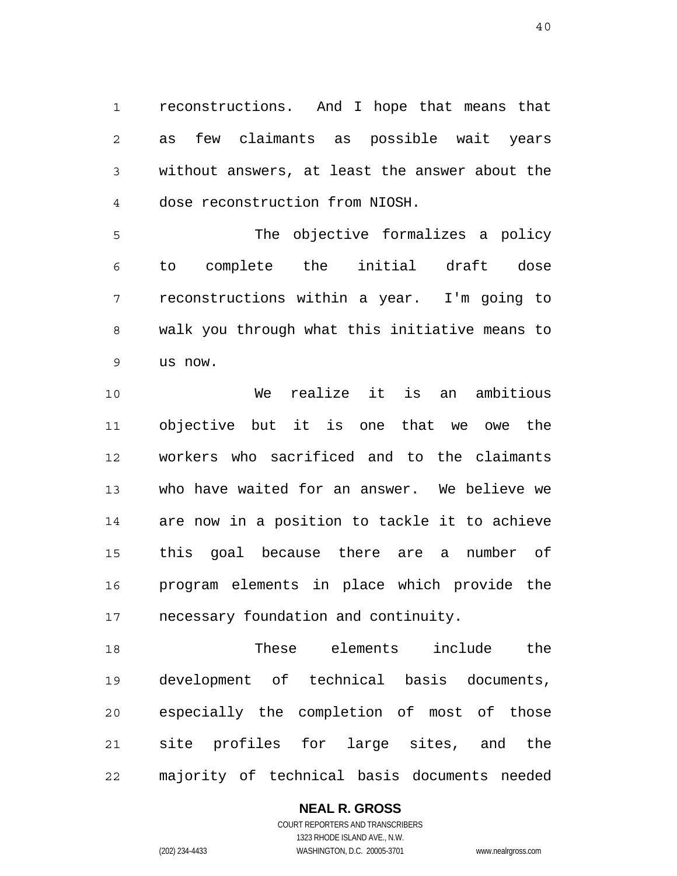1 2 3 4 reconstructions. And I hope that means that as few claimants as possible wait years without answers, at least the answer about the dose reconstruction from NIOSH.

5 6 7 8 9 The objective formalizes a policy to complete the initial draft dose reconstructions within a year. I'm going to walk you through what this initiative means to us now.

10 11 12 13 14 15 16 17 We realize it is an ambitious objective but it is one that we owe the workers who sacrificed and to the claimants who have waited for an answer. We believe we are now in a position to tackle it to achieve this goal because there are a number of program elements in place which provide the necessary foundation and continuity.

18 19 20 21 22 These elements include the development of technical basis documents, especially the completion of most of those site profiles for large sites, and the majority of technical basis documents needed

> **NEAL R. GROSS** COURT REPORTERS AND TRANSCRIBERS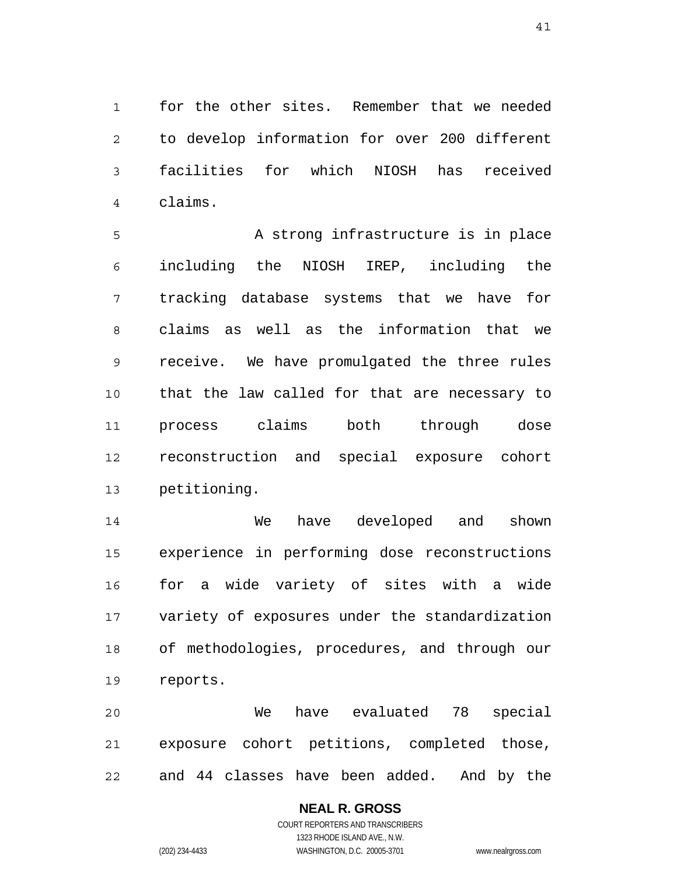1 2 3 4 for the other sites. Remember that we needed to develop information for over 200 different facilities for which NIOSH has received claims.

5 6 7 8 9 10 11 12 13 A strong infrastructure is in place including the NIOSH IREP, including the tracking database systems that we have for claims as well as the information that we receive. We have promulgated the three rules that the law called for that are necessary to process claims both through dose reconstruction and special exposure cohort petitioning.

14 15 16 17 18 19 We have developed and shown experience in performing dose reconstructions for a wide variety of sites with a wide variety of exposures under the standardization of methodologies, procedures, and through our reports.

20 21 22 We have evaluated 78 special exposure cohort petitions, completed those, and 44 classes have been added. And by the

#### **NEAL R. GROSS** COURT REPORTERS AND TRANSCRIBERS 1323 RHODE ISLAND AVE., N.W.

(202) 234-4433 WASHINGTON, D.C. 20005-3701 www.nealrgross.com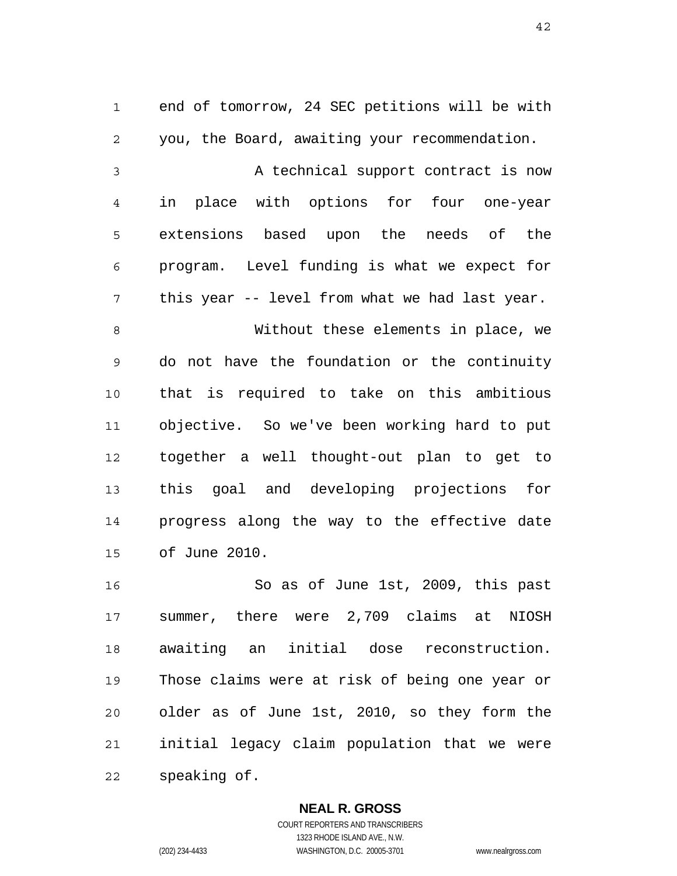1 2 3 4 5 6 7 8 9 10 11 12 13 14 15 end of tomorrow, 24 SEC petitions will be with you, the Board, awaiting your recommendation. A technical support contract is now in place with options for four one-year extensions based upon the needs of the program. Level funding is what we expect for this year -- level from what we had last year. Without these elements in place, we do not have the foundation or the continuity that is required to take on this ambitious objective. So we've been working hard to put together a well thought-out plan to get to this goal and developing projections for progress along the way to the effective date of June 2010.

16 17 18 19 20 21 22 So as of June 1st, 2009, this past summer, there were 2,709 claims at NIOSH awaiting an initial dose reconstruction. Those claims were at risk of being one year or older as of June 1st, 2010, so they form the initial legacy claim population that we were speaking of.

**NEAL R. GROSS**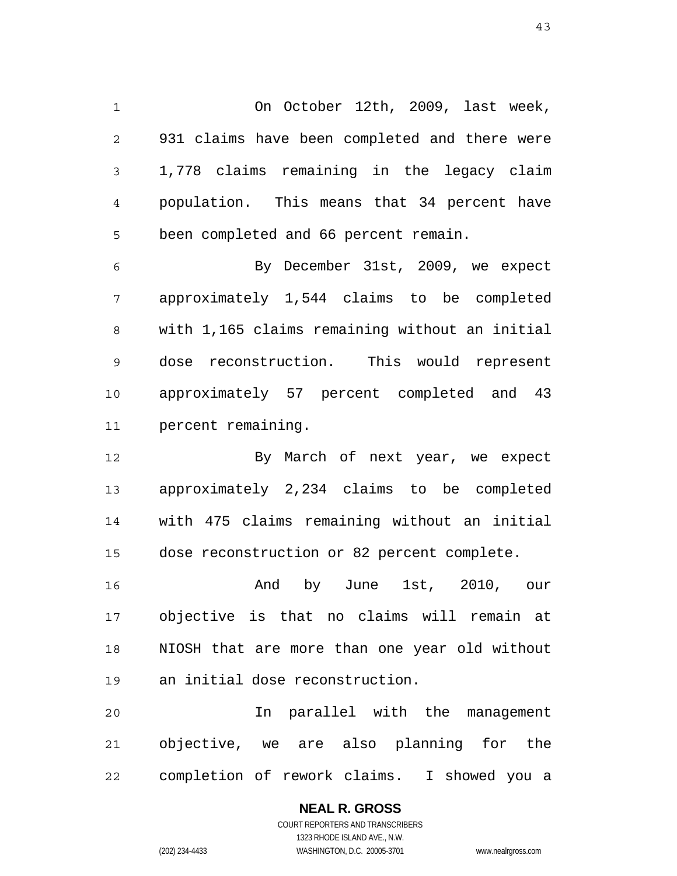1 2 3 4 5 On October 12th, 2009, last week, 931 claims have been completed and there were 1,778 claims remaining in the legacy claim population. This means that 34 percent have been completed and 66 percent remain.

6 7 8 9 10 11 By December 31st, 2009, we expect approximately 1,544 claims to be completed with 1,165 claims remaining without an initial dose reconstruction. This would represent approximately 57 percent completed and 43 percent remaining.

12 13 14 15 By March of next year, we expect approximately 2,234 claims to be completed with 475 claims remaining without an initial dose reconstruction or 82 percent complete.

16 17 18 19 And by June 1st, 2010, our objective is that no claims will remain at NIOSH that are more than one year old without an initial dose reconstruction.

20 21 22 In parallel with the management objective, we are also planning for the completion of rework claims. I showed you a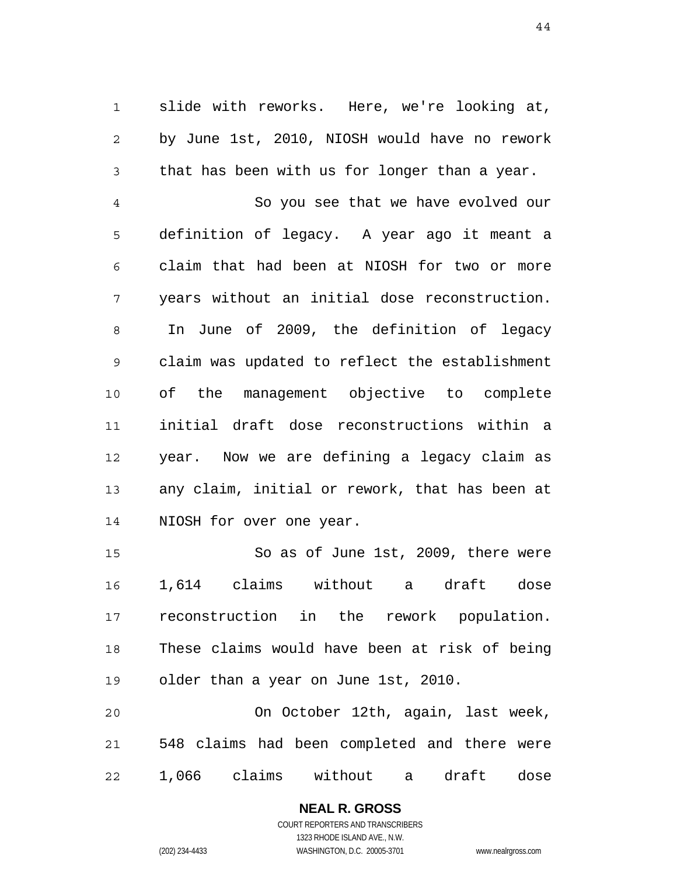1 2 3 slide with reworks. Here, we're looking at, by June 1st, 2010, NIOSH would have no rework that has been with us for longer than a year.

4 5 6 7 8 9 10 11 12 13 14 So you see that we have evolved our definition of legacy. A year ago it meant a claim that had been at NIOSH for two or more years without an initial dose reconstruction. In June of 2009, the definition of legacy claim was updated to reflect the establishment of the management objective to complete initial draft dose reconstructions within a year. Now we are defining a legacy claim as any claim, initial or rework, that has been at NIOSH for over one year.

15 16 17 18 19 So as of June 1st, 2009, there were 1,614 claims without a draft dose reconstruction in the rework population. These claims would have been at risk of being older than a year on June 1st, 2010.

20 21 22 On October 12th, again, last week, 548 claims had been completed and there were 1,066 claims without a draft dose

# **NEAL R. GROSS**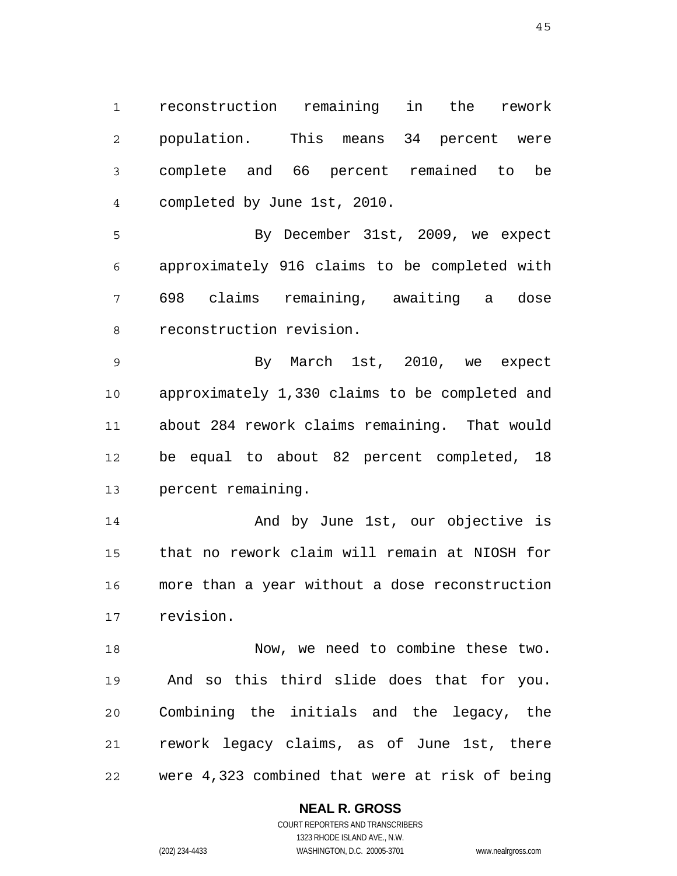1 2 3 4 reconstruction remaining in the rework population. This means 34 percent were complete and 66 percent remained to be completed by June 1st, 2010.

5 6 7 8 By December 31st, 2009, we expect approximately 916 claims to be completed with 698 claims remaining, awaiting a dose reconstruction revision.

9 10 11 12 13 By March 1st, 2010, we expect approximately 1,330 claims to be completed and about 284 rework claims remaining. That would be equal to about 82 percent completed, 18 percent remaining.

14 15 16 17 And by June 1st, our objective is that no rework claim will remain at NIOSH for more than a year without a dose reconstruction revision.

18 19 20 21 22 Now, we need to combine these two. And so this third slide does that for you. Combining the initials and the legacy, the rework legacy claims, as of June 1st, there were 4,323 combined that were at risk of being

# **NEAL R. GROSS**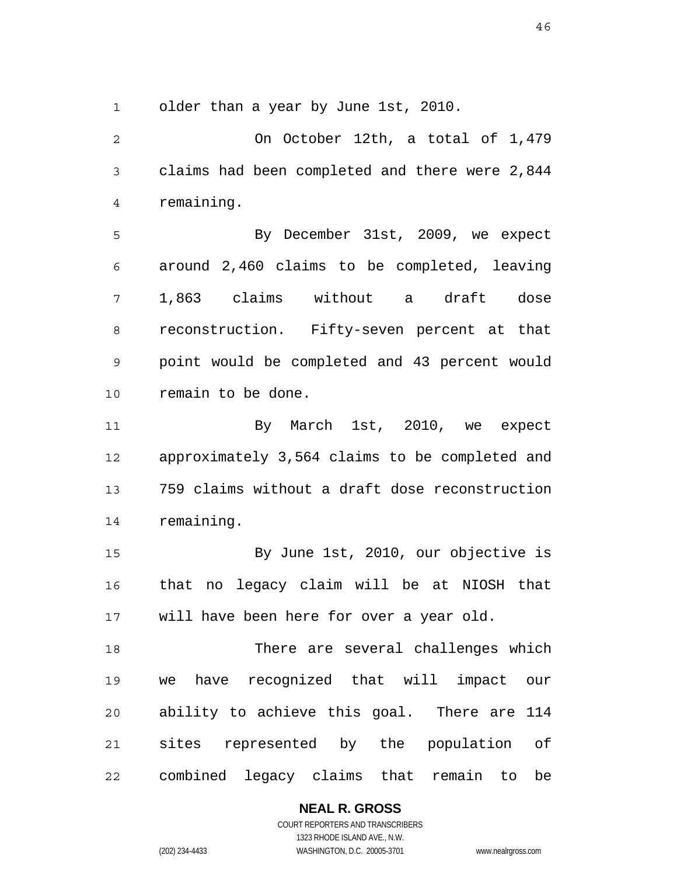1

older than a year by June 1st, 2010.

2 3 4 5 6 7 8 9 10 11 12 13 14 15 16 17 18 19 20 21 22 On October 12th, a total of 1,479 claims had been completed and there were 2,844 remaining. By December 31st, 2009, we expect around 2,460 claims to be completed, leaving 1,863 claims without a draft dose reconstruction. Fifty-seven percent at that point would be completed and 43 percent would remain to be done. By March 1st, 2010, we expect approximately 3,564 claims to be completed and 759 claims without a draft dose reconstruction remaining. By June 1st, 2010, our objective is that no legacy claim will be at NIOSH that will have been here for over a year old. There are several challenges which we have recognized that will impact our ability to achieve this goal. There are 114 sites represented by the population of combined legacy claims that remain to be

# **NEAL R. GROSS**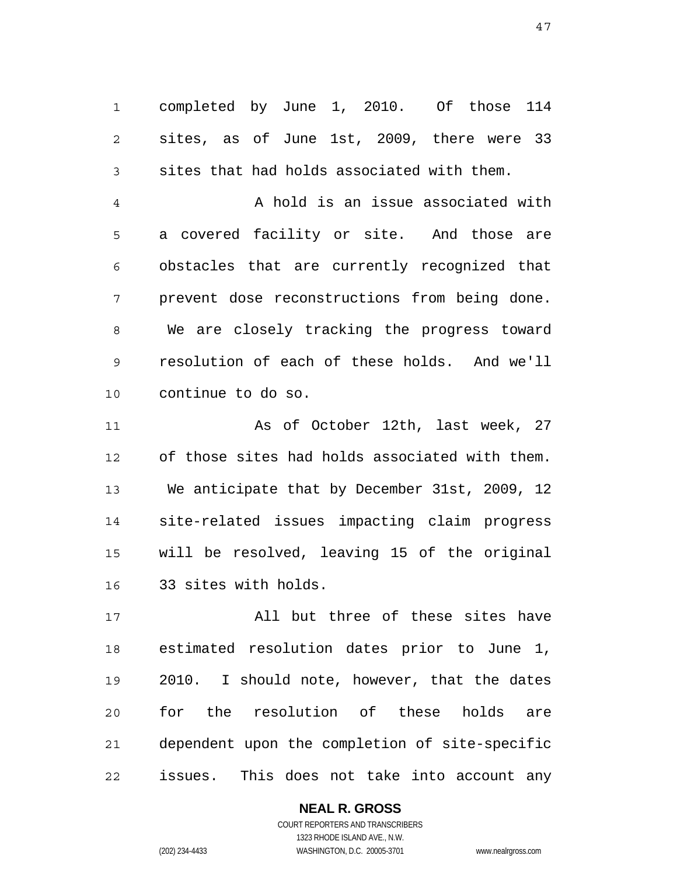1 2 3 completed by June 1, 2010. Of those 114 sites, as of June 1st, 2009, there were 33 sites that had holds associated with them.

4 5 6 7 8 9 10 A hold is an issue associated with a covered facility or site. And those are obstacles that are currently recognized that prevent dose reconstructions from being done. We are closely tracking the progress toward resolution of each of these holds. And we'll continue to do so.

11 12 13 14 15 16 As of October 12th, last week, 27 of those sites had holds associated with them. We anticipate that by December 31st, 2009, 12 site-related issues impacting claim progress will be resolved, leaving 15 of the original 33 sites with holds.

17 18 19 20 21 22 All but three of these sites have estimated resolution dates prior to June 1, 2010. I should note, however, that the dates for the resolution of these holds are dependent upon the completion of site-specific issues. This does not take into account any

# **NEAL R. GROSS**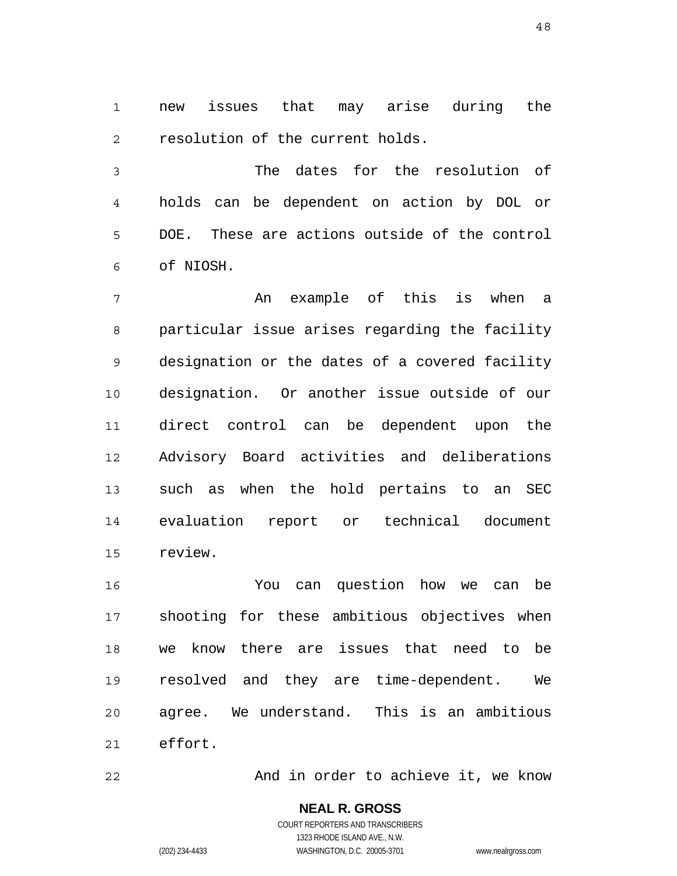1 2 new issues that may arise during the resolution of the current holds.

3 4 5 6 The dates for the resolution of holds can be dependent on action by DOL or DOE. These are actions outside of the control of NIOSH.

7 8 9 10 11 12 13 14 15 An example of this is when a particular issue arises regarding the facility designation or the dates of a covered facility designation. Or another issue outside of our direct control can be dependent upon the Advisory Board activities and deliberations such as when the hold pertains to an SEC evaluation report or technical document review.

16 17 18 19 20 21 You can question how we can be shooting for these ambitious objectives when we know there are issues that need to be resolved and they are time-dependent. We agree. We understand. This is an ambitious effort.

22 And in order to achieve it, we know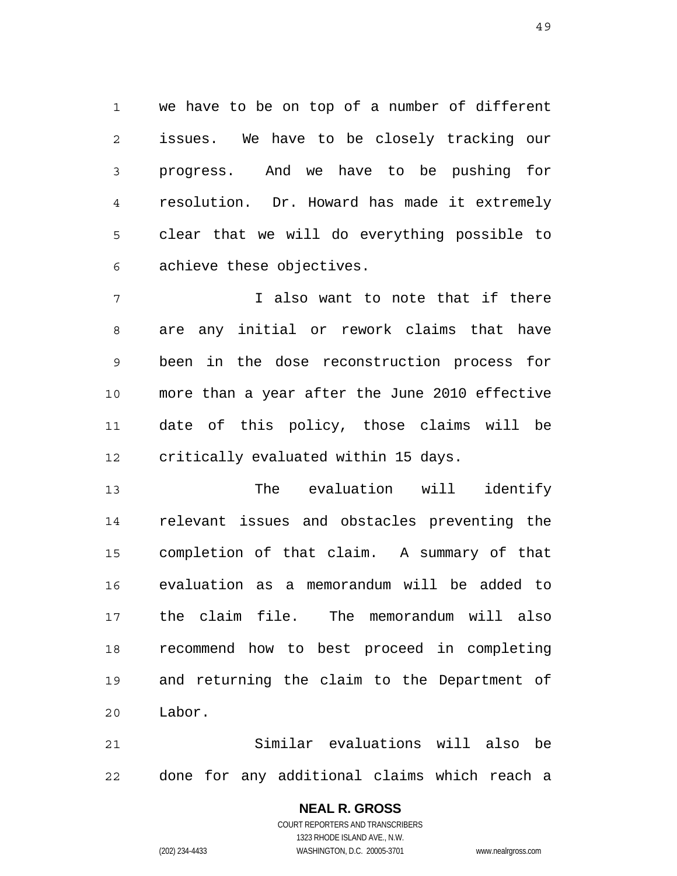1 2 3 4 5 6 we have to be on top of a number of different issues. We have to be closely tracking our progress. And we have to be pushing for resolution. Dr. Howard has made it extremely clear that we will do everything possible to achieve these objectives.

7 8 9 10 11 12 I also want to note that if there are any initial or rework claims that have been in the dose reconstruction process for more than a year after the June 2010 effective date of this policy, those claims will be critically evaluated within 15 days.

13 14 15 16 17 18 19 20 The evaluation will identify relevant issues and obstacles preventing the completion of that claim. A summary of that evaluation as a memorandum will be added to the claim file. The memorandum will also recommend how to best proceed in completing and returning the claim to the Department of Labor.

21 22 Similar evaluations will also be done for any additional claims which reach a

> **NEAL R. GROSS** COURT REPORTERS AND TRANSCRIBERS 1323 RHODE ISLAND AVE., N.W. (202) 234-4433 WASHINGTON, D.C. 20005-3701 www.nealrgross.com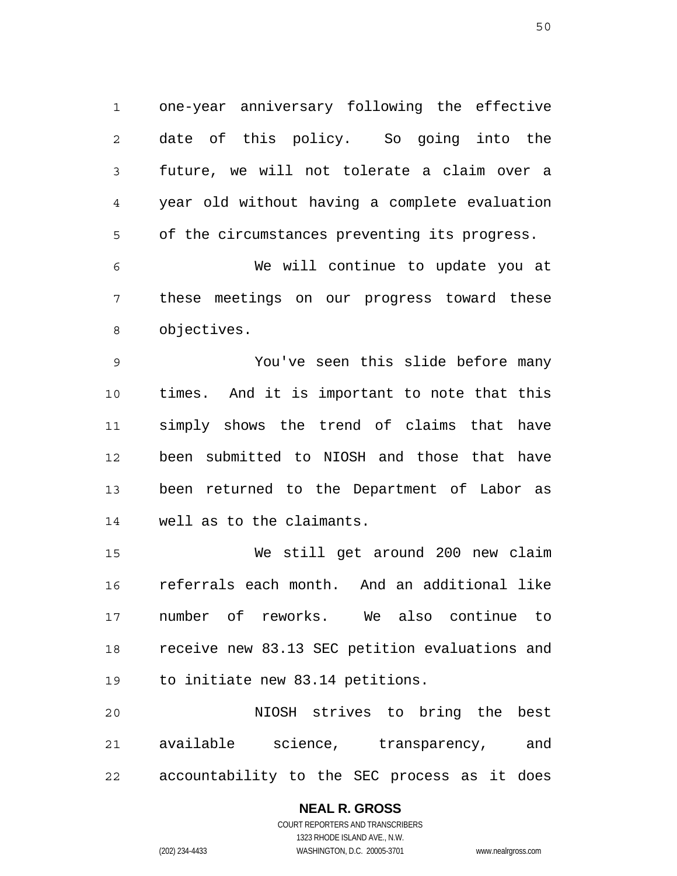1 2 3 4 5 one-year anniversary following the effective date of this policy. So going into the future, we will not tolerate a claim over a year old without having a complete evaluation of the circumstances preventing its progress.

6 7 8 We will continue to update you at these meetings on our progress toward these objectives.

9 10 11 12 13 14 You've seen this slide before many times. And it is important to note that this simply shows the trend of claims that have been submitted to NIOSH and those that have been returned to the Department of Labor as well as to the claimants.

15 16 17 18 19 We still get around 200 new claim referrals each month. And an additional like number of reworks. We also continue to receive new 83.13 SEC petition evaluations and to initiate new 83.14 petitions.

20 21 22 NIOSH strives to bring the best available science, transparency, and accountability to the SEC process as it does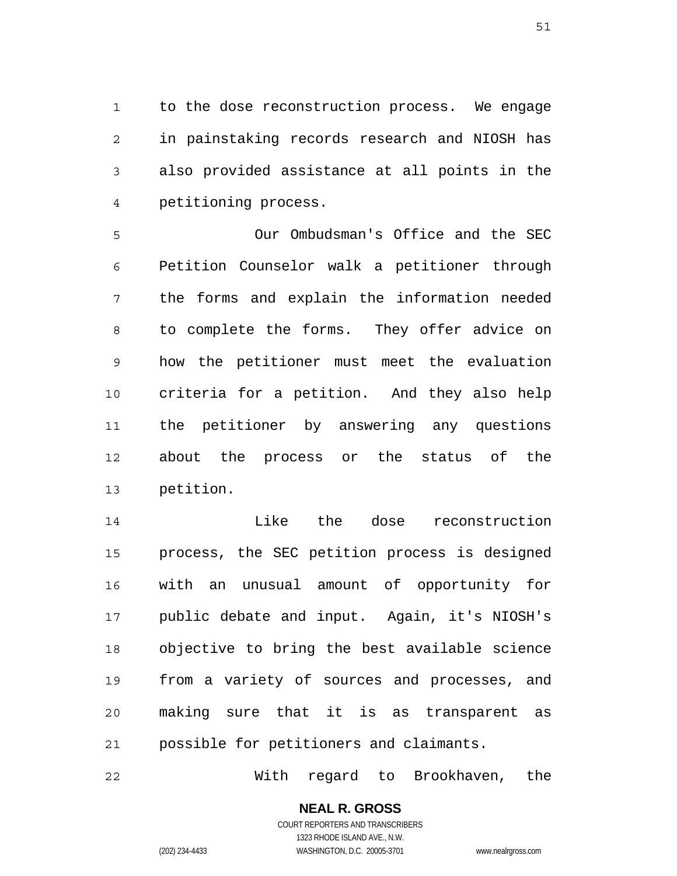1 2 3 4 to the dose reconstruction process. We engage in painstaking records research and NIOSH has also provided assistance at all points in the petitioning process.

5 6 7 8 9 10 11 12 13 Our Ombudsman's Office and the SEC Petition Counselor walk a petitioner through the forms and explain the information needed to complete the forms. They offer advice on how the petitioner must meet the evaluation criteria for a petition. And they also help the petitioner by answering any questions about the process or the status of the petition.

14 15 16 17 18 19 20 21 Like the dose reconstruction process, the SEC petition process is designed with an unusual amount of opportunity for public debate and input. Again, it's NIOSH's objective to bring the best available science from a variety of sources and processes, and making sure that it is as transparent as possible for petitioners and claimants.

22 With regard to Brookhaven, the

> **NEAL R. GROSS** COURT REPORTERS AND TRANSCRIBERS 1323 RHODE ISLAND AVE., N.W.

(202) 234-4433 WASHINGTON, D.C. 20005-3701 www.nealrgross.com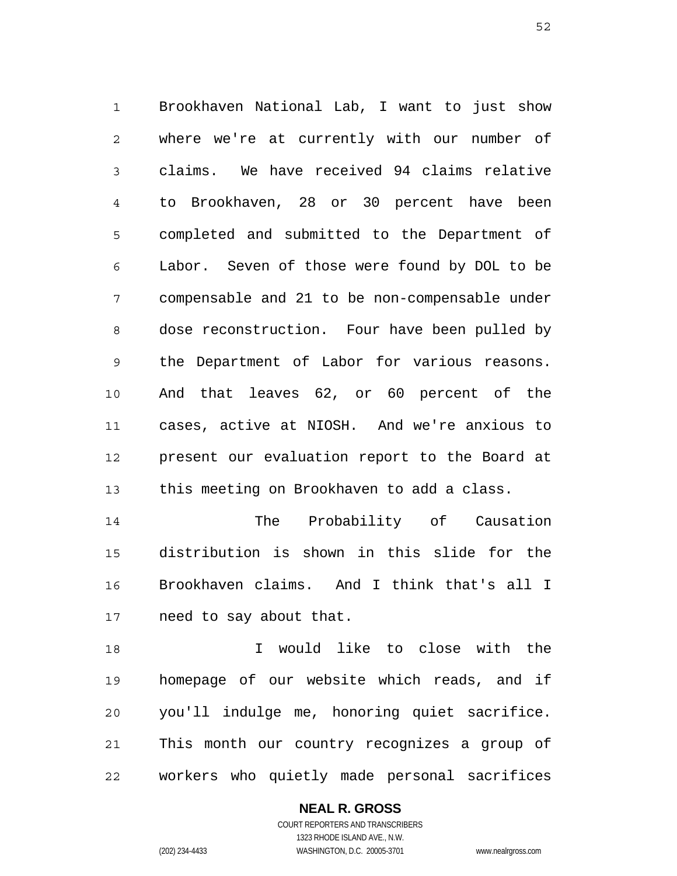1 2 3 4 5 6 7 8 9 10 11 12 13 Brookhaven National Lab, I want to just show where we're at currently with our number of claims. We have received 94 claims relative to Brookhaven, 28 or 30 percent have been completed and submitted to the Department of Labor. Seven of those were found by DOL to be compensable and 21 to be non-compensable under dose reconstruction. Four have been pulled by the Department of Labor for various reasons. And that leaves 62, or 60 percent of the cases, active at NIOSH. And we're anxious to present our evaluation report to the Board at this meeting on Brookhaven to add a class.

14 15 16 17 The Probability of Causation distribution is shown in this slide for the Brookhaven claims. And I think that's all I need to say about that.

18 19 20 21 22 I would like to close with the homepage of our website which reads, and if you'll indulge me, honoring quiet sacrifice. This month our country recognizes a group of workers who quietly made personal sacrifices

#### **NEAL R. GROSS**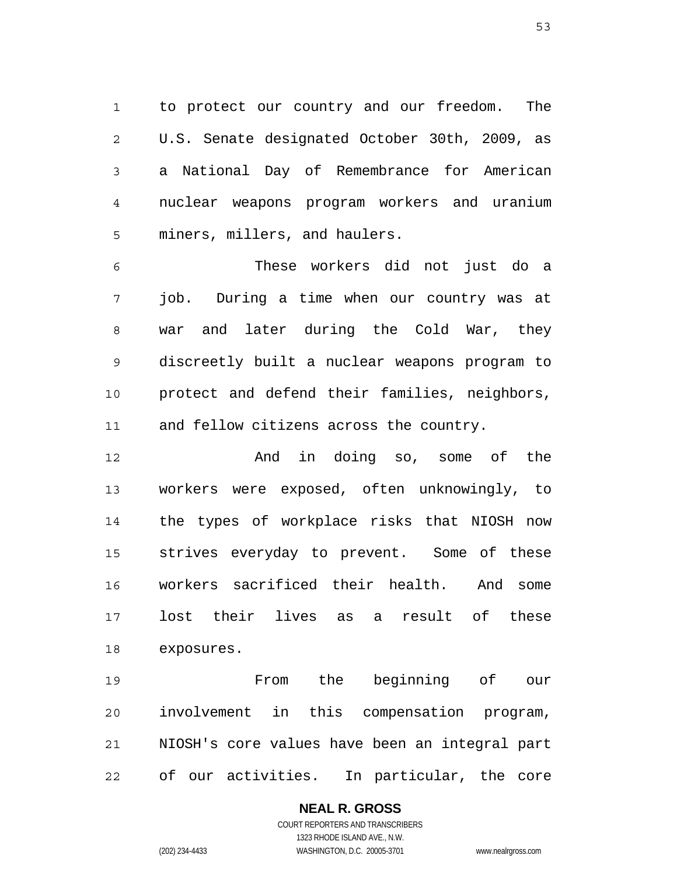1 2 3 4 5 to protect our country and our freedom. The U.S. Senate designated October 30th, 2009, as a National Day of Remembrance for American nuclear weapons program workers and uranium miners, millers, and haulers.

6 7 8 9 10 11 These workers did not just do a job. During a time when our country was at war and later during the Cold War, they discreetly built a nuclear weapons program to protect and defend their families, neighbors, and fellow citizens across the country.

12 13 14 15 16 17 18 And in doing so, some of the workers were exposed, often unknowingly, to the types of workplace risks that NIOSH now strives everyday to prevent. Some of these workers sacrificed their health. And some lost their lives as a result of these exposures.

19 20 21 22 From the beginning of our involvement in this compensation program, NIOSH's core values have been an integral part of our activities. In particular, the core

#### **NEAL R. GROSS** COURT REPORTERS AND TRANSCRIBERS

1323 RHODE ISLAND AVE., N.W. (202) 234-4433 WASHINGTON, D.C. 20005-3701 www.nealrgross.com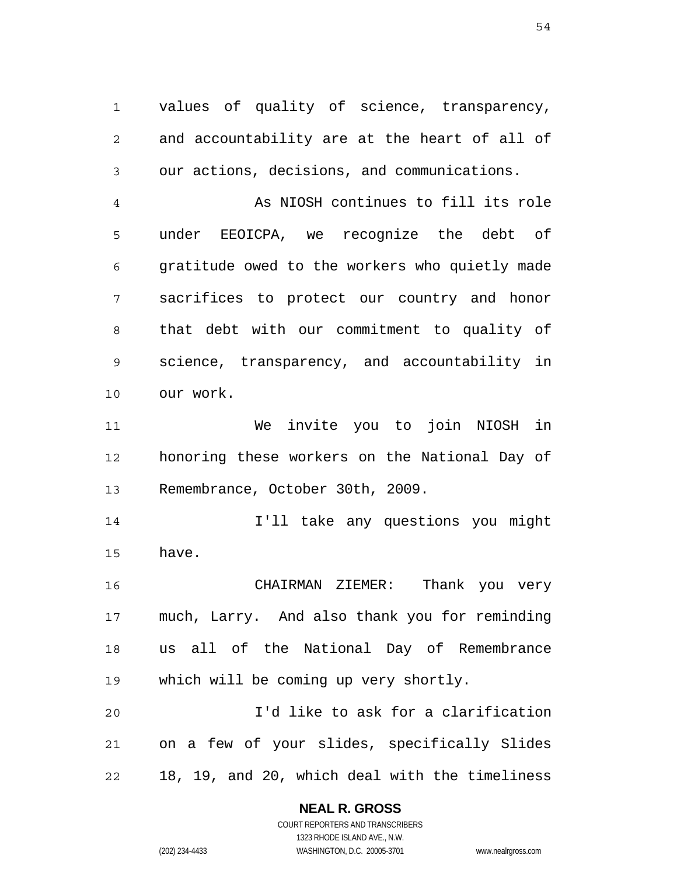1 2 3 values of quality of science, transparency, and accountability are at the heart of all of our actions, decisions, and communications.

4 5 6 7 8 9 10 As NIOSH continues to fill its role under EEOICPA, we recognize the debt of gratitude owed to the workers who quietly made sacrifices to protect our country and honor that debt with our commitment to quality of science, transparency, and accountability in our work.

11 12 13 We invite you to join NIOSH in honoring these workers on the National Day of Remembrance, October 30th, 2009.

14 15 I'll take any questions you might have.

16 17 18 19 CHAIRMAN ZIEMER: Thank you very much, Larry. And also thank you for reminding us all of the National Day of Remembrance which will be coming up very shortly.

20 21 22 I'd like to ask for a clarification on a few of your slides, specifically Slides 18, 19, and 20, which deal with the timeliness

> **NEAL R. GROSS** COURT REPORTERS AND TRANSCRIBERS

> > 1323 RHODE ISLAND AVE., N.W.

(202) 234-4433 WASHINGTON, D.C. 20005-3701 www.nealrgross.com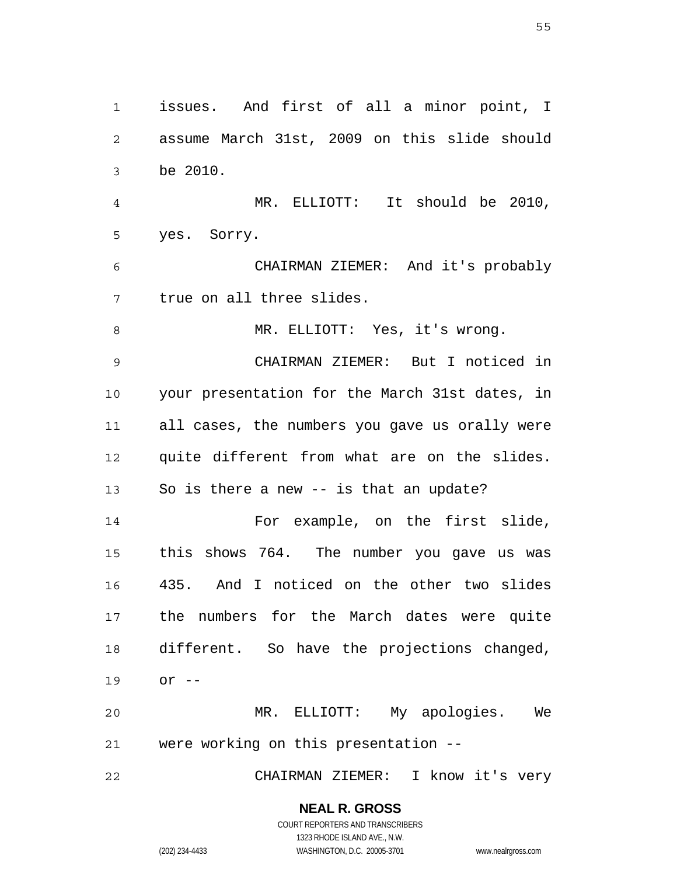1 2 3 4 5 6 7 8 9 10 11 12 13 14 15 16 17 18 19 20 21 22 issues. And first of all a minor point, I assume March 31st, 2009 on this slide should be 2010. MR. ELLIOTT: It should be 2010, yes. Sorry. CHAIRMAN ZIEMER: And it's probably true on all three slides. MR. ELLIOTT: Yes, it's wrong. CHAIRMAN ZIEMER: But I noticed in your presentation for the March 31st dates, in all cases, the numbers you gave us orally were quite different from what are on the slides. So is there a new -- is that an update? For example, on the first slide, this shows 764. The number you gave us was 435. And I noticed on the other two slides the numbers for the March dates were quite different. So have the projections changed,  $or$   $--$  MR. ELLIOTT: My apologies. We were working on this presentation -- CHAIRMAN ZIEMER: I know it's very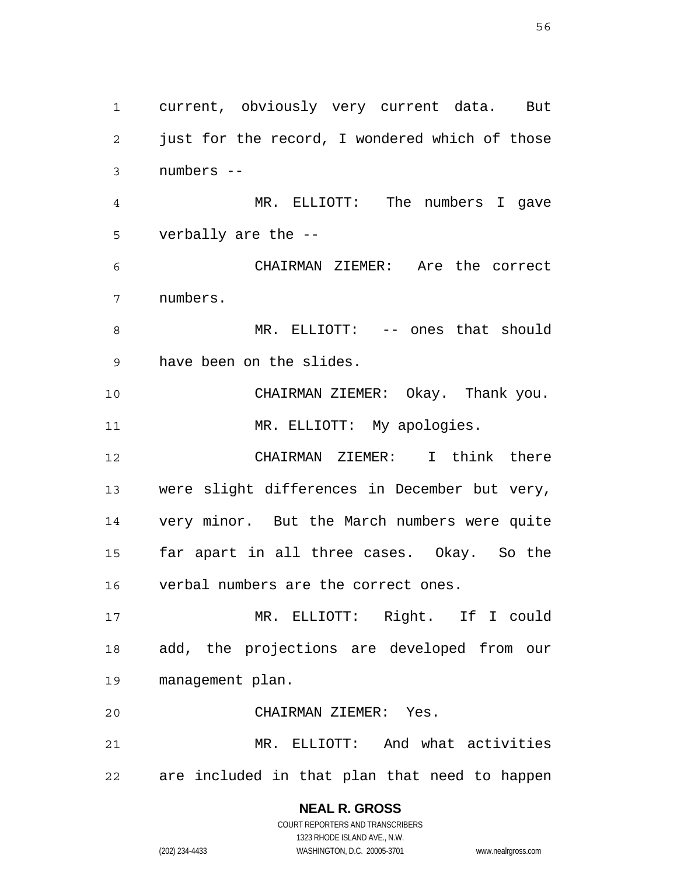1 2 3 4 5 6 7 8 9 10 11 12 13 14 15 16 17 18 19 20 21 22 current, obviously very current data. But just for the record, I wondered which of those numbers -- MR. ELLIOTT: The numbers I gave verbally are the -- CHAIRMAN ZIEMER: Are the correct numbers. MR. ELLIOTT: -- ones that should have been on the slides. CHAIRMAN ZIEMER: Okay. Thank you. MR. ELLIOTT: My apologies. CHAIRMAN ZIEMER: I think there were slight differences in December but very, very minor. But the March numbers were quite far apart in all three cases. Okay. So the verbal numbers are the correct ones. MR. ELLIOTT: Right. If I could add, the projections are developed from our management plan. CHAIRMAN ZIEMER: Yes. MR. ELLIOTT: And what activities are included in that plan that need to happen

#### **NEAL R. GROSS** COURT REPORTERS AND TRANSCRIBERS

1323 RHODE ISLAND AVE., N.W. (202) 234-4433 WASHINGTON, D.C. 20005-3701 www.nealrgross.com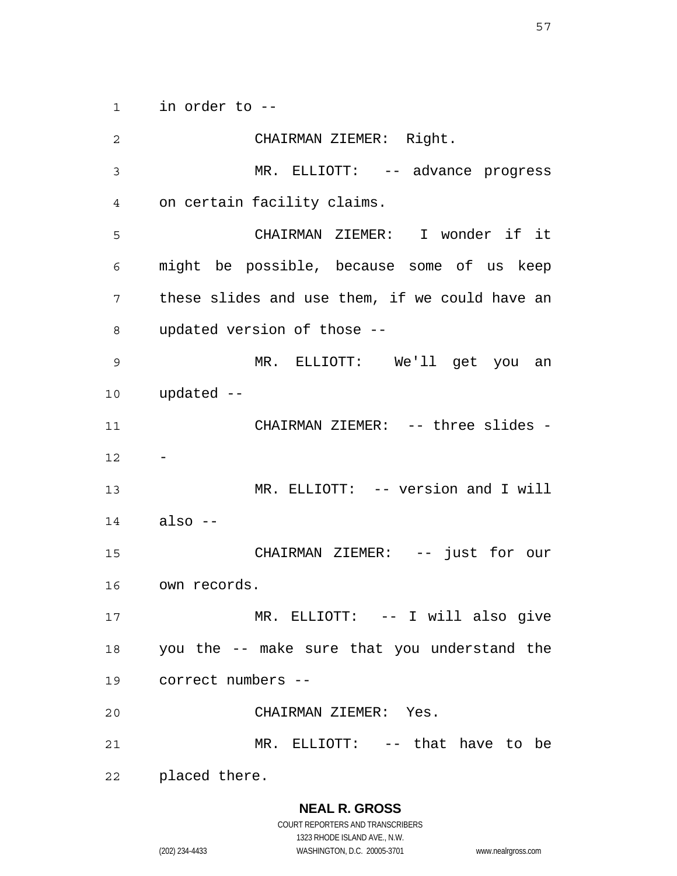1 in order to --

2 3 4 5 6 7 8 9 10 11 12 13 14 15 16 17 18 19 20 21 22 CHAIRMAN ZIEMER: Right. MR. ELLIOTT: -- advance progress on certain facility claims. CHAIRMAN ZIEMER: I wonder if it might be possible, because some of us keep these slides and use them, if we could have an updated version of those -- MR. ELLIOTT: We'll get you an updated -- CHAIRMAN ZIEMER: -- three slides -- MR. ELLIOTT: -- version and I will also -- CHAIRMAN ZIEMER: -- just for our own records. MR. ELLIOTT: -- I will also give you the -- make sure that you understand the correct numbers -- CHAIRMAN ZIEMER: Yes. MR. ELLIOTT: -- that have to be placed there.

#### **NEAL R. GROSS**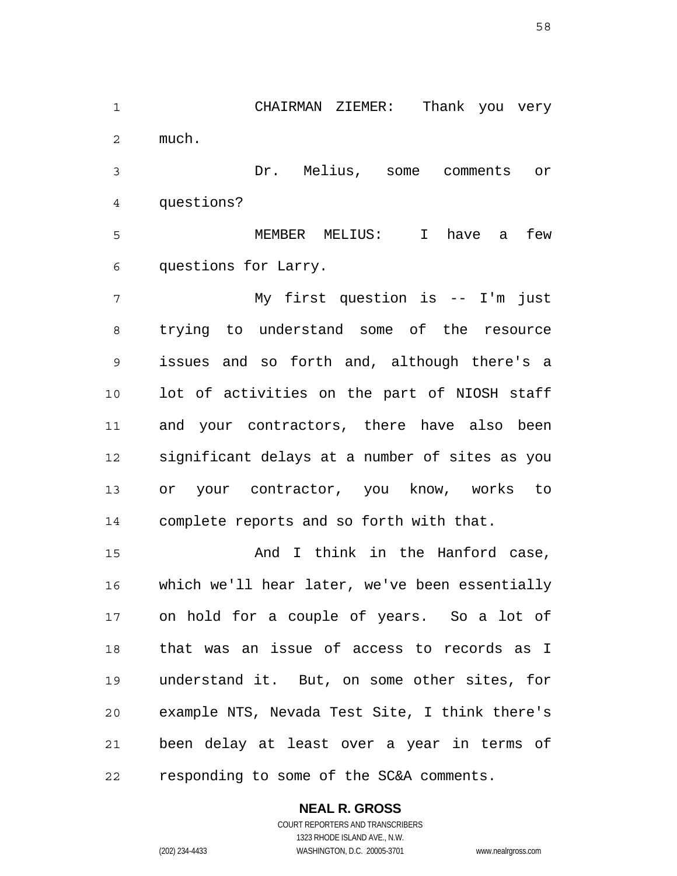1 2 CHAIRMAN ZIEMER: Thank you very much.

3 4 Dr. Melius, some comments or questions?

5 6 MEMBER MELIUS: I have a few questions for Larry.

7 8 9 10 11 12 13 14 My first question is -- I'm just trying to understand some of the resource issues and so forth and, although there's a lot of activities on the part of NIOSH staff and your contractors, there have also been significant delays at a number of sites as you or your contractor, you know, works to complete reports and so forth with that.

15 16 17 18 19 20 21 22 And I think in the Hanford case, which we'll hear later, we've been essentially on hold for a couple of years. So a lot of that was an issue of access to records as I understand it. But, on some other sites, for example NTS, Nevada Test Site, I think there's been delay at least over a year in terms of responding to some of the SC&A comments.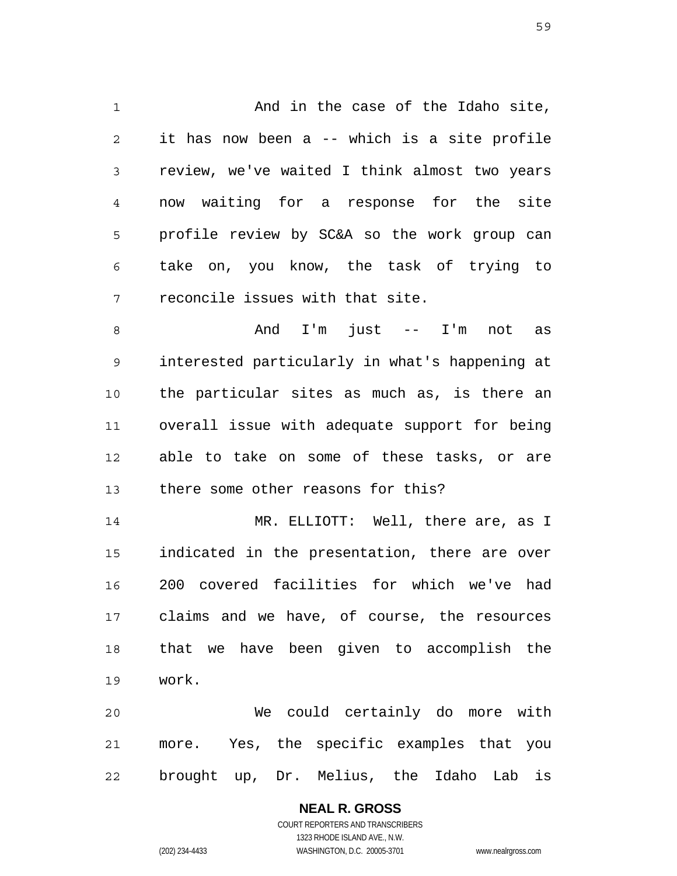1 2 3 4 5 6 7 And in the case of the Idaho site, it has now been a -- which is a site profile review, we've waited I think almost two years now waiting for a response for the site profile review by SC&A so the work group can take on, you know, the task of trying to reconcile issues with that site.

8 9 10 11 12 13 And I'm just -- I'm not as interested particularly in what's happening at the particular sites as much as, is there an overall issue with adequate support for being able to take on some of these tasks, or are there some other reasons for this?

14 15 16 17 18 19 MR. ELLIOTT: Well, there are, as I indicated in the presentation, there are over 200 covered facilities for which we've had claims and we have, of course, the resources that we have been given to accomplish the work.

20 21 22 We could certainly do more with more. Yes, the specific examples that you brought up, Dr. Melius, the Idaho Lab is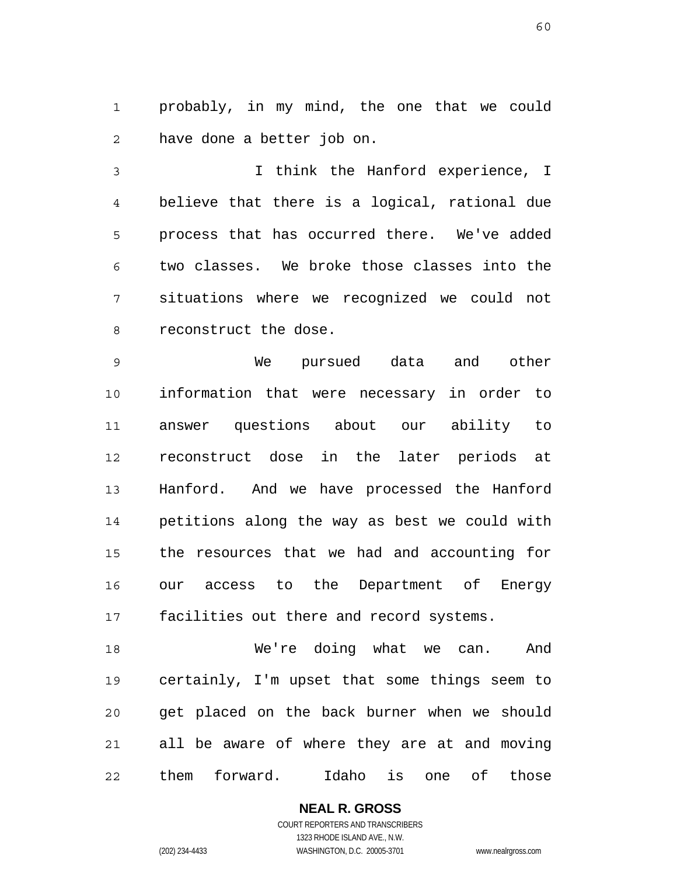1 2 probably, in my mind, the one that we could have done a better job on.

3 4 5 6 7 8 I think the Hanford experience, I believe that there is a logical, rational due process that has occurred there. We've added two classes. We broke those classes into the situations where we recognized we could not reconstruct the dose.

9 10 11 12 13 14 15 16 17 We pursued data and other information that were necessary in order to answer questions about our ability to reconstruct dose in the later periods at Hanford. And we have processed the Hanford petitions along the way as best we could with the resources that we had and accounting for our access to the Department of Energy facilities out there and record systems.

18 19 20 21 22 We're doing what we can. And certainly, I'm upset that some things seem to get placed on the back burner when we should all be aware of where they are at and moving them forward. Idaho is one of those

**NEAL R. GROSS**

COURT REPORTERS AND TRANSCRIBERS 1323 RHODE ISLAND AVE., N.W. (202) 234-4433 WASHINGTON, D.C. 20005-3701 www.nealrgross.com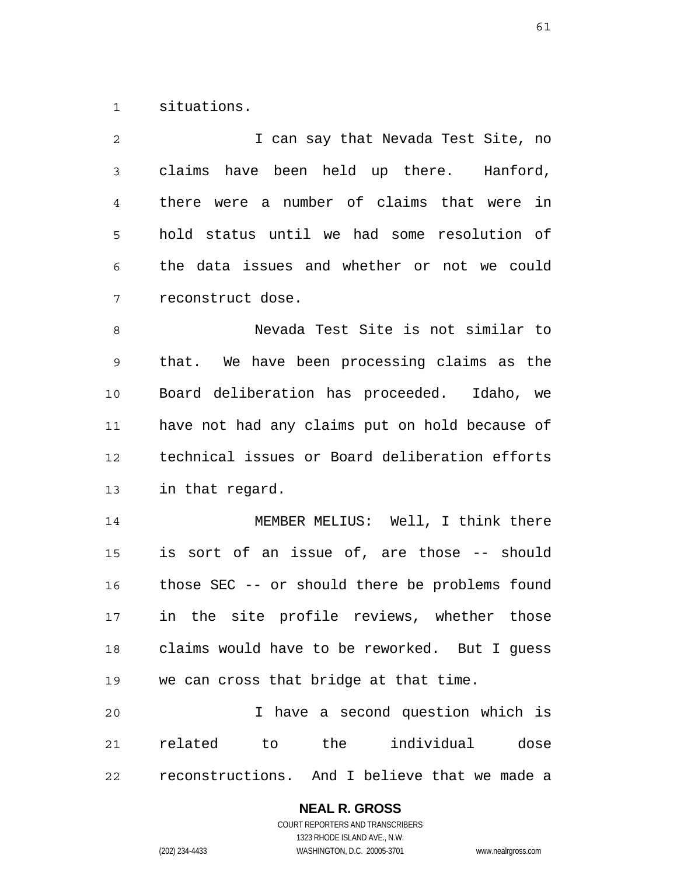1 situations.

| $\overline{2}$ | I can say that Nevada Test Site, no            |
|----------------|------------------------------------------------|
| 3              | claims have been held up there. Hanford,       |
| 4              | there were a number of claims that were in     |
| 5              | hold status until we had some resolution of    |
| 6              | the data issues and whether or not we could    |
| 7              | reconstruct dose.                              |
| 8              | Nevada Test Site is not similar to             |
| 9              | that. We have been processing claims as the    |
| 10             | Board deliberation has proceeded. Idaho, we    |
| 11             | have not had any claims put on hold because of |
| 12             | technical issues or Board deliberation efforts |
| 13             | in that regard.                                |
| 14             | MEMBER MELIUS: Well, I think there             |
| 15             | is sort of an issue of, are those -- should    |
| 16             | those SEC -- or should there be problems found |
| 17             | in the site profile reviews, whether those     |
| 18             | claims would have to be reworked. But I guess  |
| 19             | we can cross that bridge at that time.         |
| 20             | I have a second question which is              |
| 21             | related to the individual dose                 |
| 22             | reconstructions. And I believe that we made a  |

61

COURT REPORTERS AND TRANSCRIBERS 1323 RHODE ISLAND AVE., N.W. (202) 234-4433 WASHINGTON, D.C. 20005-3701 www.nealrgross.com

**NEAL R. GROSS**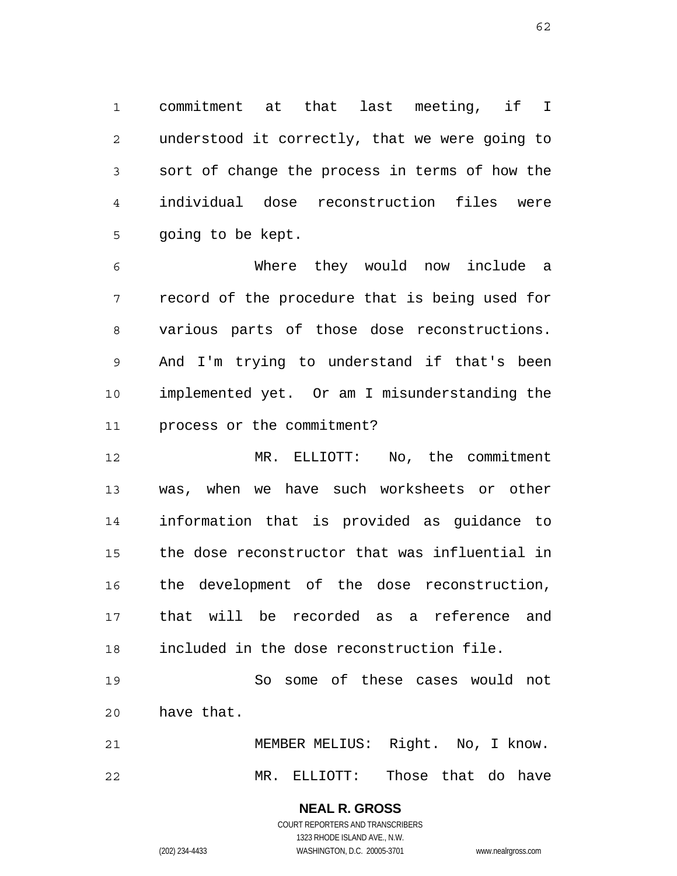1 2 3 4 5 commitment at that last meeting, if I understood it correctly, that we were going to sort of change the process in terms of how the individual dose reconstruction files were going to be kept.

6 7 8 9 10 11 Where they would now include a record of the procedure that is being used for various parts of those dose reconstructions. And I'm trying to understand if that's been implemented yet. Or am I misunderstanding the process or the commitment?

12 13 14 15 16 17 18 MR. ELLIOTT: No, the commitment was, when we have such worksheets or other information that is provided as guidance to the dose reconstructor that was influential in the development of the dose reconstruction, that will be recorded as a reference and included in the dose reconstruction file.

19 20 So some of these cases would not have that.

21 22 MEMBER MELIUS: Right. No, I know. MR. ELLIOTT: Those that do have

> **NEAL R. GROSS** COURT REPORTERS AND TRANSCRIBERS

> > 1323 RHODE ISLAND AVE., N.W.

(202) 234-4433 WASHINGTON, D.C. 20005-3701 www.nealrgross.com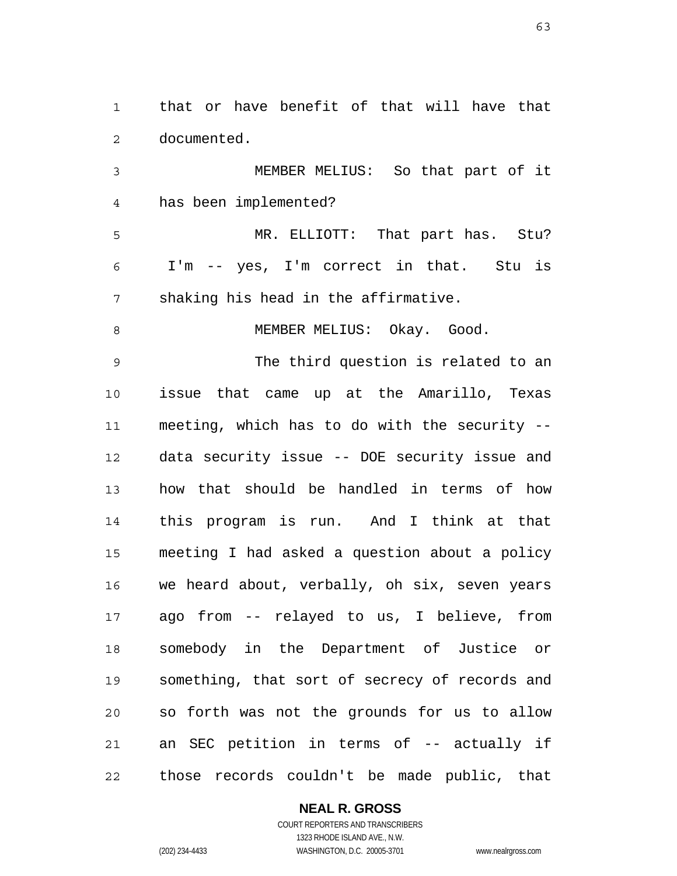1 2 that or have benefit of that will have that documented.

3 4 5 MEMBER MELIUS: So that part of it has been implemented? MR. ELLIOTT: That part has. Stu?

6 7 I'm -- yes, I'm correct in that. Stu is shaking his head in the affirmative.

8 MEMBER MELIUS: Okay. Good.

9 10 11 12 13 14 15 16 17 18 19 20 21 22 The third question is related to an issue that came up at the Amarillo, Texas meeting, which has to do with the security - data security issue -- DOE security issue and how that should be handled in terms of how this program is run. And I think at that meeting I had asked a question about a policy we heard about, verbally, oh six, seven years ago from -- relayed to us, I believe, from somebody in the Department of Justice or something, that sort of secrecy of records and so forth was not the grounds for us to allow an SEC petition in terms of -- actually if those records couldn't be made public, that

# **NEAL R. GROSS**

COURT REPORTERS AND TRANSCRIBERS 1323 RHODE ISLAND AVE., N.W. (202) 234-4433 WASHINGTON, D.C. 20005-3701 www.nealrgross.com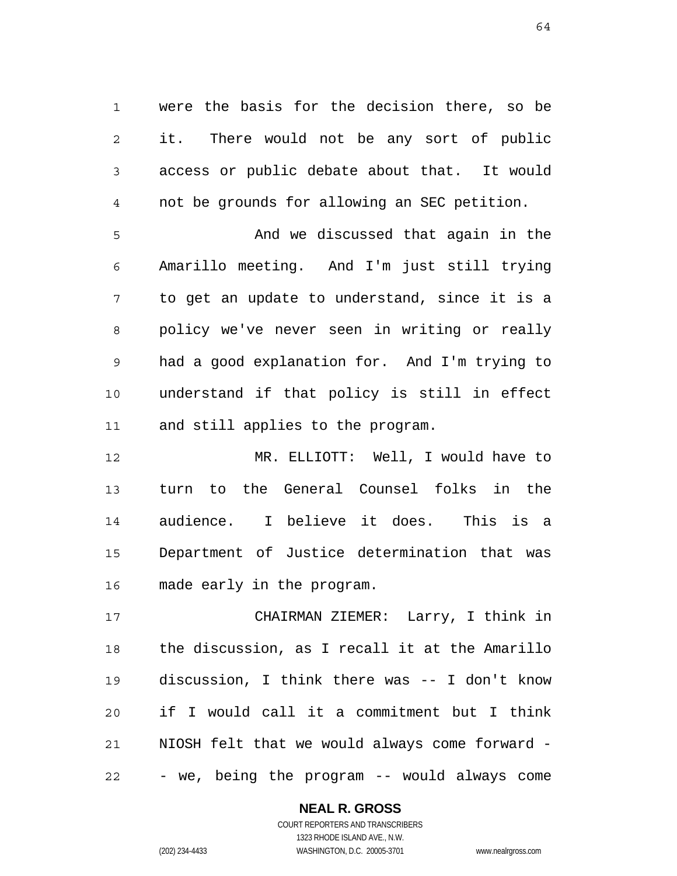1 2 3 4 were the basis for the decision there, so be it. There would not be any sort of public access or public debate about that. It would not be grounds for allowing an SEC petition.

5 6 7 8 9 10 11 And we discussed that again in the Amarillo meeting. And I'm just still trying to get an update to understand, since it is a policy we've never seen in writing or really had a good explanation for. And I'm trying to understand if that policy is still in effect and still applies to the program.

12 13 14 15 16 MR. ELLIOTT: Well, I would have to turn to the General Counsel folks in the audience. I believe it does. This is a Department of Justice determination that was made early in the program.

17 18 19 20 21 22 CHAIRMAN ZIEMER: Larry, I think in the discussion, as I recall it at the Amarillo discussion, I think there was -- I don't know if I would call it a commitment but I think NIOSH felt that we would always come forward - - we, being the program -- would always come

**NEAL R. GROSS**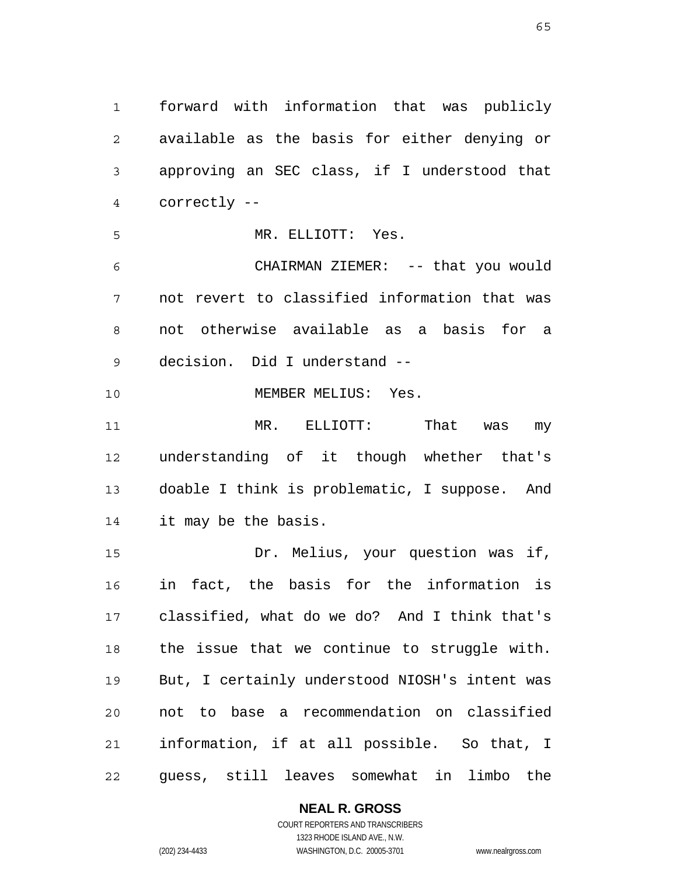1 2 3 4 forward with information that was publicly available as the basis for either denying or approving an SEC class, if I understood that correctly --

5 MR. ELLIOTT: Yes.

6 7 8 9 CHAIRMAN ZIEMER: -- that you would not revert to classified information that was not otherwise available as a basis for a decision. Did I understand --

10 MEMBER MELIUS: Yes.

11 12 13 14 MR. ELLIOTT: That was my understanding of it though whether that's doable I think is problematic, I suppose. And it may be the basis.

15 16 17 18 19 20 21 22 Dr. Melius, your question was if, in fact, the basis for the information is classified, what do we do? And I think that's the issue that we continue to struggle with. But, I certainly understood NIOSH's intent was not to base a recommendation on classified information, if at all possible. So that, I guess, still leaves somewhat in limbo the

> **NEAL R. GROSS** COURT REPORTERS AND TRANSCRIBERS

1323 RHODE ISLAND AVE., N.W. (202) 234-4433 WASHINGTON, D.C. 20005-3701 www.nealrgross.com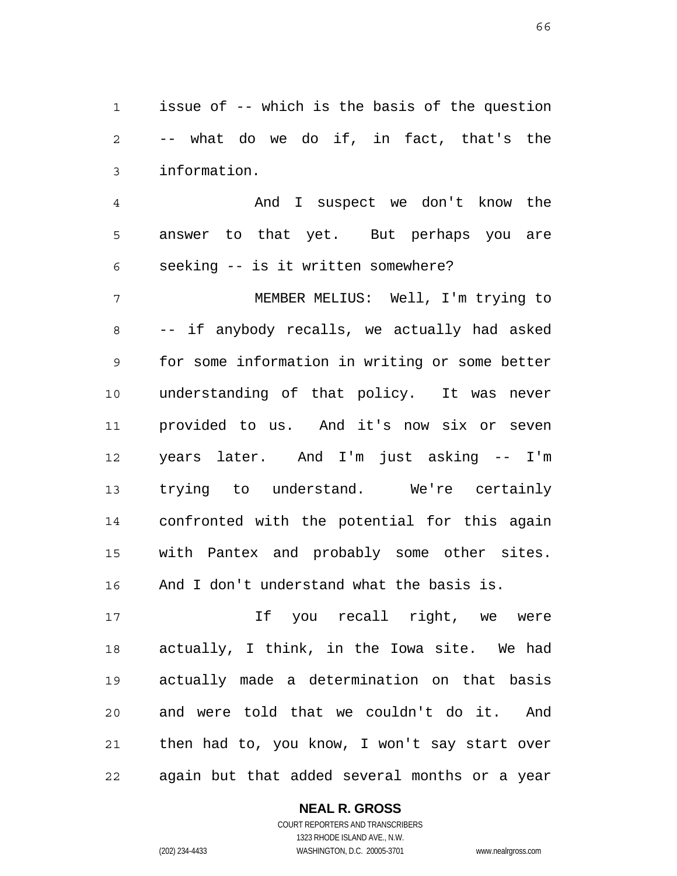1 2 3 issue of -- which is the basis of the question -- what do we do if, in fact, that's the information.

4 5 6 And I suspect we don't know the answer to that yet. But perhaps you are seeking -- is it written somewhere?

7 8 9 10 11 12 13 14 15 16 MEMBER MELIUS: Well, I'm trying to -- if anybody recalls, we actually had asked for some information in writing or some better understanding of that policy. It was never provided to us. And it's now six or seven years later. And I'm just asking -- I'm trying to understand. We're certainly confronted with the potential for this again with Pantex and probably some other sites. And I don't understand what the basis is.

17 18 19 20 21 22 If you recall right, we were actually, I think, in the Iowa site. We had actually made a determination on that basis and were told that we couldn't do it. And then had to, you know, I won't say start over again but that added several months or a year

**NEAL R. GROSS**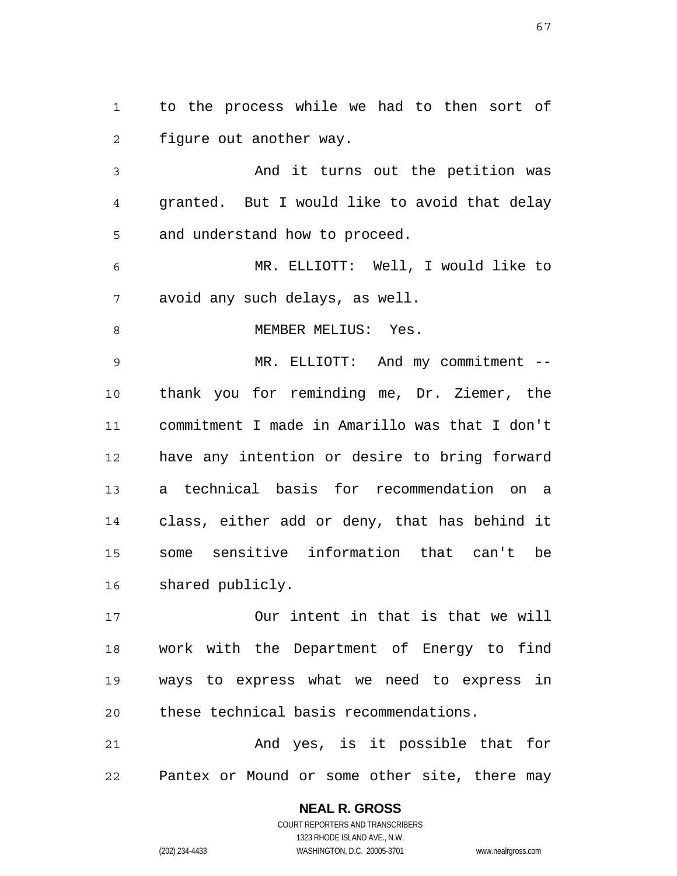1 2 to the process while we had to then sort of figure out another way.

3 4 5 And it turns out the petition was granted. But I would like to avoid that delay and understand how to proceed.

6 7 MR. ELLIOTT: Well, I would like to avoid any such delays, as well.

8 MEMBER MELIUS: Yes.

9 10 11 12 13 14 15 16 MR. ELLIOTT: And my commitment -thank you for reminding me, Dr. Ziemer, the commitment I made in Amarillo was that I don't have any intention or desire to bring forward a technical basis for recommendation on a class, either add or deny, that has behind it some sensitive information that can't be shared publicly.

17 18 19 20 Our intent in that is that we will work with the Department of Energy to find ways to express what we need to express in these technical basis recommendations.

21 22 And yes, is it possible that for Pantex or Mound or some other site, there may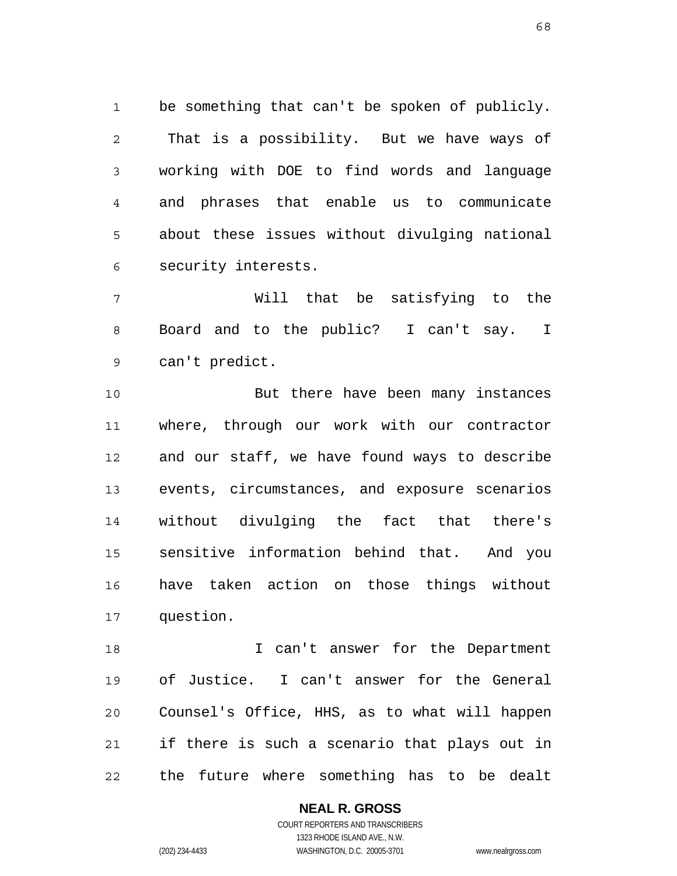1 2 3 4 5 6 be something that can't be spoken of publicly. That is a possibility. But we have ways of working with DOE to find words and language and phrases that enable us to communicate about these issues without divulging national security interests.

7 8 9 Will that be satisfying to the Board and to the public? I can't say. I can't predict.

10 11 12 13 14 15 16 17 But there have been many instances where, through our work with our contractor and our staff, we have found ways to describe events, circumstances, and exposure scenarios without divulging the fact that there's sensitive information behind that. And you have taken action on those things without question.

18 19 20 21 22 I can't answer for the Department of Justice. I can't answer for the General Counsel's Office, HHS, as to what will happen if there is such a scenario that plays out in the future where something has to be dealt

> **NEAL R. GROSS** COURT REPORTERS AND TRANSCRIBERS 1323 RHODE ISLAND AVE., N.W.

(202) 234-4433 WASHINGTON, D.C. 20005-3701 www.nealrgross.com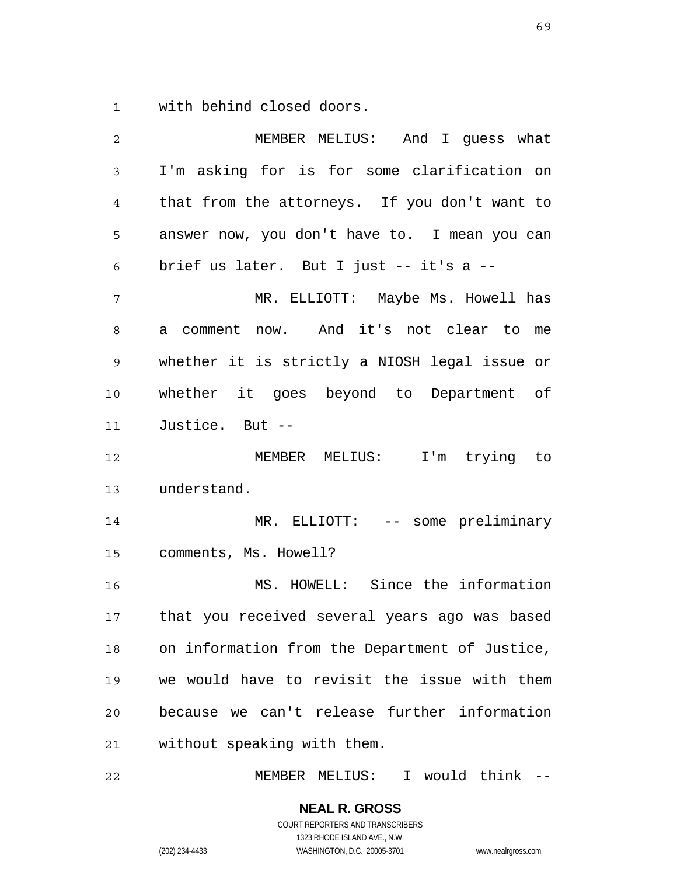1 with behind closed doors.

| 2              | MEMBER MELIUS: And I guess what                |
|----------------|------------------------------------------------|
| $\mathfrak{Z}$ | I'm asking for is for some clarification on    |
| 4              | that from the attorneys. If you don't want to  |
| 5              | answer now, you don't have to. I mean you can  |
| 6              | brief us later. But I just -- it's a --        |
| 7              | MR. ELLIOTT: Maybe Ms. Howell has              |
| 8              | a comment now. And it's not clear to me        |
| $\mathsf 9$    | whether it is strictly a NIOSH legal issue or  |
| 10             | whether it goes beyond to Department of        |
| 11             | Justice. But --                                |
| 12             | MEMBER MELIUS: I'm trying to                   |
| 13             | understand.                                    |
| 14             | MR. ELLIOTT: -- some preliminary               |
| 15             | comments, Ms. Howell?                          |
| 16             | MS. HOWELL: Since the information              |
| 17             | that you received several years ago was based  |
| 18             | on information from the Department of Justice, |
| 19             | we would have to revisit the issue with them   |
| 20             | because we can't release further information   |
| 21             | without speaking with them.                    |
| 22             | MEMBER MELIUS: I would think --                |

MEMBER MELIUS: I would think --

**NEAL R. GROSS** COURT REPORTERS AND TRANSCRIBERS

1323 RHODE ISLAND AVE., N.W. (202) 234-4433 WASHINGTON, D.C. 20005-3701 www.nealrgross.com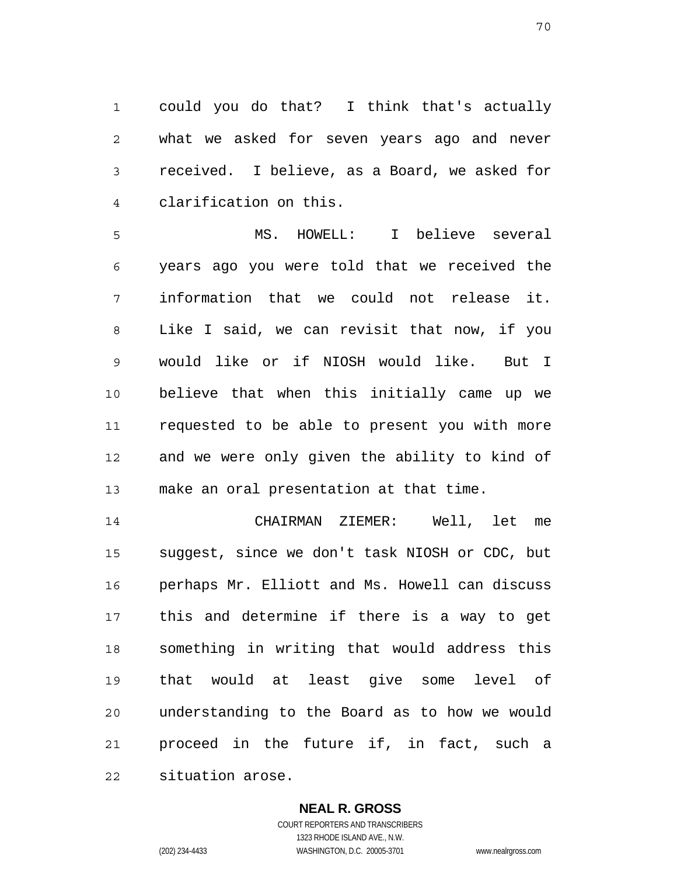1 2 3 4 could you do that? I think that's actually what we asked for seven years ago and never received. I believe, as a Board, we asked for clarification on this.

5 6 7 8 9 10 11 12 13 MS. HOWELL: I believe several years ago you were told that we received the information that we could not release it. Like I said, we can revisit that now, if you would like or if NIOSH would like. But I believe that when this initially came up we requested to be able to present you with more and we were only given the ability to kind of make an oral presentation at that time.

14 15 16 17 18 19 20 21 22 CHAIRMAN ZIEMER: Well, let me suggest, since we don't task NIOSH or CDC, but perhaps Mr. Elliott and Ms. Howell can discuss this and determine if there is a way to get something in writing that would address this that would at least give some level of understanding to the Board as to how we would proceed in the future if, in fact, such a situation arose.

# **NEAL R. GROSS**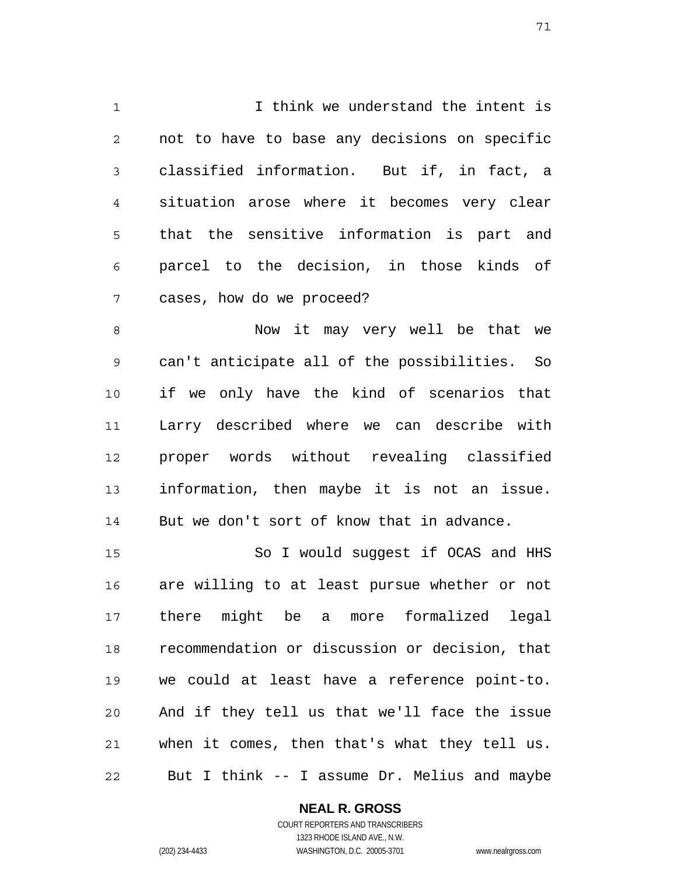1 2 3 4 5 6 7 I think we understand the intent is not to have to base any decisions on specific classified information. But if, in fact, a situation arose where it becomes very clear that the sensitive information is part and parcel to the decision, in those kinds of cases, how do we proceed?

8 9 10 11 12 13 14 Now it may very well be that we can't anticipate all of the possibilities. So if we only have the kind of scenarios that Larry described where we can describe with proper words without revealing classified information, then maybe it is not an issue. But we don't sort of know that in advance.

15 16 17 18 19 20 21 22 So I would suggest if OCAS and HHS are willing to at least pursue whether or not there might be a more formalized legal recommendation or discussion or decision, that we could at least have a reference point-to. And if they tell us that we'll face the issue when it comes, then that's what they tell us. But I think -- I assume Dr. Melius and maybe

**NEAL R. GROSS**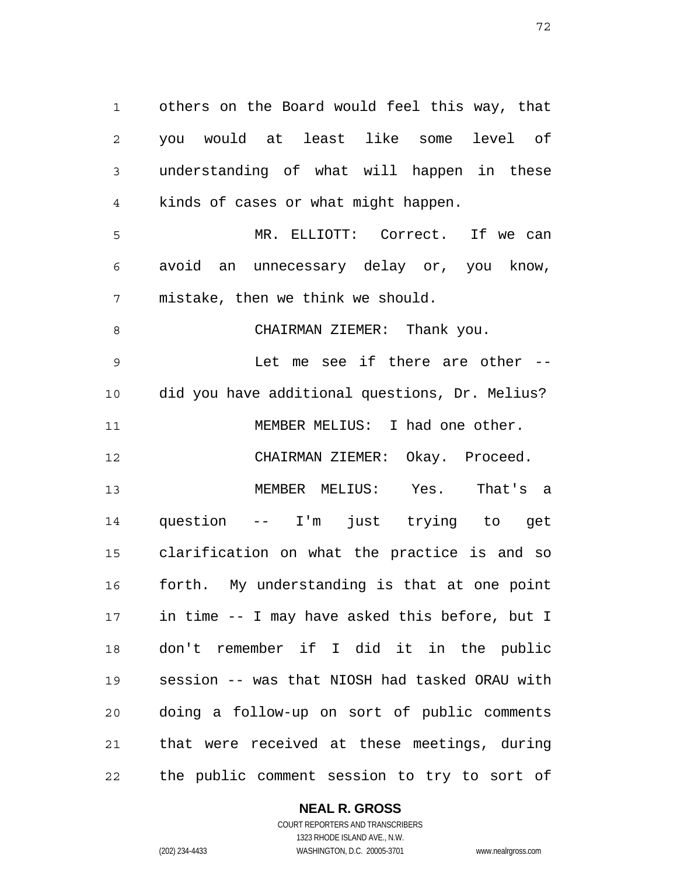1 2 3 4 5 6 7 8 9 10 11 12 others on the Board would feel this way, that you would at least like some level of understanding of what will happen in these kinds of cases or what might happen. MR. ELLIOTT: Correct. If we can avoid an unnecessary delay or, you know, mistake, then we think we should. CHAIRMAN ZIEMER: Thank you. Let me see if there are other - did you have additional questions, Dr. Melius? MEMBER MELIUS: I had one other. CHAIRMAN ZIEMER: Okay. Proceed.

13 14 15 16 17 18 19 20 21 22 MEMBER MELIUS: Yes. That's a question -- I'm just trying to get clarification on what the practice is and so forth. My understanding is that at one point in time -- I may have asked this before, but I don't remember if I did it in the public session -- was that NIOSH had tasked ORAU with doing a follow-up on sort of public comments that were received at these meetings, during the public comment session to try to sort of

# **NEAL R. GROSS**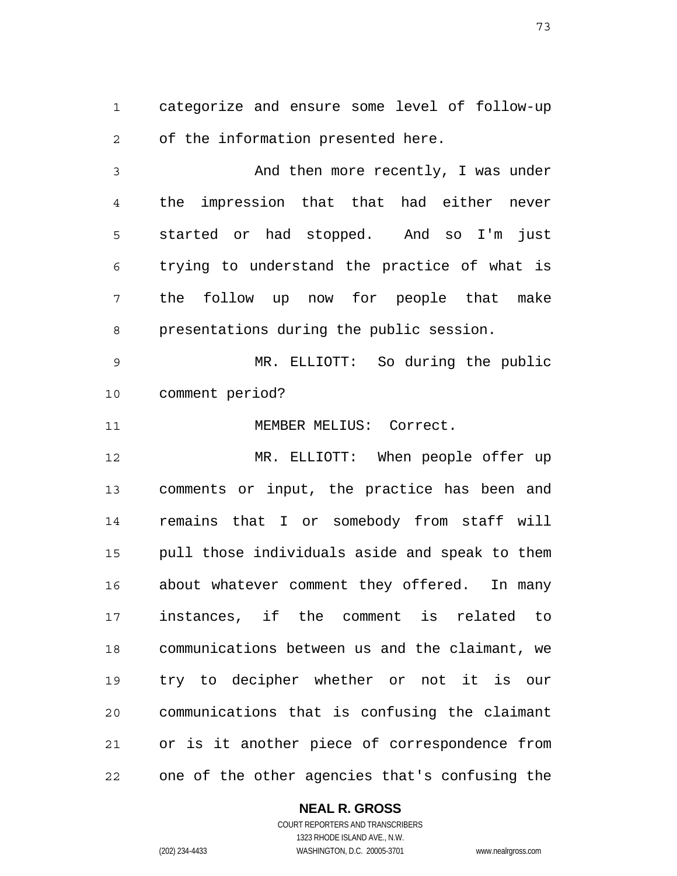1 2 categorize and ensure some level of follow-up of the information presented here.

3 4 5 6 7 8 And then more recently, I was under the impression that that had either never started or had stopped. And so I'm just trying to understand the practice of what is the follow up now for people that make presentations during the public session.

9 10 MR. ELLIOTT: So during the public comment period?

11 MEMBER MELIUS: Correct.

12 13 14 15 16 17 18 19 20 21 22 MR. ELLIOTT: When people offer up comments or input, the practice has been and remains that I or somebody from staff will pull those individuals aside and speak to them about whatever comment they offered. In many instances, if the comment is related to communications between us and the claimant, we try to decipher whether or not it is our communications that is confusing the claimant or is it another piece of correspondence from one of the other agencies that's confusing the

#### **NEAL R. GROSS**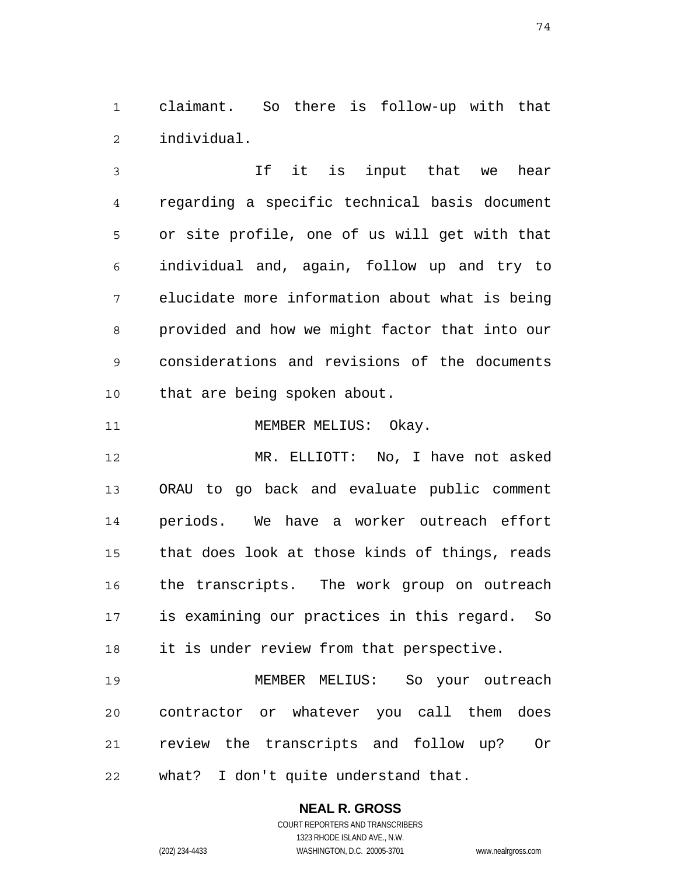1 2 claimant. So there is follow-up with that individual.

3 4 5 6 7 8 9 10 If it is input that we hear regarding a specific technical basis document or site profile, one of us will get with that individual and, again, follow up and try to elucidate more information about what is being provided and how we might factor that into our considerations and revisions of the documents that are being spoken about.

11 MEMBER MELIUS: Okay.

12 13 14 15 16 17 18 MR. ELLIOTT: No, I have not asked ORAU to go back and evaluate public comment periods. We have a worker outreach effort that does look at those kinds of things, reads the transcripts. The work group on outreach is examining our practices in this regard. So it is under review from that perspective.

19 20 21 22 MEMBER MELIUS: So your outreach contractor or whatever you call them does review the transcripts and follow up? Or what? I don't quite understand that.

### **NEAL R. GROSS**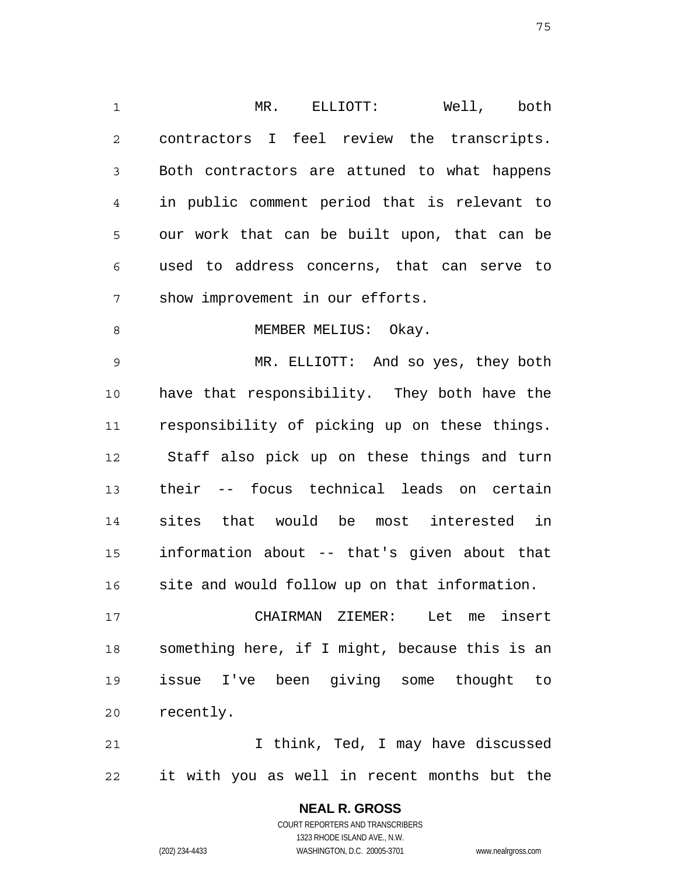1 2 3 4 5 6 7 8 9 10 11 12 13 14 15 16 17 18 MR. ELLIOTT: Well, both contractors I feel review the transcripts. Both contractors are attuned to what happens in public comment period that is relevant to our work that can be built upon, that can be used to address concerns, that can serve to show improvement in our efforts. MEMBER MELIUS: Okay. MR. ELLIOTT: And so yes, they both have that responsibility. They both have the responsibility of picking up on these things. Staff also pick up on these things and turn their -- focus technical leads on certain sites that would be most interested in information about -- that's given about that site and would follow up on that information. CHAIRMAN ZIEMER: Let me insert something here, if I might, because this is an

19 20 issue I've been giving some thought to recently.

21 22 I think, Ted, I may have discussed it with you as well in recent months but the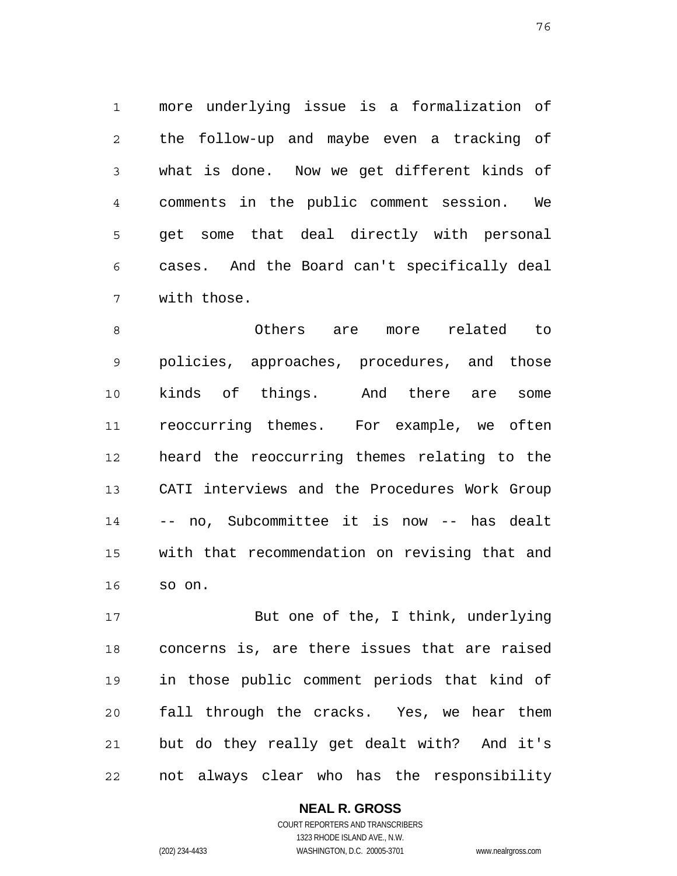1 2 3 4 5 6 7 more underlying issue is a formalization of the follow-up and maybe even a tracking of what is done. Now we get different kinds of comments in the public comment session. We get some that deal directly with personal cases. And the Board can't specifically deal with those.

8 9 10 11 12 13 14 15 16 Others are more related to policies, approaches, procedures, and those kinds of things. And there are some reoccurring themes. For example, we often heard the reoccurring themes relating to the CATI interviews and the Procedures Work Group -- no, Subcommittee it is now -- has dealt with that recommendation on revising that and so on.

17 18 19 20 21 22 But one of the, I think, underlying concerns is, are there issues that are raised in those public comment periods that kind of fall through the cracks. Yes, we hear them but do they really get dealt with? And it's not always clear who has the responsibility

**NEAL R. GROSS**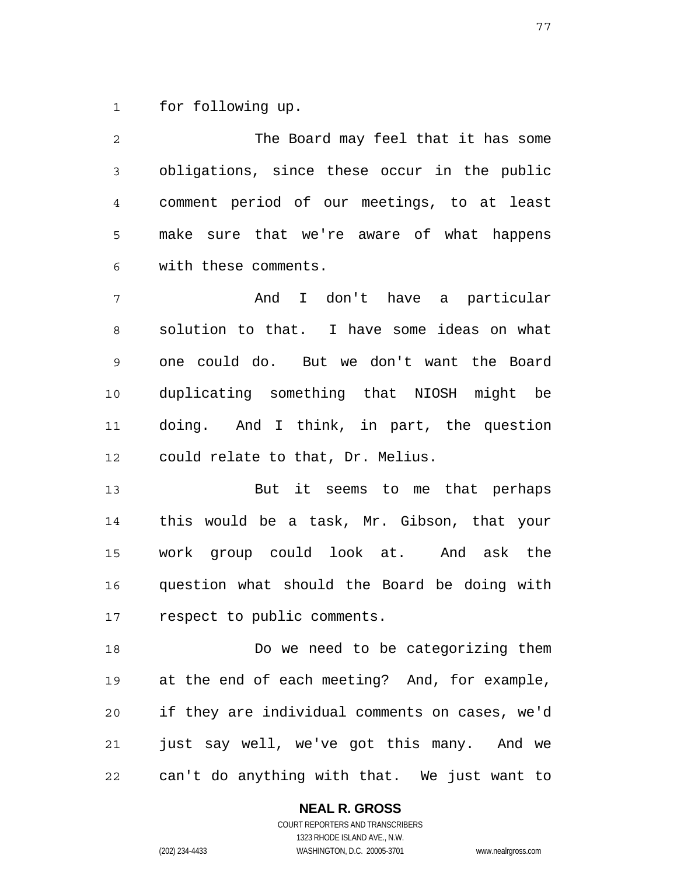1 for following up.

2

3 4 5 6 7 8 9 10 11 12 13 14 15 16 17 18 19 20 21 obligations, since these occur in the public comment period of our meetings, to at least make sure that we're aware of what happens with these comments. And I don't have a particular solution to that. I have some ideas on what one could do. But we don't want the Board duplicating something that NIOSH might be doing. And I think, in part, the question could relate to that, Dr. Melius. But it seems to me that perhaps this would be a task, Mr. Gibson, that your work group could look at. And ask the question what should the Board be doing with respect to public comments. Do we need to be categorizing them at the end of each meeting? And, for example, if they are individual comments on cases, we'd just say well, we've got this many. And we

The Board may feel that it has some

22 can't do anything with that. We just want to

> **NEAL R. GROSS** COURT REPORTERS AND TRANSCRIBERS

> > 1323 RHODE ISLAND AVE., N.W.

(202) 234-4433 WASHINGTON, D.C. 20005-3701 www.nealrgross.com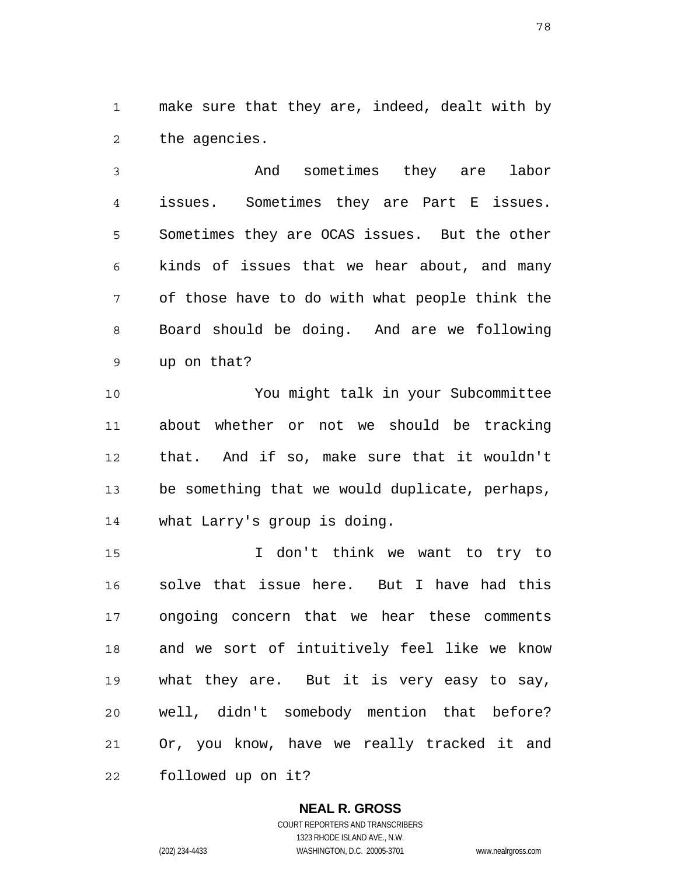1 2 make sure that they are, indeed, dealt with by the agencies.

3 4 5 6 7 8 9 And sometimes they are labor issues. Sometimes they are Part E issues. Sometimes they are OCAS issues. But the other kinds of issues that we hear about, and many of those have to do with what people think the Board should be doing. And are we following up on that?

10 11 12 13 14 You might talk in your Subcommittee about whether or not we should be tracking that. And if so, make sure that it wouldn't be something that we would duplicate, perhaps, what Larry's group is doing.

15 16 17 18 19 20 21 22 I don't think we want to try to solve that issue here. But I have had this ongoing concern that we hear these comments and we sort of intuitively feel like we know what they are. But it is very easy to say, well, didn't somebody mention that before? Or, you know, have we really tracked it and followed up on it?

> **NEAL R. GROSS** COURT REPORTERS AND TRANSCRIBERS

1323 RHODE ISLAND AVE., N.W. (202) 234-4433 WASHINGTON, D.C. 20005-3701 www.nealrgross.com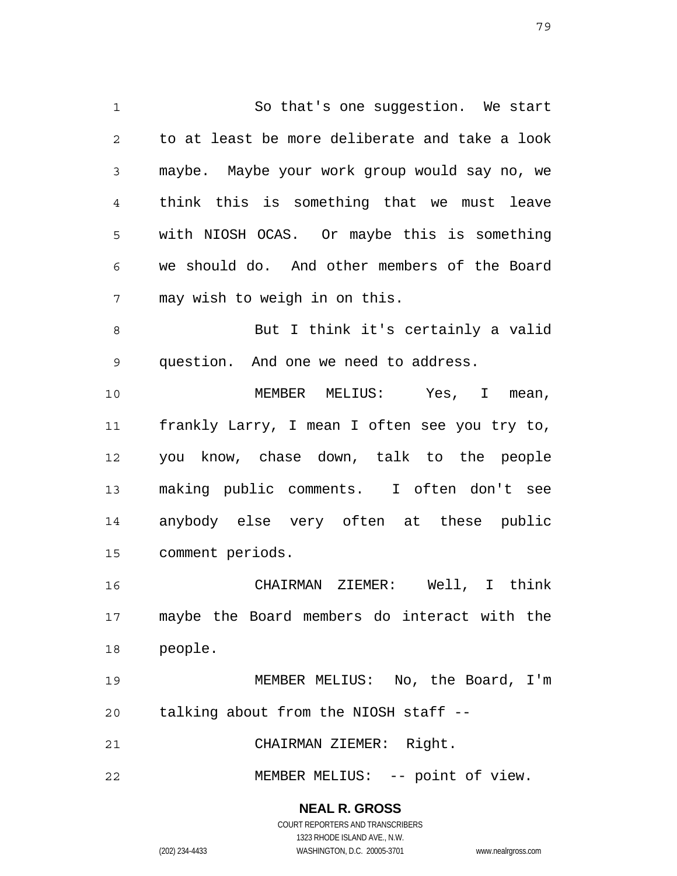1 2 3 4 5 6 7 8 9 10 11 12 13 14 15 So that's one suggestion. We start to at least be more deliberate and take a look maybe. Maybe your work group would say no, we think this is something that we must leave with NIOSH OCAS. Or maybe this is something we should do. And other members of the Board may wish to weigh in on this. But I think it's certainly a valid question. And one we need to address. MEMBER MELIUS: Yes, I mean, frankly Larry, I mean I often see you try to, you know, chase down, talk to the people making public comments. I often don't see anybody else very often at these public comment periods.

16 17 18 CHAIRMAN ZIEMER: Well, I think maybe the Board members do interact with the people.

19 20 MEMBER MELIUS: No, the Board, I'm talking about from the NIOSH staff --

21 CHAIRMAN ZIEMER: Right.

22 MEMBER MELIUS: -- point of view.

**NEAL R. GROSS**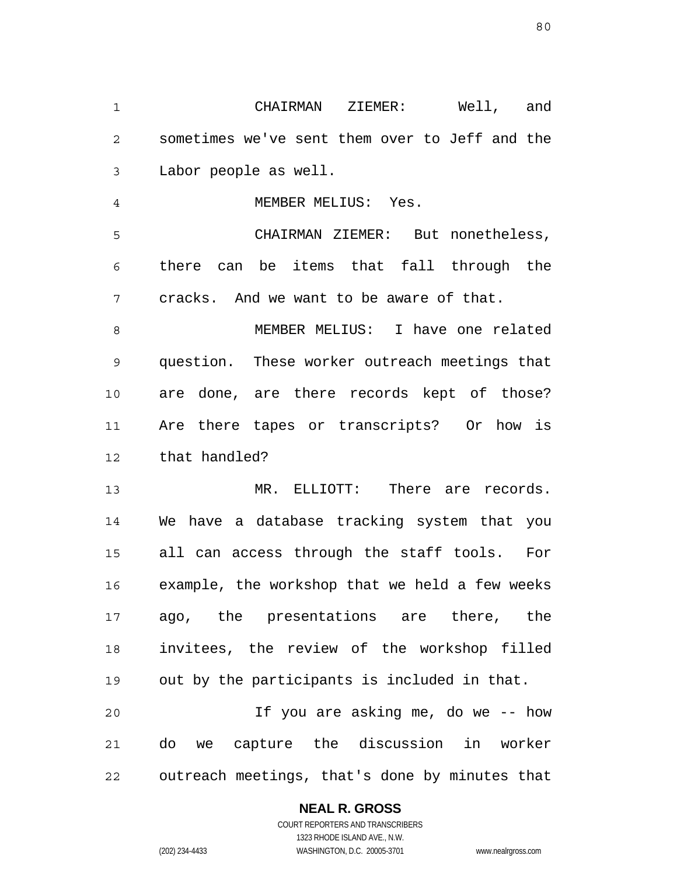1 2 3 CHAIRMAN ZIEMER: Well, and sometimes we've sent them over to Jeff and the Labor people as well.

4 5 MEMBER MELIUS: Yes. CHAIRMAN ZIEMER: But nonetheless,

6 7 there can be items that fall through the cracks. And we want to be aware of that.

8 9 10 11 12 MEMBER MELIUS: I have one related question. These worker outreach meetings that are done, are there records kept of those? Are there tapes or transcripts? Or how is that handled?

13 14 15 16 17 18 19 20 MR. ELLIOTT: There are records. We have a database tracking system that you all can access through the staff tools. For example, the workshop that we held a few weeks ago, the presentations are there, the invitees, the review of the workshop filled out by the participants is included in that. If you are asking me, do we -- how

21 22 do we capture the discussion in worker outreach meetings, that's done by minutes that

#### **NEAL R. GROSS**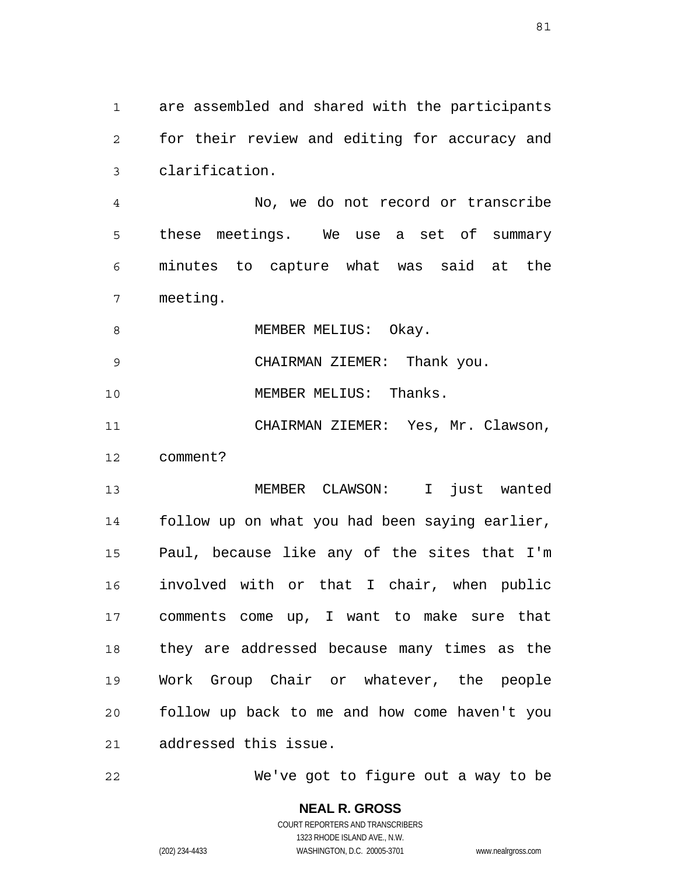1 2 3 are assembled and shared with the participants for their review and editing for accuracy and clarification.

4 5 6 7 No, we do not record or transcribe these meetings. We use a set of summary minutes to capture what was said at the meeting.

8 MEMBER MELIUS: Okay.

9 CHAIRMAN ZIEMER: Thank you.

10 MEMBER MELIUS: Thanks.

11 CHAIRMAN ZIEMER: Yes, Mr. Clawson,

12 comment?

13 14 15 16 17 18 19 20 21 MEMBER CLAWSON: I just wanted follow up on what you had been saying earlier, Paul, because like any of the sites that I'm involved with or that I chair, when public comments come up, I want to make sure that they are addressed because many times as the Work Group Chair or whatever, the people follow up back to me and how come haven't you addressed this issue.

22 We've got to figure out a way to be

> **NEAL R. GROSS** COURT REPORTERS AND TRANSCRIBERS 1323 RHODE ISLAND AVE., N.W. (202) 234-4433 WASHINGTON, D.C. 20005-3701 www.nealrgross.com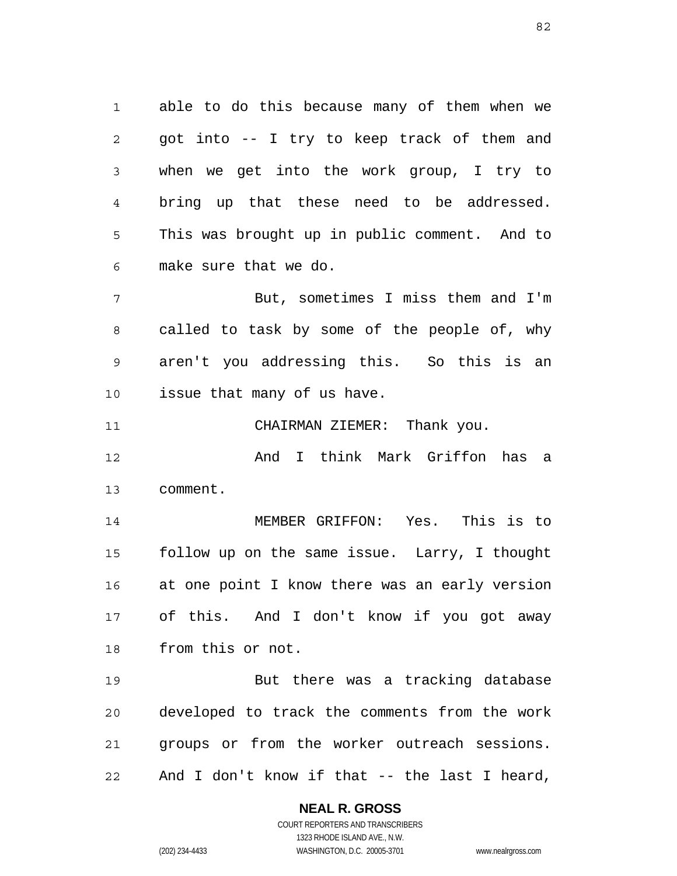1 2 3 4 5 6 able to do this because many of them when we got into -- I try to keep track of them and when we get into the work group, I try to bring up that these need to be addressed. This was brought up in public comment. And to make sure that we do.

7 8 9 10 But, sometimes I miss them and I'm called to task by some of the people of, why aren't you addressing this. So this is an issue that many of us have.

11 CHAIRMAN ZIEMER: Thank you.

12 13 And I think Mark Griffon has a comment.

14 15 16 17 18 MEMBER GRIFFON: Yes. This is to follow up on the same issue. Larry, I thought at one point I know there was an early version of this. And I don't know if you got away from this or not.

19 20 21 22 But there was a tracking database developed to track the comments from the work groups or from the worker outreach sessions. And I don't know if that -- the last I heard,

**NEAL R. GROSS**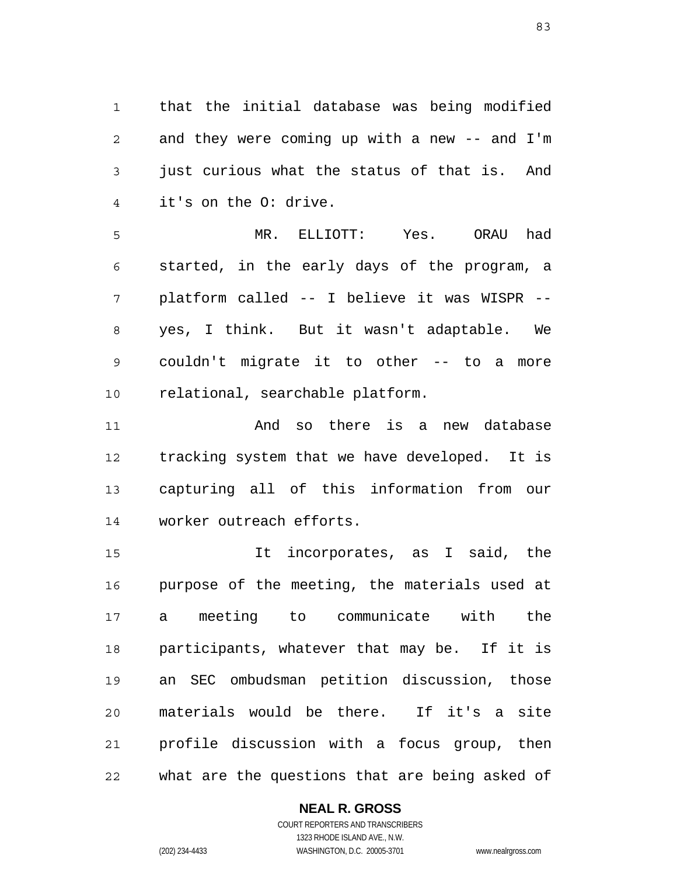1 2 3 4 that the initial database was being modified and they were coming up with a new -- and I'm just curious what the status of that is. And it's on the O: drive.

5 6 7 8 9 10 MR. ELLIOTT: Yes. ORAU had started, in the early days of the program, a platform called -- I believe it was WISPR - yes, I think. But it wasn't adaptable. We couldn't migrate it to other -- to a more relational, searchable platform.

11 12 13 14 And so there is a new database tracking system that we have developed. It is capturing all of this information from our worker outreach efforts.

15 16 17 18 19 20 21 22 It incorporates, as I said, the purpose of the meeting, the materials used at a meeting to communicate with the participants, whatever that may be. If it is an SEC ombudsman petition discussion, those materials would be there. If it's a site profile discussion with a focus group, then what are the questions that are being asked of

### **NEAL R. GROSS**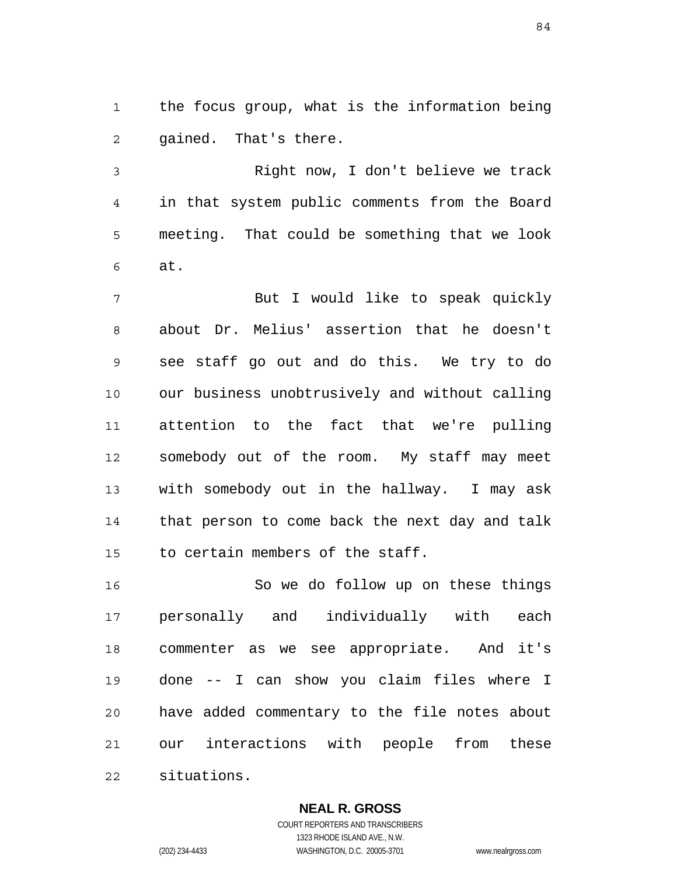1 2 the focus group, what is the information being gained. That's there.

3 4 5 6 Right now, I don't believe we track in that system public comments from the Board meeting. That could be something that we look at.

7 8 9 10 11 12 13 14 15 But I would like to speak quickly about Dr. Melius' assertion that he doesn't see staff go out and do this. We try to do our business unobtrusively and without calling attention to the fact that we're pulling somebody out of the room. My staff may meet with somebody out in the hallway. I may ask that person to come back the next day and talk to certain members of the staff.

16 17 18 19 20 21 22 So we do follow up on these things personally and individually with each commenter as we see appropriate. And it's done -- I can show you claim files where I have added commentary to the file notes about our interactions with people from these situations.

> **NEAL R. GROSS** COURT REPORTERS AND TRANSCRIBERS

> > 1323 RHODE ISLAND AVE., N.W.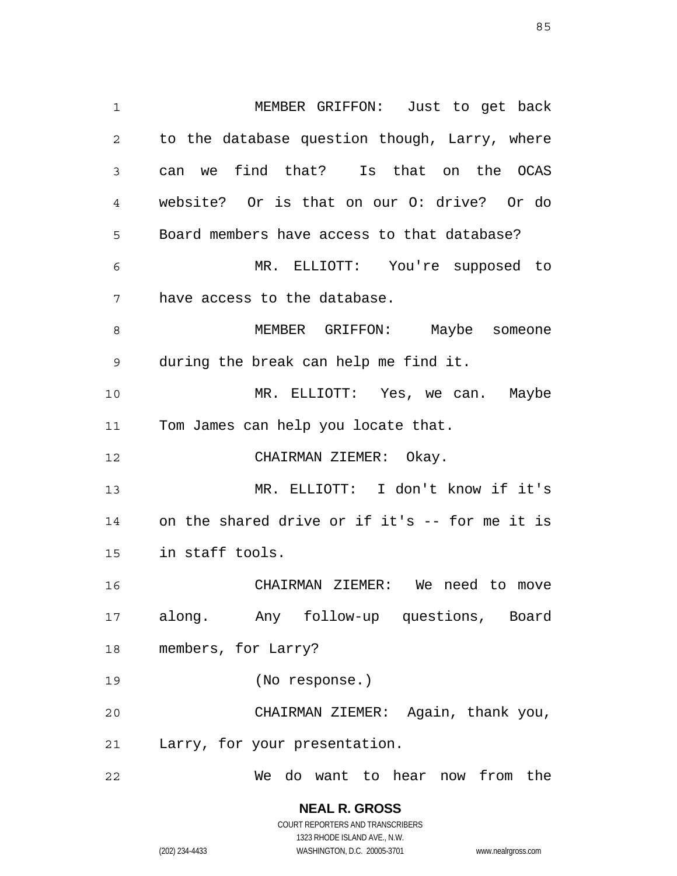1 2 3 4 5 6 7 8 9 10 11 12 13 14 15 16 17 18 19 20 21 22 MEMBER GRIFFON: Just to get back to the database question though, Larry, where can we find that? Is that on the OCAS website? Or is that on our O: drive? Or do Board members have access to that database? MR. ELLIOTT: You're supposed to have access to the database. MEMBER GRIFFON: Maybe someone during the break can help me find it. MR. ELLIOTT: Yes, we can. Maybe Tom James can help you locate that. CHAIRMAN ZIEMER: Okay. MR. ELLIOTT: I don't know if it's on the shared drive or if it's -- for me it is in staff tools. CHAIRMAN ZIEMER: We need to move along. Any follow-up questions, Board members, for Larry? (No response.) CHAIRMAN ZIEMER: Again, thank you, Larry, for your presentation. We do want to hear now from the

> **NEAL R. GROSS** COURT REPORTERS AND TRANSCRIBERS 1323 RHODE ISLAND AVE., N.W. (202) 234-4433 WASHINGTON, D.C. 20005-3701 www.nealrgross.com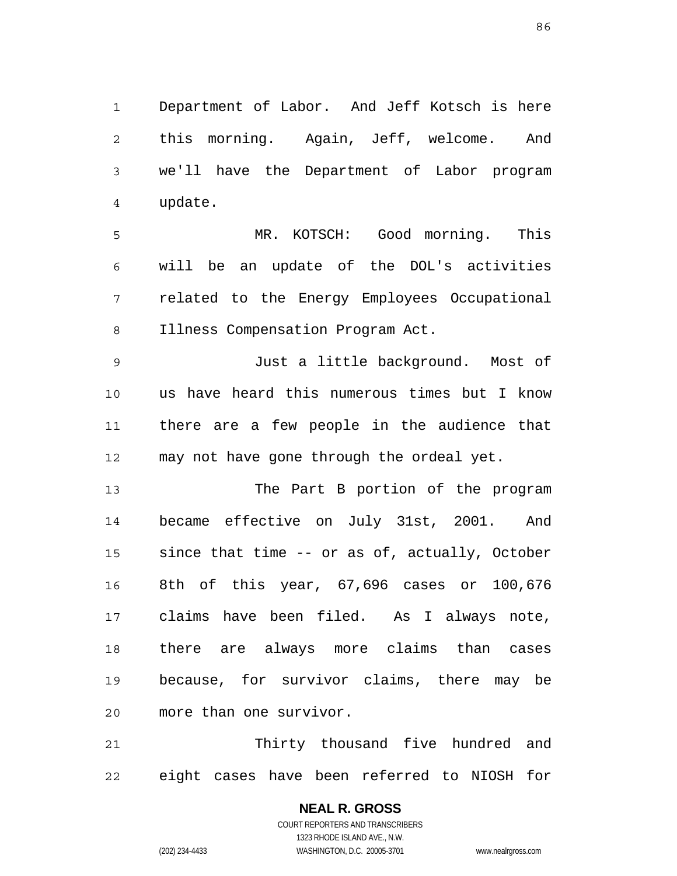1 2 3 4 Department of Labor. And Jeff Kotsch is here this morning. Again, Jeff, welcome. And we'll have the Department of Labor program update.

5 6 7 8 MR. KOTSCH: Good morning. This will be an update of the DOL's activities related to the Energy Employees Occupational Illness Compensation Program Act.

9 10 11 12 Just a little background. Most of us have heard this numerous times but I know there are a few people in the audience that may not have gone through the ordeal yet.

13 14 15 16 17 18 19 20 The Part B portion of the program became effective on July 31st, 2001. And since that time -- or as of, actually, October 8th of this year, 67,696 cases or 100,676 claims have been filed. As I always note, there are always more claims than cases because, for survivor claims, there may be more than one survivor.

21 22 Thirty thousand five hundred and eight cases have been referred to NIOSH for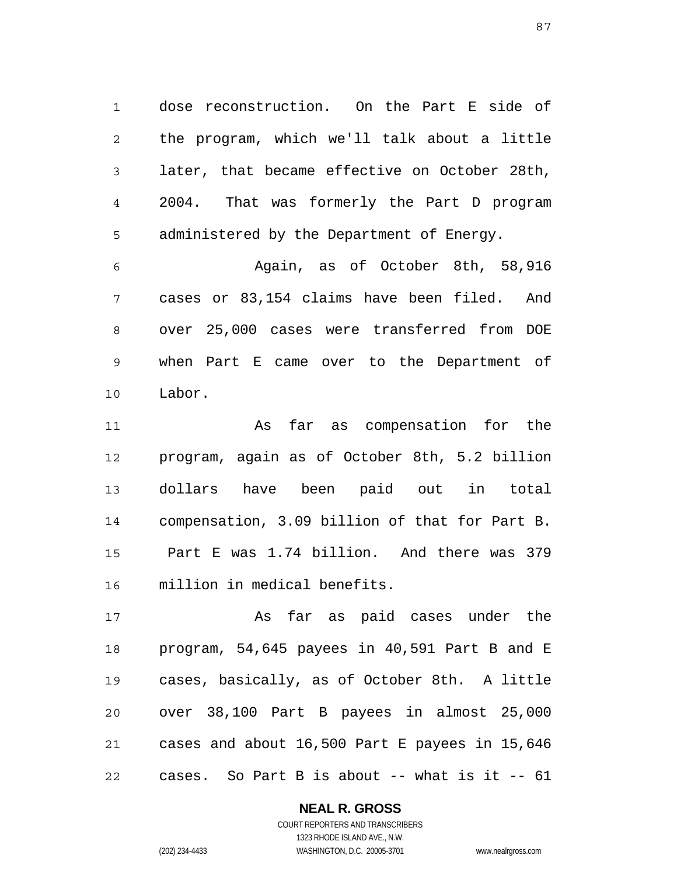1 2 3 4 5 dose reconstruction. On the Part E side of the program, which we'll talk about a little later, that became effective on October 28th, 2004. That was formerly the Part D program administered by the Department of Energy.

6 7 8 9 10 Again, as of October 8th, 58,916 cases or 83,154 claims have been filed. And over 25,000 cases were transferred from DOE when Part E came over to the Department of Labor.

11 12 13 14 15 16 As far as compensation for the program, again as of October 8th, 5.2 billion dollars have been paid out in total compensation, 3.09 billion of that for Part B. Part E was 1.74 billion. And there was 379 million in medical benefits.

17 18 19 20 21 22 As far as paid cases under the program, 54,645 payees in 40,591 Part B and E cases, basically, as of October 8th. A little over 38,100 Part B payees in almost 25,000 cases and about 16,500 Part E payees in 15,646 cases. So Part B is about -- what is it -- 61

#### **NEAL R. GROSS**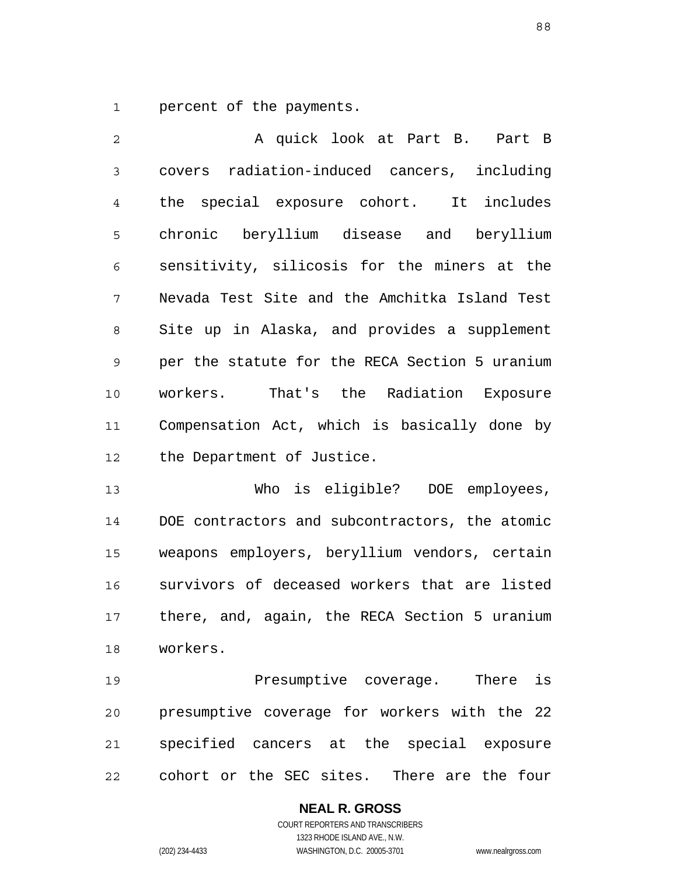1 percent of the payments.

2 3 4 5 6 7 8 9 10 11 12 A quick look at Part B. Part B covers radiation-induced cancers, including the special exposure cohort. It includes chronic beryllium disease and beryllium sensitivity, silicosis for the miners at the Nevada Test Site and the Amchitka Island Test Site up in Alaska, and provides a supplement per the statute for the RECA Section 5 uranium workers. That's the Radiation Exposure Compensation Act, which is basically done by the Department of Justice.

13 14 15 16 17 18 Who is eligible? DOE employees, DOE contractors and subcontractors, the atomic weapons employers, beryllium vendors, certain survivors of deceased workers that are listed there, and, again, the RECA Section 5 uranium workers.

19 20 21 22 Presumptive coverage. There is presumptive coverage for workers with the 22 specified cancers at the special exposure cohort or the SEC sites. There are the four

### **NEAL R. GROSS**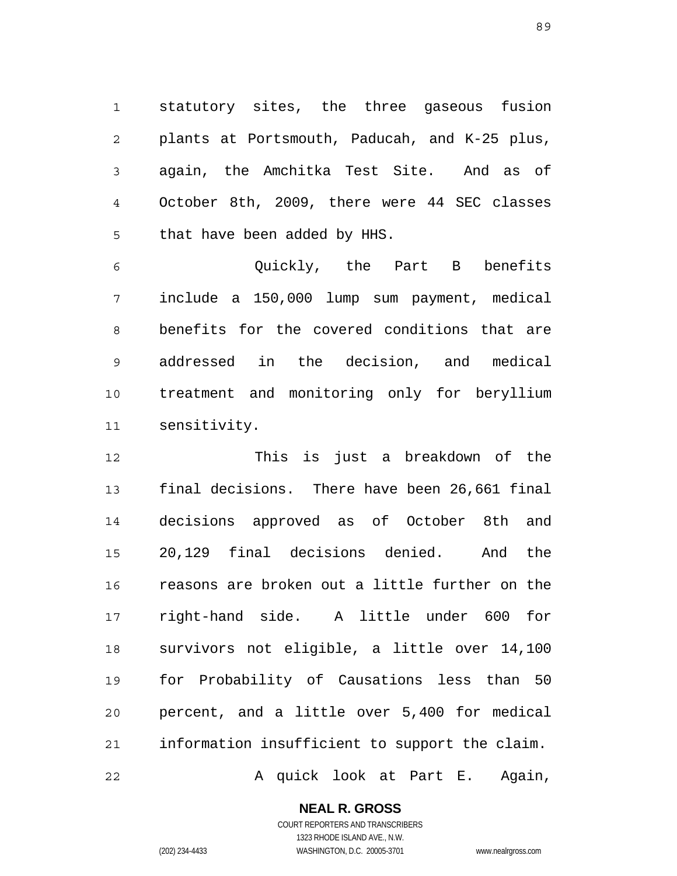1 2 3 4 5 statutory sites, the three gaseous fusion plants at Portsmouth, Paducah, and K-25 plus, again, the Amchitka Test Site. And as of October 8th, 2009, there were 44 SEC classes that have been added by HHS.

6 7 8 9 10 11 Quickly, the Part B benefits include a 150,000 lump sum payment, medical benefits for the covered conditions that are addressed in the decision, and medical treatment and monitoring only for beryllium sensitivity.

12 13 14 15 16 17 18 19 20 21 22 This is just a breakdown of the final decisions. There have been 26,661 final decisions approved as of October 8th and 20,129 final decisions denied. And the reasons are broken out a little further on the right-hand side. A little under 600 for survivors not eligible, a little over 14,100 for Probability of Causations less than 50 percent, and a little over 5,400 for medical information insufficient to support the claim. A quick look at Part E. Again,

> **NEAL R. GROSS** COURT REPORTERS AND TRANSCRIBERS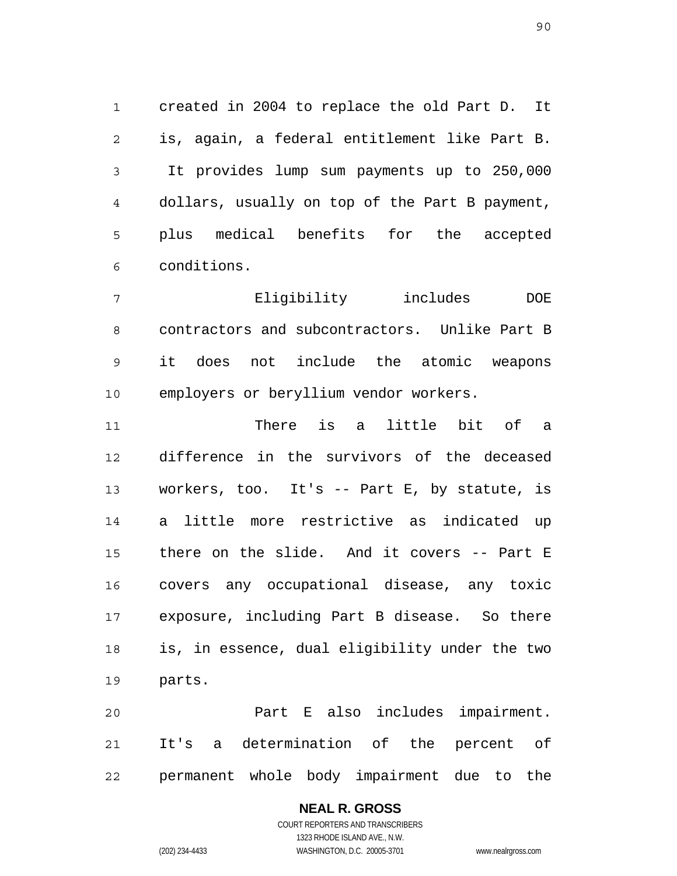1 2 3 4 5 6 created in 2004 to replace the old Part D. It is, again, a federal entitlement like Part B. It provides lump sum payments up to 250,000 dollars, usually on top of the Part B payment, plus medical benefits for the accepted conditions.

7 8 9 10 Eligibility includes DOE contractors and subcontractors. Unlike Part B it does not include the atomic weapons employers or beryllium vendor workers.

11 12 13 14 15 16 17 18 19 There is a little bit of a difference in the survivors of the deceased workers, too. It's -- Part E, by statute, is a little more restrictive as indicated up there on the slide. And it covers -- Part E covers any occupational disease, any toxic exposure, including Part B disease. So there is, in essence, dual eligibility under the two parts.

20 21 22 Part E also includes impairment. It's a determination of the percent of permanent whole body impairment due to the

### **NEAL R. GROSS**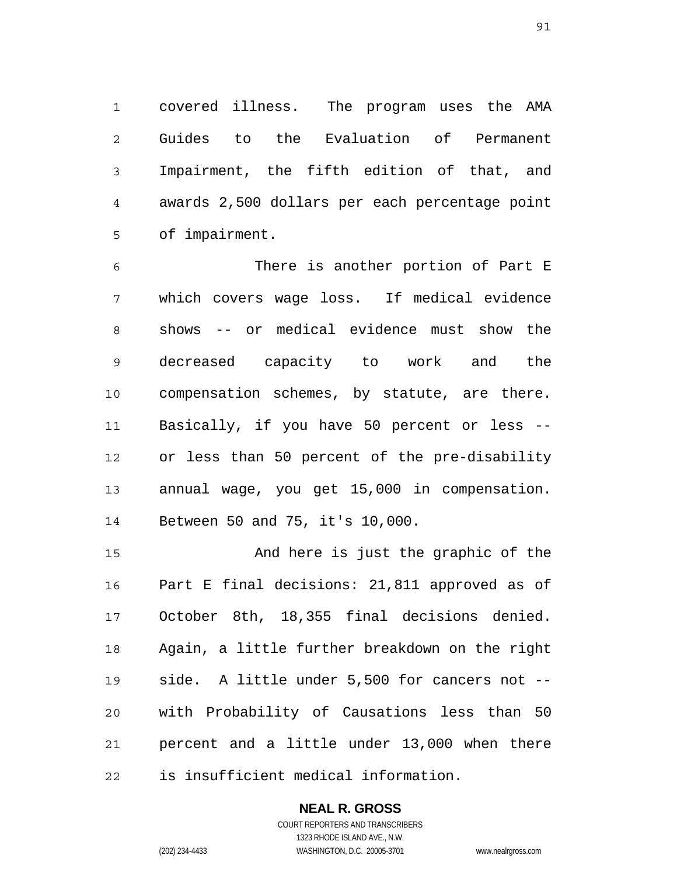1 2 3 4 5 covered illness. The program uses the AMA Guides to the Evaluation of Permanent Impairment, the fifth edition of that, and awards 2,500 dollars per each percentage point of impairment.

6 7 8 9 10 11 12 13 14 There is another portion of Part E which covers wage loss. If medical evidence shows -- or medical evidence must show the decreased capacity to work and the compensation schemes, by statute, are there. Basically, if you have 50 percent or less - or less than 50 percent of the pre-disability annual wage, you get 15,000 in compensation. Between 50 and 75, it's 10,000.

15 16 17 18 19 20 21 22 And here is just the graphic of the Part E final decisions: 21,811 approved as of October 8th, 18,355 final decisions denied. Again, a little further breakdown on the right side. A little under 5,500 for cancers not - with Probability of Causations less than 50 percent and a little under 13,000 when there is insufficient medical information.

### **NEAL R. GROSS**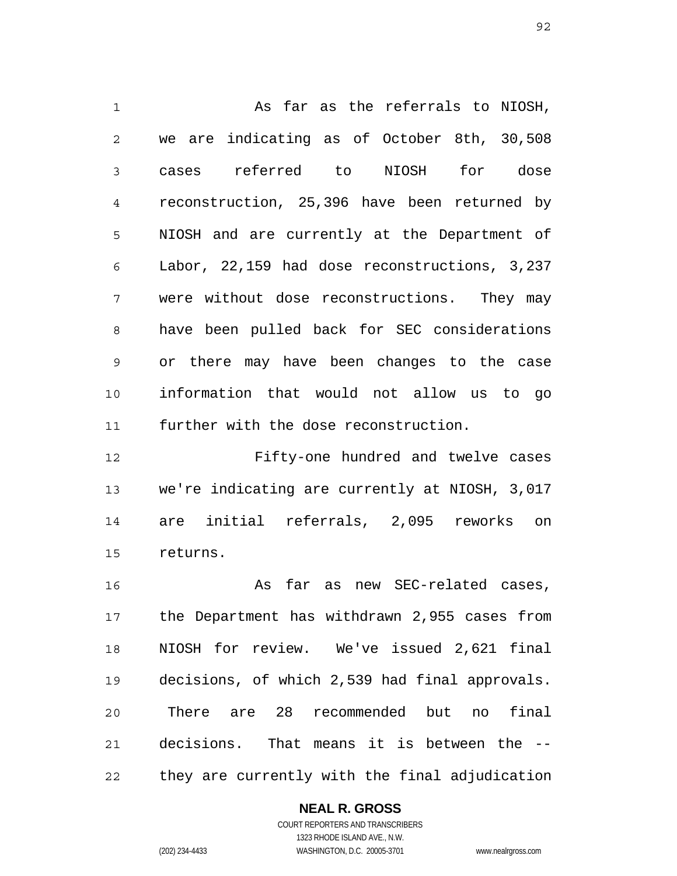1 2 3 4 5 6 7 8 9 10 11 12 As far as the referrals to NIOSH, we are indicating as of October 8th, 30,508 cases referred to NIOSH for dose reconstruction, 25,396 have been returned by NIOSH and are currently at the Department of Labor, 22,159 had dose reconstructions, 3,237 were without dose reconstructions. They may have been pulled back for SEC considerations or there may have been changes to the case information that would not allow us to go further with the dose reconstruction. Fifty-one hundred and twelve cases

13 14 15 we're indicating are currently at NIOSH, 3,017 are initial referrals, 2,095 reworks on returns.

16 17 18 19 20 21 22 As far as new SEC-related cases, the Department has withdrawn 2,955 cases from NIOSH for review. We've issued 2,621 final decisions, of which 2,539 had final approvals. There are 28 recommended but no final decisions. That means it is between the - they are currently with the final adjudication

#### **NEAL R. GROSS**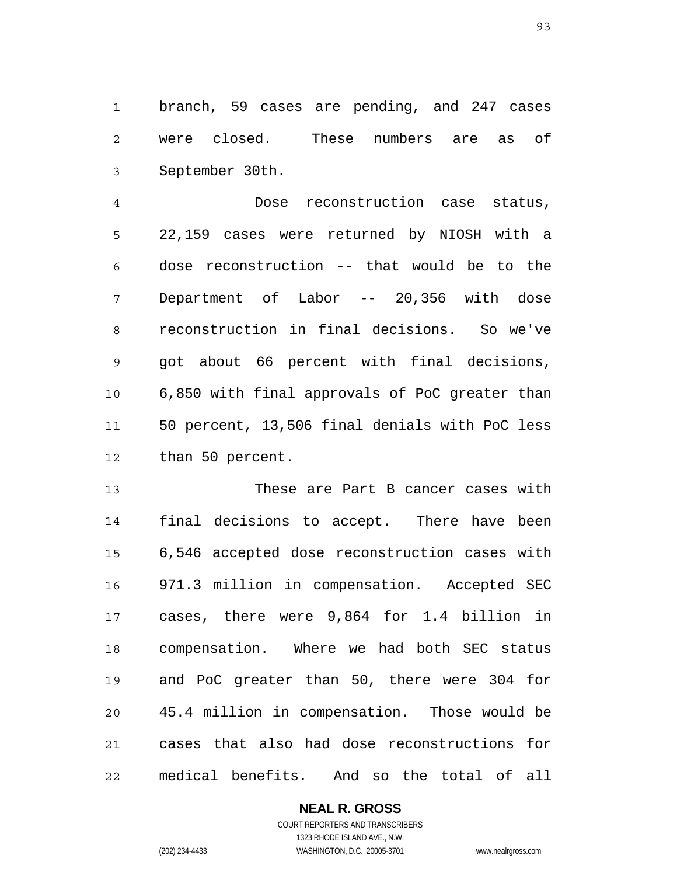1 2 3 branch, 59 cases are pending, and 247 cases were closed. These numbers are as of September 30th.

4 5 6 7 8 9 10 11 12 Dose reconstruction case status, 22,159 cases were returned by NIOSH with a dose reconstruction -- that would be to the Department of Labor -- 20,356 with dose reconstruction in final decisions. So we've got about 66 percent with final decisions, 6,850 with final approvals of PoC greater than 50 percent, 13,506 final denials with PoC less than 50 percent.

13 14 15 16 17 18 19 20 21 22 These are Part B cancer cases with final decisions to accept. There have been 6,546 accepted dose reconstruction cases with 971.3 million in compensation. Accepted SEC cases, there were 9,864 for 1.4 billion in compensation. Where we had both SEC status and PoC greater than 50, there were 304 for 45.4 million in compensation. Those would be cases that also had dose reconstructions for medical benefits. And so the total of all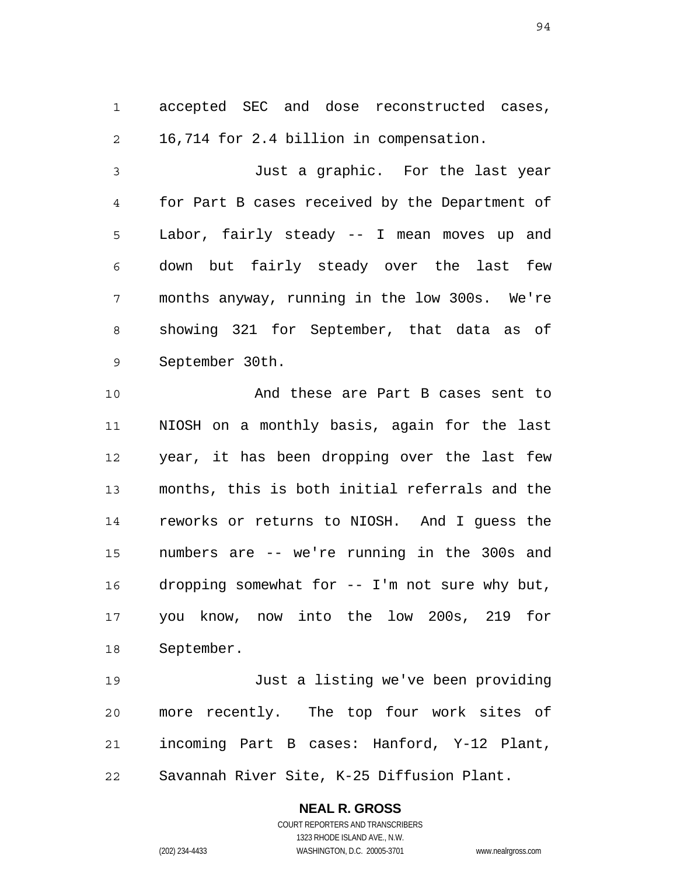1 2 accepted SEC and dose reconstructed cases, 16,714 for 2.4 billion in compensation.

3 4 5 6 7 8 9 Just a graphic. For the last year for Part B cases received by the Department of Labor, fairly steady -- I mean moves up and down but fairly steady over the last few months anyway, running in the low 300s. We're showing 321 for September, that data as of September 30th.

10 11 12 13 14 15 16 17 18 And these are Part B cases sent to NIOSH on a monthly basis, again for the last year, it has been dropping over the last few months, this is both initial referrals and the reworks or returns to NIOSH. And I guess the numbers are -- we're running in the 300s and dropping somewhat for -- I'm not sure why but, you know, now into the low 200s, 219 for September.

19 20 21 22 Just a listing we've been providing more recently. The top four work sites of incoming Part B cases: Hanford, Y-12 Plant, Savannah River Site, K-25 Diffusion Plant.

## **NEAL R. GROSS**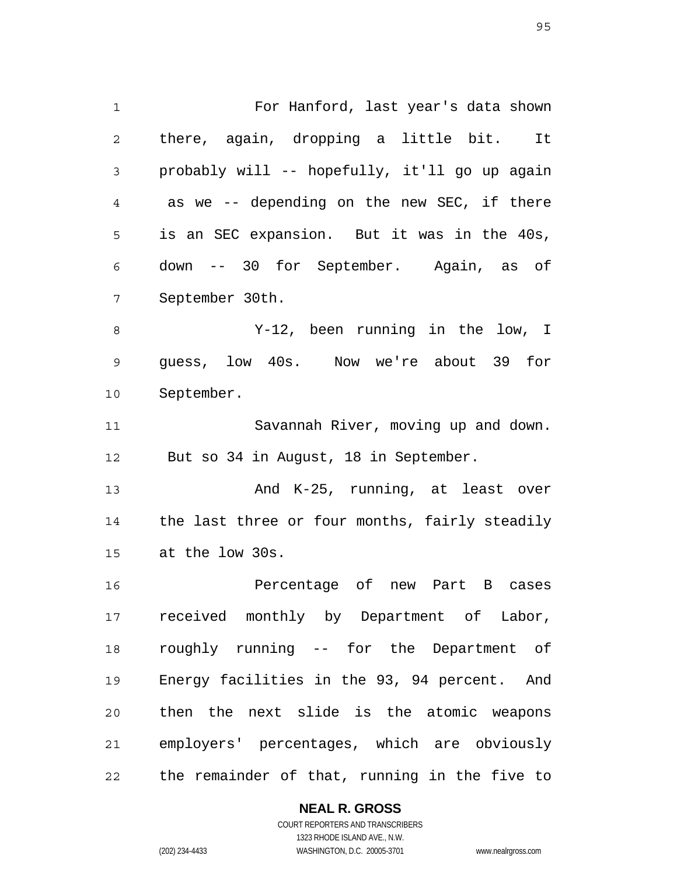1 2 3 4 5 6 7 8 9 10 11 12 13 14 15 16 17 18 19 20 21 22 For Hanford, last year's data shown there, again, dropping a little bit. It probably will -- hopefully, it'll go up again as we -- depending on the new SEC, if there is an SEC expansion. But it was in the 40s, down -- 30 for September. Again, as of September 30th. Y-12, been running in the low, I guess, low 40s. Now we're about 39 for September. Savannah River, moving up and down. But so 34 in August, 18 in September. And K-25, running, at least over the last three or four months, fairly steadily at the low 30s. Percentage of new Part B cases received monthly by Department of Labor, roughly running -- for the Department of Energy facilities in the 93, 94 percent. And then the next slide is the atomic weapons employers' percentages, which are obviously the remainder of that, running in the five to

**NEAL R. GROSS**

COURT REPORTERS AND TRANSCRIBERS 1323 RHODE ISLAND AVE., N.W. (202) 234-4433 WASHINGTON, D.C. 20005-3701 www.nealrgross.com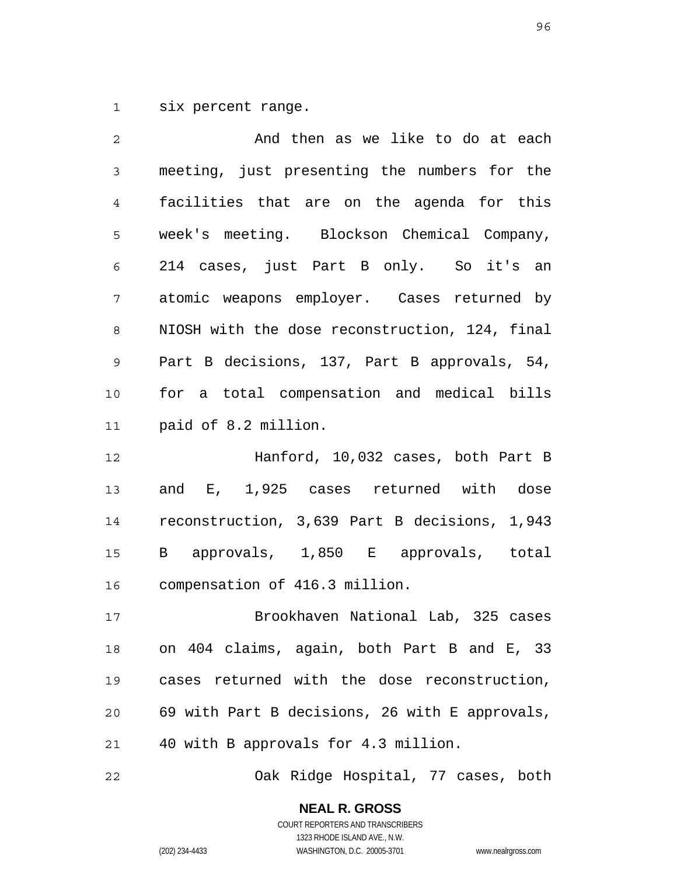1 six percent range.

| 2           | And then as we like to do at each              |
|-------------|------------------------------------------------|
| 3           | meeting, just presenting the numbers for the   |
| 4           | facilities that are on the agenda for this     |
| 5           | week's meeting. Blockson Chemical Company,     |
| 6           | 214 cases, just Part B only. So it's an        |
| 7           | atomic weapons employer. Cases returned by     |
| 8           | NIOSH with the dose reconstruction, 124, final |
| $\mathsf 9$ | Part B decisions, 137, Part B approvals, 54,   |
| 10          | for a total compensation and medical bills     |
| 11          | paid of 8.2 million.                           |
| 12          | Hanford, 10,032 cases, both Part B             |
| 13          | and E, 1,925 cases returned with dose          |
| 14          | reconstruction, 3,639 Part B decisions, 1,943  |
| 15          | B approvals, 1,850 E approvals, total          |
| 16          | compensation of 416.3 million.                 |
| 17          | Brookhaven National Lab, 325 cases             |
| 18          | on 404 claims, again, both Part B and E, 33    |
| 19          | cases returned with the dose reconstruction,   |
| 20          | 69 with Part B decisions, 26 with E approvals, |
| 21          | 40 with B approvals for 4.3 million.           |
|             |                                                |

Oak Ridge Hospital, 77 cases, both

# **NEAL R. GROSS**

22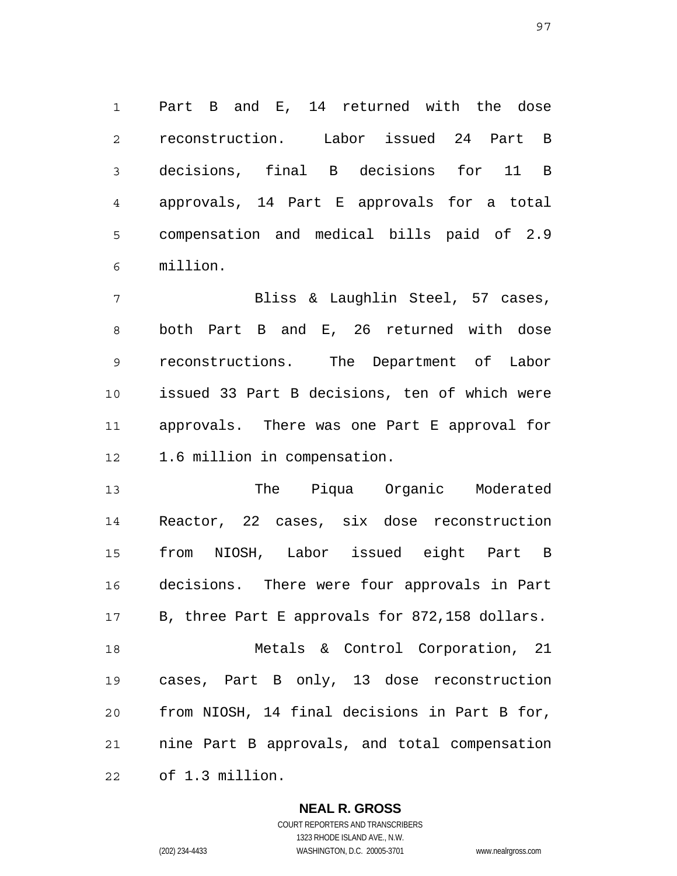1 2 3 4 5 6 Part B and E, 14 returned with the dose reconstruction. Labor issued 24 Part B decisions, final B decisions for 11 B approvals, 14 Part E approvals for a total compensation and medical bills paid of 2.9 million.

7 8 9 10 11 12 Bliss & Laughlin Steel, 57 cases, both Part B and E, 26 returned with dose reconstructions. The Department of Labor issued 33 Part B decisions, ten of which were approvals. There was one Part E approval for 1.6 million in compensation.

13 14 15 16 17 18 19 20 21 22 The Piqua Organic Moderated Reactor, 22 cases, six dose reconstruction from NIOSH, Labor issued eight Part B decisions. There were four approvals in Part B, three Part E approvals for 872,158 dollars. Metals & Control Corporation, 21 cases, Part B only, 13 dose reconstruction from NIOSH, 14 final decisions in Part B for, nine Part B approvals, and total compensation of 1.3 million.

**NEAL R. GROSS**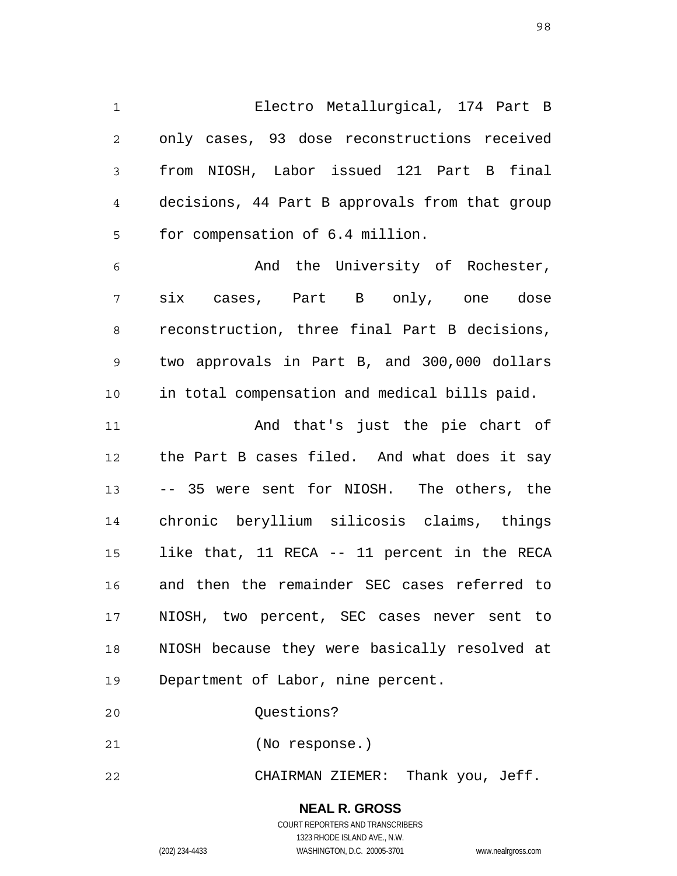1 2 3 4 5 Electro Metallurgical, 174 Part B only cases, 93 dose reconstructions received from NIOSH, Labor issued 121 Part B final decisions, 44 Part B approvals from that group for compensation of 6.4 million.

6 7 8 9 10 And the University of Rochester, six cases, Part B only, one dose reconstruction, three final Part B decisions, two approvals in Part B, and 300,000 dollars in total compensation and medical bills paid.

11 12 13 14 15 16 17 18 19 And that's just the pie chart of the Part B cases filed. And what does it say -- 35 were sent for NIOSH. The others, the chronic beryllium silicosis claims, things like that, 11 RECA -- 11 percent in the RECA and then the remainder SEC cases referred to NIOSH, two percent, SEC cases never sent to NIOSH because they were basically resolved at Department of Labor, nine percent.

20 Questions?

21 (No response.)

22 CHAIRMAN ZIEMER: Thank you, Jeff.

> **NEAL R. GROSS** COURT REPORTERS AND TRANSCRIBERS 1323 RHODE ISLAND AVE., N.W. (202) 234-4433 WASHINGTON, D.C. 20005-3701 www.nealrgross.com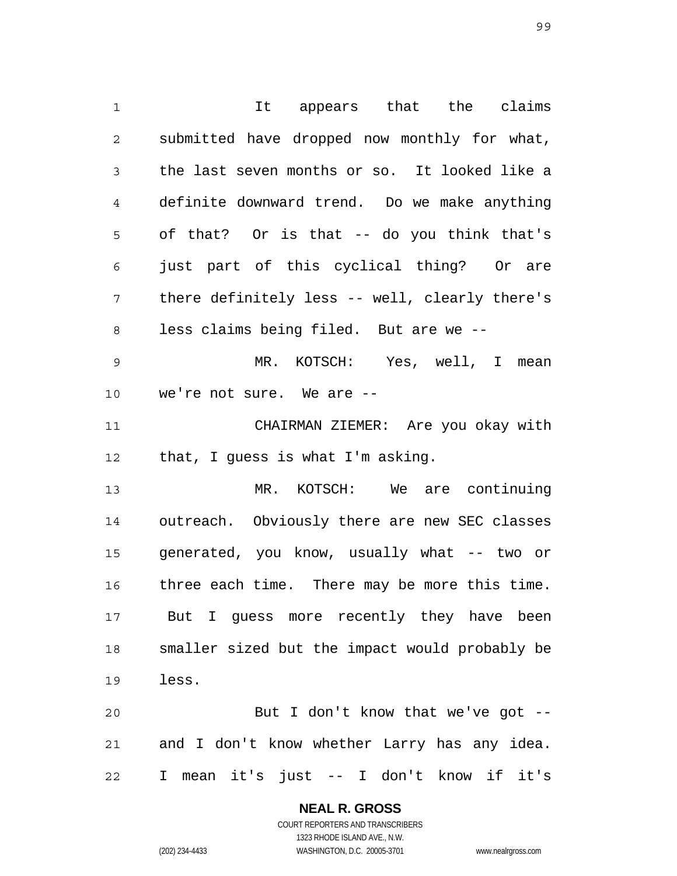1 2 3 4 5 6 7 8 9 10 11 12 13 14 15 16 17 18 19 It appears that the claims submitted have dropped now monthly for what, the last seven months or so. It looked like a definite downward trend. Do we make anything of that? Or is that -- do you think that's just part of this cyclical thing? Or are there definitely less -- well, clearly there's less claims being filed. But are we -- MR. KOTSCH: Yes, well, I mean we're not sure. We are -- CHAIRMAN ZIEMER: Are you okay with that, I guess is what I'm asking. MR. KOTSCH: We are continuing outreach. Obviously there are new SEC classes generated, you know, usually what -- two or three each time. There may be more this time. But I guess more recently they have been smaller sized but the impact would probably be less. But I don't know that we've got --

20 21 22 and I don't know whether Larry has any idea. I mean it's just -- I don't know if it's

> **NEAL R. GROSS** COURT REPORTERS AND TRANSCRIBERS 1323 RHODE ISLAND AVE., N.W. (202) 234-4433 WASHINGTON, D.C. 20005-3701 www.nealrgross.com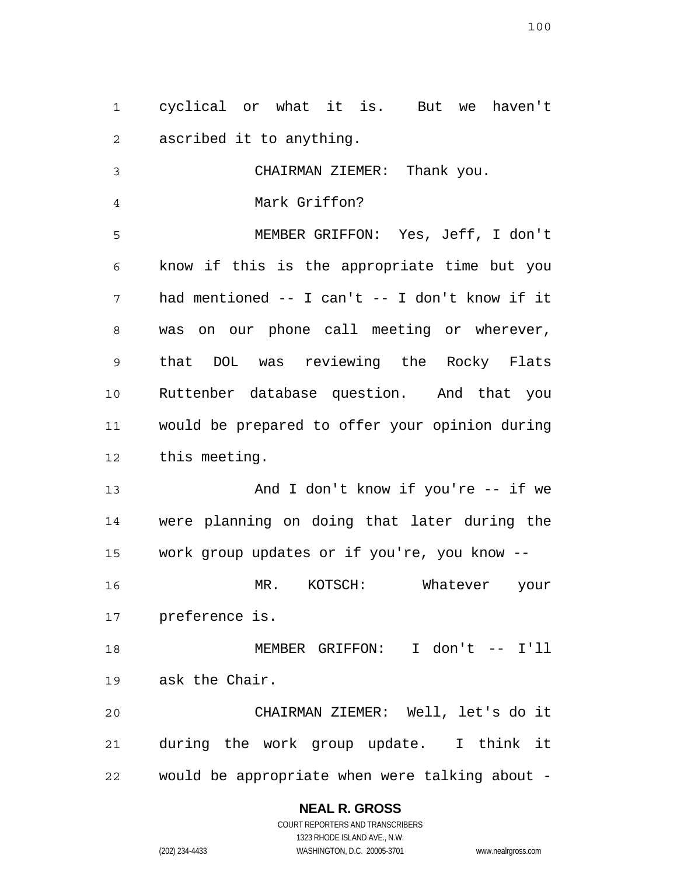1 2 cyclical or what it is. But we haven't ascribed it to anything.

3 4 5 6 7 8 9 10 11 12 13 14 15 16 17 18 19 20 21 22 CHAIRMAN ZIEMER: Thank you. Mark Griffon? MEMBER GRIFFON: Yes, Jeff, I don't know if this is the appropriate time but you had mentioned -- I can't -- I don't know if it was on our phone call meeting or wherever, that DOL was reviewing the Rocky Flats Ruttenber database question. And that you would be prepared to offer your opinion during this meeting. And I don't know if you're -- if we were planning on doing that later during the work group updates or if you're, you know -- MR. KOTSCH: Whatever your preference is. MEMBER GRIFFON: I don't -- I'll ask the Chair. CHAIRMAN ZIEMER: Well, let's do it during the work group update. I think it would be appropriate when were talking about -

#### **NEAL R. GROSS**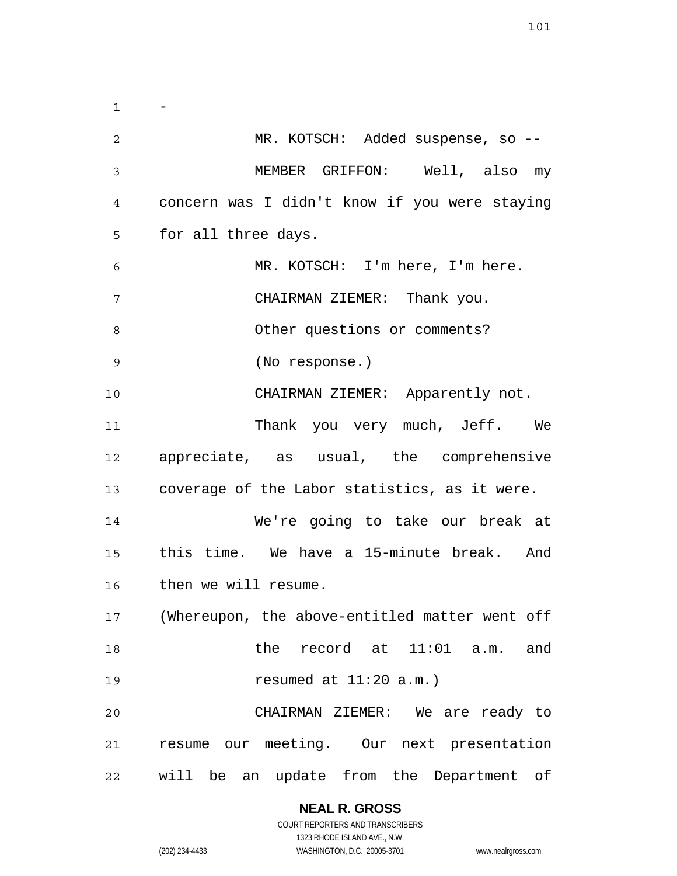1 2 3 4 5 6 7 8 9 10 11 12 13 14 15 16 17 18 19 20 21 22 - MR. KOTSCH: Added suspense, so -- MEMBER GRIFFON: Well, also my concern was I didn't know if you were staying for all three days. MR. KOTSCH: I'm here, I'm here. CHAIRMAN ZIEMER: Thank you. Other questions or comments? (No response.) CHAIRMAN ZIEMER: Apparently not. Thank you very much, Jeff. We appreciate, as usual, the comprehensive coverage of the Labor statistics, as it were. We're going to take our break at this time. We have a 15-minute break. And then we will resume. (Whereupon, the above-entitled matter went off the record at 11:01 a.m. and resumed at 11:20 a.m.) CHAIRMAN ZIEMER: We are ready to resume our meeting. Our next presentation will be an update from the Department of

> **NEAL R. GROSS** COURT REPORTERS AND TRANSCRIBERS

1323 RHODE ISLAND AVE., N.W. (202) 234-4433 WASHINGTON, D.C. 20005-3701 www.nealrgross.com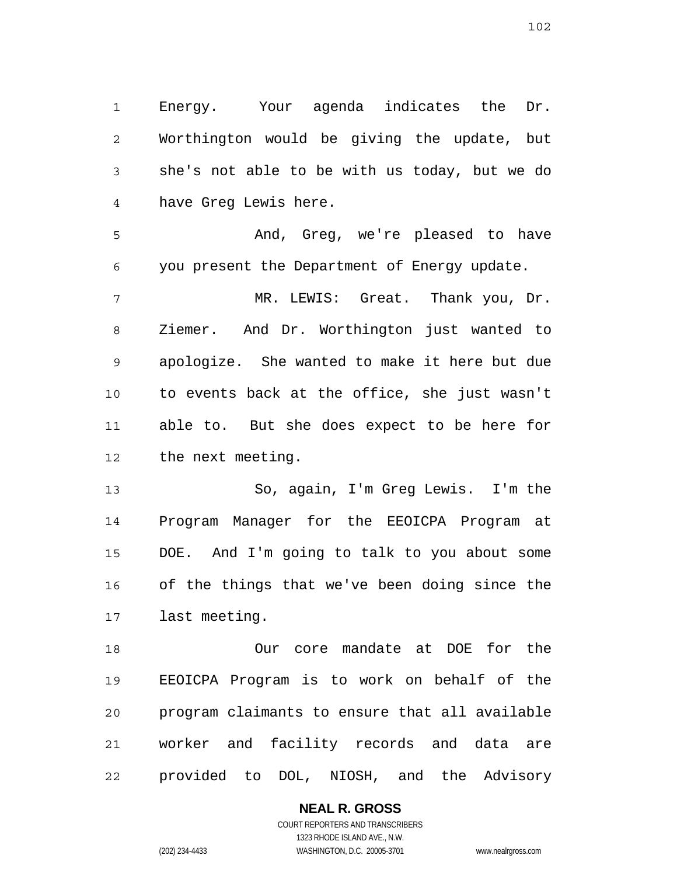1 2 3 4 Energy. Your agenda indicates the Dr. Worthington would be giving the update, but she's not able to be with us today, but we do have Greg Lewis here.

5 6 And, Greg, we're pleased to have you present the Department of Energy update.

7 8 9 10 11 12 MR. LEWIS: Great. Thank you, Dr. Ziemer. And Dr. Worthington just wanted to apologize. She wanted to make it here but due to events back at the office, she just wasn't able to. But she does expect to be here for the next meeting.

13 14 15 16 17 So, again, I'm Greg Lewis. I'm the Program Manager for the EEOICPA Program at DOE. And I'm going to talk to you about some of the things that we've been doing since the last meeting.

18 19 20 21 22 Our core mandate at DOE for the EEOICPA Program is to work on behalf of the program claimants to ensure that all available worker and facility records and data are provided to DOL, NIOSH, and the Advisory

> **NEAL R. GROSS** COURT REPORTERS AND TRANSCRIBERS

> > 1323 RHODE ISLAND AVE., N.W.

(202) 234-4433 WASHINGTON, D.C. 20005-3701 www.nealrgross.com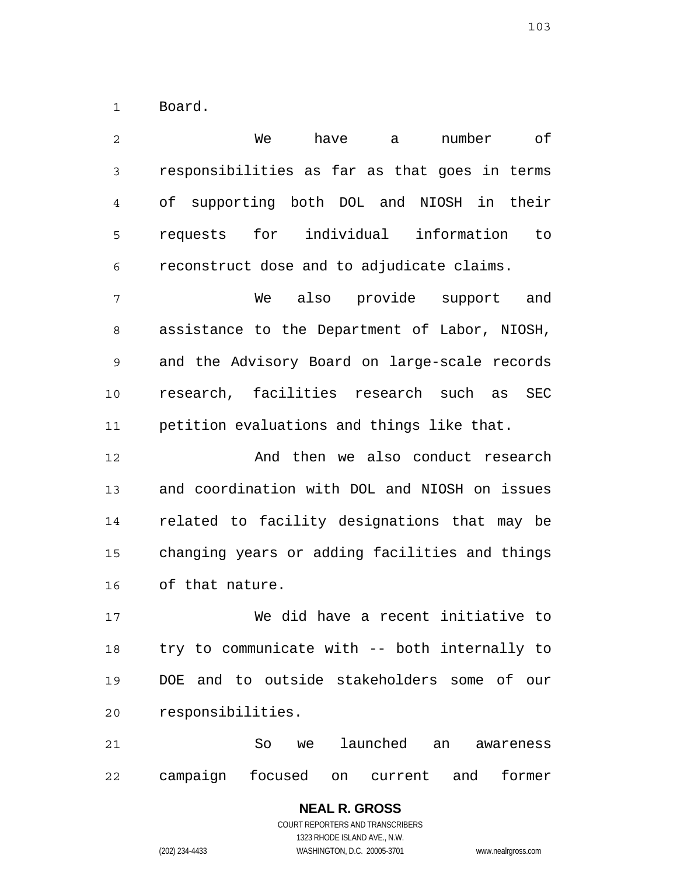1 Board.

| $\overline{c}$ | We<br>have<br>number<br>оf<br>a                       |
|----------------|-------------------------------------------------------|
| $\mathfrak{Z}$ | responsibilities as far as that goes in terms         |
| 4              | of supporting both DOL and NIOSH in their             |
| 5              | requests for individual information<br>to             |
| 6              | reconstruct dose and to adjudicate claims.            |
| 7              | also provide support and<br>We                        |
| 8              | assistance to the Department of Labor, NIOSH,         |
| 9              | and the Advisory Board on large-scale records         |
| 10             | research, facilities research such as<br><b>SEC</b>   |
| 11             | petition evaluations and things like that.            |
| 12             | And then we also conduct research                     |
| 13             | and coordination with DOL and NIOSH on issues         |
| 14             | related to facility designations that may be          |
| 15             | changing years or adding facilities and things        |
| 16             | of that nature.                                       |
| 17             | We did have a recent initiative to                    |
| 18             | try to communicate with -- both internally to         |
| 19             | DOE and to outside stakeholders some of our           |
| 20             | responsibilities.                                     |
| 21             | launched<br>So<br>we<br>an<br>awareness               |
| 22             | campaign<br>focused<br>and<br>former<br>on<br>current |

(202) 234-4433 WASHINGTON, D.C. 20005-3701 www.nealrgross.com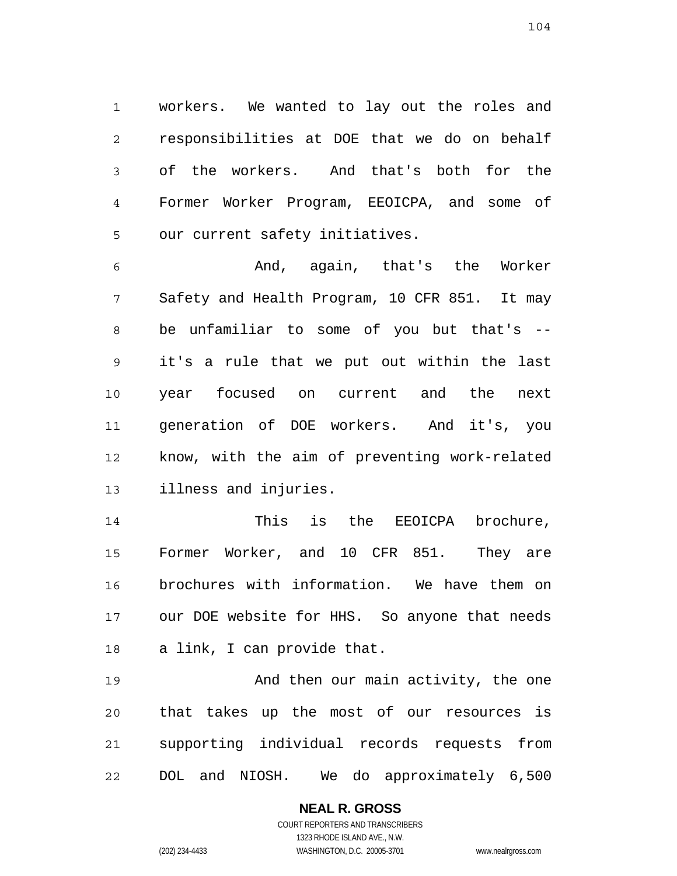1 2 3 4 5 workers. We wanted to lay out the roles and responsibilities at DOE that we do on behalf of the workers. And that's both for the Former Worker Program, EEOICPA, and some of our current safety initiatives.

6 7 8 9 10 11 12 13 And, again, that's the Worker Safety and Health Program, 10 CFR 851. It may be unfamiliar to some of you but that's - it's a rule that we put out within the last year focused on current and the next generation of DOE workers. And it's, you know, with the aim of preventing work-related illness and injuries.

14 15 16 17 18 This is the EEOICPA brochure, Former Worker, and 10 CFR 851. They are brochures with information. We have them on our DOE website for HHS. So anyone that needs a link, I can provide that.

19 20 21 22 And then our main activity, the one that takes up the most of our resources is supporting individual records requests from DOL and NIOSH. We do approximately 6,500

**NEAL R. GROSS**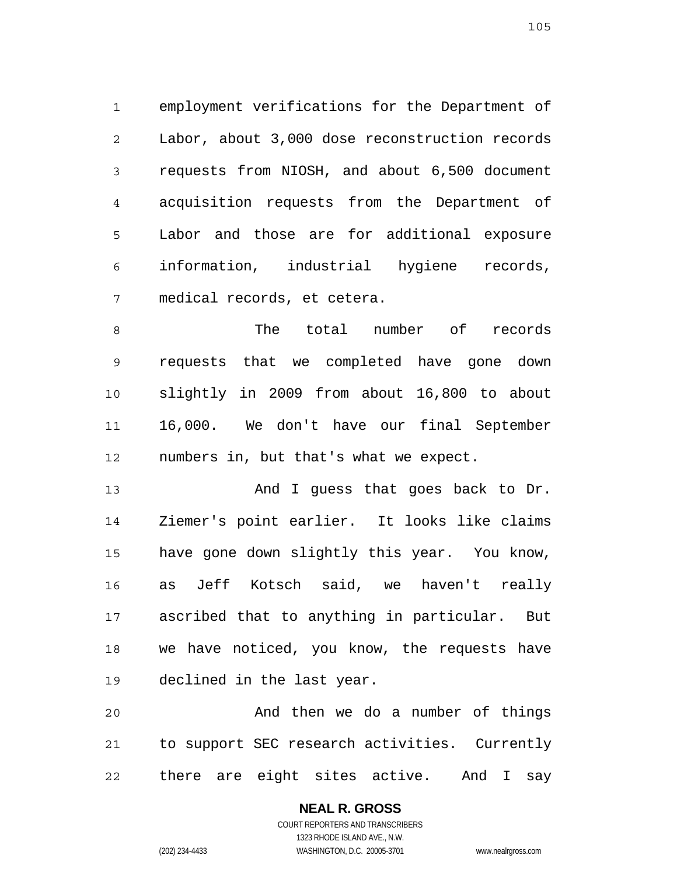1 2 3 4 5 6 7 employment verifications for the Department of Labor, about 3,000 dose reconstruction records requests from NIOSH, and about 6,500 document acquisition requests from the Department of Labor and those are for additional exposure information, industrial hygiene records, medical records, et cetera.

8 9 10 11 12 The total number of records requests that we completed have gone down slightly in 2009 from about 16,800 to about 16,000. We don't have our final September numbers in, but that's what we expect.

13 14 15 16 17 18 19 And I guess that goes back to Dr. Ziemer's point earlier. It looks like claims have gone down slightly this year. You know, as Jeff Kotsch said, we haven't really ascribed that to anything in particular. But we have noticed, you know, the requests have declined in the last year.

20 21 22 And then we do a number of things to support SEC research activities. Currently there are eight sites active. And I say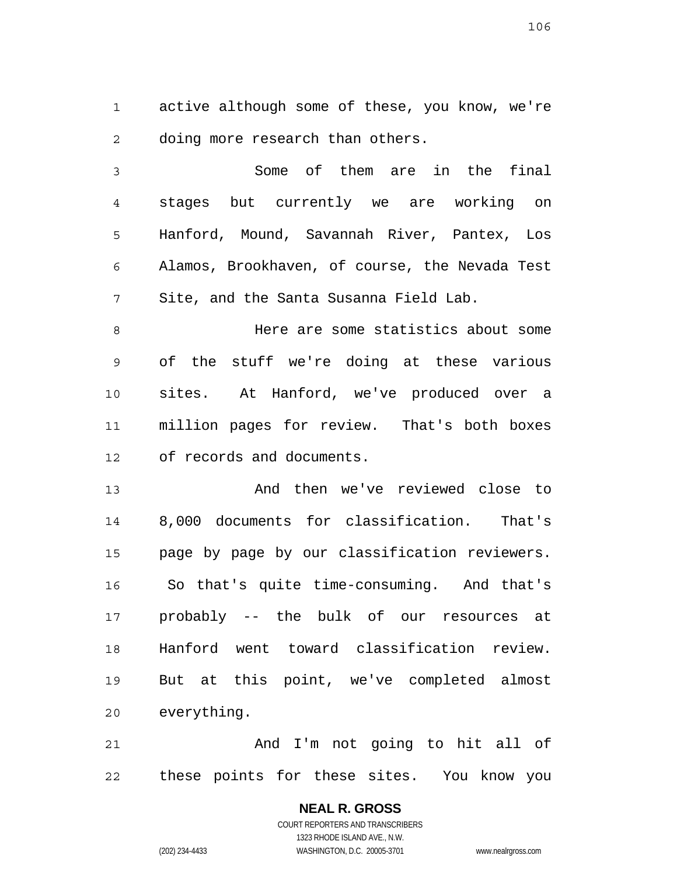1 2 active although some of these, you know, we're doing more research than others.

3 4 5 6 7 Some of them are in the final stages but currently we are working on Hanford, Mound, Savannah River, Pantex, Los Alamos, Brookhaven, of course, the Nevada Test Site, and the Santa Susanna Field Lab.

8 9 10 11 12 Here are some statistics about some of the stuff we're doing at these various sites. At Hanford, we've produced over a million pages for review. That's both boxes of records and documents.

13 14 15 16 17 18 19 20 And then we've reviewed close to 8,000 documents for classification. That's page by page by our classification reviewers. So that's quite time-consuming. And that's probably -- the bulk of our resources at Hanford went toward classification review. But at this point, we've completed almost everything.

21 22 And I'm not going to hit all of these points for these sites. You know you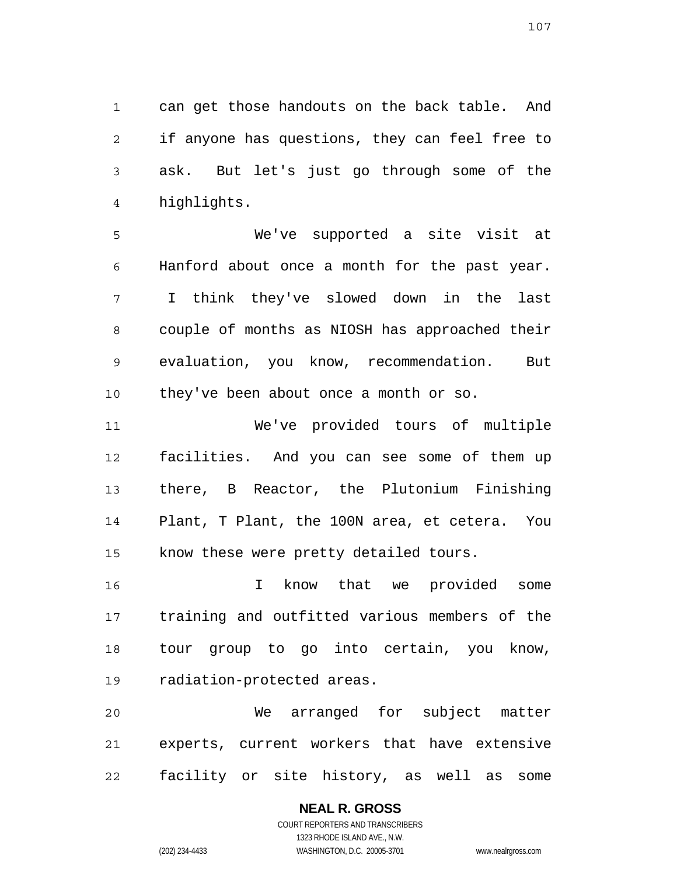1 2 3 4 can get those handouts on the back table. And if anyone has questions, they can feel free to ask. But let's just go through some of the highlights.

5 6 7 8 9 10 We've supported a site visit at Hanford about once a month for the past year. I think they've slowed down in the last couple of months as NIOSH has approached their evaluation, you know, recommendation. But they've been about once a month or so.

11 12 13 14 15 We've provided tours of multiple facilities. And you can see some of them up there, B Reactor, the Plutonium Finishing Plant, T Plant, the 100N area, et cetera. You know these were pretty detailed tours.

16 17 18 19 I know that we provided some training and outfitted various members of the tour group to go into certain, you know, radiation-protected areas.

20 21 22 We arranged for subject matter experts, current workers that have extensive facility or site history, as well as some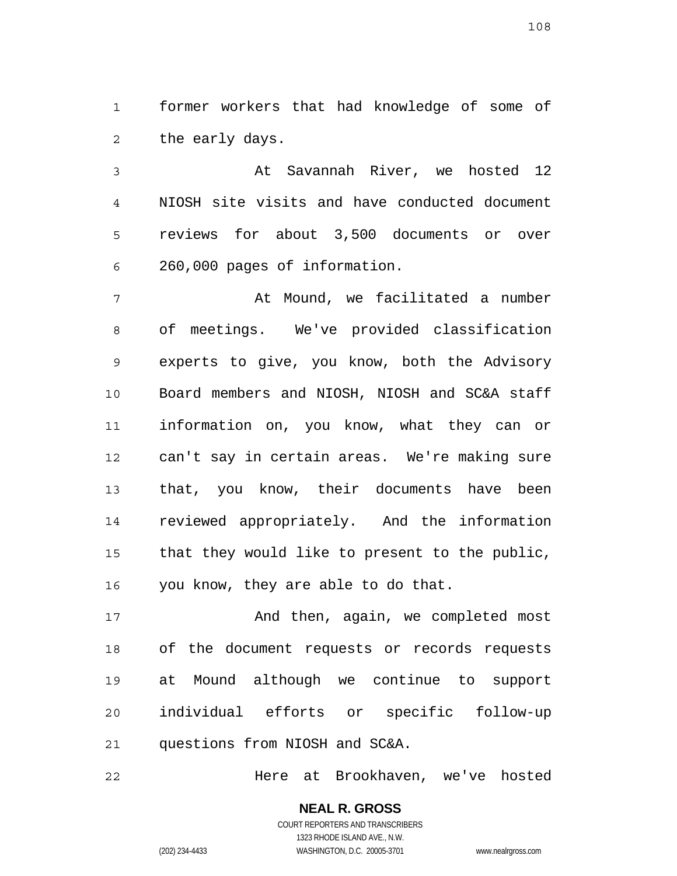1 2 former workers that had knowledge of some of the early days.

3 4 5 6 At Savannah River, we hosted 12 NIOSH site visits and have conducted document reviews for about 3,500 documents or over 260,000 pages of information.

7 8 9 10 11 12 13 14 15 16 At Mound, we facilitated a number of meetings. We've provided classification experts to give, you know, both the Advisory Board members and NIOSH, NIOSH and SC&A staff information on, you know, what they can or can't say in certain areas. We're making sure that, you know, their documents have been reviewed appropriately. And the information that they would like to present to the public, you know, they are able to do that.

17 18 19 20 21 And then, again, we completed most of the document requests or records requests at Mound although we continue to support individual efforts or specific follow-up questions from NIOSH and SC&A.

22 Here at Brookhaven, we've hosted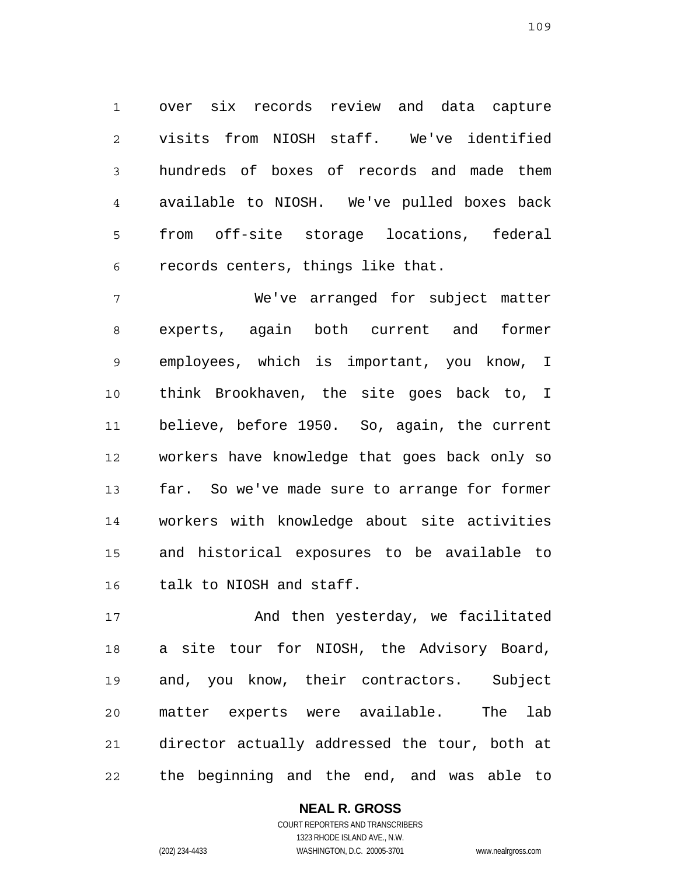1 2 3 4 5 6 over six records review and data capture visits from NIOSH staff. We've identified hundreds of boxes of records and made them available to NIOSH. We've pulled boxes back from off-site storage locations, federal records centers, things like that.

7 8 9 10 11 12 13 14 15 16 We've arranged for subject matter experts, again both current and former employees, which is important, you know, I think Brookhaven, the site goes back to, I believe, before 1950. So, again, the current workers have knowledge that goes back only so far. So we've made sure to arrange for former workers with knowledge about site activities and historical exposures to be available to talk to NIOSH and staff.

17 18 19 20 21 22 And then yesterday, we facilitated a site tour for NIOSH, the Advisory Board, and, you know, their contractors. Subject matter experts were available. The lab director actually addressed the tour, both at the beginning and the end, and was able to

> **NEAL R. GROSS** COURT REPORTERS AND TRANSCRIBERS 1323 RHODE ISLAND AVE., N.W.

(202) 234-4433 WASHINGTON, D.C. 20005-3701 www.nealrgross.com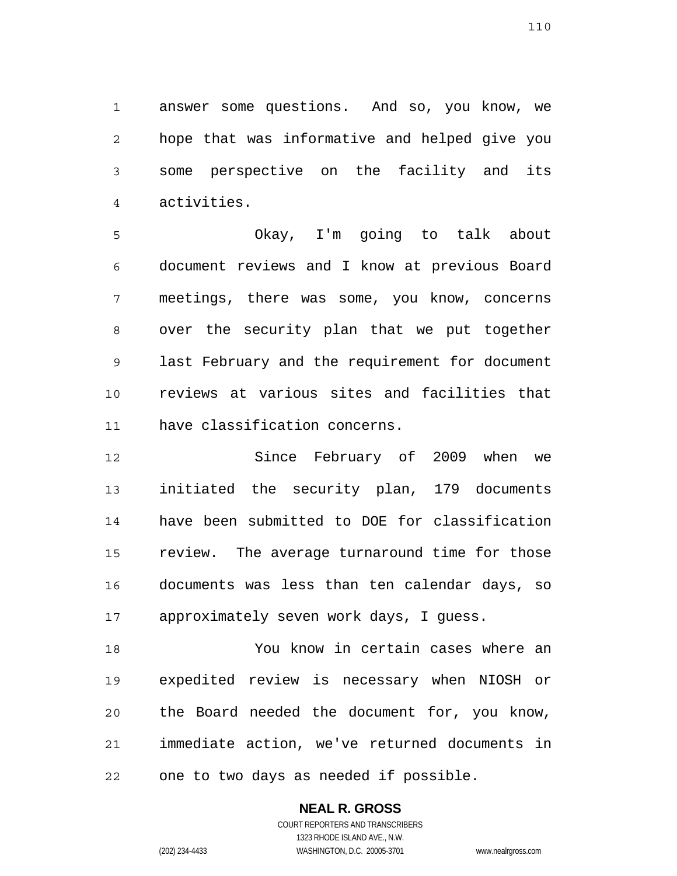1 2 3 4 answer some questions. And so, you know, we hope that was informative and helped give you some perspective on the facility and its activities.

5 6 7 8 9 10 11 Okay, I'm going to talk about document reviews and I know at previous Board meetings, there was some, you know, concerns over the security plan that we put together last February and the requirement for document reviews at various sites and facilities that have classification concerns.

12 13 14 15 16 17 Since February of 2009 when we initiated the security plan, 179 documents have been submitted to DOE for classification review. The average turnaround time for those documents was less than ten calendar days, so approximately seven work days, I guess.

18 19 20 21 22 You know in certain cases where an expedited review is necessary when NIOSH or the Board needed the document for, you know, immediate action, we've returned documents in one to two days as needed if possible.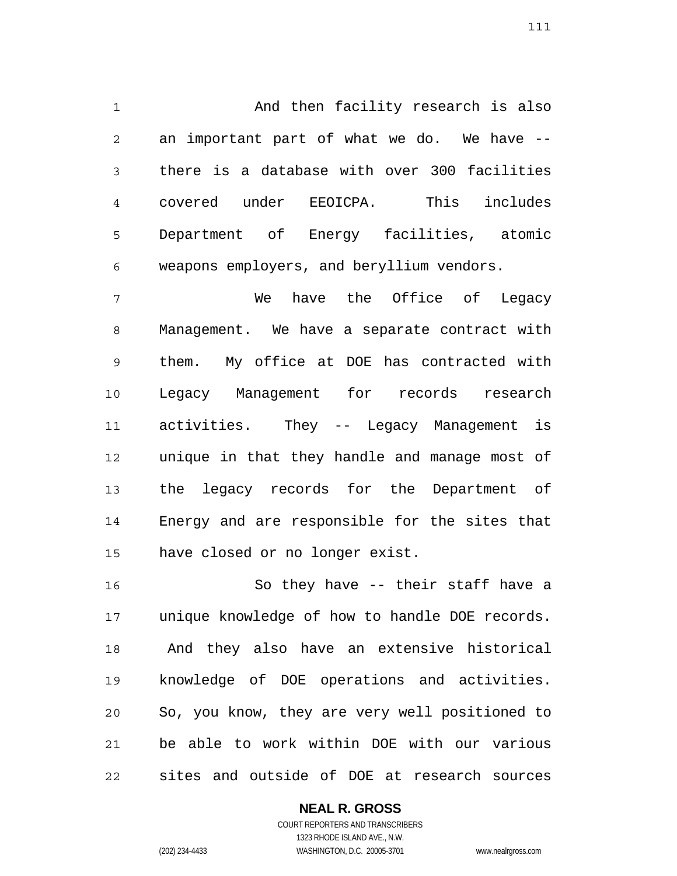1 2 3 4 5 6 And then facility research is also an important part of what we do. We have - there is a database with over 300 facilities covered under EEOICPA. This includes Department of Energy facilities, atomic weapons employers, and beryllium vendors.

7 8 9 10 11 12 13 14 15 We have the Office of Legacy Management. We have a separate contract with them. My office at DOE has contracted with Legacy Management for records research activities. They -- Legacy Management is unique in that they handle and manage most of the legacy records for the Department of Energy and are responsible for the sites that have closed or no longer exist.

16 17 18 19 20 21 22 So they have -- their staff have a unique knowledge of how to handle DOE records. And they also have an extensive historical knowledge of DOE operations and activities. So, you know, they are very well positioned to be able to work within DOE with our various sites and outside of DOE at research sources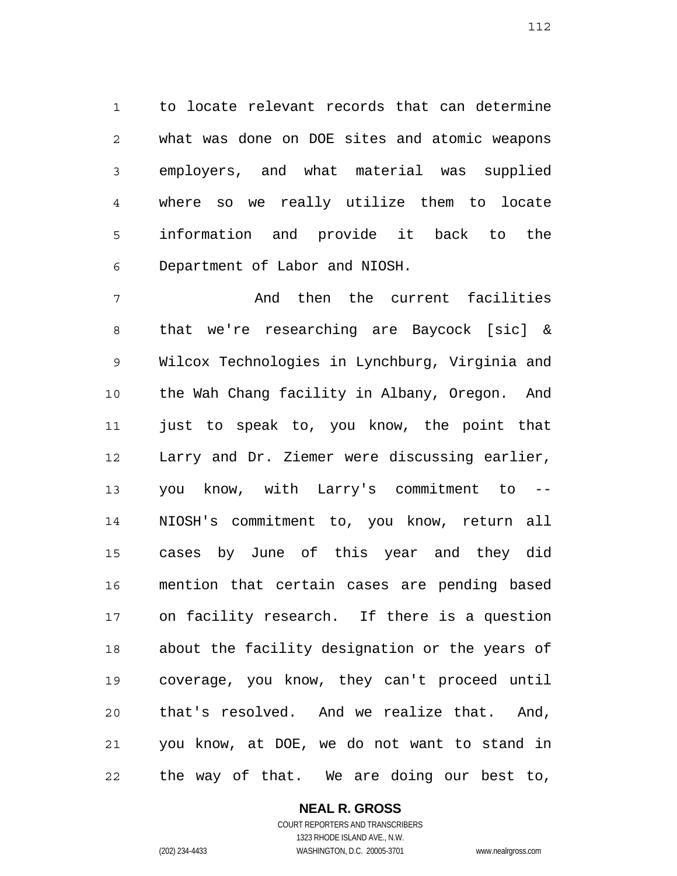1 2 3 4 5 6 to locate relevant records that can determine what was done on DOE sites and atomic weapons employers, and what material was supplied where so we really utilize them to locate information and provide it back to the Department of Labor and NIOSH.

7 8 9 10 11 12 13 14 15 16 17 18 19 20 21 22 And then the current facilities that we're researching are Baycock [sic] & Wilcox Technologies in Lynchburg, Virginia and the Wah Chang facility in Albany, Oregon. And just to speak to, you know, the point that Larry and Dr. Ziemer were discussing earlier, you know, with Larry's commitment to -- NIOSH's commitment to, you know, return all cases by June of this year and they did mention that certain cases are pending based on facility research. If there is a question about the facility designation or the years of coverage, you know, they can't proceed until that's resolved. And we realize that. And, you know, at DOE, we do not want to stand in the way of that. We are doing our best to,

> **NEAL R. GROSS** COURT REPORTERS AND TRANSCRIBERS

1323 RHODE ISLAND AVE., N.W. (202) 234-4433 WASHINGTON, D.C. 20005-3701 www.nealrgross.com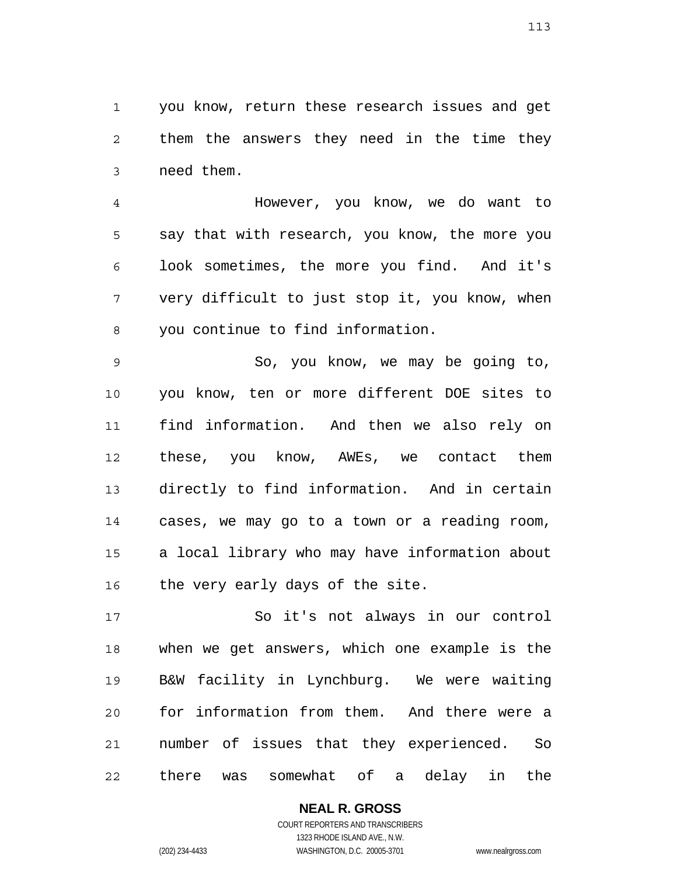1 2 3 you know, return these research issues and get them the answers they need in the time they need them.

4 5 6 7 8 However, you know, we do want to say that with research, you know, the more you look sometimes, the more you find. And it's very difficult to just stop it, you know, when you continue to find information.

9 10 11 12 13 14 15 16 So, you know, we may be going to, you know, ten or more different DOE sites to find information. And then we also rely on these, you know, AWEs, we contact them directly to find information. And in certain cases, we may go to a town or a reading room, a local library who may have information about the very early days of the site.

17 18 19 20 21 22 So it's not always in our control when we get answers, which one example is the B&W facility in Lynchburg. We were waiting for information from them. And there were a number of issues that they experienced. So there was somewhat of a delay in the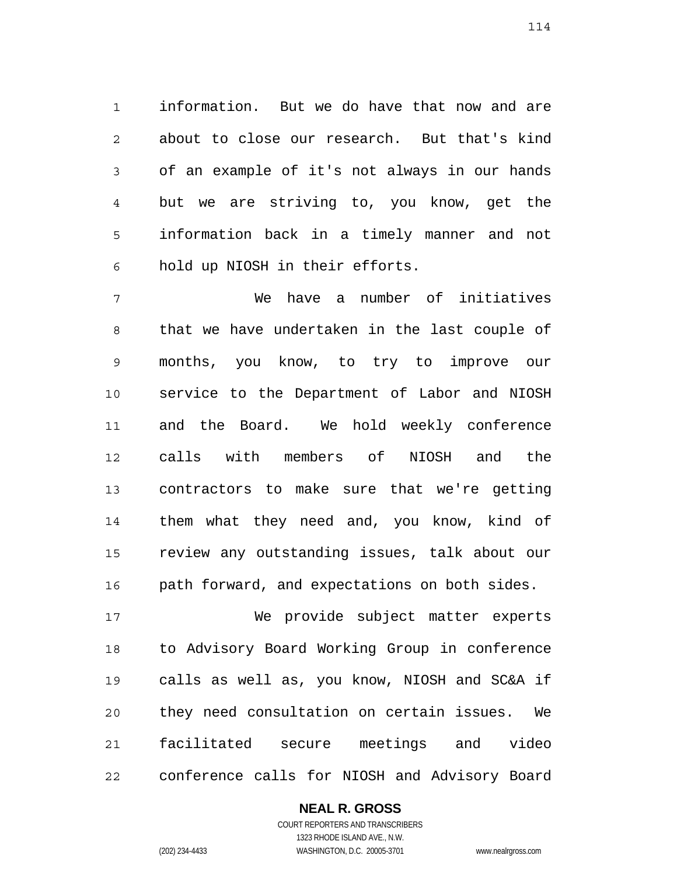1 2 3 4 5 6 information. But we do have that now and are about to close our research. But that's kind of an example of it's not always in our hands but we are striving to, you know, get the information back in a timely manner and not hold up NIOSH in their efforts.

7 8 9 10 11 12 13 14 15 16 We have a number of initiatives that we have undertaken in the last couple of months, you know, to try to improve our service to the Department of Labor and NIOSH and the Board. We hold weekly conference calls with members of NIOSH and the contractors to make sure that we're getting them what they need and, you know, kind of review any outstanding issues, talk about our path forward, and expectations on both sides.

17 18 19 20 21 22 We provide subject matter experts to Advisory Board Working Group in conference calls as well as, you know, NIOSH and SC&A if they need consultation on certain issues. We facilitated secure meetings and video conference calls for NIOSH and Advisory Board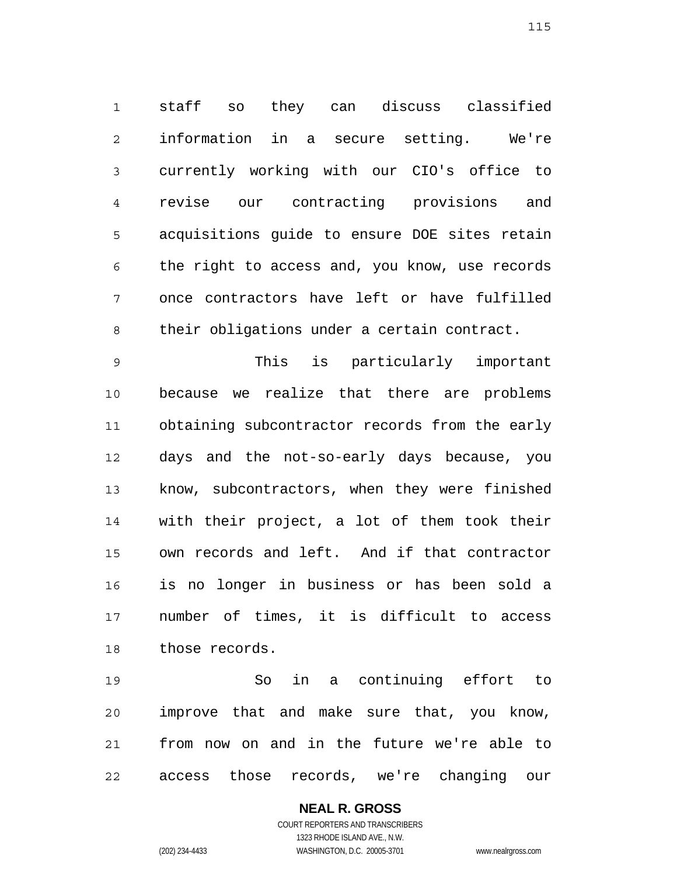1 2 3 4 5 6 7 8 staff so they can discuss classified information in a secure setting. We're currently working with our CIO's office to revise our contracting provisions and acquisitions guide to ensure DOE sites retain the right to access and, you know, use records once contractors have left or have fulfilled their obligations under a certain contract.

9 10 11 12 13 14 15 16 17 18 This is particularly important because we realize that there are problems obtaining subcontractor records from the early days and the not-so-early days because, you know, subcontractors, when they were finished with their project, a lot of them took their own records and left. And if that contractor is no longer in business or has been sold a number of times, it is difficult to access those records.

19 20 21 22 So in a continuing effort to improve that and make sure that, you know, from now on and in the future we're able to access those records, we're changing our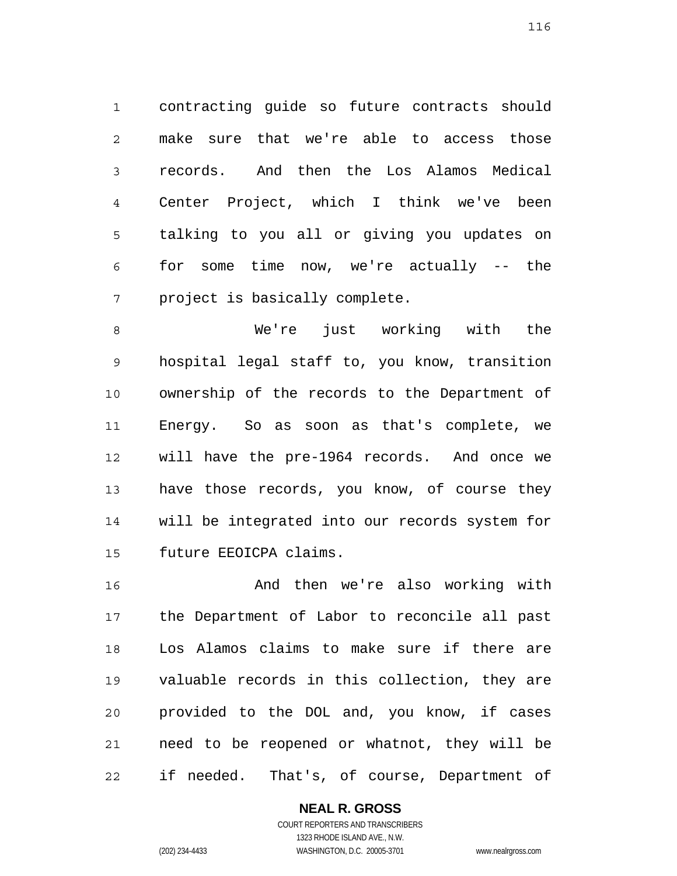1 2 3 4 5 6 7 contracting guide so future contracts should make sure that we're able to access those records. And then the Los Alamos Medical Center Project, which I think we've been talking to you all or giving you updates on for some time now, we're actually -- the project is basically complete.

8 9 10 11 12 13 14 15 We're just working with the hospital legal staff to, you know, transition ownership of the records to the Department of Energy. So as soon as that's complete, we will have the pre-1964 records. And once we have those records, you know, of course they will be integrated into our records system for future EEOICPA claims.

16 17 18 19 20 21 22 And then we're also working with the Department of Labor to reconcile all past Los Alamos claims to make sure if there are valuable records in this collection, they are provided to the DOL and, you know, if cases need to be reopened or whatnot, they will be if needed. That's, of course, Department of

> COURT REPORTERS AND TRANSCRIBERS 1323 RHODE ISLAND AVE., N.W. (202) 234-4433 WASHINGTON, D.C. 20005-3701 www.nealrgross.com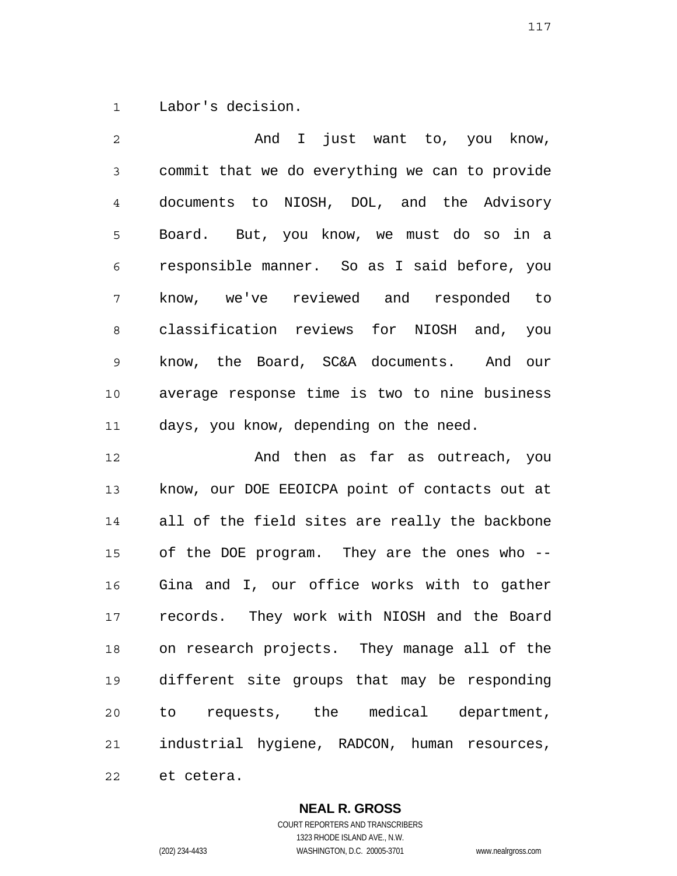1 Labor's decision.

2 3 4 5 6 7 8 9 10 11 And I just want to, you know, commit that we do everything we can to provide documents to NIOSH, DOL, and the Advisory Board. But, you know, we must do so in a responsible manner. So as I said before, you know, we've reviewed and responded to classification reviews for NIOSH and, you know, the Board, SC&A documents. And our average response time is two to nine business days, you know, depending on the need.

12 13 14 15 16 17 18 19 20 21 And then as far as outreach, you know, our DOE EEOICPA point of contacts out at all of the field sites are really the backbone of the DOE program. They are the ones who -- Gina and I, our office works with to gather records. They work with NIOSH and the Board on research projects. They manage all of the different site groups that may be responding to requests, the medical department, industrial hygiene, RADCON, human resources,

22 et cetera.

# **NEAL R. GROSS**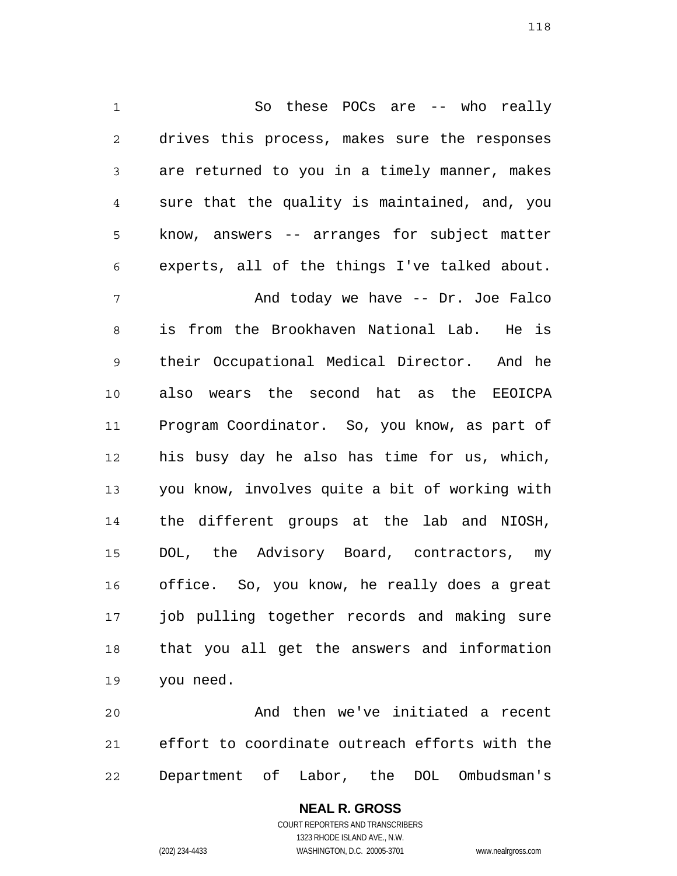1 2 3 4 5 6 7 8 9 10 11 12 13 14 15 16 17 18 19 So these POCs are -- who really drives this process, makes sure the responses are returned to you in a timely manner, makes sure that the quality is maintained, and, you know, answers -- arranges for subject matter experts, all of the things I've talked about. And today we have -- Dr. Joe Falco is from the Brookhaven National Lab. He is their Occupational Medical Director. And he also wears the second hat as the EEOICPA Program Coordinator. So, you know, as part of his busy day he also has time for us, which, you know, involves quite a bit of working with the different groups at the lab and NIOSH, DOL, the Advisory Board, contractors, my office. So, you know, he really does a great job pulling together records and making sure that you all get the answers and information you need.

20 21 22 And then we've initiated a recent effort to coordinate outreach efforts with the Department of Labor, the DOL Ombudsman's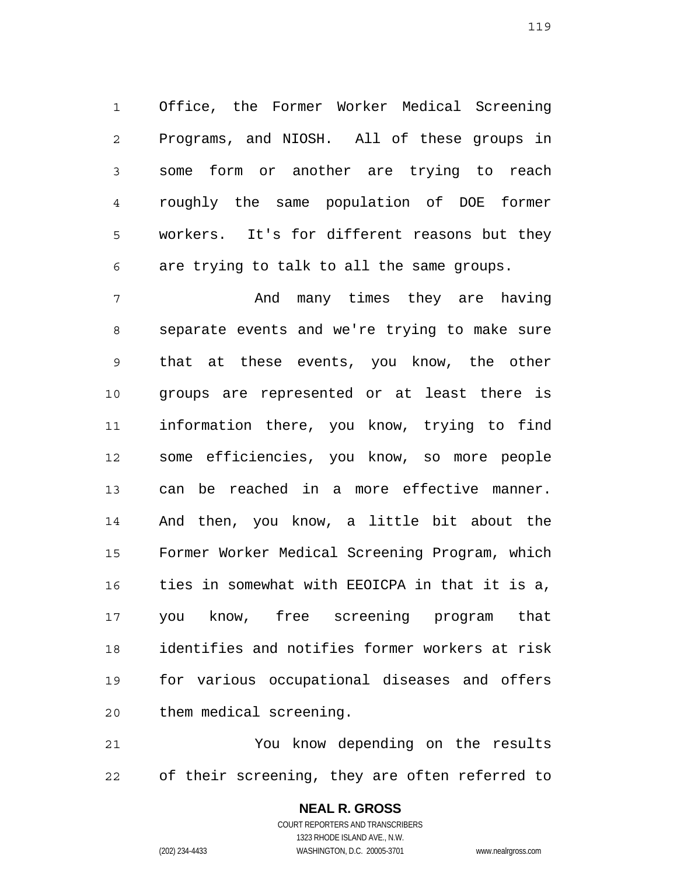1 2 3 4 5 6 Office, the Former Worker Medical Screening Programs, and NIOSH. All of these groups in some form or another are trying to reach roughly the same population of DOE former workers. It's for different reasons but they are trying to talk to all the same groups.

7 8 9 10 11 12 13 14 15 16 17 18 19 20 And many times they are having separate events and we're trying to make sure that at these events, you know, the other groups are represented or at least there is information there, you know, trying to find some efficiencies, you know, so more people can be reached in a more effective manner. And then, you know, a little bit about the Former Worker Medical Screening Program, which ties in somewhat with EEOICPA in that it is a, you know, free screening program that identifies and notifies former workers at risk for various occupational diseases and offers them medical screening.

21 22 You know depending on the results of their screening, they are often referred to

# **NEAL R. GROSS**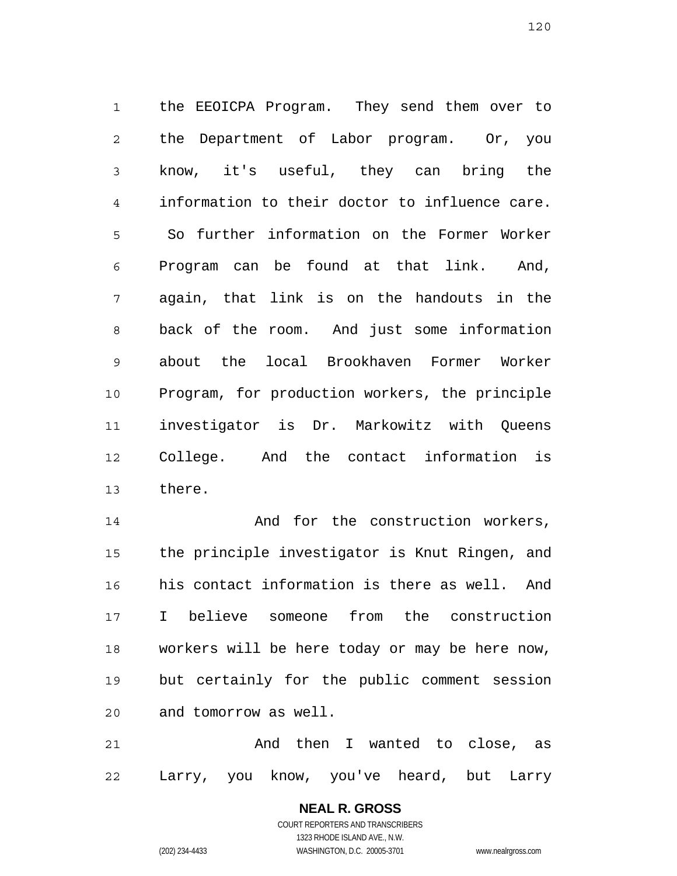1 2 3 4 5 6 7 8 9 10 11 12 13 the EEOICPA Program. They send them over to the Department of Labor program. Or, you know, it's useful, they can bring the information to their doctor to influence care. So further information on the Former Worker Program can be found at that link. And, again, that link is on the handouts in the back of the room. And just some information about the local Brookhaven Former Worker Program, for production workers, the principle investigator is Dr. Markowitz with Queens College. And the contact information is there.

14 15 16 17 18 19 20 And for the construction workers, the principle investigator is Knut Ringen, and his contact information is there as well. And I believe someone from the construction workers will be here today or may be here now, but certainly for the public comment session and tomorrow as well.

21 22 And then I wanted to close, as Larry, you know, you've heard, but Larry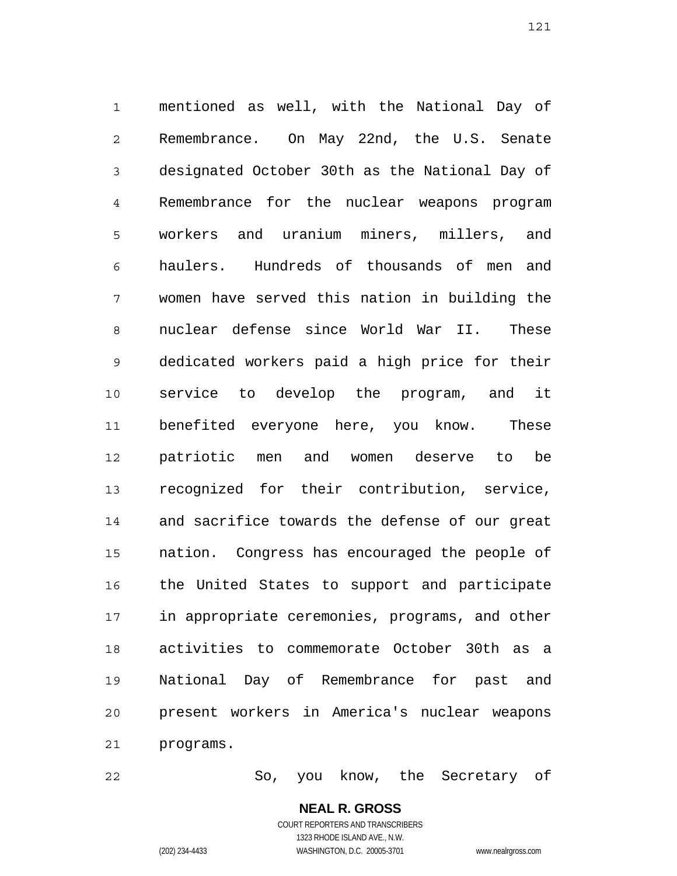1 2 3 4 5 6 7 8 9 10 11 12 13 14 15 16 17 18 19 20 21 mentioned as well, with the National Day of Remembrance. On May 22nd, the U.S. Senate designated October 30th as the National Day of Remembrance for the nuclear weapons program workers and uranium miners, millers, and haulers. Hundreds of thousands of men and women have served this nation in building the nuclear defense since World War II. These dedicated workers paid a high price for their service to develop the program, and it benefited everyone here, you know. These patriotic men and women deserve to be recognized for their contribution, service, and sacrifice towards the defense of our great nation. Congress has encouraged the people of the United States to support and participate in appropriate ceremonies, programs, and other activities to commemorate October 30th as a National Day of Remembrance for past and present workers in America's nuclear weapons programs.

So, you know, the Secretary of

**NEAL R. GROSS** COURT REPORTERS AND TRANSCRIBERS 1323 RHODE ISLAND AVE., N.W. (202) 234-4433 WASHINGTON, D.C. 20005-3701 www.nealrgross.com

22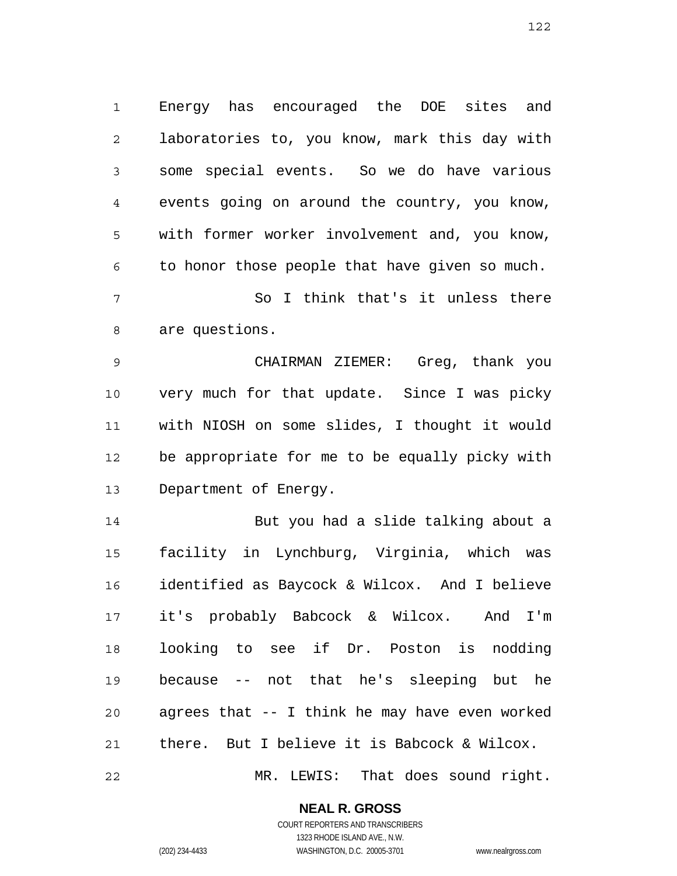1 2 3 4 5 6 7 8 Energy has encouraged the DOE sites and laboratories to, you know, mark this day with some special events. So we do have various events going on around the country, you know, with former worker involvement and, you know, to honor those people that have given so much. So I think that's it unless there are questions.

9 10 11 12 13 CHAIRMAN ZIEMER: Greg, thank you very much for that update. Since I was picky with NIOSH on some slides, I thought it would be appropriate for me to be equally picky with Department of Energy.

14 15 16 17 18 19 20 21 But you had a slide talking about a facility in Lynchburg, Virginia, which was identified as Baycock & Wilcox. And I believe it's probably Babcock & Wilcox. And I'm looking to see if Dr. Poston is nodding because -- not that he's sleeping but he agrees that -- I think he may have even worked there. But I believe it is Babcock & Wilcox.

**NEAL R. GROSS**

22

COURT REPORTERS AND TRANSCRIBERS 1323 RHODE ISLAND AVE., N.W. (202) 234-4433 WASHINGTON, D.C. 20005-3701 www.nealrgross.com

MR. LEWIS: That does sound right.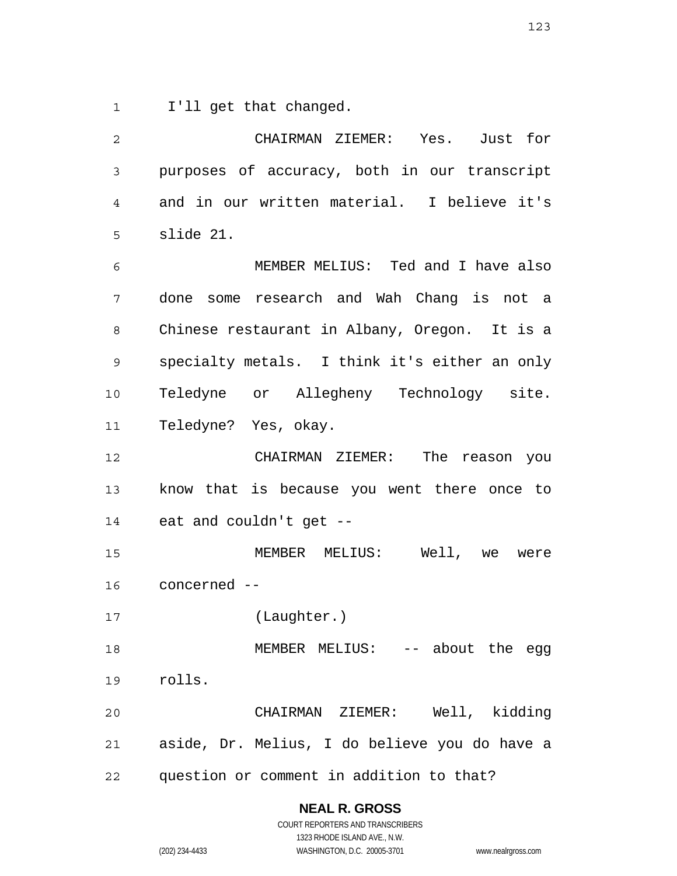1 I'll get that changed.

| CHAIRMAN ZIEMER: Yes. Just for                |
|-----------------------------------------------|
| purposes of accuracy, both in our transcript  |
| and in our written material. I believe it's   |
| slide 21.                                     |
| MEMBER MELIUS: Ted and I have also            |
| done some research and Wah Chang is not a     |
| Chinese restaurant in Albany, Oregon. It is a |
| specialty metals. I think it's either an only |
| Teledyne or Allegheny Technology site.        |
| Teledyne? Yes, okay.                          |
| CHAIRMAN ZIEMER: The reason you               |
| know that is because you went there once to   |
| eat and couldn't get --                       |
| MEMBER MELIUS: Well, we<br>were               |
| concerned --                                  |
| (Laughter.)                                   |
| MEMBER MELIUS: -- about the egg               |
| rolls.                                        |
| CHAIRMAN ZIEMER: Well, kidding                |
| aside, Dr. Melius, I do believe you do have a |
|                                               |
|                                               |

# **NEAL R. GROSS**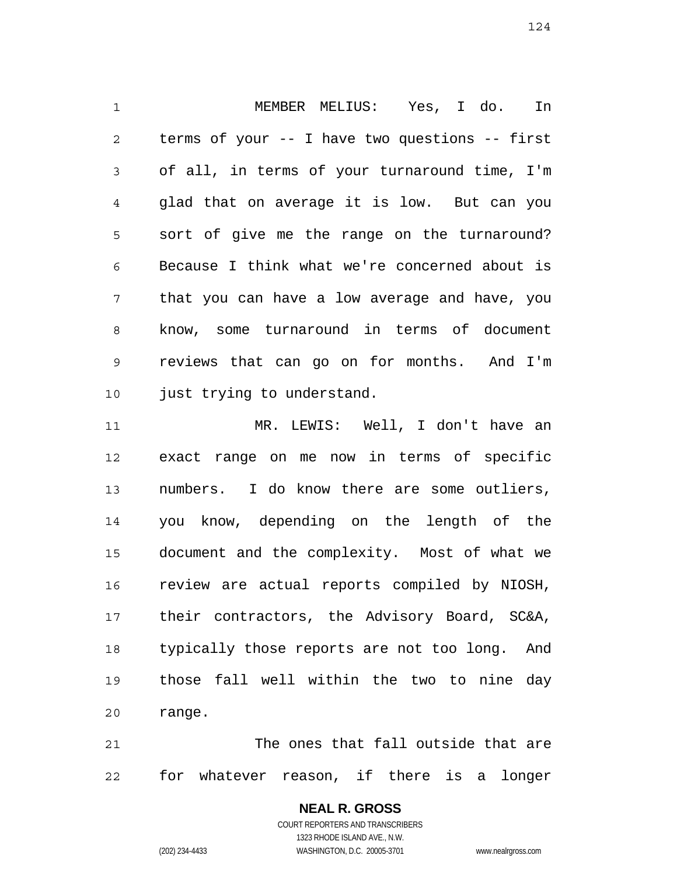1 2 3 4 5 6 7 8 9 10 MEMBER MELIUS: Yes, I do. In terms of your -- I have two questions -- first of all, in terms of your turnaround time, I'm glad that on average it is low. But can you sort of give me the range on the turnaround? Because I think what we're concerned about is that you can have a low average and have, you know, some turnaround in terms of document reviews that can go on for months. And I'm just trying to understand.

11 12 13 14 15 16 17 18 19 20 MR. LEWIS: Well, I don't have an exact range on me now in terms of specific numbers. I do know there are some outliers, you know, depending on the length of the document and the complexity. Most of what we review are actual reports compiled by NIOSH, their contractors, the Advisory Board, SC&A, typically those reports are not too long. And those fall well within the two to nine day range.

21 22 The ones that fall outside that are for whatever reason, if there is a longer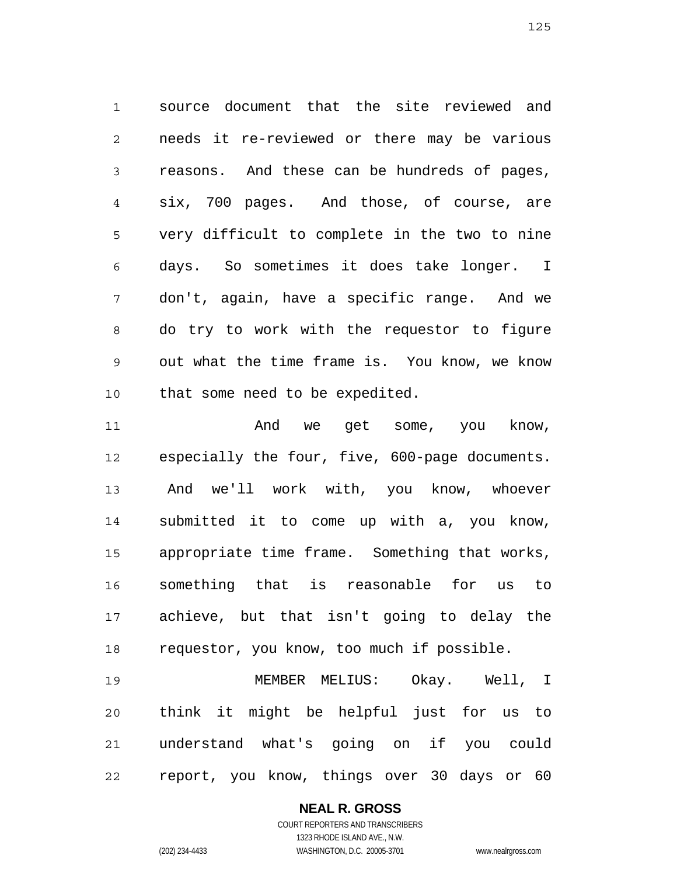1 2 3 4 5 6 7 8 9 10 source document that the site reviewed and needs it re-reviewed or there may be various reasons. And these can be hundreds of pages, six, 700 pages. And those, of course, are very difficult to complete in the two to nine days. So sometimes it does take longer. I don't, again, have a specific range. And we do try to work with the requestor to figure out what the time frame is. You know, we know that some need to be expedited.

11 12 13 14 15 16 17 18 And we get some, you know, especially the four, five, 600-page documents. And we'll work with, you know, whoever submitted it to come up with a, you know, appropriate time frame. Something that works, something that is reasonable for us to achieve, but that isn't going to delay the requestor, you know, too much if possible.

19 20 21 22 MEMBER MELIUS: Okay. Well, I think it might be helpful just for us to understand what's going on if you could report, you know, things over 30 days or 60

**NEAL R. GROSS**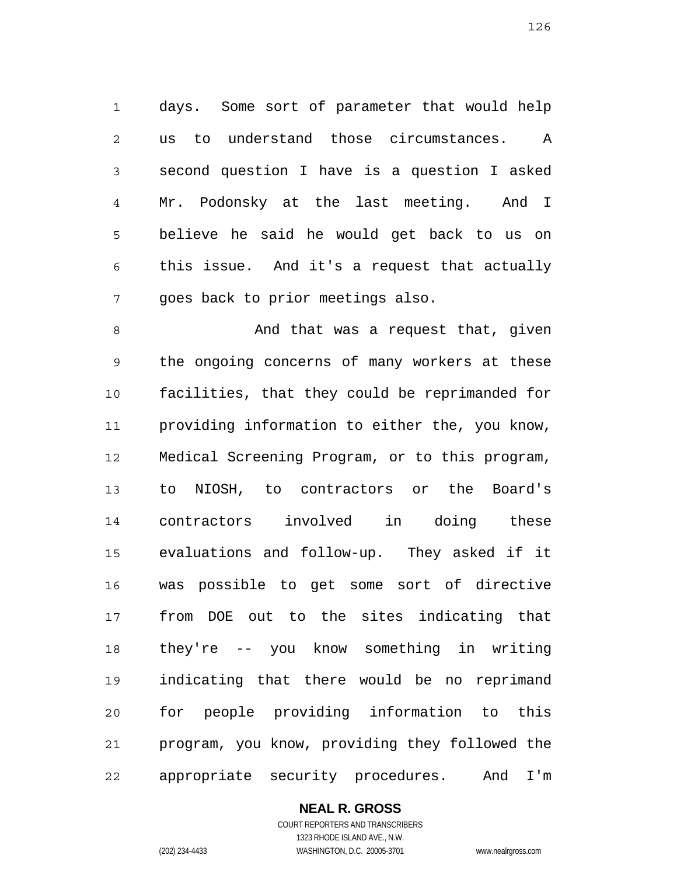1 2 3 4 5 6 7 days. Some sort of parameter that would help us to understand those circumstances. A second question I have is a question I asked Mr. Podonsky at the last meeting. And I believe he said he would get back to us on this issue. And it's a request that actually goes back to prior meetings also.

8 9 10 11 12 13 14 15 16 17 18 19 20 21 22 And that was a request that, given the ongoing concerns of many workers at these facilities, that they could be reprimanded for providing information to either the, you know, Medical Screening Program, or to this program, to NIOSH, to contractors or the Board's contractors involved in doing these evaluations and follow-up. They asked if it was possible to get some sort of directive from DOE out to the sites indicating that they're -- you know something in writing indicating that there would be no reprimand for people providing information to this program, you know, providing they followed the appropriate security procedures. And I'm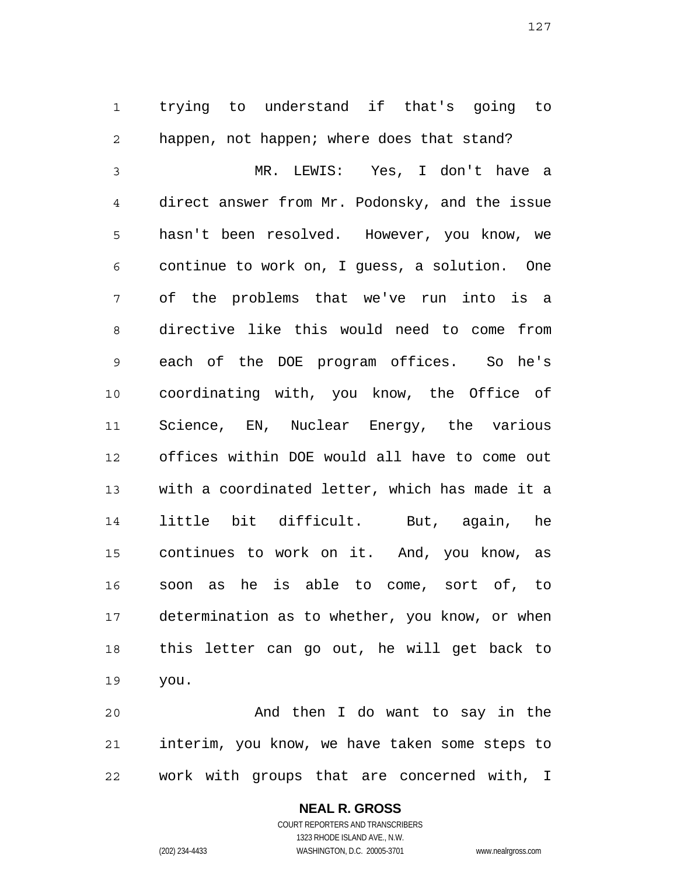1 2 trying to understand if that's going to happen, not happen; where does that stand?

3 4 5 6 7 8 9 10 11 12 13 14 15 16 17 18 19 MR. LEWIS: Yes, I don't have a direct answer from Mr. Podonsky, and the issue hasn't been resolved. However, you know, we continue to work on, I guess, a solution. One of the problems that we've run into is a directive like this would need to come from each of the DOE program offices. So he's coordinating with, you know, the Office of Science, EN, Nuclear Energy, the various offices within DOE would all have to come out with a coordinated letter, which has made it a little bit difficult. But, again, he continues to work on it. And, you know, as soon as he is able to come, sort of, to determination as to whether, you know, or when this letter can go out, he will get back to you.

20 21 22 And then I do want to say in the interim, you know, we have taken some steps to work with groups that are concerned with, I

# **NEAL R. GROSS**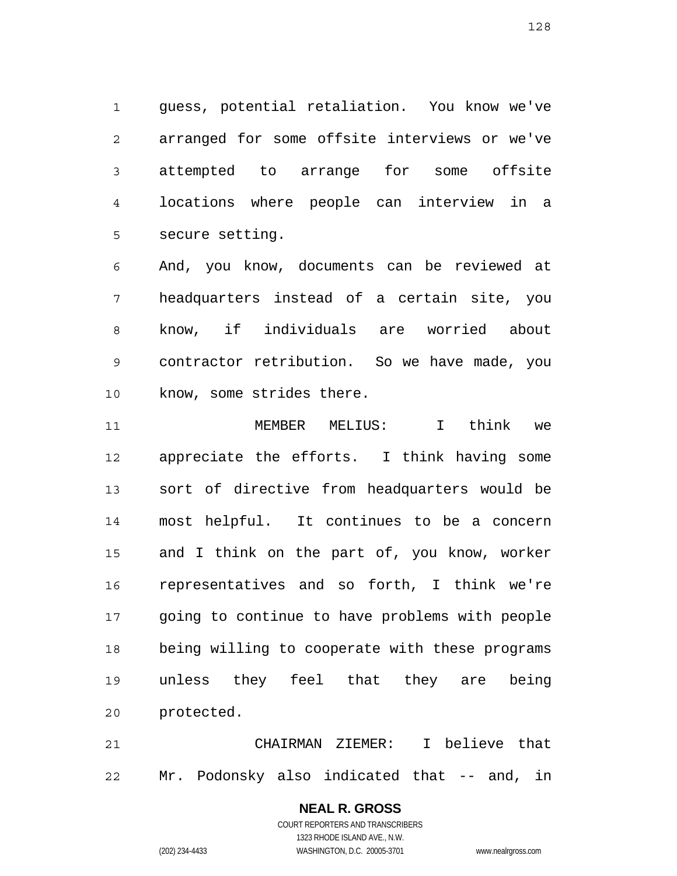1 2 3 4 5 guess, potential retaliation. You know we've arranged for some offsite interviews or we've attempted to arrange for some offsite locations where people can interview in a secure setting.

6 7 8 9 10 And, you know, documents can be reviewed at headquarters instead of a certain site, you know, if individuals are worried about contractor retribution. So we have made, you know, some strides there.

11 12 13 14 15 16 17 18 19 20 MEMBER MELIUS: I think we appreciate the efforts. I think having some sort of directive from headquarters would be most helpful. It continues to be a concern and I think on the part of, you know, worker representatives and so forth, I think we're going to continue to have problems with people being willing to cooperate with these programs unless they feel that they are being protected.

21 22 CHAIRMAN ZIEMER: I believe that Mr. Podonsky also indicated that -- and, in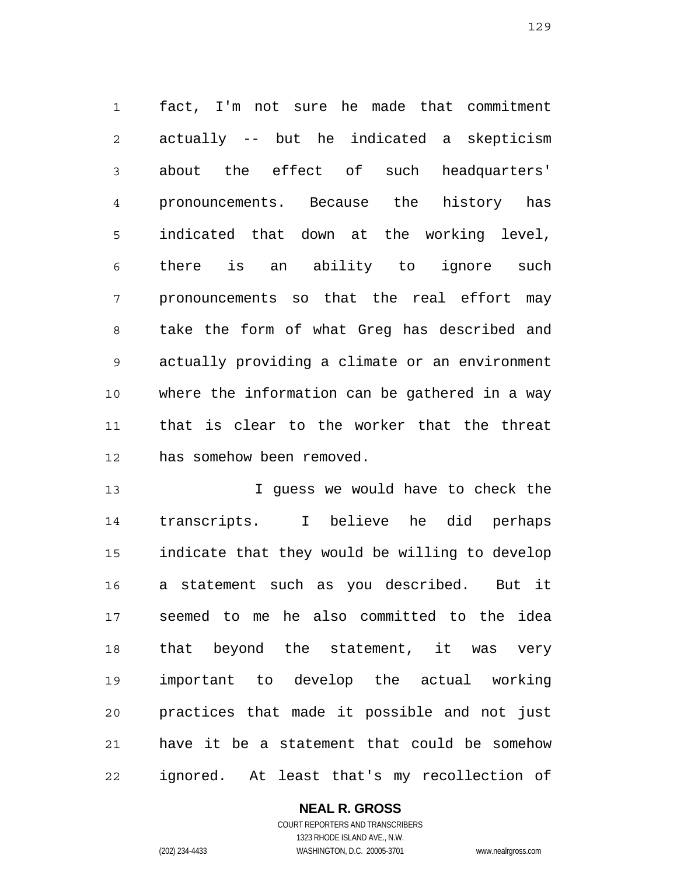1 2 3 4 5 6 7 8 9 10 11 12 fact, I'm not sure he made that commitment actually -- but he indicated a skepticism about the effect of such headquarters' pronouncements. Because the history has indicated that down at the working level, there is an ability to ignore such pronouncements so that the real effort may take the form of what Greg has described and actually providing a climate or an environment where the information can be gathered in a way that is clear to the worker that the threat has somehow been removed.

13 14 15 16 17 18 19 20 21 22 I guess we would have to check the transcripts. I believe he did perhaps indicate that they would be willing to develop a statement such as you described. But it seemed to me he also committed to the idea that beyond the statement, it was very important to develop the actual working practices that made it possible and not just have it be a statement that could be somehow ignored. At least that's my recollection of

**NEAL R. GROSS**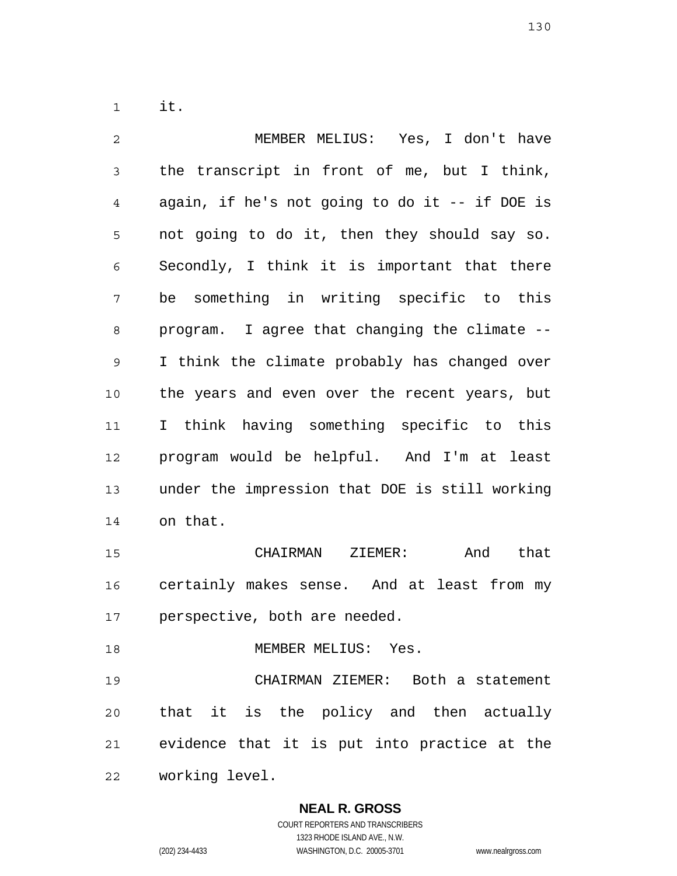1 it.

2 3 4 5 6 7 8 9 10 11 12 13 14 15 16 17 18 19 20 MEMBER MELIUS: Yes, I don't have the transcript in front of me, but I think, again, if he's not going to do it -- if DOE is not going to do it, then they should say so. Secondly, I think it is important that there be something in writing specific to this program. I agree that changing the climate -- I think the climate probably has changed over the years and even over the recent years, but I think having something specific to this program would be helpful. And I'm at least under the impression that DOE is still working on that. CHAIRMAN ZIEMER: And that certainly makes sense. And at least from my perspective, both are needed. MEMBER MELIUS: Yes. CHAIRMAN ZIEMER: Both a statement that it is the policy and then actually

21 22 evidence that it is put into practice at the working level.

**NEAL R. GROSS**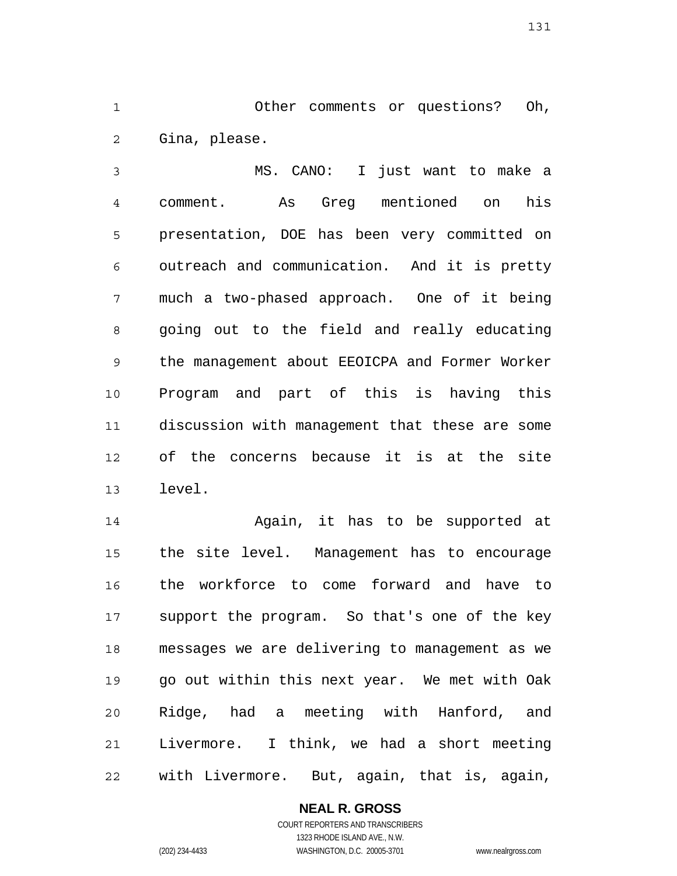1 2 Other comments or questions? Oh, Gina, please.

3 4 5 6 7 8 9 10 11 12 13 MS. CANO: I just want to make a comment. As Greg mentioned on his presentation, DOE has been very committed on outreach and communication. And it is pretty much a two-phased approach. One of it being going out to the field and really educating the management about EEOICPA and Former Worker Program and part of this is having this discussion with management that these are some of the concerns because it is at the site level.

14 15 16 17 18 19 20 21 22 Again, it has to be supported at the site level. Management has to encourage the workforce to come forward and have to support the program. So that's one of the key messages we are delivering to management as we go out within this next year. We met with Oak Ridge, had a meeting with Hanford, and Livermore. I think, we had a short meeting with Livermore. But, again, that is, again,

**NEAL R. GROSS**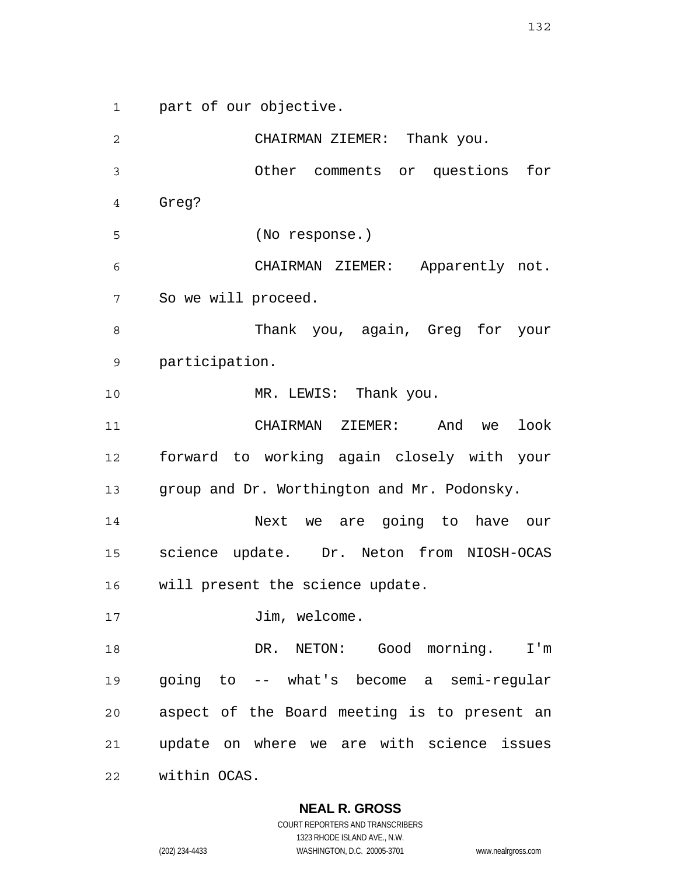132

1 part of our objective.

2 3 4 5 6 7 8 9 10 11 12 13 14 15 16 17 18 19 20 21 22 CHAIRMAN ZIEMER: Thank you. Other comments or questions for Greg? (No response.) CHAIRMAN ZIEMER: Apparently not. So we will proceed. Thank you, again, Greg for your participation. MR. LEWIS: Thank you. CHAIRMAN ZIEMER: And we look forward to working again closely with your group and Dr. Worthington and Mr. Podonsky. Next we are going to have our science update. Dr. Neton from NIOSH-OCAS will present the science update. Jim, welcome. DR. NETON: Good morning. I'm going to -- what's become a semi-regular aspect of the Board meeting is to present an update on where we are with science issues within OCAS.

**NEAL R. GROSS**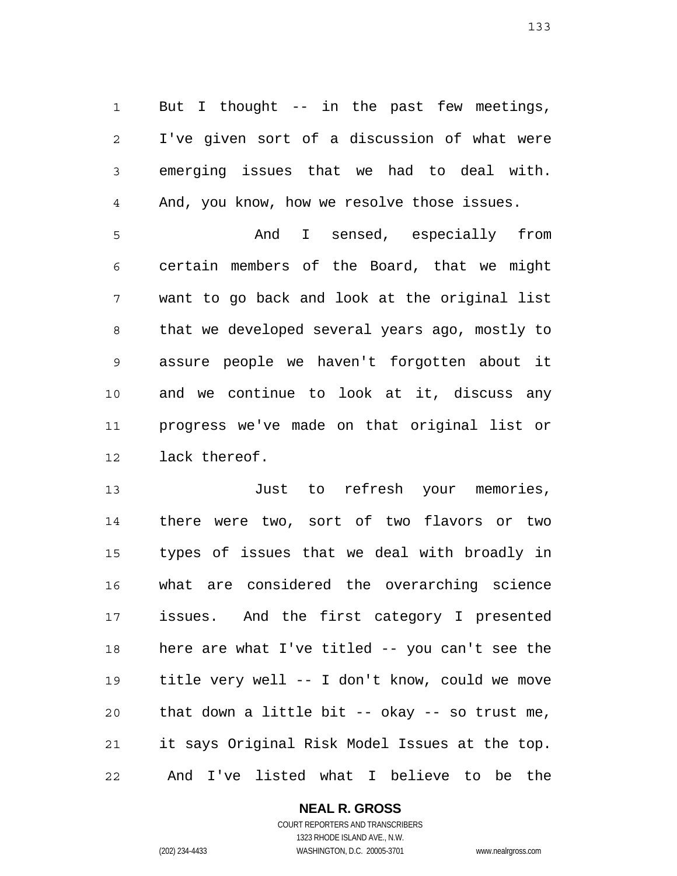1 2 3 4 But I thought -- in the past few meetings, I've given sort of a discussion of what were emerging issues that we had to deal with. And, you know, how we resolve those issues.

5 6 7 8 9 10 11 12 And I sensed, especially from certain members of the Board, that we might want to go back and look at the original list that we developed several years ago, mostly to assure people we haven't forgotten about it and we continue to look at it, discuss any progress we've made on that original list or lack thereof.

13 14 15 16 17 18 19 20 21 22 Just to refresh your memories, there were two, sort of two flavors or two types of issues that we deal with broadly in what are considered the overarching science issues. And the first category I presented here are what I've titled -- you can't see the title very well -- I don't know, could we move that down a little bit -- okay -- so trust me, it says Original Risk Model Issues at the top. And I've listed what I believe to be the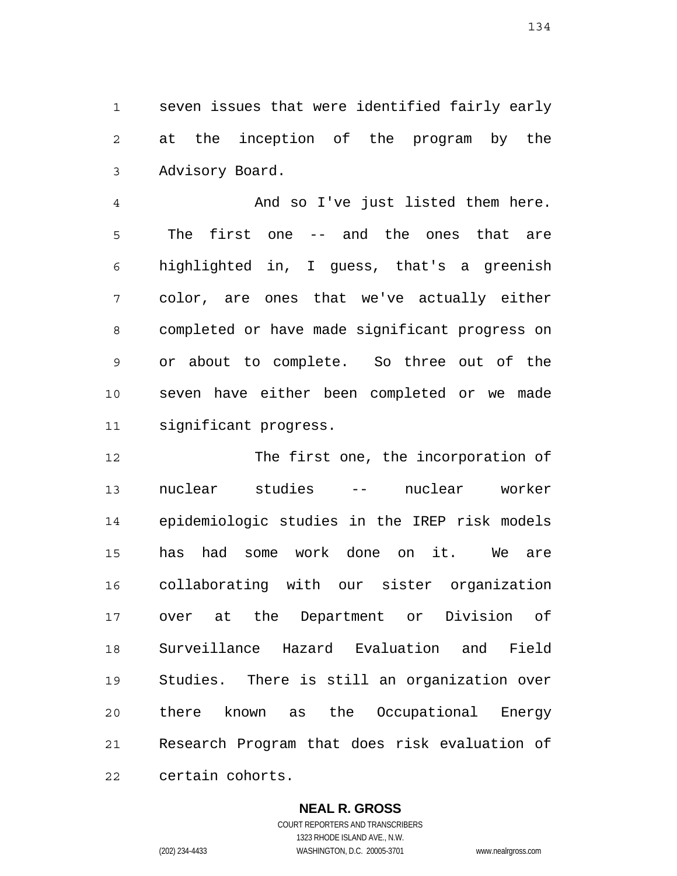1 2 3 seven issues that were identified fairly early at the inception of the program by the Advisory Board.

4 5 6 7 8 9 10 11 And so I've just listed them here. The first one -- and the ones that are highlighted in, I guess, that's a greenish color, are ones that we've actually either completed or have made significant progress on or about to complete. So three out of the seven have either been completed or we made significant progress.

12 13 14 15 16 17 18 19 20 21 22 The first one, the incorporation of nuclear studies -- nuclear worker epidemiologic studies in the IREP risk models has had some work done on it. We are collaborating with our sister organization over at the Department or Division of Surveillance Hazard Evaluation and Field Studies. There is still an organization over there known as the Occupational Energy Research Program that does risk evaluation of certain cohorts.

## **NEAL R. GROSS**

134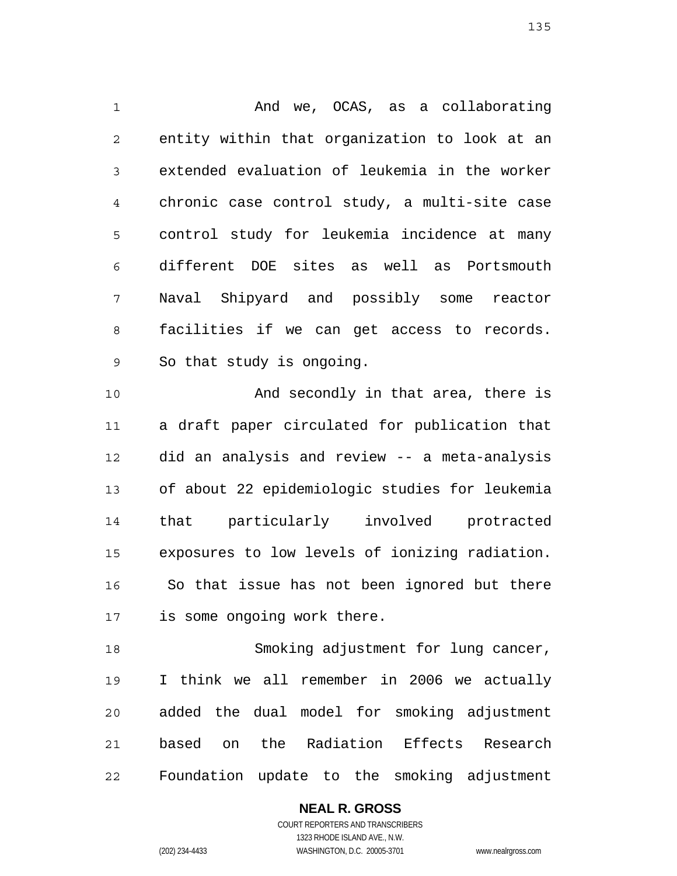1 2 3 4 5 6 7 8 9 10 11 12 13 14 15 16 17 And we, OCAS, as a collaborating entity within that organization to look at an extended evaluation of leukemia in the worker chronic case control study, a multi-site case control study for leukemia incidence at many different DOE sites as well as Portsmouth Naval Shipyard and possibly some reactor facilities if we can get access to records. So that study is ongoing. And secondly in that area, there is a draft paper circulated for publication that did an analysis and review -- a meta-analysis of about 22 epidemiologic studies for leukemia that particularly involved protracted exposures to low levels of ionizing radiation. So that issue has not been ignored but there is some ongoing work there.

18 19 20 21 22 Smoking adjustment for lung cancer, I think we all remember in 2006 we actually added the dual model for smoking adjustment based on the Radiation Effects Research Foundation update to the smoking adjustment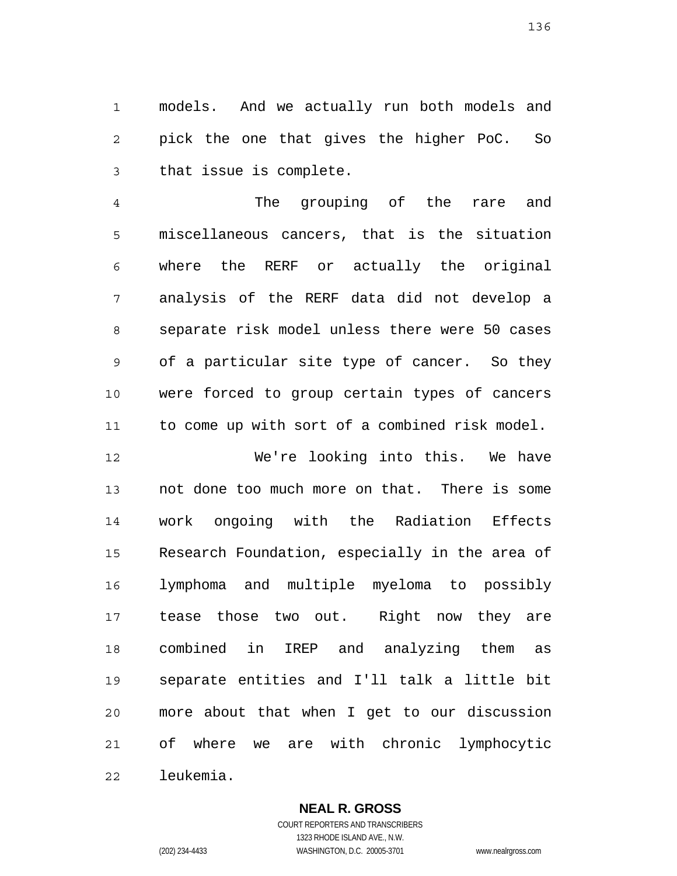1 2 3 models. And we actually run both models and pick the one that gives the higher PoC. So that issue is complete.

4 5 6 7 8 9 10 11 The grouping of the rare and miscellaneous cancers, that is the situation where the RERF or actually the original analysis of the RERF data did not develop a separate risk model unless there were 50 cases of a particular site type of cancer. So they were forced to group certain types of cancers to come up with sort of a combined risk model.

12 13 14 15 16 17 18 19 20 21 22 We're looking into this. We have not done too much more on that. There is some work ongoing with the Radiation Effects Research Foundation, especially in the area of lymphoma and multiple myeloma to possibly tease those two out. Right now they are combined in IREP and analyzing them as separate entities and I'll talk a little bit more about that when I get to our discussion of where we are with chronic lymphocytic leukemia.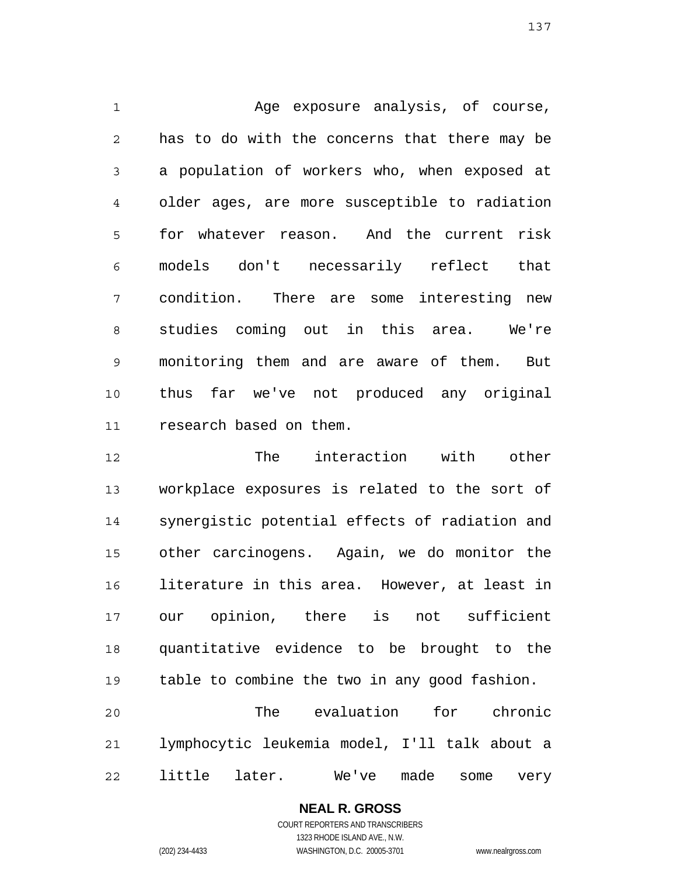1 2 3 4 5 6 7 8 9 10 11 Age exposure analysis, of course, has to do with the concerns that there may be a population of workers who, when exposed at older ages, are more susceptible to radiation for whatever reason. And the current risk models don't necessarily reflect that condition. There are some interesting new studies coming out in this area. We're monitoring them and are aware of them. But thus far we've not produced any original research based on them.

12 13 14 15 16 17 18 19 20 21 The interaction with other workplace exposures is related to the sort of synergistic potential effects of radiation and other carcinogens. Again, we do monitor the literature in this area. However, at least in our opinion, there is not sufficient quantitative evidence to be brought to the table to combine the two in any good fashion. The evaluation for chronic lymphocytic leukemia model, I'll talk about a

22 little later. We've made some very

# **NEAL R. GROSS**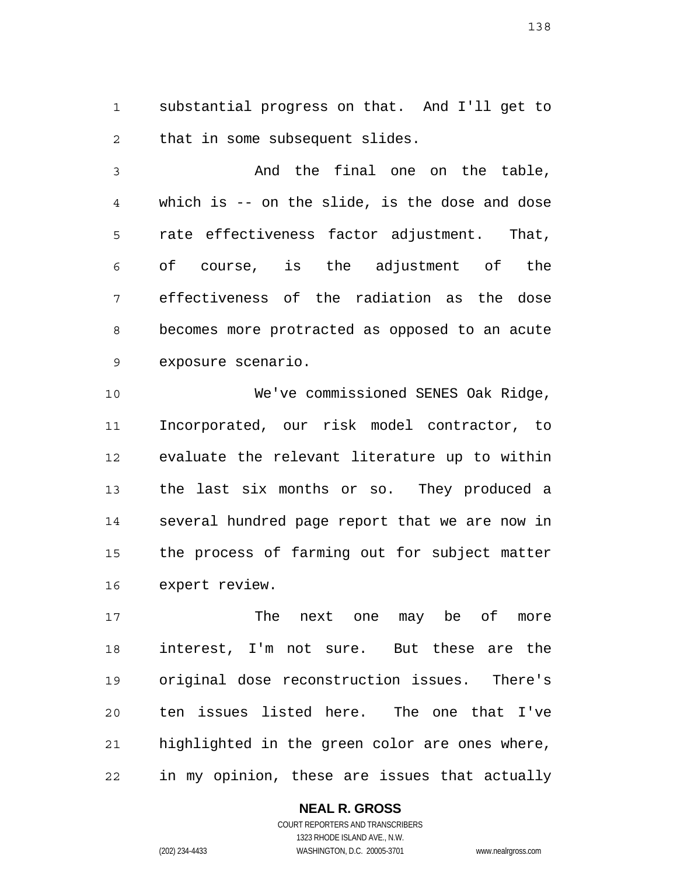1 2 substantial progress on that. And I'll get to that in some subsequent slides.

3 4 5 6 7 8 9 And the final one on the table, which is -- on the slide, is the dose and dose rate effectiveness factor adjustment. That, of course, is the adjustment of the effectiveness of the radiation as the dose becomes more protracted as opposed to an acute exposure scenario.

10 11 12 13 14 15 16 We've commissioned SENES Oak Ridge, Incorporated, our risk model contractor, to evaluate the relevant literature up to within the last six months or so. They produced a several hundred page report that we are now in the process of farming out for subject matter expert review.

17 18 19 20 21 22 The next one may be of more interest, I'm not sure. But these are the original dose reconstruction issues. There's ten issues listed here. The one that I've highlighted in the green color are ones where, in my opinion, these are issues that actually

> **NEAL R. GROSS** COURT REPORTERS AND TRANSCRIBERS 1323 RHODE ISLAND AVE., N.W.

(202) 234-4433 WASHINGTON, D.C. 20005-3701 www.nealrgross.com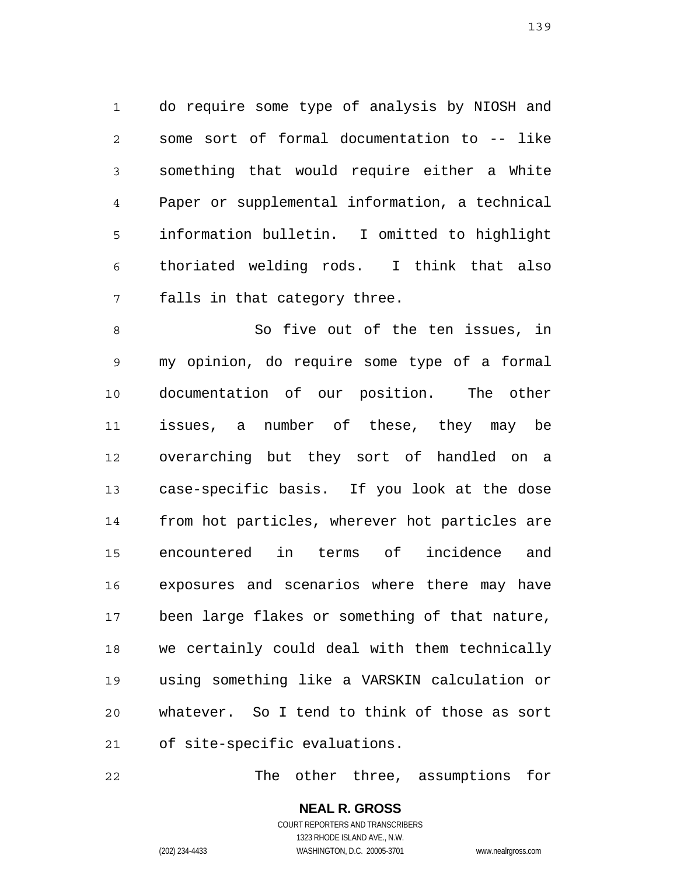1 2 3 4 5 6 7 do require some type of analysis by NIOSH and some sort of formal documentation to -- like something that would require either a White Paper or supplemental information, a technical information bulletin. I omitted to highlight thoriated welding rods. I think that also falls in that category three.

8 9 10 11 12 13 14 15 16 17 18 19 20 21 So five out of the ten issues, in my opinion, do require some type of a formal documentation of our position. The other issues, a number of these, they may be overarching but they sort of handled on a case-specific basis. If you look at the dose from hot particles, wherever hot particles are encountered in terms of incidence and exposures and scenarios where there may have been large flakes or something of that nature, we certainly could deal with them technically using something like a VARSKIN calculation or whatever. So I tend to think of those as sort of site-specific evaluations.

22 The other three, assumptions for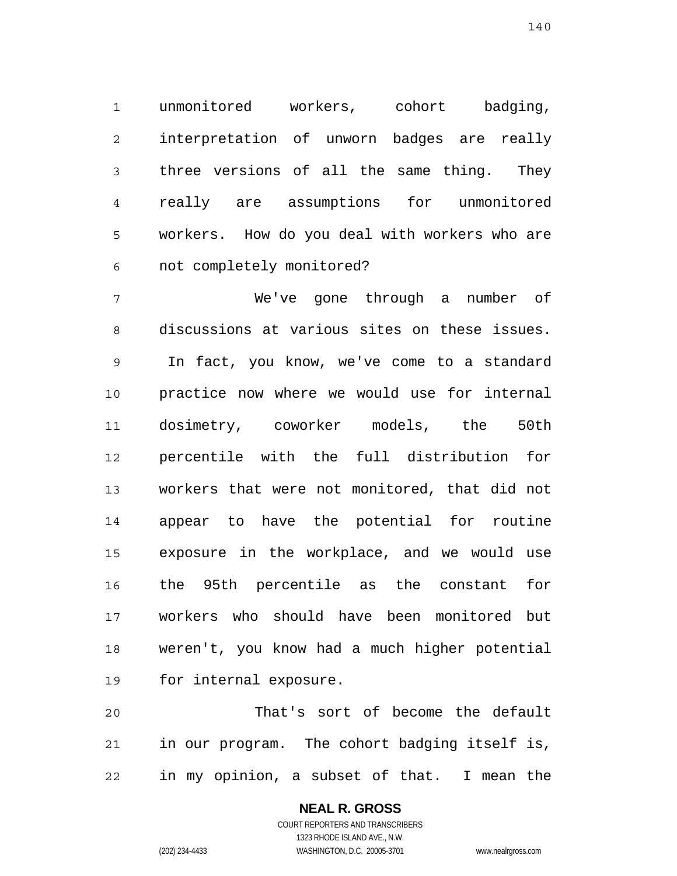1 2 3 4 5 6 unmonitored workers, cohort badging, interpretation of unworn badges are really three versions of all the same thing. They really are assumptions for unmonitored workers. How do you deal with workers who are not completely monitored?

7 8 9 10 11 12 13 14 15 16 17 18 19 We've gone through a number of discussions at various sites on these issues. In fact, you know, we've come to a standard practice now where we would use for internal dosimetry, coworker models, the 50th percentile with the full distribution for workers that were not monitored, that did not appear to have the potential for routine exposure in the workplace, and we would use the 95th percentile as the constant for workers who should have been monitored but weren't, you know had a much higher potential for internal exposure.

20 21 22 That's sort of become the default in our program. The cohort badging itself is, in my opinion, a subset of that. I mean the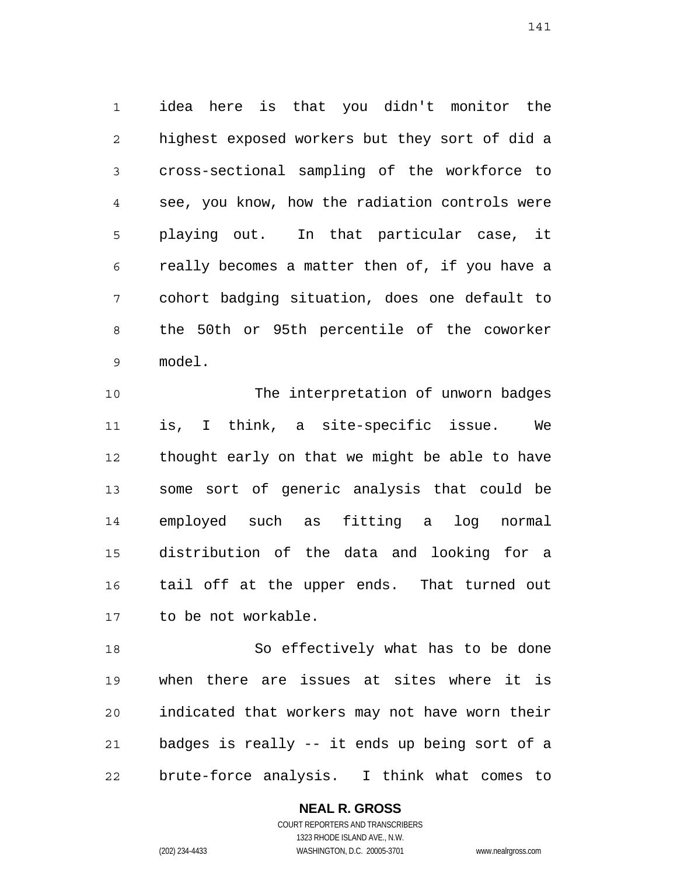1 2 3 4 5 6 7 8 9 idea here is that you didn't monitor the highest exposed workers but they sort of did a cross-sectional sampling of the workforce to see, you know, how the radiation controls were playing out. In that particular case, it really becomes a matter then of, if you have a cohort badging situation, does one default to the 50th or 95th percentile of the coworker model.

10 11 12 13 14 15 16 17 The interpretation of unworn badges is, I think, a site-specific issue. We thought early on that we might be able to have some sort of generic analysis that could be employed such as fitting a log normal distribution of the data and looking for a tail off at the upper ends. That turned out to be not workable.

18 19 20 21 22 So effectively what has to be done when there are issues at sites where it is indicated that workers may not have worn their badges is really -- it ends up being sort of a brute-force analysis. I think what comes to

#### **NEAL R. GROSS** COURT REPORTERS AND TRANSCRIBERS 1323 RHODE ISLAND AVE., N.W.

(202) 234-4433 WASHINGTON, D.C. 20005-3701 www.nealrgross.com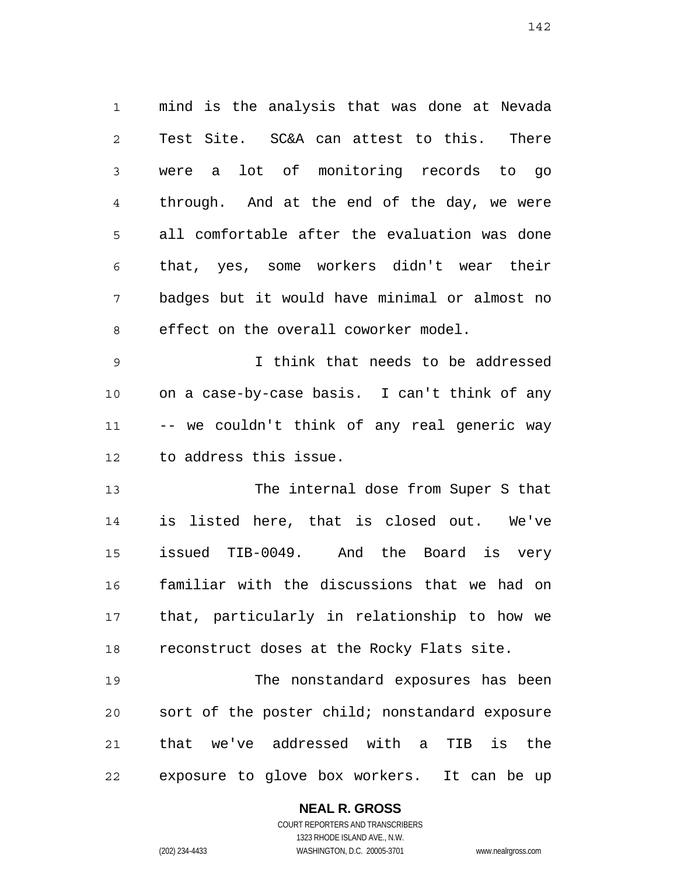1 2 3 4 5 6 7 8 mind is the analysis that was done at Nevada Test Site. SC&A can attest to this. There were a lot of monitoring records to go through. And at the end of the day, we were all comfortable after the evaluation was done that, yes, some workers didn't wear their badges but it would have minimal or almost no effect on the overall coworker model.

9 10 11 12 I think that needs to be addressed on a case-by-case basis. I can't think of any -- we couldn't think of any real generic way to address this issue.

13 14 15 16 17 18 The internal dose from Super S that is listed here, that is closed out. We've issued TIB-0049. And the Board is very familiar with the discussions that we had on that, particularly in relationship to how we reconstruct doses at the Rocky Flats site.

19 20 21 22 The nonstandard exposures has been sort of the poster child; nonstandard exposure that we've addressed with a TIB is the exposure to glove box workers. It can be up

# **NEAL R. GROSS**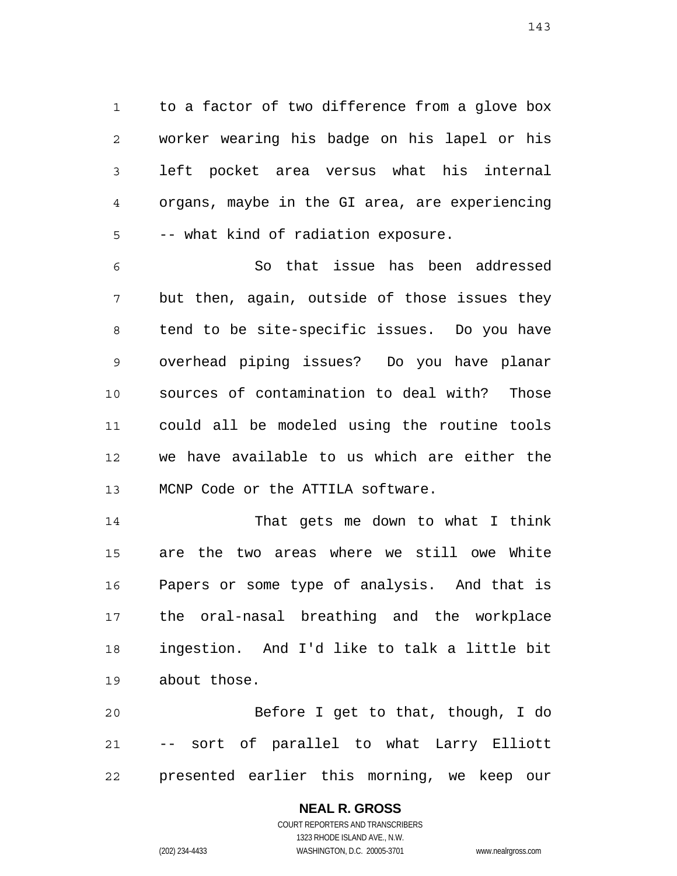1 2 3 4 5 to a factor of two difference from a glove box worker wearing his badge on his lapel or his left pocket area versus what his internal organs, maybe in the GI area, are experiencing -- what kind of radiation exposure.

6 7 8 9 10 11 12 13 So that issue has been addressed but then, again, outside of those issues they tend to be site-specific issues. Do you have overhead piping issues? Do you have planar sources of contamination to deal with? Those could all be modeled using the routine tools we have available to us which are either the MCNP Code or the ATTILA software.

14 15 16 17 18 19 That gets me down to what I think are the two areas where we still owe White Papers or some type of analysis. And that is the oral-nasal breathing and the workplace ingestion. And I'd like to talk a little bit about those.

20 21 22 Before I get to that, though, I do -- sort of parallel to what Larry Elliott presented earlier this morning, we keep our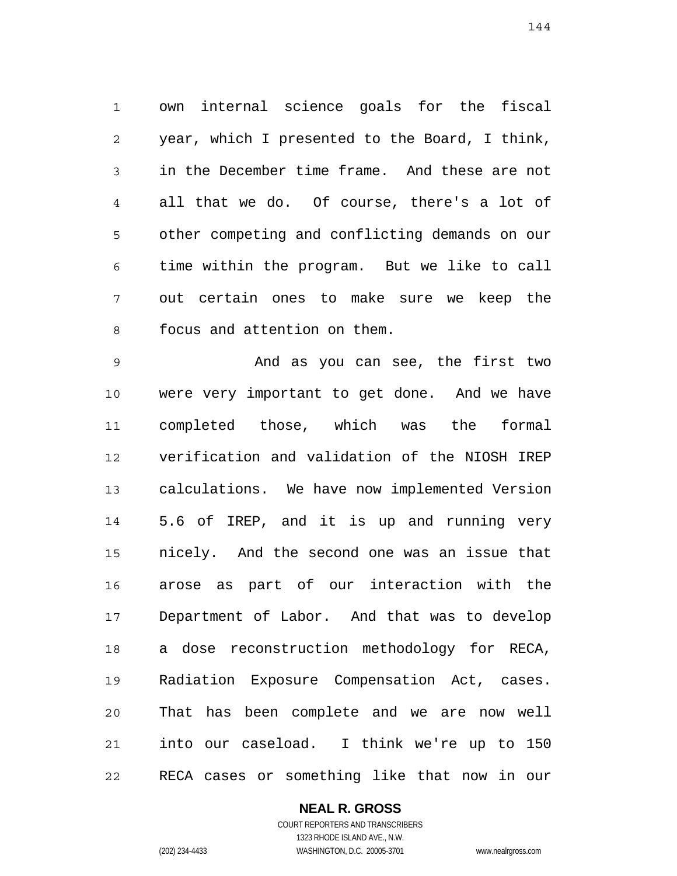1 2 3 4 5 6 7 8 own internal science goals for the fiscal year, which I presented to the Board, I think, in the December time frame. And these are not all that we do. Of course, there's a lot of other competing and conflicting demands on our time within the program. But we like to call out certain ones to make sure we keep the focus and attention on them.

9 10 11 12 13 14 15 16 17 18 19 20 21 22 And as you can see, the first two were very important to get done. And we have completed those, which was the formal verification and validation of the NIOSH IREP calculations. We have now implemented Version 5.6 of IREP, and it is up and running very nicely. And the second one was an issue that arose as part of our interaction with the Department of Labor. And that was to develop a dose reconstruction methodology for RECA, Radiation Exposure Compensation Act, cases. That has been complete and we are now well into our caseload. I think we're up to 150 RECA cases or something like that now in our

**NEAL R. GROSS**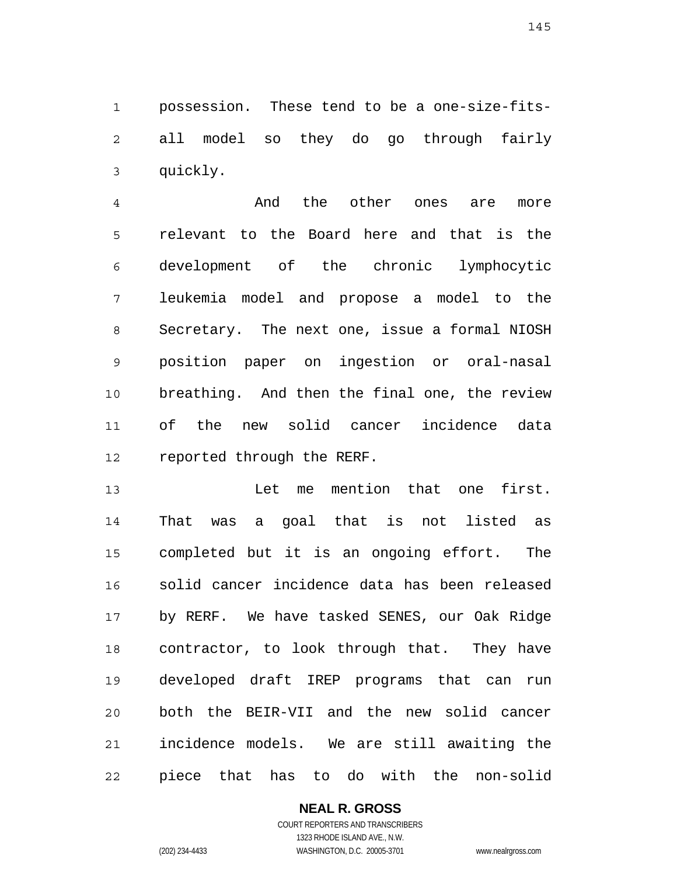1 2 3 possession. These tend to be a one-size-fitsall model so they do go through fairly quickly.

4 5 6 7 8 9 10 11 12 And the other ones are more relevant to the Board here and that is the development of the chronic lymphocytic leukemia model and propose a model to the Secretary. The next one, issue a formal NIOSH position paper on ingestion or oral-nasal breathing. And then the final one, the review of the new solid cancer incidence data reported through the RERF.

13 14 15 16 17 18 19 20 21 22 Let me mention that one first. That was a goal that is not listed as completed but it is an ongoing effort. The solid cancer incidence data has been released by RERF. We have tasked SENES, our Oak Ridge contractor, to look through that. They have developed draft IREP programs that can run both the BEIR-VII and the new solid cancer incidence models. We are still awaiting the piece that has to do with the non-solid

**NEAL R. GROSS**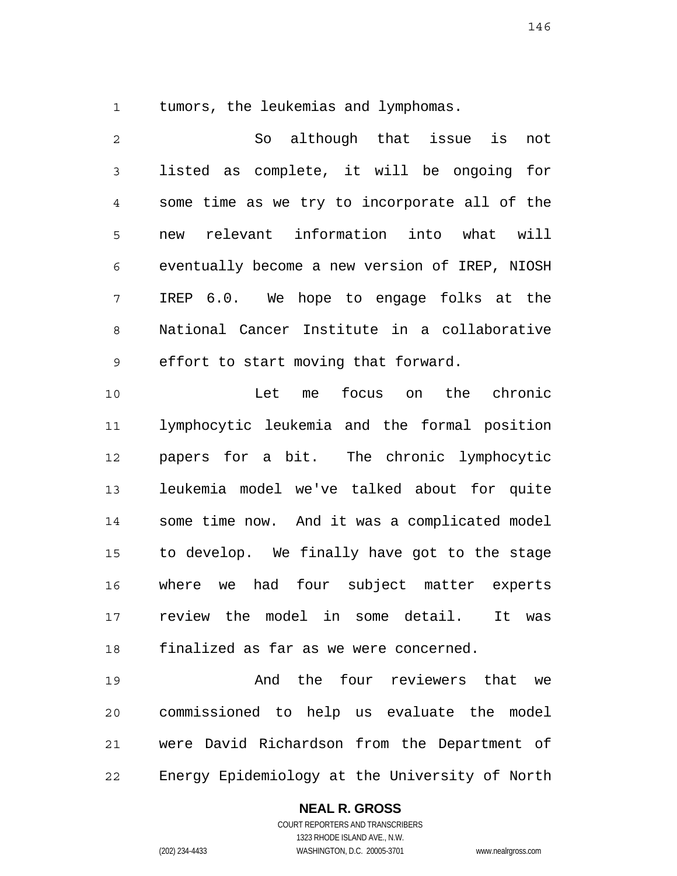1 tumors, the leukemias and lymphomas.

2 3 4 5 6 7 8 9 10 11 12 13 14 15 So although that issue is not listed as complete, it will be ongoing for some time as we try to incorporate all of the new relevant information into what will eventually become a new version of IREP, NIOSH IREP 6.0. We hope to engage folks at the National Cancer Institute in a collaborative effort to start moving that forward. Let me focus on the chronic lymphocytic leukemia and the formal position papers for a bit. The chronic lymphocytic leukemia model we've talked about for quite some time now. And it was a complicated model to develop. We finally have got to the stage

16 17 18 where we had four subject matter experts review the model in some detail. It was finalized as far as we were concerned.

19 20 21 22 And the four reviewers that we commissioned to help us evaluate the model were David Richardson from the Department of Energy Epidemiology at the University of North

# **NEAL R. GROSS**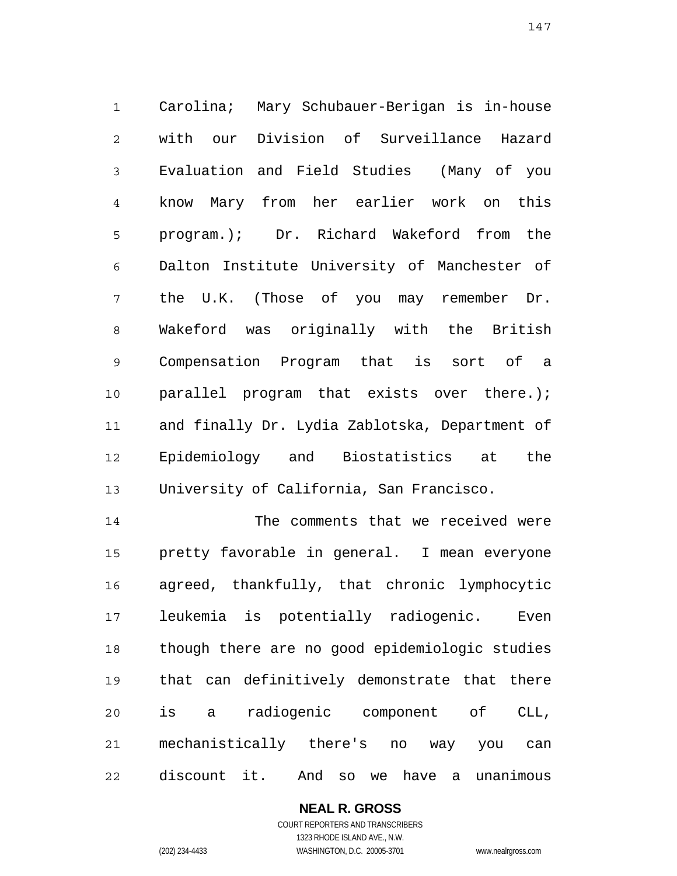1 2 3 4 5 6 7 8 9 10 11 12 13 Carolina; Mary Schubauer-Berigan is in-house with our Division of Surveillance Hazard Evaluation and Field Studies (Many of you know Mary from her earlier work on this program.); Dr. Richard Wakeford from the Dalton Institute University of Manchester of the U.K. (Those of you may remember Dr. Wakeford was originally with the British Compensation Program that is sort of a parallel program that exists over there.); and finally Dr. Lydia Zablotska, Department of Epidemiology and Biostatistics at the University of California, San Francisco.

14 15 16 17 18 19 20 21 22 The comments that we received were pretty favorable in general. I mean everyone agreed, thankfully, that chronic lymphocytic leukemia is potentially radiogenic. Even though there are no good epidemiologic studies that can definitively demonstrate that there is a radiogenic component of CLL, mechanistically there's no way you can discount it. And so we have a unanimous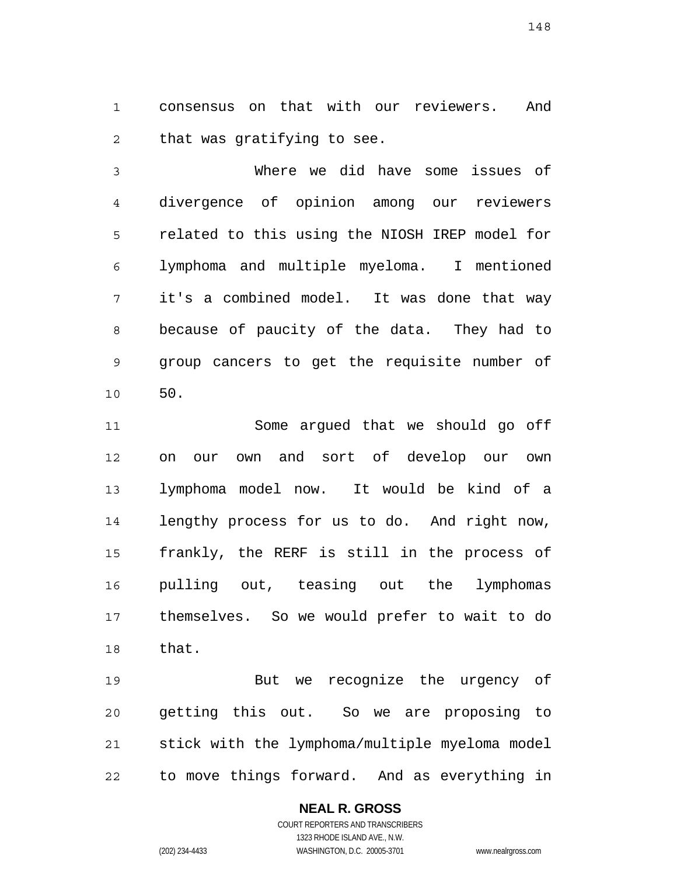1 2 consensus on that with our reviewers. And that was gratifying to see.

3 4 5 6 7 8 9 10 Where we did have some issues of divergence of opinion among our reviewers related to this using the NIOSH IREP model for lymphoma and multiple myeloma. I mentioned it's a combined model. It was done that way because of paucity of the data. They had to group cancers to get the requisite number of 50.

11 12 13 14 15 16 17 18 Some argued that we should go off on our own and sort of develop our own lymphoma model now. It would be kind of a lengthy process for us to do. And right now, frankly, the RERF is still in the process of pulling out, teasing out the lymphomas themselves. So we would prefer to wait to do that.

19 20 21 22 But we recognize the urgency of getting this out. So we are proposing to stick with the lymphoma/multiple myeloma model to move things forward. And as everything in

**NEAL R. GROSS**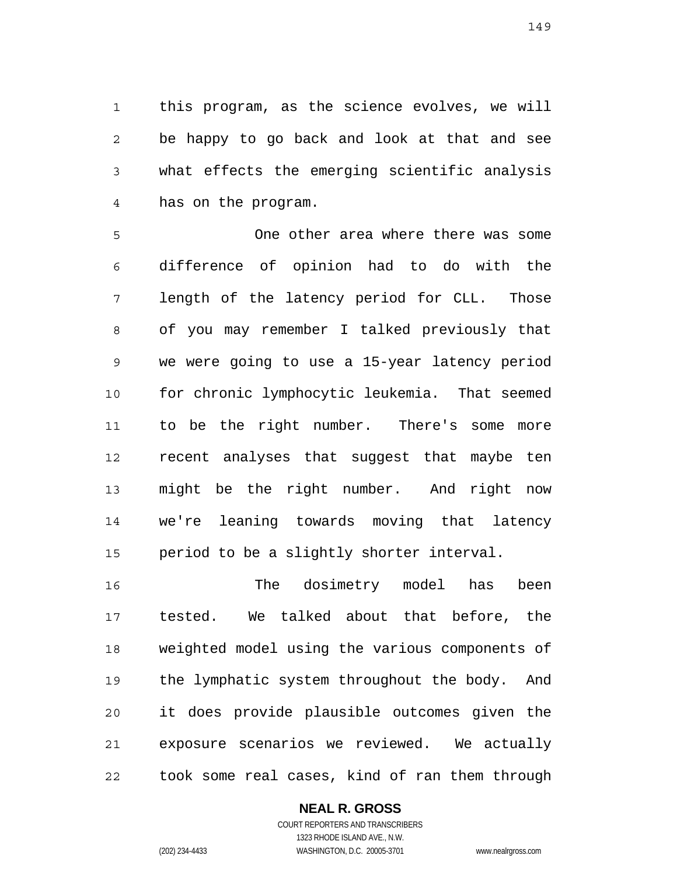1 2 3 4 this program, as the science evolves, we will be happy to go back and look at that and see what effects the emerging scientific analysis has on the program.

5 6 7 8 9 10 11 12 13 14 15 One other area where there was some difference of opinion had to do with the length of the latency period for CLL. Those of you may remember I talked previously that we were going to use a 15-year latency period for chronic lymphocytic leukemia. That seemed to be the right number. There's some more recent analyses that suggest that maybe ten might be the right number. And right now we're leaning towards moving that latency period to be a slightly shorter interval.

16 17 18 19 20 21 22 The dosimetry model has been tested. We talked about that before, the weighted model using the various components of the lymphatic system throughout the body. And it does provide plausible outcomes given the exposure scenarios we reviewed. We actually took some real cases, kind of ran them through

# **NEAL R. GROSS**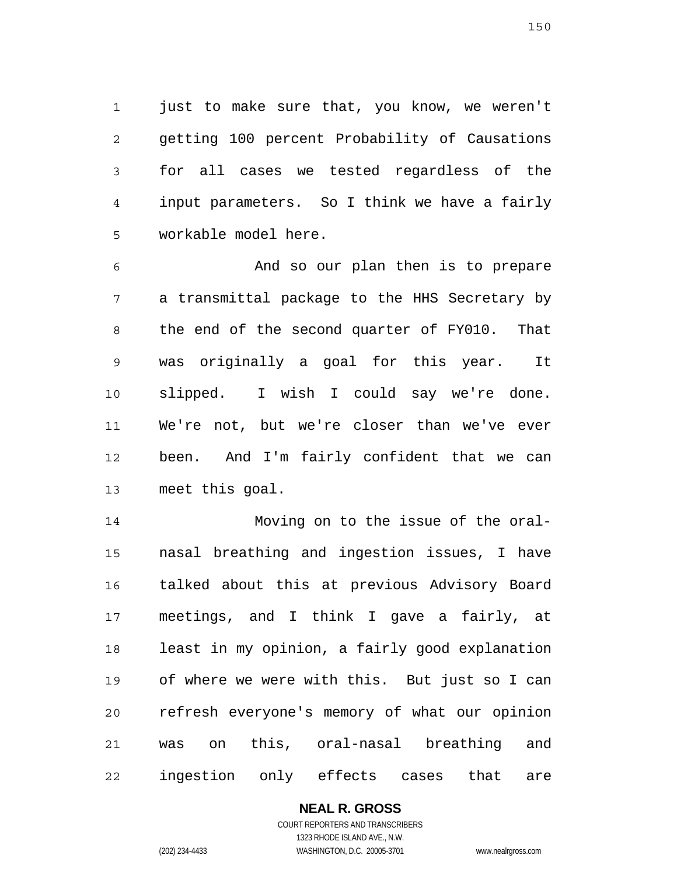1 2 3 4 5 just to make sure that, you know, we weren't getting 100 percent Probability of Causations for all cases we tested regardless of the input parameters. So I think we have a fairly workable model here.

6 7 8 9 10 11 12 13 And so our plan then is to prepare a transmittal package to the HHS Secretary by the end of the second quarter of FY010. That was originally a goal for this year. It slipped. I wish I could say we're done. We're not, but we're closer than we've ever been. And I'm fairly confident that we can meet this goal.

14 15 16 17 18 19 20 21 22 Moving on to the issue of the oralnasal breathing and ingestion issues, I have talked about this at previous Advisory Board meetings, and I think I gave a fairly, at least in my opinion, a fairly good explanation of where we were with this. But just so I can refresh everyone's memory of what our opinion was on this, oral-nasal breathing and ingestion only effects cases that are

#### **NEAL R. GROSS**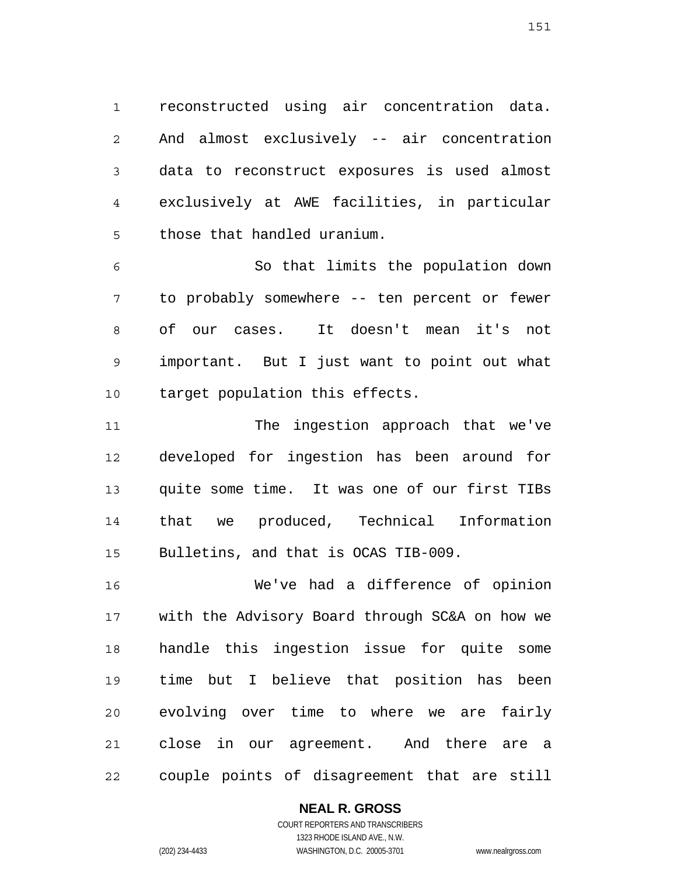1 2 3 4 5 reconstructed using air concentration data. And almost exclusively -- air concentration data to reconstruct exposures is used almost exclusively at AWE facilities, in particular those that handled uranium.

6 7 8 9 10 So that limits the population down to probably somewhere -- ten percent or fewer of our cases. It doesn't mean it's not important. But I just want to point out what target population this effects.

11 12 13 14 15 The ingestion approach that we've developed for ingestion has been around for quite some time. It was one of our first TIBs that we produced, Technical Information Bulletins, and that is OCAS TIB-009.

16 17 18 19 20 21 22 We've had a difference of opinion with the Advisory Board through SC&A on how we handle this ingestion issue for quite some time but I believe that position has been evolving over time to where we are fairly close in our agreement. And there are a couple points of disagreement that are still

# **NEAL R. GROSS**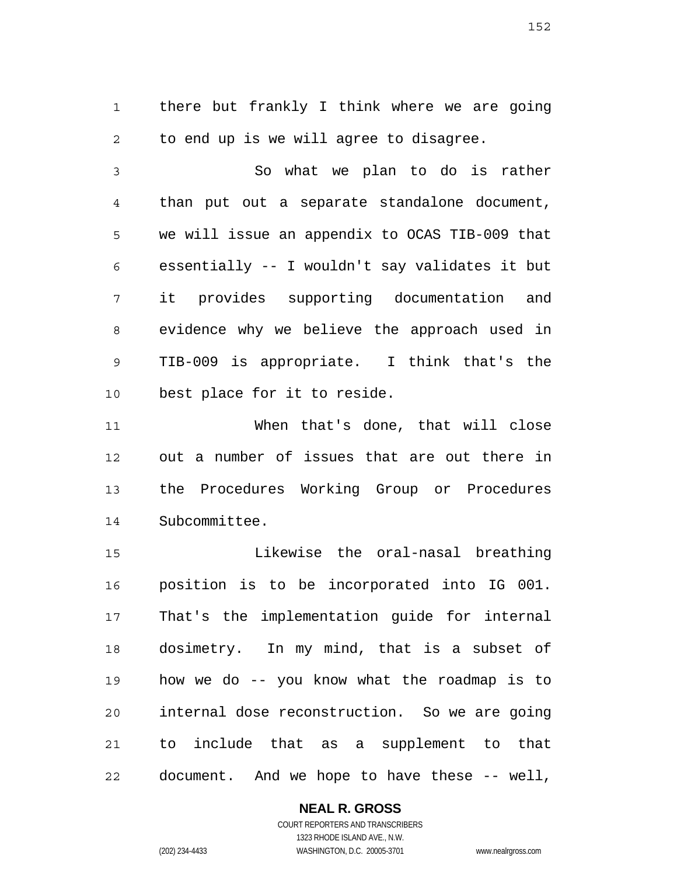1 2 there but frankly I think where we are going to end up is we will agree to disagree.

3 4 5 6 7 8 9 10 So what we plan to do is rather than put out a separate standalone document, we will issue an appendix to OCAS TIB-009 that essentially -- I wouldn't say validates it but it provides supporting documentation and evidence why we believe the approach used in TIB-009 is appropriate. I think that's the best place for it to reside.

11 12 13 14 When that's done, that will close out a number of issues that are out there in the Procedures Working Group or Procedures Subcommittee.

15 16 17 18 19 20 21 22 Likewise the oral-nasal breathing position is to be incorporated into IG 001. That's the implementation guide for internal dosimetry. In my mind, that is a subset of how we do -- you know what the roadmap is to internal dose reconstruction. So we are going to include that as a supplement to that document. And we hope to have these -- well,

# **NEAL R. GROSS**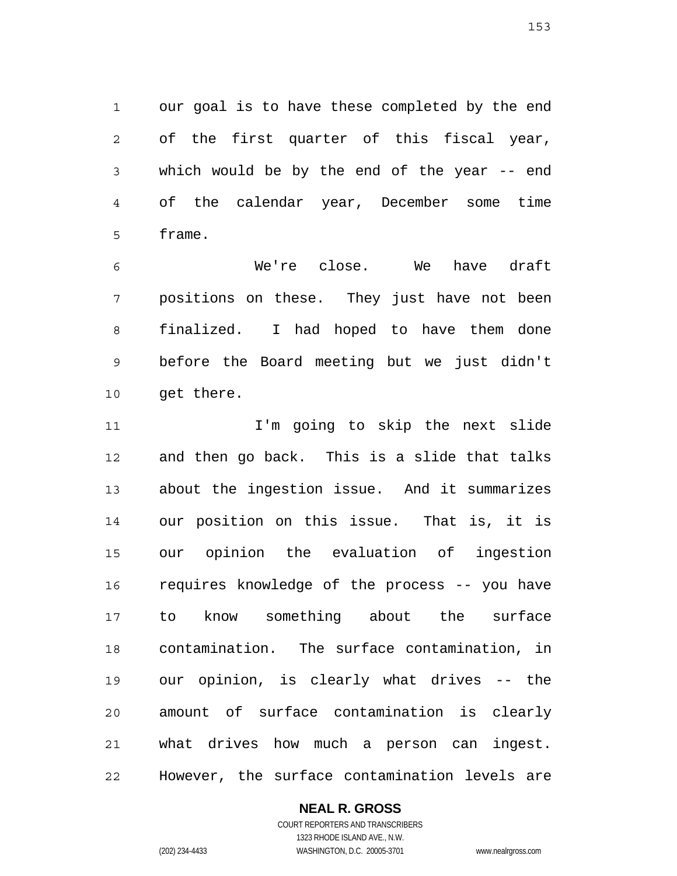1 2 3 4 5 our goal is to have these completed by the end of the first quarter of this fiscal year, which would be by the end of the year -- end of the calendar year, December some time frame.

6 7 8 9 10 We're close. We have draft positions on these. They just have not been finalized. I had hoped to have them done before the Board meeting but we just didn't get there.

11 12 13 14 15 16 17 18 19 20 21 22 I'm going to skip the next slide and then go back. This is a slide that talks about the ingestion issue. And it summarizes our position on this issue. That is, it is our opinion the evaluation of ingestion requires knowledge of the process -- you have to know something about the surface contamination. The surface contamination, in our opinion, is clearly what drives -- the amount of surface contamination is clearly what drives how much a person can ingest. However, the surface contamination levels are

# **NEAL R. GROSS**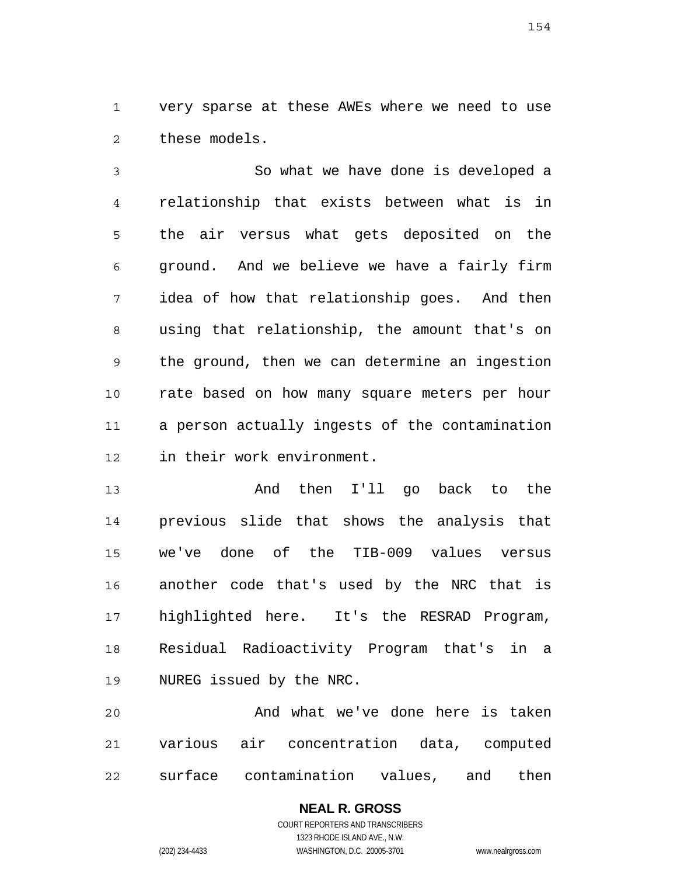1 2 very sparse at these AWEs where we need to use these models.

3 4 5 6 7 8 9 10 11 12 So what we have done is developed a relationship that exists between what is in the air versus what gets deposited on the ground. And we believe we have a fairly firm idea of how that relationship goes. And then using that relationship, the amount that's on the ground, then we can determine an ingestion rate based on how many square meters per hour a person actually ingests of the contamination in their work environment.

13 14 15 16 17 18 19 And then I'll go back to the previous slide that shows the analysis that we've done of the TIB-009 values versus another code that's used by the NRC that is highlighted here. It's the RESRAD Program, Residual Radioactivity Program that's in a NUREG issued by the NRC.

20 21 22 And what we've done here is taken various air concentration data, computed surface contamination values, and then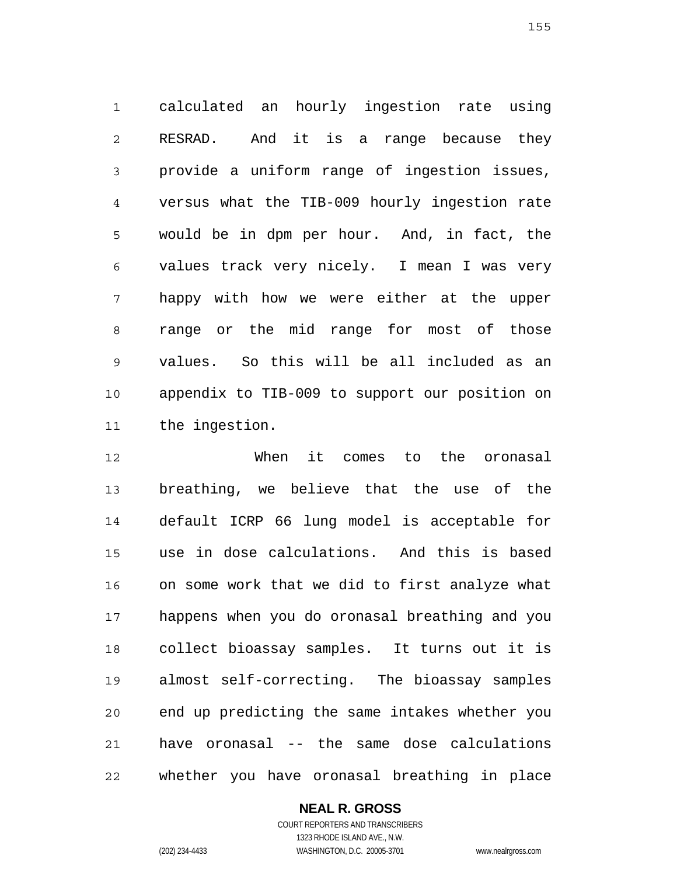1 2 3 4 5 6 7 8 9 10 11 calculated an hourly ingestion rate using RESRAD. And it is a range because they provide a uniform range of ingestion issues, versus what the TIB-009 hourly ingestion rate would be in dpm per hour. And, in fact, the values track very nicely. I mean I was very happy with how we were either at the upper range or the mid range for most of those values. So this will be all included as an appendix to TIB-009 to support our position on the ingestion.

12 13 14 15 16 17 18 19 20 21 22 When it comes to the oronasal breathing, we believe that the use of the default ICRP 66 lung model is acceptable for use in dose calculations. And this is based on some work that we did to first analyze what happens when you do oronasal breathing and you collect bioassay samples. It turns out it is almost self-correcting. The bioassay samples end up predicting the same intakes whether you have oronasal -- the same dose calculations whether you have oronasal breathing in place

# **NEAL R. GROSS**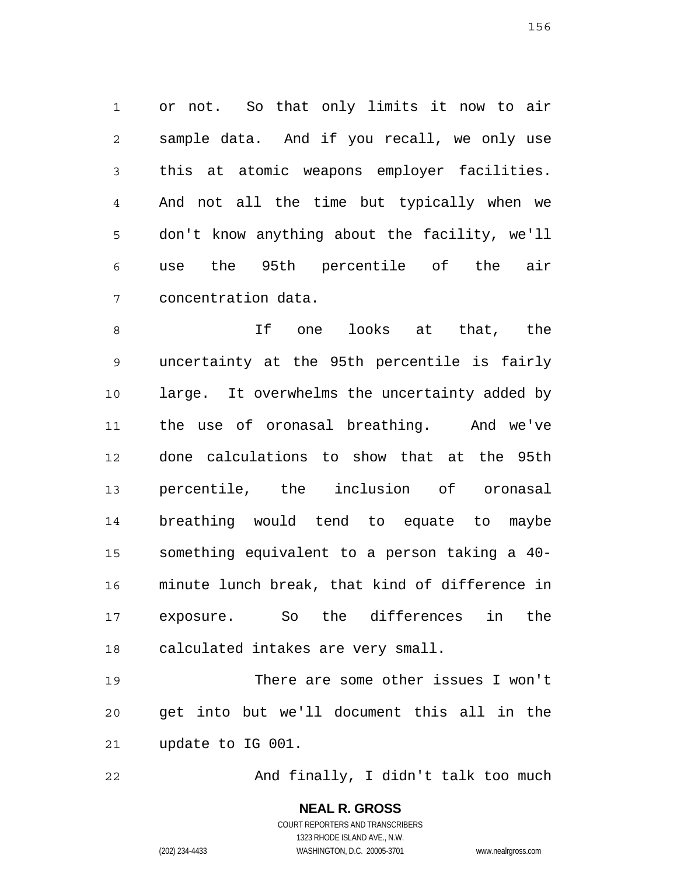1 2 3 4 5 6 7 or not. So that only limits it now to air sample data. And if you recall, we only use this at atomic weapons employer facilities. And not all the time but typically when we don't know anything about the facility, we'll use the 95th percentile of the air concentration data.

8 9 10 11 12 13 14 15 16 17 18 If one looks at that, the uncertainty at the 95th percentile is fairly large. It overwhelms the uncertainty added by the use of oronasal breathing. And we've done calculations to show that at the 95th percentile, the inclusion of oronasal breathing would tend to equate to maybe something equivalent to a person taking a 40 minute lunch break, that kind of difference in exposure. So the differences in the calculated intakes are very small.

19 20 21 There are some other issues I won't get into but we'll document this all in the update to IG 001.

22 And finally, I didn't talk too much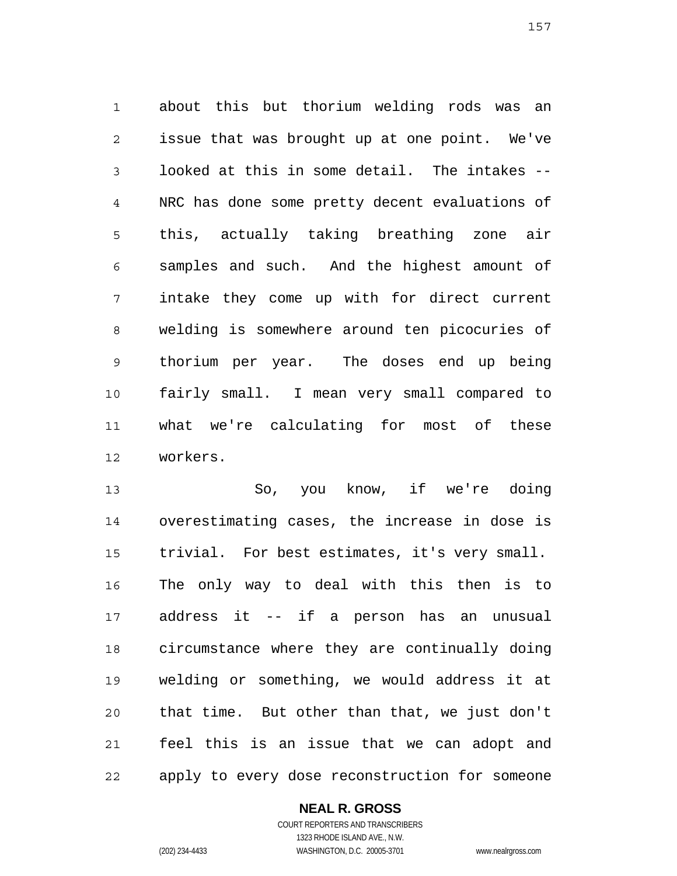1 2 3 4 5 6 7 8 9 10 11 12 about this but thorium welding rods was an issue that was brought up at one point. We've looked at this in some detail. The intakes -- NRC has done some pretty decent evaluations of this, actually taking breathing zone air samples and such. And the highest amount of intake they come up with for direct current welding is somewhere around ten picocuries of thorium per year. The doses end up being fairly small. I mean very small compared to what we're calculating for most of these workers.

13 14 15 16 17 18 19 20 21 22 So, you know, if we're doing overestimating cases, the increase in dose is trivial. For best estimates, it's very small. The only way to deal with this then is to address it -- if a person has an unusual circumstance where they are continually doing welding or something, we would address it at that time. But other than that, we just don't feel this is an issue that we can adopt and apply to every dose reconstruction for someone

#### **NEAL R. GROSS**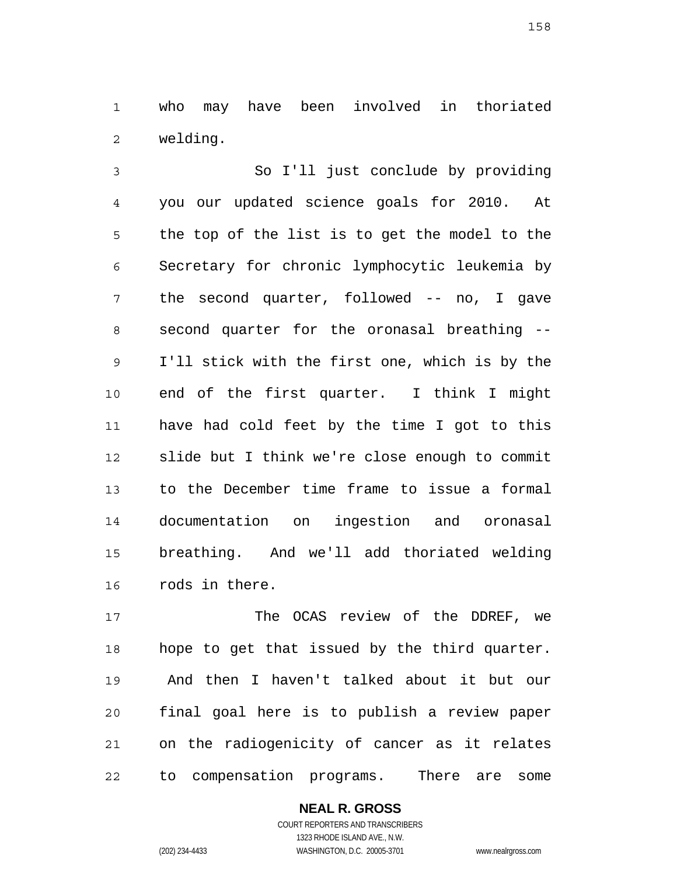1 2 who may have been involved in thoriated welding.

3 4 5 6 7 8 9 10 11 12 13 14 15 16 So I'll just conclude by providing you our updated science goals for 2010. At the top of the list is to get the model to the Secretary for chronic lymphocytic leukemia by the second quarter, followed -- no, I gave second quarter for the oronasal breathing -- I'll stick with the first one, which is by the end of the first quarter. I think I might have had cold feet by the time I got to this slide but I think we're close enough to commit to the December time frame to issue a formal documentation on ingestion and oronasal breathing. And we'll add thoriated welding rods in there.

17 18 19 20 21 22 The OCAS review of the DDREF, we hope to get that issued by the third quarter. And then I haven't talked about it but our final goal here is to publish a review paper on the radiogenicity of cancer as it relates to compensation programs. There are some

# **NEAL R. GROSS**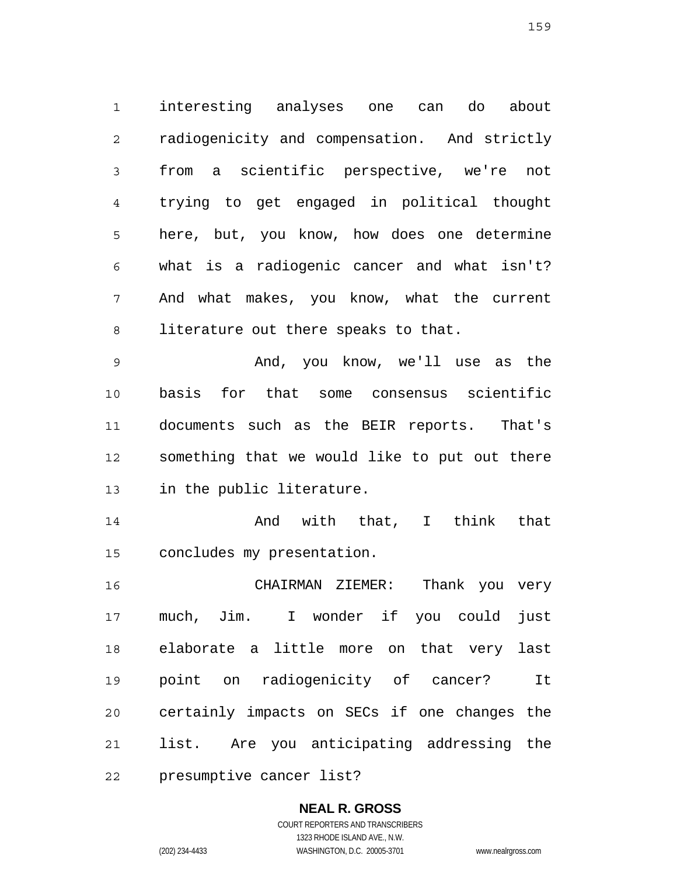1 2 3 4 5 6 7 8 interesting analyses one can do about radiogenicity and compensation. And strictly from a scientific perspective, we're not trying to get engaged in political thought here, but, you know, how does one determine what is a radiogenic cancer and what isn't? And what makes, you know, what the current literature out there speaks to that.

9 10 11 12 13 And, you know, we'll use as the basis for that some consensus scientific documents such as the BEIR reports. That's something that we would like to put out there in the public literature.

14 15 And with that, I think that concludes my presentation.

16 17 18 19 20 21 22 CHAIRMAN ZIEMER: Thank you very much, Jim. I wonder if you could just elaborate a little more on that very last point on radiogenicity of cancer? It certainly impacts on SECs if one changes the list. Are you anticipating addressing the presumptive cancer list?

# **NEAL R. GROSS**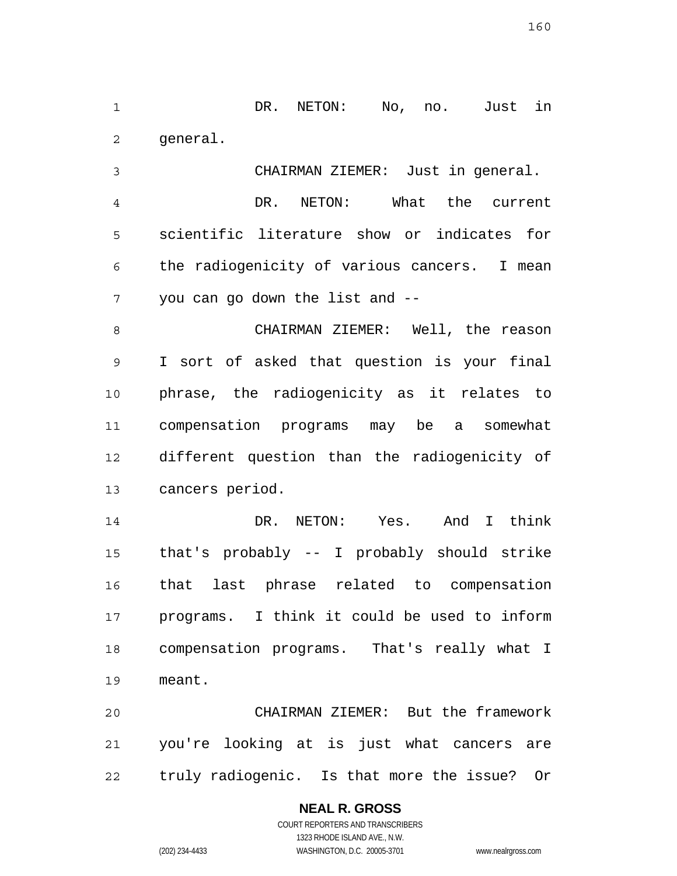1 2 DR. NETON: No, no. Just in general.

3 4 5 6 7 CHAIRMAN ZIEMER: Just in general. DR. NETON: What the current scientific literature show or indicates for the radiogenicity of various cancers. I mean you can go down the list and --

8 9 10 11 12 13 CHAIRMAN ZIEMER: Well, the reason I sort of asked that question is your final phrase, the radiogenicity as it relates to compensation programs may be a somewhat different question than the radiogenicity of cancers period.

14 15 16 17 18 19 DR. NETON: Yes. And I think that's probably -- I probably should strike that last phrase related to compensation programs. I think it could be used to inform compensation programs. That's really what I meant.

20 21 22 CHAIRMAN ZIEMER: But the framework you're looking at is just what cancers are truly radiogenic. Is that more the issue? Or

# **NEAL R. GROSS**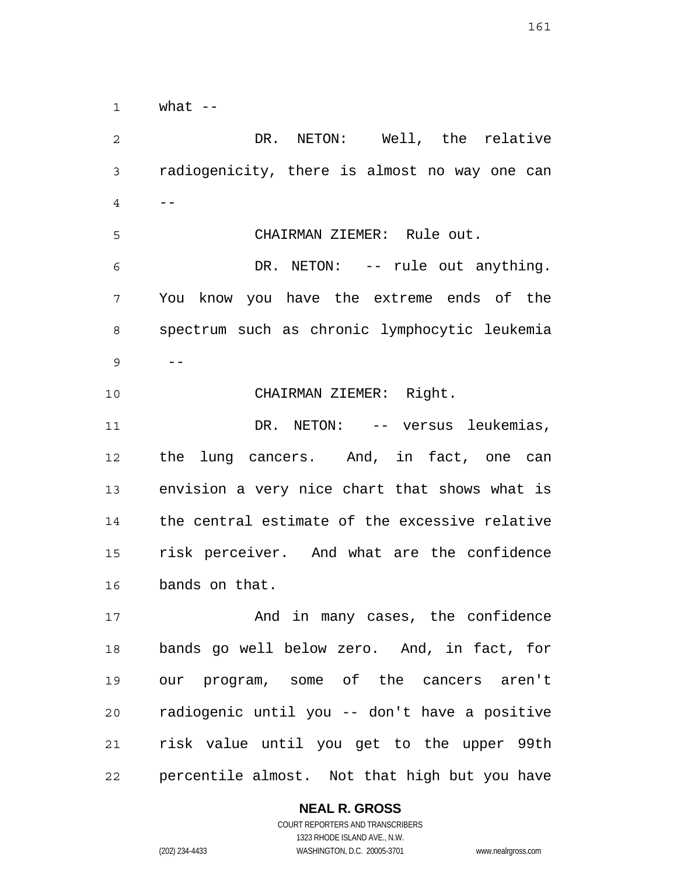1 2 3 4 5 6 7 8 9 10 11 12 13 14 15 16 17 18 what  $--$  DR. NETON: Well, the relative radiogenicity, there is almost no way one can  $-$  CHAIRMAN ZIEMER: Rule out. DR. NETON: -- rule out anything. You know you have the extreme ends of the spectrum such as chronic lymphocytic leukemia  $-$  CHAIRMAN ZIEMER: Right. DR. NETON: -- versus leukemias, the lung cancers. And, in fact, one can envision a very nice chart that shows what is the central estimate of the excessive relative risk perceiver. And what are the confidence bands on that. And in many cases, the confidence bands go well below zero. And, in fact, for

19 20 21 22 our program, some of the cancers aren't radiogenic until you -- don't have a positive risk value until you get to the upper 99th percentile almost. Not that high but you have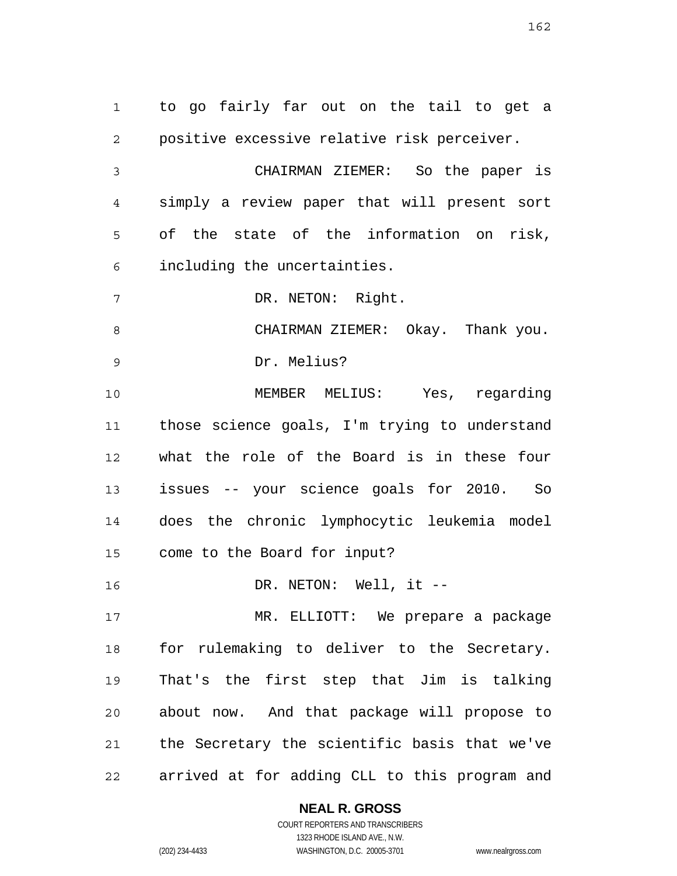1 2 3 4 5 6 7 8 9 10 11 12 13 14 15 16 17 18 19 20 21 22 to go fairly far out on the tail to get a positive excessive relative risk perceiver. CHAIRMAN ZIEMER: So the paper is simply a review paper that will present sort of the state of the information on risk, including the uncertainties. DR. NETON: Right. CHAIRMAN ZIEMER: Okay. Thank you. Dr. Melius? MEMBER MELIUS: Yes, regarding those science goals, I'm trying to understand what the role of the Board is in these four issues -- your science goals for 2010. So does the chronic lymphocytic leukemia model come to the Board for input? DR. NETON: Well, it -- MR. ELLIOTT: We prepare a package for rulemaking to deliver to the Secretary. That's the first step that Jim is talking about now. And that package will propose to the Secretary the scientific basis that we've arrived at for adding CLL to this program and

#### **NEAL R. GROSS**

COURT REPORTERS AND TRANSCRIBERS 1323 RHODE ISLAND AVE., N.W. (202) 234-4433 WASHINGTON, D.C. 20005-3701 www.nealrgross.com

162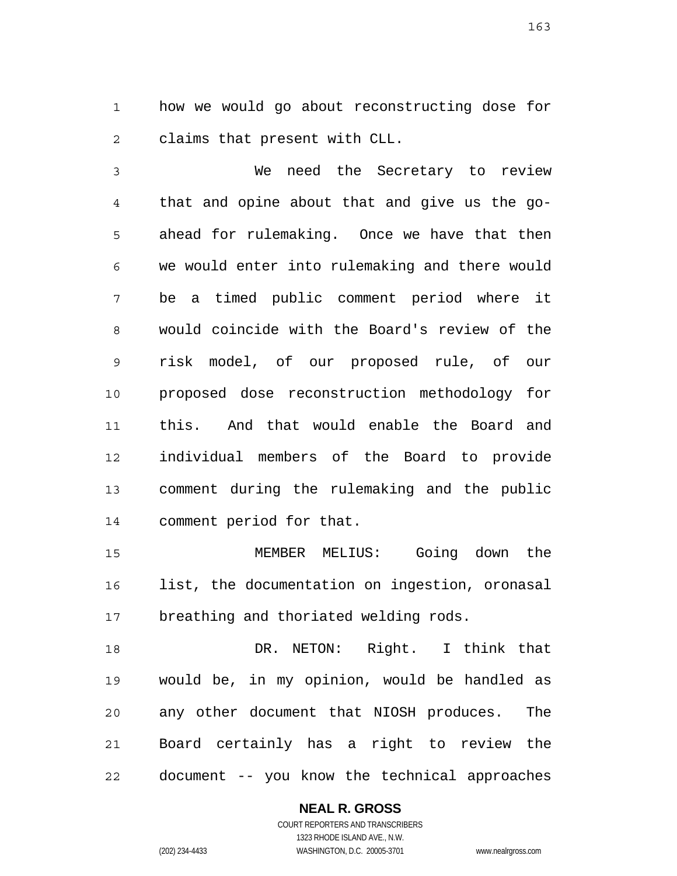1 2 how we would go about reconstructing dose for claims that present with CLL.

3 4 5 6 7 8 9 10 11 12 13 14 We need the Secretary to review that and opine about that and give us the goahead for rulemaking. Once we have that then we would enter into rulemaking and there would be a timed public comment period where it would coincide with the Board's review of the risk model, of our proposed rule, of our proposed dose reconstruction methodology for this. And that would enable the Board and individual members of the Board to provide comment during the rulemaking and the public comment period for that.

15 16 17 MEMBER MELIUS: Going down the list, the documentation on ingestion, oronasal breathing and thoriated welding rods.

18 19 20 21 22 DR. NETON: Right. I think that would be, in my opinion, would be handled as any other document that NIOSH produces. The Board certainly has a right to review the document -- you know the technical approaches

#### **NEAL R. GROSS**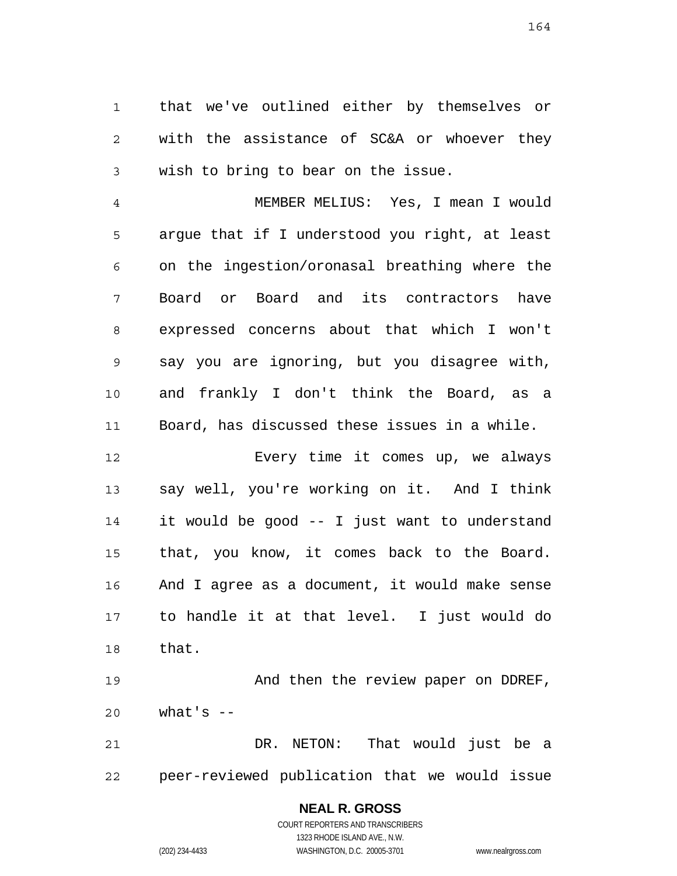1 2 3 that we've outlined either by themselves or with the assistance of SC&A or whoever they wish to bring to bear on the issue.

4 5 6 7 8 9 10 11 MEMBER MELIUS: Yes, I mean I would argue that if I understood you right, at least on the ingestion/oronasal breathing where the Board or Board and its contractors have expressed concerns about that which I won't say you are ignoring, but you disagree with, and frankly I don't think the Board, as a Board, has discussed these issues in a while.

12 13 14 15 16 17 18 Every time it comes up, we always say well, you're working on it. And I think it would be good -- I just want to understand that, you know, it comes back to the Board. And I agree as a document, it would make sense to handle it at that level. I just would do that.

19 20 And then the review paper on DDREF, what's  $-$ 

21 22 DR. NETON: That would just be a peer-reviewed publication that we would issue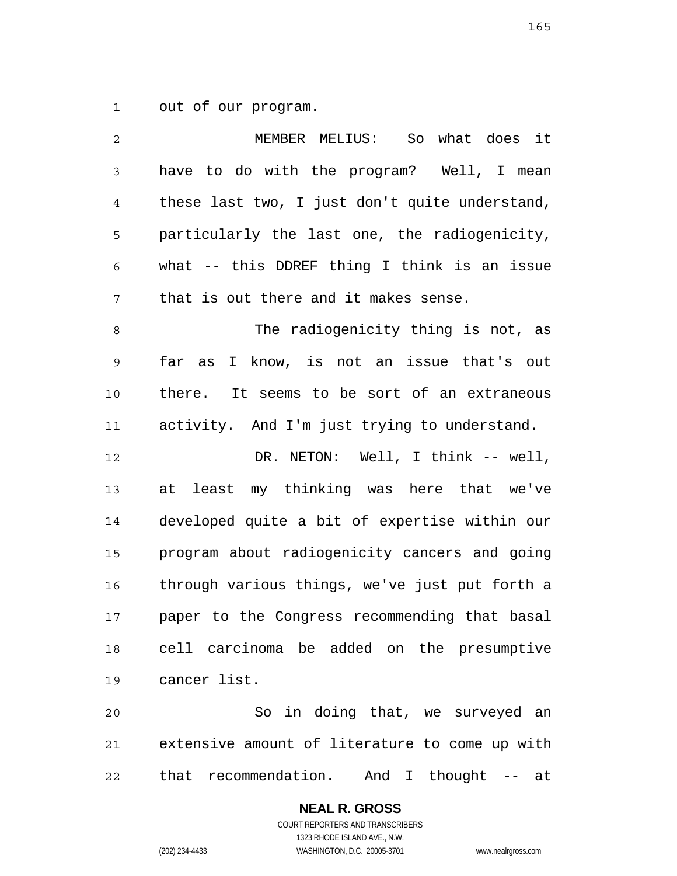1 out of our program.

| $\overline{2}$ | MEMBER MELIUS: So what does it                 |
|----------------|------------------------------------------------|
| $\mathfrak{Z}$ | have to do with the program? Well, I mean      |
| $\overline{4}$ | these last two, I just don't quite understand, |
| 5              | particularly the last one, the radiogenicity,  |
| 6              | what -- this DDREF thing I think is an issue   |
| 7              | that is out there and it makes sense.          |
| 8              | The radiogenicity thing is not, as             |
| $\mathsf 9$    | I know, is not an issue that's out<br>far as   |
| 10             | there. It seems to be sort of an extraneous    |
| 11             | activity. And I'm just trying to understand.   |
| 12             | DR. NETON: Well, I think -- well,              |
| 13             | at least my thinking was here that we've       |
| 14             | developed quite a bit of expertise within our  |
| 15             | program about radiogenicity cancers and going  |
| 16             | through various things, we've just put forth a |
| 17             | paper to the Congress recommending that basal  |
| 18             | cell carcinoma be added on the presumptive     |
| 19             | cancer list.                                   |
| 20             | So in doing that, we surveyed an               |
| 21             | extensive amount of literature to come up with |
| 22             | that recommendation. And I thought -- at       |

**NEAL R. GROSS** COURT REPORTERS AND TRANSCRIBERS

1323 RHODE ISLAND AVE., N.W.

(202) 234-4433 WASHINGTON, D.C. 20005-3701 www.nealrgross.com

165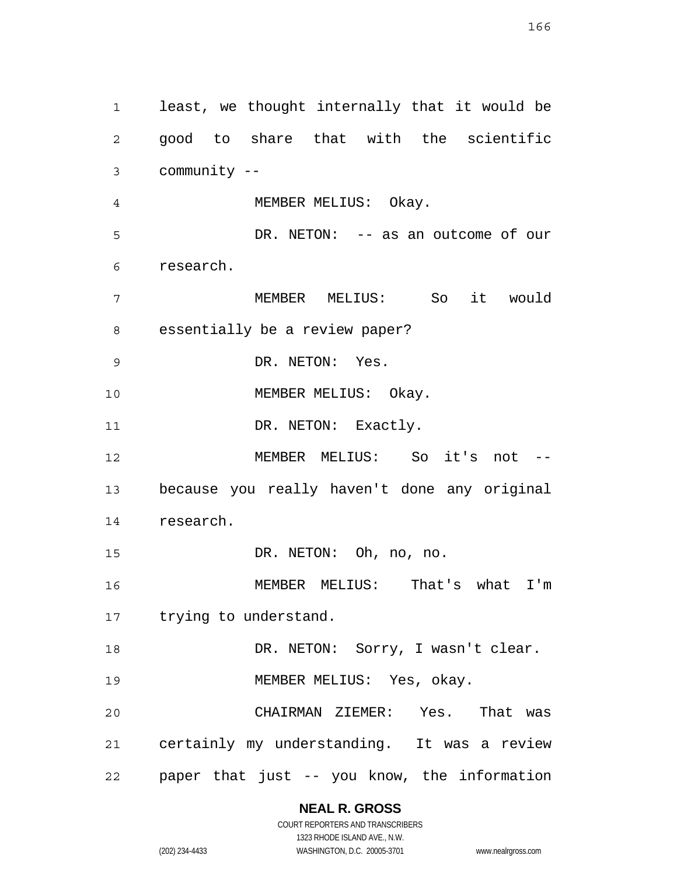1 2 3 4 5 6 7 8 9 10 11 12 13 14 15 16 17 18 19 20 21 22 least, we thought internally that it would be good to share that with the scientific community -- MEMBER MELIUS: Okay. DR. NETON: -- as an outcome of our research. MEMBER MELIUS: So it would essentially be a review paper? DR. NETON: Yes. MEMBER MELIUS: Okay. DR. NETON: Exactly. MEMBER MELIUS: So it's not - because you really haven't done any original research. DR. NETON: Oh, no, no. MEMBER MELIUS: That's what I'm trying to understand. DR. NETON: Sorry, I wasn't clear. MEMBER MELIUS: Yes, okay. CHAIRMAN ZIEMER: Yes. That was certainly my understanding. It was a review paper that just -- you know, the information

COURT REPORTERS AND TRANSCRIBERS 1323 RHODE ISLAND AVE., N.W.

**NEAL R. GROSS**

(202) 234-4433 WASHINGTON, D.C. 20005-3701 www.nealrgross.com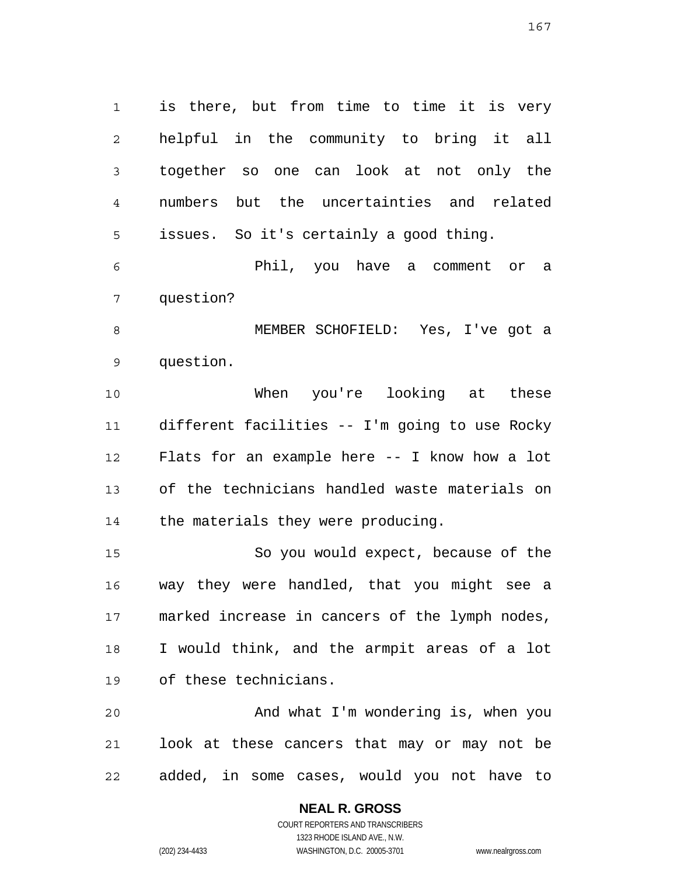1 2 3 4 5 is there, but from time to time it is very helpful in the community to bring it all together so one can look at not only the numbers but the uncertainties and related issues. So it's certainly a good thing.

6 7 Phil, you have a comment or a question?

8 9 MEMBER SCHOFIELD: Yes, I've got a question.

10 11 12 13 14 When you're looking at these different facilities -- I'm going to use Rocky Flats for an example here -- I know how a lot of the technicians handled waste materials on the materials they were producing.

15 16 17 18 19 So you would expect, because of the way they were handled, that you might see a marked increase in cancers of the lymph nodes, I would think, and the armpit areas of a lot of these technicians.

20 21 22 And what I'm wondering is, when you look at these cancers that may or may not be added, in some cases, would you not have to

> **NEAL R. GROSS** COURT REPORTERS AND TRANSCRIBERS 1323 RHODE ISLAND AVE., N.W.

(202) 234-4433 WASHINGTON, D.C. 20005-3701 www.nealrgross.com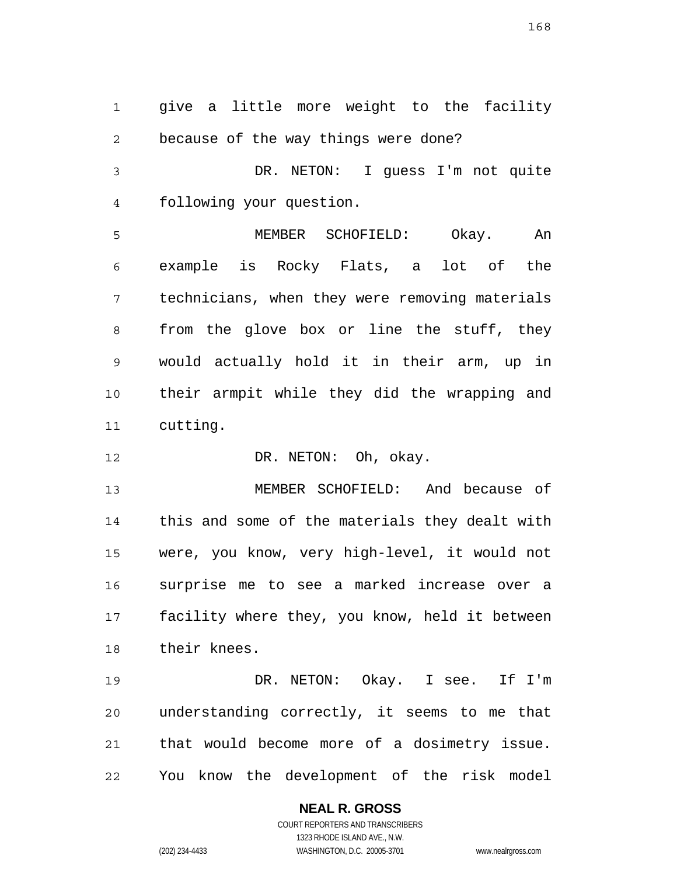1 2 3 4 5 6 7 8 9 10 11 12 13 give a little more weight to the facility because of the way things were done? DR. NETON: I guess I'm not quite following your question. MEMBER SCHOFIELD: Okay. An example is Rocky Flats, a lot of the technicians, when they were removing materials from the glove box or line the stuff, they would actually hold it in their arm, up in their armpit while they did the wrapping and cutting. DR. NETON: Oh, okay. MEMBER SCHOFIELD: And because of

14 15 16 17 18 this and some of the materials they dealt with were, you know, very high-level, it would not surprise me to see a marked increase over a facility where they, you know, held it between their knees.

19 20 21 22 DR. NETON: Okay. I see. If I'm understanding correctly, it seems to me that that would become more of a dosimetry issue. You know the development of the risk model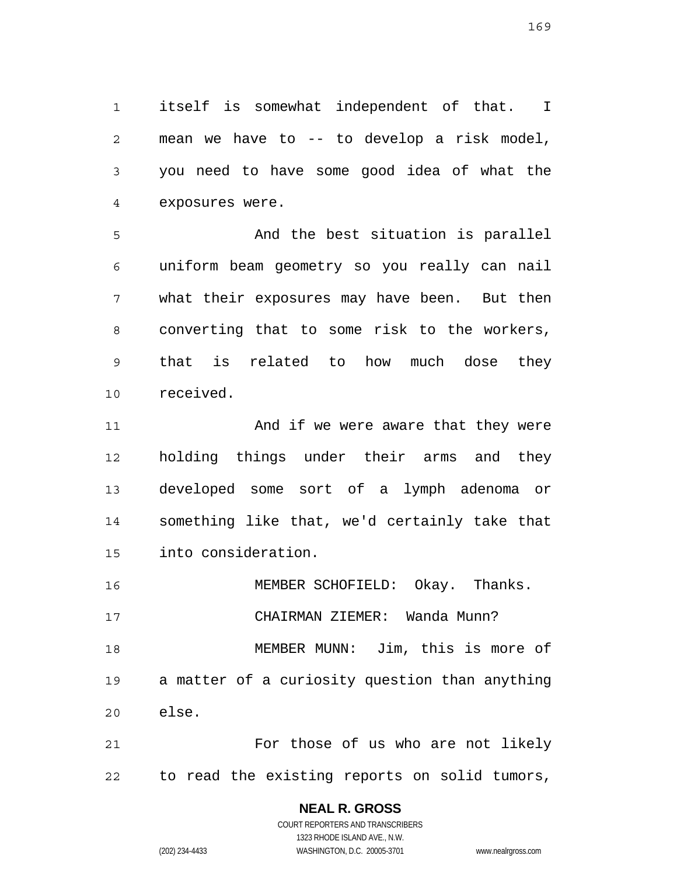1 2 3 4 itself is somewhat independent of that. I mean we have to -- to develop a risk model, you need to have some good idea of what the exposures were.

5 6 7 8 9 10 And the best situation is parallel uniform beam geometry so you really can nail what their exposures may have been. But then converting that to some risk to the workers, that is related to how much dose they received.

11 12 13 14 15 And if we were aware that they were holding things under their arms and they developed some sort of a lymph adenoma or something like that, we'd certainly take that into consideration.

16 17 18 19 20 MEMBER SCHOFIELD: Okay. Thanks. CHAIRMAN ZIEMER: Wanda Munn? MEMBER MUNN: Jim, this is more of a matter of a curiosity question than anything else.

21 22 For those of us who are not likely to read the existing reports on solid tumors,

> **NEAL R. GROSS** COURT REPORTERS AND TRANSCRIBERS

> > 1323 RHODE ISLAND AVE., N.W.

(202) 234-4433 WASHINGTON, D.C. 20005-3701 www.nealrgross.com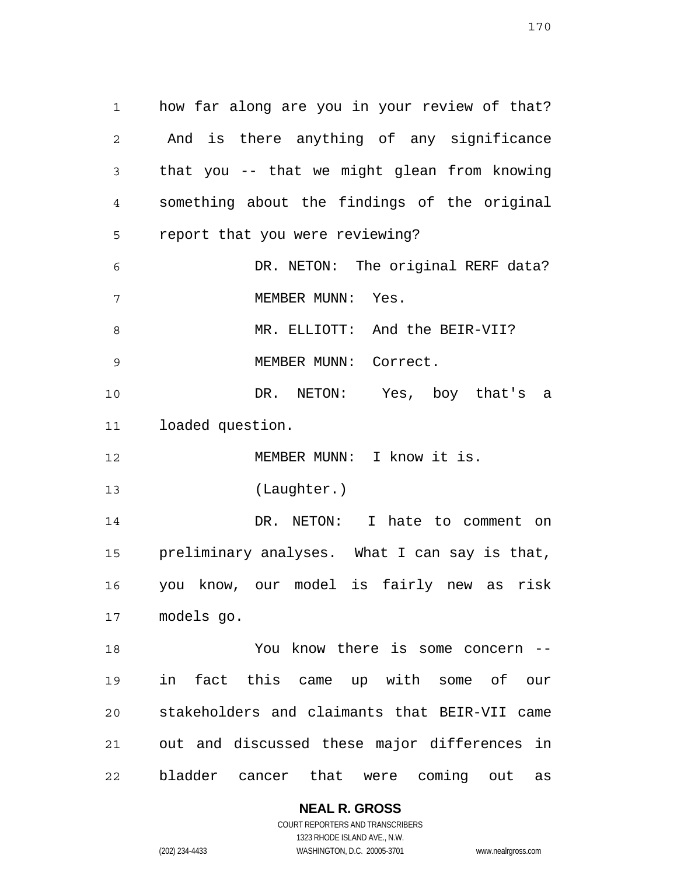1 2 3 4 5 6 7 8 9 10 11 12 13 14 15 16 17 how far along are you in your review of that? And is there anything of any significance that you -- that we might glean from knowing something about the findings of the original report that you were reviewing? DR. NETON: The original RERF data? MEMBER MUNN: Yes. MR. ELLIOTT: And the BEIR-VII? MEMBER MUNN: Correct. DR. NETON: Yes, boy that's a loaded question. MEMBER MUNN: I know it is. (Laughter.) DR. NETON: I hate to comment on preliminary analyses. What I can say is that, you know, our model is fairly new as risk models go.

18 19 20 21 22 You know there is some concern - in fact this came up with some of our stakeholders and claimants that BEIR-VII came out and discussed these major differences in bladder cancer that were coming out as

> **NEAL R. GROSS** COURT REPORTERS AND TRANSCRIBERS

> > 1323 RHODE ISLAND AVE., N.W.

(202) 234-4433 WASHINGTON, D.C. 20005-3701 www.nealrgross.com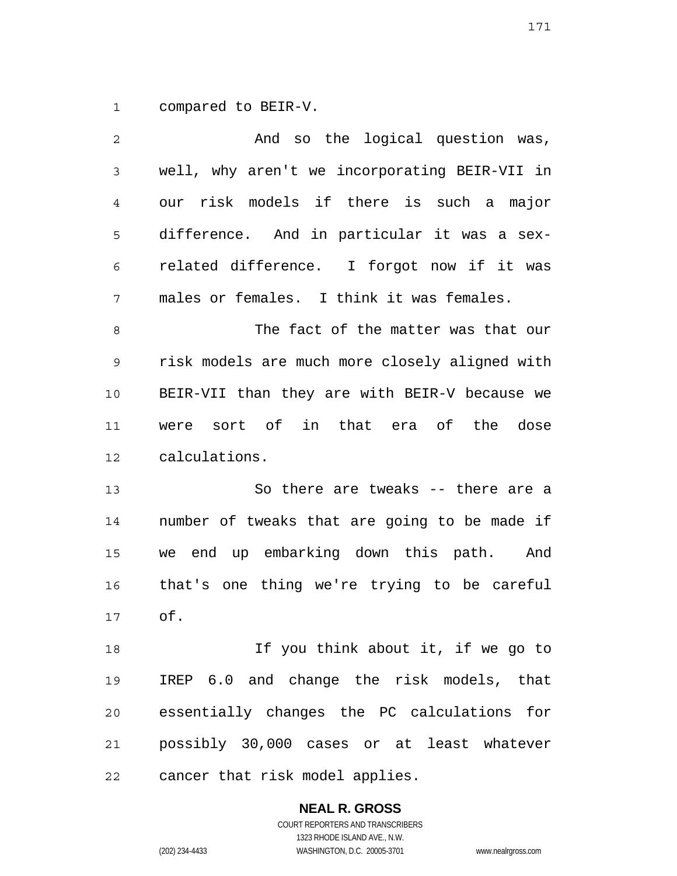1 compared to BEIR-V.

| 2              | And so the logical question was,               |
|----------------|------------------------------------------------|
| 3              | well, why aren't we incorporating BEIR-VII in  |
| $\overline{4}$ | our risk models if there is such a major       |
| 5              | difference. And in particular it was a sex-    |
| 6              | related difference. I forgot now if it was     |
| 7              | males or females. I think it was females.      |
| 8              | The fact of the matter was that our            |
| 9              | risk models are much more closely aligned with |
| 10             | BEIR-VII than they are with BEIR-V because we  |
| 11             | were sort of in that era of the dose           |
| 12             | calculations.                                  |
| 13             | So there are tweaks -- there are a             |
| 14             | number of tweaks that are going to be made if  |
| 15             | we end up embarking down this path. And        |
| 16             | that's one thing we're trying to be careful    |
| 17             | of.                                            |
| 18             | If you think about it, if we go to             |
| 19             | IREP 6.0 and change the risk models, that      |
| 20             | essentially changes the PC calculations for    |
| 21             | possibly 30,000 cases or at least whatever     |
| 22             | cancer that risk model applies.                |

**NEAL R. GROSS** COURT REPORTERS AND TRANSCRIBERS 1323 RHODE ISLAND AVE., N.W. (202) 234-4433 WASHINGTON, D.C. 20005-3701 www.nealrgross.com

171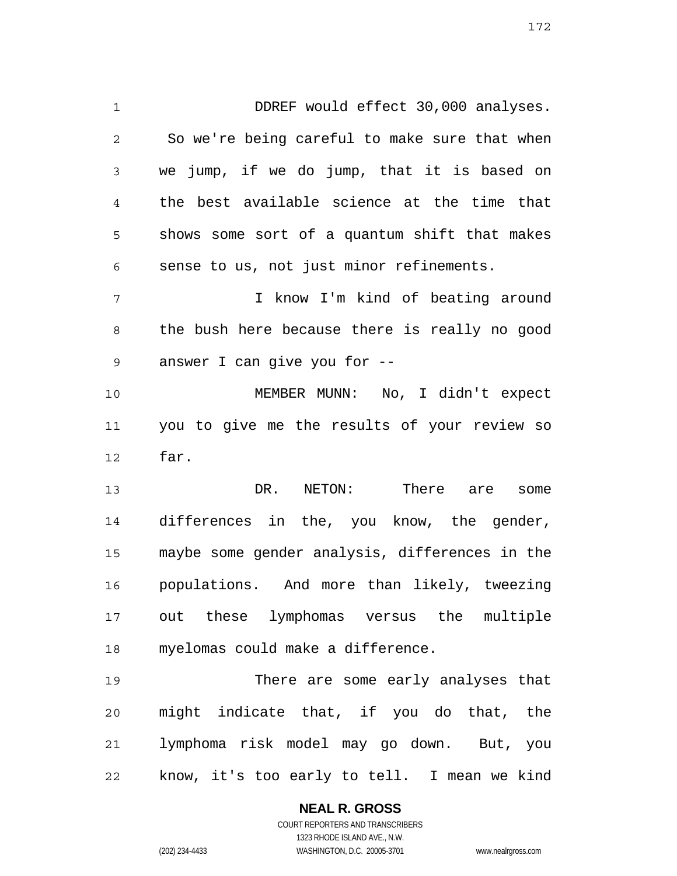1 2 3 4 5 6 7 8 9 10 11 12 13 14 15 16 17 18 DDREF would effect 30,000 analyses. So we're being careful to make sure that when we jump, if we do jump, that it is based on the best available science at the time that shows some sort of a quantum shift that makes sense to us, not just minor refinements. I know I'm kind of beating around the bush here because there is really no good answer I can give you for -- MEMBER MUNN: No, I didn't expect you to give me the results of your review so far. DR. NETON: There are some differences in the, you know, the gender, maybe some gender analysis, differences in the populations. And more than likely, tweezing out these lymphomas versus the multiple myelomas could make a difference.

19 20 21 22 There are some early analyses that might indicate that, if you do that, the lymphoma risk model may go down. But, you know, it's too early to tell. I mean we kind

**NEAL R. GROSS**

COURT REPORTERS AND TRANSCRIBERS 1323 RHODE ISLAND AVE., N.W. (202) 234-4433 WASHINGTON, D.C. 20005-3701 www.nealrgross.com

172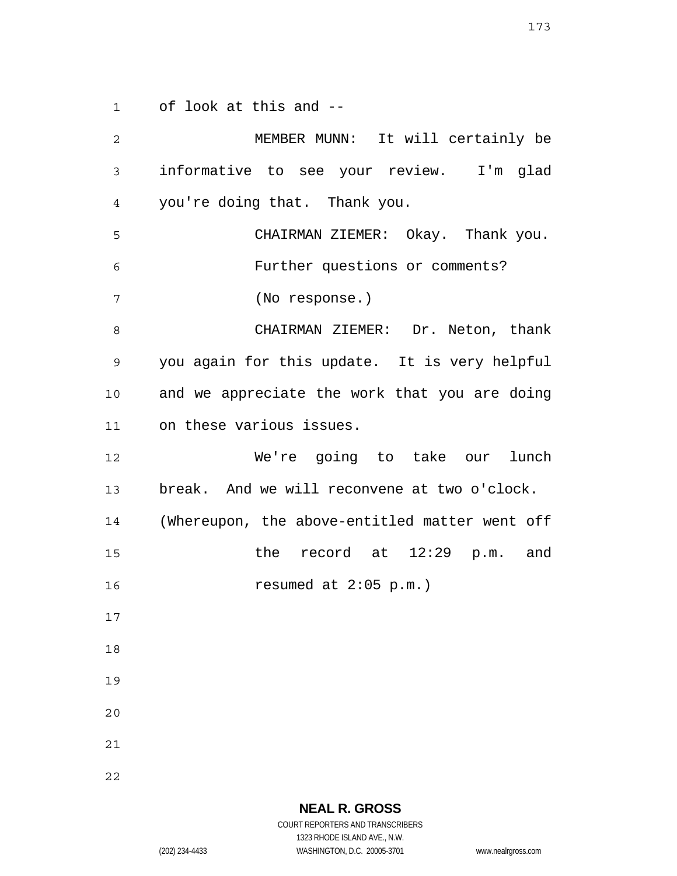1 of look at this and --

2 3 4 5 6 7 8 9 10 11 12 13 14 15 16 17 18 19 20 21 22 MEMBER MUNN: It will certainly be informative to see your review. I'm glad you're doing that. Thank you. CHAIRMAN ZIEMER: Okay. Thank you. Further questions or comments? (No response.) CHAIRMAN ZIEMER: Dr. Neton, thank you again for this update. It is very helpful and we appreciate the work that you are doing on these various issues. We're going to take our lunch break. And we will reconvene at two o'clock. (Whereupon, the above-entitled matter went off the record at 12:29 p.m. and resumed at 2:05 p.m.)

(202) 234-4433 WASHINGTON, D.C. 20005-3701 www.nealrgross.com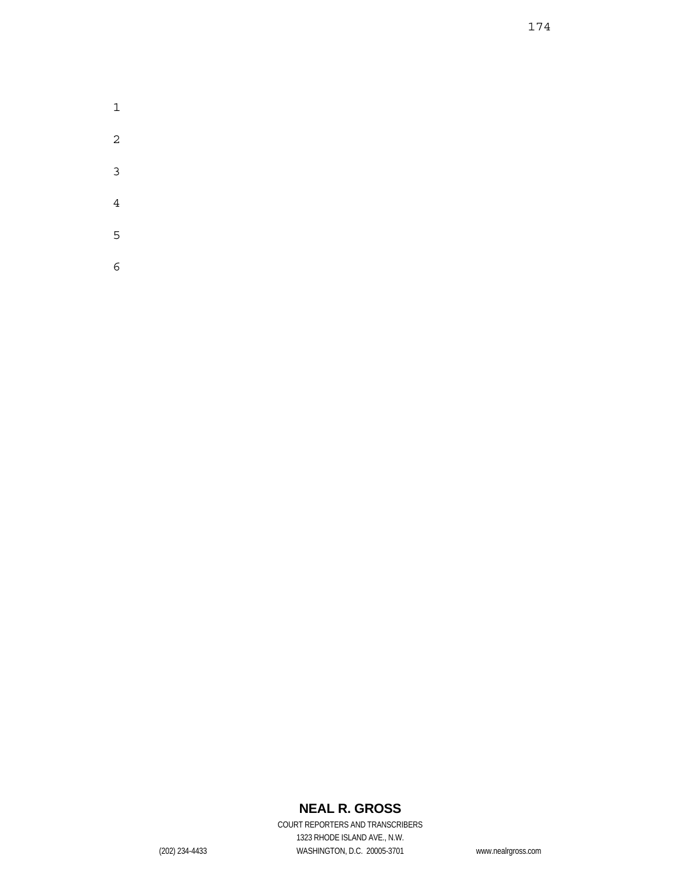- 
- 
- 
- 
- 
- 
- 

# **NEAL R. GROSS**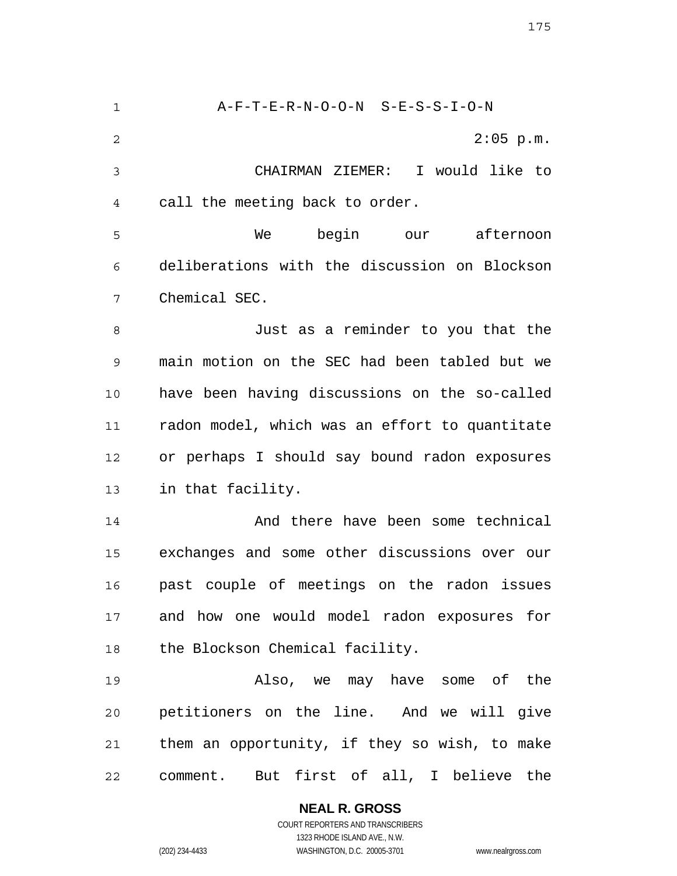1 2 3 4 5 6 7 8 9 10 11 12 13 14 15 16 17 18 19 20 21 22 A-F-T-E-R-N-O-O-N S-E-S-S-I-O-N 2:05 p.m. CHAIRMAN ZIEMER: I would like to call the meeting back to order. We begin our afternoon deliberations with the discussion on Blockson Chemical SEC. Just as a reminder to you that the main motion on the SEC had been tabled but we have been having discussions on the so-called radon model, which was an effort to quantitate or perhaps I should say bound radon exposures in that facility. And there have been some technical exchanges and some other discussions over our past couple of meetings on the radon issues and how one would model radon exposures for the Blockson Chemical facility. Also, we may have some of the petitioners on the line. And we will give them an opportunity, if they so wish, to make comment. But first of all, I believe the

**NEAL R. GROSS**

COURT REPORTERS AND TRANSCRIBERS 1323 RHODE ISLAND AVE., N.W. (202) 234-4433 WASHINGTON, D.C. 20005-3701 www.nealrgross.com

175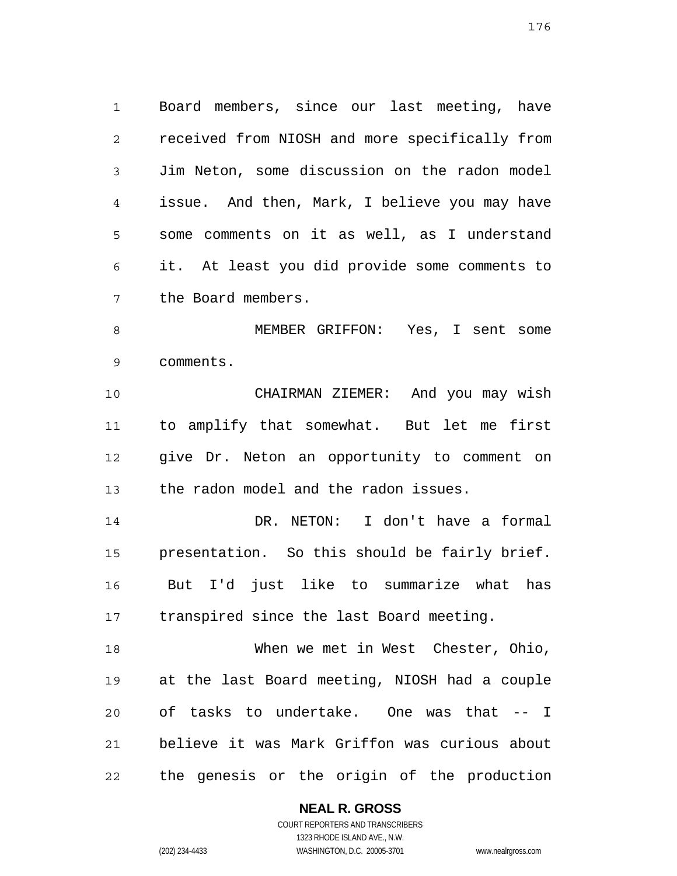1 2 3 4 5 6 7 Board members, since our last meeting, have received from NIOSH and more specifically from Jim Neton, some discussion on the radon model issue. And then, Mark, I believe you may have some comments on it as well, as I understand it. At least you did provide some comments to the Board members.

8 9 MEMBER GRIFFON: Yes, I sent some comments.

10 11 12 13 CHAIRMAN ZIEMER: And you may wish to amplify that somewhat. But let me first give Dr. Neton an opportunity to comment on the radon model and the radon issues.

14 15 16 17 DR. NETON: I don't have a formal presentation. So this should be fairly brief. But I'd just like to summarize what has transpired since the last Board meeting.

18 19 20 21 22 When we met in West Chester, Ohio, at the last Board meeting, NIOSH had a couple of tasks to undertake. One was that -- I believe it was Mark Griffon was curious about the genesis or the origin of the production

> **NEAL R. GROSS** COURT REPORTERS AND TRANSCRIBERS

> > 1323 RHODE ISLAND AVE., N.W.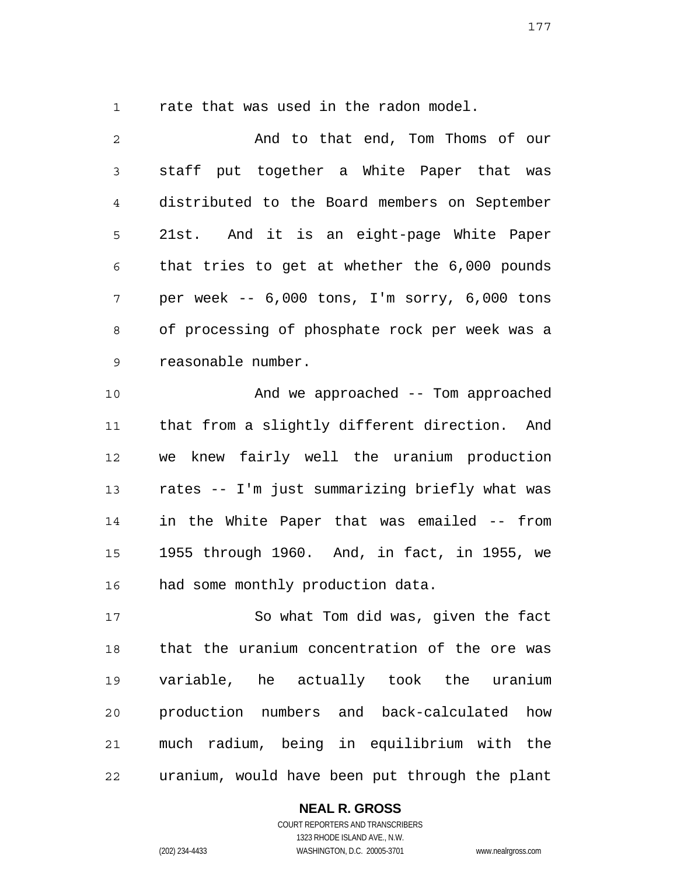1 rate that was used in the radon model.

| $\overline{2}$  | And to that end, Tom Thoms of our               |
|-----------------|-------------------------------------------------|
| 3               | staff put together a White Paper that was       |
| 4               | distributed to the Board members on September   |
| 5               | 21st. And it is an eight-page White Paper       |
| 6               | that tries to get at whether the 6,000 pounds   |
| 7               | per week $-6,000$ tons, I'm sorry, $6,000$ tons |
| 8               | of processing of phosphate rock per week was a  |
| $\mathsf 9$     | reasonable number.                              |
| 10              | And we approached -- Tom approached             |
| 11              | that from a slightly different direction. And   |
| 12 <sup>°</sup> | we knew fairly well the uranium production      |
| 13              | rates -- I'm just summarizing briefly what was  |

14 15 16 in the White Paper that was emailed -- from 1955 through 1960. And, in fact, in 1955, we had some monthly production data.

17 18 19 20 21 22 So what Tom did was, given the fact that the uranium concentration of the ore was variable, he actually took the uranium production numbers and back-calculated how much radium, being in equilibrium with the uranium, would have been put through the plant

# **NEAL R. GROSS**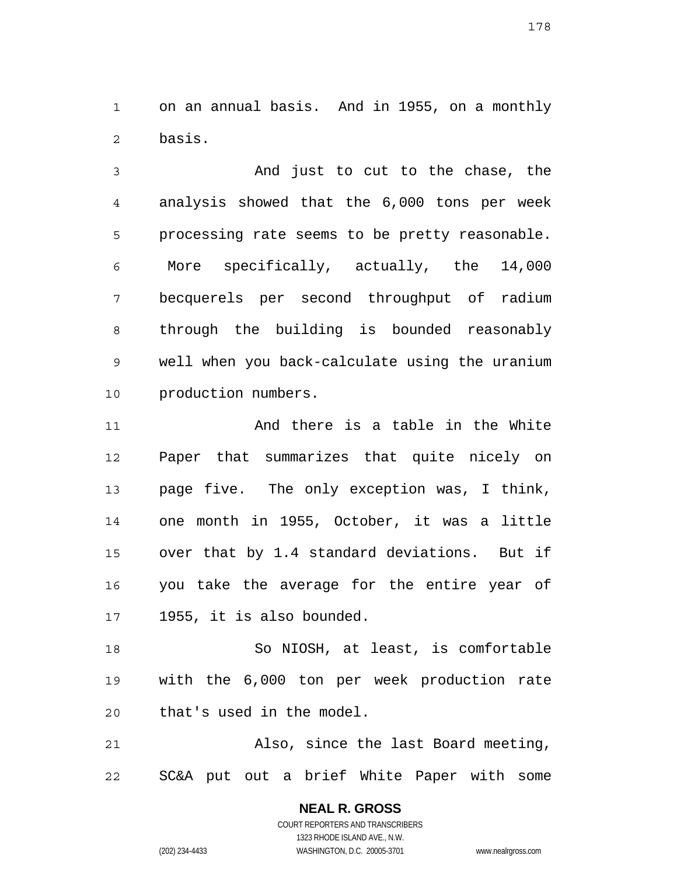1 2 on an annual basis. And in 1955, on a monthly basis.

3 4 5 6 7 8 9 10 And just to cut to the chase, the analysis showed that the 6,000 tons per week processing rate seems to be pretty reasonable. More specifically, actually, the 14,000 becquerels per second throughput of radium through the building is bounded reasonably well when you back-calculate using the uranium production numbers.

11 12 13 14 15 16 17 And there is a table in the White Paper that summarizes that quite nicely on page five. The only exception was, I think, one month in 1955, October, it was a little over that by 1.4 standard deviations. But if you take the average for the entire year of 1955, it is also bounded.

18 19 20 So NIOSH, at least, is comfortable with the 6,000 ton per week production rate that's used in the model.

21 22 Also, since the last Board meeting, SC&A put out a brief White Paper with some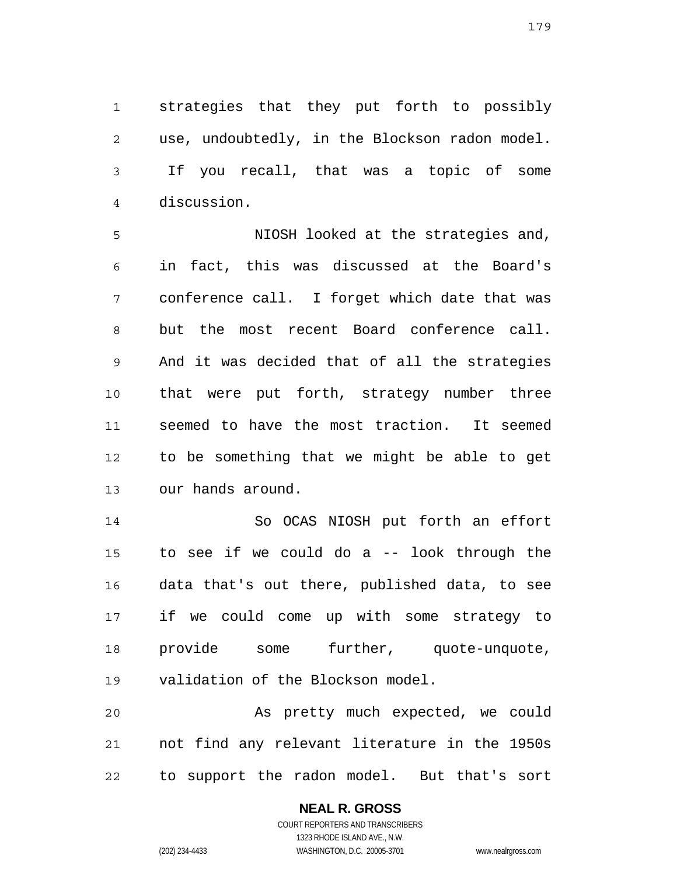1 2 3 4 strategies that they put forth to possibly use, undoubtedly, in the Blockson radon model. If you recall, that was a topic of some discussion.

5 6 7 8 9 10 11 12 13 NIOSH looked at the strategies and, in fact, this was discussed at the Board's conference call. I forget which date that was but the most recent Board conference call. And it was decided that of all the strategies that were put forth, strategy number three seemed to have the most traction. It seemed to be something that we might be able to get our hands around.

14 15 16 17 18 19 So OCAS NIOSH put forth an effort to see if we could do a -- look through the data that's out there, published data, to see if we could come up with some strategy to provide some further, quote-unquote, validation of the Blockson model.

20 21 22 As pretty much expected, we could not find any relevant literature in the 1950s to support the radon model. But that's sort

# **NEAL R. GROSS**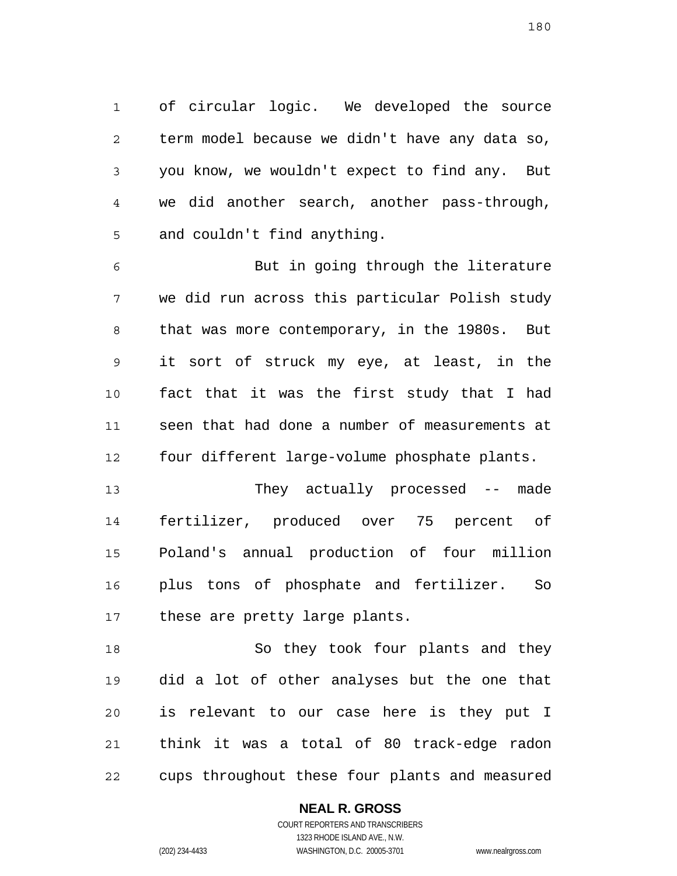1 2 3 4 5 of circular logic. We developed the source term model because we didn't have any data so, you know, we wouldn't expect to find any. But we did another search, another pass-through, and couldn't find anything.

6 7 8 9 10 11 12 But in going through the literature we did run across this particular Polish study that was more contemporary, in the 1980s. But it sort of struck my eye, at least, in the fact that it was the first study that I had seen that had done a number of measurements at four different large-volume phosphate plants.

13 14 15 16 17 They actually processed -- made fertilizer, produced over 75 percent of Poland's annual production of four million plus tons of phosphate and fertilizer. So these are pretty large plants.

18 19 20 21 22 So they took four plants and they did a lot of other analyses but the one that is relevant to our case here is they put I think it was a total of 80 track-edge radon cups throughout these four plants and measured

# **NEAL R. GROSS**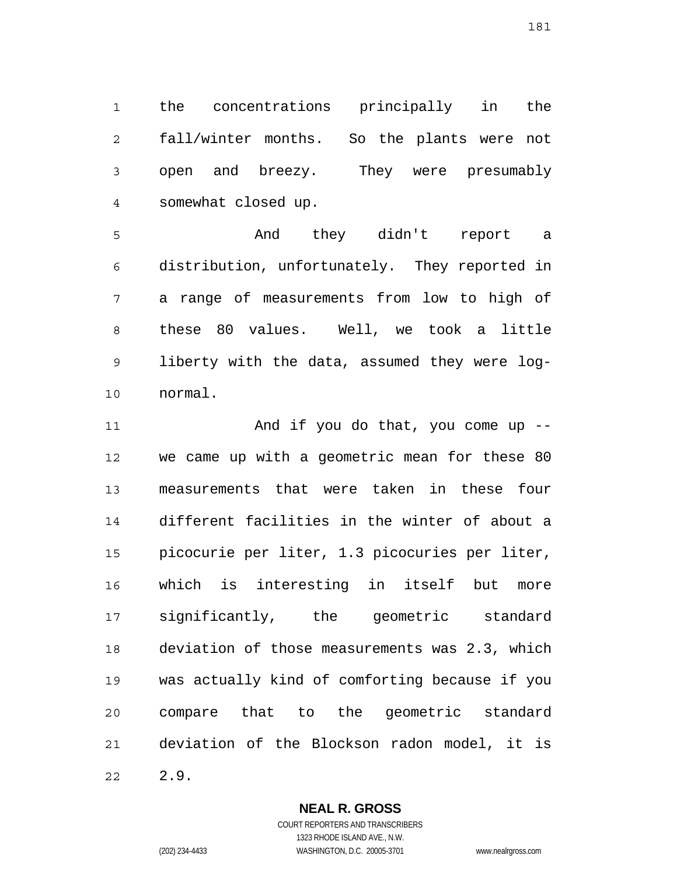1 2 3 4 the concentrations principally in the fall/winter months. So the plants were not open and breezy. They were presumably somewhat closed up.

5 6 7 8 9 10 And they didn't report a distribution, unfortunately. They reported in a range of measurements from low to high of these 80 values. Well, we took a little liberty with the data, assumed they were lognormal.

11 12 13 14 15 16 17 18 19 20 21 22 And if you do that, you come up - we came up with a geometric mean for these 80 measurements that were taken in these four different facilities in the winter of about a picocurie per liter, 1.3 picocuries per liter, which is interesting in itself but more significantly, the geometric standard deviation of those measurements was 2.3, which was actually kind of comforting because if you compare that to the geometric standard deviation of the Blockson radon model, it is 2.9.

#### **NEAL R. GROSS** COURT REPORTERS AND TRANSCRIBERS

1323 RHODE ISLAND AVE., N.W.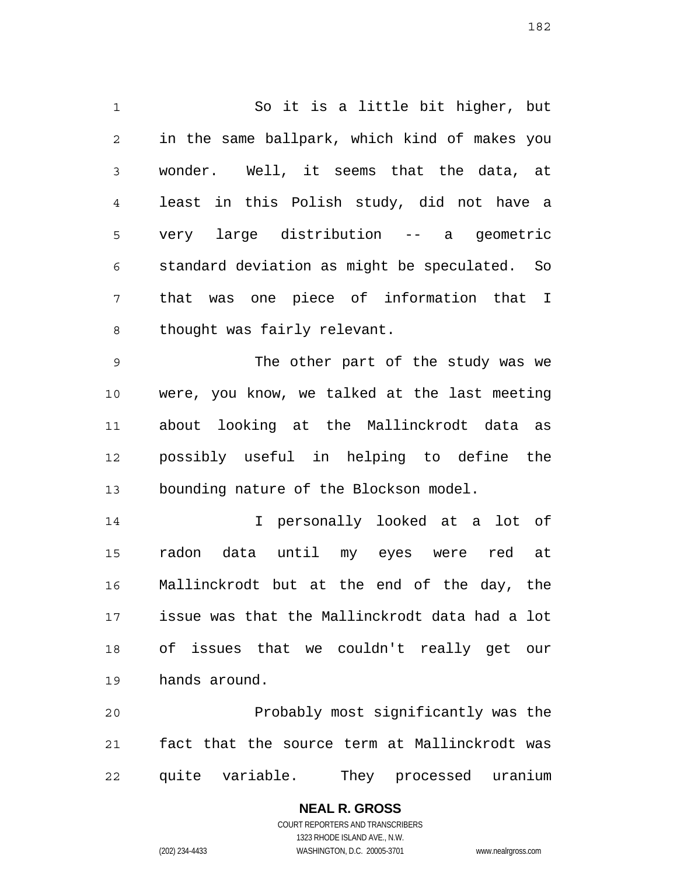1 2 3 4 5 6 7 8 So it is a little bit higher, but in the same ballpark, which kind of makes you wonder. Well, it seems that the data, at least in this Polish study, did not have a very large distribution -- a geometric standard deviation as might be speculated. So that was one piece of information that I thought was fairly relevant.

9 10 11 12 13 The other part of the study was we were, you know, we talked at the last meeting about looking at the Mallinckrodt data as possibly useful in helping to define the bounding nature of the Blockson model.

14 15 16 17 18 19 I personally looked at a lot of radon data until my eyes were red at Mallinckrodt but at the end of the day, the issue was that the Mallinckrodt data had a lot of issues that we couldn't really get our hands around.

20 21 22 Probably most significantly was the fact that the source term at Mallinckrodt was quite variable. They processed uranium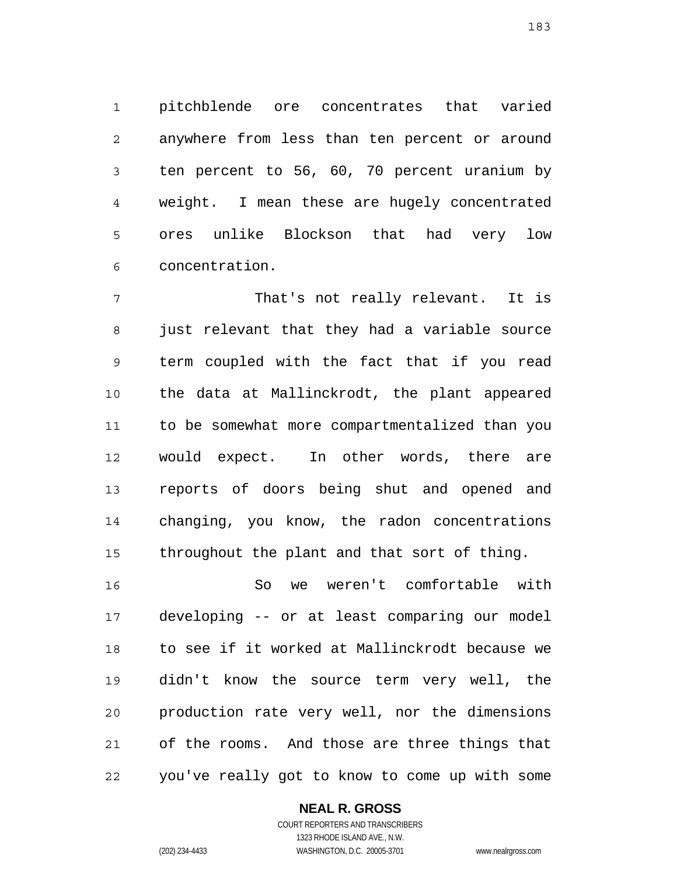1 2 3 4 5 6 pitchblende ore concentrates that varied anywhere from less than ten percent or around ten percent to 56, 60, 70 percent uranium by weight. I mean these are hugely concentrated ores unlike Blockson that had very low concentration.

7 8 9 10 11 12 13 14 15 That's not really relevant. It is just relevant that they had a variable source term coupled with the fact that if you read the data at Mallinckrodt, the plant appeared to be somewhat more compartmentalized than you would expect. In other words, there are reports of doors being shut and opened and changing, you know, the radon concentrations throughout the plant and that sort of thing.

16 17 18 19 20 21 22 So we weren't comfortable with developing -- or at least comparing our model to see if it worked at Mallinckrodt because we didn't know the source term very well, the production rate very well, nor the dimensions of the rooms. And those are three things that you've really got to know to come up with some

#### **NEAL R. GROSS**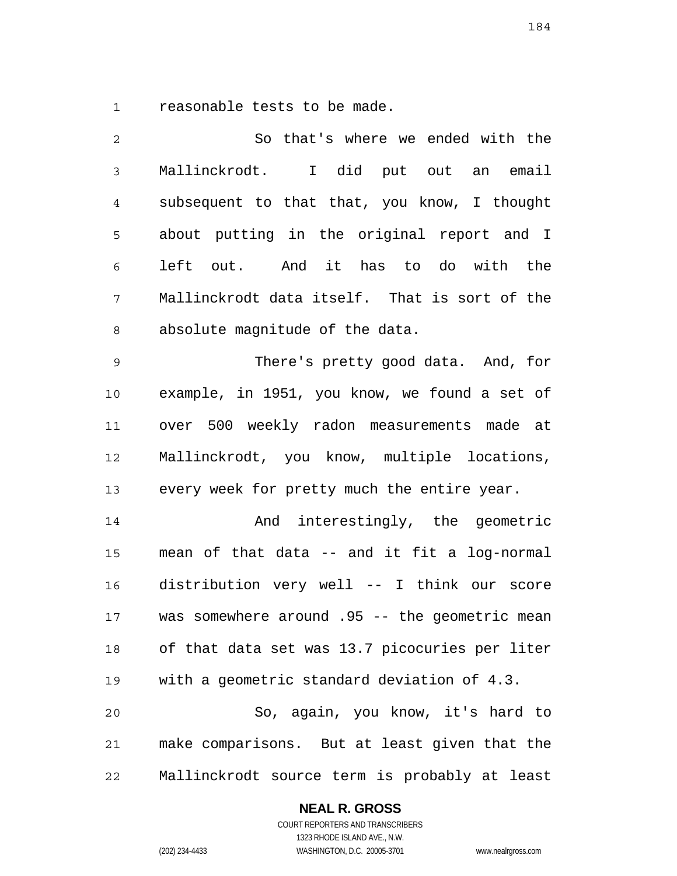1 reasonable tests to be made.

| $\overline{c}$ | So that's where we ended with the              |
|----------------|------------------------------------------------|
| $\mathfrak{Z}$ | Mallinckrodt. I did put out an email           |
| $\overline{4}$ | subsequent to that that, you know, I thought   |
| 5              | about putting in the original report and I     |
| 6              | left out. And it has to do with the            |
| 7              | Mallinckrodt data itself. That is sort of the  |
| 8              | absolute magnitude of the data.                |
| 9              | There's pretty good data. And, for             |
| 10             | example, in 1951, you know, we found a set of  |
| 11             | over 500 weekly radon measurements made at     |
| 12             | Mallinckrodt, you know, multiple locations,    |
| 13             | every week for pretty much the entire year.    |
| 14             | And interestingly, the geometric               |
| 15             | mean of that data -- and it fit a log-normal   |
| 16             | distribution very well -- I think our score    |
| 17             | was somewhere around .95 -- the geometric mean |
| 18             | of that data set was 13.7 picocuries per liter |
| 19             | with a geometric standard deviation of 4.3.    |
| 20             | So, again, you know, it's hard to              |
| 21             | make comparisons. But at least given that the  |
| 22             | Mallinckrodt source term is probably at least  |

**NEAL R. GROSS**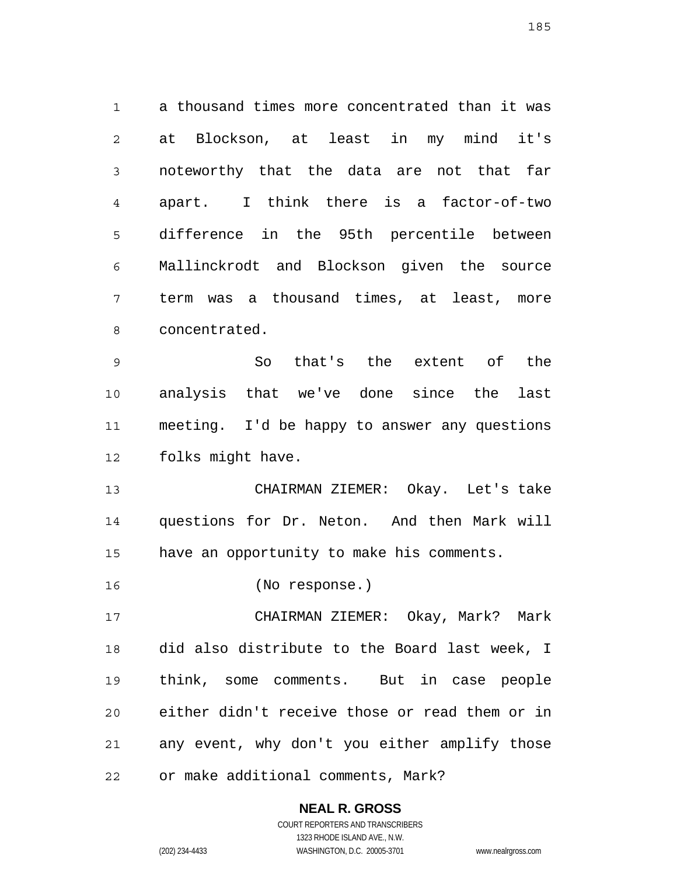1 2 3 4 5 6 7 8 a thousand times more concentrated than it was at Blockson, at least in my mind it's noteworthy that the data are not that far apart. I think there is a factor-of-two difference in the 95th percentile between Mallinckrodt and Blockson given the source term was a thousand times, at least, more concentrated.

9 10 11 12 So that's the extent of the analysis that we've done since the last meeting. I'd be happy to answer any questions folks might have.

13 14 15 CHAIRMAN ZIEMER: Okay. Let's take questions for Dr. Neton. And then Mark will have an opportunity to make his comments.

16 (No response.)

17 18 19 20 21 22 CHAIRMAN ZIEMER: Okay, Mark? Mark did also distribute to the Board last week, I think, some comments. But in case people either didn't receive those or read them or in any event, why don't you either amplify those or make additional comments, Mark?

**NEAL R. GROSS**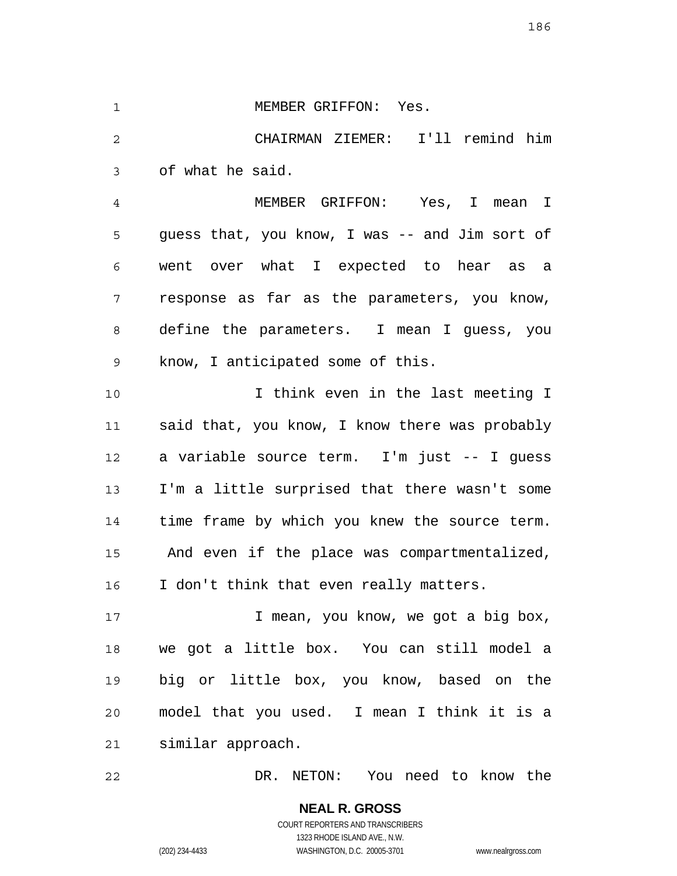MEMBER GRIFFON: Yes.

2 3 CHAIRMAN ZIEMER: I'll remind him of what he said.

4 5 6 7 8 9 MEMBER GRIFFON: Yes, I mean I guess that, you know, I was -- and Jim sort of went over what I expected to hear as a response as far as the parameters, you know, define the parameters. I mean I guess, you know, I anticipated some of this.

10 11 12 13 14 15 16 I think even in the last meeting I said that, you know, I know there was probably a variable source term. I'm just -- I guess I'm a little surprised that there wasn't some time frame by which you knew the source term. And even if the place was compartmentalized, I don't think that even really matters.

17 18 19 20 21 I mean, you know, we got a big box, we got a little box. You can still model a big or little box, you know, based on the model that you used. I mean I think it is a similar approach.

22 DR. NETON: You need to know the

COURT REPORTERS AND TRANSCRIBERS 1323 RHODE ISLAND AVE., N.W. (202) 234-4433 WASHINGTON, D.C. 20005-3701 www.nealrgross.com

**NEAL R. GROSS**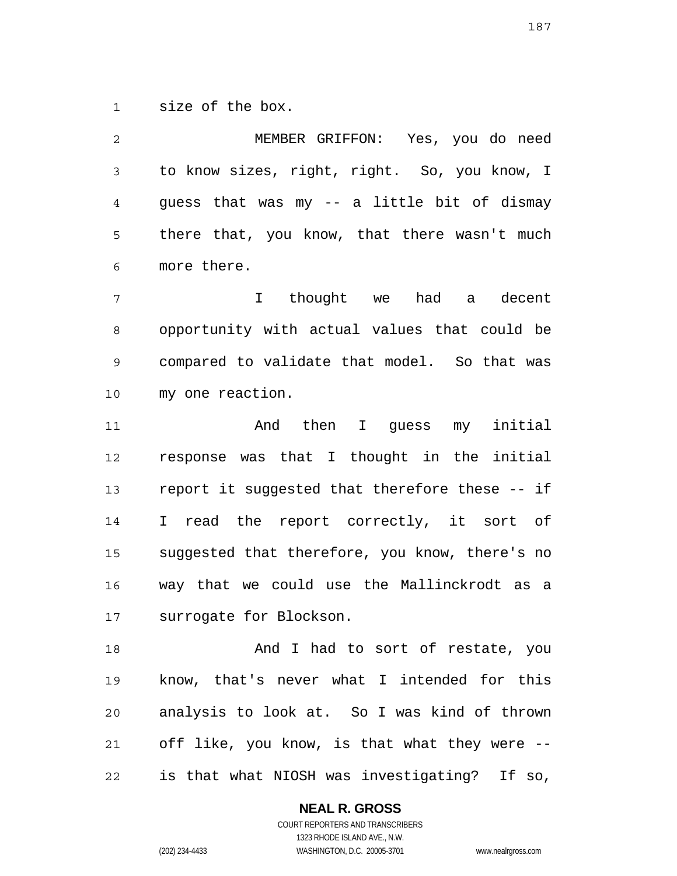1 size of the box.

2 3 4 5 6 7 8 9 10 11 12 13 14 15 16 17 18 MEMBER GRIFFON: Yes, you do need to know sizes, right, right. So, you know, I guess that was my -- a little bit of dismay there that, you know, that there wasn't much more there. I thought we had a decent opportunity with actual values that could be compared to validate that model. So that was my one reaction. And then I guess my initial response was that I thought in the initial report it suggested that therefore these -- if I read the report correctly, it sort of suggested that therefore, you know, there's no way that we could use the Mallinckrodt as a surrogate for Blockson. And I had to sort of restate, you

19 20 21 22 know, that's never what I intended for this analysis to look at. So I was kind of thrown off like, you know, is that what they were - is that what NIOSH was investigating? If so,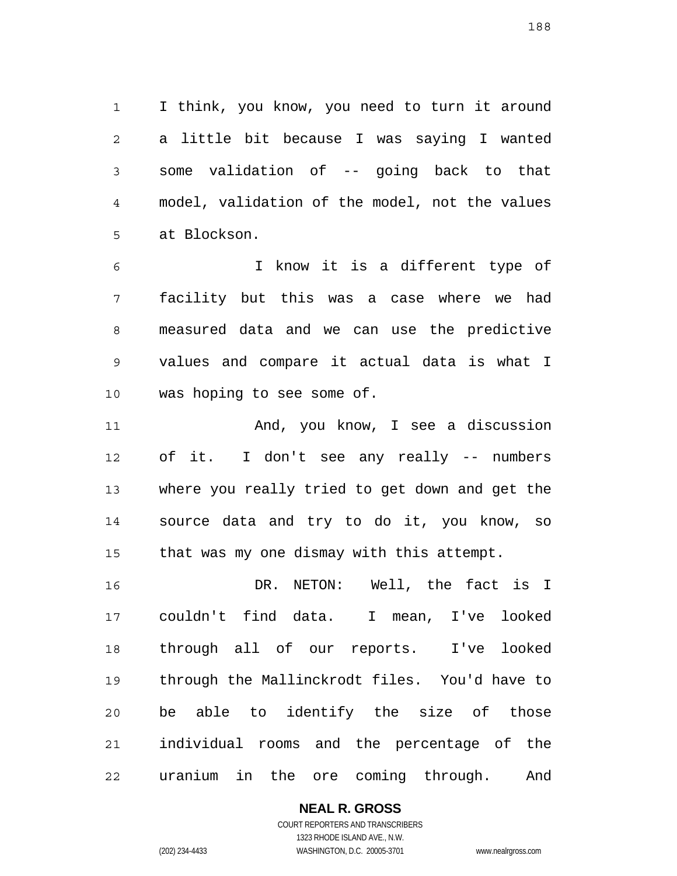1 2 3 4 5 I think, you know, you need to turn it around a little bit because I was saying I wanted some validation of -- going back to that model, validation of the model, not the values at Blockson.

6 7 8 9 10 I know it is a different type of facility but this was a case where we had measured data and we can use the predictive values and compare it actual data is what I was hoping to see some of.

11 12 13 14 15 And, you know, I see a discussion of it. I don't see any really -- numbers where you really tried to get down and get the source data and try to do it, you know, so that was my one dismay with this attempt.

16 17 18 19 20 21 22 DR. NETON: Well, the fact is I couldn't find data. I mean, I've looked through all of our reports. I've looked through the Mallinckrodt files. You'd have to be able to identify the size of those individual rooms and the percentage of the uranium in the ore coming through. And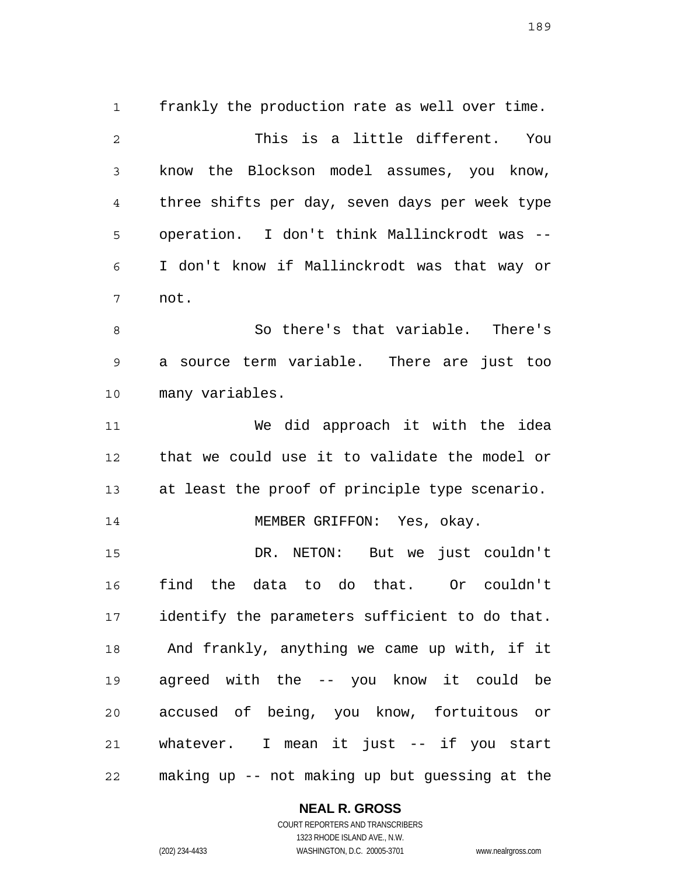1 2 3 4 5 6 7 8 9 10 11 12 13 14 15 16 17 18 19 20 21 22 frankly the production rate as well over time. This is a little different. You know the Blockson model assumes, you know, three shifts per day, seven days per week type operation. I don't think Mallinckrodt was -- I don't know if Mallinckrodt was that way or not. So there's that variable. There's a source term variable. There are just too many variables. We did approach it with the idea that we could use it to validate the model or at least the proof of principle type scenario. MEMBER GRIFFON: Yes, okay. DR. NETON: But we just couldn't find the data to do that. Or couldn't identify the parameters sufficient to do that. And frankly, anything we came up with, if it agreed with the -- you know it could be accused of being, you know, fortuitous or whatever. I mean it just -- if you start making up -- not making up but guessing at the

#### **NEAL R. GROSS**

COURT REPORTERS AND TRANSCRIBERS 1323 RHODE ISLAND AVE., N.W. (202) 234-4433 WASHINGTON, D.C. 20005-3701 www.nealrgross.com

189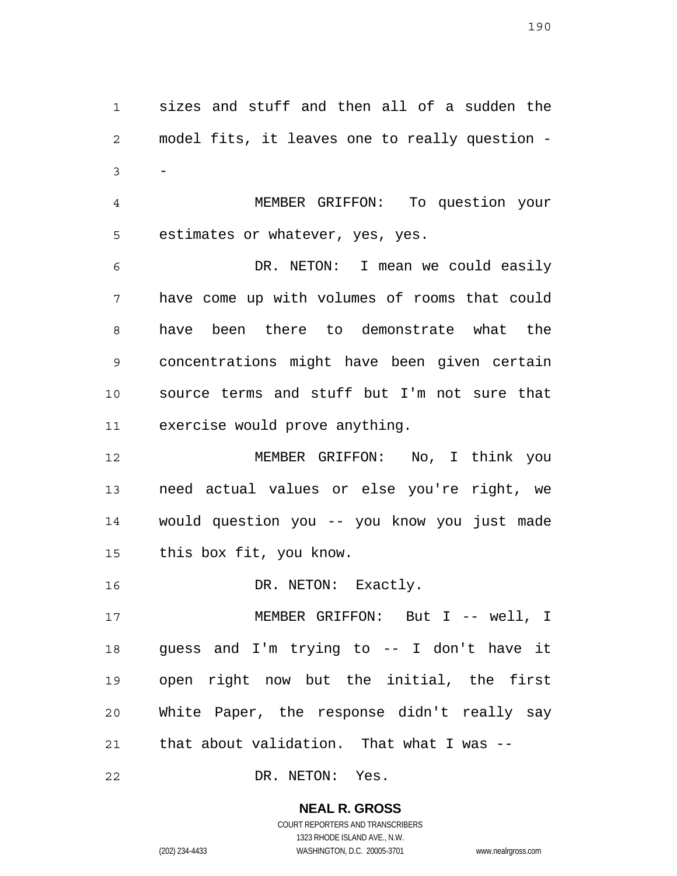1 2 3 sizes and stuff and then all of a sudden the model fits, it leaves one to really question - -

4 5 MEMBER GRIFFON: To question your estimates or whatever, yes, yes.

6 7 8 9 10 11 DR. NETON: I mean we could easily have come up with volumes of rooms that could have been there to demonstrate what the concentrations might have been given certain source terms and stuff but I'm not sure that exercise would prove anything.

12 13 14 15 MEMBER GRIFFON: No, I think you need actual values or else you're right, we would question you -- you know you just made this box fit, you know.

16 DR. NETON: Exactly.

17 18 19 20 21 MEMBER GRIFFON: But I -- well, I guess and I'm trying to -- I don't have it open right now but the initial, the first White Paper, the response didn't really say that about validation. That what I was --

22 DR. NETON: Yes.

# **NEAL R. GROSS**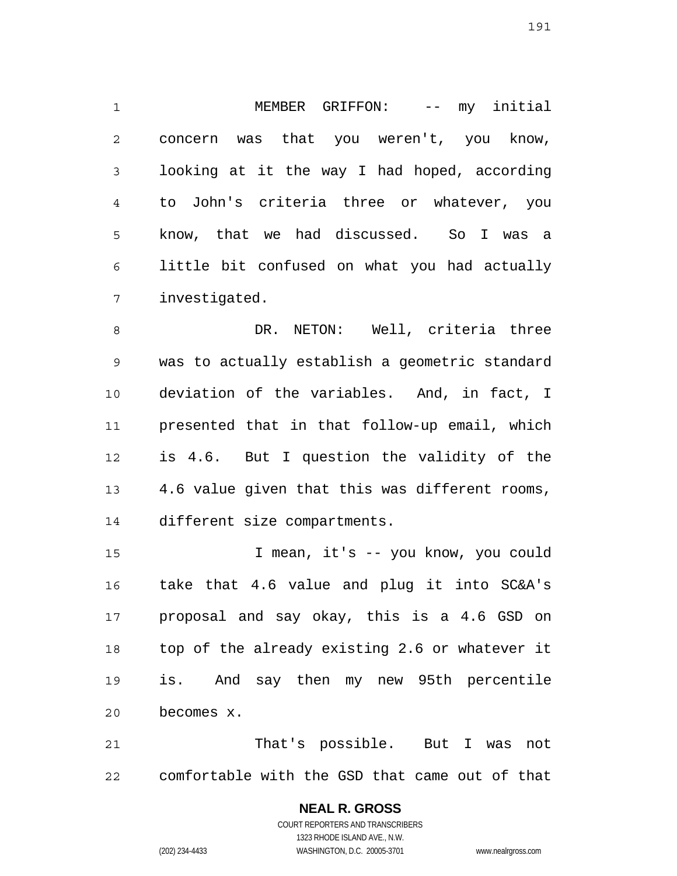1 2 3 4 5 6 7 MEMBER GRIFFON: -- my initial concern was that you weren't, you know, looking at it the way I had hoped, according to John's criteria three or whatever, you know, that we had discussed. So I was a little bit confused on what you had actually investigated.

8 9 10 11 12 13 14 DR. NETON: Well, criteria three was to actually establish a geometric standard deviation of the variables. And, in fact, I presented that in that follow-up email, which is 4.6. But I question the validity of the 4.6 value given that this was different rooms, different size compartments.

15 16 17 18 19 20 I mean, it's -- you know, you could take that 4.6 value and plug it into SC&A's proposal and say okay, this is a 4.6 GSD on top of the already existing 2.6 or whatever it is. And say then my new 95th percentile becomes x.

21 22 That's possible. But I was not comfortable with the GSD that came out of that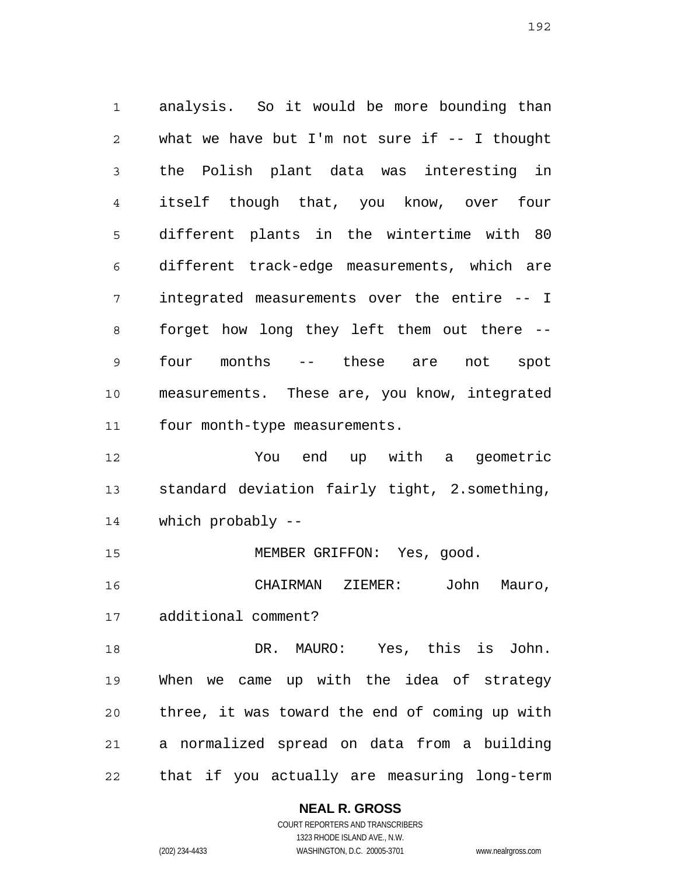1 2 3 4 5 6 7 8 9 10 11 analysis. So it would be more bounding than what we have but I'm not sure if  $-$ - I thought the Polish plant data was interesting in itself though that, you know, over four different plants in the wintertime with 80 different track-edge measurements, which are integrated measurements over the entire -- I forget how long they left them out there - four months -- these are not spot measurements. These are, you know, integrated four month-type measurements.

12 13 14 You end up with a geometric standard deviation fairly tight, 2.something, which probably --

15 MEMBER GRIFFON: Yes, good.

16 17 CHAIRMAN ZIEMER: John Mauro, additional comment?

18 19 20 21 22 DR. MAURO: Yes, this is John. When we came up with the idea of strategy three, it was toward the end of coming up with a normalized spread on data from a building that if you actually are measuring long-term

**NEAL R. GROSS**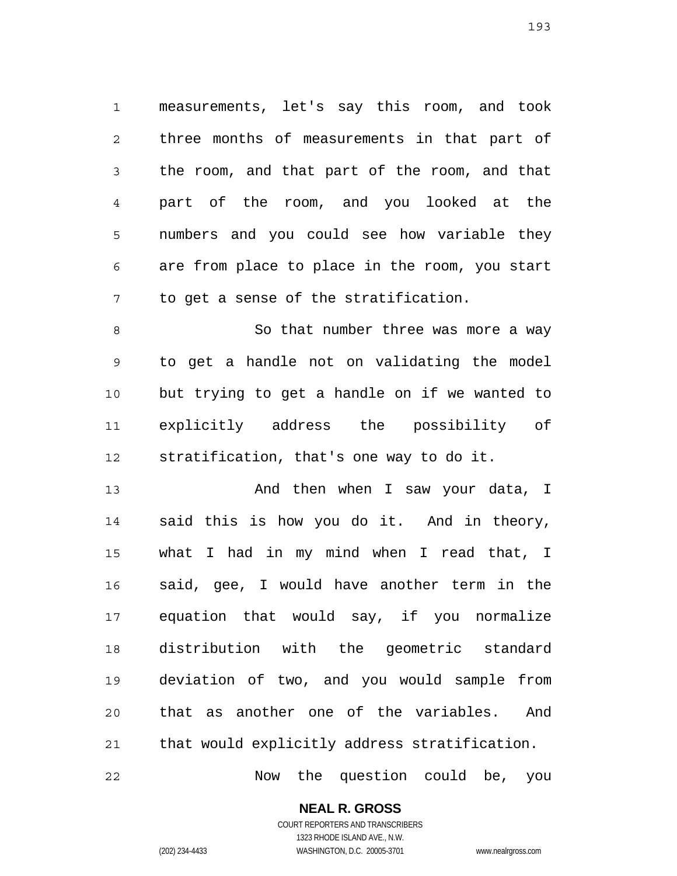1 2 3 4 5 6 7 measurements, let's say this room, and took three months of measurements in that part of the room, and that part of the room, and that part of the room, and you looked at the numbers and you could see how variable they are from place to place in the room, you start to get a sense of the stratification.

8 9 10 11 12 So that number three was more a way to get a handle not on validating the model but trying to get a handle on if we wanted to explicitly address the possibility of stratification, that's one way to do it.

13 14 15 16 17 18 19 20 21 And then when I saw your data, I said this is how you do it. And in theory, what I had in my mind when I read that, I said, gee, I would have another term in the equation that would say, if you normalize distribution with the geometric standard deviation of two, and you would sample from that as another one of the variables. And that would explicitly address stratification.

22 Now the question could be, you

**NEAL R. GROSS**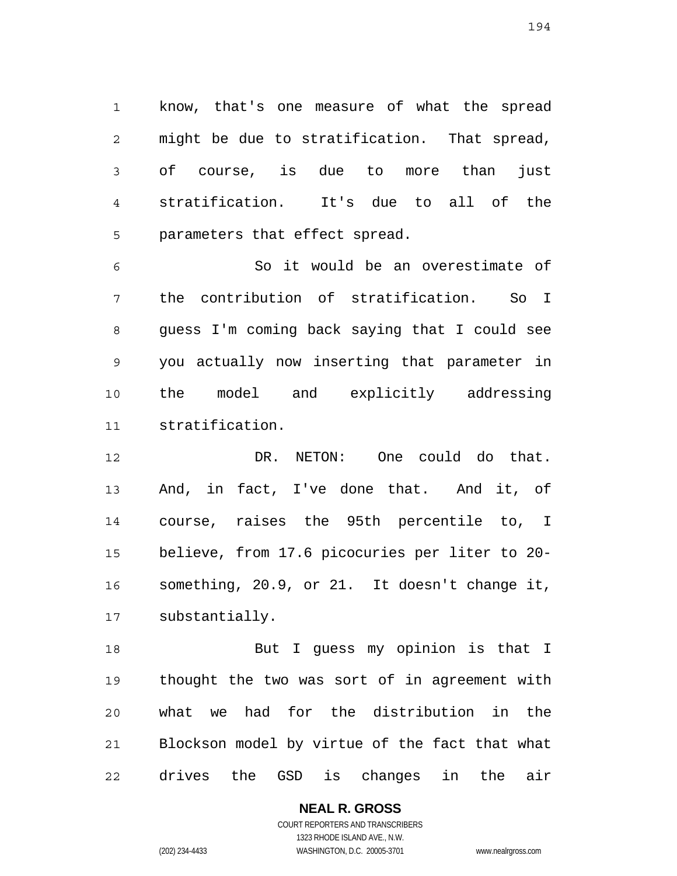1 2 3 4 5 know, that's one measure of what the spread might be due to stratification. That spread, of course, is due to more than just stratification. It's due to all of the parameters that effect spread.

6 7 8 9 10 11 So it would be an overestimate of the contribution of stratification. So I guess I'm coming back saying that I could see you actually now inserting that parameter in the model and explicitly addressing stratification.

12 13 14 15 16 17 DR. NETON: One could do that. And, in fact, I've done that. And it, of course, raises the 95th percentile to, I believe, from 17.6 picocuries per liter to 20 something, 20.9, or 21. It doesn't change it, substantially.

18 19 20 21 22 But I guess my opinion is that I thought the two was sort of in agreement with what we had for the distribution in the Blockson model by virtue of the fact that what drives the GSD is changes in the air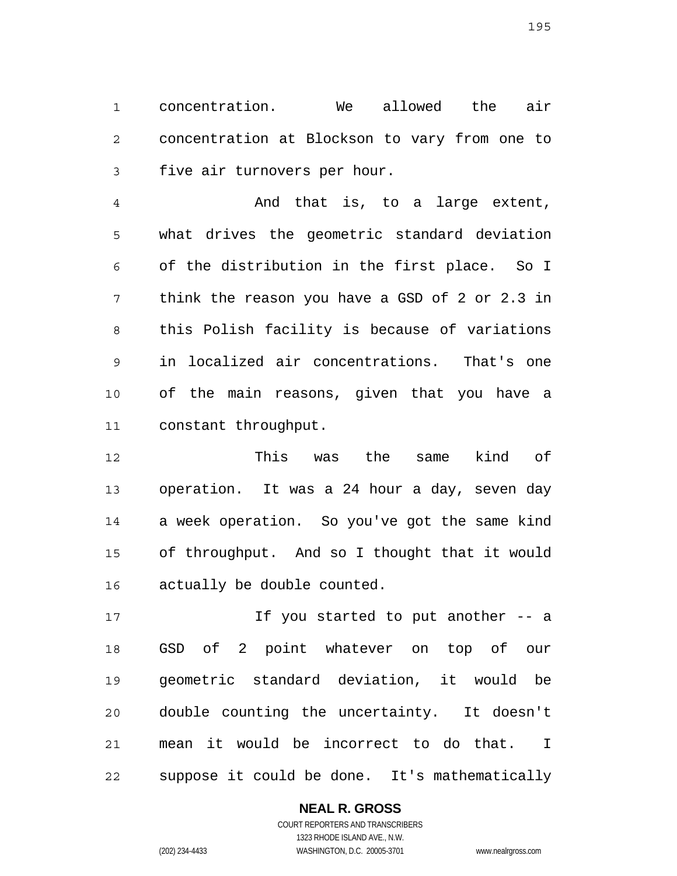1 2 3 concentration. We allowed the air concentration at Blockson to vary from one to five air turnovers per hour.

4 5 6 7 8 9 10 11 And that is, to a large extent, what drives the geometric standard deviation of the distribution in the first place. So I think the reason you have a GSD of 2 or 2.3 in this Polish facility is because of variations in localized air concentrations. That's one of the main reasons, given that you have a constant throughput.

12 13 14 15 16 This was the same kind of operation. It was a 24 hour a day, seven day a week operation. So you've got the same kind of throughput. And so I thought that it would actually be double counted.

17 18 19 20 21 22 If you started to put another -- a GSD of 2 point whatever on top of our geometric standard deviation, it would be double counting the uncertainty. It doesn't mean it would be incorrect to do that. I suppose it could be done. It's mathematically

## **NEAL R. GROSS**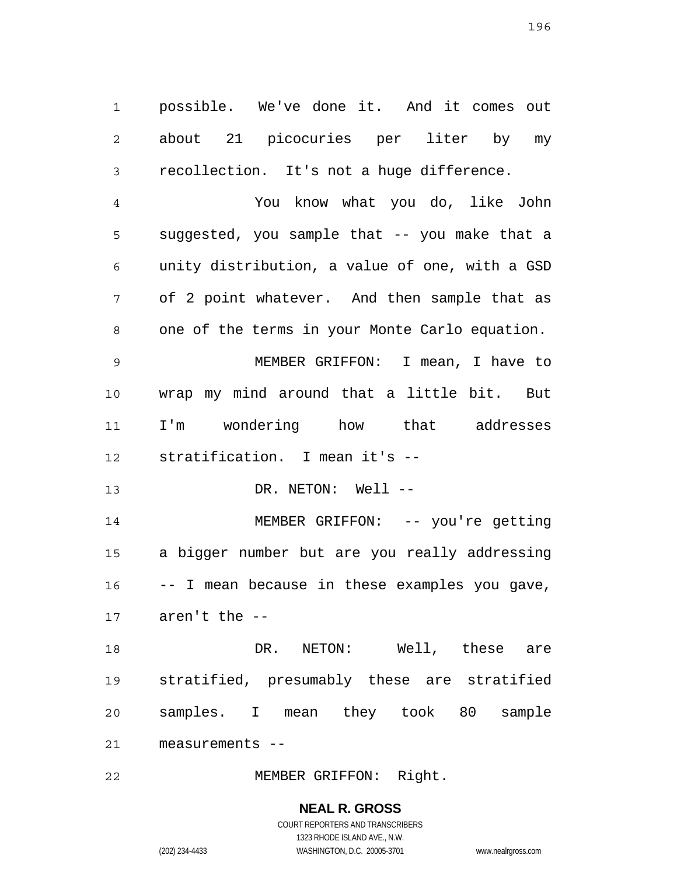1 2 3 possible. We've done it. And it comes out about 21 picocuries per liter by my recollection. It's not a huge difference.

4 5 6 7 8 You know what you do, like John suggested, you sample that -- you make that a unity distribution, a value of one, with a GSD of 2 point whatever. And then sample that as one of the terms in your Monte Carlo equation.

9 10 11 12 MEMBER GRIFFON: I mean, I have to wrap my mind around that a little bit. But I'm wondering how that addresses stratification. I mean it's --

13 DR. NETON: Well --

14 15 16 17 MEMBER GRIFFON: -- you're getting a bigger number but are you really addressing -- I mean because in these examples you gave, aren't the --

18 19 20 21 DR. NETON: Well, these are stratified, presumably these are stratified samples. I mean they took 80 sample measurements --

22 MEMBER GRIFFON: Right.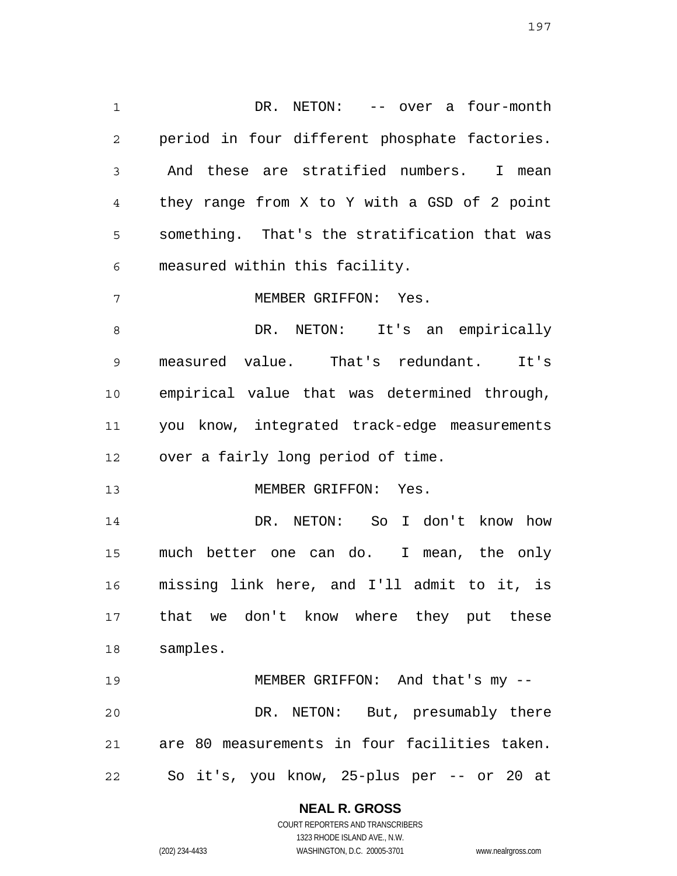1 2 3 4 5 6 7 DR. NETON: -- over a four-month period in four different phosphate factories. And these are stratified numbers. I mean they range from X to Y with a GSD of 2 point something. That's the stratification that was measured within this facility. MEMBER GRIFFON: Yes.

8 9 10 11 12 DR. NETON: It's an empirically measured value. That's redundant. It's empirical value that was determined through, you know, integrated track-edge measurements over a fairly long period of time.

13 MEMBER GRIFFON: Yes.

14 15 16 17 18 DR. NETON: So I don't know how much better one can do. I mean, the only missing link here, and I'll admit to it, is that we don't know where they put these samples.

19 20 21 22 MEMBER GRIFFON: And that's my -- DR. NETON: But, presumably there are 80 measurements in four facilities taken. So it's, you know, 25-plus per -- or 20 at

**NEAL R. GROSS**

COURT REPORTERS AND TRANSCRIBERS 1323 RHODE ISLAND AVE., N.W. (202) 234-4433 WASHINGTON, D.C. 20005-3701 www.nealrgross.com

197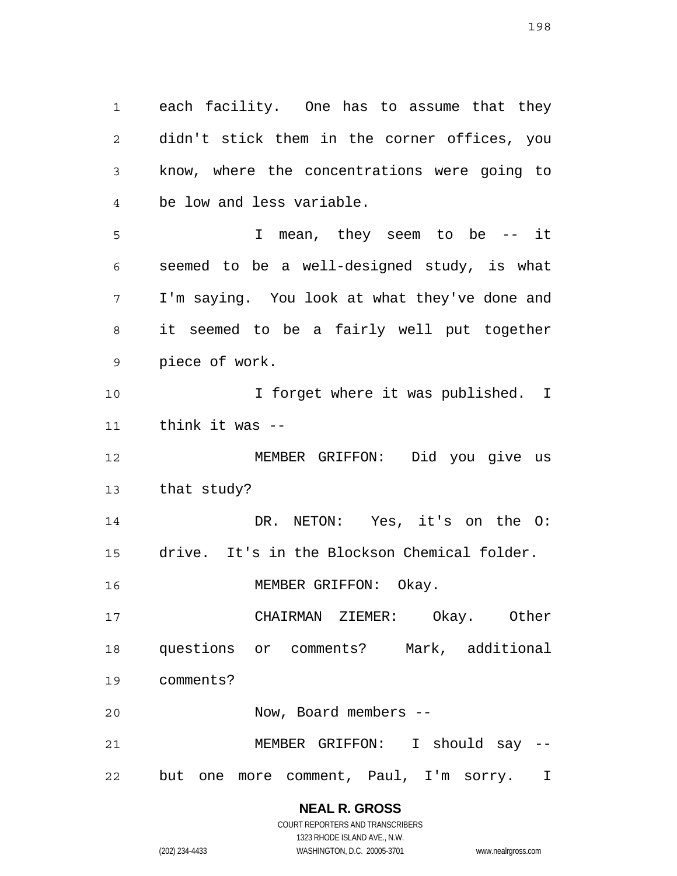1 2 3 4 5 6 7 8 9 10 11 12 13 14 15 16 17 18 19 20 21 22 each facility. One has to assume that they didn't stick them in the corner offices, you know, where the concentrations were going to be low and less variable. I mean, they seem to be -- it seemed to be a well-designed study, is what I'm saying. You look at what they've done and it seemed to be a fairly well put together piece of work. I forget where it was published. I think it was -- MEMBER GRIFFON: Did you give us that study? DR. NETON: Yes, it's on the O: drive. It's in the Blockson Chemical folder. MEMBER GRIFFON: Okay. CHAIRMAN ZIEMER: Okay. Other questions or comments? Mark, additional comments? Now, Board members -- MEMBER GRIFFON: I should say - but one more comment, Paul, I'm sorry. I

# **NEAL R. GROSS**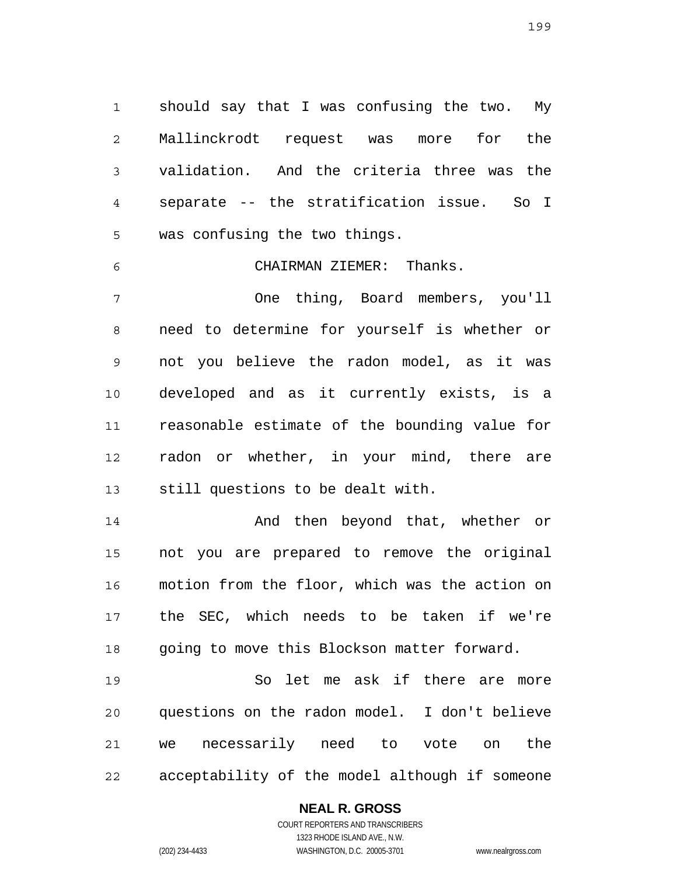1 2 3 4 5 should say that I was confusing the two. My Mallinckrodt request was more for the validation. And the criteria three was the separate -- the stratification issue. So I was confusing the two things.

6 CHAIRMAN ZIEMER: Thanks.

7 8 9 10 11 12 13 One thing, Board members, you'll need to determine for yourself is whether or not you believe the radon model, as it was developed and as it currently exists, is a reasonable estimate of the bounding value for radon or whether, in your mind, there are still questions to be dealt with.

14 15 16 17 18 And then beyond that, whether or not you are prepared to remove the original motion from the floor, which was the action on the SEC, which needs to be taken if we're going to move this Blockson matter forward.

19 20 21 22 So let me ask if there are more questions on the radon model. I don't believe we necessarily need to vote on the acceptability of the model although if someone

## **NEAL R. GROSS**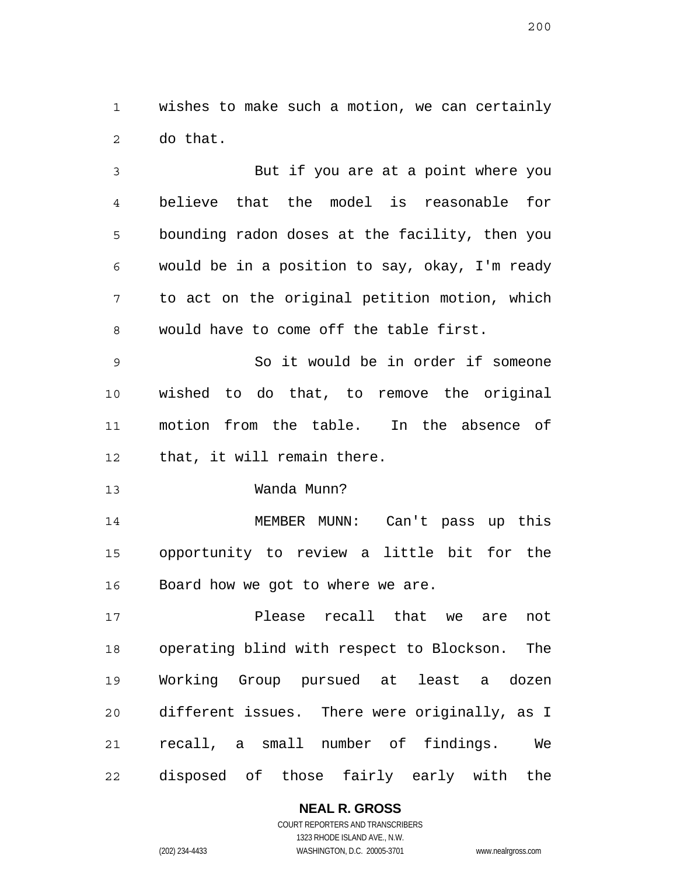1 2 wishes to make such a motion, we can certainly do that.

3 4 5 6 7 8 But if you are at a point where you believe that the model is reasonable for bounding radon doses at the facility, then you would be in a position to say, okay, I'm ready to act on the original petition motion, which would have to come off the table first.

9 10 11 12 So it would be in order if someone wished to do that, to remove the original motion from the table. In the absence of that, it will remain there.

13 Wanda Munn?

14 15 16 MEMBER MUNN: Can't pass up this opportunity to review a little bit for the Board how we got to where we are.

17 18 19 20 21 22 Please recall that we are not operating blind with respect to Blockson. The Working Group pursued at least a dozen different issues. There were originally, as I recall, a small number of findings. We disposed of those fairly early with the

## **NEAL R. GROSS**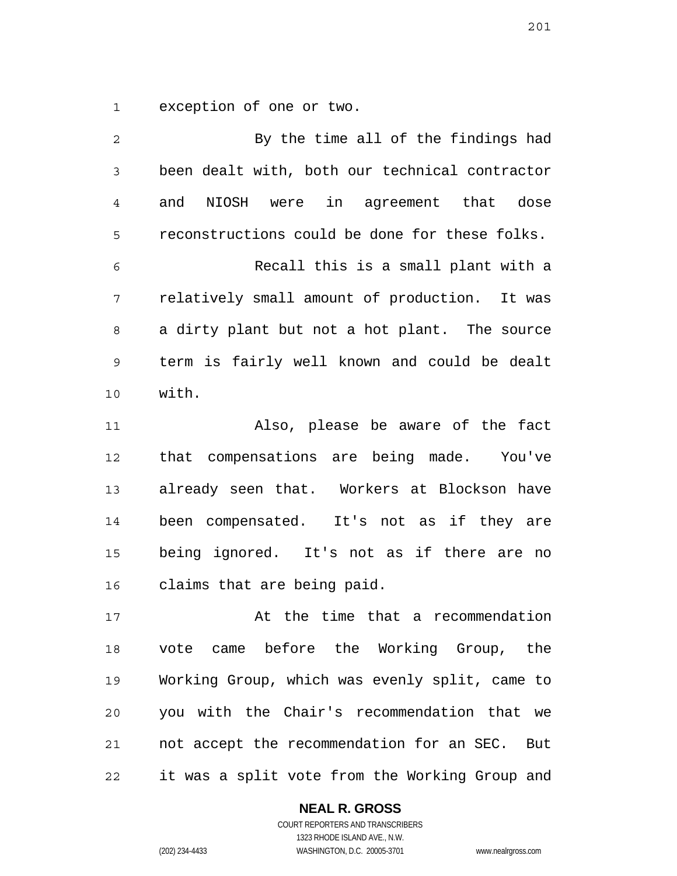1 exception of one or two.

2

3 4 5 6 7 8 9 10 11 12 13 14 15 16 17 18 19 20 21 been dealt with, both our technical contractor and NIOSH were in agreement that dose reconstructions could be done for these folks. Recall this is a small plant with a relatively small amount of production. It was a dirty plant but not a hot plant. The source term is fairly well known and could be dealt with. Also, please be aware of the fact that compensations are being made. You've already seen that. Workers at Blockson have been compensated. It's not as if they are being ignored. It's not as if there are no claims that are being paid. At the time that a recommendation vote came before the Working Group, the Working Group, which was evenly split, came to you with the Chair's recommendation that we not accept the recommendation for an SEC. But

By the time all of the findings had

22 it was a split vote from the Working Group and

**NEAL R. GROSS**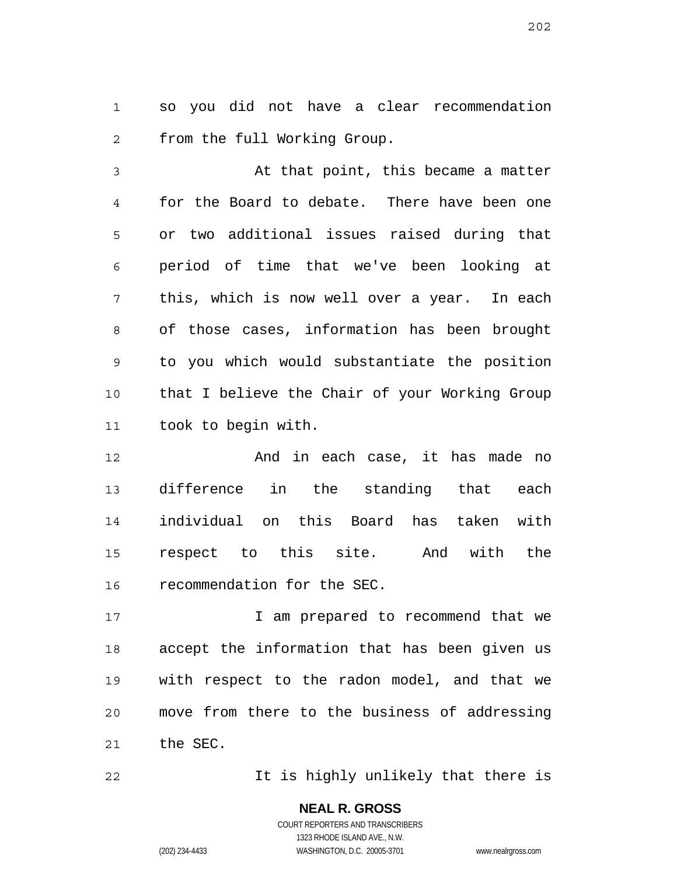1 2 so you did not have a clear recommendation from the full Working Group.

3 4 5 6 7 8 9 10 11 At that point, this became a matter for the Board to debate. There have been one or two additional issues raised during that period of time that we've been looking at this, which is now well over a year. In each of those cases, information has been brought to you which would substantiate the position that I believe the Chair of your Working Group took to begin with.

12 13 14 15 16 And in each case, it has made no difference in the standing that each individual on this Board has taken with respect to this site. And with the recommendation for the SEC.

17 18 19 20 21 I am prepared to recommend that we accept the information that has been given us with respect to the radon model, and that we move from there to the business of addressing the SEC.

It is highly unlikely that there is

**NEAL R. GROSS** COURT REPORTERS AND TRANSCRIBERS 1323 RHODE ISLAND AVE., N.W. (202) 234-4433 WASHINGTON, D.C. 20005-3701 www.nealrgross.com

22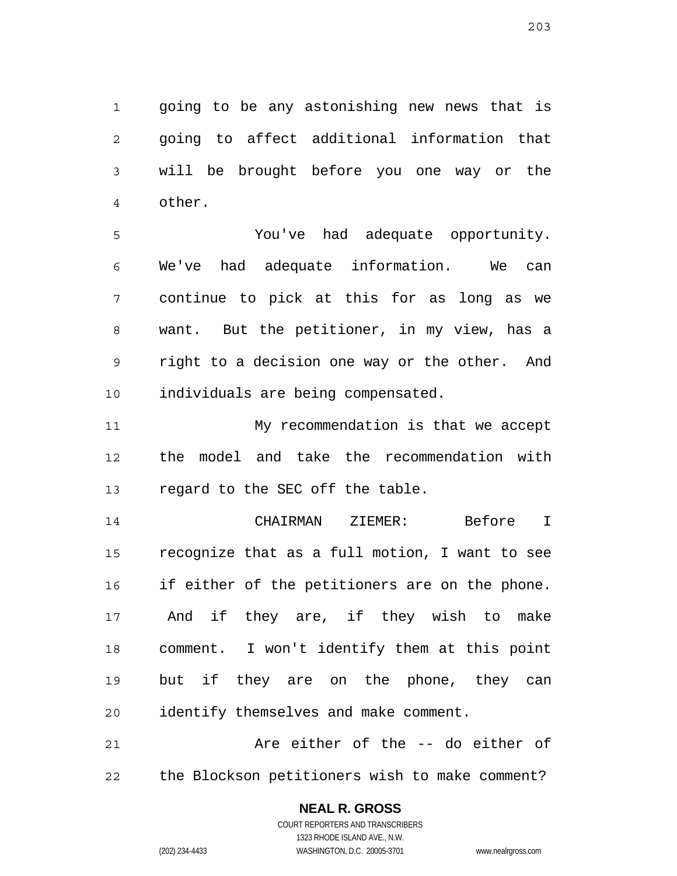1 2 3 4 going to be any astonishing new news that is going to affect additional information that will be brought before you one way or the other.

5 6 7 8 9 10 You've had adequate opportunity. We've had adequate information. We can continue to pick at this for as long as we want. But the petitioner, in my view, has a right to a decision one way or the other. And individuals are being compensated.

11 12 13 My recommendation is that we accept the model and take the recommendation with regard to the SEC off the table.

14 15 16 17 18 19 20 CHAIRMAN ZIEMER: Before I recognize that as a full motion, I want to see if either of the petitioners are on the phone. And if they are, if they wish to make comment. I won't identify them at this point but if they are on the phone, they can identify themselves and make comment.

21 22 Are either of the -- do either of the Blockson petitioners wish to make comment?

# **NEAL R. GROSS**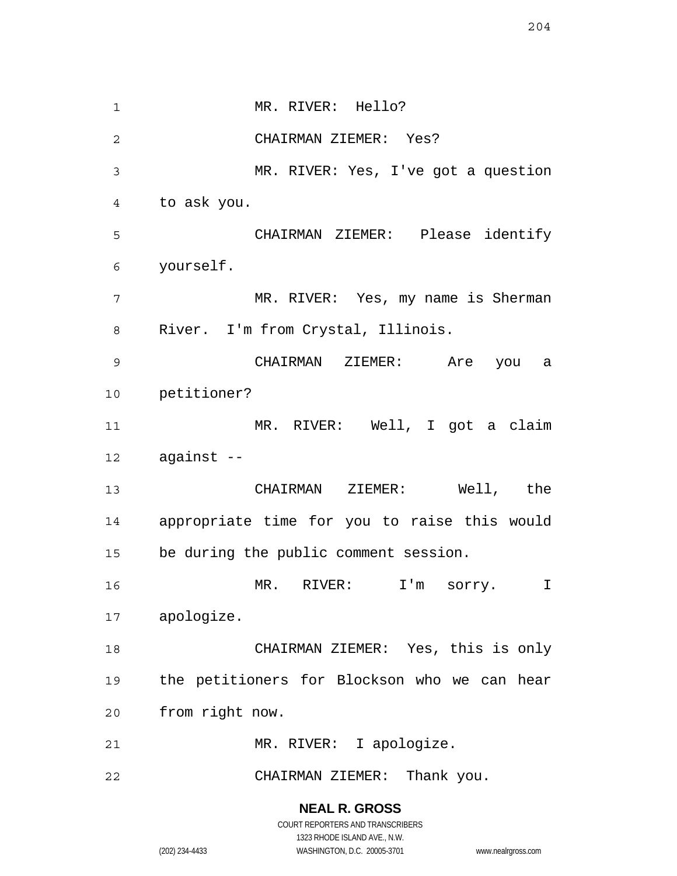1 2 3 4 5 6 7 8 9 10 11 12 13 14 15 16 17 18 19 20 21 22 MR. RIVER: Hello? CHAIRMAN ZIEMER: Yes? MR. RIVER: Yes, I've got a question to ask you. CHAIRMAN ZIEMER: Please identify yourself. MR. RIVER: Yes, my name is Sherman River. I'm from Crystal, Illinois. CHAIRMAN ZIEMER: Are you a petitioner? MR. RIVER: Well, I got a claim against -- CHAIRMAN ZIEMER: Well, the appropriate time for you to raise this would be during the public comment session. MR. RIVER: I'm sorry. I apologize. CHAIRMAN ZIEMER: Yes, this is only the petitioners for Blockson who we can hear from right now. MR. RIVER: I apologize. CHAIRMAN ZIEMER: Thank you.

> **NEAL R. GROSS** COURT REPORTERS AND TRANSCRIBERS

> > 1323 RHODE ISLAND AVE., N.W.

(202) 234-4433 WASHINGTON, D.C. 20005-3701 www.nealrgross.com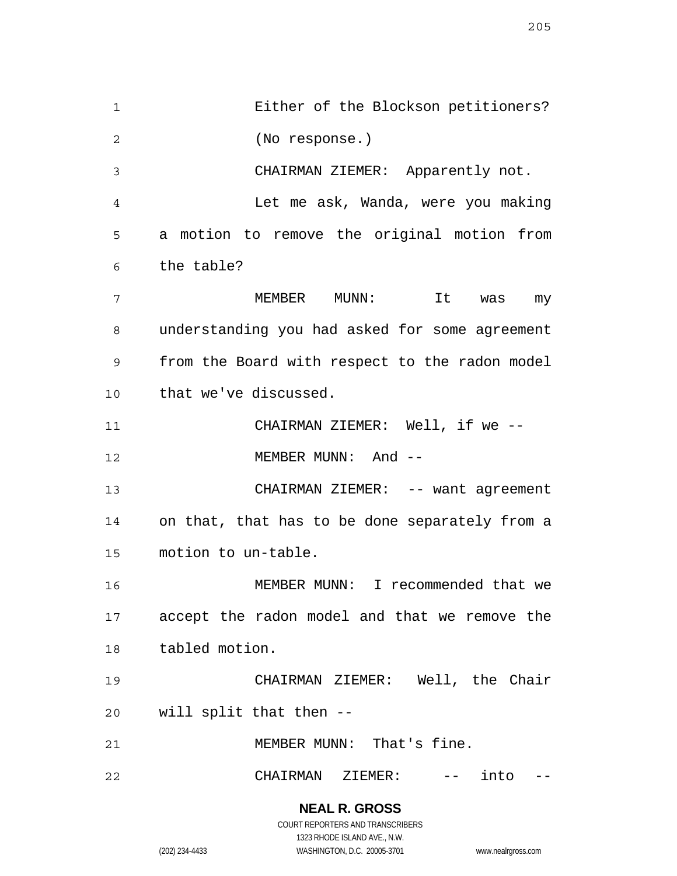1 2 3 4 5 6 7 8 9 10 11 12 13 14 15 16 17 18 19 20 21 22 Either of the Blockson petitioners? (No response.) CHAIRMAN ZIEMER: Apparently not. Let me ask, Wanda, were you making a motion to remove the original motion from the table? MEMBER MUNN: It was my understanding you had asked for some agreement from the Board with respect to the radon model that we've discussed. CHAIRMAN ZIEMER: Well, if we -- MEMBER MUNN: And -- CHAIRMAN ZIEMER: -- want agreement on that, that has to be done separately from a motion to un-table. MEMBER MUNN: I recommended that we accept the radon model and that we remove the tabled motion. CHAIRMAN ZIEMER: Well, the Chair will split that then -- MEMBER MUNN: That's fine. CHAIRMAN ZIEMER: -- into --

> **NEAL R. GROSS** COURT REPORTERS AND TRANSCRIBERS 1323 RHODE ISLAND AVE., N.W.

(202) 234-4433 WASHINGTON, D.C. 20005-3701 www.nealrgross.com

205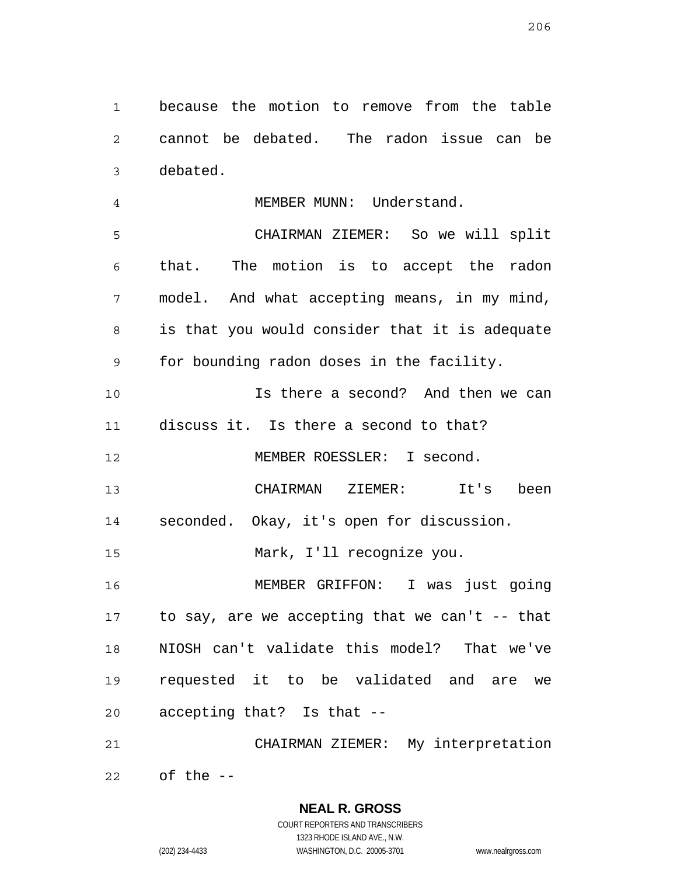1 2 3 4 5 6 7 8 9 because the motion to remove from the table cannot be debated. The radon issue can be debated. MEMBER MUNN: Understand. CHAIRMAN ZIEMER: So we will split that. The motion is to accept the radon model. And what accepting means, in my mind, is that you would consider that it is adequate for bounding radon doses in the facility.

10 11 12 Is there a second? And then we can discuss it. Is there a second to that? MEMBER ROESSLER: I second.

13 14 CHAIRMAN ZIEMER: It's been seconded. Okay, it's open for discussion.

15 Mark, I'll recognize you.

16 17 18 19 20 MEMBER GRIFFON: I was just going to say, are we accepting that we can't -- that NIOSH can't validate this model? That we've requested it to be validated and are we accepting that? Is that --

21 22 CHAIRMAN ZIEMER: My interpretation of the --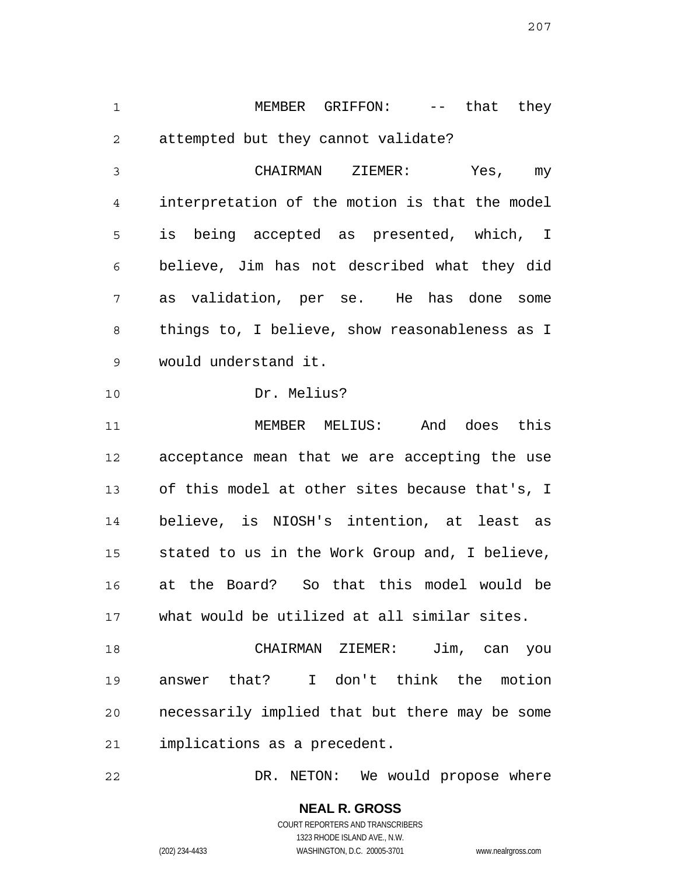1 2 3 4 5 6 7 8 9 10 11 12 13 14 15 16 17 18 19 MEMBER GRIFFON: -- that they attempted but they cannot validate? CHAIRMAN ZIEMER: Yes, my interpretation of the motion is that the model is being accepted as presented, which, I believe, Jim has not described what they did as validation, per se. He has done some things to, I believe, show reasonableness as I would understand it. Dr. Melius? MEMBER MELIUS: And does this acceptance mean that we are accepting the use of this model at other sites because that's, I believe, is NIOSH's intention, at least as stated to us in the Work Group and, I believe, at the Board? So that this model would be what would be utilized at all similar sites. CHAIRMAN ZIEMER: Jim, can you answer that? I don't think the motion

21 implications as a precedent.

22 DR. NETON: We would propose where

> **NEAL R. GROSS** COURT REPORTERS AND TRANSCRIBERS 1323 RHODE ISLAND AVE., N.W. (202) 234-4433 WASHINGTON, D.C. 20005-3701 www.nealrgross.com

necessarily implied that but there may be some

20

207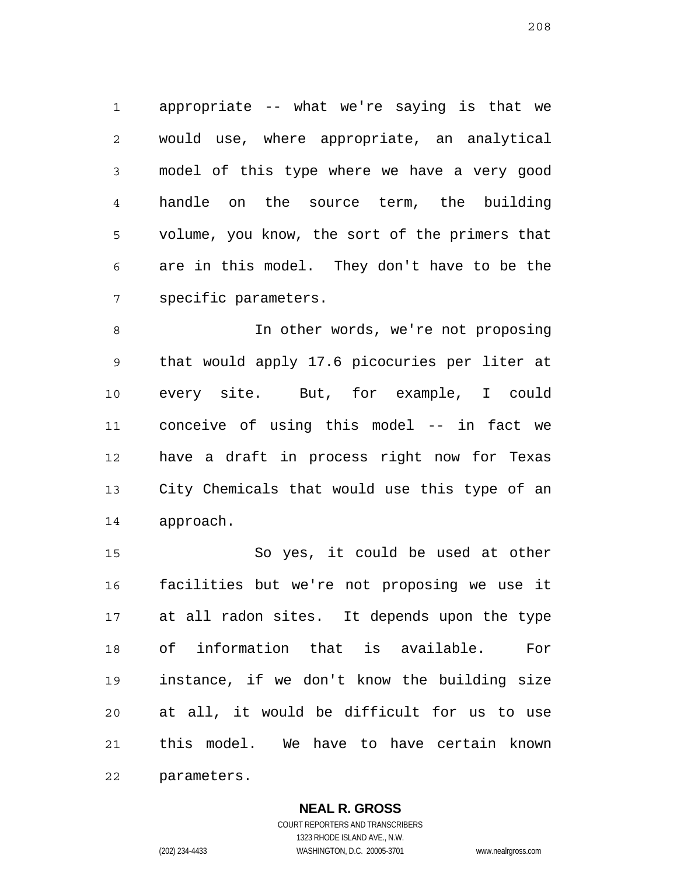1 2 3 4 5 6 7 appropriate -- what we're saying is that we would use, where appropriate, an analytical model of this type where we have a very good handle on the source term, the building volume, you know, the sort of the primers that are in this model. They don't have to be the specific parameters.

8 9 10 11 12 13 14 In other words, we're not proposing that would apply 17.6 picocuries per liter at every site. But, for example, I could conceive of using this model -- in fact we have a draft in process right now for Texas City Chemicals that would use this type of an approach.

15 16 17 18 19 20 21 22 So yes, it could be used at other facilities but we're not proposing we use it at all radon sites. It depends upon the type of information that is available. For instance, if we don't know the building size at all, it would be difficult for us to use this model. We have to have certain known parameters.

> **NEAL R. GROSS** COURT REPORTERS AND TRANSCRIBERS

> > 1323 RHODE ISLAND AVE., N.W.

(202) 234-4433 WASHINGTON, D.C. 20005-3701 www.nealrgross.com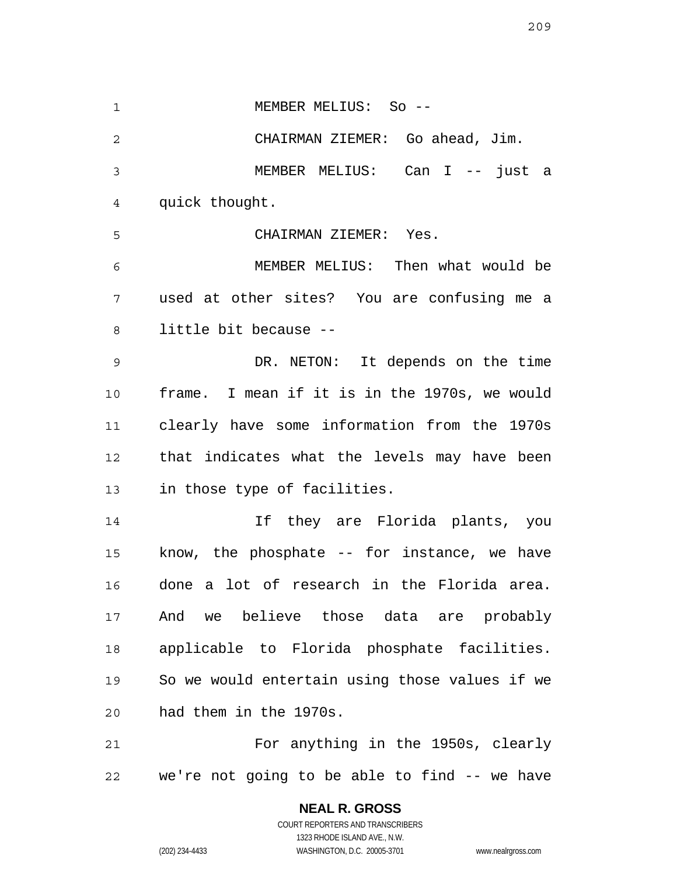1 2 3 4 5 6 7 8 9 10 11 12 13 14 15 16 17 18 19 20 21 22 MEMBER MELIUS: So -- CHAIRMAN ZIEMER: Go ahead, Jim. MEMBER MELIUS: Can I -- just a quick thought. CHAIRMAN ZIEMER: Yes. MEMBER MELIUS: Then what would be used at other sites? You are confusing me a little bit because -- DR. NETON: It depends on the time frame. I mean if it is in the 1970s, we would clearly have some information from the 1970s that indicates what the levels may have been in those type of facilities. If they are Florida plants, you know, the phosphate -- for instance, we have done a lot of research in the Florida area. And we believe those data are probably applicable to Florida phosphate facilities. So we would entertain using those values if we had them in the 1970s. For anything in the 1950s, clearly we're not going to be able to find -- we have

> COURT REPORTERS AND TRANSCRIBERS 1323 RHODE ISLAND AVE., N.W. (202) 234-4433 WASHINGTON, D.C. 20005-3701 www.nealrgross.com

**NEAL R. GROSS**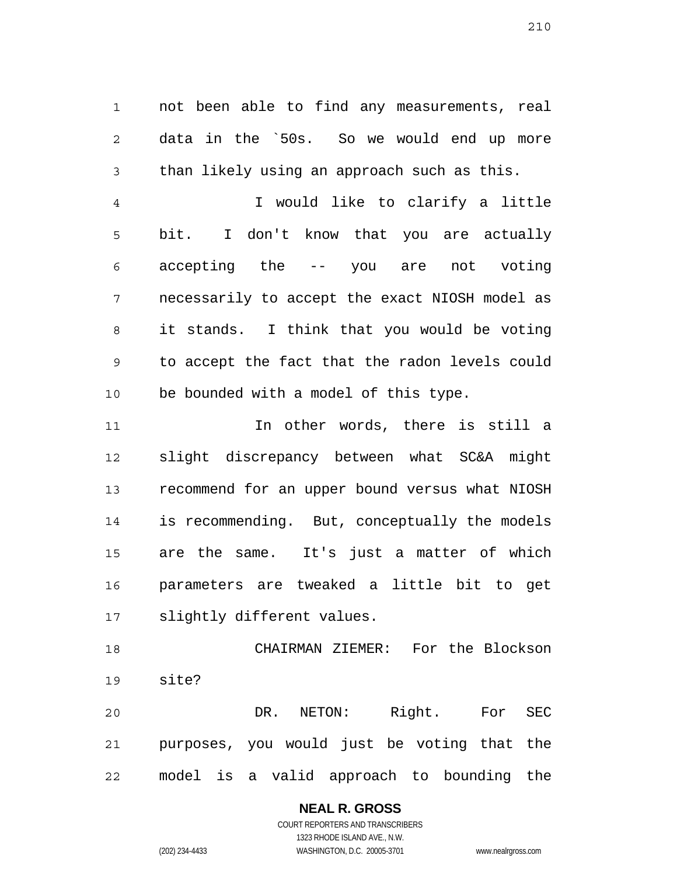1 2 3 not been able to find any measurements, real data in the `50s. So we would end up more than likely using an approach such as this.

4 5 6 7 8 9 10 I would like to clarify a little bit. I don't know that you are actually accepting the -- you are not voting necessarily to accept the exact NIOSH model as it stands. I think that you would be voting to accept the fact that the radon levels could be bounded with a model of this type.

11 12 13 14 15 16 17 In other words, there is still a slight discrepancy between what SC&A might recommend for an upper bound versus what NIOSH is recommending. But, conceptually the models are the same. It's just a matter of which parameters are tweaked a little bit to get slightly different values.

18 19 CHAIRMAN ZIEMER: For the Blockson site?

20 21 22 DR. NETON: Right. For SEC purposes, you would just be voting that the model is a valid approach to bounding the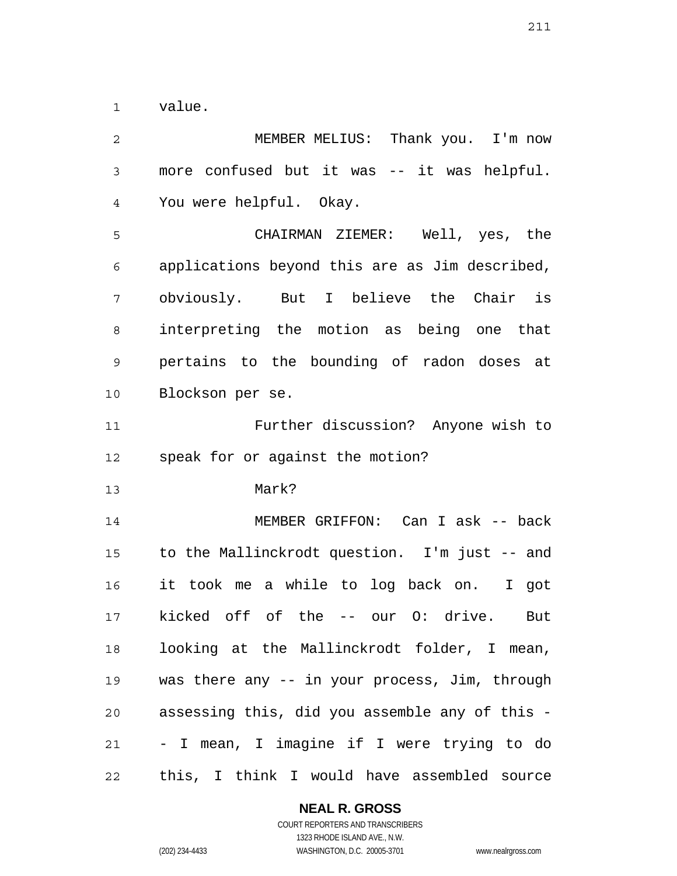1 value.

2 3 4 5 6 7 8 9 10 11 12 13 14 15 16 17 18 19 20 21 22 MEMBER MELIUS: Thank you. I'm now more confused but it was -- it was helpful. You were helpful. Okay. CHAIRMAN ZIEMER: Well, yes, the applications beyond this are as Jim described, obviously. But I believe the Chair is interpreting the motion as being one that pertains to the bounding of radon doses at Blockson per se. Further discussion? Anyone wish to speak for or against the motion? Mark? MEMBER GRIFFON: Can I ask -- back to the Mallinckrodt question. I'm just -- and it took me a while to log back on. I got kicked off of the -- our O: drive. But looking at the Mallinckrodt folder, I mean, was there any -- in your process, Jim, through assessing this, did you assemble any of this - - I mean, I imagine if I were trying to do this, I think I would have assembled source

**NEAL R. GROSS**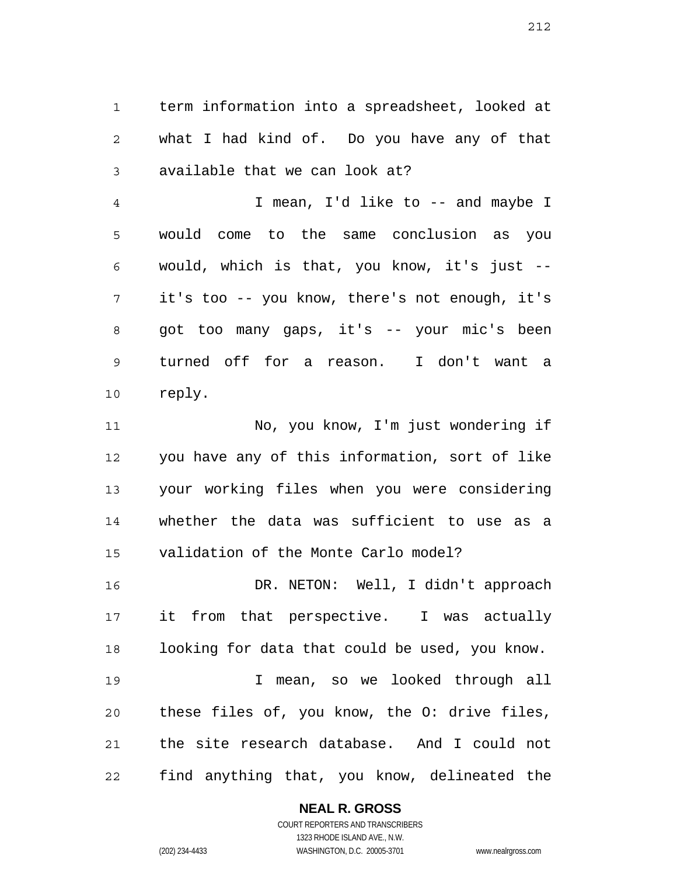1 2 3 term information into a spreadsheet, looked at what I had kind of. Do you have any of that available that we can look at?

4 5 6 7 8 9 10 I mean, I'd like to -- and maybe I would come to the same conclusion as you would, which is that, you know, it's just - it's too -- you know, there's not enough, it's got too many gaps, it's -- your mic's been turned off for a reason. I don't want a reply.

11 12 13 14 15 No, you know, I'm just wondering if you have any of this information, sort of like your working files when you were considering whether the data was sufficient to use as a validation of the Monte Carlo model?

16 17 18 19 20 21 22 DR. NETON: Well, I didn't approach it from that perspective. I was actually looking for data that could be used, you know. I mean, so we looked through all these files of, you know, the O: drive files, the site research database. And I could not find anything that, you know, delineated the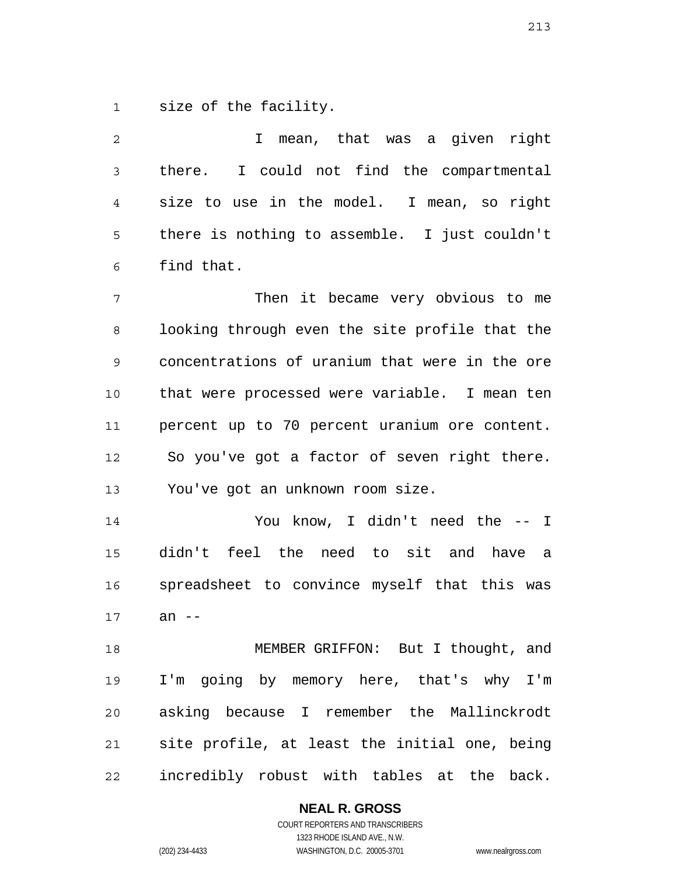1 size of the facility.

| 2           | mean, that was a given right<br>$\mathbf{I}$   |
|-------------|------------------------------------------------|
| $\mathsf 3$ | I could not find the compartmental<br>there.   |
| 4           | size to use in the model. I mean, so right     |
| 5           | there is nothing to assemble. I just couldn't  |
| 6           | find that.                                     |
| 7           | Then it became very obvious to me              |
| 8           | looking through even the site profile that the |
| 9           | concentrations of uranium that were in the ore |
| 10          | that were processed were variable. I mean ten  |
| 11          | percent up to 70 percent uranium ore content.  |
| 12          | So you've got a factor of seven right there.   |
| 13          | You've got an unknown room size.               |
| 14          | You know, I didn't need the -- I               |
| 15          | didn't feel the need to sit and have a         |
| 16          | spreadsheet to convince myself that this was   |
| 17          | an $--$                                        |
| 18          | MEMBER GRIFFON: But I thought, and             |
| 19          | I'm going by memory here, that's why I'm       |
| 20          | asking because I remember the Mallinckrodt     |
| 21          | site profile, at least the initial one, being  |
| 22          | incredibly robust with tables at the back.     |

**NEAL R. GROSS**

COURT REPORTERS AND TRANSCRIBERS 1323 RHODE ISLAND AVE., N.W. (202) 234-4433 WASHINGTON, D.C. 20005-3701 www.nealrgross.com

213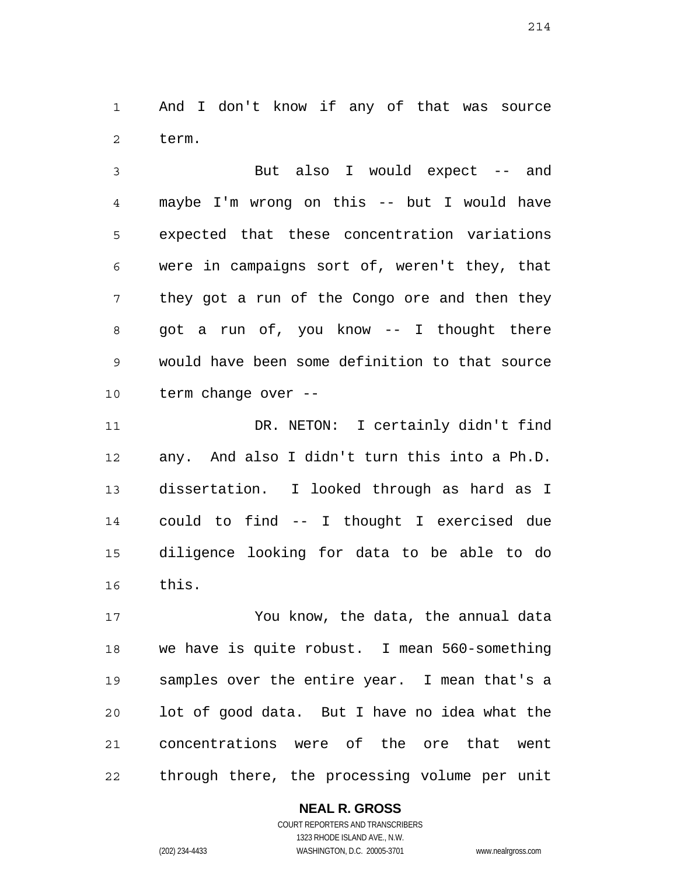1 2 And I don't know if any of that was source term.

3 4 5 6 7 8 9 10 But also I would expect -- and maybe I'm wrong on this -- but I would have expected that these concentration variations were in campaigns sort of, weren't they, that they got a run of the Congo ore and then they got a run of, you know -- I thought there would have been some definition to that source term change over --

11 12 13 14 15 16 DR. NETON: I certainly didn't find any. And also I didn't turn this into a Ph.D. dissertation. I looked through as hard as I could to find -- I thought I exercised due diligence looking for data to be able to do this.

17 18 19 20 21 22 You know, the data, the annual data we have is quite robust. I mean 560-something samples over the entire year. I mean that's a lot of good data. But I have no idea what the concentrations were of the ore that went through there, the processing volume per unit

**NEAL R. GROSS**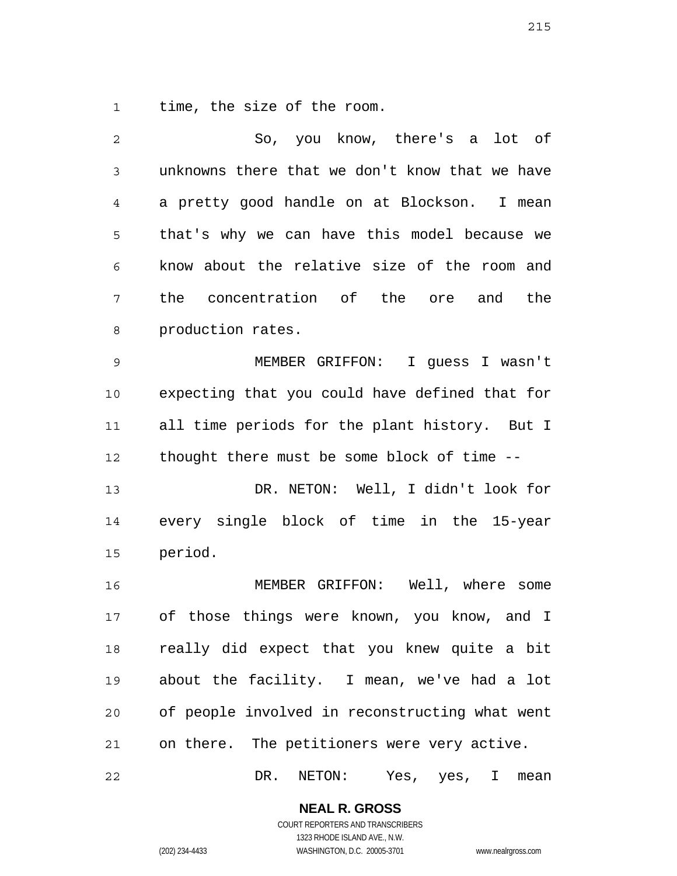1 time, the size of the room.

| $\overline{c}$ | So, you know, there's a lot of                 |
|----------------|------------------------------------------------|
| $\mathfrak{Z}$ | unknowns there that we don't know that we have |
| 4              | a pretty good handle on at Blockson. I mean    |
| 5              | that's why we can have this model because we   |
| 6              | know about the relative size of the room and   |
| 7              | the concentration of the ore and<br>the        |
| 8              | production rates.                              |
| 9              | MEMBER GRIFFON: I quess I wasn't               |
| 10             | expecting that you could have defined that for |
| 11             | all time periods for the plant history. But I  |
| 12             | thought there must be some block of time --    |
| 13             | DR. NETON: Well, I didn't look for             |
| 14             | every single block of time in the 15-year      |
| 15             | period.                                        |
| 16             | MEMBER GRIFFON: Well, where some               |
| 17             | of those things were known, you know, and I    |
| 18             | really did expect that you knew quite a bit    |
| 19             | about the facility. I mean, we've had a lot    |
| 20             | of people involved in reconstructing what went |
| 21             | on there. The petitioners were very active.    |
| 22             | DR.<br>NETON:<br>Yes, yes, I<br>mean           |

**NEAL R. GROSS** COURT REPORTERS AND TRANSCRIBERS

1323 RHODE ISLAND AVE., N.W.

(202) 234-4433 WASHINGTON, D.C. 20005-3701 www.nealrgross.com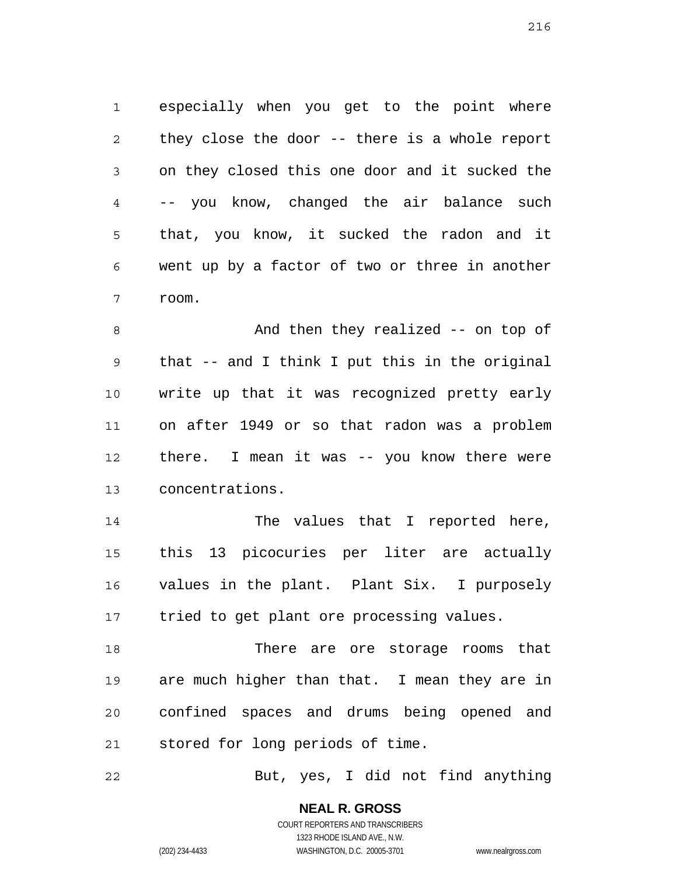1 2 3 4 5 6 7 especially when you get to the point where they close the door -- there is a whole report on they closed this one door and it sucked the -- you know, changed the air balance such that, you know, it sucked the radon and it went up by a factor of two or three in another room.

8 9 10 11 12 13 And then they realized -- on top of that -- and I think I put this in the original write up that it was recognized pretty early on after 1949 or so that radon was a problem there. I mean it was -- you know there were concentrations.

14 15 16 17 The values that I reported here, this 13 picocuries per liter are actually values in the plant. Plant Six. I purposely tried to get plant ore processing values.

18 19 20 21 There are ore storage rooms that are much higher than that. I mean they are in confined spaces and drums being opened and stored for long periods of time.

22 But, yes, I did not find anything

216

COURT REPORTERS AND TRANSCRIBERS 1323 RHODE ISLAND AVE., N.W. (202) 234-4433 WASHINGTON, D.C. 20005-3701 www.nealrgross.com

**NEAL R. GROSS**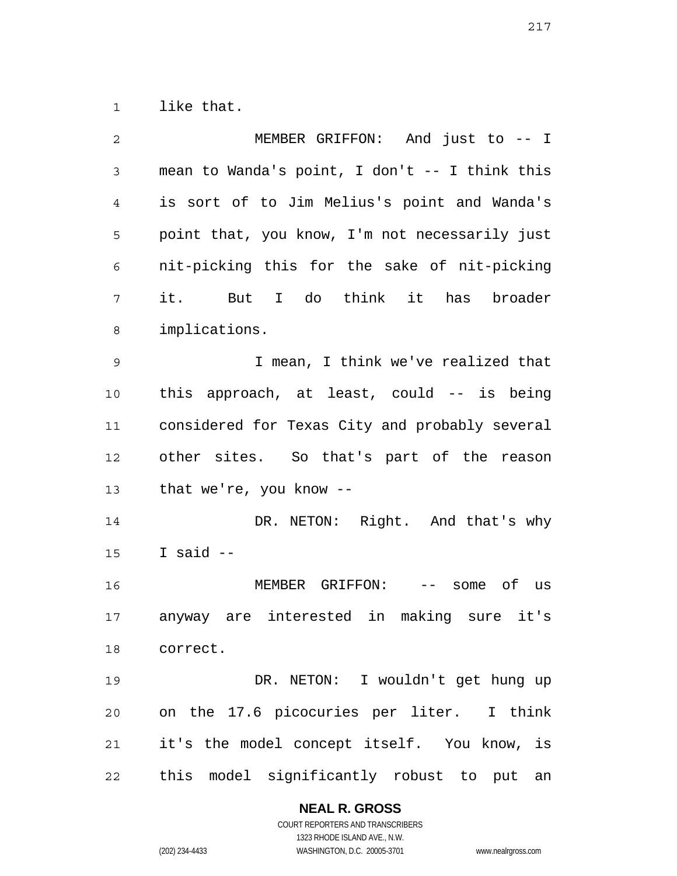1 like that.

| 2              | MEMBER GRIFFON: And just to -- I               |
|----------------|------------------------------------------------|
| $\mathfrak{Z}$ | mean to Wanda's point, I don't -- I think this |
| 4              | is sort of to Jim Melius's point and Wanda's   |
| 5              | point that, you know, I'm not necessarily just |
| 6              | nit-picking this for the sake of nit-picking   |
| 7              | it. But I do think it has broader              |
| 8              | implications.                                  |
| 9              | I mean, I think we've realized that            |
| 10             | this approach, at least, could -- is being     |
| 11             | considered for Texas City and probably several |
| 12             | other sites. So that's part of the reason      |
| 13             | that we're, you know --                        |
| 14             | DR. NETON: Right. And that's why               |
| 15             | I said $-$                                     |
| 16             | MEMBER GRIFFON:<br>-- some of us               |
| 17             | anyway are interested in making sure it's      |
| 18             | correct.                                       |
| 19             | DR. NETON: I wouldn't get hung up              |
| 20             | on the 17.6 picocuries per liter. I think      |
| 21             | it's the model concept itself. You know, is    |
| 22             | this model significantly robust to put<br>an   |

**NEAL R. GROSS** COURT REPORTERS AND TRANSCRIBERS

1323 RHODE ISLAND AVE., N.W. (202) 234-4433 WASHINGTON, D.C. 20005-3701 www.nealrgross.com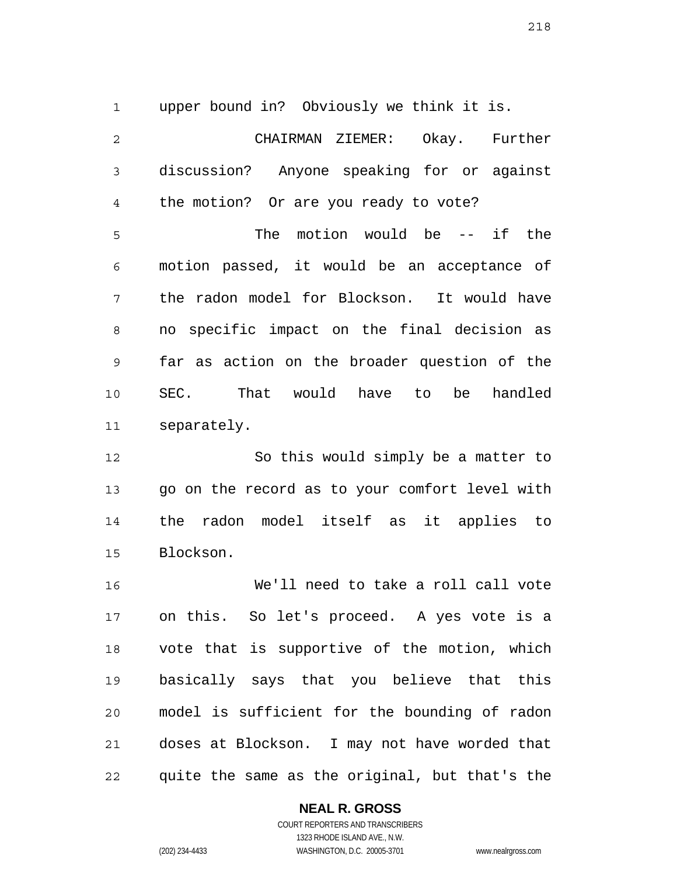1 upper bound in? Obviously we think it is.

2 3 4 5 6 7 8 9 10 11 12 13 14 15 CHAIRMAN ZIEMER: Okay. Further discussion? Anyone speaking for or against the motion? Or are you ready to vote? The motion would be -- if the motion passed, it would be an acceptance of the radon model for Blockson. It would have no specific impact on the final decision as far as action on the broader question of the SEC. That would have to be handled separately. So this would simply be a matter to go on the record as to your comfort level with the radon model itself as it applies to Blockson.

16 17 18 19 20 21 22 We'll need to take a roll call vote on this. So let's proceed. A yes vote is a vote that is supportive of the motion, which basically says that you believe that this model is sufficient for the bounding of radon doses at Blockson. I may not have worded that quite the same as the original, but that's the

**NEAL R. GROSS**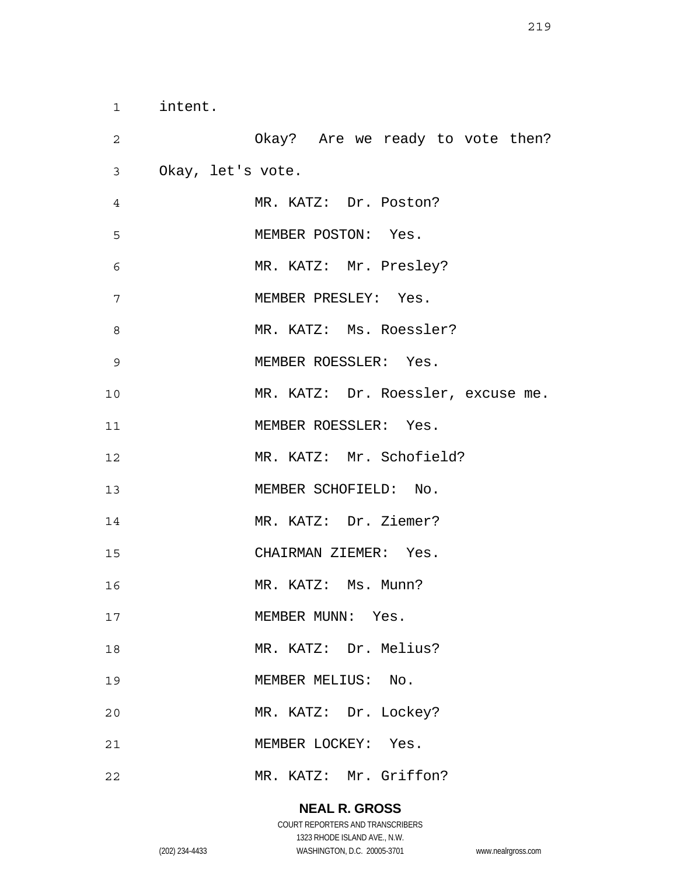1 2 3 4 5 6 7 8 9 10 11 12 13 14 15 16 17 18 19 20 21 22 intent. Okay? Are we ready to vote then? Okay, let's vote. MR. KATZ: Dr. Poston? MEMBER POSTON: Yes. MR. KATZ: Mr. Presley? MEMBER PRESLEY: Yes. MR. KATZ: Ms. Roessler? MEMBER ROESSLER: Yes. MR. KATZ: Dr. Roessler, excuse me. MEMBER ROESSLER: Yes. MR. KATZ: Mr. Schofield? MEMBER SCHOFIELD: No. MR. KATZ: Dr. Ziemer? CHAIRMAN ZIEMER: Yes. MR. KATZ: Ms. Munn? MEMBER MUNN: Yes. MR. KATZ: Dr. Melius? MEMBER MELIUS: No. MR. KATZ: Dr. Lockey? MEMBER LOCKEY: Yes. MR. KATZ: Mr. Griffon?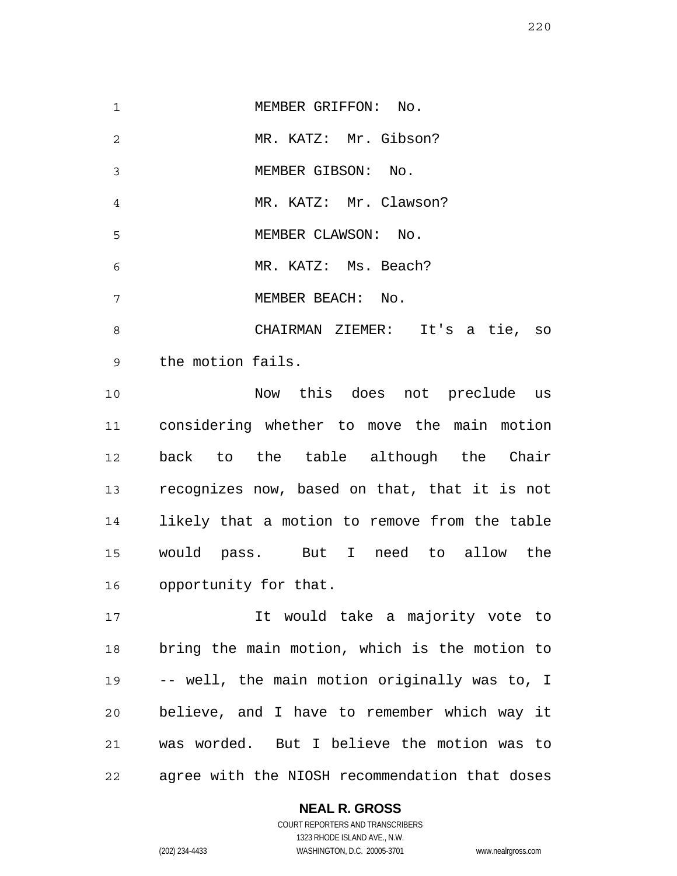1 2 3 4 5 6 7 8 9 10 11 12 13 14 15 16 17 18 19 20 MEMBER GRIFFON: No. MR. KATZ: Mr. Gibson? MEMBER GIBSON: No. MR. KATZ: Mr. Clawson? MEMBER CLAWSON: No. MR. KATZ: Ms. Beach? MEMBER BEACH: No. CHAIRMAN ZIEMER: It's a tie, so the motion fails. Now this does not preclude us considering whether to move the main motion back to the table although the Chair recognizes now, based on that, that it is not likely that a motion to remove from the table would pass. But I need to allow the opportunity for that. It would take a majority vote to bring the main motion, which is the motion to -- well, the main motion originally was to, I believe, and I have to remember which way it

21 22 was worded. But I believe the motion was to agree with the NIOSH recommendation that doses

## **NEAL R. GROSS**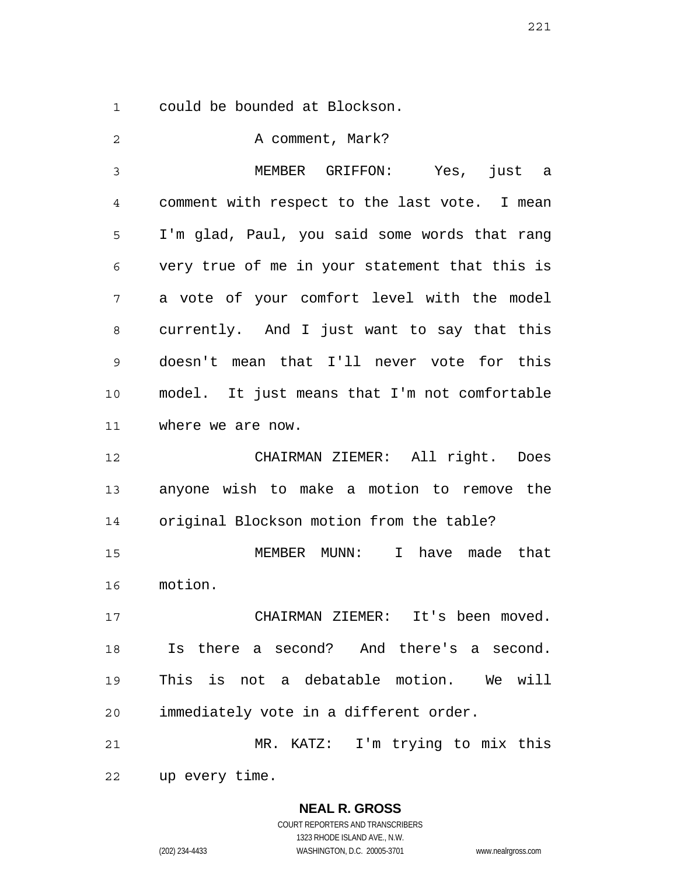1 could be bounded at Blockson.

| 2           | A comment, Mark?                               |
|-------------|------------------------------------------------|
| 3           | just a<br>MEMBER GRIFFON:<br>Yes,              |
| 4           | comment with respect to the last vote. I mean  |
| 5           | I'm glad, Paul, you said some words that rang  |
| 6           | very true of me in your statement that this is |
| 7           | a vote of your comfort level with the model    |
| 8           | currently. And I just want to say that this    |
| $\mathsf 9$ | doesn't mean that I'll never vote for this     |
| 10          | model. It just means that I'm not comfortable  |
| 11          | where we are now.                              |
| 12          | CHAIRMAN ZIEMER: All right. Does               |
| 13          | anyone wish to make a motion to remove the     |
| 14          | original Blockson motion from the table?       |
| 15          | MEMBER MUNN: I have made that                  |
| 16          | motion.                                        |
| 17          | CHAIRMAN ZIEMER: It's been moved.              |
| 18          | Is there a second? And there's a second.       |
| 19          | This is not a debatable motion. We will        |
| 20          | immediately vote in a different order.         |
| 21          | MR. KATZ: I'm trying to mix this               |
| 22          | up every time.                                 |

**NEAL R. GROSS** COURT REPORTERS AND TRANSCRIBERS

1323 RHODE ISLAND AVE., N.W.

(202) 234-4433 WASHINGTON, D.C. 20005-3701 www.nealrgross.com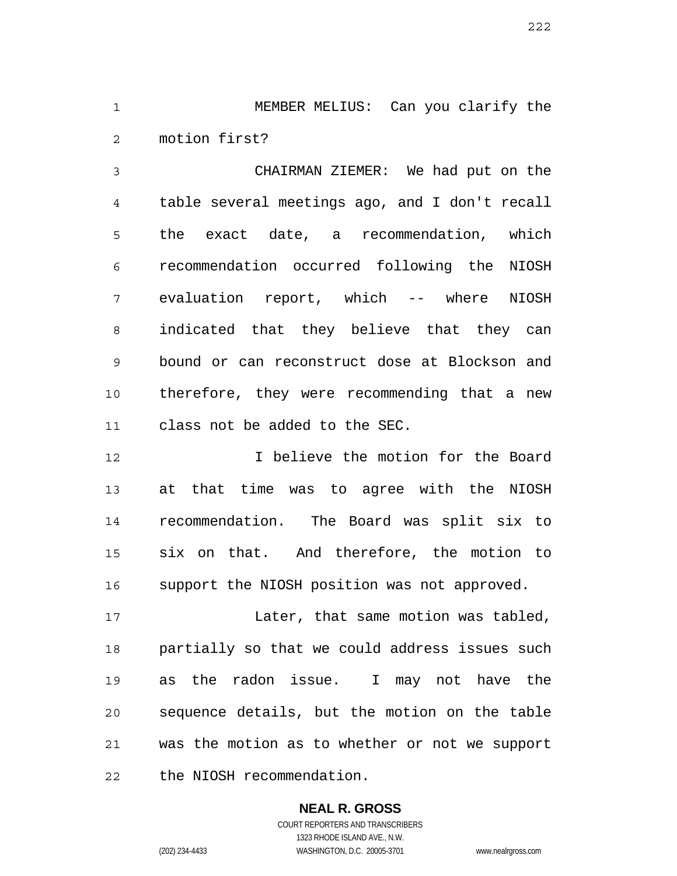1 2 MEMBER MELIUS: Can you clarify the motion first?

3 4 5 6 7 8 9 10 11 CHAIRMAN ZIEMER: We had put on the table several meetings ago, and I don't recall the exact date, a recommendation, which recommendation occurred following the NIOSH evaluation report, which -- where NIOSH indicated that they believe that they can bound or can reconstruct dose at Blockson and therefore, they were recommending that a new class not be added to the SEC.

12 13 14 15 16 I believe the motion for the Board at that time was to agree with the NIOSH recommendation. The Board was split six to six on that. And therefore, the motion to support the NIOSH position was not approved.

17 18 19 20 21 22 Later, that same motion was tabled, partially so that we could address issues such as the radon issue. I may not have the sequence details, but the motion on the table was the motion as to whether or not we support the NIOSH recommendation.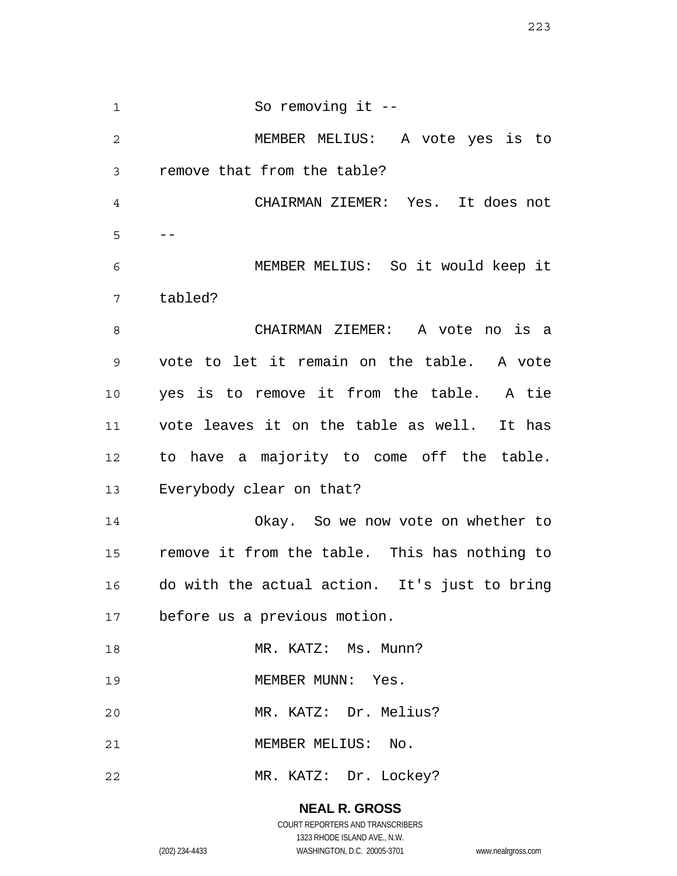1 2 3 4 5 6 7 8 9 10 11 12 13 14 15 16 17 18 19 20 21 22 So removing it -- MEMBER MELIUS: A vote yes is to remove that from the table? CHAIRMAN ZIEMER: Yes. It does not  $-$  MEMBER MELIUS: So it would keep it tabled? CHAIRMAN ZIEMER: A vote no is a vote to let it remain on the table. A vote yes is to remove it from the table. A tie vote leaves it on the table as well. It has to have a majority to come off the table. Everybody clear on that? Okay. So we now vote on whether to remove it from the table. This has nothing to do with the actual action. It's just to bring before us a previous motion. MR. KATZ: Ms. Munn? MEMBER MUNN: Yes. MR. KATZ: Dr. Melius? MEMBER MELIUS: No. MR. KATZ: Dr. Lockey?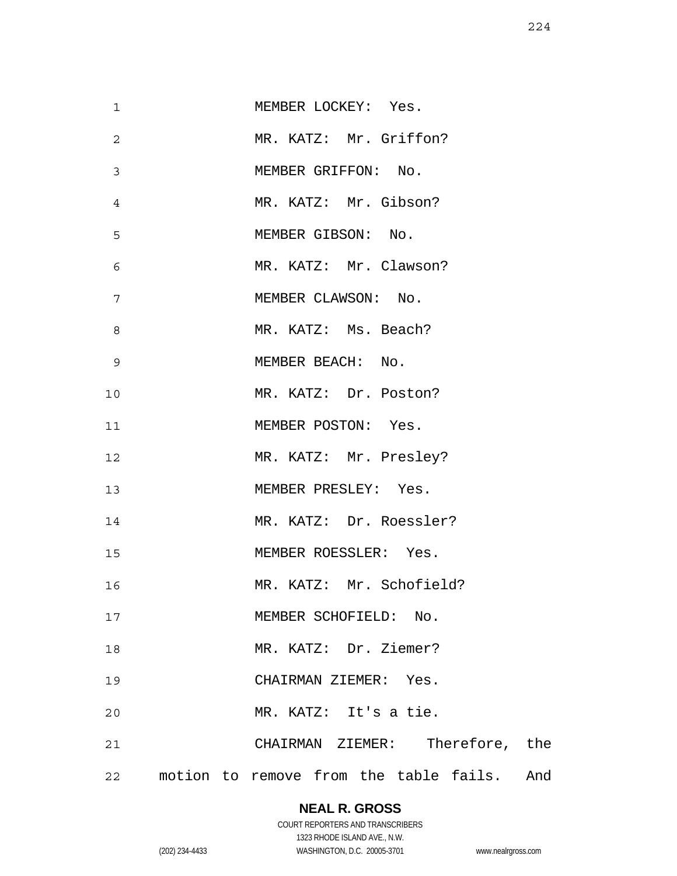| 1              | MEMBER LOCKEY: Yes.                        |
|----------------|--------------------------------------------|
| $\overline{2}$ | MR. KATZ: Mr. Griffon?                     |
| 3              | MEMBER GRIFFON: No.                        |
| 4              | MR. KATZ: Mr. Gibson?                      |
| 5              | MEMBER GIBSON: No.                         |
| 6              | MR. KATZ: Mr. Clawson?                     |
| 7              | MEMBER CLAWSON: No.                        |
| 8              | MR. KATZ: Ms. Beach?                       |
| 9              | MEMBER BEACH: No.                          |
| 10             | MR. KATZ: Dr. Poston?                      |
| 11             | MEMBER POSTON: Yes.                        |
| 12             | MR. KATZ: Mr. Presley?                     |
| 13             | MEMBER PRESLEY: Yes.                       |
| 14             | MR. KATZ: Dr. Roessler?                    |
| 15             | MEMBER ROESSLER: Yes.                      |
| 16             | MR. KATZ: Mr. Schofield?                   |
| 17             | MEMBER SCHOFIELD: No.                      |
| 18             | MR. KATZ: Dr. Ziemer?                      |
| 19             | CHAIRMAN ZIEMER: Yes.                      |
| 20             | MR. KATZ: It's a tie.                      |
| 21             | CHAIRMAN ZIEMER: Therefore, the            |
| 22             | motion to remove from the table fails. And |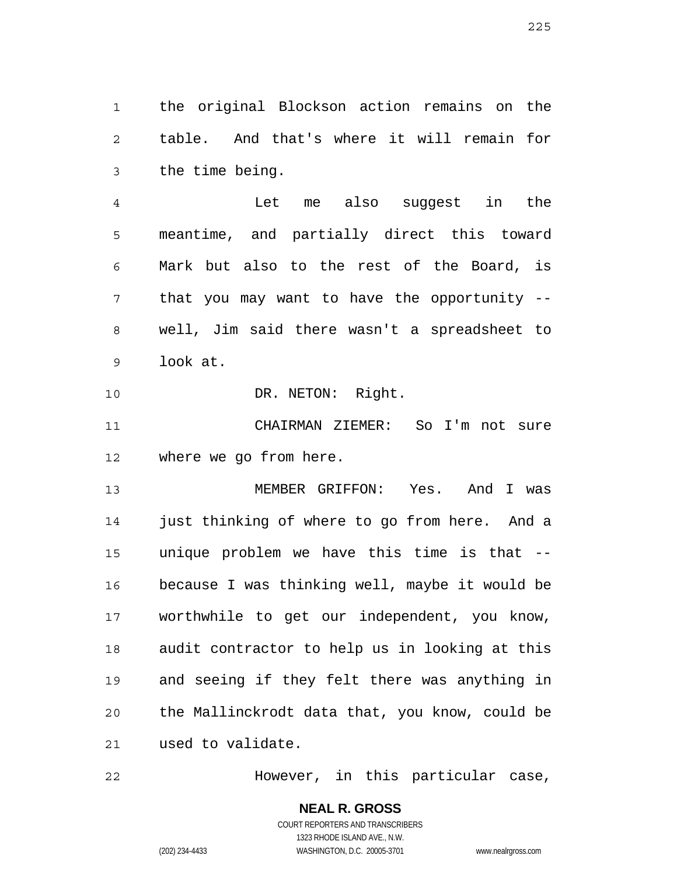1 2 3 the original Blockson action remains on the table. And that's where it will remain for the time being.

4 5 6 7 8 9 Let me also suggest in the meantime, and partially direct this toward Mark but also to the rest of the Board, is that you may want to have the opportunity - well, Jim said there wasn't a spreadsheet to look at.

10 DR. NETON: Right.

11 12 CHAIRMAN ZIEMER: So I'm not sure where we go from here.

13 14 15 16 17 18 19 20 21 MEMBER GRIFFON: Yes. And I was just thinking of where to go from here. And a unique problem we have this time is that - because I was thinking well, maybe it would be worthwhile to get our independent, you know, audit contractor to help us in looking at this and seeing if they felt there was anything in the Mallinckrodt data that, you know, could be used to validate.

22 However, in this particular case,

225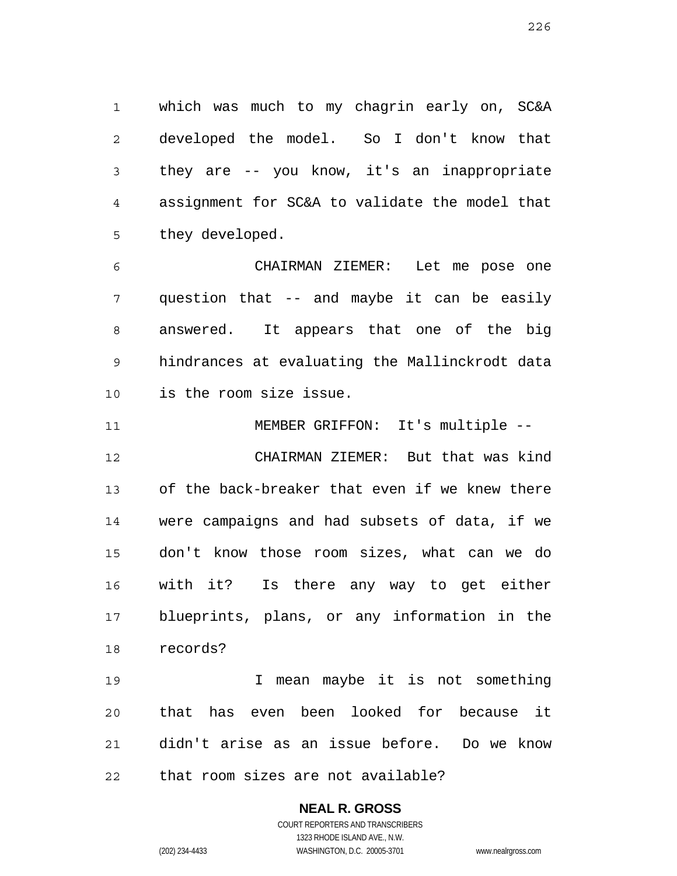1 2 3 4 5 which was much to my chagrin early on, SC&A developed the model. So I don't know that they are -- you know, it's an inappropriate assignment for SC&A to validate the model that they developed.

6 7 8 9 10 CHAIRMAN ZIEMER: Let me pose one question that -- and maybe it can be easily answered. It appears that one of the big hindrances at evaluating the Mallinckrodt data is the room size issue.

11 12 13 14 15 16 17 18 MEMBER GRIFFON: It's multiple -- CHAIRMAN ZIEMER: But that was kind of the back-breaker that even if we knew there were campaigns and had subsets of data, if we don't know those room sizes, what can we do with it? Is there any way to get either blueprints, plans, or any information in the records?

19 20 21 22 I mean maybe it is not something that has even been looked for because it didn't arise as an issue before. Do we know that room sizes are not available?

# **NEAL R. GROSS**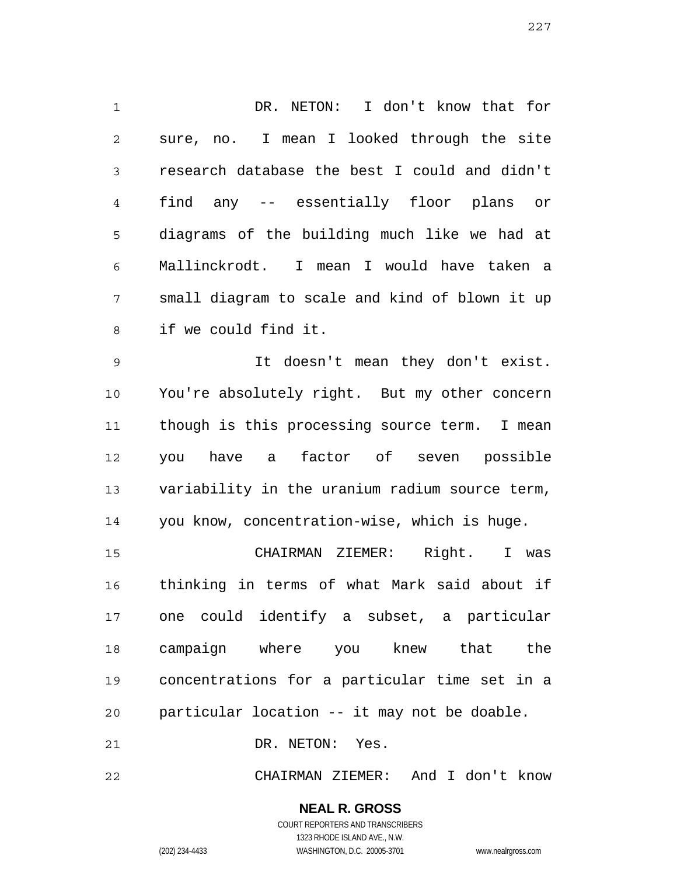1 2 3 4 5 6 7 8 DR. NETON: I don't know that for sure, no. I mean I looked through the site research database the best I could and didn't find any -- essentially floor plans or diagrams of the building much like we had at Mallinckrodt. I mean I would have taken a small diagram to scale and kind of blown it up if we could find it.

9 10 11 12 13 14 It doesn't mean they don't exist. You're absolutely right. But my other concern though is this processing source term. I mean you have a factor of seven possible variability in the uranium radium source term, you know, concentration-wise, which is huge.

15 16 17 18 19 20 CHAIRMAN ZIEMER: Right. I was thinking in terms of what Mark said about if one could identify a subset, a particular campaign where you knew that the concentrations for a particular time set in a particular location -- it may not be doable.

21 DR. NETON: Yes.

22 CHAIRMAN ZIEMER: And I don't know

> **NEAL R. GROSS** COURT REPORTERS AND TRANSCRIBERS 1323 RHODE ISLAND AVE., N.W. (202) 234-4433 WASHINGTON, D.C. 20005-3701 www.nealrgross.com

227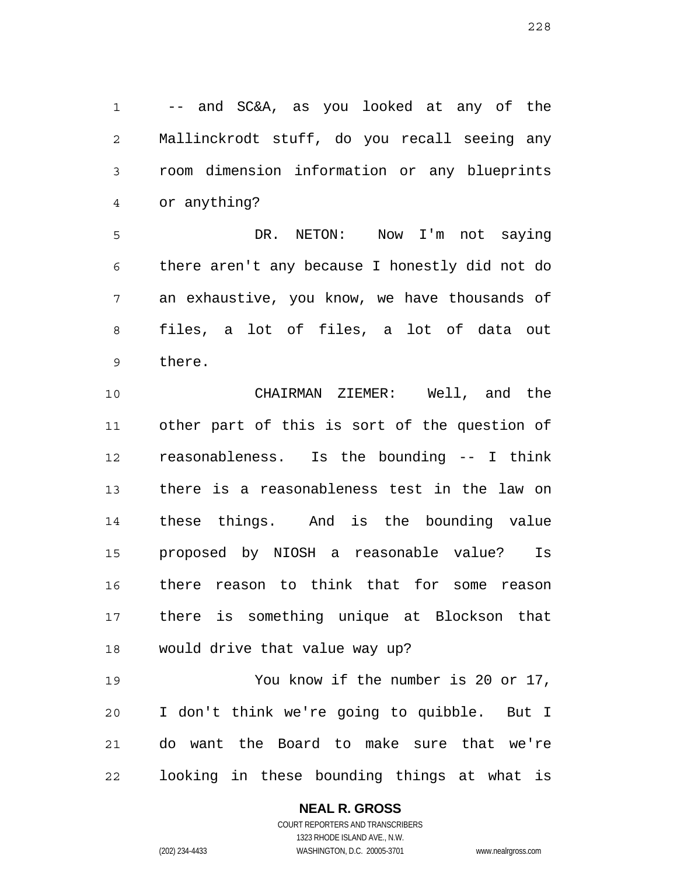1 2 3 4 -- and SC&A, as you looked at any of the Mallinckrodt stuff, do you recall seeing any room dimension information or any blueprints or anything?

5 6 7 8 9 DR. NETON: Now I'm not saying there aren't any because I honestly did not do an exhaustive, you know, we have thousands of files, a lot of files, a lot of data out there.

10 11 12 13 14 15 16 17 18 CHAIRMAN ZIEMER: Well, and the other part of this is sort of the question of reasonableness. Is the bounding -- I think there is a reasonableness test in the law on these things. And is the bounding value proposed by NIOSH a reasonable value? Is there reason to think that for some reason there is something unique at Blockson that would drive that value way up?

19 20 21 22 You know if the number is 20 or 17, I don't think we're going to quibble. But I do want the Board to make sure that we're looking in these bounding things at what is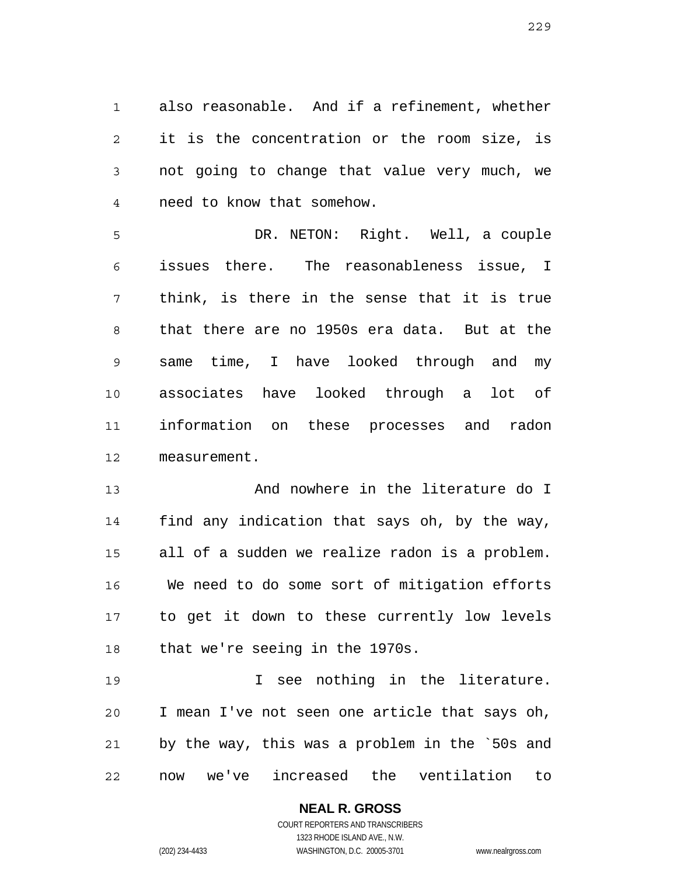1 2 3 4 also reasonable. And if a refinement, whether it is the concentration or the room size, is not going to change that value very much, we need to know that somehow.

5 6 7 8 9 10 11 12 DR. NETON: Right. Well, a couple issues there. The reasonableness issue, I think, is there in the sense that it is true that there are no 1950s era data. But at the same time, I have looked through and my associates have looked through a lot of information on these processes and radon measurement.

13 14 15 16 17 18 And nowhere in the literature do I find any indication that says oh, by the way, all of a sudden we realize radon is a problem. We need to do some sort of mitigation efforts to get it down to these currently low levels that we're seeing in the 1970s.

19 20 21 22 I see nothing in the literature. I mean I've not seen one article that says oh, by the way, this was a problem in the `50s and now we've increased the ventilation to

> **NEAL R. GROSS** COURT REPORTERS AND TRANSCRIBERS 1323 RHODE ISLAND AVE., N.W.

(202) 234-4433 WASHINGTON, D.C. 20005-3701 www.nealrgross.com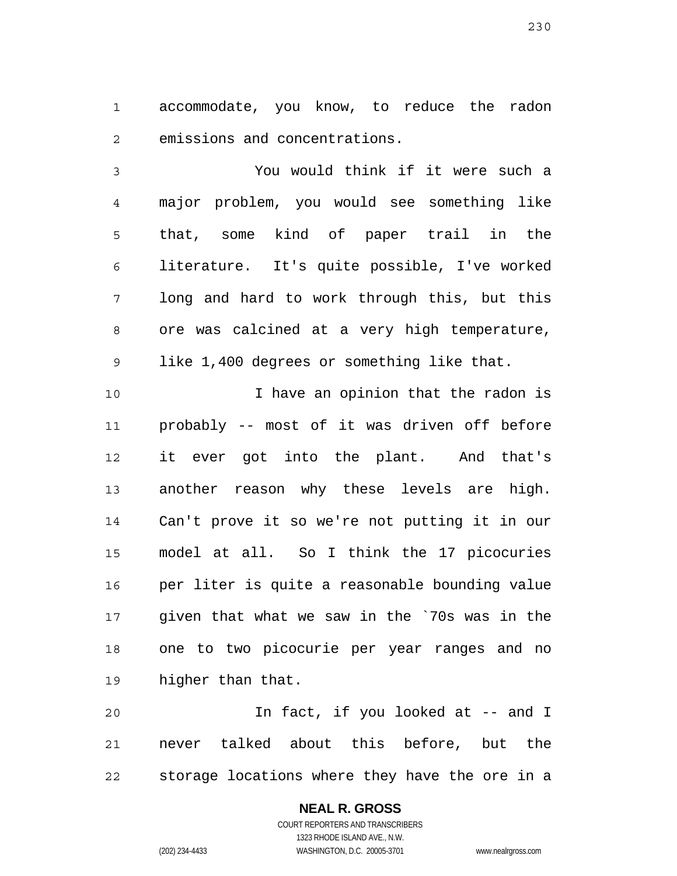1 2 accommodate, you know, to reduce the radon emissions and concentrations.

3 4 5 6 7 8 9 You would think if it were such a major problem, you would see something like that, some kind of paper trail in the literature. It's quite possible, I've worked long and hard to work through this, but this ore was calcined at a very high temperature, like 1,400 degrees or something like that.

10 11 12 13 14 15 16 17 18 19 I have an opinion that the radon is probably -- most of it was driven off before it ever got into the plant. And that's another reason why these levels are high. Can't prove it so we're not putting it in our model at all. So I think the 17 picocuries per liter is quite a reasonable bounding value given that what we saw in the `70s was in the one to two picocurie per year ranges and no higher than that.

20 21 22 In fact, if you looked at -- and I never talked about this before, but the storage locations where they have the ore in a

## **NEAL R. GROSS**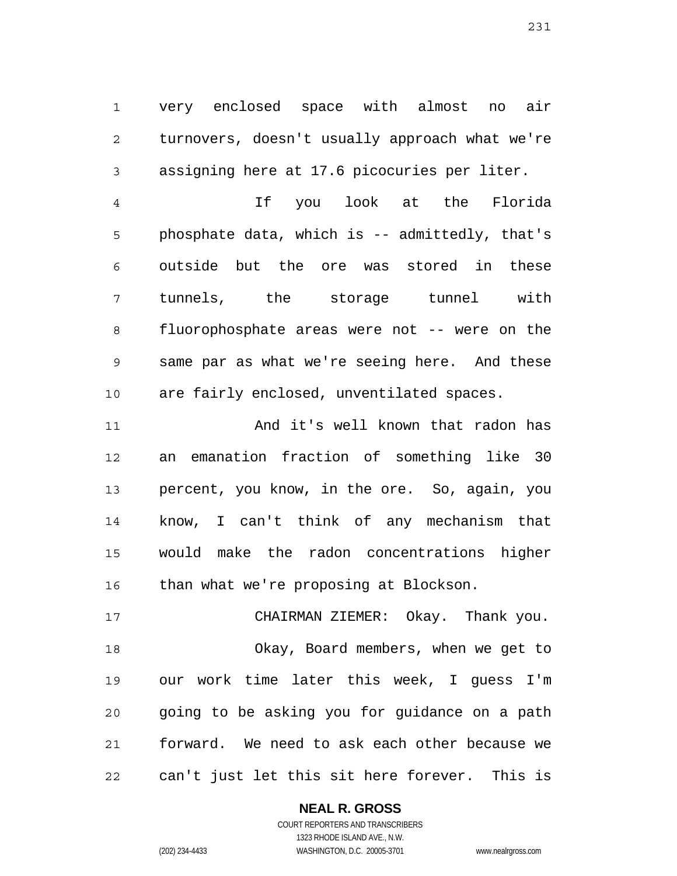1 2 3 very enclosed space with almost no air turnovers, doesn't usually approach what we're assigning here at 17.6 picocuries per liter.

4 5 6 7 8 9 10 If you look at the Florida phosphate data, which is -- admittedly, that's outside but the ore was stored in these tunnels, the storage tunnel with fluorophosphate areas were not -- were on the same par as what we're seeing here. And these are fairly enclosed, unventilated spaces.

11 12 13 14 15 16 And it's well known that radon has an emanation fraction of something like 30 percent, you know, in the ore. So, again, you know, I can't think of any mechanism that would make the radon concentrations higher than what we're proposing at Blockson.

17 18 19 20 21 22 CHAIRMAN ZIEMER: Okay. Thank you. Okay, Board members, when we get to our work time later this week, I guess I'm going to be asking you for guidance on a path forward. We need to ask each other because we can't just let this sit here forever. This is

**NEAL R. GROSS**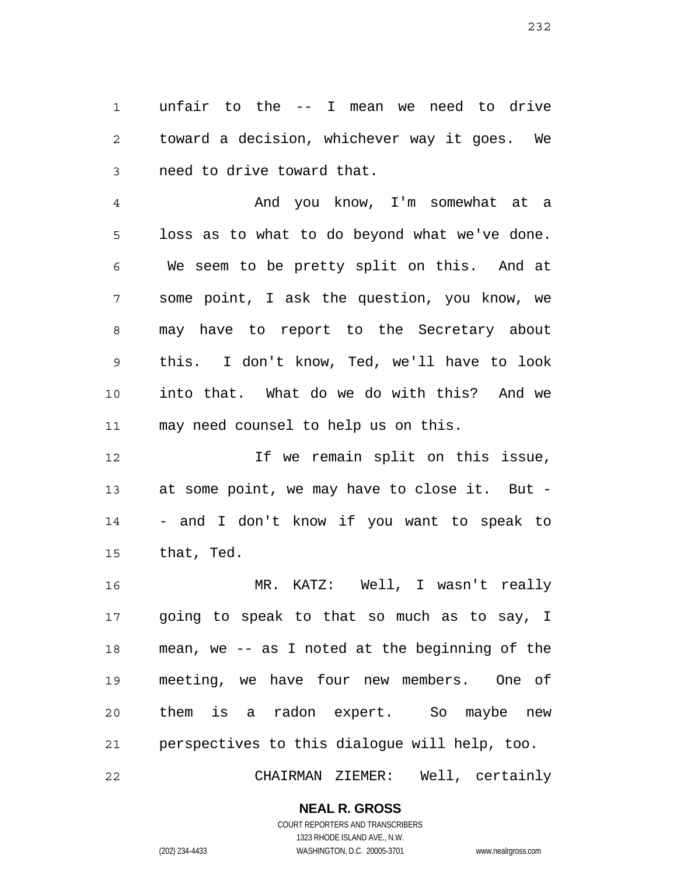1 2 3 unfair to the -- I mean we need to drive toward a decision, whichever way it goes. We need to drive toward that.

4 5 6 7 8 9 10 11 And you know, I'm somewhat at a loss as to what to do beyond what we've done. We seem to be pretty split on this. And at some point, I ask the question, you know, we may have to report to the Secretary about this. I don't know, Ted, we'll have to look into that. What do we do with this? And we may need counsel to help us on this.

12 13 14 15 If we remain split on this issue, at some point, we may have to close it. But - - and I don't know if you want to speak to that, Ted.

16 17 18 19 20 21 MR. KATZ: Well, I wasn't really going to speak to that so much as to say, I mean, we -- as I noted at the beginning of the meeting, we have four new members. One of them is a radon expert. So maybe new perspectives to this dialogue will help, too.

22 CHAIRMAN ZIEMER: Well, certainly

**NEAL R. GROSS**

COURT REPORTERS AND TRANSCRIBERS 1323 RHODE ISLAND AVE., N.W. (202) 234-4433 WASHINGTON, D.C. 20005-3701 www.nealrgross.com

232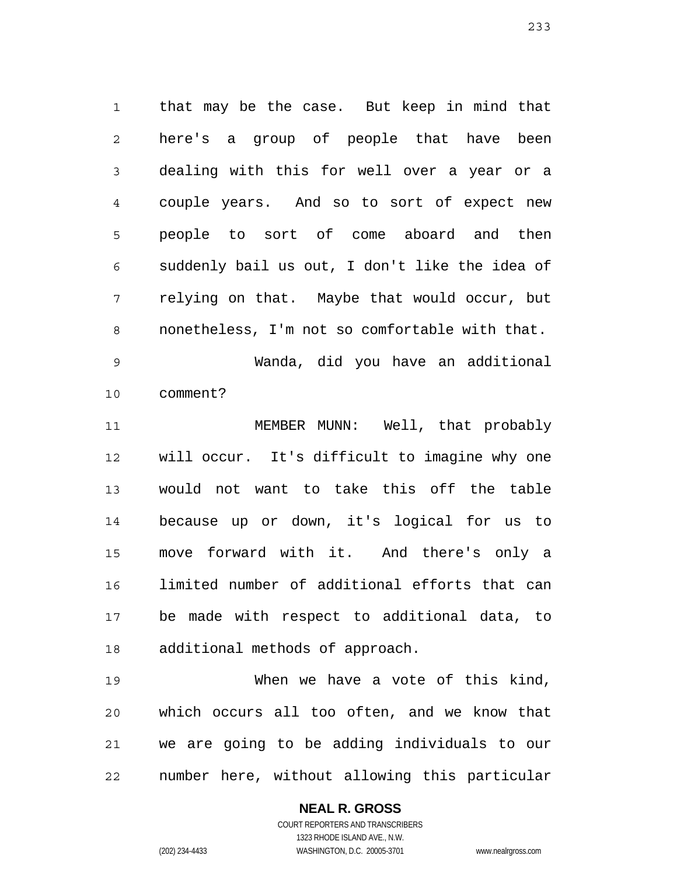1 2 3 4 5 6 7 8 that may be the case. But keep in mind that here's a group of people that have been dealing with this for well over a year or a couple years. And so to sort of expect new people to sort of come aboard and then suddenly bail us out, I don't like the idea of relying on that. Maybe that would occur, but nonetheless, I'm not so comfortable with that.

9 10 Wanda, did you have an additional comment?

11 12 13 14 15 16 17 18 MEMBER MUNN: Well, that probably will occur. It's difficult to imagine why one would not want to take this off the table because up or down, it's logical for us to move forward with it. And there's only a limited number of additional efforts that can be made with respect to additional data, to additional methods of approach.

19 20 21 22 When we have a vote of this kind, which occurs all too often, and we know that we are going to be adding individuals to our number here, without allowing this particular

## **NEAL R. GROSS**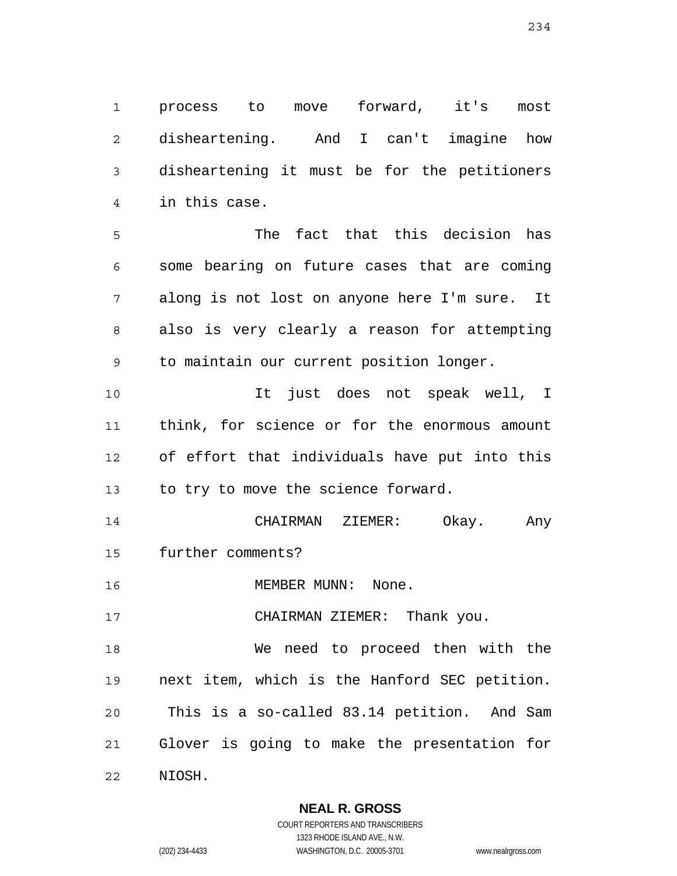1 2 3 4 process to move forward, it's most disheartening. And I can't imagine how disheartening it must be for the petitioners in this case.

5 6 7 8 9 The fact that this decision has some bearing on future cases that are coming along is not lost on anyone here I'm sure. It also is very clearly a reason for attempting to maintain our current position longer.

10 11 12 13 It just does not speak well, I think, for science or for the enormous amount of effort that individuals have put into this to try to move the science forward.

14 15 CHAIRMAN ZIEMER: Okay. Any further comments?

16 MEMBER MUNN: None.

17 CHAIRMAN ZIEMER: Thank you.

18 19 20 21 22 We need to proceed then with the next item, which is the Hanford SEC petition. This is a so-called 83.14 petition. And Sam Glover is going to make the presentation for NIOSH.

**NEAL R. GROSS**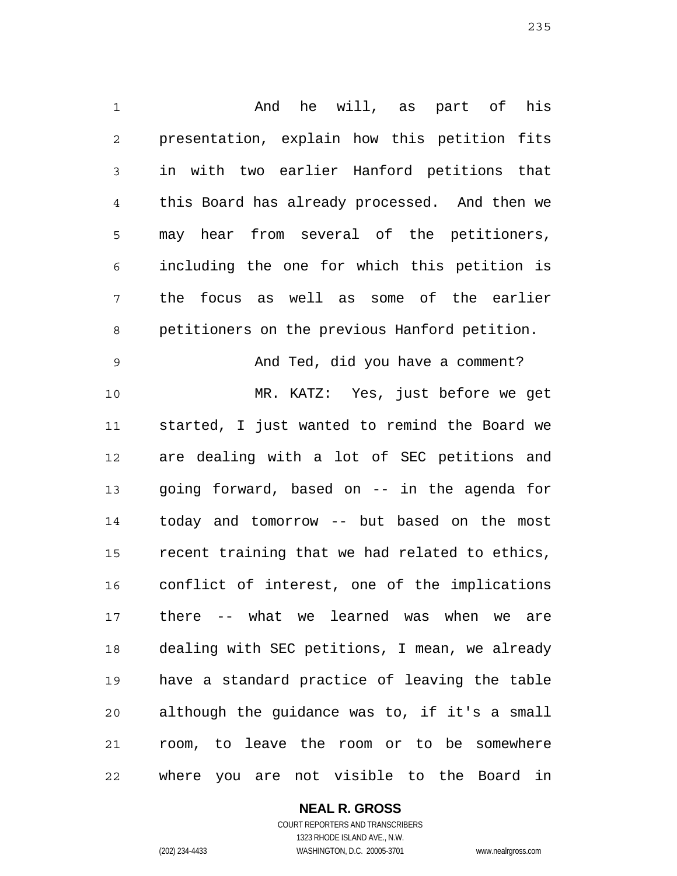1 2 3 4 5 6 7 8 9 10 11 12 13 14 15 16 17 18 19 20 21 22 And he will, as part of his presentation, explain how this petition fits in with two earlier Hanford petitions that this Board has already processed. And then we may hear from several of the petitioners, including the one for which this petition is the focus as well as some of the earlier petitioners on the previous Hanford petition. And Ted, did you have a comment? MR. KATZ: Yes, just before we get started, I just wanted to remind the Board we are dealing with a lot of SEC petitions and going forward, based on -- in the agenda for today and tomorrow -- but based on the most recent training that we had related to ethics, conflict of interest, one of the implications there -- what we learned was when we are dealing with SEC petitions, I mean, we already have a standard practice of leaving the table although the guidance was to, if it's a small room, to leave the room or to be somewhere where you are not visible to the Board in

## **NEAL R. GROSS**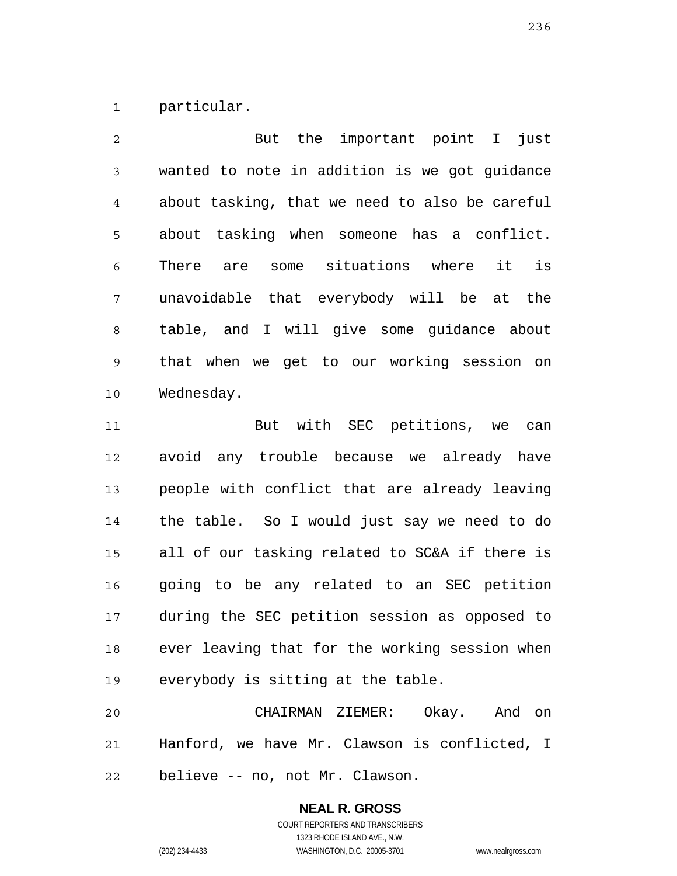1 particular.

2 3 4 5 6 7 8 9 10 But the important point I just wanted to note in addition is we got guidance about tasking, that we need to also be careful about tasking when someone has a conflict. There are some situations where it is unavoidable that everybody will be at the table, and I will give some guidance about that when we get to our working session on Wednesday.

11 12 13 14 15 16 17 18 19 But with SEC petitions, we can avoid any trouble because we already have people with conflict that are already leaving the table. So I would just say we need to do all of our tasking related to SC&A if there is going to be any related to an SEC petition during the SEC petition session as opposed to ever leaving that for the working session when everybody is sitting at the table.

20 21 22 CHAIRMAN ZIEMER: Okay. And on Hanford, we have Mr. Clawson is conflicted, I believe -- no, not Mr. Clawson.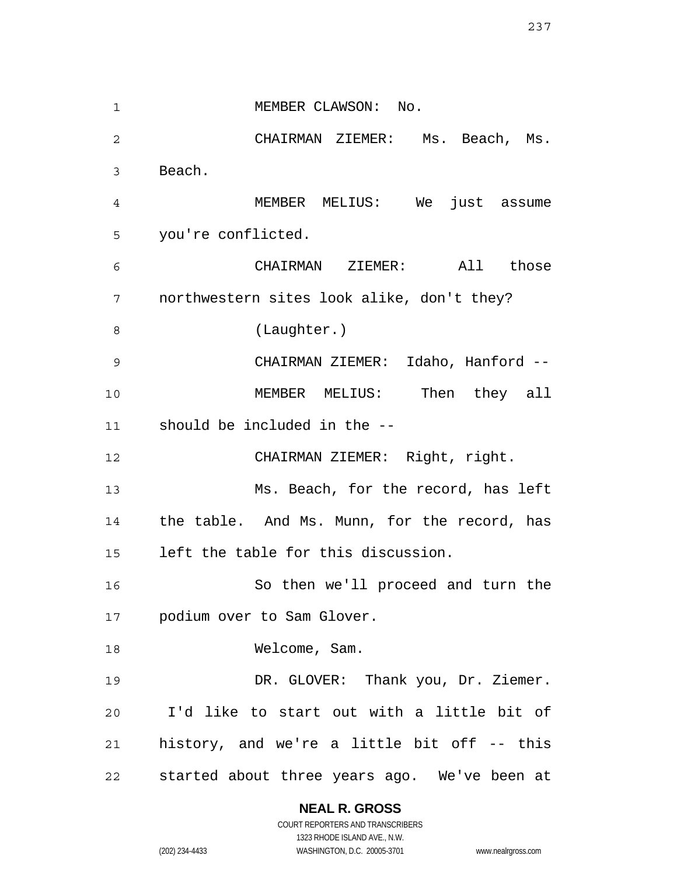1 2 3 4 5 6 7 8 9 10 11 12 13 14 15 16 17 18 19 20 21 22 MEMBER CLAWSON: No. CHAIRMAN ZIEMER: Ms. Beach, Ms. Beach. MEMBER MELIUS: We just assume you're conflicted. CHAIRMAN ZIEMER: All those northwestern sites look alike, don't they? (Laughter.) CHAIRMAN ZIEMER: Idaho, Hanford -- MEMBER MELIUS: Then they all should be included in the -- CHAIRMAN ZIEMER: Right, right. Ms. Beach, for the record, has left the table. And Ms. Munn, for the record, has left the table for this discussion. So then we'll proceed and turn the podium over to Sam Glover. Welcome, Sam. DR. GLOVER: Thank you, Dr. Ziemer. I'd like to start out with a little bit of history, and we're a little bit off -- this started about three years ago. We've been at

**NEAL R. GROSS**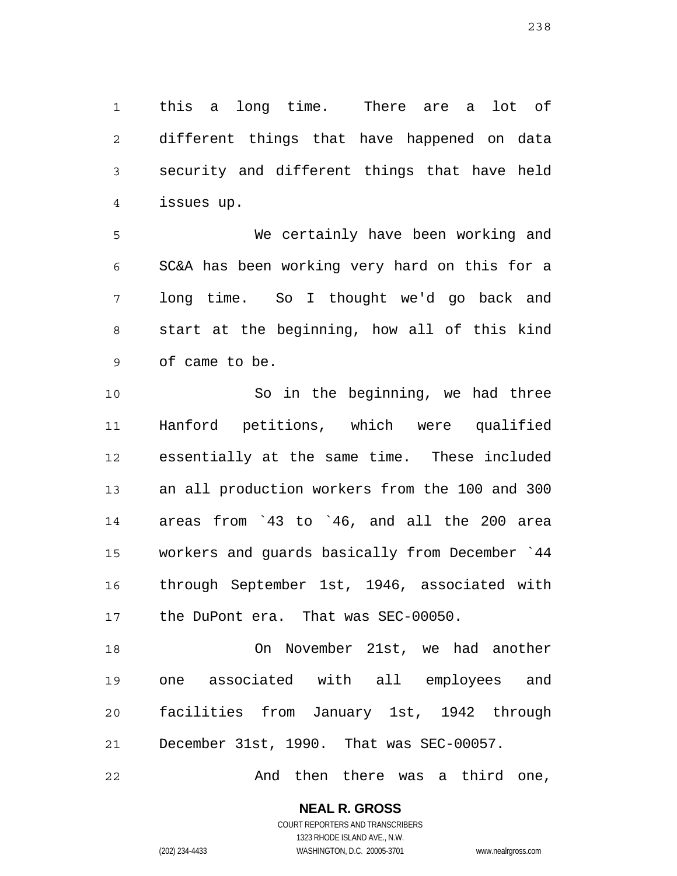1 2 3 4 this a long time. There are a lot of different things that have happened on data security and different things that have held issues up.

5 6 7 8 9 We certainly have been working and SC&A has been working very hard on this for a long time. So I thought we'd go back and start at the beginning, how all of this kind of came to be.

10 11 12 13 14 15 16 17 So in the beginning, we had three Hanford petitions, which were qualified essentially at the same time. These included an all production workers from the 100 and 300 areas from `43 to `46, and all the 200 area workers and guards basically from December `44 through September 1st, 1946, associated with the DuPont era. That was SEC-00050.

18 19 20 21 On November 21st, we had another one associated with all employees and facilities from January 1st, 1942 through December 31st, 1990. That was SEC-00057.

22 And then there was a third one,

> **NEAL R. GROSS** COURT REPORTERS AND TRANSCRIBERS

> > 1323 RHODE ISLAND AVE., N.W.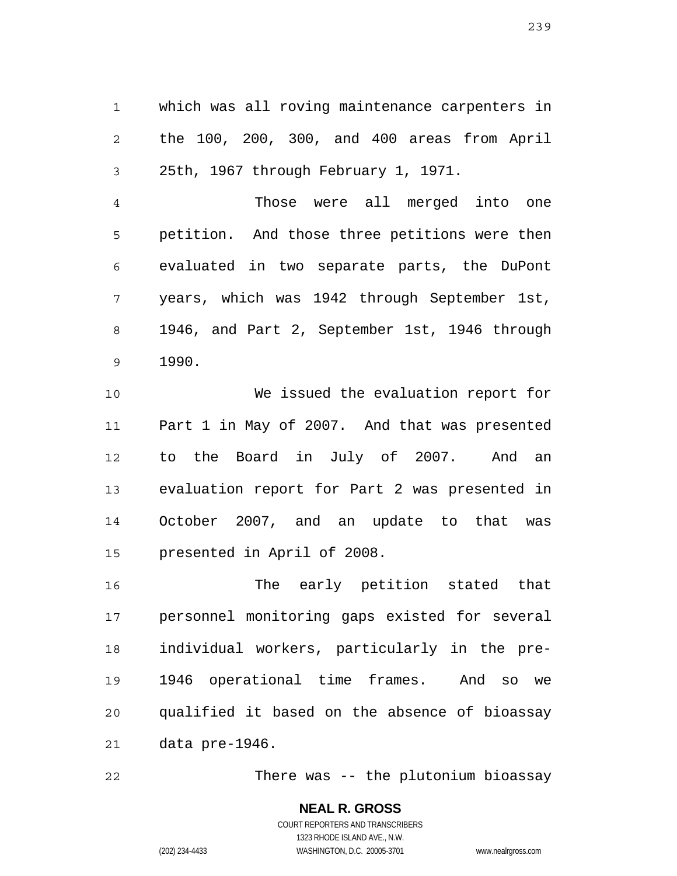1 2 3 which was all roving maintenance carpenters in the 100, 200, 300, and 400 areas from April 25th, 1967 through February 1, 1971.

4 5 6 7 8 9 Those were all merged into one petition. And those three petitions were then evaluated in two separate parts, the DuPont years, which was 1942 through September 1st, 1946, and Part 2, September 1st, 1946 through 1990.

10 11 12 13 14 15 We issued the evaluation report for Part 1 in May of 2007. And that was presented to the Board in July of 2007. And an evaluation report for Part 2 was presented in October 2007, and an update to that was presented in April of 2008.

16 17 18 19 20 21 The early petition stated that personnel monitoring gaps existed for several individual workers, particularly in the pre-1946 operational time frames. And so we qualified it based on the absence of bioassay data pre-1946.

22 There was -- the plutonium bioassay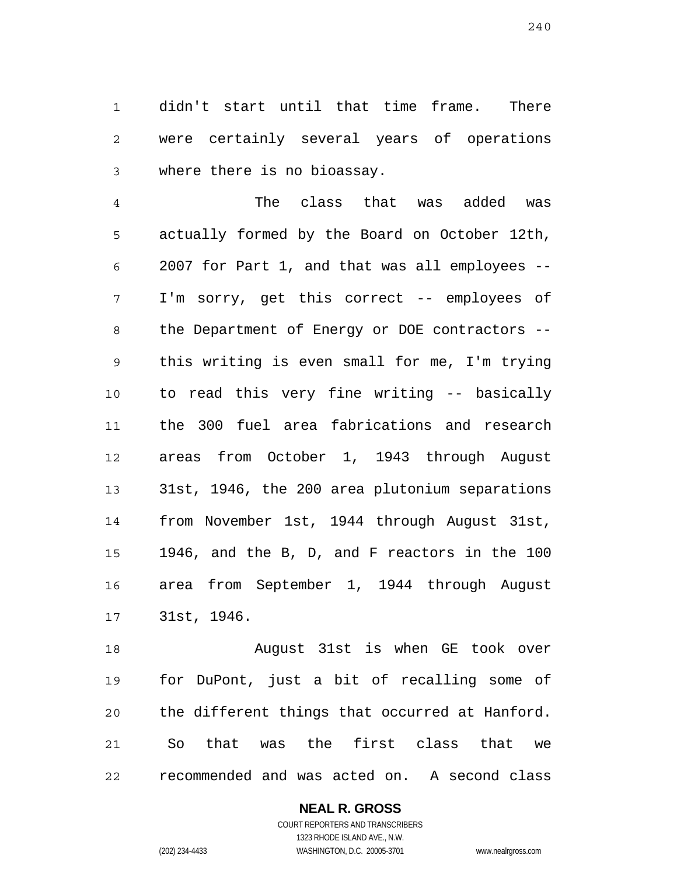1 2 3 didn't start until that time frame. There were certainly several years of operations where there is no bioassay.

4 5 6 7 8 9 10 11 12 13 14 15 16 17 The class that was added was actually formed by the Board on October 12th, 2007 for Part 1, and that was all employees -- I'm sorry, get this correct -- employees of the Department of Energy or DOE contractors - this writing is even small for me, I'm trying to read this very fine writing -- basically the 300 fuel area fabrications and research areas from October 1, 1943 through August 31st, 1946, the 200 area plutonium separations from November 1st, 1944 through August 31st, 1946, and the B, D, and F reactors in the 100 area from September 1, 1944 through August 31st, 1946.

18 19 20 21 22 August 31st is when GE took over for DuPont, just a bit of recalling some of the different things that occurred at Hanford. So that was the first class that we recommended and was acted on. A second class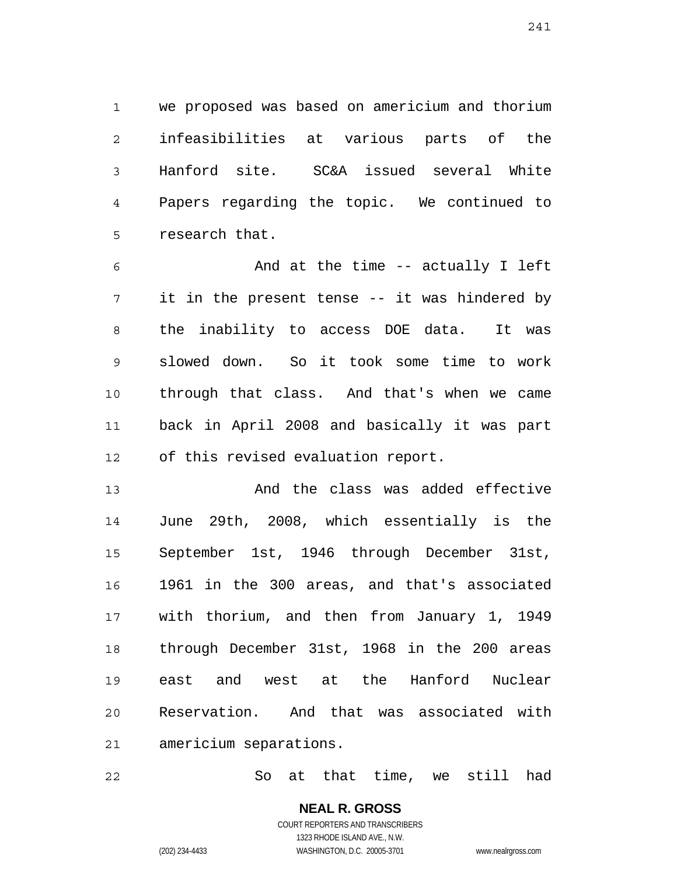1 2 3 4 5 we proposed was based on americium and thorium infeasibilities at various parts of the Hanford site. SC&A issued several White Papers regarding the topic. We continued to research that.

6 7 8 9 10 11 12 And at the time -- actually I left it in the present tense -- it was hindered by the inability to access DOE data. It was slowed down. So it took some time to work through that class. And that's when we came back in April 2008 and basically it was part of this revised evaluation report.

13 14 15 16 17 18 19 20 21 And the class was added effective June 29th, 2008, which essentially is the September 1st, 1946 through December 31st, 1961 in the 300 areas, and that's associated with thorium, and then from January 1, 1949 through December 31st, 1968 in the 200 areas east and west at the Hanford Nuclear Reservation. And that was associated with americium separations.

22 So at that time, we still had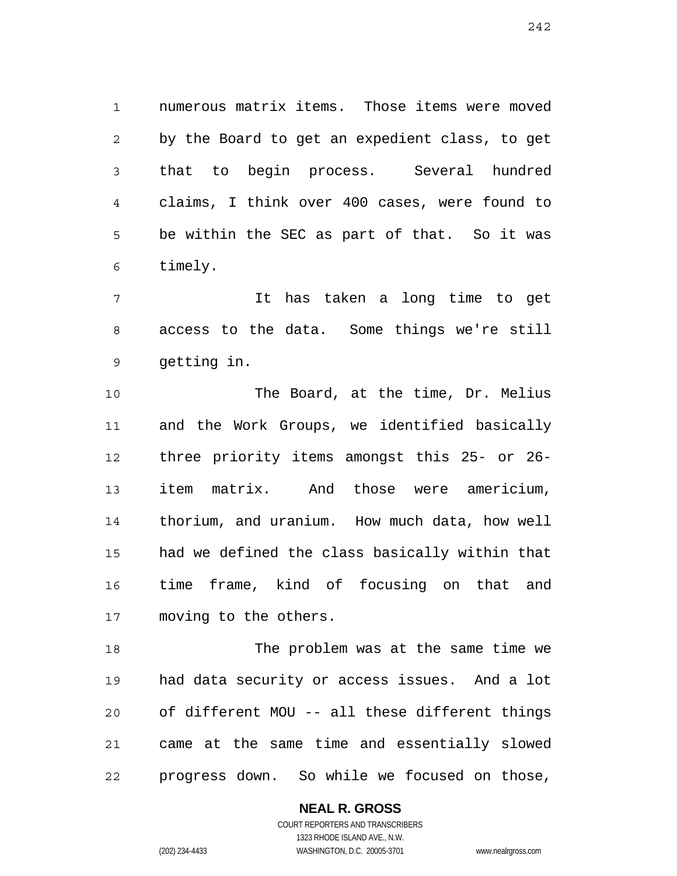1 2 3 4 5 6 numerous matrix items. Those items were moved by the Board to get an expedient class, to get that to begin process. Several hundred claims, I think over 400 cases, were found to be within the SEC as part of that. So it was timely.

7 8 9 It has taken a long time to get access to the data. Some things we're still getting in.

10 11 12 13 14 15 16 17 The Board, at the time, Dr. Melius and the Work Groups, we identified basically three priority items amongst this 25- or 26 item matrix. And those were americium, thorium, and uranium. How much data, how well had we defined the class basically within that time frame, kind of focusing on that and moving to the others.

18 19 20 21 22 The problem was at the same time we had data security or access issues. And a lot of different MOU -- all these different things came at the same time and essentially slowed progress down. So while we focused on those,

> **NEAL R. GROSS** COURT REPORTERS AND TRANSCRIBERS

> > 1323 RHODE ISLAND AVE., N.W.

(202) 234-4433 WASHINGTON, D.C. 20005-3701 www.nealrgross.com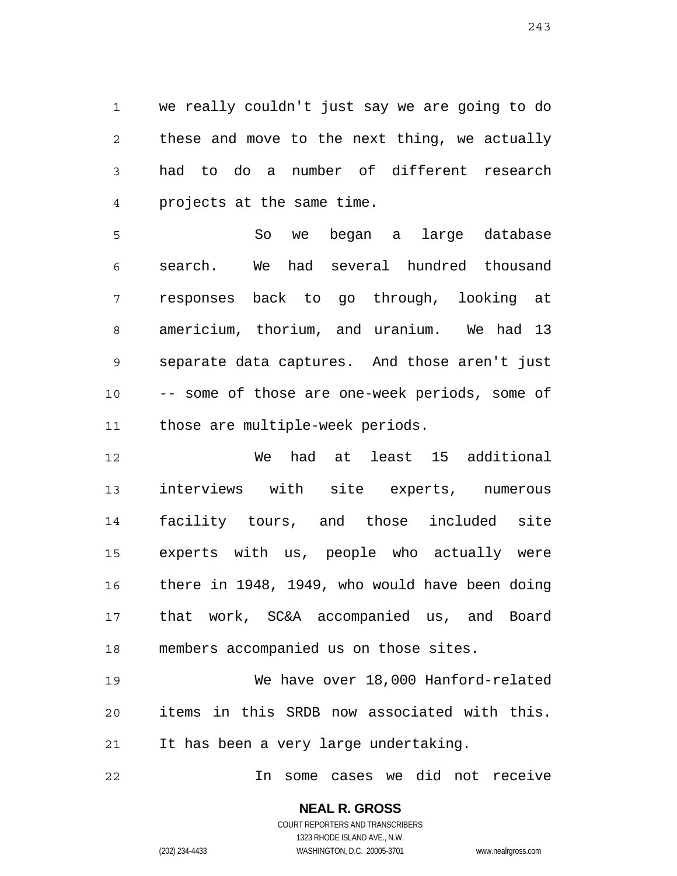1 2 3 4 we really couldn't just say we are going to do these and move to the next thing, we actually had to do a number of different research projects at the same time.

5 6 7 8 9 10 11 So we began a large database search. We had several hundred thousand responses back to go through, looking at americium, thorium, and uranium. We had 13 separate data captures. And those aren't just -- some of those are one-week periods, some of those are multiple-week periods.

12 13 14 15 16 17 18 We had at least 15 additional interviews with site experts, numerous facility tours, and those included site experts with us, people who actually were there in 1948, 1949, who would have been doing that work, SC&A accompanied us, and Board members accompanied us on those sites.

19 20 21 We have over 18,000 Hanford-related items in this SRDB now associated with this. It has been a very large undertaking.

22 In some cases we did not receive

> **NEAL R. GROSS** COURT REPORTERS AND TRANSCRIBERS

> > 1323 RHODE ISLAND AVE., N.W.

(202) 234-4433 WASHINGTON, D.C. 20005-3701 www.nealrgross.com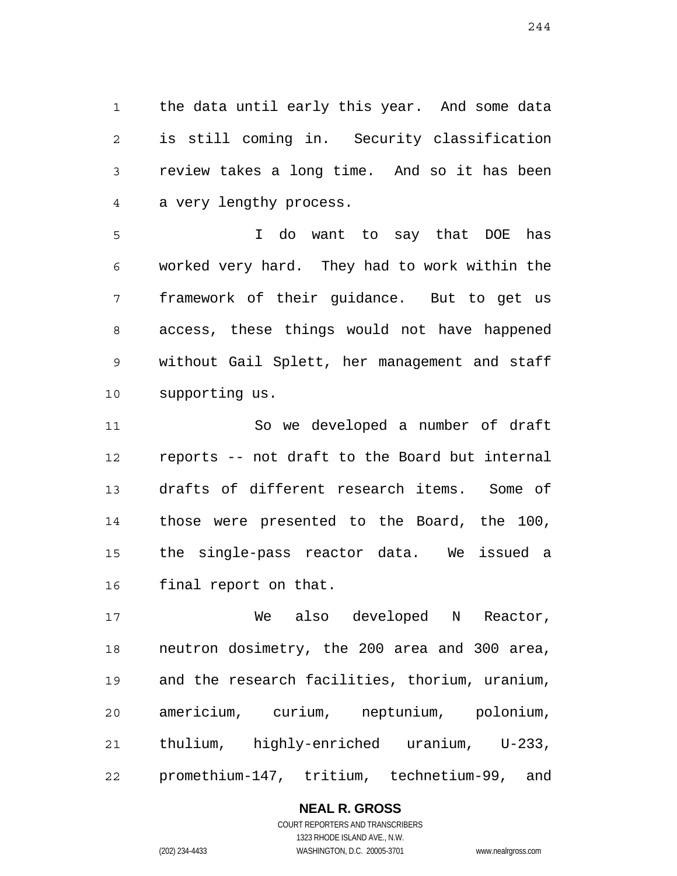1 2 3 4 the data until early this year. And some data is still coming in. Security classification review takes a long time. And so it has been a very lengthy process.

5 6 7 8 9 10 I do want to say that DOE has worked very hard. They had to work within the framework of their guidance. But to get us access, these things would not have happened without Gail Splett, her management and staff supporting us.

11 12 13 14 15 16 So we developed a number of draft reports -- not draft to the Board but internal drafts of different research items. Some of those were presented to the Board, the 100, the single-pass reactor data. We issued a final report on that.

17 18 19 20 21 22 We also developed N Reactor, neutron dosimetry, the 200 area and 300 area, and the research facilities, thorium, uranium, americium, curium, neptunium, polonium, thulium, highly-enriched uranium, U-233, promethium-147, tritium, technetium-99, and

# **NEAL R. GROSS**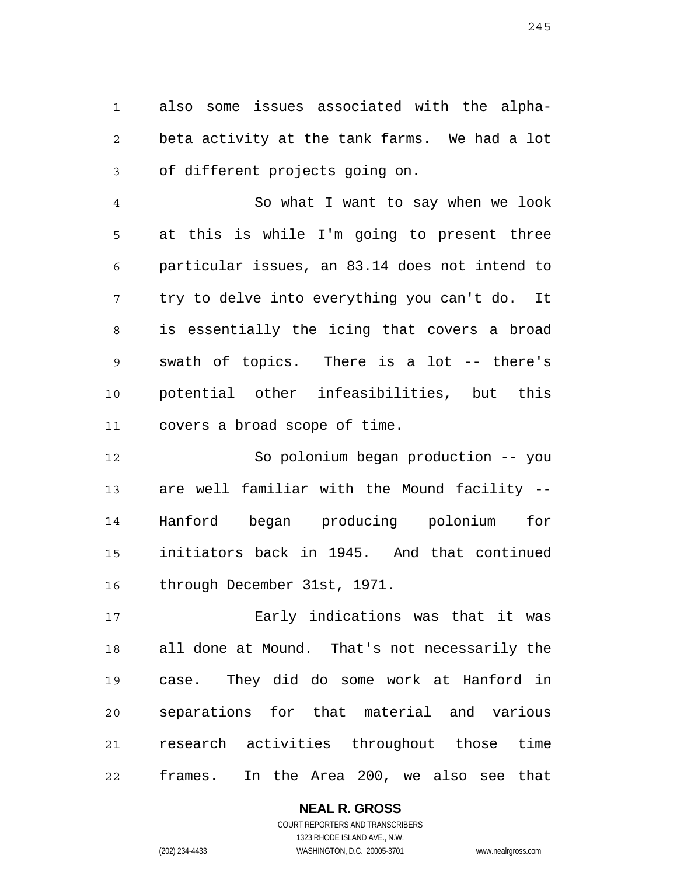1 2 3 also some issues associated with the alphabeta activity at the tank farms. We had a lot of different projects going on.

4 5 6 7 8 9 10 11 So what I want to say when we look at this is while I'm going to present three particular issues, an 83.14 does not intend to try to delve into everything you can't do. It is essentially the icing that covers a broad swath of topics. There is a lot -- there's potential other infeasibilities, but this covers a broad scope of time.

12 13 14 15 16 So polonium began production -- you are well familiar with the Mound facility -- Hanford began producing polonium for initiators back in 1945. And that continued through December 31st, 1971.

17 18 19 20 21 22 Early indications was that it was all done at Mound. That's not necessarily the case. They did do some work at Hanford in separations for that material and various research activities throughout those time frames. In the Area 200, we also see that

**NEAL R. GROSS**

COURT REPORTERS AND TRANSCRIBERS 1323 RHODE ISLAND AVE., N.W. (202) 234-4433 WASHINGTON, D.C. 20005-3701 www.nealrgross.com

245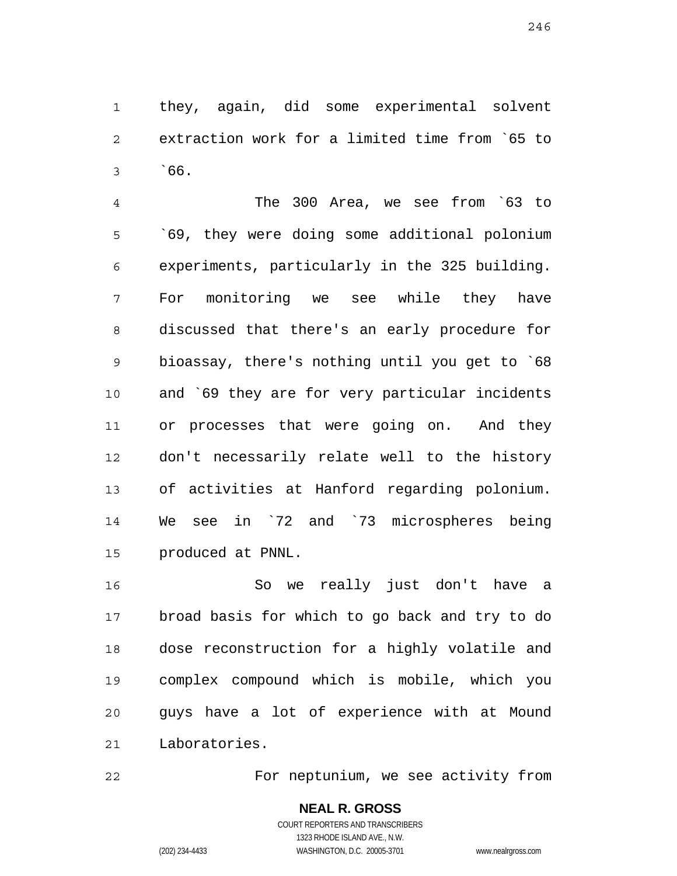1 2 3 they, again, did some experimental solvent extraction work for a limited time from `65 to `66.

4 5 6 7 8 9 10 11 12 13 14 15 The 300 Area, we see from `63 to `69, they were doing some additional polonium experiments, particularly in the 325 building. For monitoring we see while they have discussed that there's an early procedure for bioassay, there's nothing until you get to `68 and `69 they are for very particular incidents or processes that were going on. And they don't necessarily relate well to the history of activities at Hanford regarding polonium. We see in `72 and `73 microspheres being produced at PNNL.

16 17 18 19 20 21 So we really just don't have a broad basis for which to go back and try to do dose reconstruction for a highly volatile and complex compound which is mobile, which you guys have a lot of experience with at Mound Laboratories.

22 For neptunium, we see activity from

246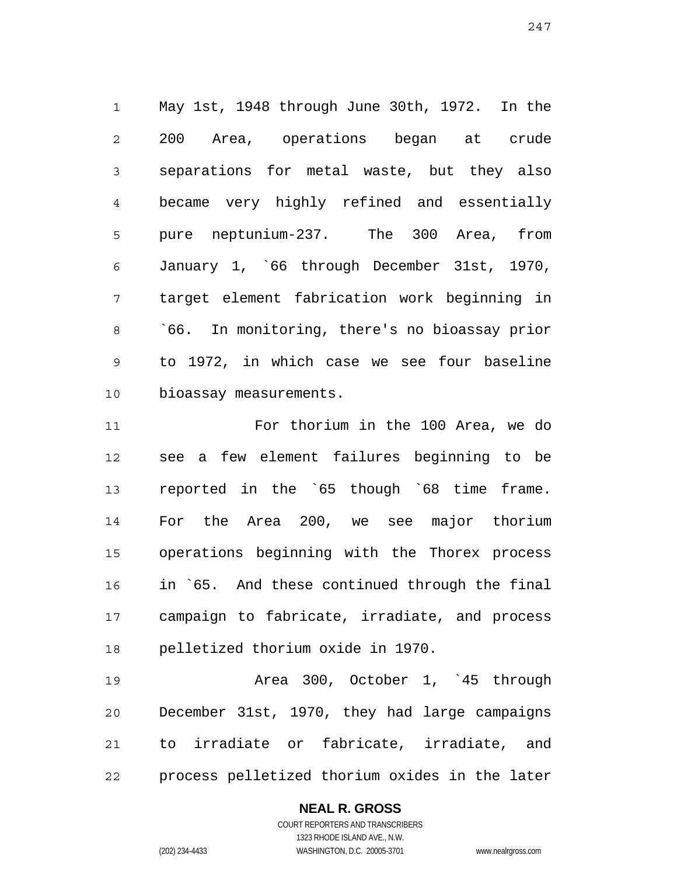1 2 3 4 5 6 7 8 9 10 May 1st, 1948 through June 30th, 1972. In the 200 Area, operations began at crude separations for metal waste, but they also became very highly refined and essentially pure neptunium-237. The 300 Area, from January 1, `66 through December 31st, 1970, target element fabrication work beginning in `66. In monitoring, there's no bioassay prior to 1972, in which case we see four baseline bioassay measurements.

11 12 13 14 15 16 17 18 For thorium in the 100 Area, we do see a few element failures beginning to be reported in the `65 though `68 time frame. For the Area 200, we see major thorium operations beginning with the Thorex process in `65. And these continued through the final campaign to fabricate, irradiate, and process pelletized thorium oxide in 1970.

19 20 21 22 Area 300, October 1, `45 through December 31st, 1970, they had large campaigns to irradiate or fabricate, irradiate, and process pelletized thorium oxides in the later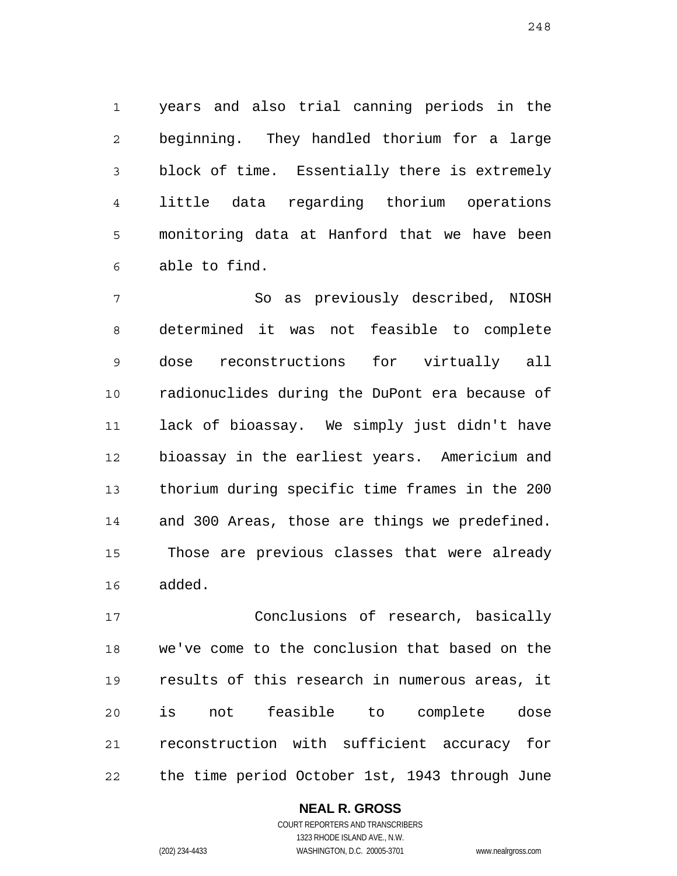1 2 3 4 5 6 years and also trial canning periods in the beginning. They handled thorium for a large block of time. Essentially there is extremely little data regarding thorium operations monitoring data at Hanford that we have been able to find.

7 8 9 10 11 12 13 14 15 16 So as previously described, NIOSH determined it was not feasible to complete dose reconstructions for virtually all radionuclides during the DuPont era because of lack of bioassay. We simply just didn't have bioassay in the earliest years. Americium and thorium during specific time frames in the 200 and 300 Areas, those are things we predefined. Those are previous classes that were already added.

17 18 19 20 21 22 Conclusions of research, basically we've come to the conclusion that based on the results of this research in numerous areas, it is not feasible to complete dose reconstruction with sufficient accuracy for the time period October 1st, 1943 through June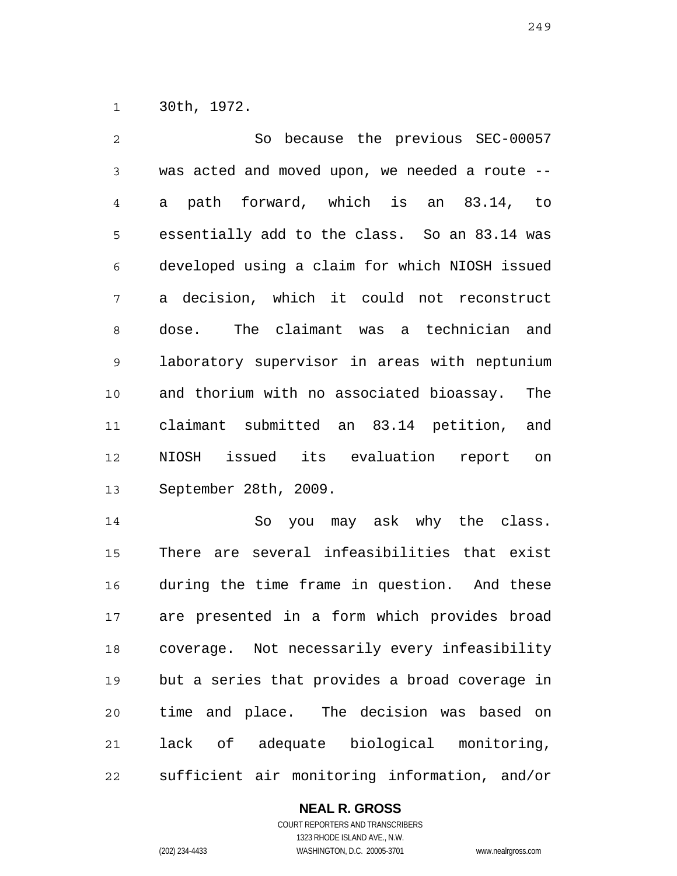1 30th, 1972.

2 3 4 5 6 7 8 9 10 11 12 13 So because the previous SEC-00057 was acted and moved upon, we needed a route - a path forward, which is an 83.14, to essentially add to the class. So an 83.14 was developed using a claim for which NIOSH issued a decision, which it could not reconstruct dose. The claimant was a technician and laboratory supervisor in areas with neptunium and thorium with no associated bioassay. The claimant submitted an 83.14 petition, and NIOSH issued its evaluation report on September 28th, 2009.

14 15 16 17 18 19 20 21 22 So you may ask why the class. There are several infeasibilities that exist during the time frame in question. And these are presented in a form which provides broad coverage. Not necessarily every infeasibility but a series that provides a broad coverage in time and place. The decision was based on lack of adequate biological monitoring, sufficient air monitoring information, and/or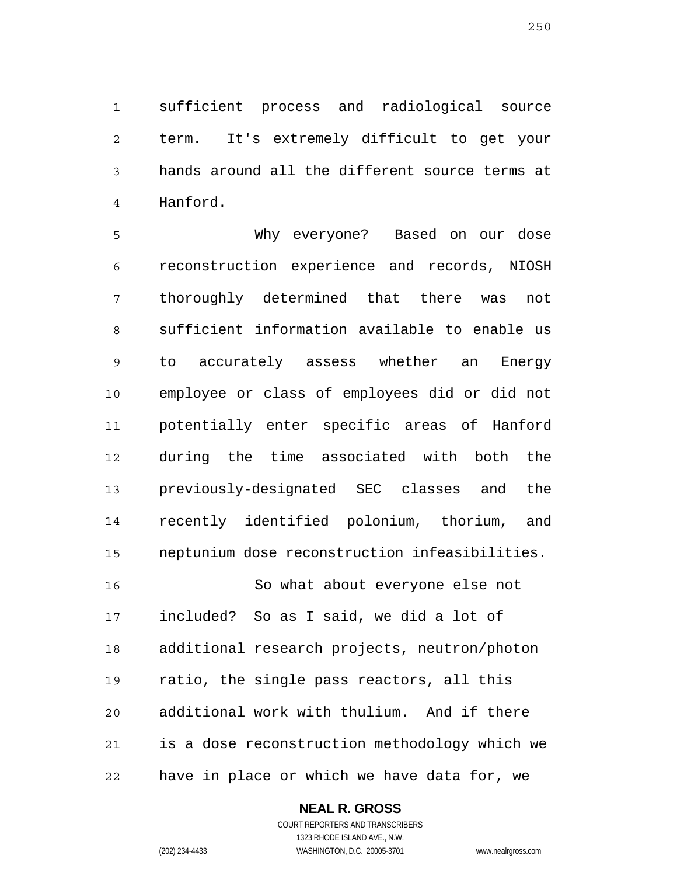1 2 3 4 sufficient process and radiological source term. It's extremely difficult to get your hands around all the different source terms at Hanford.

5 6 7 8 9 10 11 12 13 14 15 Why everyone? Based on our dose reconstruction experience and records, NIOSH thoroughly determined that there was not sufficient information available to enable us to accurately assess whether an Energy employee or class of employees did or did not potentially enter specific areas of Hanford during the time associated with both the previously-designated SEC classes and the recently identified polonium, thorium, and neptunium dose reconstruction infeasibilities.

16 17 18 19 20 21 22 So what about everyone else not included? So as I said, we did a lot of additional research projects, neutron/photon ratio, the single pass reactors, all this additional work with thulium. And if there is a dose reconstruction methodology which we have in place or which we have data for, we

## **NEAL R. GROSS**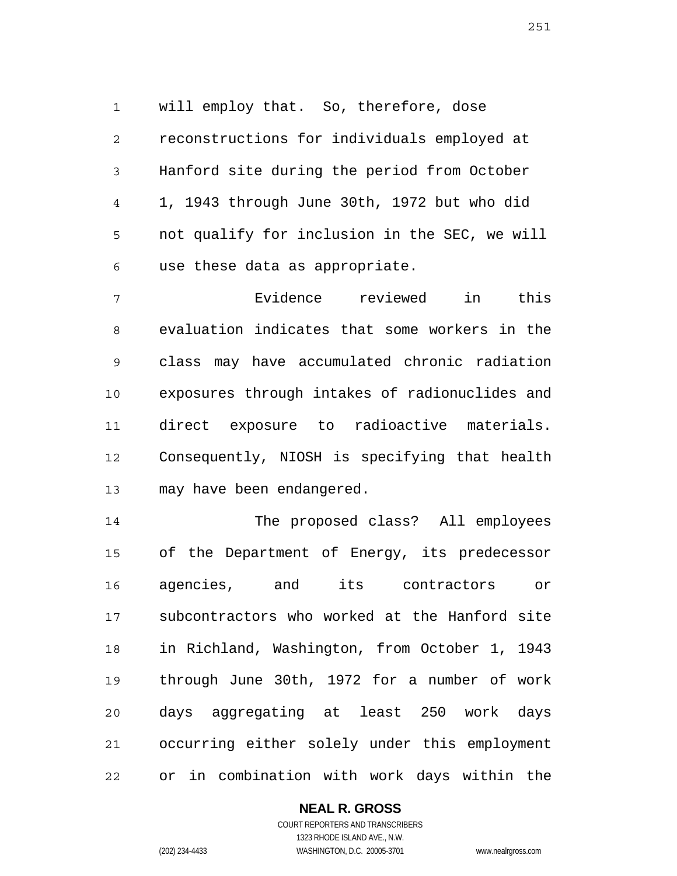1 2 3 4 5 6 will employ that. So, therefore, dose reconstructions for individuals employed at Hanford site during the period from October 1, 1943 through June 30th, 1972 but who did not qualify for inclusion in the SEC, we will use these data as appropriate.

7 8 9 10 11 12 13 Evidence reviewed in this evaluation indicates that some workers in the class may have accumulated chronic radiation exposures through intakes of radionuclides and direct exposure to radioactive materials. Consequently, NIOSH is specifying that health may have been endangered.

14 15 16 17 18 19 20 21 22 The proposed class? All employees of the Department of Energy, its predecessor agencies, and its contractors or subcontractors who worked at the Hanford site in Richland, Washington, from October 1, 1943 through June 30th, 1972 for a number of work days aggregating at least 250 work days occurring either solely under this employment or in combination with work days within the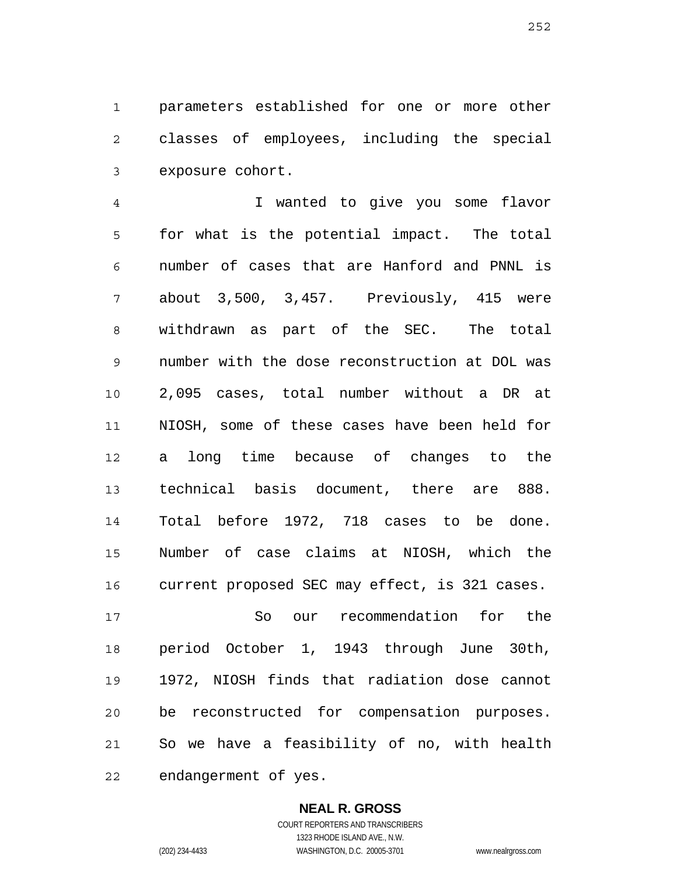1 2 3 parameters established for one or more other classes of employees, including the special exposure cohort.

4 5 6 7 8 9 10 11 12 13 14 15 16 I wanted to give you some flavor for what is the potential impact. The total number of cases that are Hanford and PNNL is about 3,500, 3,457. Previously, 415 were withdrawn as part of the SEC. The total number with the dose reconstruction at DOL was 2,095 cases, total number without a DR at NIOSH, some of these cases have been held for a long time because of changes to the technical basis document, there are 888. Total before 1972, 718 cases to be done. Number of case claims at NIOSH, which the current proposed SEC may effect, is 321 cases.

17 18 19 20 21 22 So our recommendation for the period October 1, 1943 through June 30th, 1972, NIOSH finds that radiation dose cannot be reconstructed for compensation purposes. So we have a feasibility of no, with health endangerment of yes.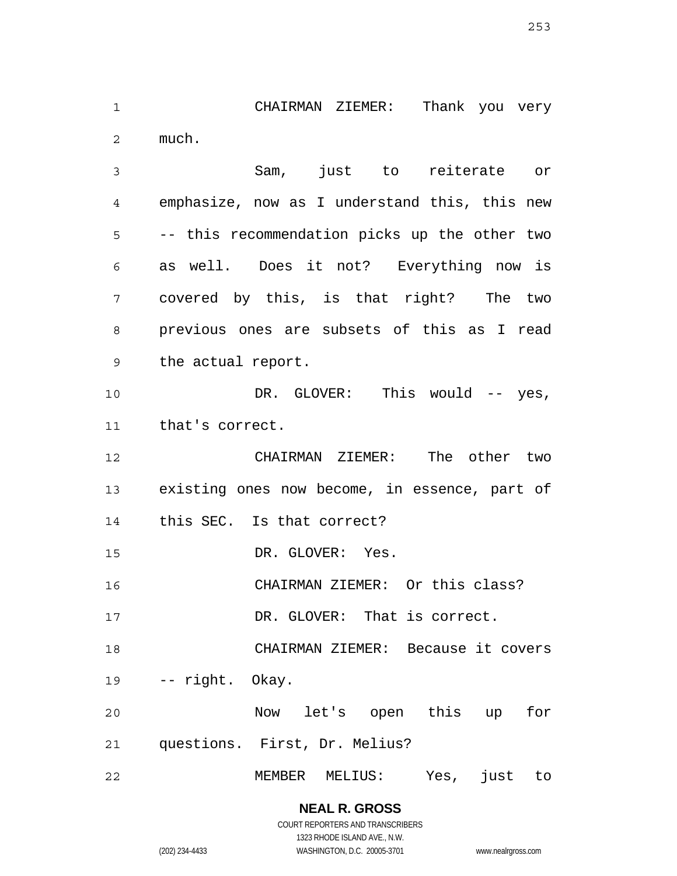1 2 CHAIRMAN ZIEMER: Thank you very much.

3 4 5 6 7 8 9 10 11 12 13 14 15 16 Sam, just to reiterate or emphasize, now as I understand this, this new -- this recommendation picks up the other two as well. Does it not? Everything now is covered by this, is that right? The two previous ones are subsets of this as I read the actual report. DR. GLOVER: This would -- yes, that's correct. CHAIRMAN ZIEMER: The other two existing ones now become, in essence, part of this SEC. Is that correct? DR. GLOVER: Yes. CHAIRMAN ZIEMER: Or this class?

17 DR. GLOVER: That is correct.

18 CHAIRMAN ZIEMER: Because it covers

19 -- right. Okay.

20 21 Now let's open this up for questions. First, Dr. Melius?

#### 22 MEMBER MELIUS: Yes, just to

**NEAL R. GROSS** COURT REPORTERS AND TRANSCRIBERS

1323 RHODE ISLAND AVE., N.W. (202) 234-4433 WASHINGTON, D.C. 20005-3701 www.nealrgross.com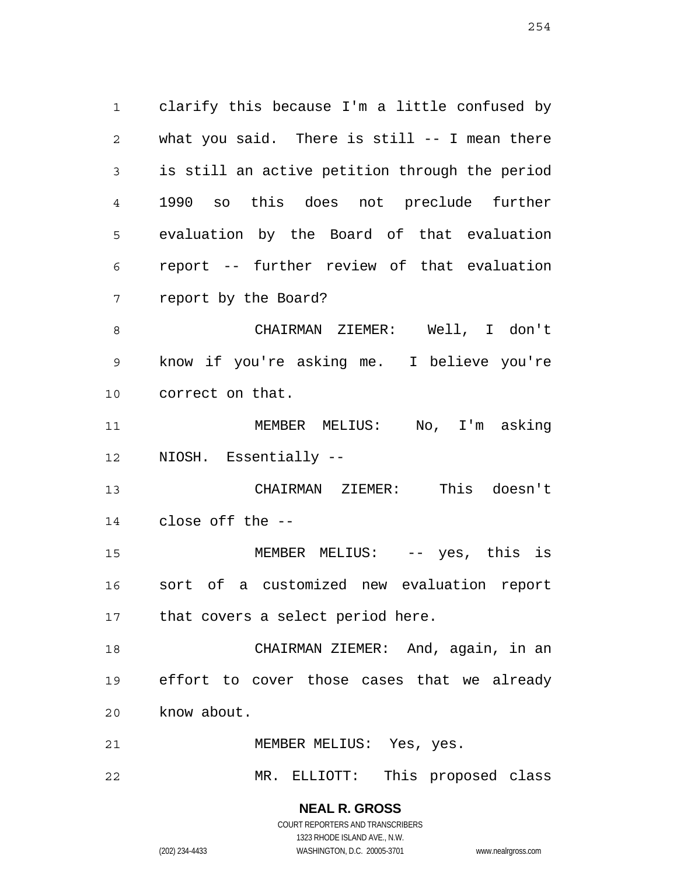1 2 3 4 5 6 7 8 9 10 11 12 13 14 15 16 clarify this because I'm a little confused by what you said. There is still -- I mean there is still an active petition through the period 1990 so this does not preclude further evaluation by the Board of that evaluation report -- further review of that evaluation report by the Board? CHAIRMAN ZIEMER: Well, I don't know if you're asking me. I believe you're correct on that. MEMBER MELIUS: No, I'm asking NIOSH. Essentially -- CHAIRMAN ZIEMER: This doesn't close off the -- MEMBER MELIUS: -- yes, this is

17 sort of a customized new evaluation report that covers a select period here.

18 19 20 CHAIRMAN ZIEMER: And, again, in an effort to cover those cases that we already know about.

21 MEMBER MELIUS: Yes, yes.

22 MR. ELLIOTT: This proposed class

> **NEAL R. GROSS** COURT REPORTERS AND TRANSCRIBERS

> > 1323 RHODE ISLAND AVE., N.W.

(202) 234-4433 WASHINGTON, D.C. 20005-3701 www.nealrgross.com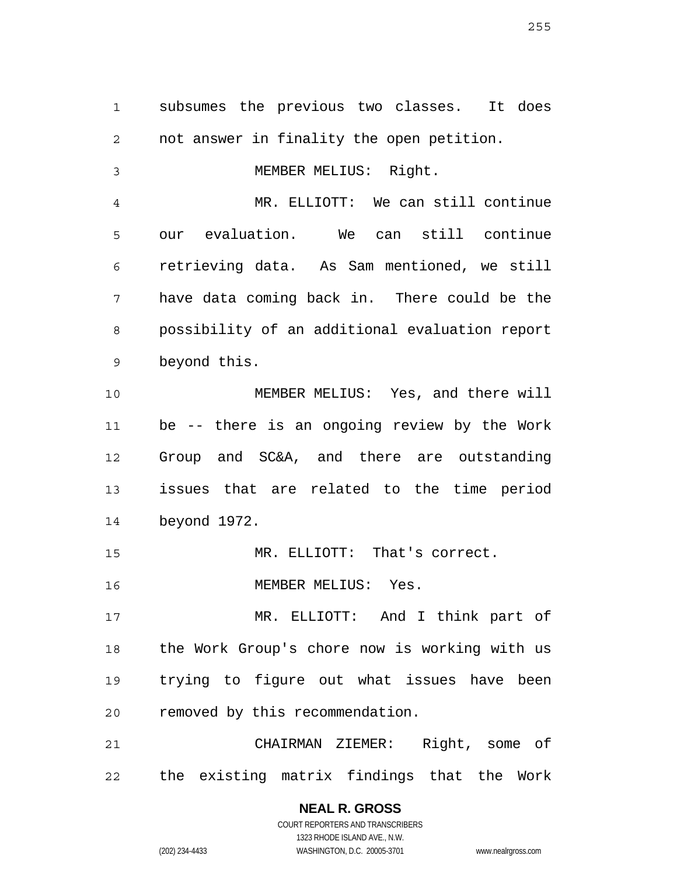1 2 3 4 5 6 7 8 9 10 11 12 13 14 15 16 17 18 19 20 21 22 subsumes the previous two classes. It does not answer in finality the open petition. MEMBER MELIUS: Right. MR. ELLIOTT: We can still continue our evaluation. We can still continue retrieving data. As Sam mentioned, we still have data coming back in. There could be the possibility of an additional evaluation report beyond this. MEMBER MELIUS: Yes, and there will be -- there is an ongoing review by the Work Group and SC&A, and there are outstanding issues that are related to the time period beyond 1972. MR. ELLIOTT: That's correct. MEMBER MELIUS: Yes. MR. ELLIOTT: And I think part of the Work Group's chore now is working with us trying to figure out what issues have been removed by this recommendation. CHAIRMAN ZIEMER: Right, some of the existing matrix findings that the Work

> **NEAL R. GROSS** COURT REPORTERS AND TRANSCRIBERS 1323 RHODE ISLAND AVE., N.W. (202) 234-4433 WASHINGTON, D.C. 20005-3701 www.nealrgross.com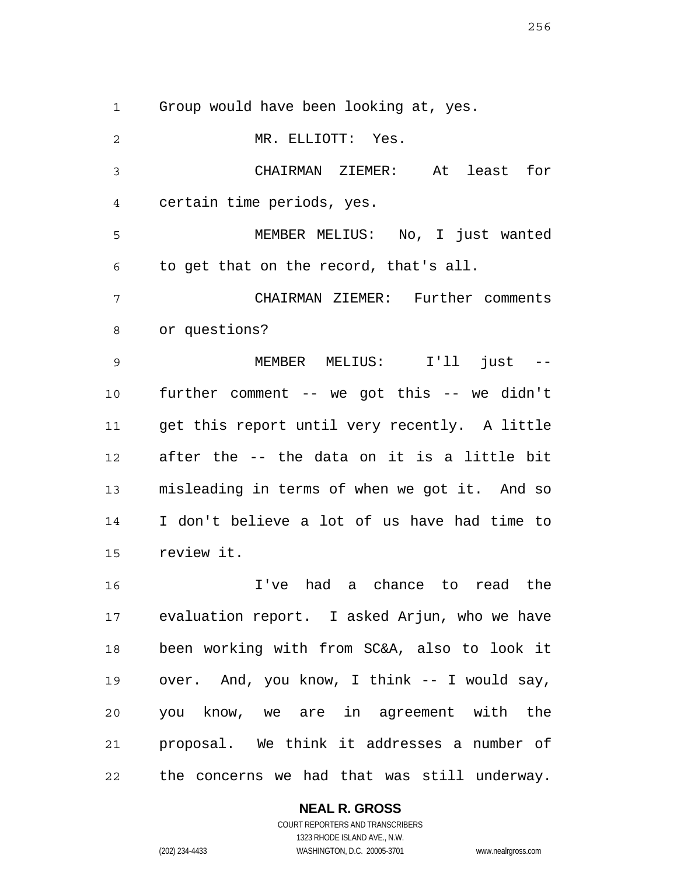1 Group would have been looking at, yes.

2 3 4 5 6 7 8 9 10 11 12 13 14 15 16 17 18 19 20 21 22 MR. ELLIOTT: Yes. CHAIRMAN ZIEMER: At least for certain time periods, yes. MEMBER MELIUS: No, I just wanted to get that on the record, that's all. CHAIRMAN ZIEMER: Further comments or questions? MEMBER MELIUS: I'll just - further comment -- we got this -- we didn't get this report until very recently. A little after the -- the data on it is a little bit misleading in terms of when we got it. And so I don't believe a lot of us have had time to review it. I've had a chance to read the evaluation report. I asked Arjun, who we have been working with from SC&A, also to look it over. And, you know, I think -- I would say, you know, we are in agreement with the proposal. We think it addresses a number of the concerns we had that was still underway.

# **NEAL R. GROSS**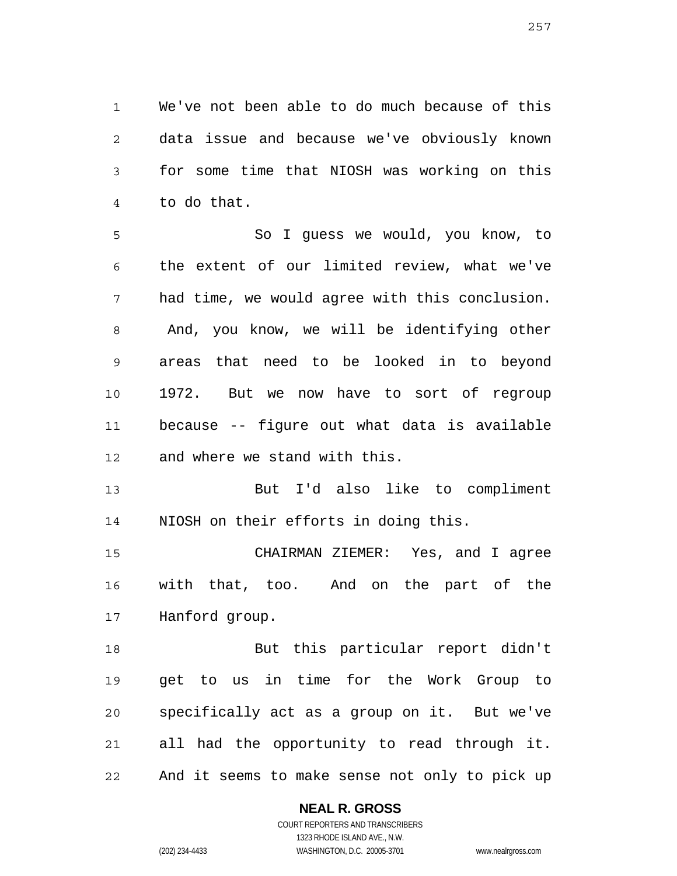1 2 3 4 We've not been able to do much because of this data issue and because we've obviously known for some time that NIOSH was working on this to do that.

5 6 7 8 9 10 11 12 So I guess we would, you know, to the extent of our limited review, what we've had time, we would agree with this conclusion. And, you know, we will be identifying other areas that need to be looked in to beyond 1972. But we now have to sort of regroup because -- figure out what data is available and where we stand with this.

13 14 But I'd also like to compliment NIOSH on their efforts in doing this.

15 16 17 CHAIRMAN ZIEMER: Yes, and I agree with that, too. And on the part of the Hanford group.

18 19 20 21 22 But this particular report didn't get to us in time for the Work Group to specifically act as a group on it. But we've all had the opportunity to read through it. And it seems to make sense not only to pick up

# **NEAL R. GROSS**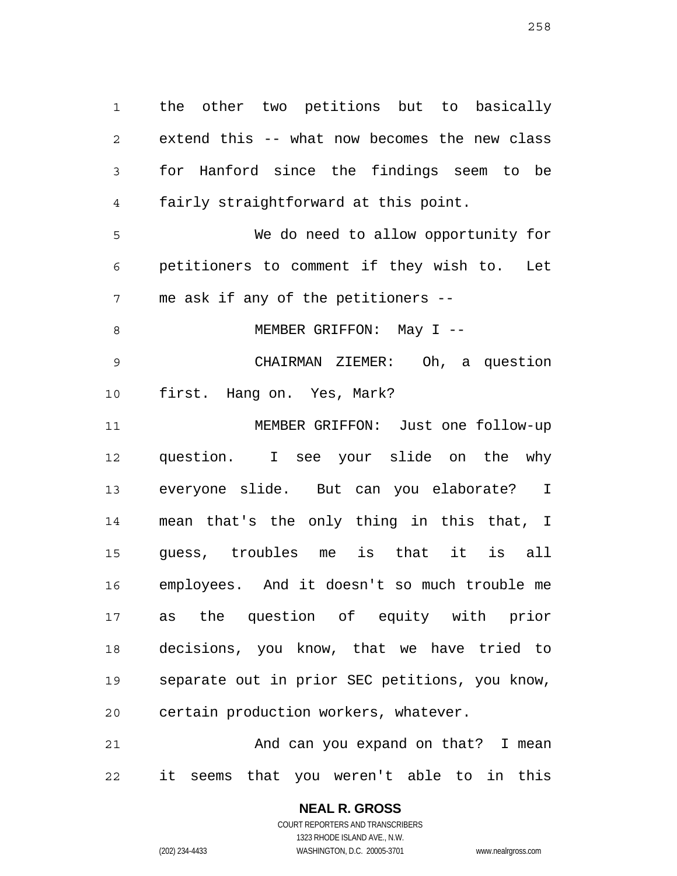1 2 3 4 5 6 7 8 9 10 11 12 13 14 15 16 17 18 19 20 the other two petitions but to basically extend this -- what now becomes the new class for Hanford since the findings seem to be fairly straightforward at this point. We do need to allow opportunity for petitioners to comment if they wish to. Let me ask if any of the petitioners -- MEMBER GRIFFON: May I -- CHAIRMAN ZIEMER: Oh, a question first. Hang on. Yes, Mark? MEMBER GRIFFON: Just one follow-up question. I see your slide on the why everyone slide. But can you elaborate? I mean that's the only thing in this that, I guess, troubles me is that it is all employees. And it doesn't so much trouble me as the question of equity with prior decisions, you know, that we have tried to separate out in prior SEC petitions, you know, certain production workers, whatever.

21 22 And can you expand on that? I mean it seems that you weren't able to in this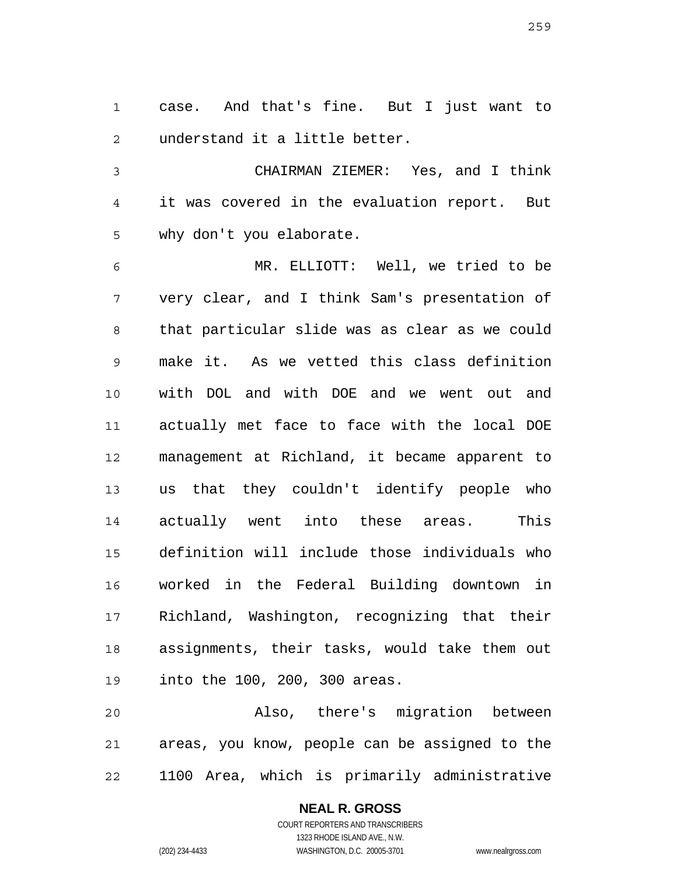1 2 case. And that's fine. But I just want to understand it a little better.

3 4 5 CHAIRMAN ZIEMER: Yes, and I think it was covered in the evaluation report. But why don't you elaborate.

6 7 8 9 10 11 12 13 14 15 16 17 18 19 MR. ELLIOTT: Well, we tried to be very clear, and I think Sam's presentation of that particular slide was as clear as we could make it. As we vetted this class definition with DOL and with DOE and we went out and actually met face to face with the local DOE management at Richland, it became apparent to us that they couldn't identify people who actually went into these areas. This definition will include those individuals who worked in the Federal Building downtown in Richland, Washington, recognizing that their assignments, their tasks, would take them out into the 100, 200, 300 areas.

20 21 22 Also, there's migration between areas, you know, people can be assigned to the 1100 Area, which is primarily administrative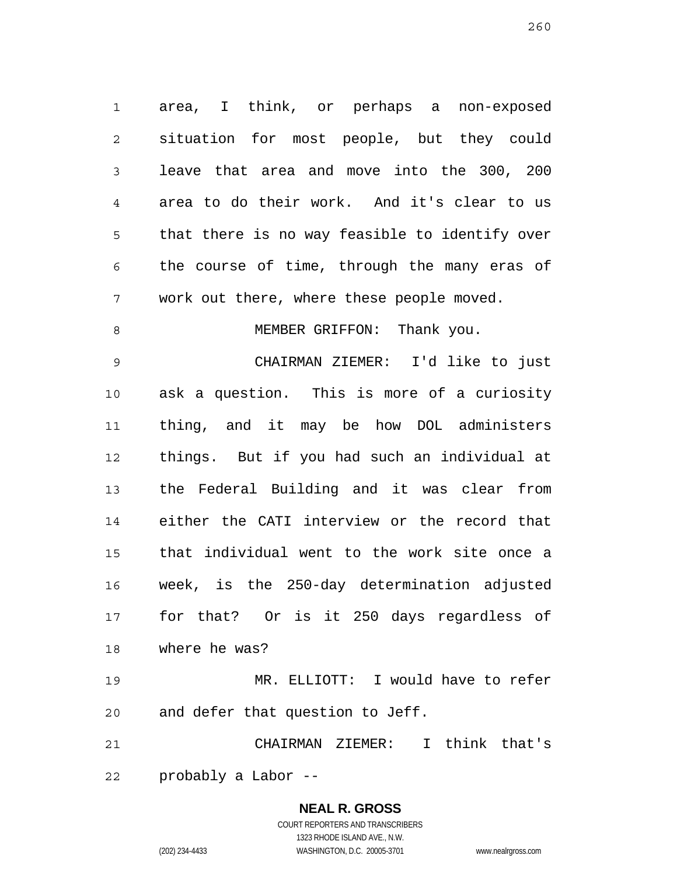1 2 3 4 5 6 7 area, I think, or perhaps a non-exposed situation for most people, but they could leave that area and move into the 300, 200 area to do their work. And it's clear to us that there is no way feasible to identify over the course of time, through the many eras of work out there, where these people moved.

8 MEMBER GRIFFON: Thank you.

9 10 11 12 13 14 15 16 17 18 CHAIRMAN ZIEMER: I'd like to just ask a question. This is more of a curiosity thing, and it may be how DOL administers things. But if you had such an individual at the Federal Building and it was clear from either the CATI interview or the record that that individual went to the work site once a week, is the 250-day determination adjusted for that? Or is it 250 days regardless of where he was?

19 20 MR. ELLIOTT: I would have to refer and defer that question to Jeff.

21 22 CHAIRMAN ZIEMER: I think that's probably a Labor --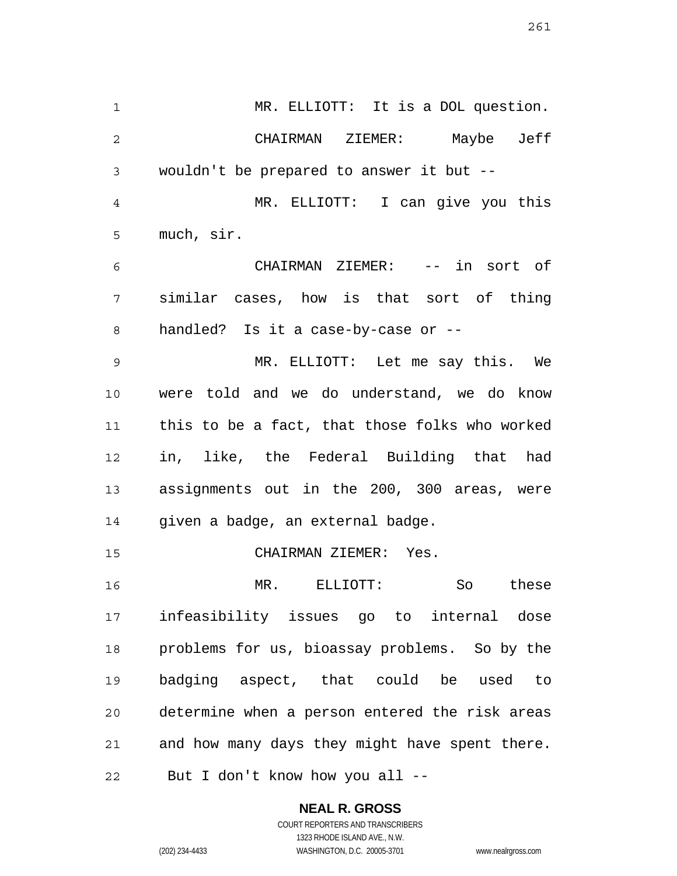1 2 3 4 5 6 7 8 9 10 11 12 13 14 15 16 17 18 19 20 MR. ELLIOTT: It is a DOL question. CHAIRMAN ZIEMER: Maybe Jeff wouldn't be prepared to answer it but -- MR. ELLIOTT: I can give you this much, sir. CHAIRMAN ZIEMER: -- in sort of similar cases, how is that sort of thing handled? Is it a case-by-case or -- MR. ELLIOTT: Let me say this. We were told and we do understand, we do know this to be a fact, that those folks who worked in, like, the Federal Building that had assignments out in the 200, 300 areas, were given a badge, an external badge. CHAIRMAN ZIEMER: Yes. MR. ELLIOTT: So these infeasibility issues go to internal dose problems for us, bioassay problems. So by the badging aspect, that could be used to determine when a person entered the risk areas

22 But I don't know how you all --

# **NEAL R. GROSS**

and how many days they might have spent there.

COURT REPORTERS AND TRANSCRIBERS 1323 RHODE ISLAND AVE., N.W. (202) 234-4433 WASHINGTON, D.C. 20005-3701 www.nealrgross.com

21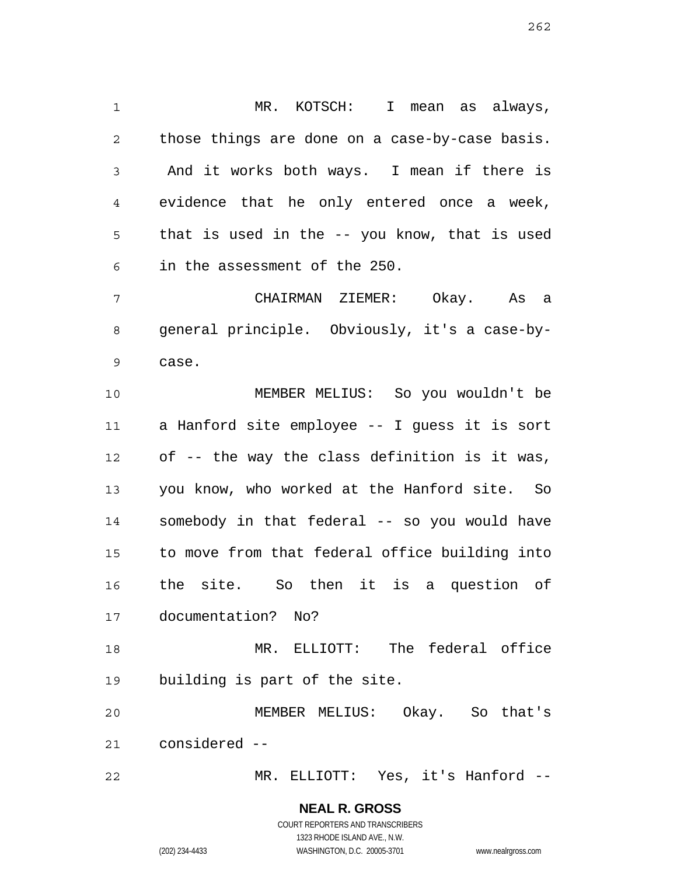1 2 3 4 5 6 7 8 9 10 11 12 13 14 MR. KOTSCH: I mean as always, those things are done on a case-by-case basis. And it works both ways. I mean if there is evidence that he only entered once a week, that is used in the -- you know, that is used in the assessment of the 250. CHAIRMAN ZIEMER: Okay. As a general principle. Obviously, it's a case-bycase. MEMBER MELIUS: So you wouldn't be a Hanford site employee -- I guess it is sort of -- the way the class definition is it was, you know, who worked at the Hanford site. So somebody in that federal -- so you would have

16 the site. So then it is a question of

to move from that federal office building into

17 documentation? No?

15

18 19 MR. ELLIOTT: The federal office building is part of the site.

20 21 MEMBER MELIUS: Okay. So that's considered --

22 MR. ELLIOTT: Yes, it's Hanford --

> **NEAL R. GROSS** COURT REPORTERS AND TRANSCRIBERS 1323 RHODE ISLAND AVE., N.W. (202) 234-4433 WASHINGTON, D.C. 20005-3701 www.nealrgross.com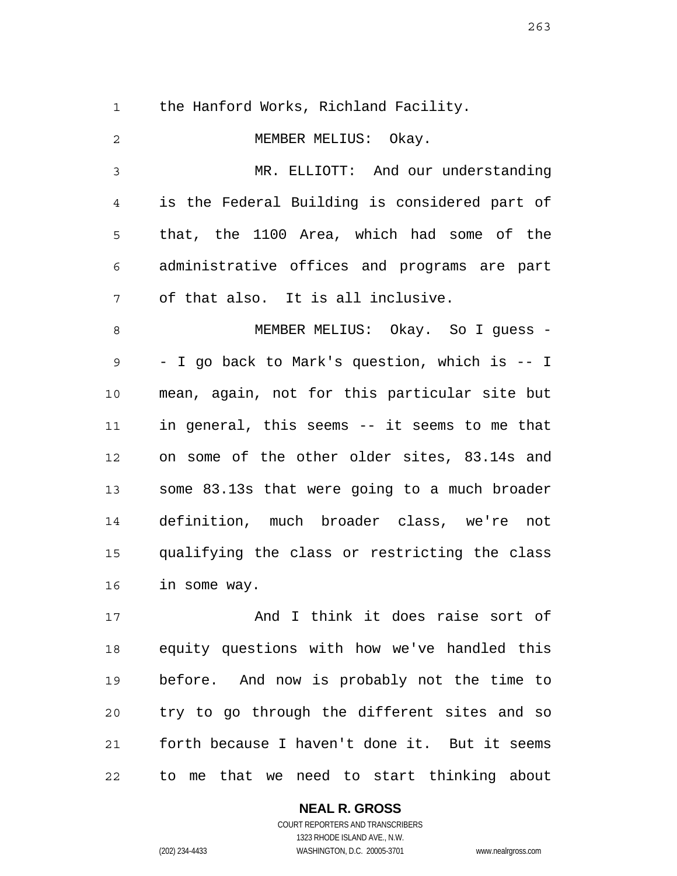1

the Hanford Works, Richland Facility.

2 3 4 5 6 7 8 9 10 11 12 13 14 15 16 MEMBER MELIUS: Okay. MR. ELLIOTT: And our understanding is the Federal Building is considered part of that, the 1100 Area, which had some of the administrative offices and programs are part of that also. It is all inclusive. MEMBER MELIUS: Okay. So I guess - - I go back to Mark's question, which is -- I mean, again, not for this particular site but in general, this seems -- it seems to me that on some of the other older sites, 83.14s and some 83.13s that were going to a much broader definition, much broader class, we're not qualifying the class or restricting the class in some way.

17 18 19 20 21 22 And I think it does raise sort of equity questions with how we've handled this before. And now is probably not the time to try to go through the different sites and so forth because I haven't done it. But it seems to me that we need to start thinking about

**NEAL R. GROSS**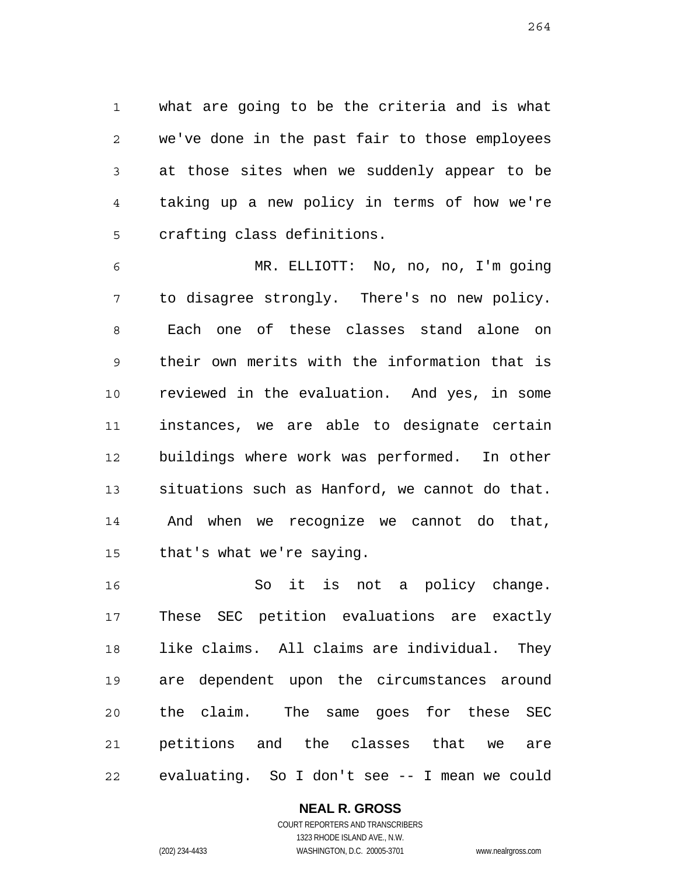1 2 3 4 5 what are going to be the criteria and is what we've done in the past fair to those employees at those sites when we suddenly appear to be taking up a new policy in terms of how we're crafting class definitions.

6 7 8 9 10 11 12 13 14 15 MR. ELLIOTT: No, no, no, I'm going to disagree strongly. There's no new policy. Each one of these classes stand alone on their own merits with the information that is reviewed in the evaluation. And yes, in some instances, we are able to designate certain buildings where work was performed. In other situations such as Hanford, we cannot do that. And when we recognize we cannot do that, that's what we're saying.

16 17 18 19 20 21 22 So it is not a policy change. These SEC petition evaluations are exactly like claims. All claims are individual. They are dependent upon the circumstances around the claim. The same goes for these SEC petitions and the classes that we are evaluating. So I don't see -- I mean we could

### **NEAL R. GROSS**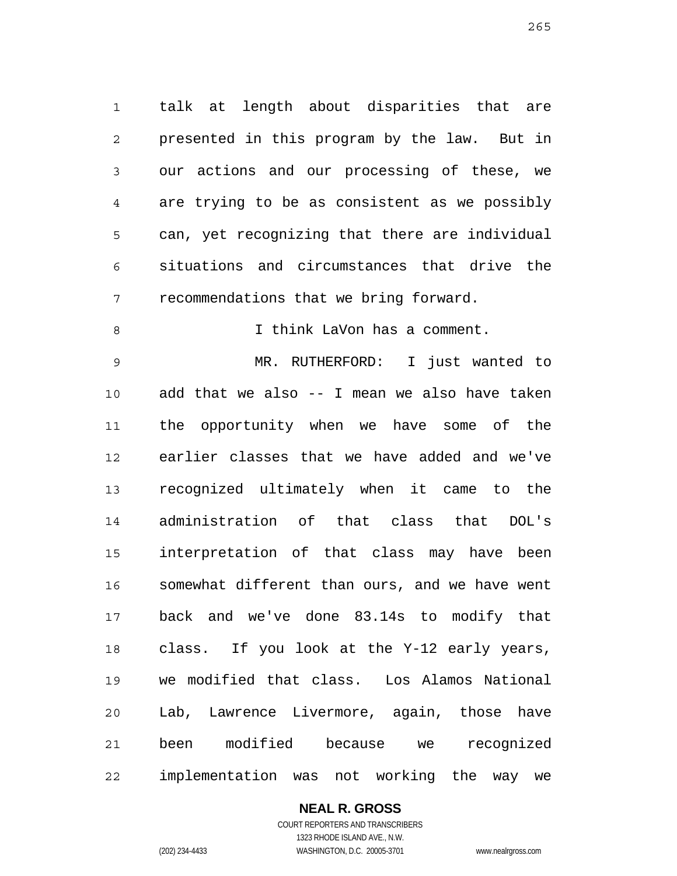1 2 3 4 5 6 7 talk at length about disparities that are presented in this program by the law. But in our actions and our processing of these, we are trying to be as consistent as we possibly can, yet recognizing that there are individual situations and circumstances that drive the recommendations that we bring forward.

8 I think LaVon has a comment.

9 10 11 12 13 14 15 16 17 18 19 20 21 22 MR. RUTHERFORD: I just wanted to add that we also -- I mean we also have taken the opportunity when we have some of the earlier classes that we have added and we've recognized ultimately when it came to the administration of that class that DOL's interpretation of that class may have been somewhat different than ours, and we have went back and we've done 83.14s to modify that class. If you look at the Y-12 early years, we modified that class. Los Alamos National Lab, Lawrence Livermore, again, those have been modified because we recognized implementation was not working the way we

**NEAL R. GROSS**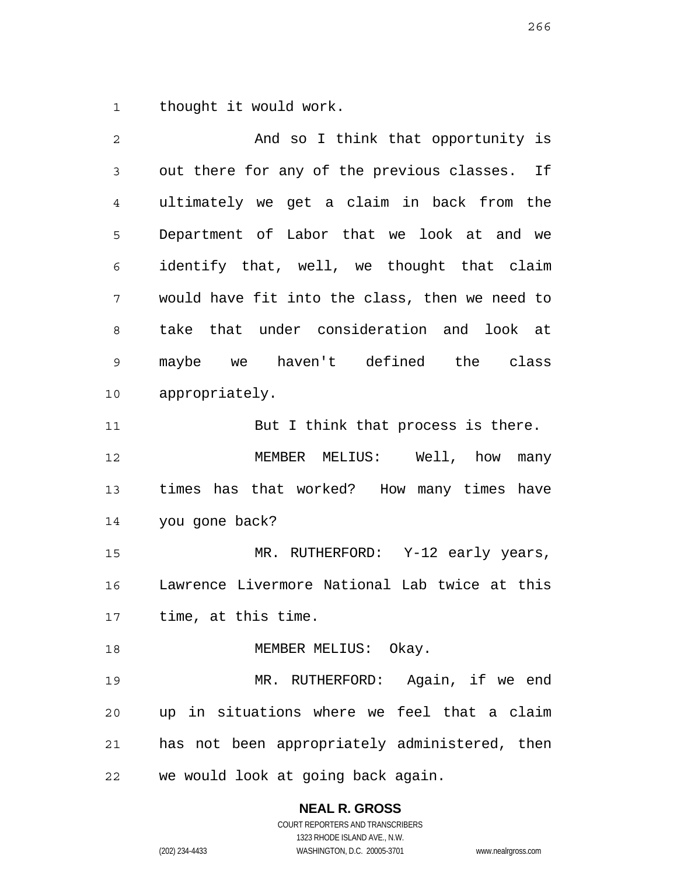1 thought it would work.

| 2              | And so I think that opportunity is             |
|----------------|------------------------------------------------|
| $\mathfrak{Z}$ | out there for any of the previous classes. If  |
| 4              | ultimately we get a claim in back from the     |
| 5              | Department of Labor that we look at and we     |
| 6              | identify that, well, we thought that claim     |
| 7              | would have fit into the class, then we need to |
| 8              | take that under consideration and look at      |
| 9              | maybe we haven't defined the class             |
| 10             | appropriately.                                 |
| 11             | But I think that process is there.             |
| 12             | MEMBER MELIUS: Well, how many                  |
| 13             | times has that worked? How many times have     |
| 14             | you gone back?                                 |
| 15             | MR. RUTHERFORD: Y-12 early years,              |
| 16             | Lawrence Livermore National Lab twice at this  |
| 17             | time, at this time.                            |
| 18             | MEMBER MELIUS: Okay.                           |
| 19             | MR. RUTHERFORD: Again, if we end               |
| 20             | up in situations where we feel that a claim    |
| 21             | has not been appropriately administered, then  |
| 22             | we would look at going back again.             |

**NEAL R. GROSS** COURT REPORTERS AND TRANSCRIBERS

1323 RHODE ISLAND AVE., N.W. (202) 234-4433 WASHINGTON, D.C. 20005-3701 www.nealrgross.com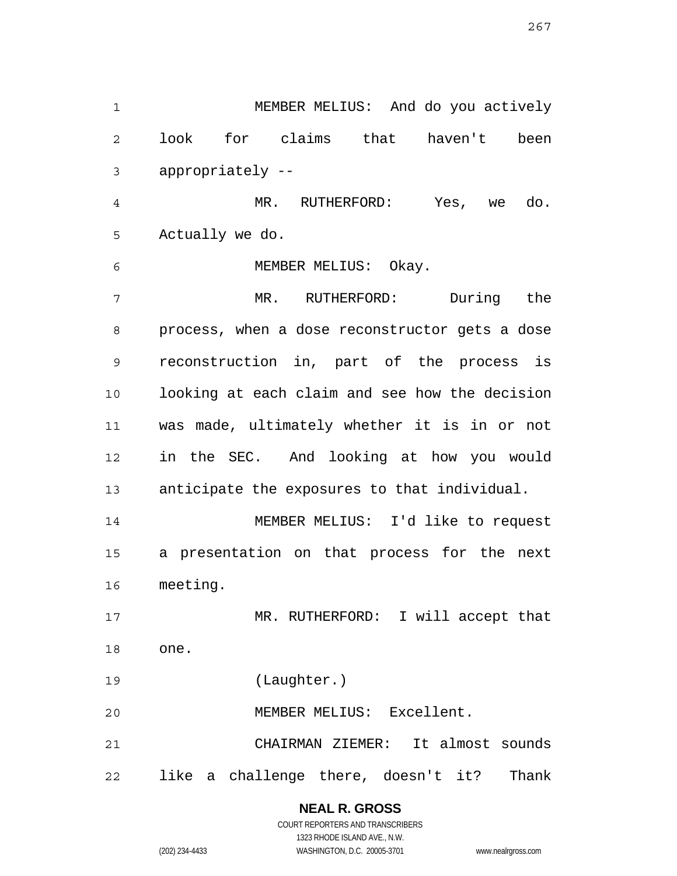1 2 3 4 5 6 7 8 9 10 11 12 13 14 15 16 17 18 19 20 21 22 MEMBER MELIUS: And do you actively look for claims that haven't been appropriately -- MR. RUTHERFORD: Yes, we do. Actually we do. MEMBER MELIUS: Okay. MR. RUTHERFORD: During the process, when a dose reconstructor gets a dose reconstruction in, part of the process is looking at each claim and see how the decision was made, ultimately whether it is in or not in the SEC. And looking at how you would anticipate the exposures to that individual. MEMBER MELIUS: I'd like to request a presentation on that process for the next meeting. MR. RUTHERFORD: I will accept that one. (Laughter.) MEMBER MELIUS: Excellent. CHAIRMAN ZIEMER: It almost sounds like a challenge there, doesn't it? Thank

## **NEAL R. GROSS** COURT REPORTERS AND TRANSCRIBERS 1323 RHODE ISLAND AVE., N.W.

(202) 234-4433 WASHINGTON, D.C. 20005-3701 www.nealrgross.com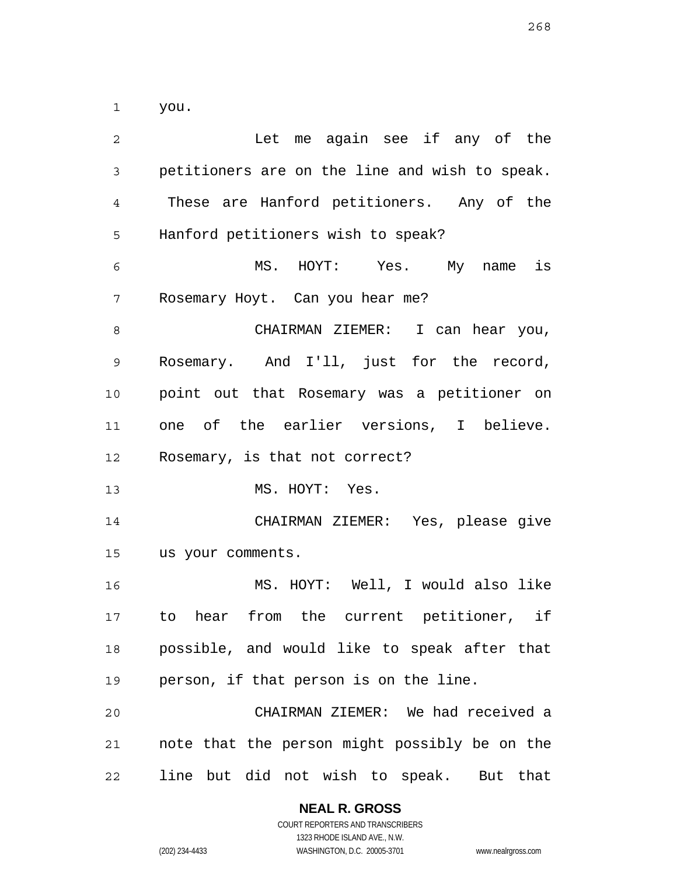1 you.

| $\overline{c}$ | Let me again see if any of the                 |
|----------------|------------------------------------------------|
| $\mathfrak{Z}$ | petitioners are on the line and wish to speak. |
| $\overline{4}$ | These are Hanford petitioners. Any of the      |
| 5              | Hanford petitioners wish to speak?             |
| 6              | MS. HOYT: Yes. My name is                      |
| 7              | Rosemary Hoyt. Can you hear me?                |
| 8              | CHAIRMAN ZIEMER: I can hear you,               |
| $\mathsf 9$    | Rosemary. And I'll, just for the record,       |
| 10             | point out that Rosemary was a petitioner on    |
| 11             | one of the earlier versions, I believe.        |
| 12             |                                                |
|                | Rosemary, is that not correct?                 |
| 13             | MS. HOYT: Yes.                                 |
| 14             | CHAIRMAN ZIEMER: Yes, please give              |
| 15             | us your comments.                              |
| 16             | MS. HOYT: Well, I would also like              |
|                | 17 to hear from the current petitioner, if     |
| 18             | possible, and would like to speak after that   |
| 19             | person, if that person is on the line.         |
| 20             | CHAIRMAN ZIEMER: We had received a             |
| 21             | note that the person might possibly be on the  |

**NEAL R. GROSS** COURT REPORTERS AND TRANSCRIBERS

1323 RHODE ISLAND AVE., N.W. (202) 234-4433 WASHINGTON, D.C. 20005-3701 www.nealrgross.com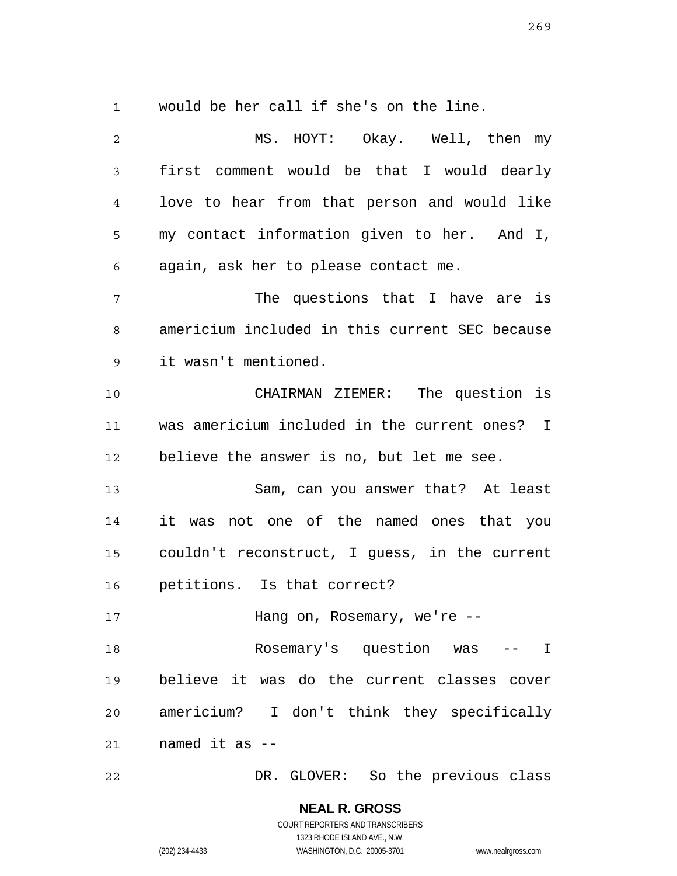1 would be her call if she's on the line.

| 2  | MS. HOYT: Okay. Well, then my                  |
|----|------------------------------------------------|
| 3  | first comment would be that I would dearly     |
| 4  | love to hear from that person and would like   |
| 5  | my contact information given to her. And I,    |
| 6  | again, ask her to please contact me.           |
| 7  | The questions that I have are is               |
| 8  | americium included in this current SEC because |
| 9  | it wasn't mentioned.                           |
| 10 | CHAIRMAN ZIEMER: The question is               |
| 11 | was americium included in the current ones? I  |
| 12 | believe the answer is no, but let me see.      |
| 13 | Sam, can you answer that? At least             |
| 14 | it was not one of the named ones that you      |
| 15 | couldn't reconstruct, I guess, in the current  |
| 16 | petitions. Is that correct?                    |
| 17 | Hang on, Rosemary, we're --                    |
| 18 | Rosemary's question was<br>$---$ I             |
| 19 | believe it was do the current classes cover    |
| 20 | americium? I don't think they specifically     |
| 21 | named it as $-$                                |
| 22 | DR. GLOVER: So the previous class              |

DR. GLOVER: So the previous class

**NEAL R. GROSS** COURT REPORTERS AND TRANSCRIBERS 1323 RHODE ISLAND AVE., N.W. (202) 234-4433 WASHINGTON, D.C. 20005-3701 www.nealrgross.com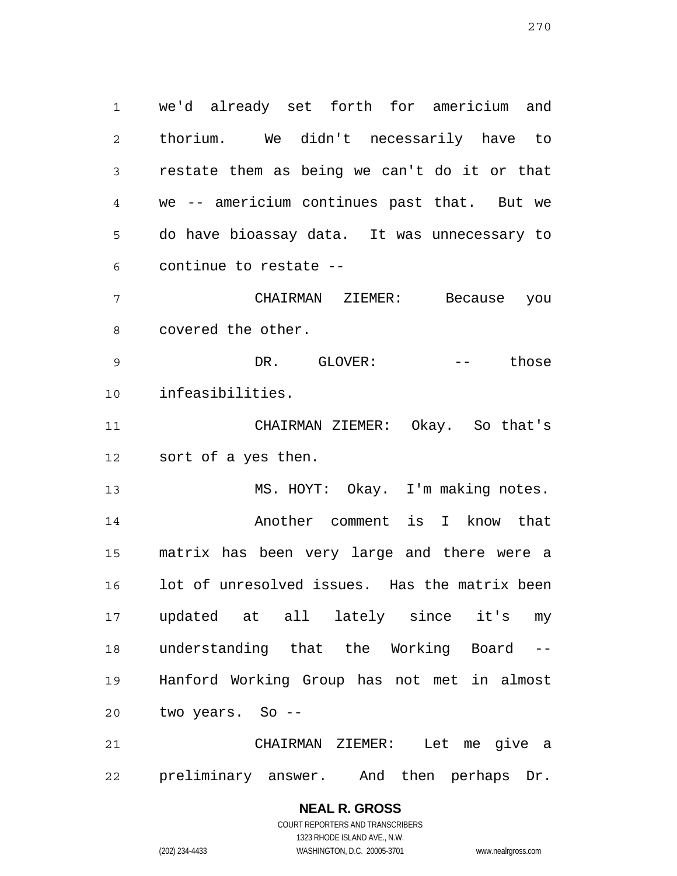1 2 3 4 5 6 we'd already set forth for americium and thorium. We didn't necessarily have to restate them as being we can't do it or that we -- americium continues past that. But we do have bioassay data. It was unnecessary to continue to restate --

7 8 CHAIRMAN ZIEMER: Because you covered the other.

9 10 DR. GLOVER: -- those infeasibilities.

11 12 CHAIRMAN ZIEMER: Okay. So that's sort of a yes then.

13 14 15 16 17 18 19 20 MS. HOYT: Okay. I'm making notes. Another comment is I know that matrix has been very large and there were a lot of unresolved issues. Has the matrix been updated at all lately since it's my understanding that the Working Board -- Hanford Working Group has not met in almost two years. So --

21 22 CHAIRMAN ZIEMER: Let me give a preliminary answer. And then perhaps Dr.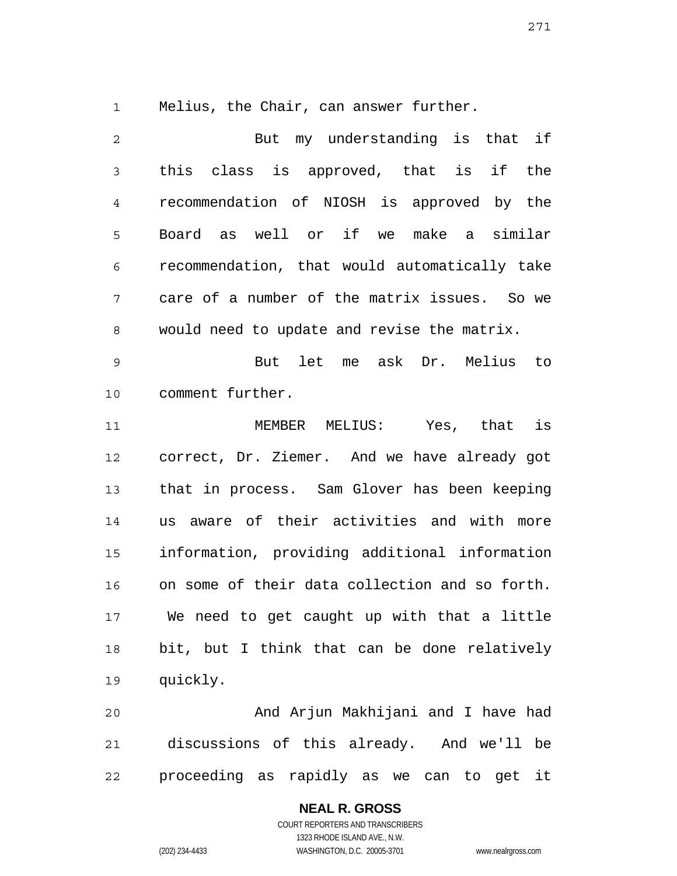1 Melius, the Chair, can answer further.

2 3 4 5 6 7 8 9 10 11 12 13 14 15 16 17 18 19 But my understanding is that if this class is approved, that is if the recommendation of NIOSH is approved by the Board as well or if we make a similar recommendation, that would automatically take care of a number of the matrix issues. So we would need to update and revise the matrix. But let me ask Dr. Melius to comment further. MEMBER MELIUS: Yes, that is correct, Dr. Ziemer. And we have already got that in process. Sam Glover has been keeping us aware of their activities and with more information, providing additional information on some of their data collection and so forth. We need to get caught up with that a little bit, but I think that can be done relatively quickly.

20 21 22 And Arjun Makhijani and I have had discussions of this already. And we'll be proceeding as rapidly as we can to get it

# **NEAL R. GROSS**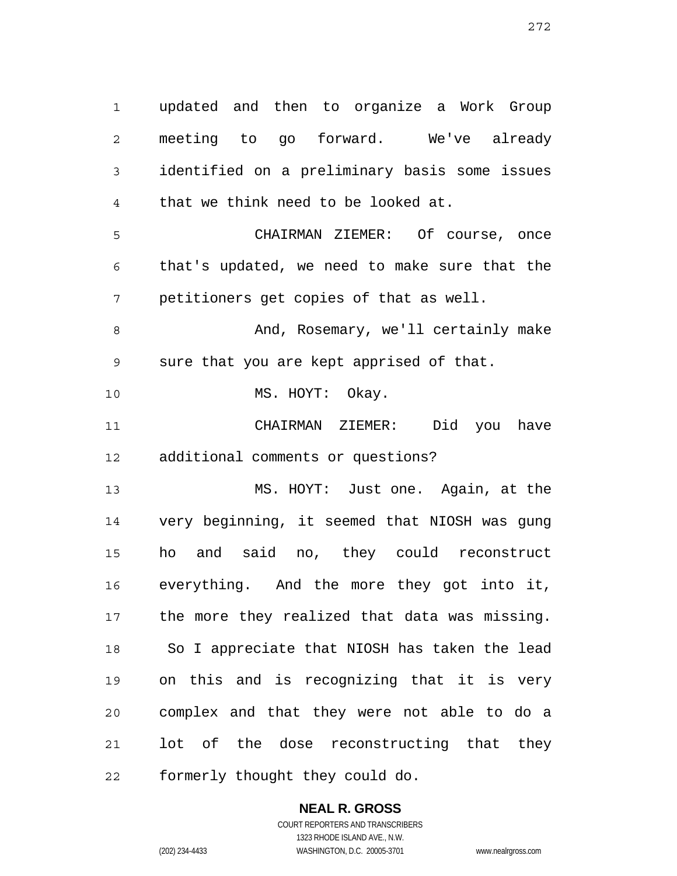1 2 3 4 5 6 7 8 9 10 11 12 13 14 15 16 17 18 19 20 21 22 updated and then to organize a Work Group meeting to go forward. We've already identified on a preliminary basis some issues that we think need to be looked at. CHAIRMAN ZIEMER: Of course, once that's updated, we need to make sure that the petitioners get copies of that as well. And, Rosemary, we'll certainly make sure that you are kept apprised of that. MS. HOYT: Okay. CHAIRMAN ZIEMER: Did you have additional comments or questions? MS. HOYT: Just one. Again, at the very beginning, it seemed that NIOSH was gung ho and said no, they could reconstruct everything. And the more they got into it, the more they realized that data was missing. So I appreciate that NIOSH has taken the lead on this and is recognizing that it is very complex and that they were not able to do a lot of the dose reconstructing that they formerly thought they could do.

# **NEAL R. GROSS**

COURT REPORTERS AND TRANSCRIBERS 1323 RHODE ISLAND AVE., N.W. (202) 234-4433 WASHINGTON, D.C. 20005-3701 www.nealrgross.com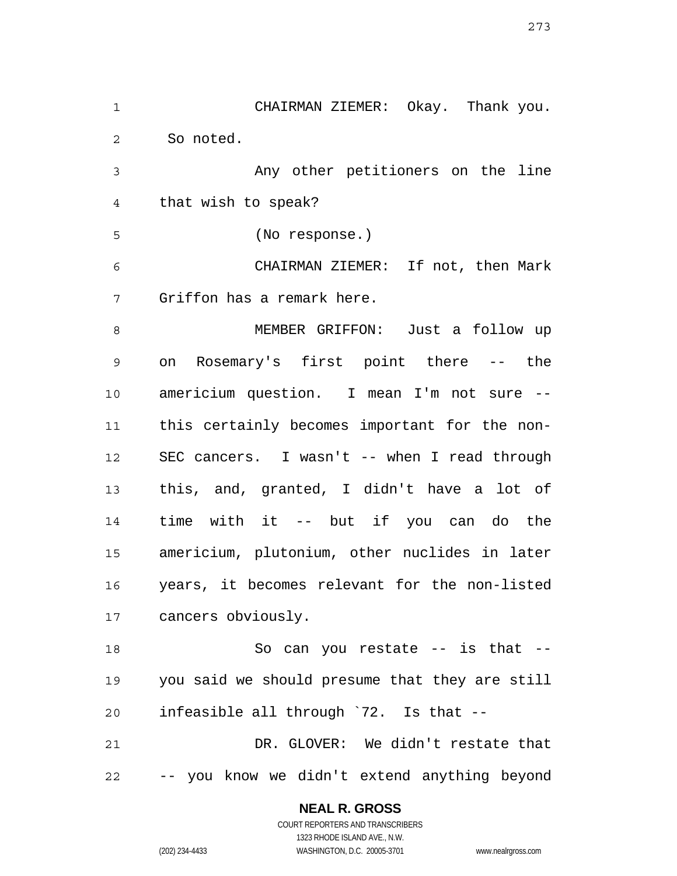1 2 3 4 5 6 7 8 9 10 11 12 13 14 15 16 17 18 19 20 CHAIRMAN ZIEMER: Okay. Thank you. So noted. Any other petitioners on the line that wish to speak? (No response.) CHAIRMAN ZIEMER: If not, then Mark Griffon has a remark here. MEMBER GRIFFON: Just a follow up on Rosemary's first point there -- the americium question. I mean I'm not sure - this certainly becomes important for the non-SEC cancers. I wasn't -- when I read through this, and, granted, I didn't have a lot of time with it -- but if you can do the americium, plutonium, other nuclides in later years, it becomes relevant for the non-listed cancers obviously. So can you restate -- is that - you said we should presume that they are still infeasible all through `72. Is that -- DR. GLOVER: We didn't restate that

21 22 -- you know we didn't extend anything beyond

> **NEAL R. GROSS** COURT REPORTERS AND TRANSCRIBERS

> > 1323 RHODE ISLAND AVE., N.W.

(202) 234-4433 WASHINGTON, D.C. 20005-3701 www.nealrgross.com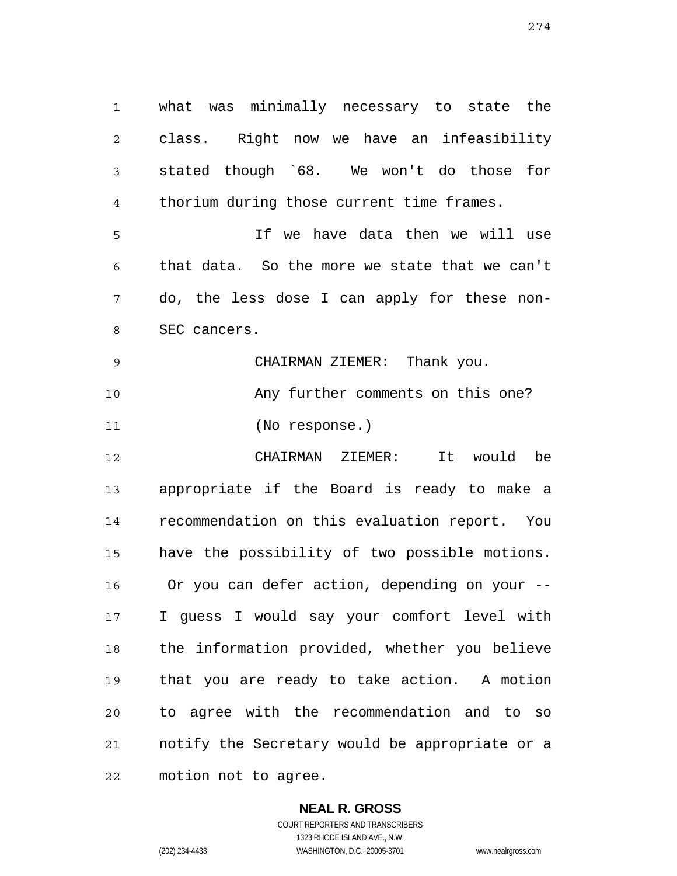1 2 3 4 5 6 7 8 9 10 11 12 13 14 15 16 17 what was minimally necessary to state the class. Right now we have an infeasibility stated though `68. We won't do those for thorium during those current time frames. If we have data then we will use that data. So the more we state that we can't do, the less dose I can apply for these non-SEC cancers. CHAIRMAN ZIEMER: Thank you. Any further comments on this one? (No response.) CHAIRMAN ZIEMER: It would be appropriate if the Board is ready to make a recommendation on this evaluation report. You have the possibility of two possible motions. Or you can defer action, depending on your -- I guess I would say your comfort level with

18 19 20 21 the information provided, whether you believe that you are ready to take action. A motion to agree with the recommendation and to so notify the Secretary would be appropriate or a motion not to agree.

**NEAL R. GROSS**

COURT REPORTERS AND TRANSCRIBERS 1323 RHODE ISLAND AVE., N.W. (202) 234-4433 WASHINGTON, D.C. 20005-3701 www.nealrgross.com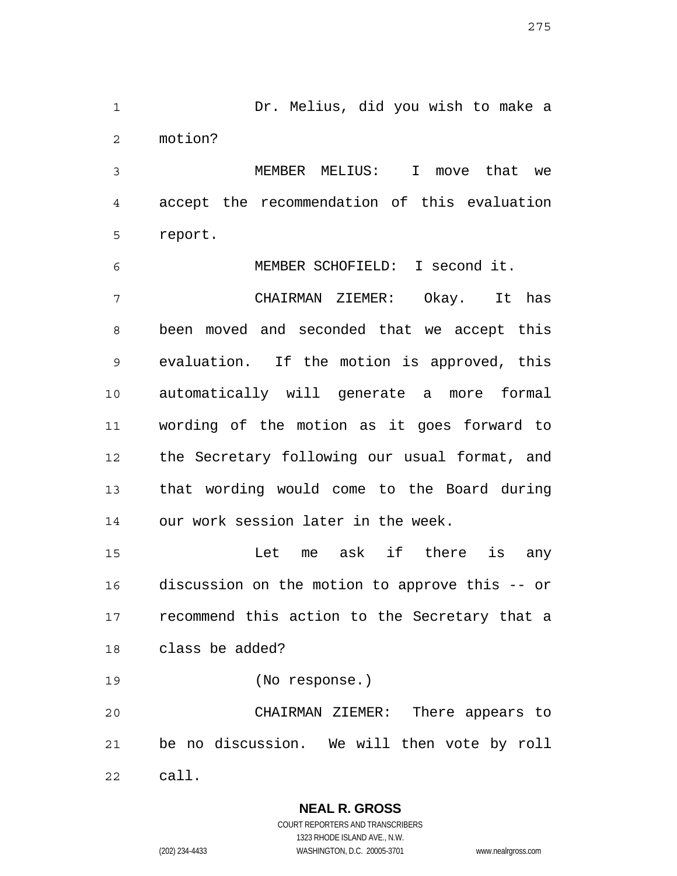1 2 Dr. Melius, did you wish to make a motion?

3 4 5 MEMBER MELIUS: I move that we accept the recommendation of this evaluation report.

6 7 8 9 10 11 12 13 14 MEMBER SCHOFIELD: I second it. CHAIRMAN ZIEMER: Okay. It has been moved and seconded that we accept this evaluation. If the motion is approved, this automatically will generate a more formal wording of the motion as it goes forward to the Secretary following our usual format, and that wording would come to the Board during our work session later in the week.

15 16 17 18 Let me ask if there is any discussion on the motion to approve this -- or recommend this action to the Secretary that a class be added?

19 (No response.)

20 21 22 CHAIRMAN ZIEMER: There appears to be no discussion. We will then vote by roll call.

> **NEAL R. GROSS** COURT REPORTERS AND TRANSCRIBERS

1323 RHODE ISLAND AVE., N.W. (202) 234-4433 WASHINGTON, D.C. 20005-3701 www.nealrgross.com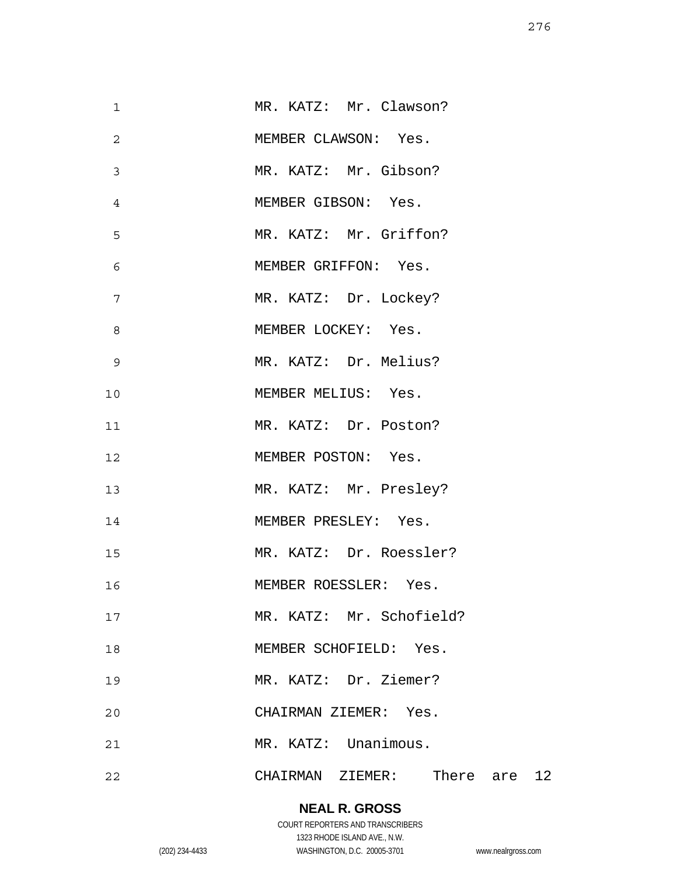| $\mathbf 1$ | MR. KATZ: Mr. Clawson?        |
|-------------|-------------------------------|
| 2           | MEMBER CLAWSON: Yes.          |
| 3           | MR. KATZ: Mr. Gibson?         |
| 4           | MEMBER GIBSON: Yes.           |
| 5           | MR. KATZ: Mr. Griffon?        |
| 6           | MEMBER GRIFFON: Yes.          |
| 7           | MR. KATZ: Dr. Lockey?         |
| 8           | MEMBER LOCKEY: Yes.           |
| 9           | MR. KATZ: Dr. Melius?         |
| 10          | MEMBER MELIUS: Yes.           |
| 11          | MR. KATZ: Dr. Poston?         |
| 12          | MEMBER POSTON: Yes.           |
| 13          | MR. KATZ: Mr. Presley?        |
| 14          | MEMBER PRESLEY: Yes.          |
| 15          | MR. KATZ: Dr. Roessler?       |
| 16          | MEMBER ROESSLER: Yes.         |
| 17          | MR. KATZ: Mr. Schofield?      |
| 18          | MEMBER SCHOFIELD: Yes.        |
| 19          | MR. KATZ: Dr. Ziemer?         |
| 20          | CHAIRMAN ZIEMER: Yes.         |
| 21          | MR. KATZ: Unanimous.          |
| 22          | CHAIRMAN ZIEMER: There are 12 |

# **NEAL R. GROSS**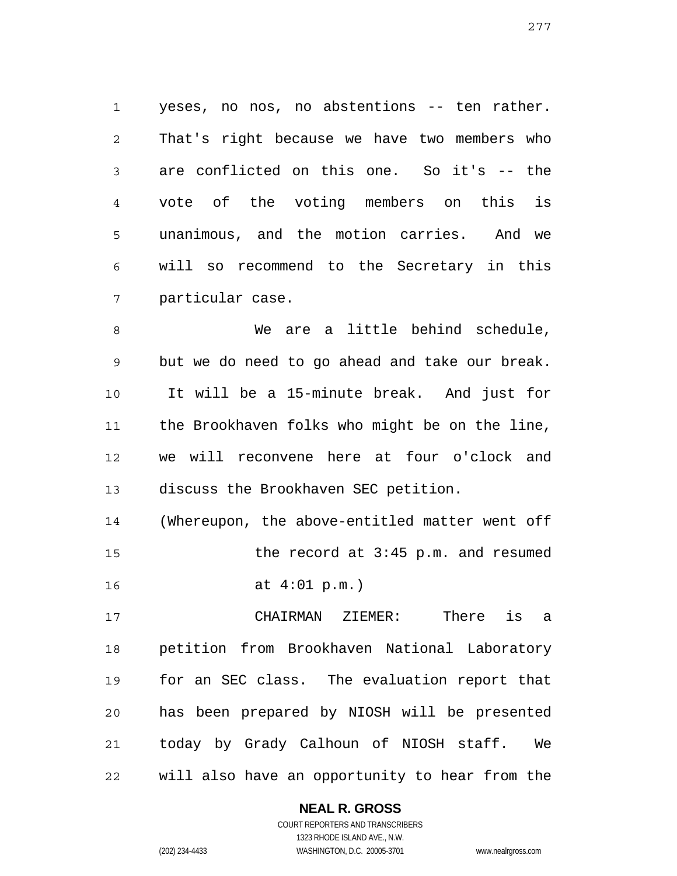1 2 3 4 5 6 7 yeses, no nos, no abstentions -- ten rather. That's right because we have two members who are conflicted on this one. So it's -- the vote of the voting members on this is unanimous, and the motion carries. And we will so recommend to the Secretary in this particular case.

8 9 10 11 12 13 We are a little behind schedule, but we do need to go ahead and take our break. It will be a 15-minute break. And just for the Brookhaven folks who might be on the line, we will reconvene here at four o'clock and discuss the Brookhaven SEC petition.

14 15 16 (Whereupon, the above-entitled matter went off the record at 3:45 p.m. and resumed at 4:01 p.m.)

17 18 19 20 21 22 CHAIRMAN ZIEMER: There is a petition from Brookhaven National Laboratory for an SEC class. The evaluation report that has been prepared by NIOSH will be presented today by Grady Calhoun of NIOSH staff. We will also have an opportunity to hear from the

> **NEAL R. GROSS** COURT REPORTERS AND TRANSCRIBERS

> > 1323 RHODE ISLAND AVE., N.W.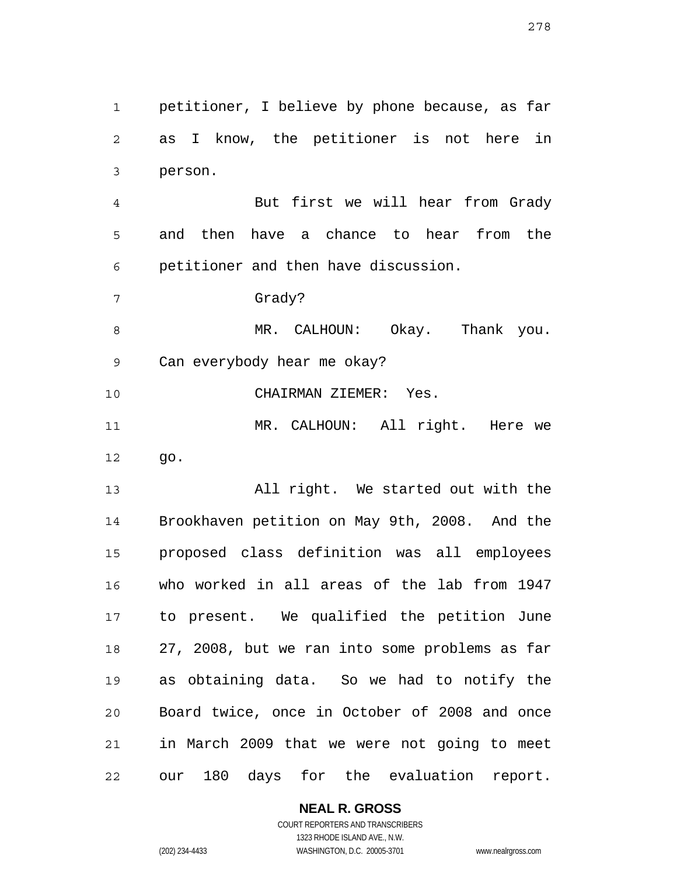1 2 3 petitioner, I believe by phone because, as far as I know, the petitioner is not here in person.

4 5 6 But first we will hear from Grady and then have a chance to hear from the petitioner and then have discussion.

7 Grady?

8 9 MR. CALHOUN: Okay. Thank you. Can everybody hear me okay?

10 CHAIRMAN ZIEMER: Yes.

11 12 MR. CALHOUN: All right. Here we go.

13 14 15 16 17 18 19 20 21 22 All right. We started out with the Brookhaven petition on May 9th, 2008. And the proposed class definition was all employees who worked in all areas of the lab from 1947 to present. We qualified the petition June 27, 2008, but we ran into some problems as far as obtaining data. So we had to notify the Board twice, once in October of 2008 and once in March 2009 that we were not going to meet our 180 days for the evaluation report.

**NEAL R. GROSS**

COURT REPORTERS AND TRANSCRIBERS 1323 RHODE ISLAND AVE., N.W. (202) 234-4433 WASHINGTON, D.C. 20005-3701 www.nealrgross.com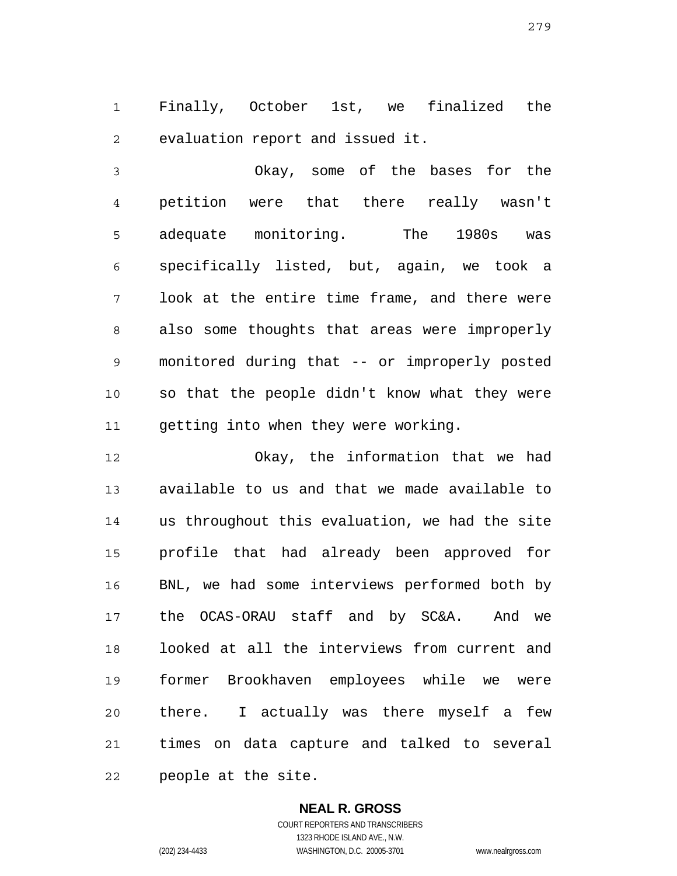1 2 Finally, October 1st, we finalized the evaluation report and issued it.

3 4 5 6 7 8 9 10 11 Okay, some of the bases for the petition were that there really wasn't adequate monitoring. The 1980s was specifically listed, but, again, we took a look at the entire time frame, and there were also some thoughts that areas were improperly monitored during that -- or improperly posted so that the people didn't know what they were getting into when they were working.

12 13 14 15 16 17 18 19 20 21 22 Okay, the information that we had available to us and that we made available to us throughout this evaluation, we had the site profile that had already been approved for BNL, we had some interviews performed both by the OCAS-ORAU staff and by SC&A. And we looked at all the interviews from current and former Brookhaven employees while we were there. I actually was there myself a few times on data capture and talked to several people at the site.

# **NEAL R. GROSS**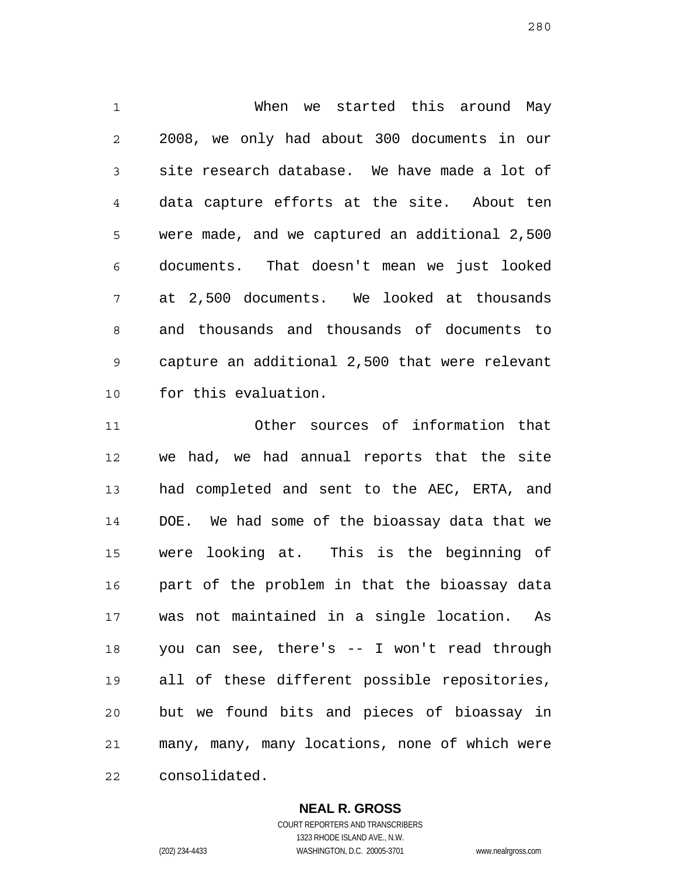1 2 3 4 5 6 7 8 9 10 When we started this around May 2008, we only had about 300 documents in our site research database. We have made a lot of data capture efforts at the site. About ten were made, and we captured an additional 2,500 documents. That doesn't mean we just looked at 2,500 documents. We looked at thousands and thousands and thousands of documents to capture an additional 2,500 that were relevant for this evaluation.

11 12 13 14 15 16 17 18 19 20 21 22 Other sources of information that we had, we had annual reports that the site had completed and sent to the AEC, ERTA, and DOE. We had some of the bioassay data that we were looking at. This is the beginning of part of the problem in that the bioassay data was not maintained in a single location. As you can see, there's -- I won't read through all of these different possible repositories, but we found bits and pieces of bioassay in many, many, many locations, none of which were consolidated.

### **NEAL R. GROSS** COURT REPORTERS AND TRANSCRIBERS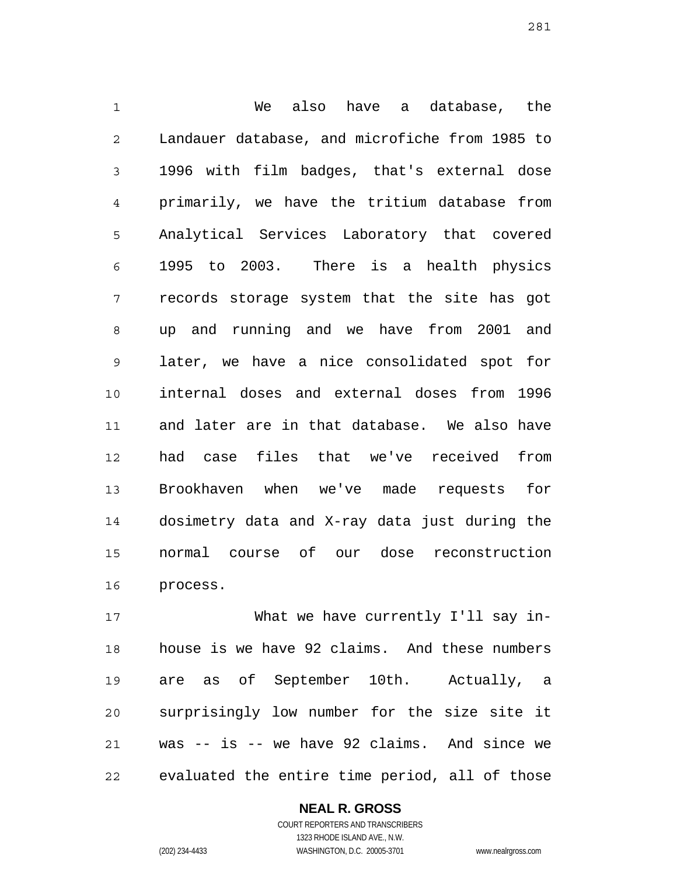1 2 3 4 5 6 7 8 9 10 11 12 13 14 15 16 We also have a database, the Landauer database, and microfiche from 1985 to 1996 with film badges, that's external dose primarily, we have the tritium database from Analytical Services Laboratory that covered 1995 to 2003. There is a health physics records storage system that the site has got up and running and we have from 2001 and later, we have a nice consolidated spot for internal doses and external doses from 1996 and later are in that database. We also have had case files that we've received from Brookhaven when we've made requests for dosimetry data and X-ray data just during the normal course of our dose reconstruction process.

17 18 19 20 21 22 What we have currently I'll say inhouse is we have 92 claims. And these numbers are as of September 10th. Actually, a surprisingly low number for the size site it was -- is -- we have 92 claims. And since we evaluated the entire time period, all of those

# **NEAL R. GROSS**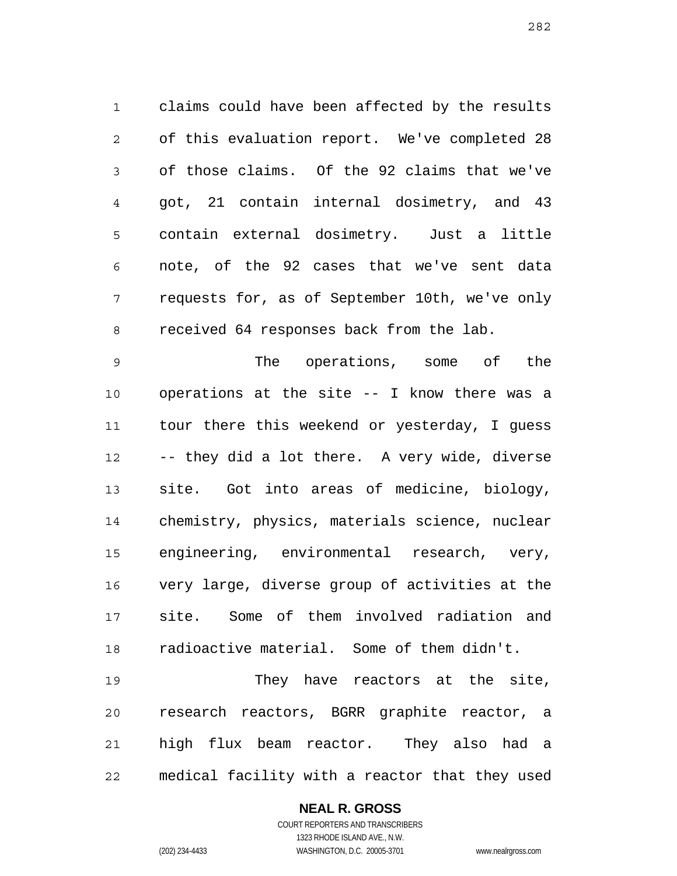1 2 3 4 5 6 7 8 claims could have been affected by the results of this evaluation report. We've completed 28 of those claims. Of the 92 claims that we've got, 21 contain internal dosimetry, and 43 contain external dosimetry. Just a little note, of the 92 cases that we've sent data requests for, as of September 10th, we've only received 64 responses back from the lab.

9 10 11 12 13 14 15 16 17 18 The operations, some of the operations at the site -- I know there was a tour there this weekend or yesterday, I guess -- they did a lot there. A very wide, diverse site. Got into areas of medicine, biology, chemistry, physics, materials science, nuclear engineering, environmental research, very, very large, diverse group of activities at the site. Some of them involved radiation and radioactive material. Some of them didn't.

19 20 21 22 They have reactors at the site, research reactors, BGRR graphite reactor, a high flux beam reactor. They also had a medical facility with a reactor that they used

### **NEAL R. GROSS**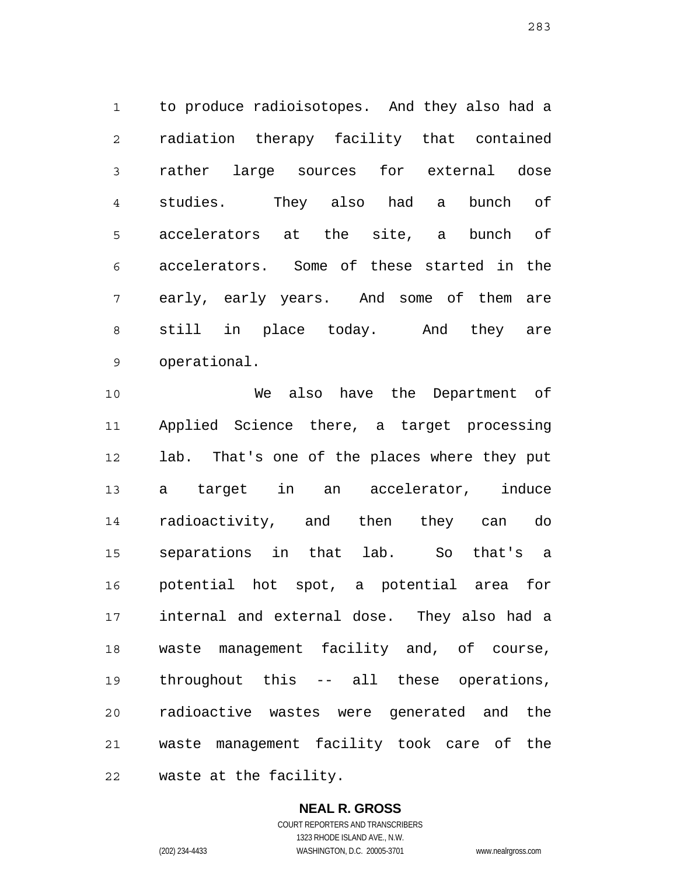1 2 3 4 5 6 7 8 9 to produce radioisotopes. And they also had a radiation therapy facility that contained rather large sources for external dose studies. They also had a bunch of accelerators at the site, a bunch of accelerators. Some of these started in the early, early years. And some of them are still in place today. And they are operational.

10 11 12 13 14 15 16 17 18 19 20 21 22 We also have the Department of Applied Science there, a target processing lab. That's one of the places where they put a target in an accelerator, induce radioactivity, and then they can do separations in that lab. So that's a potential hot spot, a potential area for internal and external dose. They also had a waste management facility and, of course, throughout this -- all these operations, radioactive wastes were generated and the waste management facility took care of the waste at the facility.

# **NEAL R. GROSS**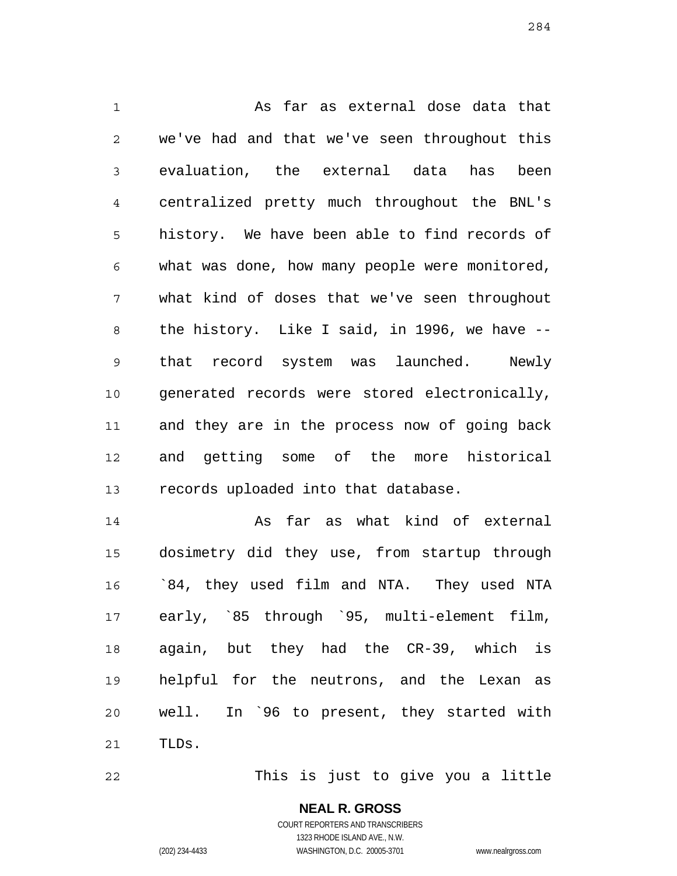1 2 3 4 5 6 7 8 9 10 11 12 13 As far as external dose data that we've had and that we've seen throughout this evaluation, the external data has been centralized pretty much throughout the BNL's history. We have been able to find records of what was done, how many people were monitored, what kind of doses that we've seen throughout the history. Like I said, in 1996, we have - that record system was launched. Newly generated records were stored electronically, and they are in the process now of going back and getting some of the more historical records uploaded into that database.

14 15 16 17 18 19 20 21 As far as what kind of external dosimetry did they use, from startup through `84, they used film and NTA. They used NTA early, `85 through `95, multi-element film, again, but they had the CR-39, which is helpful for the neutrons, and the Lexan as well. In `96 to present, they started with TLDs.

22 This is just to give you a little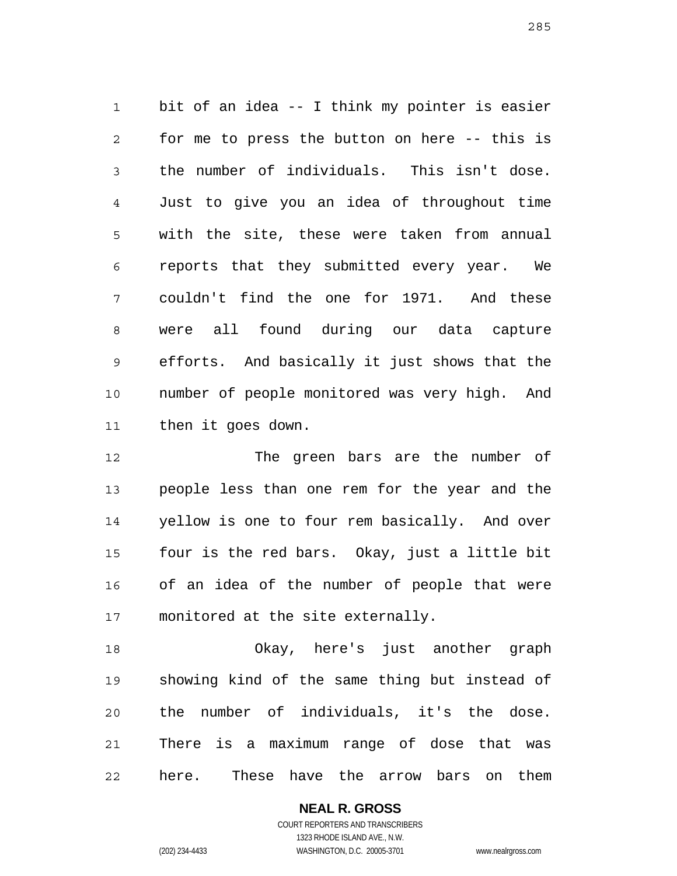1 2 3 4 5 6 7 8 9 10 11 bit of an idea -- I think my pointer is easier for me to press the button on here -- this is the number of individuals. This isn't dose. Just to give you an idea of throughout time with the site, these were taken from annual reports that they submitted every year. We couldn't find the one for 1971. And these were all found during our data capture efforts. And basically it just shows that the number of people monitored was very high. And then it goes down.

12 13 14 15 16 17 The green bars are the number of people less than one rem for the year and the yellow is one to four rem basically. And over four is the red bars. Okay, just a little bit of an idea of the number of people that were monitored at the site externally.

18 19 20 21 22 Okay, here's just another graph showing kind of the same thing but instead of the number of individuals, it's the dose. There is a maximum range of dose that was here. These have the arrow bars on them

> **NEAL R. GROSS** COURT REPORTERS AND TRANSCRIBERS

> > 1323 RHODE ISLAND AVE., N.W.

(202) 234-4433 WASHINGTON, D.C. 20005-3701 www.nealrgross.com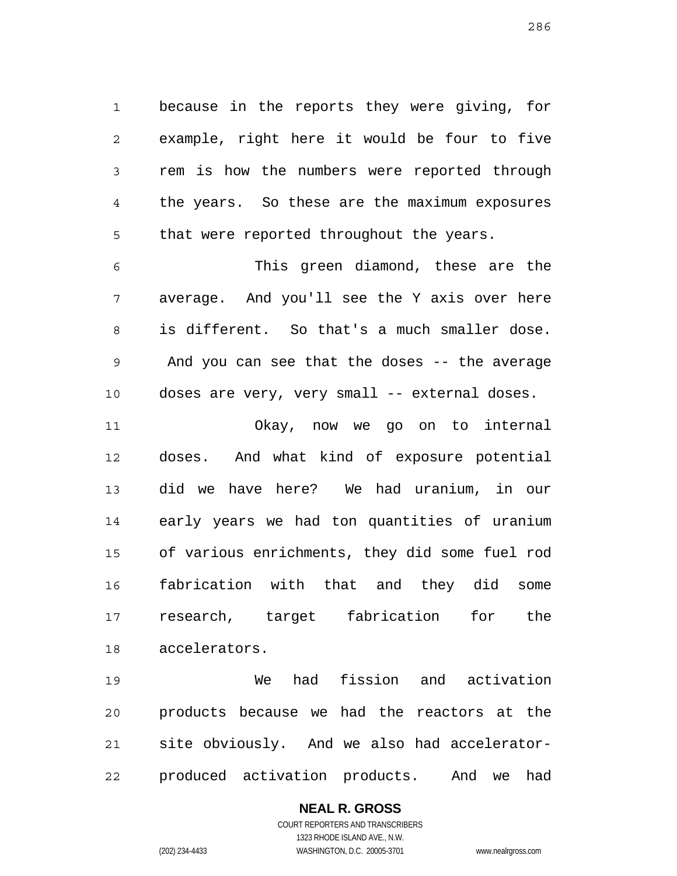1 2 3 4 5 because in the reports they were giving, for example, right here it would be four to five rem is how the numbers were reported through the years. So these are the maximum exposures that were reported throughout the years.

6 7 8 9 10 This green diamond, these are the average. And you'll see the Y axis over here is different. So that's a much smaller dose. And you can see that the doses -- the average doses are very, very small -- external doses.

11 12 13 14 15 16 17 18 Okay, now we go on to internal doses. And what kind of exposure potential did we have here? We had uranium, in our early years we had ton quantities of uranium of various enrichments, they did some fuel rod fabrication with that and they did some research, target fabrication for the accelerators.

19 20 21 22 We had fission and activation products because we had the reactors at the site obviously. And we also had acceleratorproduced activation products. And we had

> **NEAL R. GROSS** COURT REPORTERS AND TRANSCRIBERS

> > 1323 RHODE ISLAND AVE., N.W.

(202) 234-4433 WASHINGTON, D.C. 20005-3701 www.nealrgross.com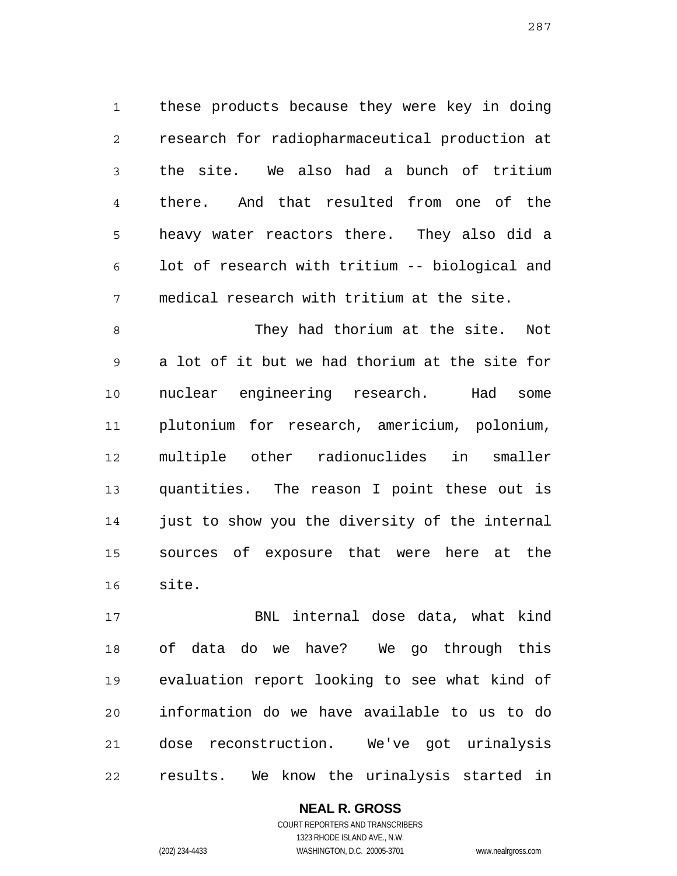1 2 3 4 5 6 7 these products because they were key in doing research for radiopharmaceutical production at the site. We also had a bunch of tritium there. And that resulted from one of the heavy water reactors there. They also did a lot of research with tritium -- biological and medical research with tritium at the site.

8 9 10 11 12 13 14 15 16 They had thorium at the site. Not a lot of it but we had thorium at the site for nuclear engineering research. Had some plutonium for research, americium, polonium, multiple other radionuclides in smaller quantities. The reason I point these out is just to show you the diversity of the internal sources of exposure that were here at the site.

17 18 19 20 21 22 BNL internal dose data, what kind of data do we have? We go through this evaluation report looking to see what kind of information do we have available to us to do dose reconstruction. We've got urinalysis results. We know the urinalysis started in

> COURT REPORTERS AND TRANSCRIBERS 1323 RHODE ISLAND AVE., N.W. (202) 234-4433 WASHINGTON, D.C. 20005-3701 www.nealrgross.com

**NEAL R. GROSS**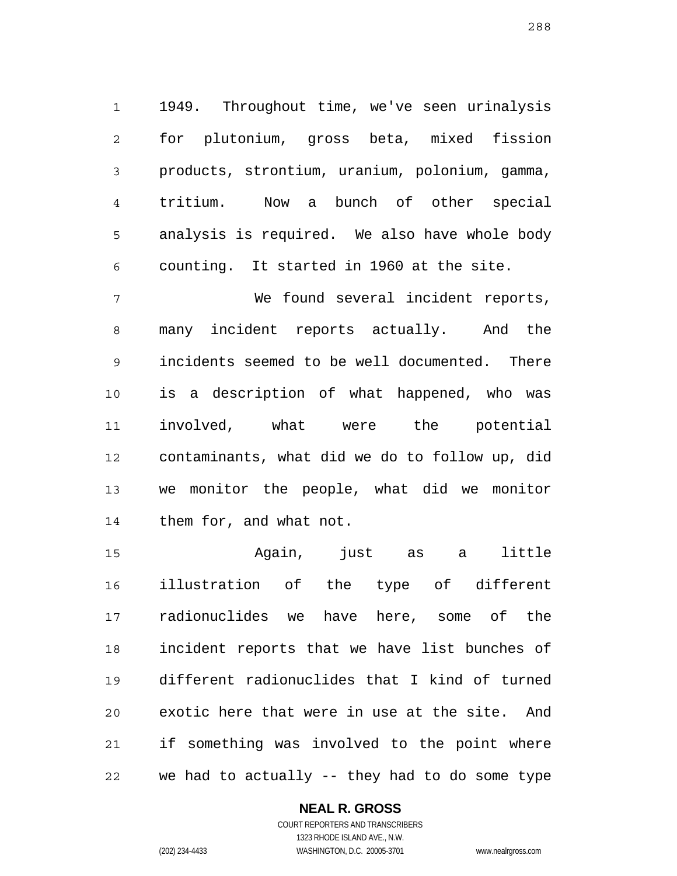1 2 3 4 5 6 1949. Throughout time, we've seen urinalysis for plutonium, gross beta, mixed fission products, strontium, uranium, polonium, gamma, tritium. Now a bunch of other special analysis is required. We also have whole body counting. It started in 1960 at the site.

7 8 9 10 11 12 13 14 We found several incident reports, many incident reports actually. And the incidents seemed to be well documented. There is a description of what happened, who was involved, what were the potential contaminants, what did we do to follow up, did we monitor the people, what did we monitor them for, and what not.

15 16 17 18 19 20 21 22 Again, just as a little illustration of the type of different radionuclides we have here, some of the incident reports that we have list bunches of different radionuclides that I kind of turned exotic here that were in use at the site. And if something was involved to the point where we had to actually -- they had to do some type

# **NEAL R. GROSS**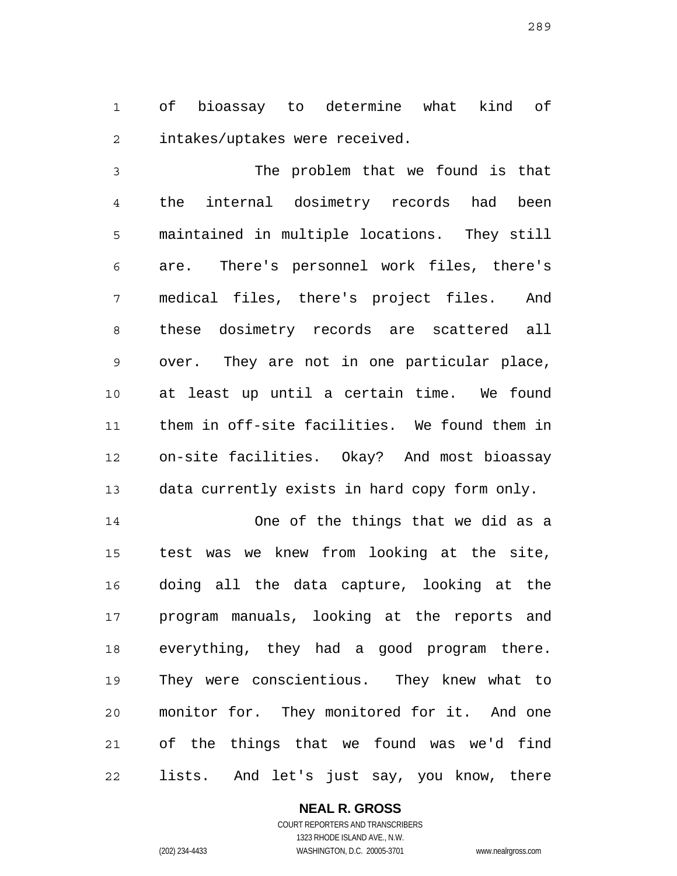1 2 of bioassay to determine what kind of intakes/uptakes were received.

3 4 5 6 7 8 9 10 11 12 13 The problem that we found is that the internal dosimetry records had been maintained in multiple locations. They still are. There's personnel work files, there's medical files, there's project files. And these dosimetry records are scattered all over. They are not in one particular place, at least up until a certain time. We found them in off-site facilities. We found them in on-site facilities. Okay? And most bioassay data currently exists in hard copy form only.

14 15 16 17 18 19 20 21 22 One of the things that we did as a test was we knew from looking at the site, doing all the data capture, looking at the program manuals, looking at the reports and everything, they had a good program there. They were conscientious. They knew what to monitor for. They monitored for it. And one of the things that we found was we'd find lists. And let's just say, you know, there

## **NEAL R. GROSS**

COURT REPORTERS AND TRANSCRIBERS 1323 RHODE ISLAND AVE., N.W. (202) 234-4433 WASHINGTON, D.C. 20005-3701 www.nealrgross.com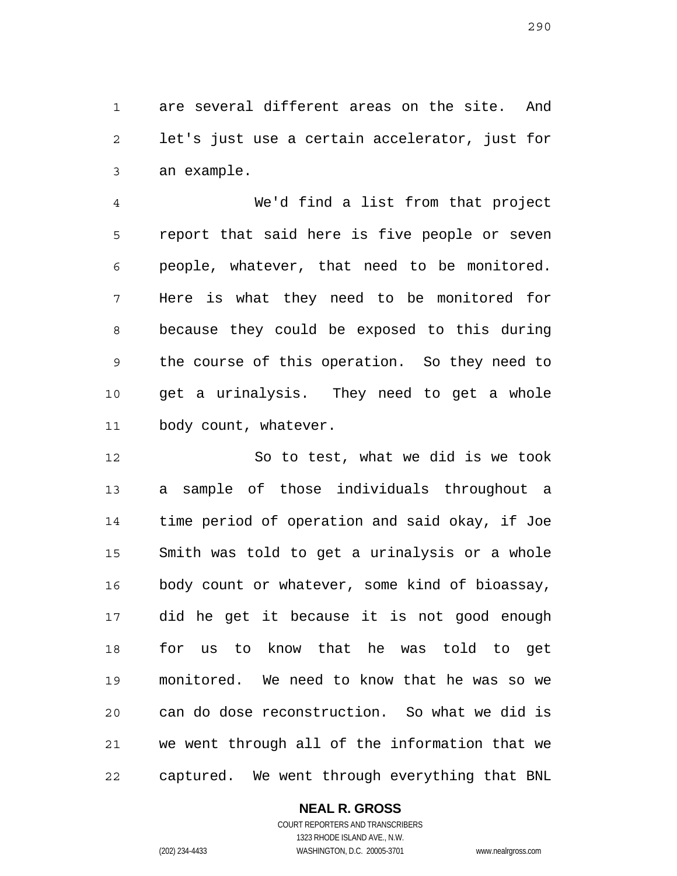1 2 3 are several different areas on the site. And let's just use a certain accelerator, just for an example.

4 5 6 7 8 9 10 11 We'd find a list from that project report that said here is five people or seven people, whatever, that need to be monitored. Here is what they need to be monitored for because they could be exposed to this during the course of this operation. So they need to get a urinalysis. They need to get a whole body count, whatever.

12 13 14 15 16 17 18 19 20 21 22 So to test, what we did is we took a sample of those individuals throughout a time period of operation and said okay, if Joe Smith was told to get a urinalysis or a whole body count or whatever, some kind of bioassay, did he get it because it is not good enough for us to know that he was told to get monitored. We need to know that he was so we can do dose reconstruction. So what we did is we went through all of the information that we captured. We went through everything that BNL

## **NEAL R. GROSS**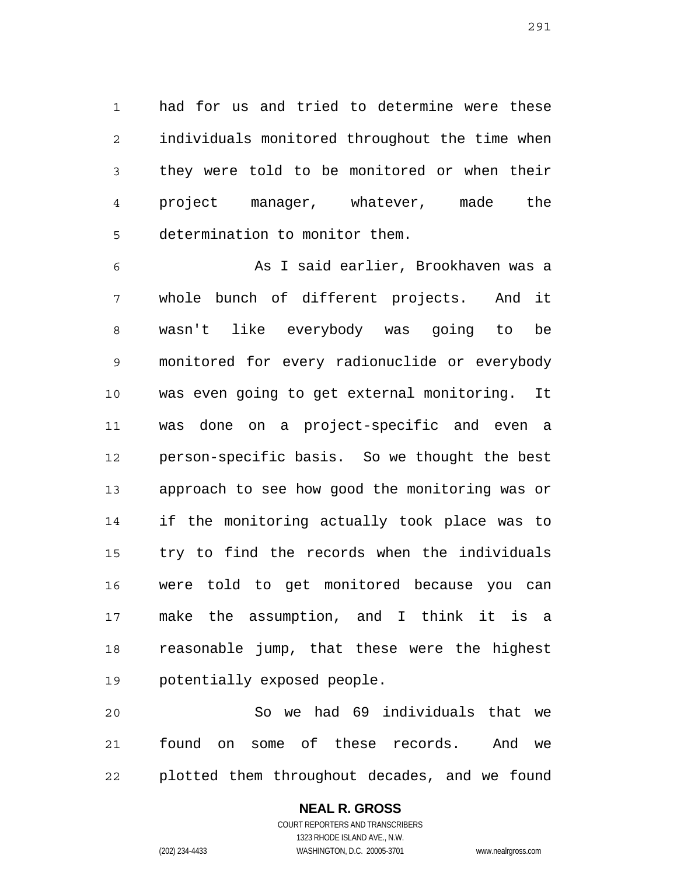1 2 3 4 5 had for us and tried to determine were these individuals monitored throughout the time when they were told to be monitored or when their project manager, whatever, made the determination to monitor them.

6 7 8 9 10 11 12 13 14 15 16 17 18 19 As I said earlier, Brookhaven was a whole bunch of different projects. And it wasn't like everybody was going to be monitored for every radionuclide or everybody was even going to get external monitoring. It was done on a project-specific and even a person-specific basis. So we thought the best approach to see how good the monitoring was or if the monitoring actually took place was to try to find the records when the individuals were told to get monitored because you can make the assumption, and I think it is a reasonable jump, that these were the highest potentially exposed people.

20 21 22 So we had 69 individuals that we found on some of these records. And we plotted them throughout decades, and we found

### **NEAL R. GROSS** COURT REPORTERS AND TRANSCRIBERS 1323 RHODE ISLAND AVE., N.W. (202) 234-4433 WASHINGTON, D.C. 20005-3701 www.nealrgross.com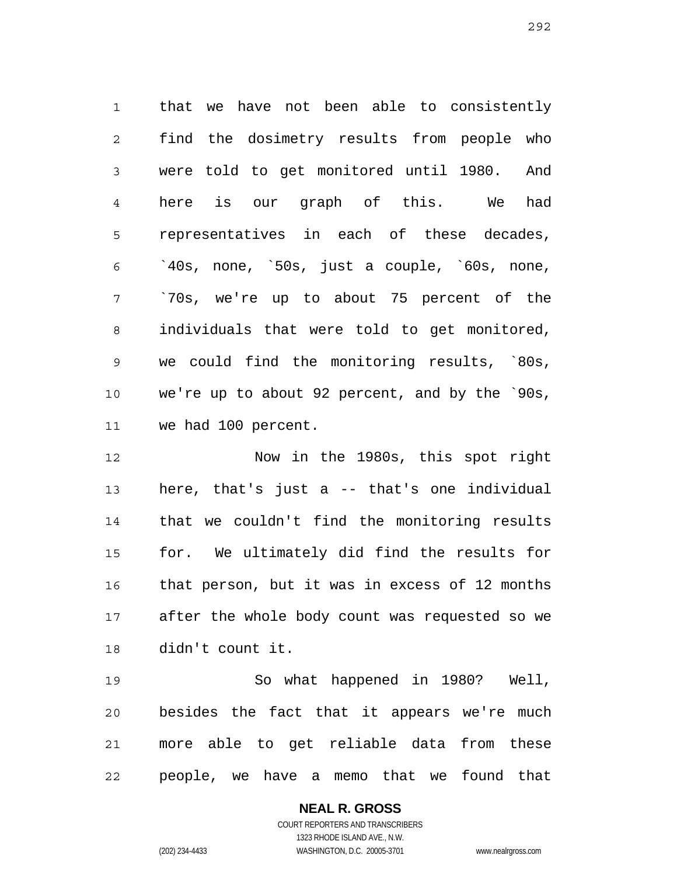1 2 3 4 5 6 7 8 9 10 11 that we have not been able to consistently find the dosimetry results from people who were told to get monitored until 1980. And here is our graph of this. We had representatives in each of these decades, `40s, none, `50s, just a couple, `60s, none, `70s, we're up to about 75 percent of the individuals that were told to get monitored, we could find the monitoring results, `80s, we're up to about 92 percent, and by the `90s, we had 100 percent.

12 13 14 15 16 17 18 Now in the 1980s, this spot right here, that's just a -- that's one individual that we couldn't find the monitoring results for. We ultimately did find the results for that person, but it was in excess of 12 months after the whole body count was requested so we didn't count it.

19 20 21 22 So what happened in 1980? Well, besides the fact that it appears we're much more able to get reliable data from these people, we have a memo that we found that

> **NEAL R. GROSS** COURT REPORTERS AND TRANSCRIBERS 1323 RHODE ISLAND AVE., N.W.

(202) 234-4433 WASHINGTON, D.C. 20005-3701 www.nealrgross.com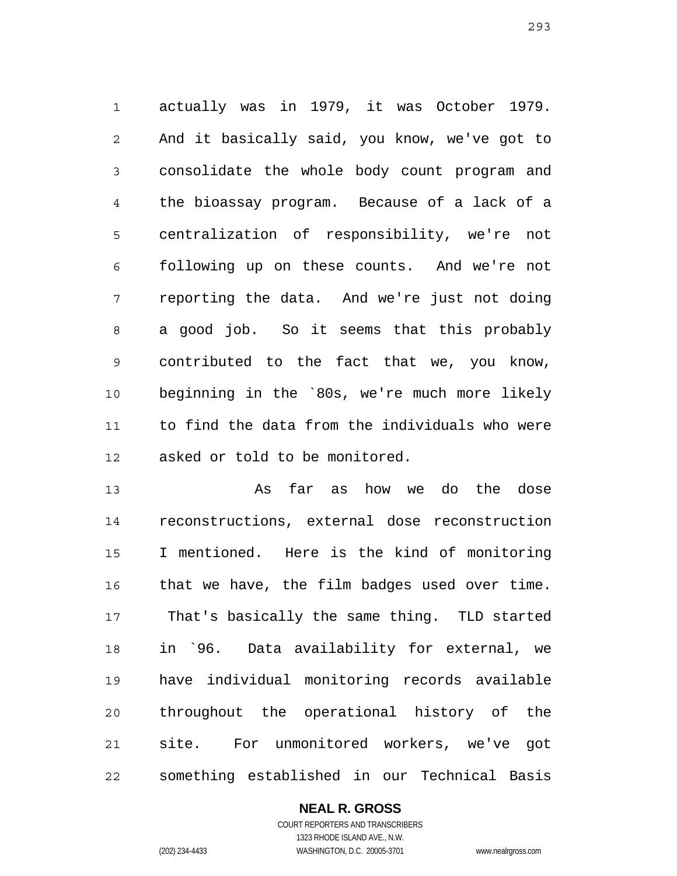1 2 3 4 5 6 7 8 9 10 11 12 actually was in 1979, it was October 1979. And it basically said, you know, we've got to consolidate the whole body count program and the bioassay program. Because of a lack of a centralization of responsibility, we're not following up on these counts. And we're not reporting the data. And we're just not doing a good job. So it seems that this probably contributed to the fact that we, you know, beginning in the `80s, we're much more likely to find the data from the individuals who were asked or told to be monitored.

13 14 15 16 17 18 19 20 21 22 As far as how we do the dose reconstructions, external dose reconstruction I mentioned. Here is the kind of monitoring that we have, the film badges used over time. That's basically the same thing. TLD started in `96. Data availability for external, we have individual monitoring records available throughout the operational history of the site. For unmonitored workers, we've got something established in our Technical Basis

## **NEAL R. GROSS**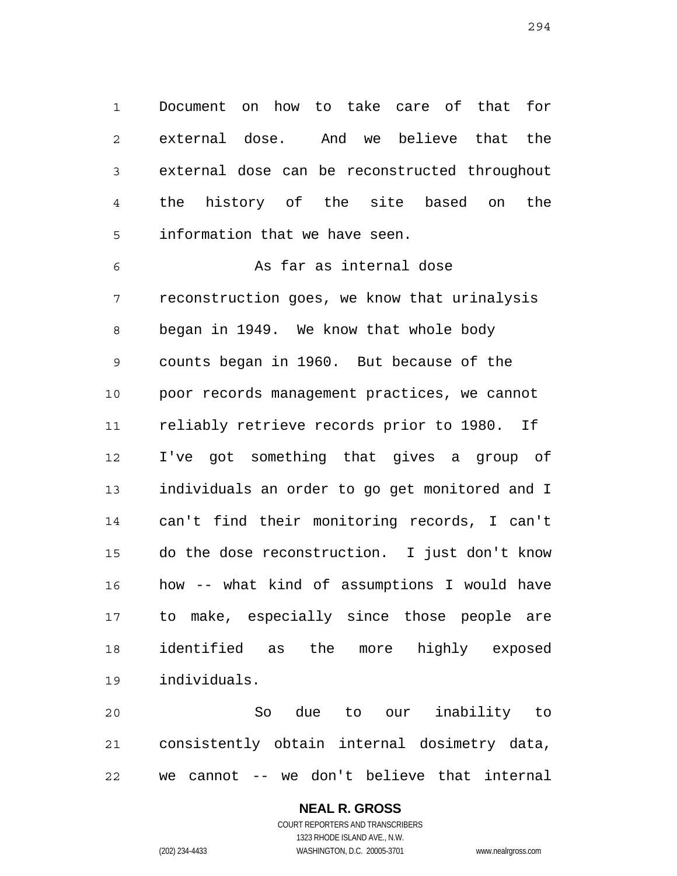1 2 3 4 5 Document on how to take care of that for external dose. And we believe that the external dose can be reconstructed throughout the history of the site based on the information that we have seen.

6 7 8 9 10 11 12 13 14 15 16 17 18 19 As far as internal dose reconstruction goes, we know that urinalysis began in 1949. We know that whole body counts began in 1960. But because of the poor records management practices, we cannot reliably retrieve records prior to 1980. If I've got something that gives a group of individuals an order to go get monitored and I can't find their monitoring records, I can't do the dose reconstruction. I just don't know how -- what kind of assumptions I would have to make, especially since those people are identified as the more highly exposed individuals.

20 21 22 So due to our inability to consistently obtain internal dosimetry data, we cannot -- we don't believe that internal

> **NEAL R. GROSS** COURT REPORTERS AND TRANSCRIBERS 1323 RHODE ISLAND AVE., N.W. (202) 234-4433 WASHINGTON, D.C. 20005-3701 www.nealrgross.com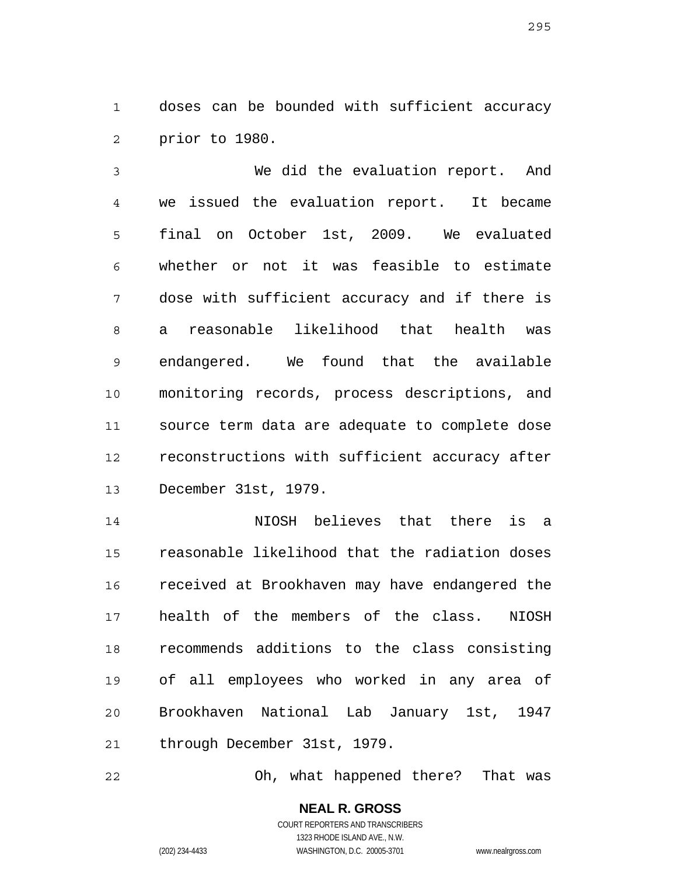1 2 doses can be bounded with sufficient accuracy prior to 1980.

3 4 5 6 7 8 9 10 11 12 13 We did the evaluation report. And we issued the evaluation report. It became final on October 1st, 2009. We evaluated whether or not it was feasible to estimate dose with sufficient accuracy and if there is a reasonable likelihood that health was endangered. We found that the available monitoring records, process descriptions, and source term data are adequate to complete dose reconstructions with sufficient accuracy after December 31st, 1979.

14 15 16 17 18 19 20 21 NIOSH believes that there is a reasonable likelihood that the radiation doses received at Brookhaven may have endangered the health of the members of the class. NIOSH recommends additions to the class consisting of all employees who worked in any area of Brookhaven National Lab January 1st, 1947 through December 31st, 1979.

22 Oh, what happened there? That was

> **NEAL R. GROSS** COURT REPORTERS AND TRANSCRIBERS 1323 RHODE ISLAND AVE., N.W. (202) 234-4433 WASHINGTON, D.C. 20005-3701 www.nealrgross.com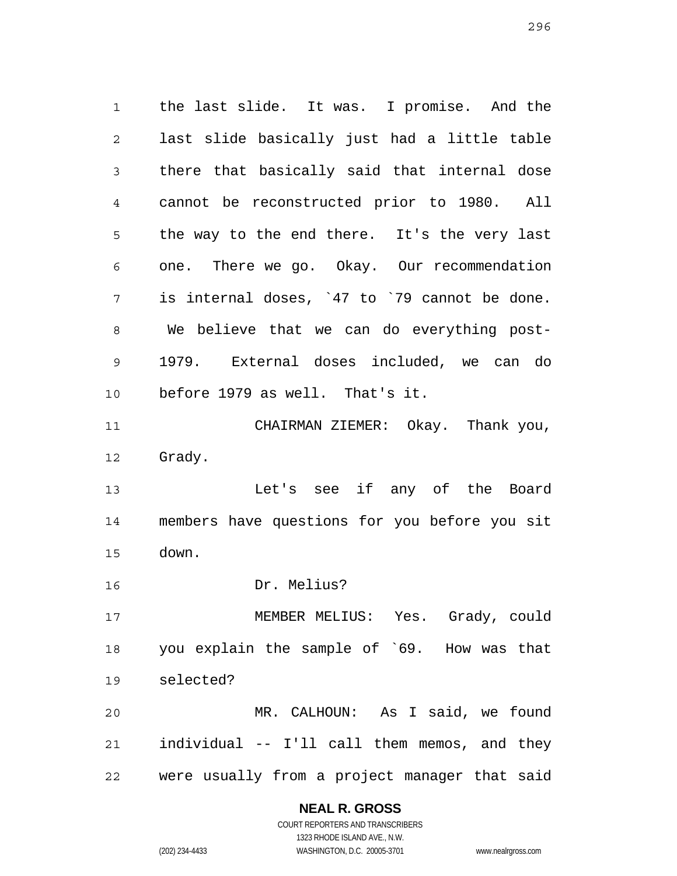1 2 3 4 5 6 7 8 9 10 11 12 13 14 15 16 17 18 19 20 21 22 the last slide. It was. I promise. And the last slide basically just had a little table there that basically said that internal dose cannot be reconstructed prior to 1980. All the way to the end there. It's the very last one. There we go. Okay. Our recommendation is internal doses, `47 to `79 cannot be done. We believe that we can do everything post-1979. External doses included, we can do before 1979 as well. That's it. CHAIRMAN ZIEMER: Okay. Thank you, Grady. Let's see if any of the Board members have questions for you before you sit down. Dr. Melius? MEMBER MELIUS: Yes. Grady, could you explain the sample of `69. How was that selected? MR. CALHOUN: As I said, we found individual -- I'll call them memos, and they were usually from a project manager that said

### **NEAL R. GROSS**

COURT REPORTERS AND TRANSCRIBERS 1323 RHODE ISLAND AVE., N.W. (202) 234-4433 WASHINGTON, D.C. 20005-3701 www.nealrgross.com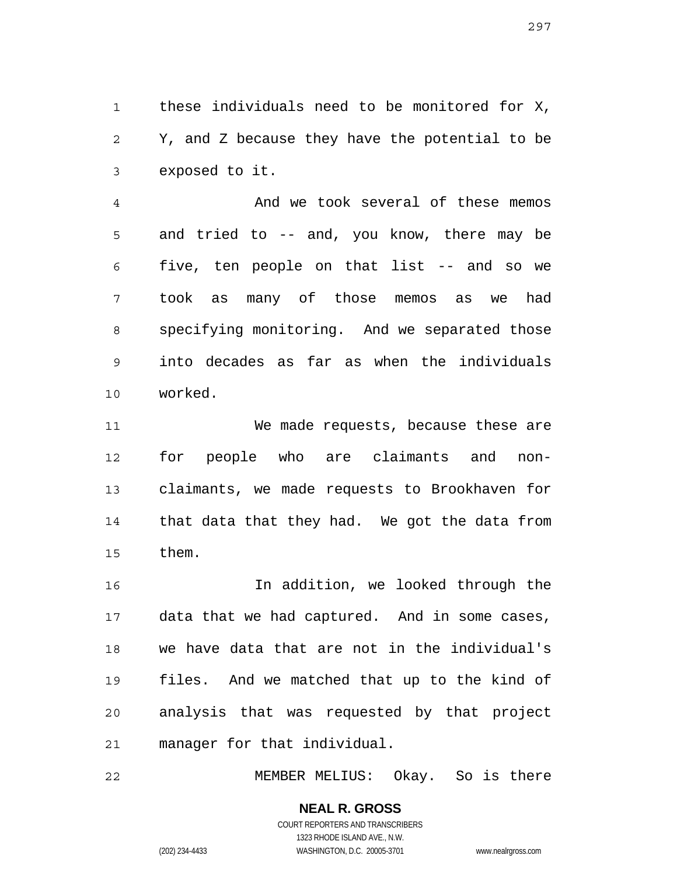1 2 3 these individuals need to be monitored for X, Y, and Z because they have the potential to be exposed to it.

4 5 6 7 8 9 10 And we took several of these memos and tried to -- and, you know, there may be five, ten people on that list -- and so we took as many of those memos as we had specifying monitoring. And we separated those into decades as far as when the individuals worked.

11 12 13 14 15 We made requests, because these are for people who are claimants and nonclaimants, we made requests to Brookhaven for that data that they had. We got the data from them.

16 17 18 19 20 21 In addition, we looked through the data that we had captured. And in some cases, we have data that are not in the individual's files. And we matched that up to the kind of analysis that was requested by that project manager for that individual.

22 MEMBER MELIUS: Okay. So is there

> **NEAL R. GROSS** COURT REPORTERS AND TRANSCRIBERS 1323 RHODE ISLAND AVE., N.W. (202) 234-4433 WASHINGTON, D.C. 20005-3701 www.nealrgross.com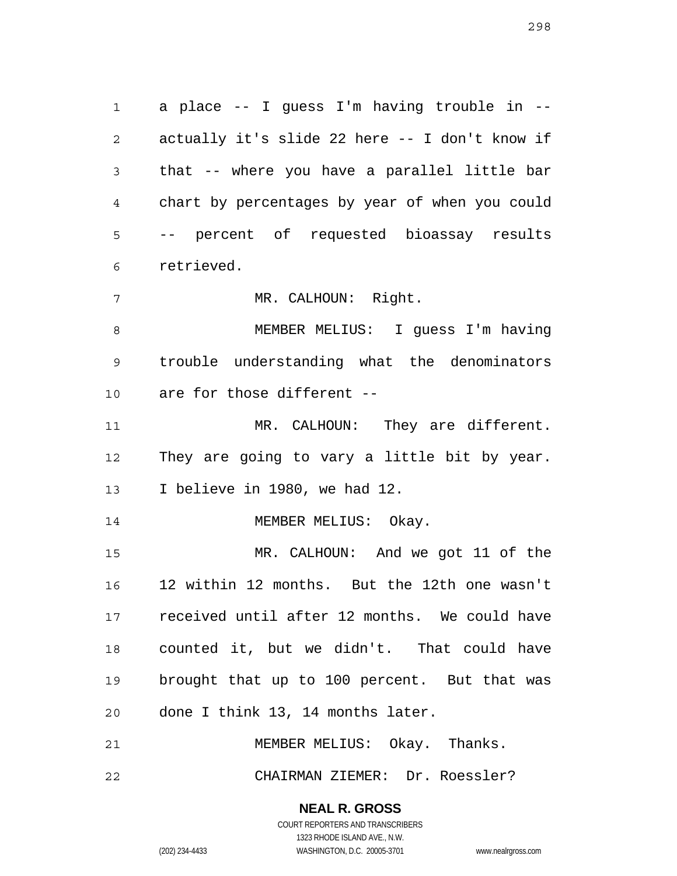1 2 3 4 5 6 a place -- I guess I'm having trouble in - actually it's slide 22 here -- I don't know if that -- where you have a parallel little bar chart by percentages by year of when you could -- percent of requested bioassay results retrieved.

7 MR. CALHOUN: Right.

8 9 10 MEMBER MELIUS: I guess I'm having trouble understanding what the denominators are for those different --

11 12 13 MR. CALHOUN: They are different. They are going to vary a little bit by year. I believe in 1980, we had 12.

14 MEMBER MELIUS: Okay.

15 16 17 18 19 20 MR. CALHOUN: And we got 11 of the 12 within 12 months. But the 12th one wasn't received until after 12 months. We could have counted it, but we didn't. That could have brought that up to 100 percent. But that was done I think 13, 14 months later.

21 MEMBER MELIUS: Okay. Thanks.

22 CHAIRMAN ZIEMER: Dr. Roessler?

> **NEAL R. GROSS** COURT REPORTERS AND TRANSCRIBERS

> > 1323 RHODE ISLAND AVE., N.W.

(202) 234-4433 WASHINGTON, D.C. 20005-3701 www.nealrgross.com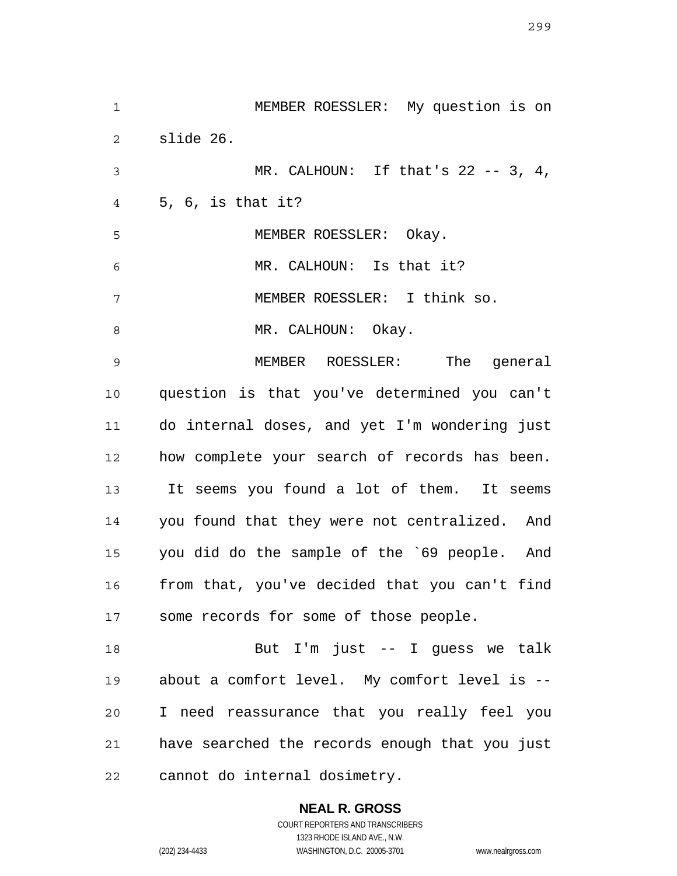1 2 3 4 5 6 7 8 9 10 11 12 13 14 15 16 17 18 19 20 21 22 MEMBER ROESSLER: My question is on slide 26. MR. CALHOUN: If that's  $22 - -3$ , 4, 5, 6, is that it? MEMBER ROESSLER: Okay. MR. CALHOUN: Is that it? MEMBER ROESSLER: I think so. MR. CALHOUN: Okay. MEMBER ROESSLER: The general question is that you've determined you can't do internal doses, and yet I'm wondering just how complete your search of records has been. It seems you found a lot of them. It seems you found that they were not centralized. And you did do the sample of the `69 people. And from that, you've decided that you can't find some records for some of those people. But I'm just -- I guess we talk about a comfort level. My comfort level is -- I need reassurance that you really feel you have searched the records enough that you just cannot do internal dosimetry.

> **NEAL R. GROSS** COURT REPORTERS AND TRANSCRIBERS

> > 1323 RHODE ISLAND AVE., N.W.

(202) 234-4433 WASHINGTON, D.C. 20005-3701 www.nealrgross.com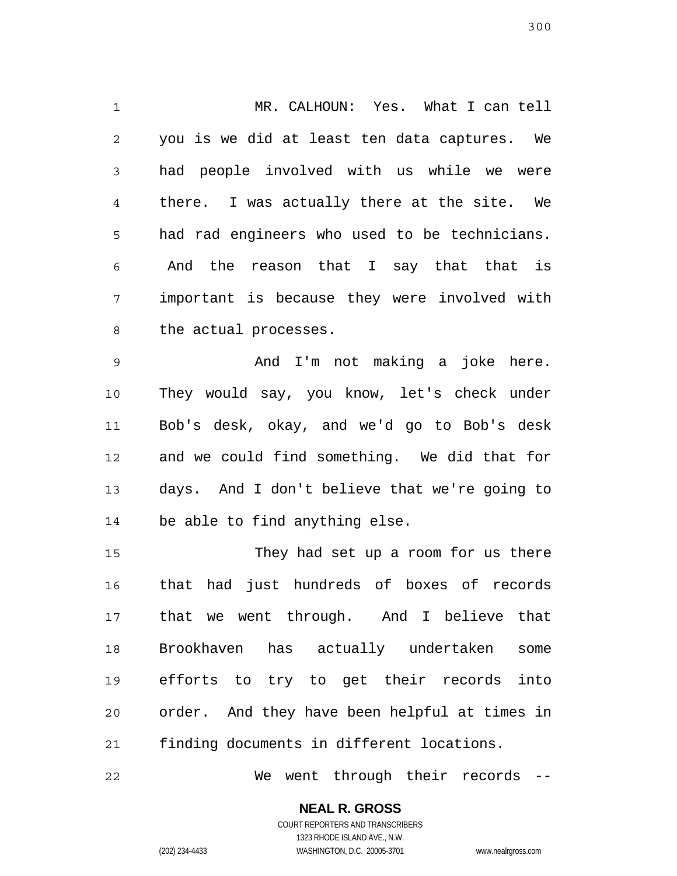1 2 3 4 5 6 7 8 MR. CALHOUN: Yes. What I can tell you is we did at least ten data captures. We had people involved with us while we were there. I was actually there at the site. We had rad engineers who used to be technicians. And the reason that I say that that is important is because they were involved with the actual processes.

9 10 11 12 13 14 And I'm not making a joke here. They would say, you know, let's check under Bob's desk, okay, and we'd go to Bob's desk and we could find something. We did that for days. And I don't believe that we're going to be able to find anything else.

15 16 17 18 19 20 21 They had set up a room for us there that had just hundreds of boxes of records that we went through. And I believe that Brookhaven has actually undertaken some efforts to try to get their records into order. And they have been helpful at times in finding documents in different locations.

22 We went through their records --

**NEAL R. GROSS**

COURT REPORTERS AND TRANSCRIBERS 1323 RHODE ISLAND AVE., N.W. (202) 234-4433 WASHINGTON, D.C. 20005-3701 www.nealrgross.com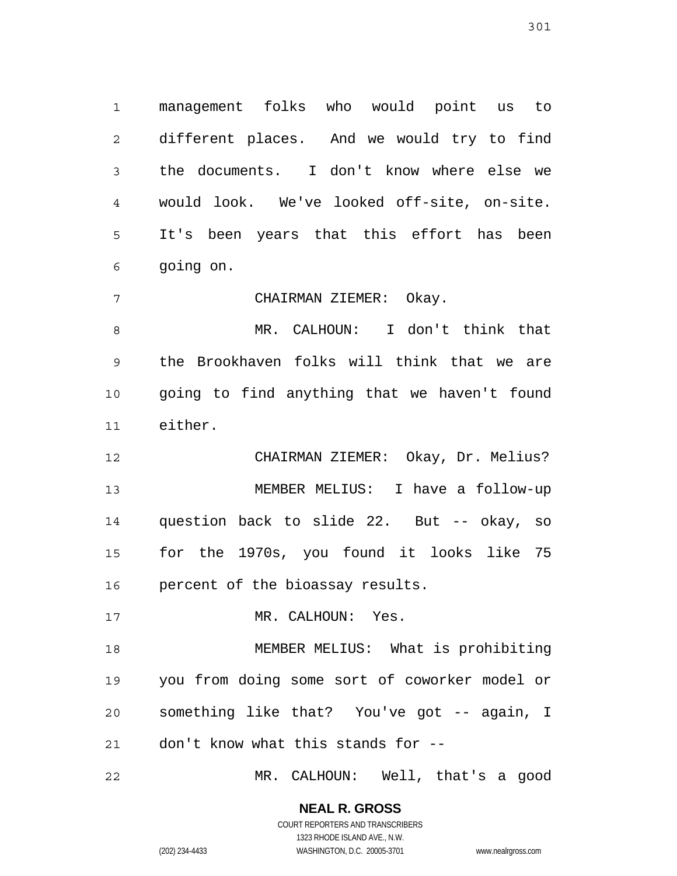1 2 3 4 5 6 management folks who would point us to different places. And we would try to find the documents. I don't know where else we would look. We've looked off-site, on-site. It's been years that this effort has been going on.

7 CHAIRMAN ZIEMER: Okay.

8 9 10 11 MR. CALHOUN: I don't think that the Brookhaven folks will think that we are going to find anything that we haven't found either.

12 13 14 15 16 CHAIRMAN ZIEMER: Okay, Dr. Melius? MEMBER MELIUS: I have a follow-up question back to slide 22. But -- okay, so for the 1970s, you found it looks like 75 percent of the bioassay results.

17 MR. CALHOUN: Yes.

18 19 20 21 MEMBER MELIUS: What is prohibiting you from doing some sort of coworker model or something like that? You've got -- again, I don't know what this stands for --

22 MR. CALHOUN: Well, that's a good

# **NEAL R. GROSS**

COURT REPORTERS AND TRANSCRIBERS 1323 RHODE ISLAND AVE., N.W. (202) 234-4433 WASHINGTON, D.C. 20005-3701 www.nealrgross.com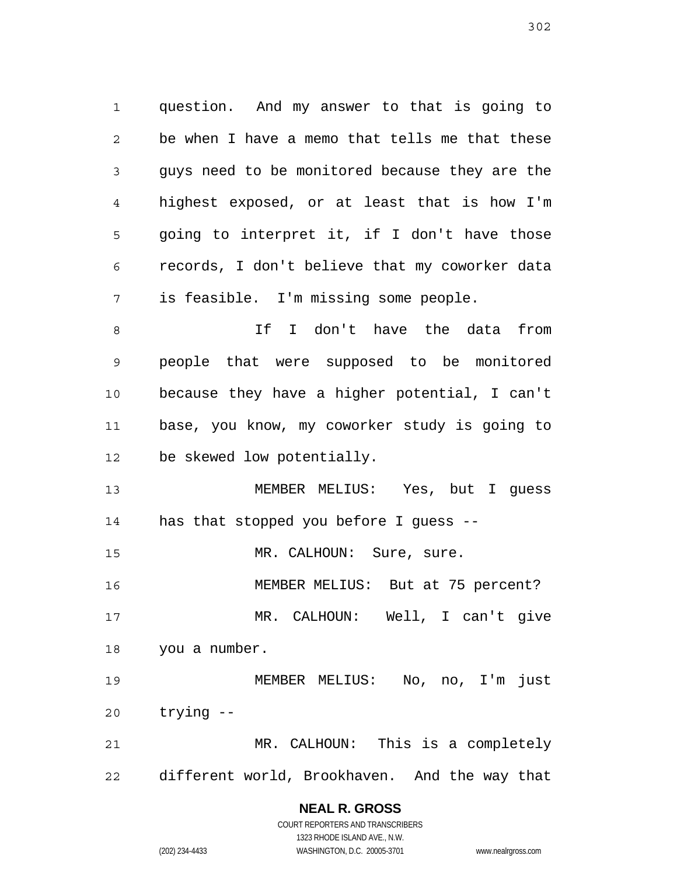1 2 3 4 5 6 7 question. And my answer to that is going to be when I have a memo that tells me that these guys need to be monitored because they are the highest exposed, or at least that is how I'm going to interpret it, if I don't have those records, I don't believe that my coworker data is feasible. I'm missing some people.

8 9 10 11 12 If I don't have the data from people that were supposed to be monitored because they have a higher potential, I can't base, you know, my coworker study is going to be skewed low potentially.

13 14 MEMBER MELIUS: Yes, but I guess has that stopped you before I guess --

15 MR. CALHOUN: Sure, sure.

16 MEMBER MELIUS: But at 75 percent?

17 18 MR. CALHOUN: Well, I can't give you a number.

19 20 MEMBER MELIUS: No, no, I'm just trying --

21 22 MR. CALHOUN: This is a completely different world, Brookhaven. And the way that

> **NEAL R. GROSS** COURT REPORTERS AND TRANSCRIBERS

1323 RHODE ISLAND AVE., N.W. (202) 234-4433 WASHINGTON, D.C. 20005-3701 www.nealrgross.com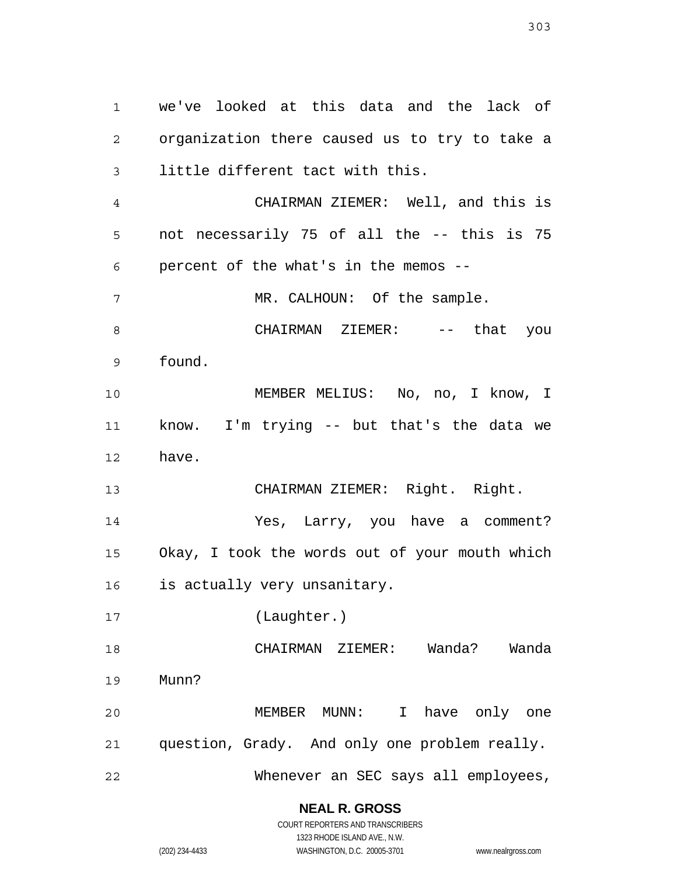1 2 3 4 5 6 7 8 9 10 11 12 13 14 15 16 17 18 19 20 21 22 we've looked at this data and the lack of organization there caused us to try to take a little different tact with this. CHAIRMAN ZIEMER: Well, and this is not necessarily 75 of all the -- this is 75 percent of the what's in the memos -- MR. CALHOUN: Of the sample. CHAIRMAN ZIEMER: -- that you found. MEMBER MELIUS: No, no, I know, I know. I'm trying -- but that's the data we have. CHAIRMAN ZIEMER: Right. Right. Yes, Larry, you have a comment? Okay, I took the words out of your mouth which is actually very unsanitary. (Laughter.) CHAIRMAN ZIEMER: Wanda? Wanda Munn? MEMBER MUNN: I have only one question, Grady. And only one problem really. Whenever an SEC says all employees,

# **NEAL R. GROSS**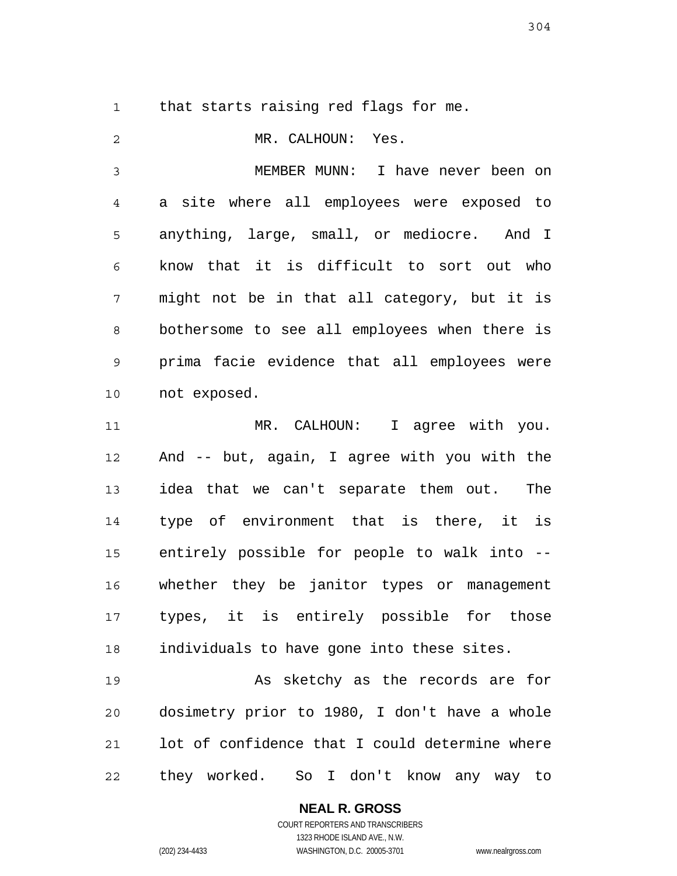1 that starts raising red flags for me.

2 3 4 5 6 7 8 9 10 11 12 13 14 15 16 17 18 19 20 21 MR. CALHOUN: Yes. MEMBER MUNN: I have never been on a site where all employees were exposed to anything, large, small, or mediocre. And I know that it is difficult to sort out who might not be in that all category, but it is bothersome to see all employees when there is prima facie evidence that all employees were not exposed. MR. CALHOUN: I agree with you. And -- but, again, I agree with you with the idea that we can't separate them out. The type of environment that is there, it is entirely possible for people to walk into - whether they be janitor types or management types, it is entirely possible for those individuals to have gone into these sites. As sketchy as the records are for dosimetry prior to 1980, I don't have a whole lot of confidence that I could determine where

**NEAL R. GROSS**

they worked. So I don't know any way to

22

COURT REPORTERS AND TRANSCRIBERS 1323 RHODE ISLAND AVE., N.W. (202) 234-4433 WASHINGTON, D.C. 20005-3701 www.nealrgross.com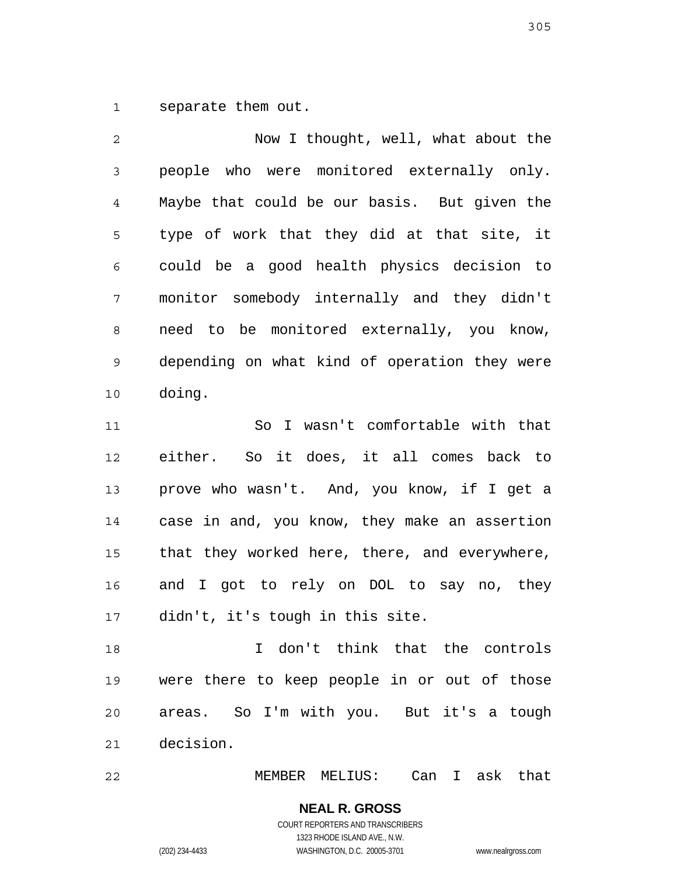1 separate them out.

2 3 4 5 6 7 8 9 10 11 12 13 14 15 16 17 18 19 20 21 Now I thought, well, what about the people who were monitored externally only. Maybe that could be our basis. But given the type of work that they did at that site, it could be a good health physics decision to monitor somebody internally and they didn't need to be monitored externally, you know, depending on what kind of operation they were doing. So I wasn't comfortable with that either. So it does, it all comes back to prove who wasn't. And, you know, if I get a case in and, you know, they make an assertion that they worked here, there, and everywhere, and I got to rely on DOL to say no, they didn't, it's tough in this site. I don't think that the controls were there to keep people in or out of those areas. So I'm with you. But it's a tough decision.

22 MEMBER MELIUS: Can I ask that

> **NEAL R. GROSS** COURT REPORTERS AND TRANSCRIBERS 1323 RHODE ISLAND AVE., N.W. (202) 234-4433 WASHINGTON, D.C. 20005-3701 www.nealrgross.com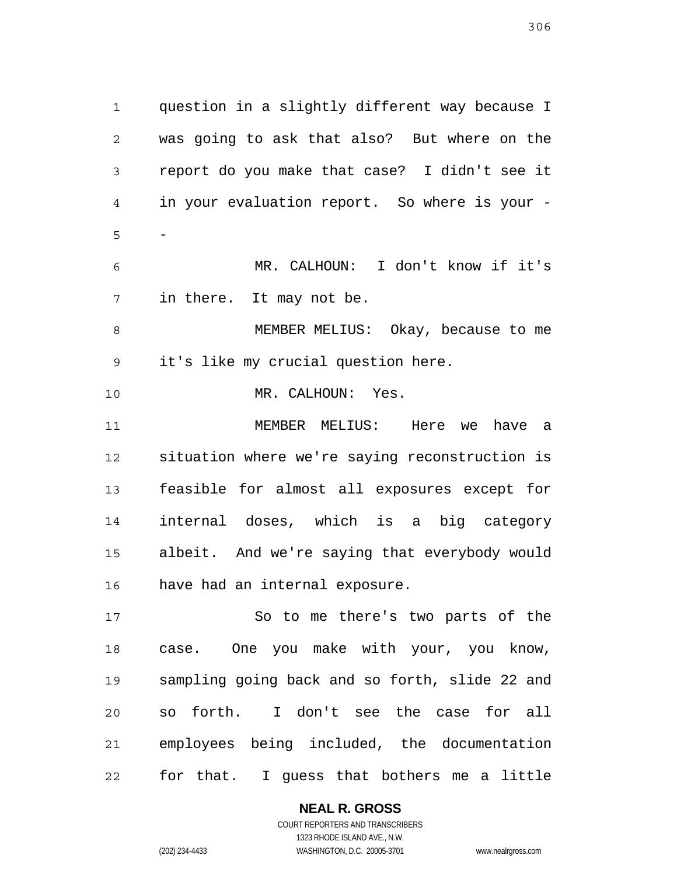1 2 3 4 5 6 7 8 9 10 11 12 13 14 15 16 17 question in a slightly different way because I was going to ask that also? But where on the report do you make that case? I didn't see it in your evaluation report. So where is your - - MR. CALHOUN: I don't know if it's in there. It may not be. MEMBER MELIUS: Okay, because to me it's like my crucial question here. MR. CALHOUN: Yes. MEMBER MELIUS: Here we have a situation where we're saying reconstruction is feasible for almost all exposures except for internal doses, which is a big category albeit. And we're saying that everybody would have had an internal exposure. So to me there's two parts of the

18 19 20 21 22 case. One you make with your, you know, sampling going back and so forth, slide 22 and so forth. I don't see the case for all employees being included, the documentation for that. I guess that bothers me a little

**NEAL R. GROSS**

COURT REPORTERS AND TRANSCRIBERS 1323 RHODE ISLAND AVE., N.W. (202) 234-4433 WASHINGTON, D.C. 20005-3701 www.nealrgross.com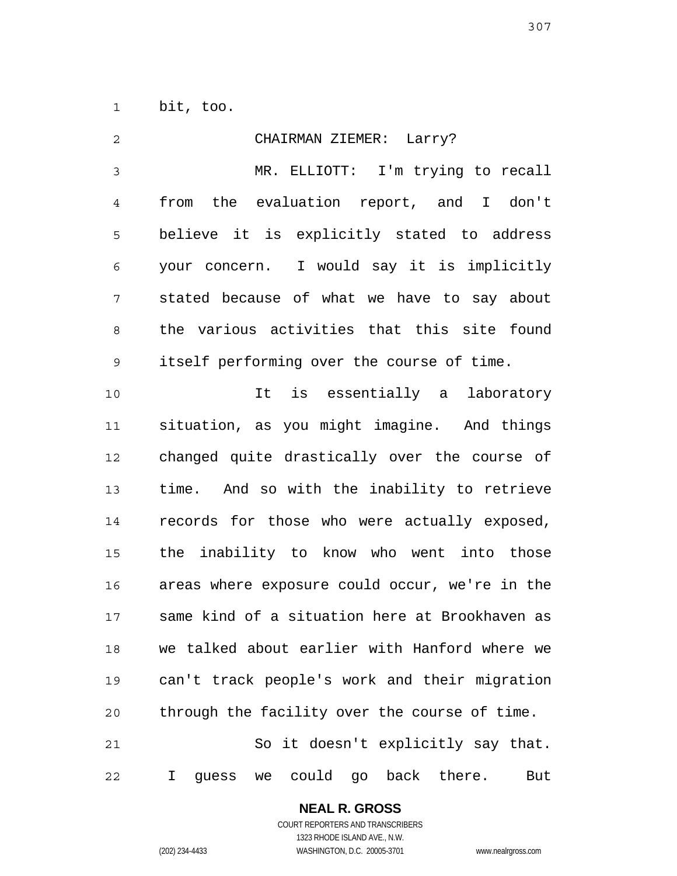1 bit, too.

| 2              | CHAIRMAN ZIEMER: Larry?                        |
|----------------|------------------------------------------------|
| $\mathfrak{Z}$ | MR. ELLIOTT: I'm trying to recall              |
| 4              | the evaluation report, and I don't<br>from     |
| 5              | believe it is explicitly stated to address     |
| 6              | your concern. I would say it is implicitly     |
| 7              | stated because of what we have to say about    |
| 8              | the various activities that this site found    |
| 9              | itself performing over the course of time.     |
| 10             | It is essentially a laboratory                 |
| 11             | situation, as you might imagine. And things    |
| 12             | changed quite drastically over the course of   |
| 13             | time. And so with the inability to retrieve    |
| 14             | records for those who were actually exposed,   |
| 15             | the inability to know who went into those      |
| 16             | areas where exposure could occur, we're in the |
| 17             | same kind of a situation here at Brookhaven as |
| 18             | we talked about earlier with Hanford where we  |
| 19             | can't track people's work and their migration  |
| 20             | through the facility over the course of time.  |
| 21             | So it doesn't explicitly say that.             |
| 22             | guess we could go back there.<br>But<br>I      |

**NEAL R. GROSS** COURT REPORTERS AND TRANSCRIBERS

1323 RHODE ISLAND AVE., N.W.

(202) 234-4433 WASHINGTON, D.C. 20005-3701 www.nealrgross.com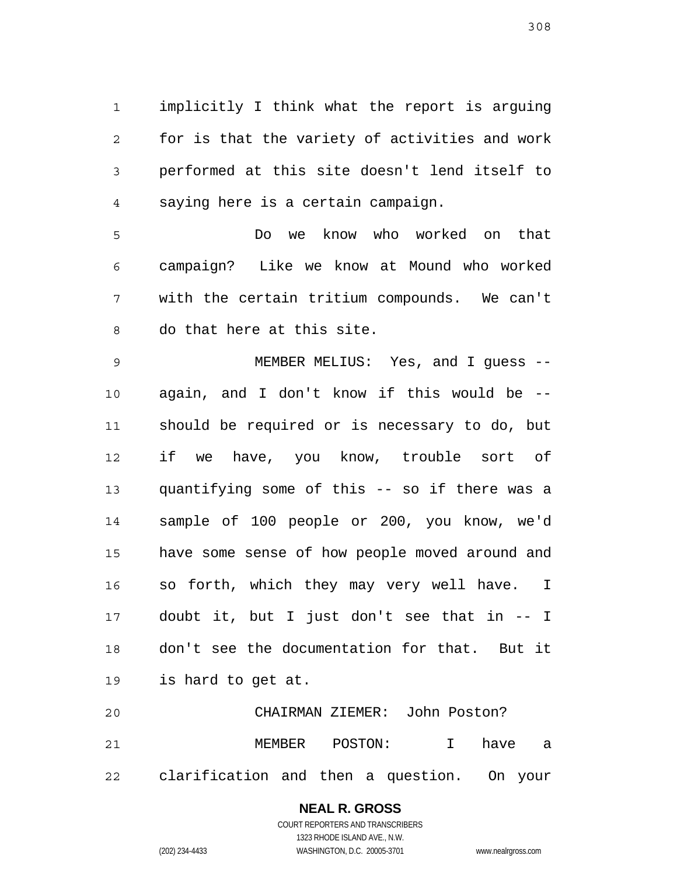1 2 3 4 implicitly I think what the report is arguing for is that the variety of activities and work performed at this site doesn't lend itself to saying here is a certain campaign.

5 6 7 8 Do we know who worked on that campaign? Like we know at Mound who worked with the certain tritium compounds. We can't do that here at this site.

9 10 11 12 13 14 15 16 17 18 19 MEMBER MELIUS: Yes, and I guess - again, and I don't know if this would be - should be required or is necessary to do, but if we have, you know, trouble sort of quantifying some of this -- so if there was a sample of 100 people or 200, you know, we'd have some sense of how people moved around and so forth, which they may very well have. I doubt it, but I just don't see that in -- I don't see the documentation for that. But it is hard to get at.

20 21 22 CHAIRMAN ZIEMER: John Poston? MEMBER POSTON: I have a clarification and then a question. On your

## **NEAL R. GROSS**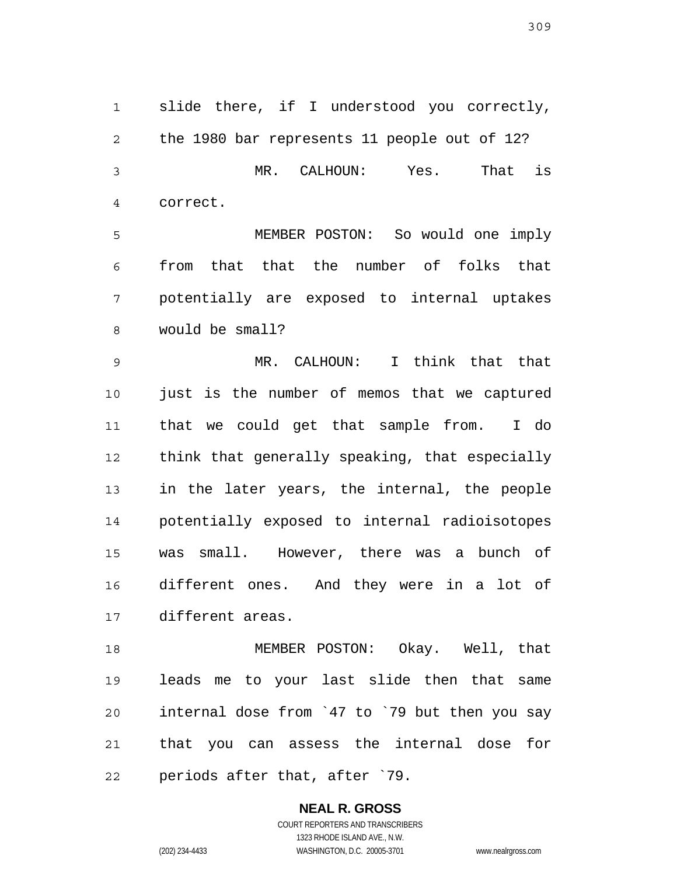1 2 3 4 slide there, if I understood you correctly, the 1980 bar represents 11 people out of 12? MR. CALHOUN: Yes. That is correct.

5 6 7 8 MEMBER POSTON: So would one imply from that that the number of folks that potentially are exposed to internal uptakes would be small?

9 10 11 12 13 14 15 16 17 MR. CALHOUN: I think that that just is the number of memos that we captured that we could get that sample from. I do think that generally speaking, that especially in the later years, the internal, the people potentially exposed to internal radioisotopes was small. However, there was a bunch of different ones. And they were in a lot of different areas.

18 19 20 21 22 MEMBER POSTON: Okay. Well, that leads me to your last slide then that same internal dose from `47 to `79 but then you say that you can assess the internal dose for periods after that, after `79.

> **NEAL R. GROSS** COURT REPORTERS AND TRANSCRIBERS 1323 RHODE ISLAND AVE., N.W. (202) 234-4433 WASHINGTON, D.C. 20005-3701 www.nealrgross.com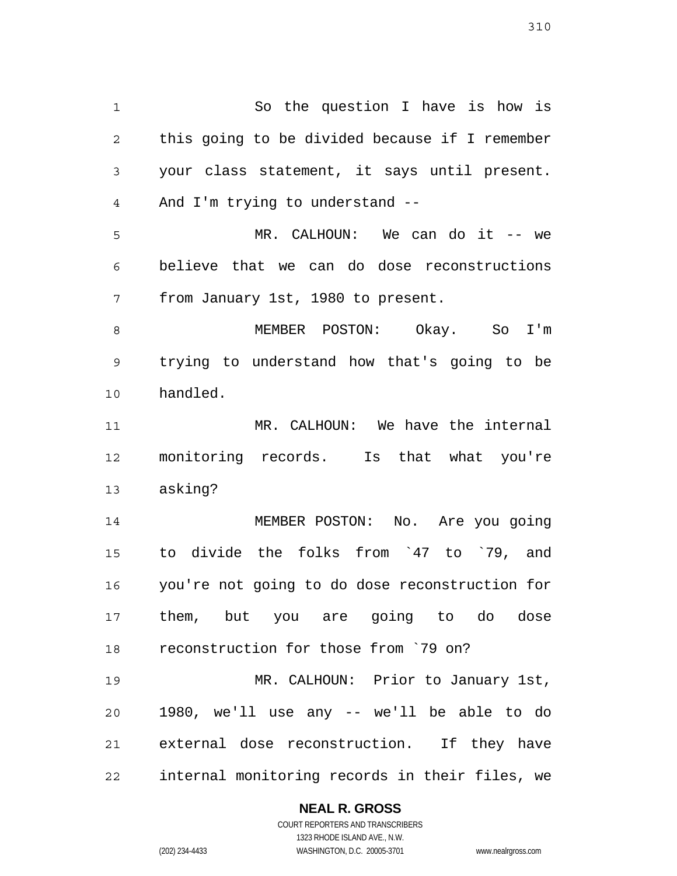1 2 3 4 5 6 7 8 9 10 11 12 13 So the question I have is how is this going to be divided because if I remember your class statement, it says until present. And I'm trying to understand -- MR. CALHOUN: We can do it -- we believe that we can do dose reconstructions from January 1st, 1980 to present. MEMBER POSTON: Okay. So I'm trying to understand how that's going to be handled. MR. CALHOUN: We have the internal monitoring records. Is that what you're asking?

14 15 16 17 18 MEMBER POSTON: No. Are you going to divide the folks from `47 to `79, and you're not going to do dose reconstruction for them, but you are going to do dose reconstruction for those from `79 on?

19 20 21 22 MR. CALHOUN: Prior to January 1st, 1980, we'll use any -- we'll be able to do external dose reconstruction. If they have internal monitoring records in their files, we

## **NEAL R. GROSS**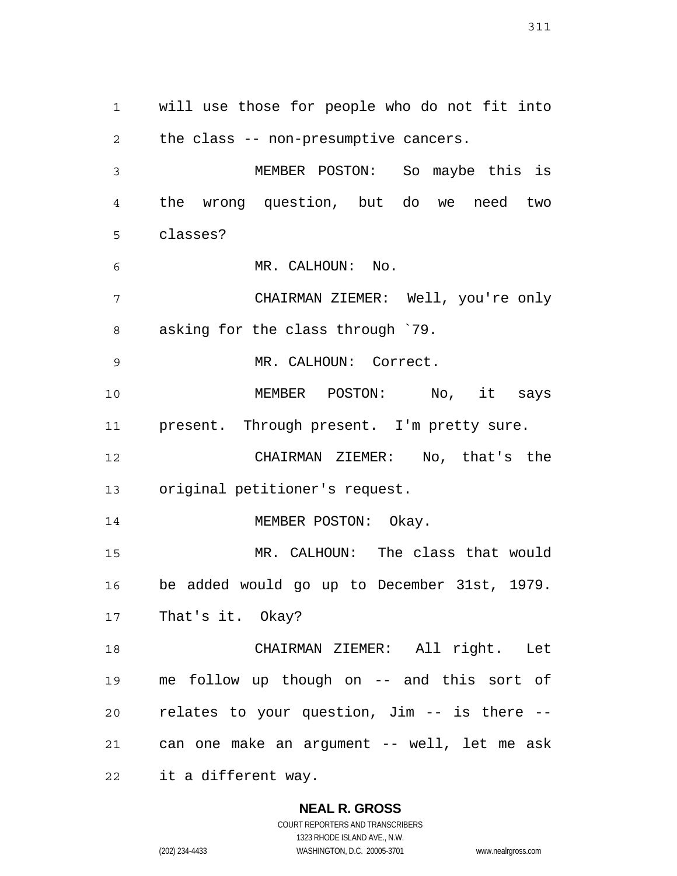1 2 3 4 5 6 7 8 9 10 11 12 13 14 15 16 17 18 19 20 21 22 will use those for people who do not fit into the class -- non-presumptive cancers. MEMBER POSTON: So maybe this is the wrong question, but do we need two classes? MR. CALHOUN: No. CHAIRMAN ZIEMER: Well, you're only asking for the class through `79. MR. CALHOUN: Correct. MEMBER POSTON: No, it says present. Through present. I'm pretty sure. CHAIRMAN ZIEMER: No, that's the original petitioner's request. MEMBER POSTON: Okay. MR. CALHOUN: The class that would be added would go up to December 31st, 1979. That's it. Okay? CHAIRMAN ZIEMER: All right. Let me follow up though on -- and this sort of relates to your question, Jim -- is there - can one make an argument -- well, let me ask it a different way.

> **NEAL R. GROSS** COURT REPORTERS AND TRANSCRIBERS

1323 RHODE ISLAND AVE., N.W. (202) 234-4433 WASHINGTON, D.C. 20005-3701 www.nealrgross.com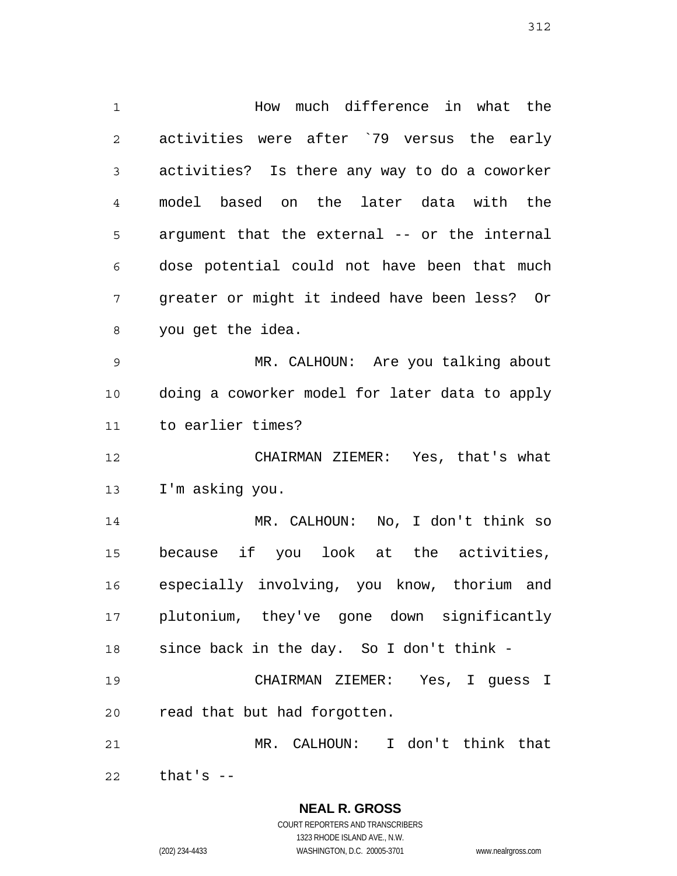1 2 3 4 5 6 7 8 9 10 11 12 13 14 15 16 17 18 19 20 21 How much difference in what the activities were after `79 versus the early activities? Is there any way to do a coworker model based on the later data with the argument that the external -- or the internal dose potential could not have been that much greater or might it indeed have been less? Or you get the idea. MR. CALHOUN: Are you talking about doing a coworker model for later data to apply to earlier times? CHAIRMAN ZIEMER: Yes, that's what I'm asking you. MR. CALHOUN: No, I don't think so because if you look at the activities, especially involving, you know, thorium and plutonium, they've gone down significantly since back in the day. So I don't think - CHAIRMAN ZIEMER: Yes, I guess I read that but had forgotten. MR. CALHOUN: I don't think that

22 that's  $-$ 

> **NEAL R. GROSS** COURT REPORTERS AND TRANSCRIBERS

> > 1323 RHODE ISLAND AVE., N.W.

(202) 234-4433 WASHINGTON, D.C. 20005-3701 www.nealrgross.com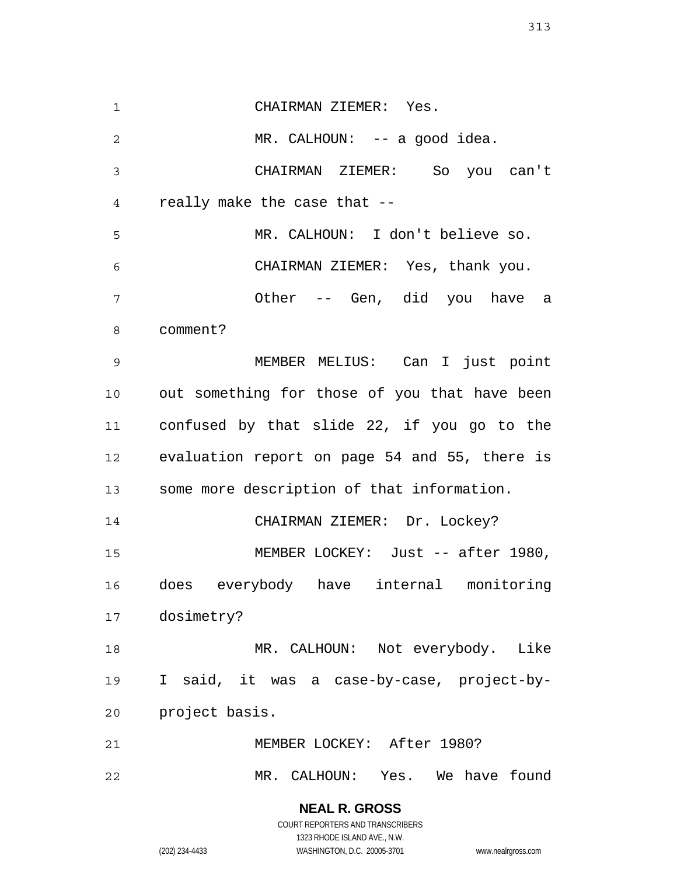1 2 3 4 5 6 7 8 9 10 11 12 13 14 15 16 17 18 19 20 21 22 CHAIRMAN ZIEMER: Yes. MR. CALHOUN: -- a good idea. CHAIRMAN ZIEMER: So you can't really make the case that -- MR. CALHOUN: I don't believe so. CHAIRMAN ZIEMER: Yes, thank you. Other -- Gen, did you have a comment? MEMBER MELIUS: Can I just point out something for those of you that have been confused by that slide 22, if you go to the evaluation report on page 54 and 55, there is some more description of that information. CHAIRMAN ZIEMER: Dr. Lockey? MEMBER LOCKEY: Just -- after 1980, does everybody have internal monitoring dosimetry? MR. CALHOUN: Not everybody. Like I said, it was a case-by-case, project-byproject basis. MEMBER LOCKEY: After 1980? MR. CALHOUN: Yes. We have found

> **NEAL R. GROSS** COURT REPORTERS AND TRANSCRIBERS 1323 RHODE ISLAND AVE., N.W.

(202) 234-4433 WASHINGTON, D.C. 20005-3701 www.nealrgross.com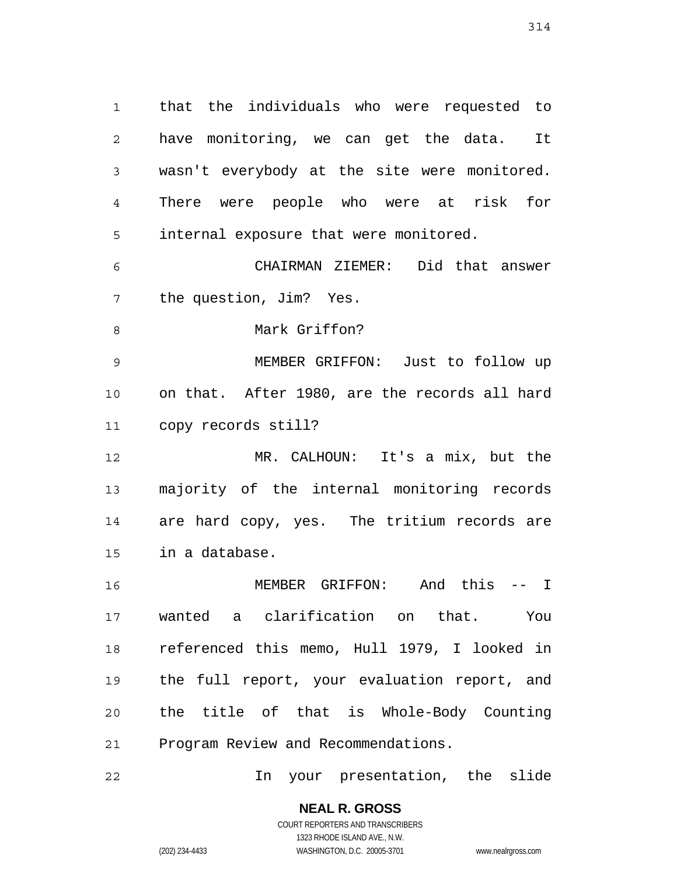1 2 3 4 5 that the individuals who were requested to have monitoring, we can get the data. It wasn't everybody at the site were monitored. There were people who were at risk for internal exposure that were monitored.

6 7 CHAIRMAN ZIEMER: Did that answer the question, Jim? Yes.

8 Mark Griffon?

9 10 11 MEMBER GRIFFON: Just to follow up on that. After 1980, are the records all hard copy records still?

12 13 14 15 MR. CALHOUN: It's a mix, but the majority of the internal monitoring records are hard copy, yes. The tritium records are in a database.

16 17 18 19 20 21 MEMBER GRIFFON: And this -- I wanted a clarification on that. You referenced this memo, Hull 1979, I looked in the full report, your evaluation report, and the title of that is Whole-Body Counting Program Review and Recommendations.

22 In your presentation, the slide

> **NEAL R. GROSS** COURT REPORTERS AND TRANSCRIBERS

> > 1323 RHODE ISLAND AVE., N.W.

(202) 234-4433 WASHINGTON, D.C. 20005-3701 www.nealrgross.com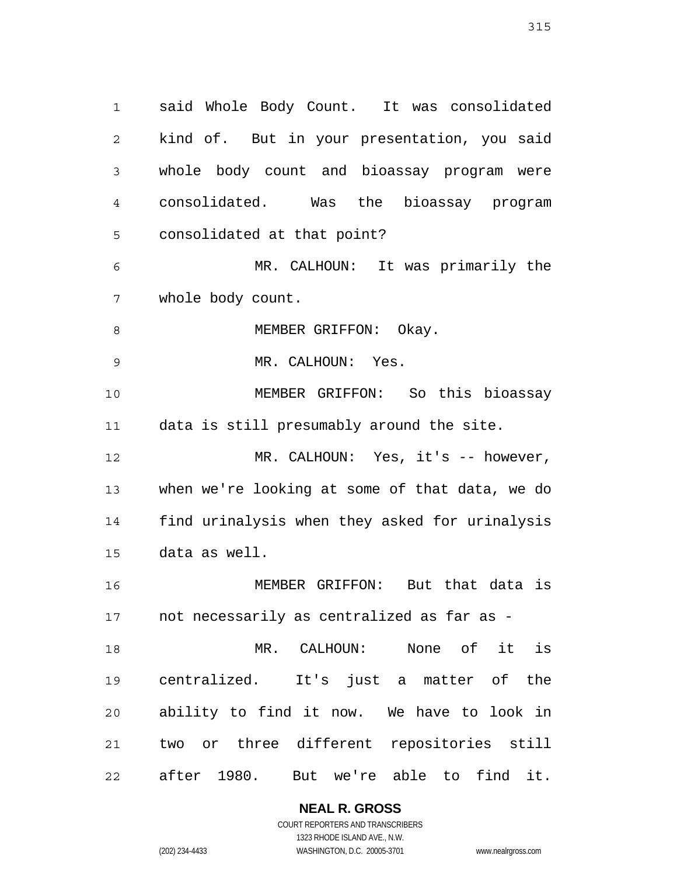1 2 3 4 5 6 7 8 9 10 11 12 13 14 15 16 17 18 19 20 21 22 said Whole Body Count. It was consolidated kind of. But in your presentation, you said whole body count and bioassay program were consolidated. Was the bioassay program consolidated at that point? MR. CALHOUN: It was primarily the whole body count. MEMBER GRIFFON: Okay. MR. CALHOUN: Yes. MEMBER GRIFFON: So this bioassay data is still presumably around the site. MR. CALHOUN: Yes, it's -- however, when we're looking at some of that data, we do find urinalysis when they asked for urinalysis data as well. MEMBER GRIFFON: But that data is not necessarily as centralized as far as - MR. CALHOUN: None of it is centralized. It's just a matter of the ability to find it now. We have to look in two or three different repositories still after 1980. But we're able to find it.

> **NEAL R. GROSS** COURT REPORTERS AND TRANSCRIBERS

1323 RHODE ISLAND AVE., N.W. (202) 234-4433 WASHINGTON, D.C. 20005-3701 www.nealrgross.com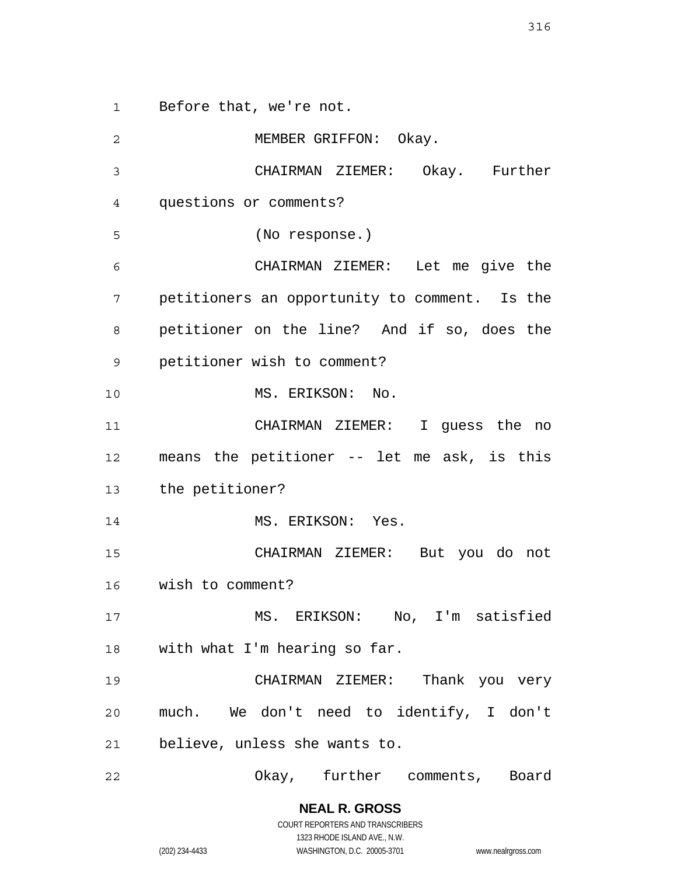1 Before that, we're not.

2 3 4 5 6 7 8 9 10 11 12 13 14 15 16 17 18 19 20 21 22 MEMBER GRIFFON: Okay. CHAIRMAN ZIEMER: Okay. Further questions or comments? (No response.) CHAIRMAN ZIEMER: Let me give the petitioners an opportunity to comment. Is the petitioner on the line? And if so, does the petitioner wish to comment? MS. ERIKSON: No. CHAIRMAN ZIEMER: I guess the no means the petitioner -- let me ask, is this the petitioner? MS. ERIKSON: Yes. CHAIRMAN ZIEMER: But you do not wish to comment? MS. ERIKSON: No, I'm satisfied with what I'm hearing so far. CHAIRMAN ZIEMER: Thank you very much. We don't need to identify, I don't believe, unless she wants to. Okay, further comments, Board

(202) 234-4433 WASHINGTON, D.C. 20005-3701 www.nealrgross.com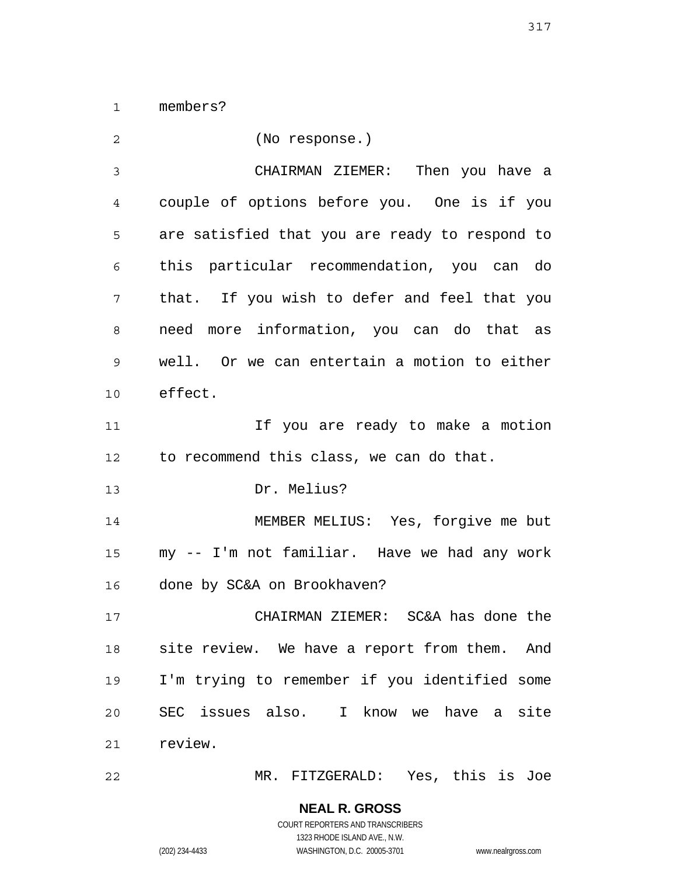1 members?

| $\overline{2}$ | (No response.)                                 |
|----------------|------------------------------------------------|
| $\mathfrak{Z}$ | CHAIRMAN ZIEMER: Then you have a               |
| $\overline{4}$ | couple of options before you. One is if you    |
| 5              | are satisfied that you are ready to respond to |
| 6              | this particular recommendation, you can do     |
| 7              | that. If you wish to defer and feel that you   |
| 8              | need more information, you can do that as      |
| 9              | well. Or we can entertain a motion to either   |
| 10             | effect.                                        |
| 11             | If you are ready to make a motion              |
| 12             | to recommend this class, we can do that.       |
| 13             | Dr. Melius?                                    |
| 14             | MEMBER MELIUS: Yes, forgive me but             |
| 15             | my -- I'm not familiar. Have we had any work   |
| 16             | done by SC&A on Brookhaven?                    |
| 17             | CHAIRMAN ZIEMER: SC&A has done the             |
| 18             | site review. We have a report from them. And   |
| 19             | I'm trying to remember if you identified some  |
| 20             | SEC issues also. I know we have a site         |
| 21             | review.                                        |
| 22             | MR. FITZGERALD: Yes, this is Joe               |

317

COURT REPORTERS AND TRANSCRIBERS 1323 RHODE ISLAND AVE., N.W. (202) 234-4433 WASHINGTON, D.C. 20005-3701 www.nealrgross.com

**NEAL R. GROSS**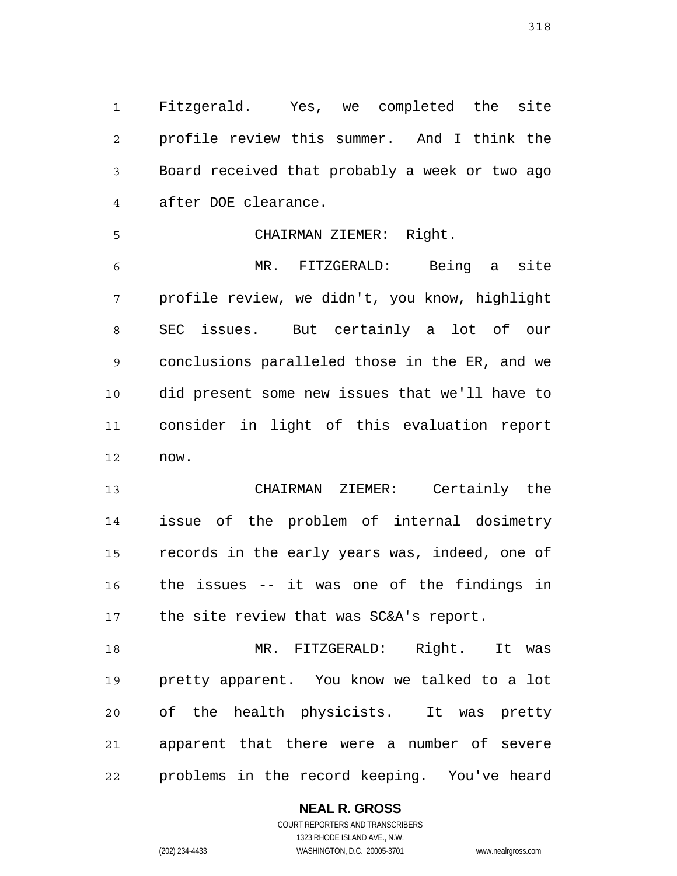1 2 3 4 Fitzgerald. Yes, we completed the site profile review this summer. And I think the Board received that probably a week or two ago after DOE clearance.

5 CHAIRMAN ZIEMER: Right.

6 7 8 9 10 11 12 MR. FITZGERALD: Being a site profile review, we didn't, you know, highlight SEC issues. But certainly a lot of our conclusions paralleled those in the ER, and we did present some new issues that we'll have to consider in light of this evaluation report now.

13 14 15 16 17 CHAIRMAN ZIEMER: Certainly the issue of the problem of internal dosimetry records in the early years was, indeed, one of the issues -- it was one of the findings in the site review that was SC&A's report.

18 19 20 21 22 MR. FITZGERALD: Right. It was pretty apparent. You know we talked to a lot of the health physicists. It was pretty apparent that there were a number of severe problems in the record keeping. You've heard

> **NEAL R. GROSS** COURT REPORTERS AND TRANSCRIBERS 1323 RHODE ISLAND AVE., N.W. (202) 234-4433 WASHINGTON, D.C. 20005-3701 www.nealrgross.com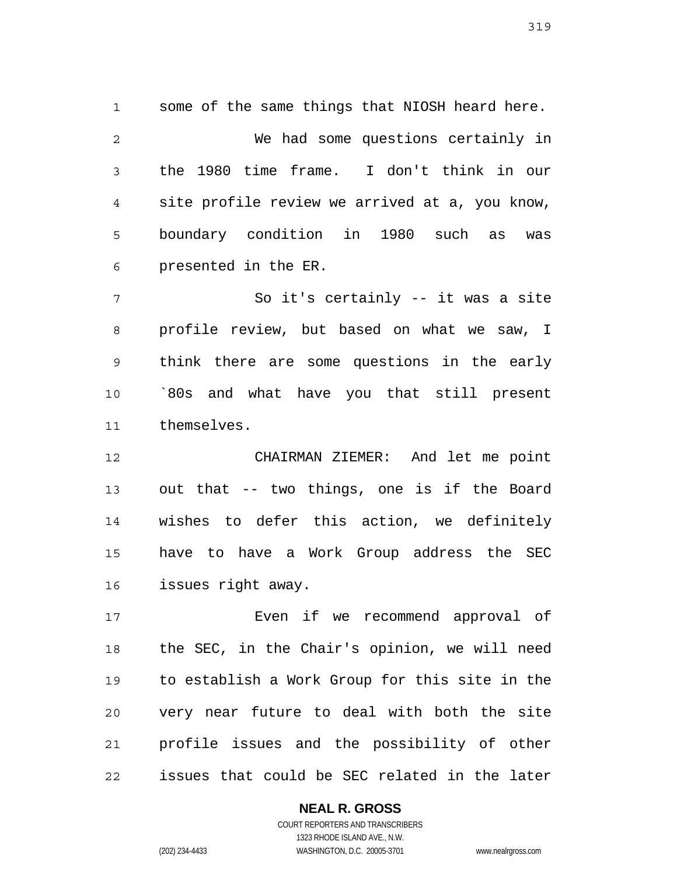1 2 3 4 5 6 some of the same things that NIOSH heard here. We had some questions certainly in the 1980 time frame. I don't think in our site profile review we arrived at a, you know, boundary condition in 1980 such as was presented in the ER.

7 8 9 10 11 So it's certainly -- it was a site profile review, but based on what we saw, I think there are some questions in the early `80s and what have you that still present themselves.

12 13 14 15 16 CHAIRMAN ZIEMER: And let me point out that -- two things, one is if the Board wishes to defer this action, we definitely have to have a Work Group address the SEC issues right away.

17 18 19 20 21 22 Even if we recommend approval of the SEC, in the Chair's opinion, we will need to establish a Work Group for this site in the very near future to deal with both the site profile issues and the possibility of other issues that could be SEC related in the later

### **NEAL R. GROSS**

COURT REPORTERS AND TRANSCRIBERS 1323 RHODE ISLAND AVE., N.W. (202) 234-4433 WASHINGTON, D.C. 20005-3701 www.nealrgross.com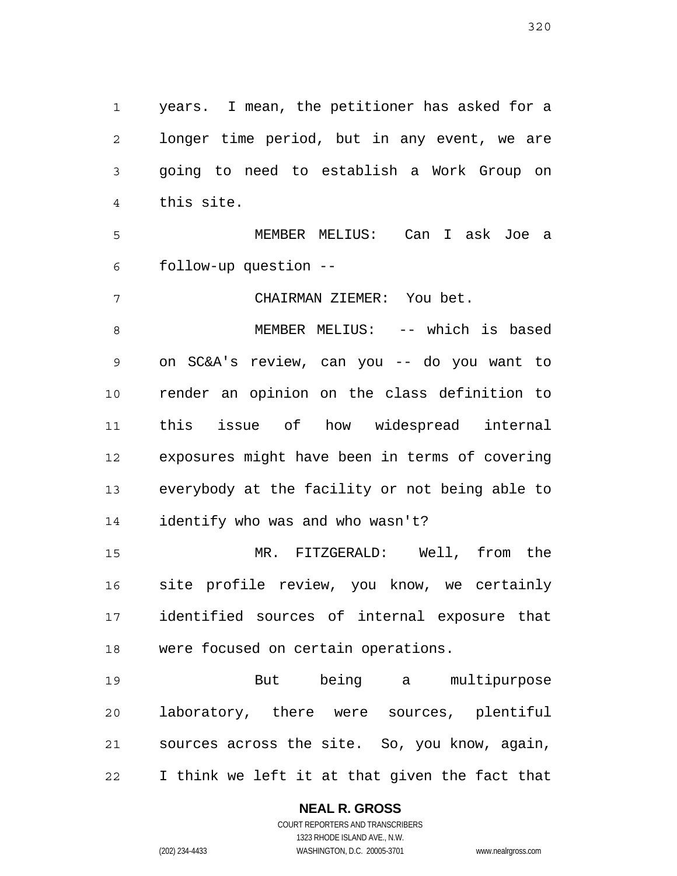1 2 3 4 years. I mean, the petitioner has asked for a longer time period, but in any event, we are going to need to establish a Work Group on this site.

5 6 MEMBER MELIUS: Can I ask Joe a follow-up question --

7 CHAIRMAN ZIEMER: You bet.

8 9 10 11 12 13 14 MEMBER MELIUS: -- which is based on SC&A's review, can you -- do you want to render an opinion on the class definition to this issue of how widespread internal exposures might have been in terms of covering everybody at the facility or not being able to identify who was and who wasn't?

15 16 17 18 MR. FITZGERALD: Well, from the site profile review, you know, we certainly identified sources of internal exposure that were focused on certain operations.

19 20 21 22 But being a multipurpose laboratory, there were sources, plentiful sources across the site. So, you know, again, I think we left it at that given the fact that

> **NEAL R. GROSS** COURT REPORTERS AND TRANSCRIBERS 1323 RHODE ISLAND AVE., N.W. (202) 234-4433 WASHINGTON, D.C. 20005-3701 www.nealrgross.com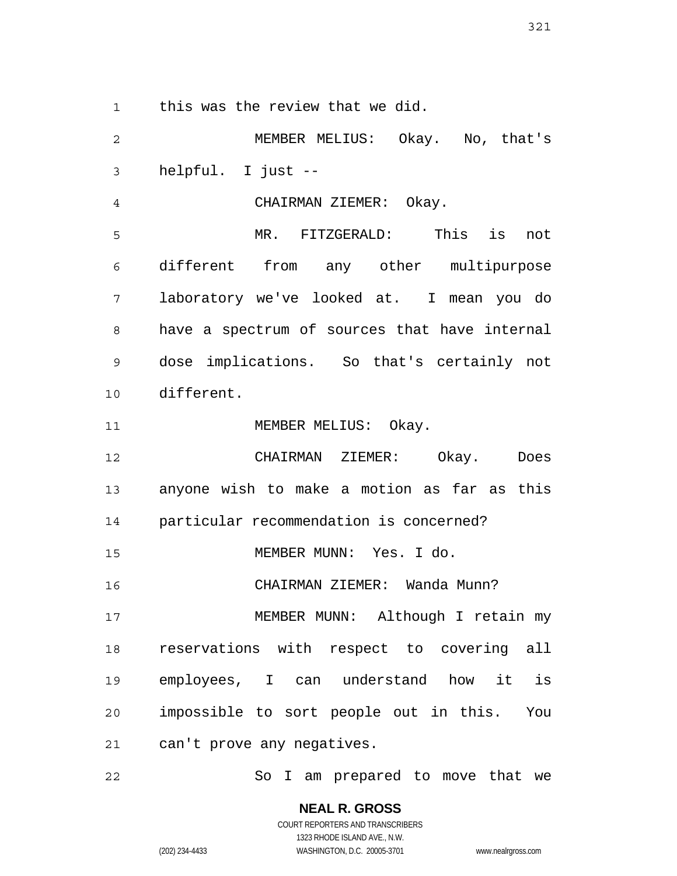1 this was the review that we did.

2 3 4 5 6 7 8 9 10 11 12 13 14 15 16 17 18 19 20 21 MEMBER MELIUS: Okay. No, that's helpful. I just -- CHAIRMAN ZIEMER: Okay. MR. FITZGERALD: This is not different from any other multipurpose laboratory we've looked at. I mean you do have a spectrum of sources that have internal dose implications. So that's certainly not different. MEMBER MELIUS: Okay. CHAIRMAN ZIEMER: Okay. Does anyone wish to make a motion as far as this particular recommendation is concerned? MEMBER MUNN: Yes. I do. CHAIRMAN ZIEMER: Wanda Munn? MEMBER MUNN: Although I retain my reservations with respect to covering all employees, I can understand how it is impossible to sort people out in this. You can't prove any negatives.

So I am prepared to move that we

**NEAL R. GROSS** COURT REPORTERS AND TRANSCRIBERS 1323 RHODE ISLAND AVE., N.W. (202) 234-4433 WASHINGTON, D.C. 20005-3701 www.nealrgross.com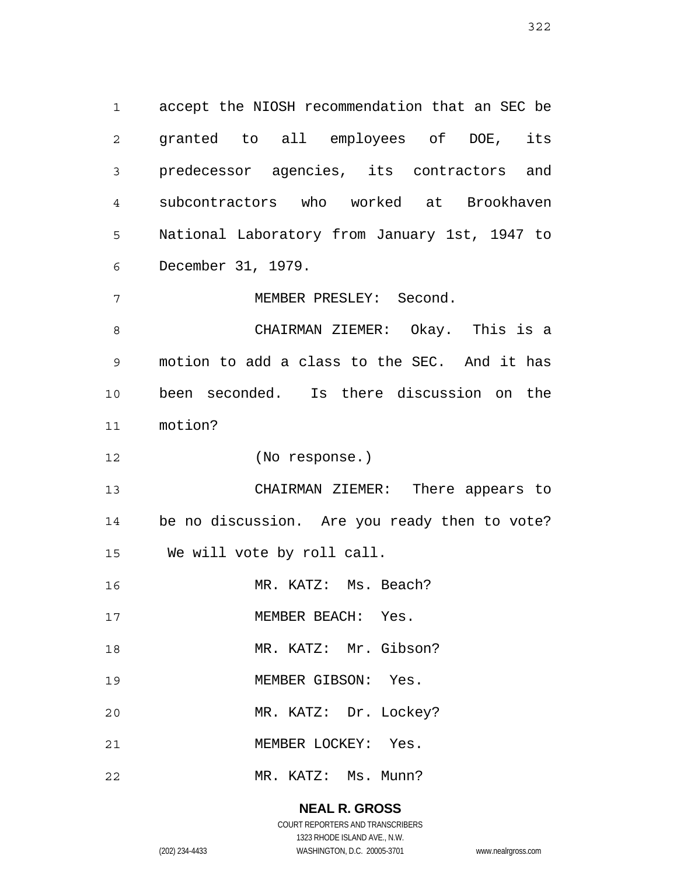1 2 3 4 5 6 accept the NIOSH recommendation that an SEC be granted to all employees of DOE, its predecessor agencies, its contractors and subcontractors who worked at Brookhaven National Laboratory from January 1st, 1947 to December 31, 1979.

7 MEMBER PRESLEY: Second.

8 9 10 11 CHAIRMAN ZIEMER: Okay. This is a motion to add a class to the SEC. And it has been seconded. Is there discussion on the motion?

12 (No response.)

13 14 15 CHAIRMAN ZIEMER: There appears to be no discussion. Are you ready then to vote? We will vote by roll call.

16 MR. KATZ: Ms. Beach?

17 MEMBER BEACH: Yes.

18 MR. KATZ: Mr. Gibson?

19 MEMBER GIBSON: Yes.

20 MR. KATZ: Dr. Lockey?

21 MEMBER LOCKEY: Yes.

22 MR. KATZ: Ms. Munn?

## **NEAL R. GROSS**

COURT REPORTERS AND TRANSCRIBERS 1323 RHODE ISLAND AVE., N.W. (202) 234-4433 WASHINGTON, D.C. 20005-3701 www.nealrgross.com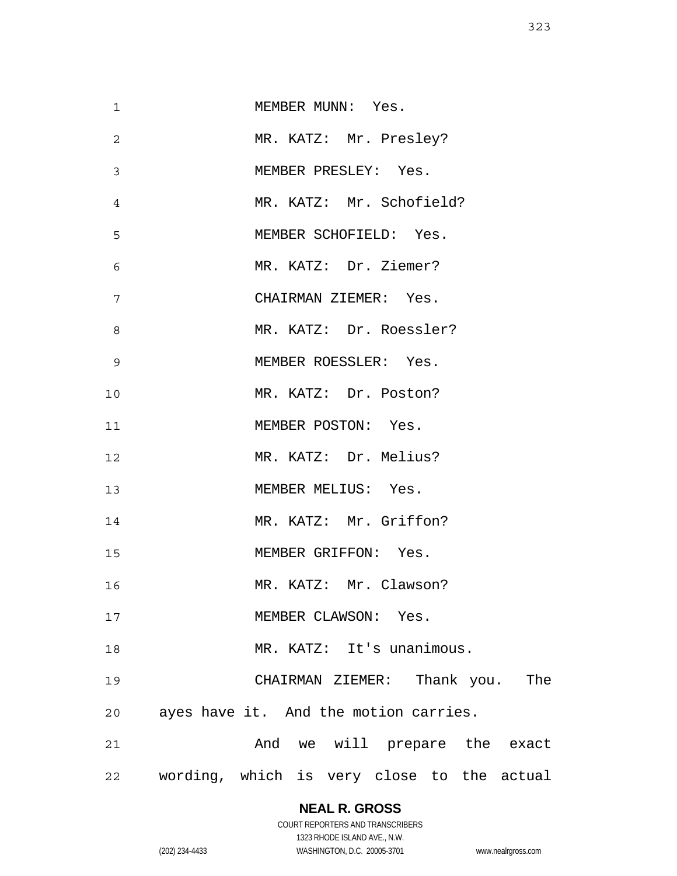| 1               | MEMBER MUNN: Yes.                          |
|-----------------|--------------------------------------------|
| $\mathbf{2}$    | MR. KATZ: Mr. Presley?                     |
| 3               | MEMBER PRESLEY: Yes.                       |
| 4               | MR. KATZ: Mr. Schofield?                   |
| 5               | MEMBER SCHOFIELD: Yes.                     |
| 6               | MR. KATZ: Dr. Ziemer?                      |
| 7               | CHAIRMAN ZIEMER: Yes.                      |
| 8               | MR. KATZ: Dr. Roessler?                    |
| 9               | MEMBER ROESSLER: Yes.                      |
| 10              | MR. KATZ: Dr. Poston?                      |
| 11              | MEMBER POSTON: Yes.                        |
| 12              | MR. KATZ: Dr. Melius?                      |
| 13              | MEMBER MELIUS: Yes.                        |
| 14              | MR. KATZ: Mr. Griffon?                     |
| 15              | MEMBER GRIFFON: Yes.                       |
| 16              | MR. KATZ: Mr. Clawson?                     |
| 17              | MEMBER CLAWSON: Yes.                       |
| 18              | MR. KATZ: It's unanimous.                  |
| 19              | CHAIRMAN ZIEMER: Thank you. The            |
| 20 <sub>o</sub> | ayes have it. And the motion carries.      |
| 21              | And we will prepare the exact              |
| 22              | wording, which is very close to the actual |

**NEAL R. GROSS** COURT REPORTERS AND TRANSCRIBERS

1323 RHODE ISLAND AVE., N.W. (202) 234-4433 WASHINGTON, D.C. 20005-3701 www.nealrgross.com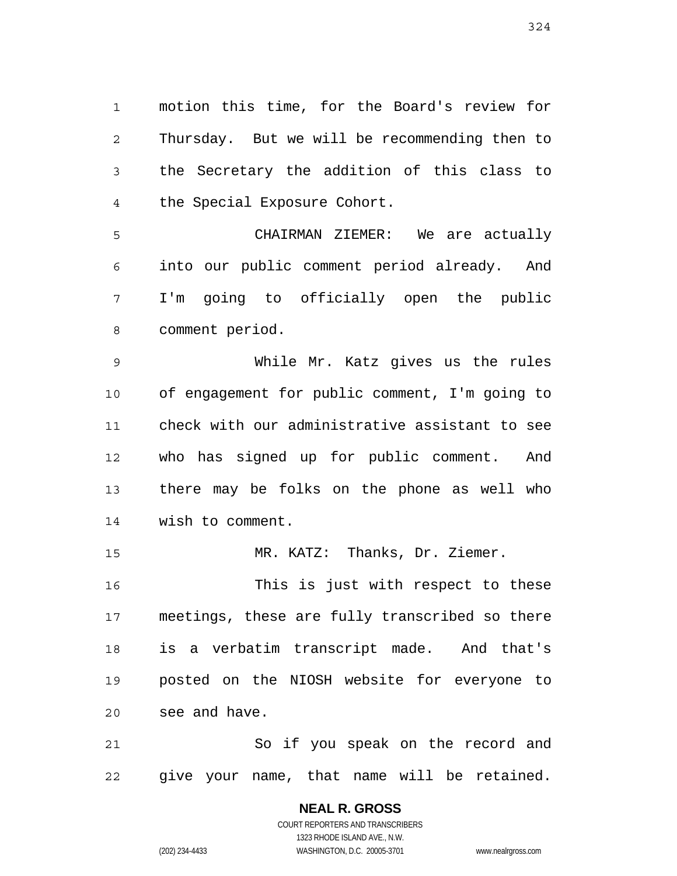1 2 3 4 motion this time, for the Board's review for Thursday. But we will be recommending then to the Secretary the addition of this class to the Special Exposure Cohort.

5 6 7 8 CHAIRMAN ZIEMER: We are actually into our public comment period already. And I'm going to officially open the public comment period.

9 10 11 12 13 14 While Mr. Katz gives us the rules of engagement for public comment, I'm going to check with our administrative assistant to see who has signed up for public comment. And there may be folks on the phone as well who wish to comment.

15 16 17 18 19 20 MR. KATZ: Thanks, Dr. Ziemer. This is just with respect to these meetings, these are fully transcribed so there is a verbatim transcript made. And that's posted on the NIOSH website for everyone to see and have.

21 22 So if you speak on the record and give your name, that name will be retained.

> COURT REPORTERS AND TRANSCRIBERS 1323 RHODE ISLAND AVE., N.W. (202) 234-4433 WASHINGTON, D.C. 20005-3701 www.nealrgross.com

**NEAL R. GROSS**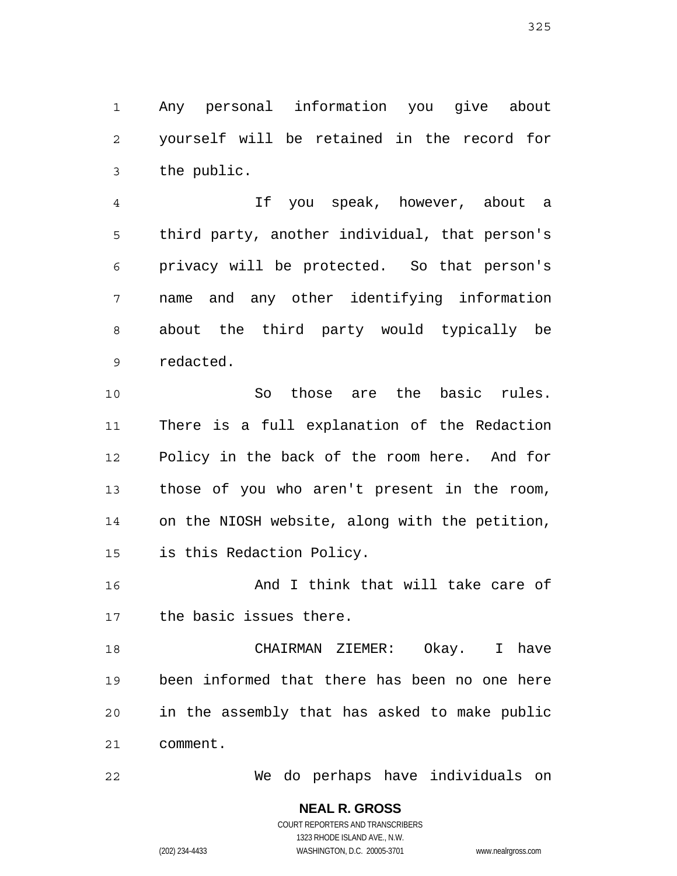1 2 3 Any personal information you give about yourself will be retained in the record for the public.

4 5 6 7 8 9 If you speak, however, about a third party, another individual, that person's privacy will be protected. So that person's name and any other identifying information about the third party would typically be redacted.

10 11 12 13 14 15 So those are the basic rules. There is a full explanation of the Redaction Policy in the back of the room here. And for those of you who aren't present in the room, on the NIOSH website, along with the petition, is this Redaction Policy.

16 17 And I think that will take care of the basic issues there.

18 19 20 21 CHAIRMAN ZIEMER: Okay. I have been informed that there has been no one here in the assembly that has asked to make public comment.

We do perhaps have individuals on

325

22

COURT REPORTERS AND TRANSCRIBERS 1323 RHODE ISLAND AVE., N.W. (202) 234-4433 WASHINGTON, D.C. 20005-3701 www.nealrgross.com

**NEAL R. GROSS**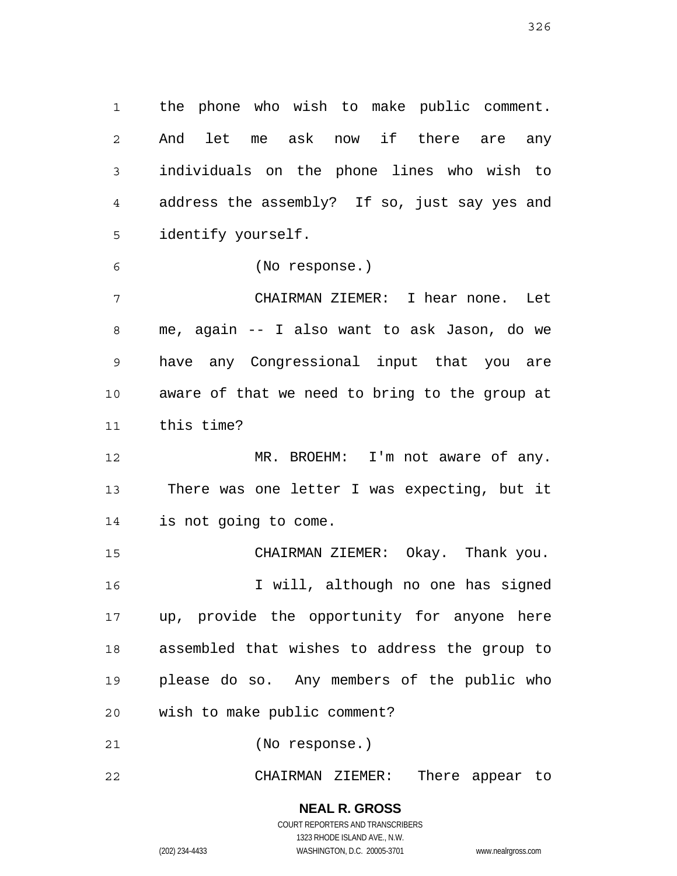1 2 3 4 5 the phone who wish to make public comment. And let me ask now if there are any individuals on the phone lines who wish to address the assembly? If so, just say yes and identify yourself.

6 (No response.)

7 8 9 10 11 CHAIRMAN ZIEMER: I hear none. Let me, again -- I also want to ask Jason, do we have any Congressional input that you are aware of that we need to bring to the group at this time?

12 13 14 MR. BROEHM: I'm not aware of any. There was one letter I was expecting, but it is not going to come.

15 16 17 18 19 20 CHAIRMAN ZIEMER: Okay. Thank you. I will, although no one has signed up, provide the opportunity for anyone here assembled that wishes to address the group to please do so. Any members of the public who wish to make public comment?

21 (No response.)

22 CHAIRMAN ZIEMER: There appear to

> **NEAL R. GROSS** COURT REPORTERS AND TRANSCRIBERS 1323 RHODE ISLAND AVE., N.W.

(202) 234-4433 WASHINGTON, D.C. 20005-3701 www.nealrgross.com

326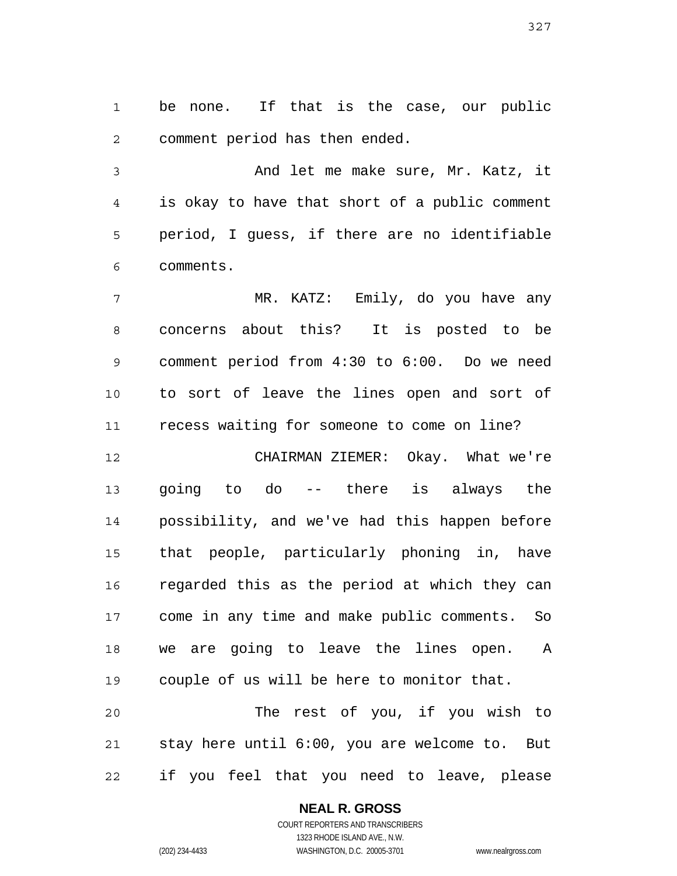1 2 be none. If that is the case, our public comment period has then ended.

3 4 5 6 And let me make sure, Mr. Katz, it is okay to have that short of a public comment period, I guess, if there are no identifiable comments.

7 8 9 10 11 MR. KATZ: Emily, do you have any concerns about this? It is posted to be comment period from 4:30 to 6:00. Do we need to sort of leave the lines open and sort of recess waiting for someone to come on line?

12 13 14 15 16 17 18 19 CHAIRMAN ZIEMER: Okay. What we're going to do -- there is always the possibility, and we've had this happen before that people, particularly phoning in, have regarded this as the period at which they can come in any time and make public comments. So we are going to leave the lines open. A couple of us will be here to monitor that.

20 21 22 The rest of you, if you wish to stay here until 6:00, you are welcome to. But if you feel that you need to leave, please

**NEAL R. GROSS**

COURT REPORTERS AND TRANSCRIBERS 1323 RHODE ISLAND AVE., N.W. (202) 234-4433 WASHINGTON, D.C. 20005-3701 www.nealrgross.com

327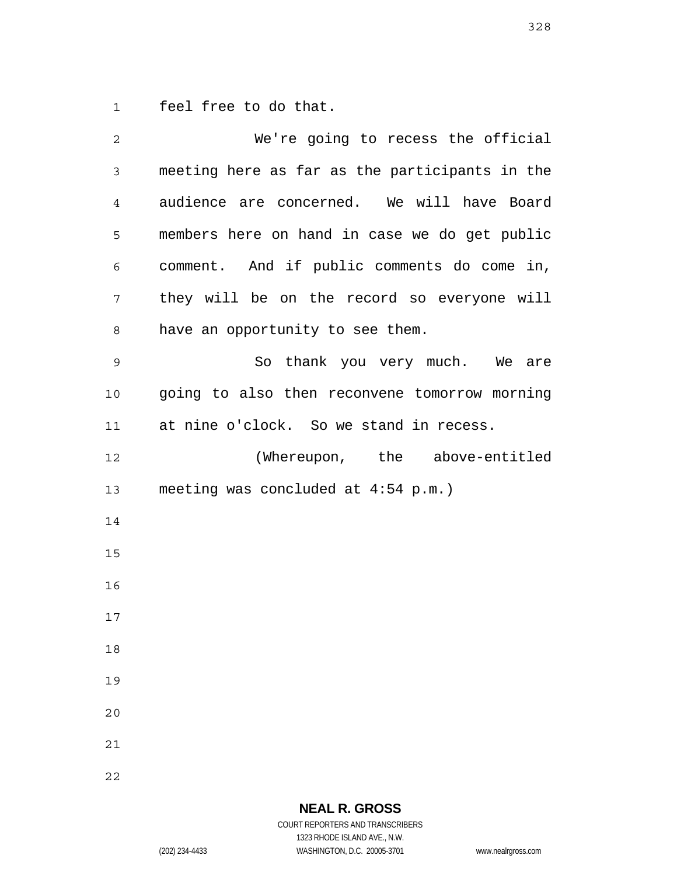1 feel free to do that.

| $\overline{2}$ | We're going to recess the official             |
|----------------|------------------------------------------------|
| 3              | meeting here as far as the participants in the |
| $\overline{4}$ | audience are concerned. We will have Board     |
| 5              | members here on hand in case we do get public  |
| 6              | comment. And if public comments do come in,    |
| 7              | they will be on the record so everyone will    |
| 8              | have an opportunity to see them.               |
| $\mathsf 9$    | So thank you very much. We are                 |
| 10             | going to also then reconvene tomorrow morning  |
| 11             | at nine o'clock. So we stand in recess.        |
| 12             | (Whereupon, the above-entitled                 |
| 13             | meeting was concluded at $4:54$ p.m.)          |
| 14             |                                                |
| 15             |                                                |
| 16             |                                                |
| 17             |                                                |
| 18             |                                                |
| 19             |                                                |
| 20             |                                                |
| 21             |                                                |
| 22             |                                                |